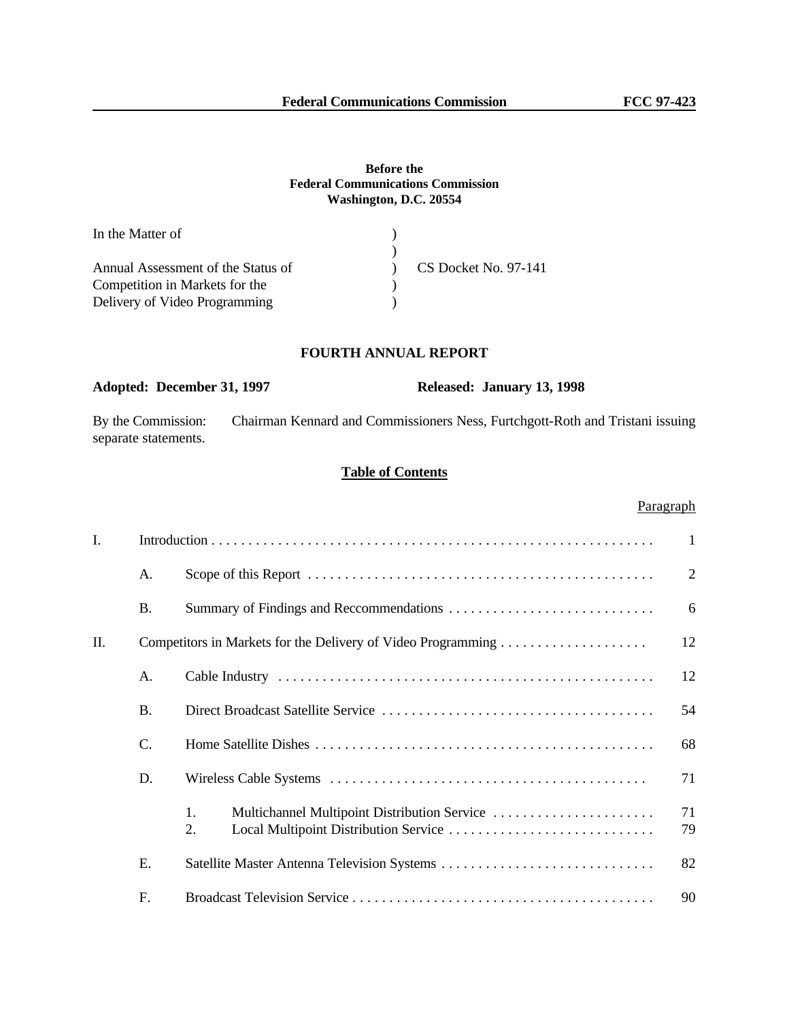## **Before the Federal Communications Commission Washington, D.C. 20554**

| In the Matter of                   |                        |
|------------------------------------|------------------------|
|                                    |                        |
| Annual Assessment of the Status of | $CS$ Docket No. 97-141 |
| Competition in Markets for the     |                        |
| Delivery of Video Programming      |                        |

# **FOURTH ANNUAL REPORT**

# **Adopted: December 31, 1997 Released: January 13, 1998**

By the Commission: Chairman Kennard and Commissioners Ness, Furtchgott-Roth and Tristani issuing separate statements.

# **Table of Contents**

# Paragraph

| I. |                 |                                                          | $\mathbf{1}$   |
|----|-----------------|----------------------------------------------------------|----------------|
|    | A.              |                                                          | $\overline{2}$ |
|    | <b>B.</b>       | Summary of Findings and Reccommendations                 | 6              |
| Π. |                 |                                                          | 12             |
|    | A.              |                                                          | 12             |
|    | <b>B.</b>       |                                                          | 54             |
|    | $\mathcal{C}$ . |                                                          | 68             |
|    | D.              |                                                          | 71             |
|    |                 | Multichannel Multipoint Distribution Service<br>1.<br>2. | 71<br>79       |
|    | E.              |                                                          | 82             |
|    | F.              |                                                          | 90             |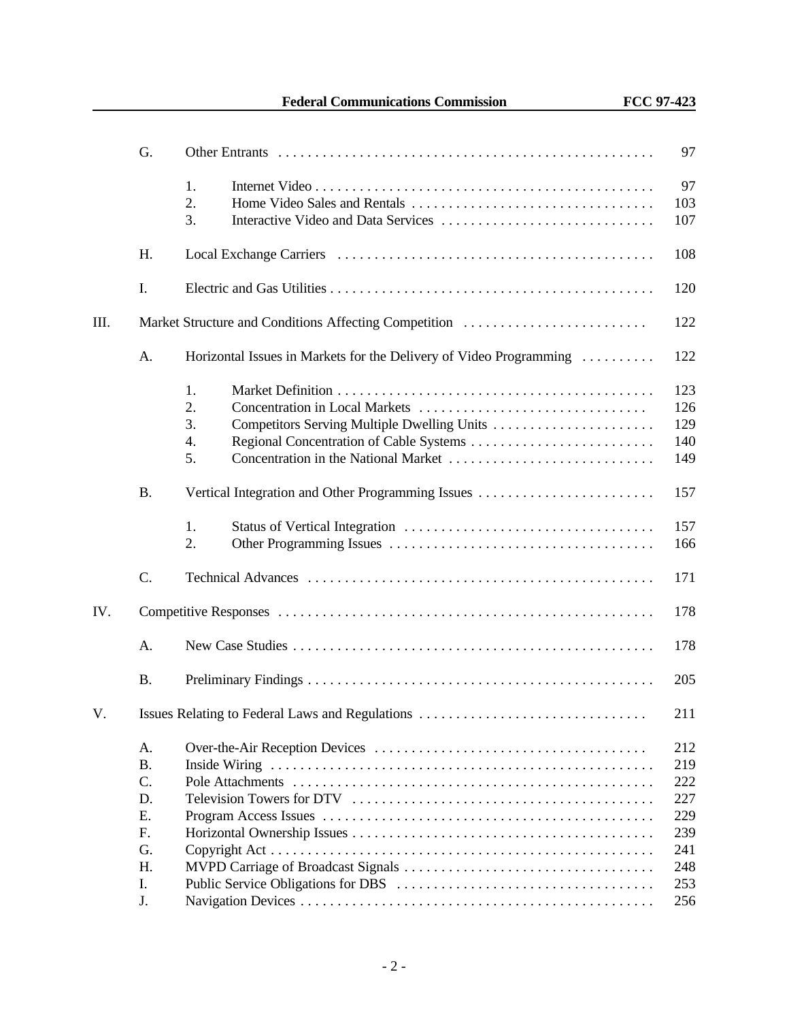|     | G.                                                 |                                                                                                                                                     | 97                                                          |
|-----|----------------------------------------------------|-----------------------------------------------------------------------------------------------------------------------------------------------------|-------------------------------------------------------------|
|     |                                                    | 1.<br>2.<br>3.                                                                                                                                      | 97<br>103<br>107                                            |
|     | Η.                                                 |                                                                                                                                                     | 108                                                         |
|     | I.                                                 |                                                                                                                                                     | 120                                                         |
| Ш.  |                                                    | Market Structure and Conditions Affecting Competition                                                                                               | 122                                                         |
|     | A.                                                 | Horizontal Issues in Markets for the Delivery of Video Programming                                                                                  | 122                                                         |
|     |                                                    | 1.<br>2.<br>Concentration in Local Markets<br>3.<br>Competitors Serving Multiple Dwelling Units<br>4.<br>5.<br>Concentration in the National Market | 123<br>126<br>129<br>140<br>149                             |
|     | <b>B.</b>                                          | Vertical Integration and Other Programming Issues                                                                                                   | 157                                                         |
|     |                                                    | 1.<br>2.                                                                                                                                            | 157<br>166                                                  |
|     | C.                                                 |                                                                                                                                                     | 171                                                         |
| IV. |                                                    |                                                                                                                                                     | 178                                                         |
|     | A.                                                 |                                                                                                                                                     | 178                                                         |
|     | <b>B.</b>                                          |                                                                                                                                                     | 205                                                         |
| V.  |                                                    | Issues Relating to Federal Laws and Regulations                                                                                                     | 211                                                         |
|     | A.<br>В.<br>C.<br>D.<br>Ε.<br>F.<br>G.<br>H.<br>I. |                                                                                                                                                     | 212<br>219<br>222<br>227<br>229<br>239<br>241<br>248<br>253 |
|     | J.                                                 |                                                                                                                                                     | 256                                                         |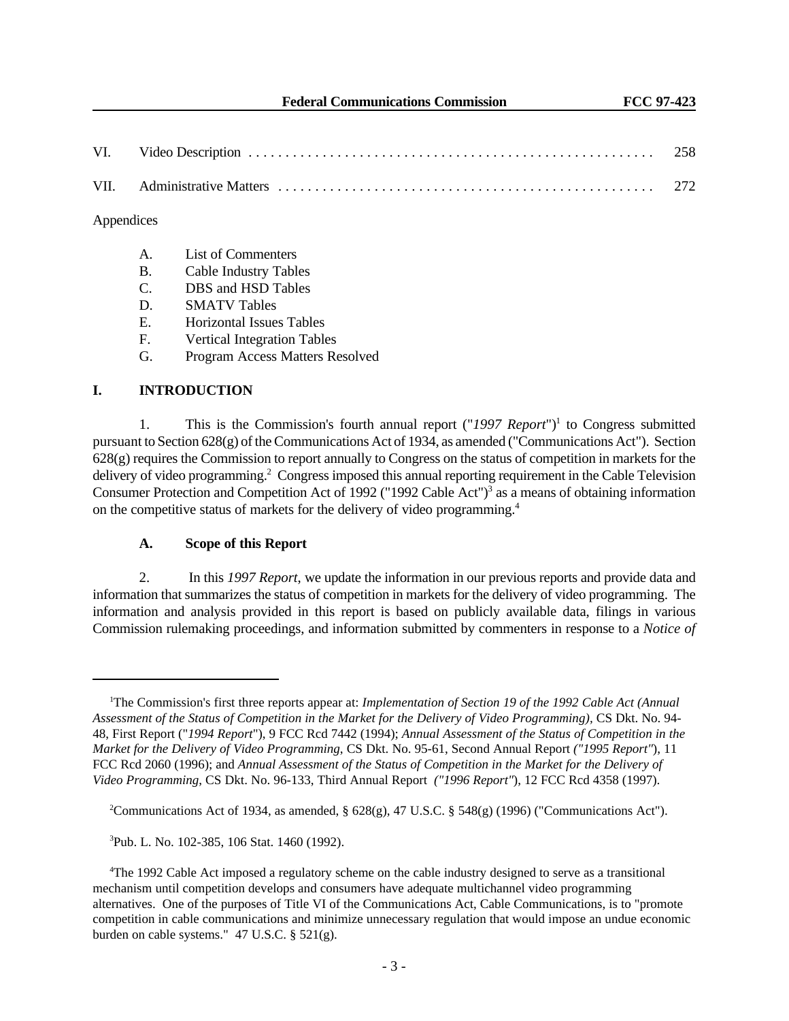#### Appendices

- A. List of Commenters
- B. Cable Industry Tables
- C. DBS and HSD Tables
- D. SMATV Tables
- E. Horizontal Issues Tables
- F. Vertical Integration Tables
- G. Program Access Matters Resolved

# **I. INTRODUCTION**

1. This is the Commission's fourth annual report ("1997 Report")<sup>1</sup> to Congress submitted pursuant to Section 628(g) of the Communications Act of 1934, as amended ("Communications Act"). Section 628(g) requires the Commission to report annually to Congress on the status of competition in markets for the delivery of video programming.<sup>2</sup> Congress imposed this annual reporting requirement in the Cable Television Consumer Protection and Competition Act of 1992 ("1992 Cable Act")<sup>3</sup> as a means of obtaining information on the competitive status of markets for the delivery of video programming.<sup>4</sup>

## **A. Scope of this Report**

2. In this *1997 Report*, we update the information in our previous reports and provide data and information that summarizes the status of competition in markets for the delivery of video programming. The information and analysis provided in this report is based on publicly available data, filings in various Commission rulemaking proceedings, and information submitted by commenters in response to a *Notice of*

<sup>&</sup>lt;sup>1</sup>The Commission's first three reports appear at: *Implementation of Section 19 of the 1992 Cable Act (Annual*) *Assessment of the Status of Competition in the Market for the Delivery of Video Programming),* CS Dkt. No. 94- 48, First Report ("*1994 Report*"), 9 FCC Rcd 7442 (1994); *Annual Assessment of the Status of Competition in the Market for the Delivery of Video Programming*, CS Dkt. No. 95-61, Second Annual Report *("1995 Report"*), 11 FCC Rcd 2060 (1996); and *Annual Assessment of the Status of Competition in the Market for the Delivery of Video Programming*, CS Dkt. No. 96-133, Third Annual Report *("1996 Report"*), 12 FCC Rcd 4358 (1997).

<sup>&</sup>lt;sup>2</sup>Communications Act of 1934, as amended, §  $628(g)$ , 47 U.S.C. § 548(g) (1996) ("Communications Act").

<sup>3</sup>Pub. L. No. 102-385, 106 Stat. 1460 (1992).

<sup>4</sup>The 1992 Cable Act imposed a regulatory scheme on the cable industry designed to serve as a transitional mechanism until competition develops and consumers have adequate multichannel video programming alternatives. One of the purposes of Title VI of the Communications Act, Cable Communications, is to "promote competition in cable communications and minimize unnecessary regulation that would impose an undue economic burden on cable systems." 47 U.S.C. § 521(g).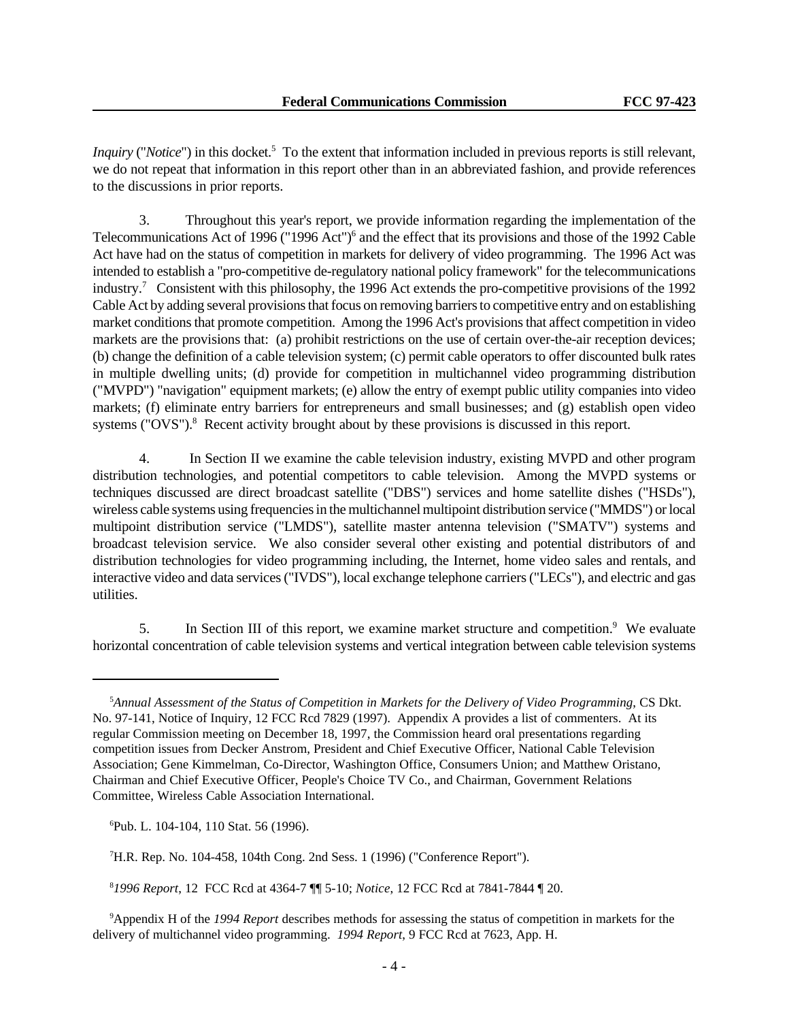*Inquiry* ("*Notice*") in this docket.<sup>5</sup> To the extent that information included in previous reports is still relevant, we do not repeat that information in this report other than in an abbreviated fashion, and provide references to the discussions in prior reports.

3. Throughout this year's report, we provide information regarding the implementation of the Telecommunications Act of 1996 ("1996 Act")<sup>6</sup> and the effect that its provisions and those of the 1992 Cable Act have had on the status of competition in markets for delivery of video programming. The 1996 Act was intended to establish a "pro-competitive de-regulatory national policy framework" for the telecommunications industry.<sup>7</sup> Consistent with this philosophy, the 1996 Act extends the pro-competitive provisions of the 1992 Cable Act by adding several provisions that focus on removing barriers to competitive entry and on establishing market conditions that promote competition. Among the 1996 Act's provisions that affect competition in video markets are the provisions that: (a) prohibit restrictions on the use of certain over-the-air reception devices; (b) change the definition of a cable television system; (c) permit cable operators to offer discounted bulk rates in multiple dwelling units; (d) provide for competition in multichannel video programming distribution ("MVPD") "navigation" equipment markets; (e) allow the entry of exempt public utility companies into video markets; (f) eliminate entry barriers for entrepreneurs and small businesses; and (g) establish open video systems ("OVS").<sup>8</sup> Recent activity brought about by these provisions is discussed in this report.

4. In Section II we examine the cable television industry, existing MVPD and other program distribution technologies, and potential competitors to cable television. Among the MVPD systems or techniques discussed are direct broadcast satellite ("DBS") services and home satellite dishes ("HSDs"), wireless cable systems using frequencies in the multichannel multipoint distribution service ("MMDS") or local multipoint distribution service ("LMDS"), satellite master antenna television ("SMATV") systems and broadcast television service. We also consider several other existing and potential distributors of and distribution technologies for video programming including, the Internet, home video sales and rentals, and interactive video and data services ("IVDS"), local exchange telephone carriers ("LECs"), and electric and gas utilities.

5. In Section III of this report, we examine market structure and competition.<sup>9</sup> We evaluate horizontal concentration of cable television systems and vertical integration between cable television systems

<sup>5</sup>*Annual Assessment of the Status of Competition in Markets for the Delivery of Video Programming*, CS Dkt. No. 97-141, Notice of Inquiry, 12 FCC Rcd 7829 (1997). Appendix A provides a list of commenters. At its regular Commission meeting on December 18, 1997, the Commission heard oral presentations regarding competition issues from Decker Anstrom, President and Chief Executive Officer, National Cable Television Association; Gene Kimmelman, Co-Director, Washington Office, Consumers Union; and Matthew Oristano, Chairman and Chief Executive Officer, People's Choice TV Co., and Chairman, Government Relations Committee, Wireless Cable Association International.

<sup>6</sup>Pub. L. 104-104, 110 Stat. 56 (1996).

<sup>7</sup>H.R. Rep. No. 104-458, 104th Cong. 2nd Sess. 1 (1996) ("Conference Report").

<sup>8</sup> *1996 Report*, 12 FCC Rcd at 4364-7 ¶¶ 5-10; *Notice*, 12 FCC Rcd at 7841-7844 ¶ 20.

<sup>9</sup>Appendix H of the *1994 Report* describes methods for assessing the status of competition in markets for the delivery of multichannel video programming. *1994 Report*, 9 FCC Rcd at 7623, App. H.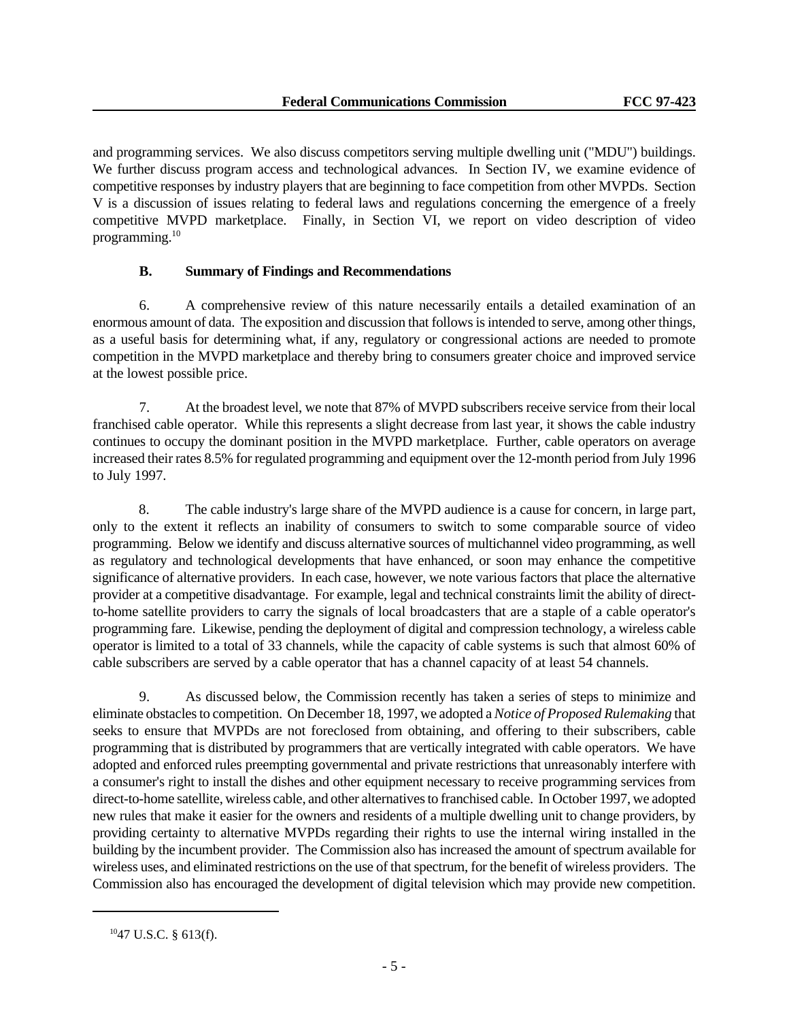and programming services. We also discuss competitors serving multiple dwelling unit ("MDU") buildings. We further discuss program access and technological advances. In Section IV, we examine evidence of competitive responses by industry players that are beginning to face competition from other MVPDs. Section V is a discussion of issues relating to federal laws and regulations concerning the emergence of a freely competitive MVPD marketplace. Finally, in Section VI, we report on video description of video programming.<sup>10</sup>

# **B. Summary of Findings and Recommendations**

6. A comprehensive review of this nature necessarily entails a detailed examination of an enormous amount of data. The exposition and discussion that follows is intended to serve, among other things, as a useful basis for determining what, if any, regulatory or congressional actions are needed to promote competition in the MVPD marketplace and thereby bring to consumers greater choice and improved service at the lowest possible price.

7. At the broadest level, we note that 87% of MVPD subscribers receive service from their local franchised cable operator. While this represents a slight decrease from last year, it shows the cable industry continues to occupy the dominant position in the MVPD marketplace. Further, cable operators on average increased their rates 8.5% for regulated programming and equipment over the 12-month period from July 1996 to July 1997.

8. The cable industry's large share of the MVPD audience is a cause for concern, in large part, only to the extent it reflects an inability of consumers to switch to some comparable source of video programming. Below we identify and discuss alternative sources of multichannel video programming, as well as regulatory and technological developments that have enhanced, or soon may enhance the competitive significance of alternative providers. In each case, however, we note various factors that place the alternative provider at a competitive disadvantage. For example, legal and technical constraints limit the ability of directto-home satellite providers to carry the signals of local broadcasters that are a staple of a cable operator's programming fare. Likewise, pending the deployment of digital and compression technology, a wireless cable operator is limited to a total of 33 channels, while the capacity of cable systems is such that almost 60% of cable subscribers are served by a cable operator that has a channel capacity of at least 54 channels.

9. As discussed below, the Commission recently has taken a series of steps to minimize and eliminate obstacles to competition. On December 18, 1997, we adopted a *Notice of Proposed Rulemaking* that seeks to ensure that MVPDs are not foreclosed from obtaining, and offering to their subscribers, cable programming that is distributed by programmers that are vertically integrated with cable operators. We have adopted and enforced rules preempting governmental and private restrictions that unreasonably interfere with a consumer's right to install the dishes and other equipment necessary to receive programming services from direct-to-home satellite, wireless cable, and other alternatives to franchised cable. In October 1997, we adopted new rules that make it easier for the owners and residents of a multiple dwelling unit to change providers, by providing certainty to alternative MVPDs regarding their rights to use the internal wiring installed in the building by the incumbent provider. The Commission also has increased the amount of spectrum available for wireless uses, and eliminated restrictions on the use of that spectrum, for the benefit of wireless providers. The Commission also has encouraged the development of digital television which may provide new competition.

<sup>10</sup>47 U.S.C. § 613(f).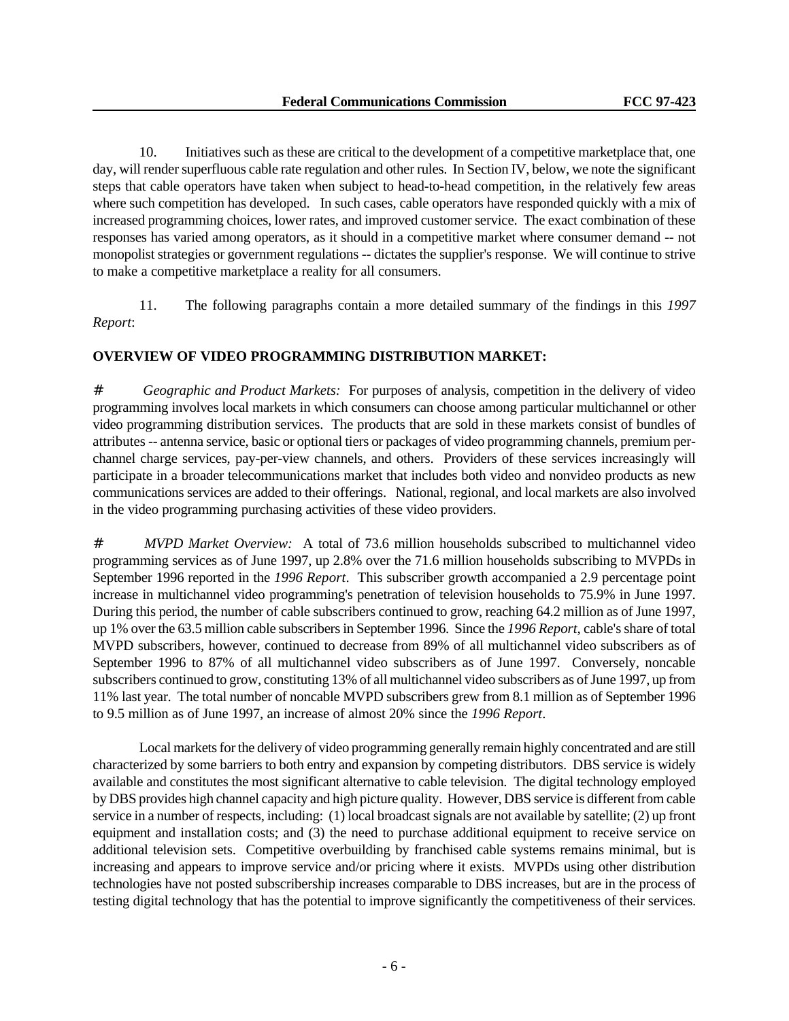10. Initiatives such as these are critical to the development of a competitive marketplace that, one day, will render superfluous cable rate regulation and other rules. In Section IV, below, we note the significant steps that cable operators have taken when subject to head-to-head competition, in the relatively few areas where such competition has developed. In such cases, cable operators have responded quickly with a mix of increased programming choices, lower rates, and improved customer service. The exact combination of these responses has varied among operators, as it should in a competitive market where consumer demand -- not monopolist strategies or government regulations -- dictates the supplier's response. We will continue to strive to make a competitive marketplace a reality for all consumers.

11. The following paragraphs contain a more detailed summary of the findings in this *1997 Report*:

# **OVERVIEW OF VIDEO PROGRAMMING DISTRIBUTION MARKET:**

# *Geographic and Product Markets:* For purposes of analysis, competition in the delivery of video programming involves local markets in which consumers can choose among particular multichannel or other video programming distribution services. The products that are sold in these markets consist of bundles of attributes -- antenna service, basic or optional tiers or packages of video programming channels, premium perchannel charge services, pay-per-view channels, and others. Providers of these services increasingly will participate in a broader telecommunications market that includes both video and nonvideo products as new communications services are added to their offerings. National, regional, and local markets are also involved in the video programming purchasing activities of these video providers.

# *MVPD Market Overview:* A total of 73.6 million households subscribed to multichannel video programming services as of June 1997, up 2.8% over the 71.6 million households subscribing to MVPDs in September 1996 reported in the *1996 Report*. This subscriber growth accompanied a 2.9 percentage point increase in multichannel video programming's penetration of television households to 75.9% in June 1997. During this period, the number of cable subscribers continued to grow, reaching 64.2 million as of June 1997, up 1% over the 63.5 million cable subscribers in September 1996. Since the *1996 Report*, cable's share of total MVPD subscribers, however, continued to decrease from 89% of all multichannel video subscribers as of September 1996 to 87% of all multichannel video subscribers as of June 1997. Conversely, noncable subscribers continued to grow, constituting 13% of all multichannel video subscribers as of June 1997, up from 11% last year. The total number of noncable MVPD subscribers grew from 8.1 million as of September 1996 to 9.5 million as of June 1997, an increase of almost 20% since the *1996 Report*.

Local markets for the delivery of video programming generally remain highly concentrated and are still characterized by some barriers to both entry and expansion by competing distributors. DBS service is widely available and constitutes the most significant alternative to cable television. The digital technology employed by DBS provides high channel capacity and high picture quality. However, DBS service is different from cable service in a number of respects, including: (1) local broadcast signals are not available by satellite; (2) up front equipment and installation costs; and (3) the need to purchase additional equipment to receive service on additional television sets. Competitive overbuilding by franchised cable systems remains minimal, but is increasing and appears to improve service and/or pricing where it exists. MVPDs using other distribution technologies have not posted subscribership increases comparable to DBS increases, but are in the process of testing digital technology that has the potential to improve significantly the competitiveness of their services.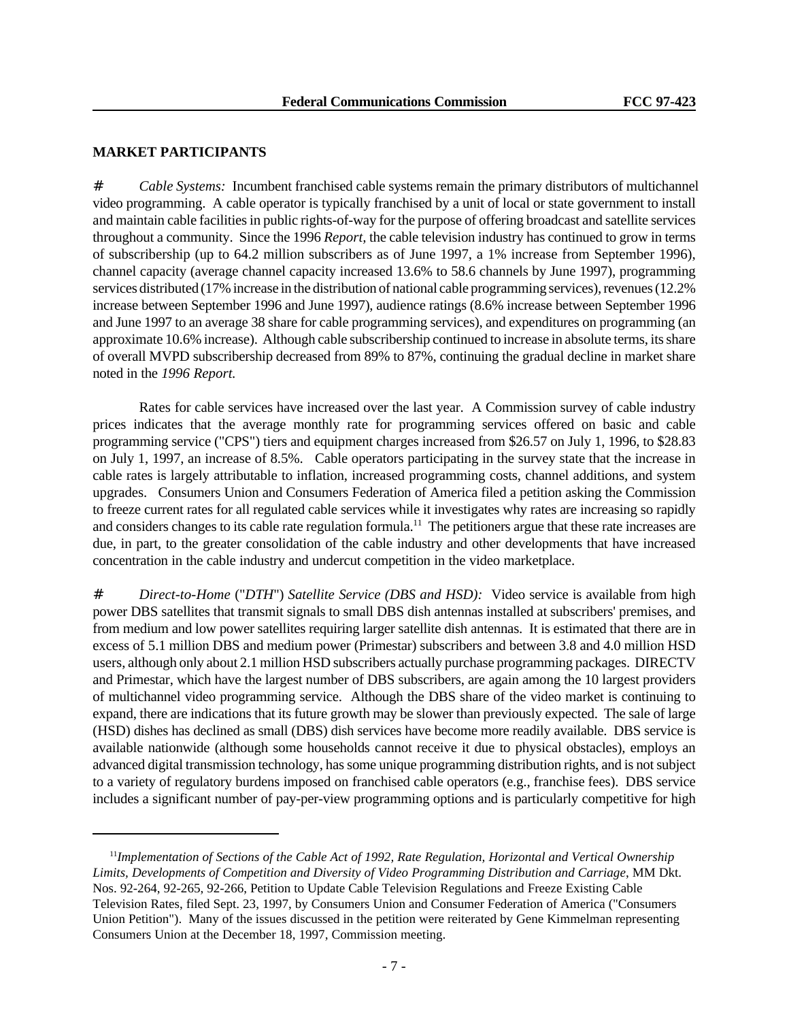## **MARKET PARTICIPANTS**

# *Cable Systems:* Incumbent franchised cable systems remain the primary distributors of multichannel video programming. A cable operator is typically franchised by a unit of local or state government to install and maintain cable facilities in public rights-of-way for the purpose of offering broadcast and satellite services throughout a community. Since the 1996 *Report,* the cable television industry has continued to grow in terms of subscribership (up to 64.2 million subscribers as of June 1997, a 1% increase from September 1996), channel capacity (average channel capacity increased 13.6% to 58.6 channels by June 1997), programming services distributed (17% increase in the distribution of national cable programming services), revenues (12.2% increase between September 1996 and June 1997), audience ratings (8.6% increase between September 1996 and June 1997 to an average 38 share for cable programming services), and expenditures on programming (an approximate 10.6% increase). Although cable subscribership continued to increase in absolute terms, its share of overall MVPD subscribership decreased from 89% to 87%, continuing the gradual decline in market share noted in the *1996 Report.*

Rates for cable services have increased over the last year. A Commission survey of cable industry prices indicates that the average monthly rate for programming services offered on basic and cable programming service ("CPS") tiers and equipment charges increased from \$26.57 on July 1, 1996, to \$28.83 on July 1, 1997, an increase of 8.5%. Cable operators participating in the survey state that the increase in cable rates is largely attributable to inflation, increased programming costs, channel additions, and system upgrades. Consumers Union and Consumers Federation of America filed a petition asking the Commission to freeze current rates for all regulated cable services while it investigates why rates are increasing so rapidly and considers changes to its cable rate regulation formula.<sup>11</sup> The petitioners argue that these rate increases are due, in part, to the greater consolidation of the cable industry and other developments that have increased concentration in the cable industry and undercut competition in the video marketplace.

# *Direct-to-Home* ("*DTH*") *Satellite Service (DBS and HSD):* Video service is available from high power DBS satellites that transmit signals to small DBS dish antennas installed at subscribers' premises, and from medium and low power satellites requiring larger satellite dish antennas. It is estimated that there are in excess of 5.1 million DBS and medium power (Primestar) subscribers and between 3.8 and 4.0 million HSD users, although only about 2.1 million HSD subscribers actually purchase programming packages. DIRECTV and Primestar, which have the largest number of DBS subscribers, are again among the 10 largest providers of multichannel video programming service. Although the DBS share of the video market is continuing to expand, there are indications that its future growth may be slower than previously expected. The sale of large (HSD) dishes has declined as small (DBS) dish services have become more readily available. DBS service is available nationwide (although some households cannot receive it due to physical obstacles), employs an advanced digital transmission technology, has some unique programming distribution rights, and is not subject to a variety of regulatory burdens imposed on franchised cable operators (e.g., franchise fees). DBS service includes a significant number of pay-per-view programming options and is particularly competitive for high

<sup>11</sup>*Implementation of Sections of the Cable Act of 1992, Rate Regulation, Horizontal and Vertical Ownership Limits, Developments of Competition and Diversity of Video Programming Distribution and Carriage*, MM Dkt. Nos. 92-264, 92-265, 92-266, Petition to Update Cable Television Regulations and Freeze Existing Cable Television Rates, filed Sept. 23, 1997, by Consumers Union and Consumer Federation of America ("Consumers Union Petition"). Many of the issues discussed in the petition were reiterated by Gene Kimmelman representing Consumers Union at the December 18, 1997, Commission meeting.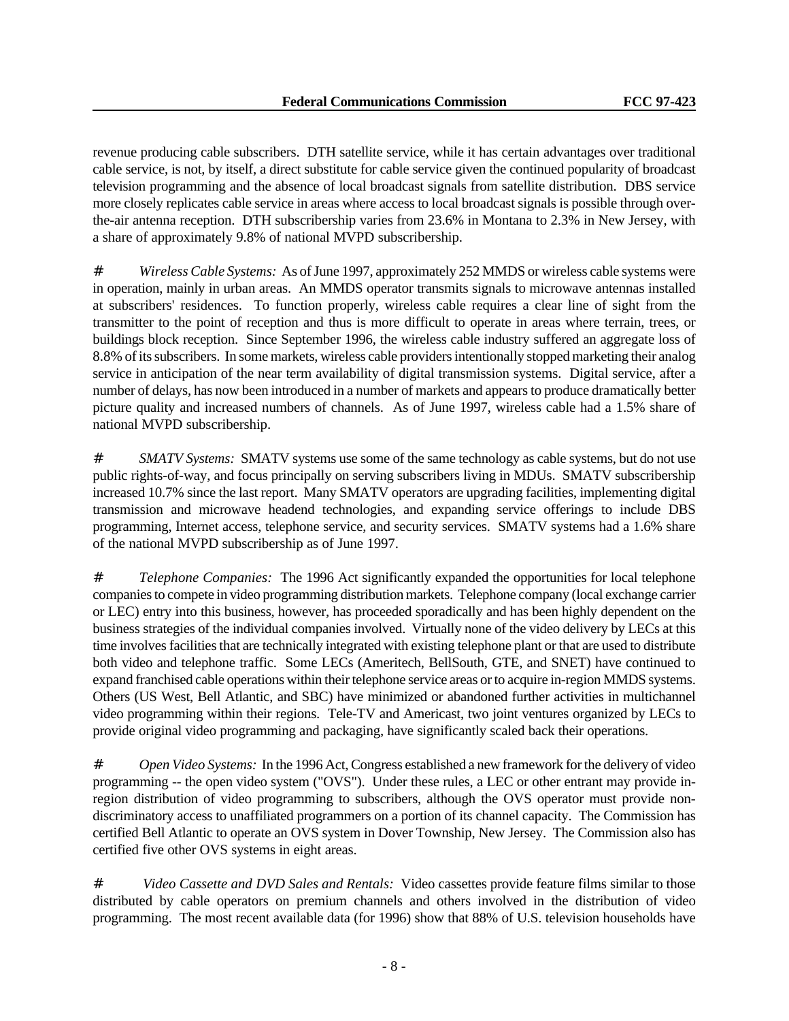revenue producing cable subscribers. DTH satellite service, while it has certain advantages over traditional cable service, is not, by itself, a direct substitute for cable service given the continued popularity of broadcast television programming and the absence of local broadcast signals from satellite distribution. DBS service more closely replicates cable service in areas where access to local broadcast signals is possible through overthe-air antenna reception. DTH subscribership varies from 23.6% in Montana to 2.3% in New Jersey, with a share of approximately 9.8% of national MVPD subscribership.

# *Wireless Cable Systems:* As of June 1997, approximately 252 MMDS or wireless cable systems were in operation, mainly in urban areas. An MMDS operator transmits signals to microwave antennas installed at subscribers' residences. To function properly, wireless cable requires a clear line of sight from the transmitter to the point of reception and thus is more difficult to operate in areas where terrain, trees, or buildings block reception. Since September 1996, the wireless cable industry suffered an aggregate loss of 8.8% of its subscribers. In some markets, wireless cable providers intentionally stopped marketing their analog service in anticipation of the near term availability of digital transmission systems. Digital service, after a number of delays, has now been introduced in a number of markets and appears to produce dramatically better picture quality and increased numbers of channels. As of June 1997, wireless cable had a 1.5% share of national MVPD subscribership.

*# SMATV Systems:* SMATV systems use some of the same technology as cable systems, but do not use public rights-of-way, and focus principally on serving subscribers living in MDUs. SMATV subscribership increased 10.7% since the last report. Many SMATV operators are upgrading facilities, implementing digital transmission and microwave headend technologies, and expanding service offerings to include DBS programming, Internet access, telephone service, and security services. SMATV systems had a 1.6% share of the national MVPD subscribership as of June 1997.

# *Telephone Companies:* The 1996 Act significantly expanded the opportunities for local telephone companies to compete in video programming distribution markets. Telephone company (local exchange carrier or LEC) entry into this business, however, has proceeded sporadically and has been highly dependent on the business strategies of the individual companies involved. Virtually none of the video delivery by LECs at this time involves facilities that are technically integrated with existing telephone plant or that are used to distribute both video and telephone traffic. Some LECs (Ameritech, BellSouth, GTE, and SNET) have continued to expand franchised cable operations within their telephone service areas or to acquire in-region MMDS systems. Others (US West, Bell Atlantic, and SBC) have minimized or abandoned further activities in multichannel video programming within their regions. Tele-TV and Americast, two joint ventures organized by LECs to provide original video programming and packaging, have significantly scaled back their operations.

*# Open Video Systems:* In the 1996 Act, Congress established a new framework for the delivery of video programming -- the open video system ("OVS"). Under these rules, a LEC or other entrant may provide inregion distribution of video programming to subscribers, although the OVS operator must provide nondiscriminatory access to unaffiliated programmers on a portion of its channel capacity. The Commission has certified Bell Atlantic to operate an OVS system in Dover Township, New Jersey. The Commission also has certified five other OVS systems in eight areas.

# *Video Cassette and DVD Sales and Rentals:* Video cassettes provide feature films similar to those distributed by cable operators on premium channels and others involved in the distribution of video programming. The most recent available data (for 1996) show that 88% of U.S. television households have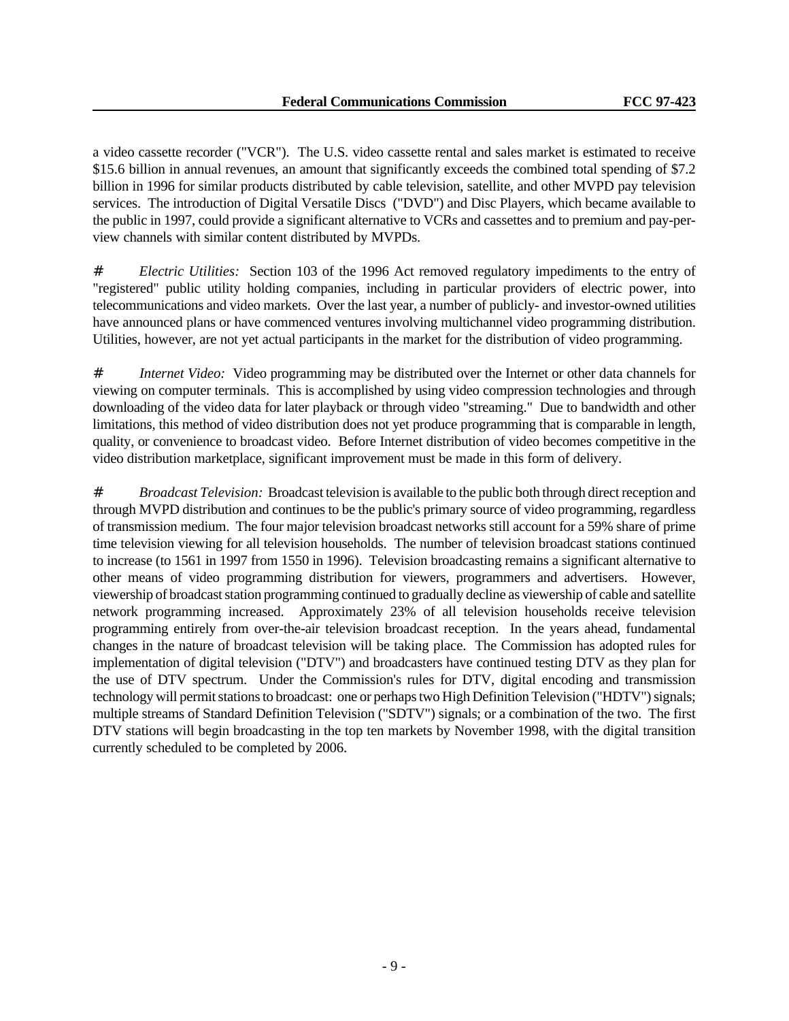a video cassette recorder ("VCR"). The U.S. video cassette rental and sales market is estimated to receive \$15.6 billion in annual revenues, an amount that significantly exceeds the combined total spending of \$7.2 billion in 1996 for similar products distributed by cable television, satellite, and other MVPD pay television services. The introduction of Digital Versatile Discs ("DVD") and Disc Players, which became available to the public in 1997, could provide a significant alternative to VCRs and cassettes and to premium and pay-perview channels with similar content distributed by MVPDs.

*# Electric Utilities:* Section 103 of the 1996 Act removed regulatory impediments to the entry of "registered" public utility holding companies, including in particular providers of electric power, into telecommunications and video markets. Over the last year, a number of publicly- and investor-owned utilities have announced plans or have commenced ventures involving multichannel video programming distribution. Utilities, however, are not yet actual participants in the market for the distribution of video programming.

*# Internet Video:* Video programming may be distributed over the Internet or other data channels for viewing on computer terminals. This is accomplished by using video compression technologies and through downloading of the video data for later playback or through video "streaming." Due to bandwidth and other limitations, this method of video distribution does not yet produce programming that is comparable in length, quality, or convenience to broadcast video. Before Internet distribution of video becomes competitive in the video distribution marketplace, significant improvement must be made in this form of delivery.

# *Broadcast Television:* Broadcast television is available to the public both through direct reception and through MVPD distribution and continues to be the public's primary source of video programming, regardless of transmission medium. The four major television broadcast networks still account for a 59% share of prime time television viewing for all television households. The number of television broadcast stations continued to increase (to 1561 in 1997 from 1550 in 1996). Television broadcasting remains a significant alternative to other means of video programming distribution for viewers, programmers and advertisers. However, viewership of broadcast station programming continued to gradually decline as viewership of cable and satellite network programming increased. Approximately 23% of all television households receive television programming entirely from over-the-air television broadcast reception. In the years ahead, fundamental changes in the nature of broadcast television will be taking place. The Commission has adopted rules for implementation of digital television ("DTV") and broadcasters have continued testing DTV as they plan for the use of DTV spectrum. Under the Commission's rules for DTV, digital encoding and transmission technology will permit stations to broadcast: one or perhaps two High Definition Television ("HDTV") signals; multiple streams of Standard Definition Television ("SDTV") signals; or a combination of the two. The first DTV stations will begin broadcasting in the top ten markets by November 1998, with the digital transition currently scheduled to be completed by 2006.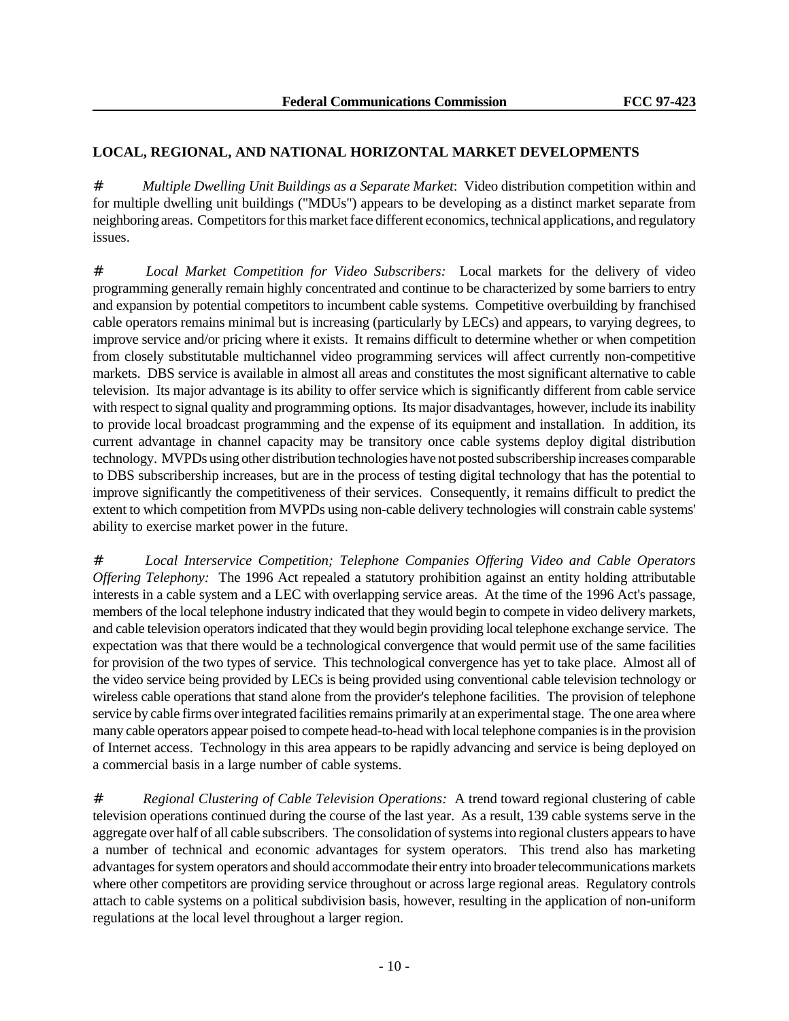# **LOCAL, REGIONAL, AND NATIONAL HORIZONTAL MARKET DEVELOPMENTS**

# *Multiple Dwelling Unit Buildings as a Separate Market*: Video distribution competition within and for multiple dwelling unit buildings ("MDUs") appears to be developing as a distinct market separate from neighboring areas. Competitors for this market face different economics, technical applications, and regulatory issues.

# *Local Market Competition for Video Subscribers:* Local markets for the delivery of video programming generally remain highly concentrated and continue to be characterized by some barriers to entry and expansion by potential competitors to incumbent cable systems. Competitive overbuilding by franchised cable operators remains minimal but is increasing (particularly by LECs) and appears, to varying degrees, to improve service and/or pricing where it exists. It remains difficult to determine whether or when competition from closely substitutable multichannel video programming services will affect currently non-competitive markets. DBS service is available in almost all areas and constitutes the most significant alternative to cable television. Its major advantage is its ability to offer service which is significantly different from cable service with respect to signal quality and programming options. Its major disadvantages, however, include its inability to provide local broadcast programming and the expense of its equipment and installation. In addition, its current advantage in channel capacity may be transitory once cable systems deploy digital distribution technology. MVPDs using other distribution technologies have not posted subscribership increases comparable to DBS subscribership increases, but are in the process of testing digital technology that has the potential to improve significantly the competitiveness of their services. Consequently, it remains difficult to predict the extent to which competition from MVPDs using non-cable delivery technologies will constrain cable systems' ability to exercise market power in the future.

# *Local Interservice Competition; Telephone Companies Offering Video and Cable Operators Offering Telephony:* The 1996 Act repealed a statutory prohibition against an entity holding attributable interests in a cable system and a LEC with overlapping service areas. At the time of the 1996 Act's passage, members of the local telephone industry indicated that they would begin to compete in video delivery markets, and cable television operators indicated that they would begin providing local telephone exchange service. The expectation was that there would be a technological convergence that would permit use of the same facilities for provision of the two types of service. This technological convergence has yet to take place. Almost all of the video service being provided by LECs is being provided using conventional cable television technology or wireless cable operations that stand alone from the provider's telephone facilities. The provision of telephone service by cable firms over integrated facilities remains primarily at an experimental stage. The one area where many cable operators appear poised to compete head-to-head with local telephone companies is in the provision of Internet access. Technology in this area appears to be rapidly advancing and service is being deployed on a commercial basis in a large number of cable systems.

# *Regional Clustering of Cable Television Operations:* A trend toward regional clustering of cable television operations continued during the course of the last year. As a result, 139 cable systems serve in the aggregate over half of all cable subscribers. The consolidation of systems into regional clusters appears to have a number of technical and economic advantages for system operators. This trend also has marketing advantages for system operators and should accommodate their entry into broader telecommunications markets where other competitors are providing service throughout or across large regional areas. Regulatory controls attach to cable systems on a political subdivision basis, however, resulting in the application of non-uniform regulations at the local level throughout a larger region.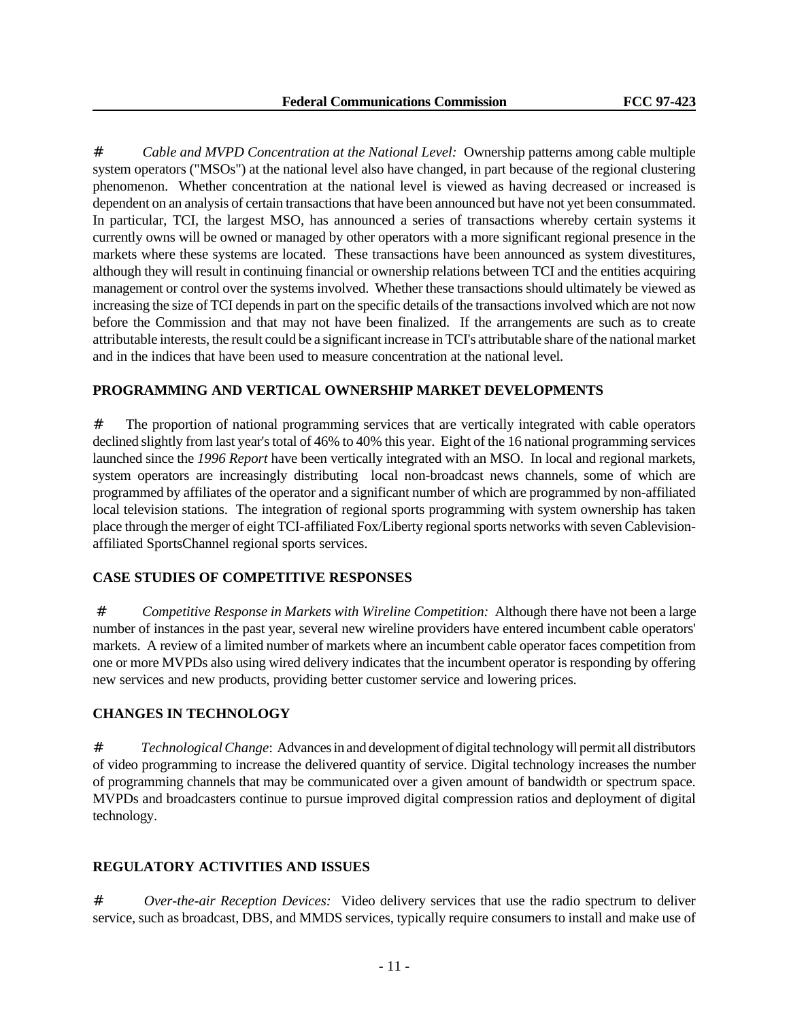# *Cable and MVPD Concentration at the National Level:* Ownership patterns among cable multiple system operators ("MSOs") at the national level also have changed, in part because of the regional clustering phenomenon. Whether concentration at the national level is viewed as having decreased or increased is dependent on an analysis of certain transactions that have been announced but have not yet been consummated. In particular, TCI, the largest MSO, has announced a series of transactions whereby certain systems it currently owns will be owned or managed by other operators with a more significant regional presence in the markets where these systems are located. These transactions have been announced as system divestitures, although they will result in continuing financial or ownership relations between TCI and the entities acquiring management or control over the systems involved. Whether these transactions should ultimately be viewed as increasing the size of TCI depends in part on the specific details of the transactions involved which are not now before the Commission and that may not have been finalized. If the arrangements are such as to create attributable interests, the result could be a significant increase in TCI's attributable share of the national market and in the indices that have been used to measure concentration at the national level.

# **PROGRAMMING AND VERTICAL OWNERSHIP MARKET DEVELOPMENTS**

# The proportion of national programming services that are vertically integrated with cable operators declined slightly from last year's total of 46% to 40% this year. Eight of the 16 national programming services launched since the *1996 Report* have been vertically integrated with an MSO. In local and regional markets, system operators are increasingly distributing local non-broadcast news channels, some of which are programmed by affiliates of the operator and a significant number of which are programmed by non-affiliated local television stations. The integration of regional sports programming with system ownership has taken place through the merger of eight TCI-affiliated Fox/Liberty regional sports networks with seven Cablevisionaffiliated SportsChannel regional sports services.

# **CASE STUDIES OF COMPETITIVE RESPONSES**

# *Competitive Response in Markets with Wireline Competition:* Although there have not been a large number of instances in the past year, several new wireline providers have entered incumbent cable operators' markets. A review of a limited number of markets where an incumbent cable operator faces competition from one or more MVPDs also using wired delivery indicates that the incumbent operator is responding by offering new services and new products, providing better customer service and lowering prices.

# **CHANGES IN TECHNOLOGY**

# *Technological Change*: Advances in and development of digital technology will permit all distributors of video programming to increase the delivered quantity of service. Digital technology increases the number of programming channels that may be communicated over a given amount of bandwidth or spectrum space. MVPDs and broadcasters continue to pursue improved digital compression ratios and deployment of digital technology.

# **REGULATORY ACTIVITIES AND ISSUES**

# *Over-the-air Reception Devices:* Video delivery services that use the radio spectrum to deliver service, such as broadcast, DBS, and MMDS services, typically require consumers to install and make use of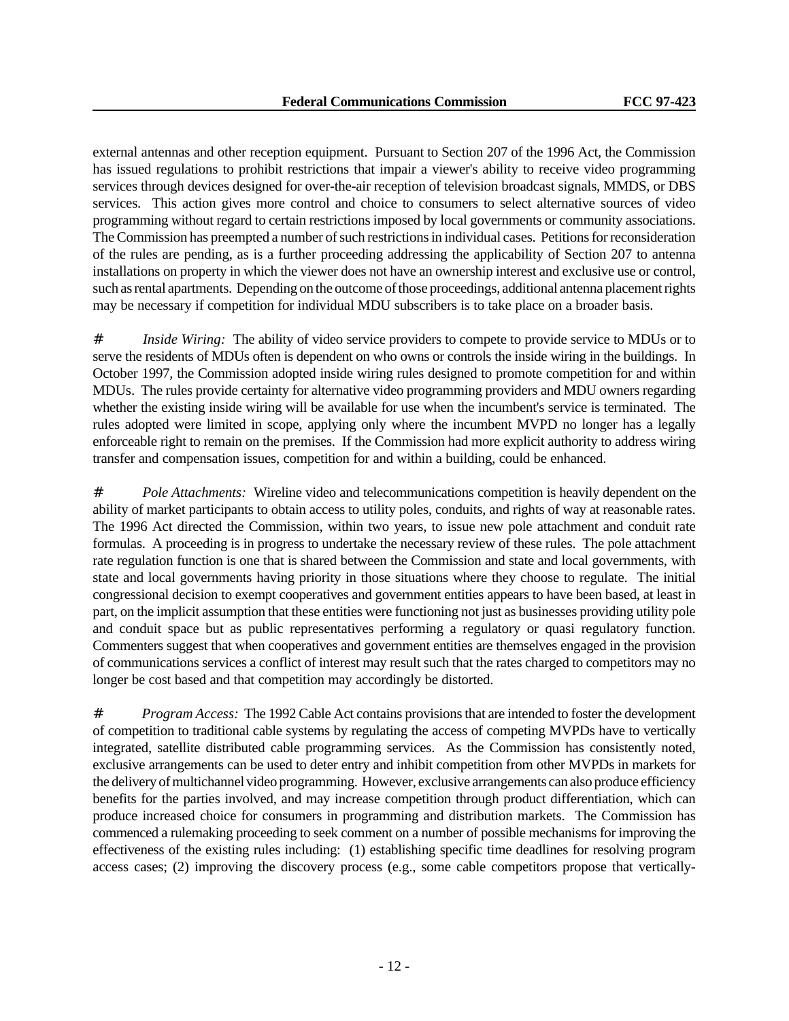external antennas and other reception equipment. Pursuant to Section 207 of the 1996 Act, the Commission has issued regulations to prohibit restrictions that impair a viewer's ability to receive video programming services through devices designed for over-the-air reception of television broadcast signals, MMDS, or DBS services. This action gives more control and choice to consumers to select alternative sources of video programming without regard to certain restrictions imposed by local governments or community associations. The Commission has preempted a number of such restrictions in individual cases. Petitions for reconsideration of the rules are pending, as is a further proceeding addressing the applicability of Section 207 to antenna installations on property in which the viewer does not have an ownership interest and exclusive use or control, such as rental apartments. Depending on the outcome of those proceedings, additional antenna placement rights may be necessary if competition for individual MDU subscribers is to take place on a broader basis.

# *Inside Wiring:* The ability of video service providers to compete to provide service to MDUs or to serve the residents of MDUs often is dependent on who owns or controls the inside wiring in the buildings. In October 1997, the Commission adopted inside wiring rules designed to promote competition for and within MDUs. The rules provide certainty for alternative video programming providers and MDU owners regarding whether the existing inside wiring will be available for use when the incumbent's service is terminated. The rules adopted were limited in scope, applying only where the incumbent MVPD no longer has a legally enforceable right to remain on the premises. If the Commission had more explicit authority to address wiring transfer and compensation issues, competition for and within a building, could be enhanced.

# *Pole Attachments:* Wireline video and telecommunications competition is heavily dependent on the ability of market participants to obtain access to utility poles, conduits, and rights of way at reasonable rates. The 1996 Act directed the Commission, within two years, to issue new pole attachment and conduit rate formulas. A proceeding is in progress to undertake the necessary review of these rules. The pole attachment rate regulation function is one that is shared between the Commission and state and local governments, with state and local governments having priority in those situations where they choose to regulate. The initial congressional decision to exempt cooperatives and government entities appears to have been based, at least in part, on the implicit assumption that these entities were functioning not just as businesses providing utility pole and conduit space but as public representatives performing a regulatory or quasi regulatory function. Commenters suggest that when cooperatives and government entities are themselves engaged in the provision of communications services a conflict of interest may result such that the rates charged to competitors may no longer be cost based and that competition may accordingly be distorted.

# *Program Access:* The 1992 Cable Act contains provisions that are intended to foster the development of competition to traditional cable systems by regulating the access of competing MVPDs have to vertically integrated, satellite distributed cable programming services. As the Commission has consistently noted, exclusive arrangements can be used to deter entry and inhibit competition from other MVPDs in markets for the delivery of multichannel video programming. However, exclusive arrangements can also produce efficiency benefits for the parties involved, and may increase competition through product differentiation, which can produce increased choice for consumers in programming and distribution markets. The Commission has commenced a rulemaking proceeding to seek comment on a number of possible mechanisms for improving the effectiveness of the existing rules including: (1) establishing specific time deadlines for resolving program access cases; (2) improving the discovery process (e.g., some cable competitors propose that vertically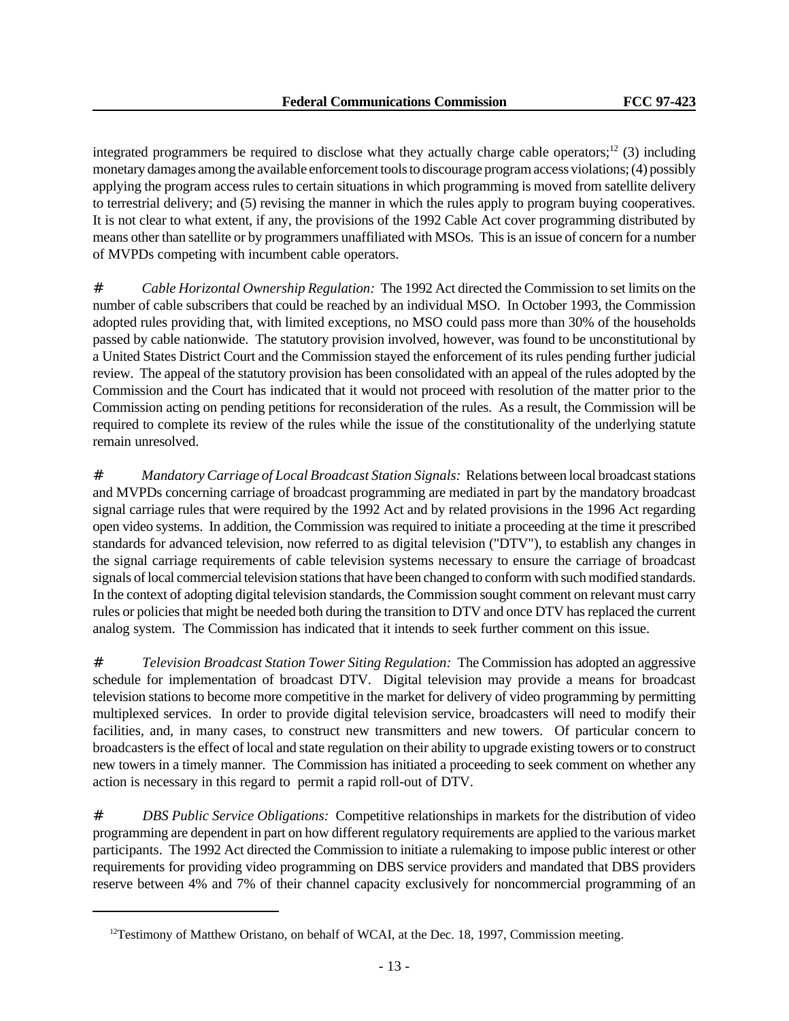integrated programmers be required to disclose what they actually charge cable operators;<sup>12</sup> (3) including monetary damages among the available enforcement tools to discourage program access violations; (4) possibly applying the program access rules to certain situations in which programming is moved from satellite delivery to terrestrial delivery; and (5) revising the manner in which the rules apply to program buying cooperatives. It is not clear to what extent, if any, the provisions of the 1992 Cable Act cover programming distributed by means other than satellite or by programmers unaffiliated with MSOs. This is an issue of concern for a number of MVPDs competing with incumbent cable operators.

# *Cable Horizontal Ownership Regulation:* The 1992 Act directed the Commission to set limits on the number of cable subscribers that could be reached by an individual MSO. In October 1993, the Commission adopted rules providing that, with limited exceptions, no MSO could pass more than 30% of the households passed by cable nationwide. The statutory provision involved, however, was found to be unconstitutional by a United States District Court and the Commission stayed the enforcement of its rules pending further judicial review. The appeal of the statutory provision has been consolidated with an appeal of the rules adopted by the Commission and the Court has indicated that it would not proceed with resolution of the matter prior to the Commission acting on pending petitions for reconsideration of the rules. As a result, the Commission will be required to complete its review of the rules while the issue of the constitutionality of the underlying statute remain unresolved.

# *Mandatory Carriage of Local Broadcast Station Signals:* Relations between local broadcast stations and MVPDs concerning carriage of broadcast programming are mediated in part by the mandatory broadcast signal carriage rules that were required by the 1992 Act and by related provisions in the 1996 Act regarding open video systems. In addition, the Commission was required to initiate a proceeding at the time it prescribed standards for advanced television, now referred to as digital television ("DTV"), to establish any changes in the signal carriage requirements of cable television systems necessary to ensure the carriage of broadcast signals of local commercial television stations that have been changed to conform with such modified standards. In the context of adopting digital television standards, the Commission sought comment on relevant must carry rules or policies that might be needed both during the transition to DTV and once DTV has replaced the current analog system. The Commission has indicated that it intends to seek further comment on this issue.

# *Television Broadcast Station Tower Siting Regulation:* The Commission has adopted an aggressive schedule for implementation of broadcast DTV. Digital television may provide a means for broadcast television stations to become more competitive in the market for delivery of video programming by permitting multiplexed services. In order to provide digital television service, broadcasters will need to modify their facilities, and, in many cases, to construct new transmitters and new towers. Of particular concern to broadcasters is the effect of local and state regulation on their ability to upgrade existing towers or to construct new towers in a timely manner. The Commission has initiated a proceeding to seek comment on whether any action is necessary in this regard to permit a rapid roll-out of DTV.

# *DBS Public Service Obligations:* Competitive relationships in markets for the distribution of video programming are dependent in part on how different regulatory requirements are applied to the various market participants. The 1992 Act directed the Commission to initiate a rulemaking to impose public interest or other requirements for providing video programming on DBS service providers and mandated that DBS providers reserve between 4% and 7% of their channel capacity exclusively for noncommercial programming of an

<sup>&</sup>lt;sup>12</sup>Testimony of Matthew Oristano, on behalf of WCAI, at the Dec. 18, 1997, Commission meeting.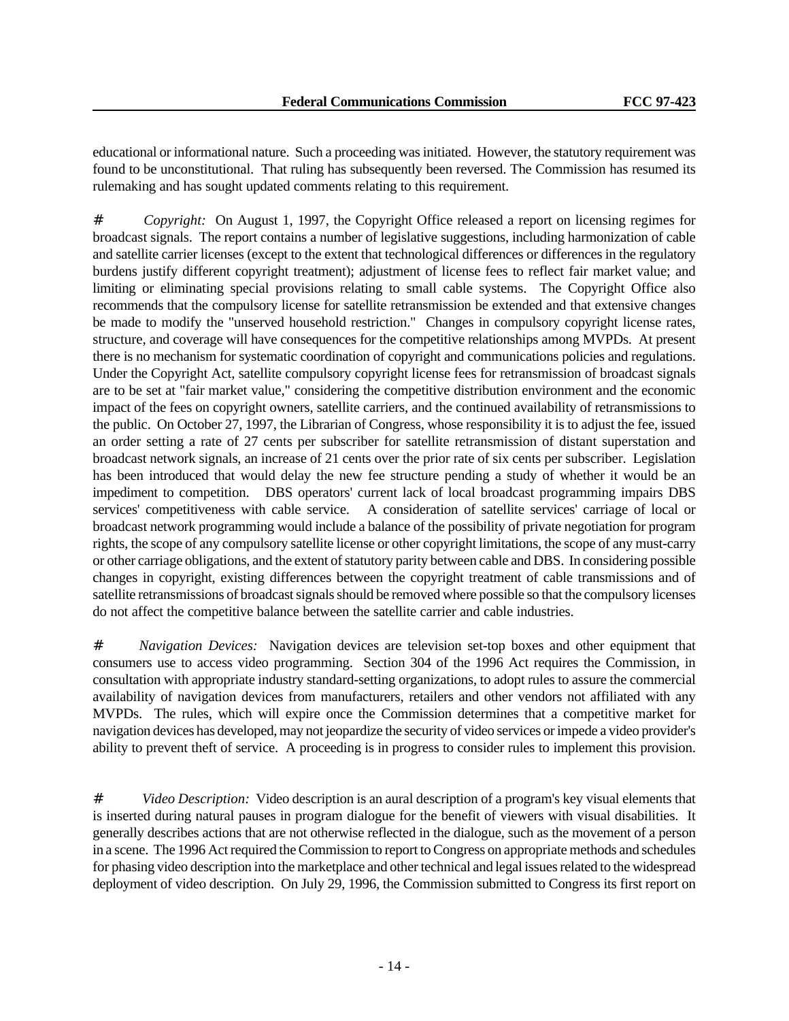educational or informational nature. Such a proceeding was initiated. However, the statutory requirement was found to be unconstitutional. That ruling has subsequently been reversed. The Commission has resumed its rulemaking and has sought updated comments relating to this requirement.

# *Copyright:* On August 1, 1997, the Copyright Office released a report on licensing regimes for broadcast signals. The report contains a number of legislative suggestions, including harmonization of cable and satellite carrier licenses (except to the extent that technological differences or differences in the regulatory burdens justify different copyright treatment); adjustment of license fees to reflect fair market value; and limiting or eliminating special provisions relating to small cable systems. The Copyright Office also recommends that the compulsory license for satellite retransmission be extended and that extensive changes be made to modify the "unserved household restriction." Changes in compulsory copyright license rates, structure, and coverage will have consequences for the competitive relationships among MVPDs. At present there is no mechanism for systematic coordination of copyright and communications policies and regulations. Under the Copyright Act, satellite compulsory copyright license fees for retransmission of broadcast signals are to be set at "fair market value," considering the competitive distribution environment and the economic impact of the fees on copyright owners, satellite carriers, and the continued availability of retransmissions to the public. On October 27, 1997, the Librarian of Congress, whose responsibility it is to adjust the fee, issued an order setting a rate of 27 cents per subscriber for satellite retransmission of distant superstation and broadcast network signals, an increase of 21 cents over the prior rate of six cents per subscriber. Legislation has been introduced that would delay the new fee structure pending a study of whether it would be an impediment to competition. DBS operators' current lack of local broadcast programming impairs DBS services' competitiveness with cable service. A consideration of satellite services' carriage of local or broadcast network programming would include a balance of the possibility of private negotiation for program rights, the scope of any compulsory satellite license or other copyright limitations, the scope of any must-carry or other carriage obligations, and the extent of statutory parity between cable and DBS. In considering possible changes in copyright, existing differences between the copyright treatment of cable transmissions and of satellite retransmissions of broadcast signals should be removed where possible so that the compulsory licenses do not affect the competitive balance between the satellite carrier and cable industries.

# *Navigation Devices:* Navigation devices are television set-top boxes and other equipment that consumers use to access video programming. Section 304 of the 1996 Act requires the Commission, in consultation with appropriate industry standard-setting organizations, to adopt rules to assure the commercial availability of navigation devices from manufacturers, retailers and other vendors not affiliated with any MVPDs. The rules, which will expire once the Commission determines that a competitive market for navigation devices has developed, may not jeopardize the security of video services or impede a video provider's ability to prevent theft of service. A proceeding is in progress to consider rules to implement this provision.

# *Video Description:* Video description is an aural description of a program's key visual elements that is inserted during natural pauses in program dialogue for the benefit of viewers with visual disabilities. It generally describes actions that are not otherwise reflected in the dialogue, such as the movement of a person in a scene. The 1996 Act required the Commission to report to Congress on appropriate methods and schedules for phasing video description into the marketplace and other technical and legal issues related to the widespread deployment of video description. On July 29, 1996, the Commission submitted to Congress its first report on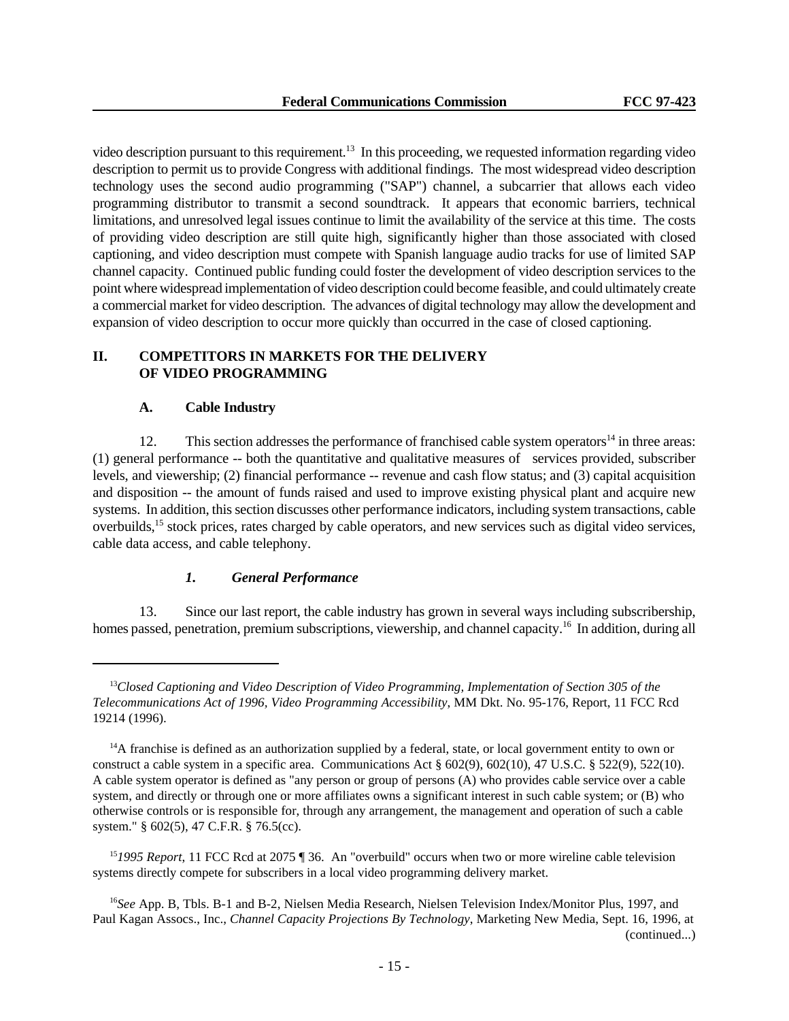video description pursuant to this requirement.<sup>13</sup> In this proceeding, we requested information regarding video description to permit us to provide Congress with additional findings. The most widespread video description technology uses the second audio programming ("SAP") channel, a subcarrier that allows each video programming distributor to transmit a second soundtrack. It appears that economic barriers, technical limitations, and unresolved legal issues continue to limit the availability of the service at this time. The costs of providing video description are still quite high, significantly higher than those associated with closed captioning, and video description must compete with Spanish language audio tracks for use of limited SAP channel capacity. Continued public funding could foster the development of video description services to the point where widespread implementation of video description could become feasible, and could ultimately create a commercial market for video description. The advances of digital technology may allow the development and expansion of video description to occur more quickly than occurred in the case of closed captioning.

# **II. COMPETITORS IN MARKETS FOR THE DELIVERY OF VIDEO PROGRAMMING**

# **A. Cable Industry**

12. This section addresses the performance of franchised cable system operators<sup>14</sup> in three areas: (1) general performance -- both the quantitative and qualitative measures of services provided, subscriber levels, and viewership; (2) financial performance -- revenue and cash flow status; and (3) capital acquisition and disposition -- the amount of funds raised and used to improve existing physical plant and acquire new systems. In addition, this section discusses other performance indicators, including system transactions, cable overbuilds,<sup>15</sup> stock prices, rates charged by cable operators, and new services such as digital video services, cable data access, and cable telephony.

# *1. General Performance*

13. Since our last report, the cable industry has grown in several ways including subscribership, homes passed, penetration, premium subscriptions, viewership, and channel capacity.<sup>16</sup> In addition, during all

<sup>13</sup>*Closed Captioning and Video Description of Video Programming, Implementation of Section 305 of the Telecommunications Act of 1996, Video Programming Accessibility*, MM Dkt. No. 95-176, Report, 11 FCC Rcd 19214 (1996).

 $14A$  franchise is defined as an authorization supplied by a federal, state, or local government entity to own or construct a cable system in a specific area. Communications Act § 602(9), 602(10), 47 U.S.C. § 522(9), 522(10). A cable system operator is defined as "any person or group of persons (A) who provides cable service over a cable system, and directly or through one or more affiliates owns a significant interest in such cable system; or (B) who otherwise controls or is responsible for, through any arrangement, the management and operation of such a cable system." § 602(5), 47 C.F.R. § 76.5(cc).

<sup>15</sup>*1995 Report*, 11 FCC Rcd at 2075 ¶ 36. An "overbuild" occurs when two or more wireline cable television systems directly compete for subscribers in a local video programming delivery market.

<sup>16</sup>*See* App. B, Tbls. B-1 and B-2, Nielsen Media Research, Nielsen Television Index/Monitor Plus, 1997, and Paul Kagan Assocs., Inc., *Channel Capacity Projections By Technology*, Marketing New Media, Sept. 16, 1996, at (continued...)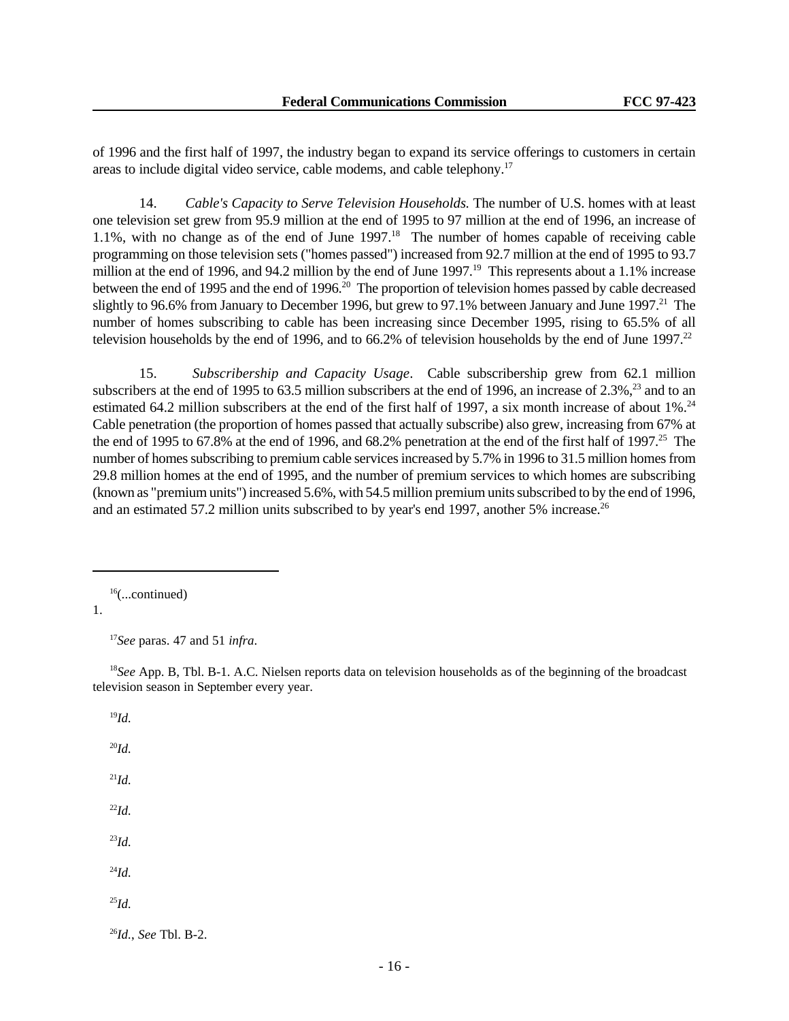of 1996 and the first half of 1997, the industry began to expand its service offerings to customers in certain areas to include digital video service, cable modems, and cable telephony.<sup>17</sup>

14. *Cable's Capacity to Serve Television Households.* The number of U.S. homes with at least one television set grew from 95.9 million at the end of 1995 to 97 million at the end of 1996, an increase of 1.1%, with no change as of the end of June 1997.<sup>18</sup> The number of homes capable of receiving cable programming on those television sets ("homes passed") increased from 92.7 million at the end of 1995 to 93.7 million at the end of 1996, and 94.2 million by the end of June 1997.<sup>19</sup> This represents about a 1.1% increase between the end of 1995 and the end of 1996.<sup>20</sup> The proportion of television homes passed by cable decreased slightly to 96.6% from January to December 1996, but grew to 97.1% between January and June 1997.<sup>21</sup> The number of homes subscribing to cable has been increasing since December 1995, rising to 65.5% of all television households by the end of 1996, and to  $66.2\%$  of television households by the end of June 1997.<sup>22</sup>

15. *Subscribership and Capacity Usage*. Cable subscribership grew from 62.1 million subscribers at the end of 1995 to 63.5 million subscribers at the end of 1996, an increase of  $2.3\%$ ,  $23$  and to an estimated 64.2 million subscribers at the end of the first half of 1997, a six month increase of about 1%.<sup>24</sup> Cable penetration (the proportion of homes passed that actually subscribe) also grew, increasing from 67% at the end of 1995 to 67.8% at the end of 1996, and 68.2% penetration at the end of the first half of 1997.<sup>25</sup> The number of homes subscribing to premium cable services increased by 5.7% in 1996 to 31.5 million homes from 29.8 million homes at the end of 1995, and the number of premium services to which homes are subscribing (known as "premium units") increased 5.6%, with 54.5 million premium units subscribed to by the end of 1996, and an estimated 57.2 million units subscribed to by year's end 1997, another 5% increase.<sup>26</sup>

1.

<sup>17</sup>*See* paras. 47 and 51 *infra*.

<sup>18</sup>See App. B, Tbl. B-1. A.C. Nielsen reports data on television households as of the beginning of the broadcast television season in September every year.

<sup>19</sup>*Id.* <sup>20</sup>*Id.* <sup>21</sup>*Id.* <sup>22</sup>*Id.* <sup>23</sup>*Id.* <sup>24</sup>*Id.* <sup>25</sup>*Id.* <sup>26</sup>*Id.*, *See* Tbl. B-2.

 $16$ (...continued)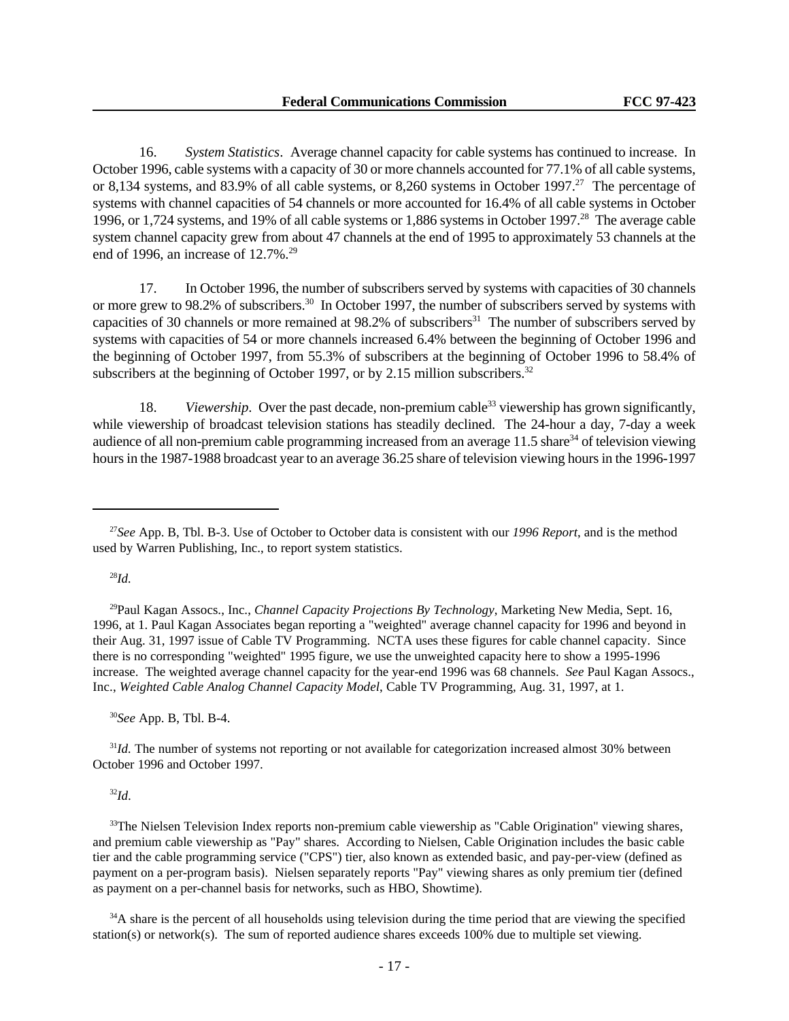16. *System Statistics*. Average channel capacity for cable systems has continued to increase. In October 1996, cable systems with a capacity of 30 or more channels accounted for 77.1% of all cable systems, or 8,134 systems, and 83.9% of all cable systems, or 8,260 systems in October 1997.<sup>27</sup> The percentage of systems with channel capacities of 54 channels or more accounted for 16.4% of all cable systems in October 1996, or 1,724 systems, and 19% of all cable systems or 1,886 systems in October 1997.<sup>28</sup> The average cable system channel capacity grew from about 47 channels at the end of 1995 to approximately 53 channels at the end of 1996, an increase of  $12.7\%$ <sup>29</sup>

17. In October 1996, the number of subscribers served by systems with capacities of 30 channels or more grew to 98.2% of subscribers.<sup>30</sup> In October 1997, the number of subscribers served by systems with capacities of 30 channels or more remained at 98.2% of subscribers<sup>31</sup> The number of subscribers served by systems with capacities of 54 or more channels increased 6.4% between the beginning of October 1996 and the beginning of October 1997, from 55.3% of subscribers at the beginning of October 1996 to 58.4% of subscribers at the beginning of October 1997, or by 2.15 million subscribers. $32$ 

18. *Viewership*. Over the past decade, non-premium cable<sup>33</sup> viewership has grown significantly, while viewership of broadcast television stations has steadily declined. The 24-hour a day, 7-day a week audience of all non-premium cable programming increased from an average 11.5 share<sup>34</sup> of television viewing hours in the 1987-1988 broadcast year to an average 36.25 share of television viewing hours in the 1996-1997

#### <sup>28</sup>*Id.*

<sup>29</sup>Paul Kagan Assocs., Inc., *Channel Capacity Projections By Technology*, Marketing New Media, Sept. 16, 1996, at 1. Paul Kagan Associates began reporting a "weighted" average channel capacity for 1996 and beyond in their Aug. 31, 1997 issue of Cable TV Programming. NCTA uses these figures for cable channel capacity. Since there is no corresponding "weighted" 1995 figure, we use the unweighted capacity here to show a 1995-1996 increase. The weighted average channel capacity for the year-end 1996 was 68 channels. *See* Paul Kagan Assocs., Inc., *Weighted Cable Analog Channel Capacity Model*, Cable TV Programming, Aug. 31, 1997, at 1.

<sup>30</sup>*See* App. B, Tbl. B-4.

<sup>31</sup>*Id.* The number of systems not reporting or not available for categorization increased almost 30% between October 1996 and October 1997.

# <sup>32</sup>*Id*.

<sup>33</sup>The Nielsen Television Index reports non-premium cable viewership as "Cable Origination" viewing shares, and premium cable viewership as "Pay" shares. According to Nielsen, Cable Origination includes the basic cable tier and the cable programming service ("CPS") tier, also known as extended basic, and pay-per-view (defined as payment on a per-program basis). Nielsen separately reports "Pay" viewing shares as only premium tier (defined as payment on a per-channel basis for networks, such as HBO, Showtime).

<sup>34</sup>A share is the percent of all households using television during the time period that are viewing the specified station(s) or network(s). The sum of reported audience shares exceeds 100% due to multiple set viewing.

<sup>27</sup>*See* App. B, Tbl. B-3. Use of October to October data is consistent with our *1996 Report*, and is the method used by Warren Publishing, Inc., to report system statistics.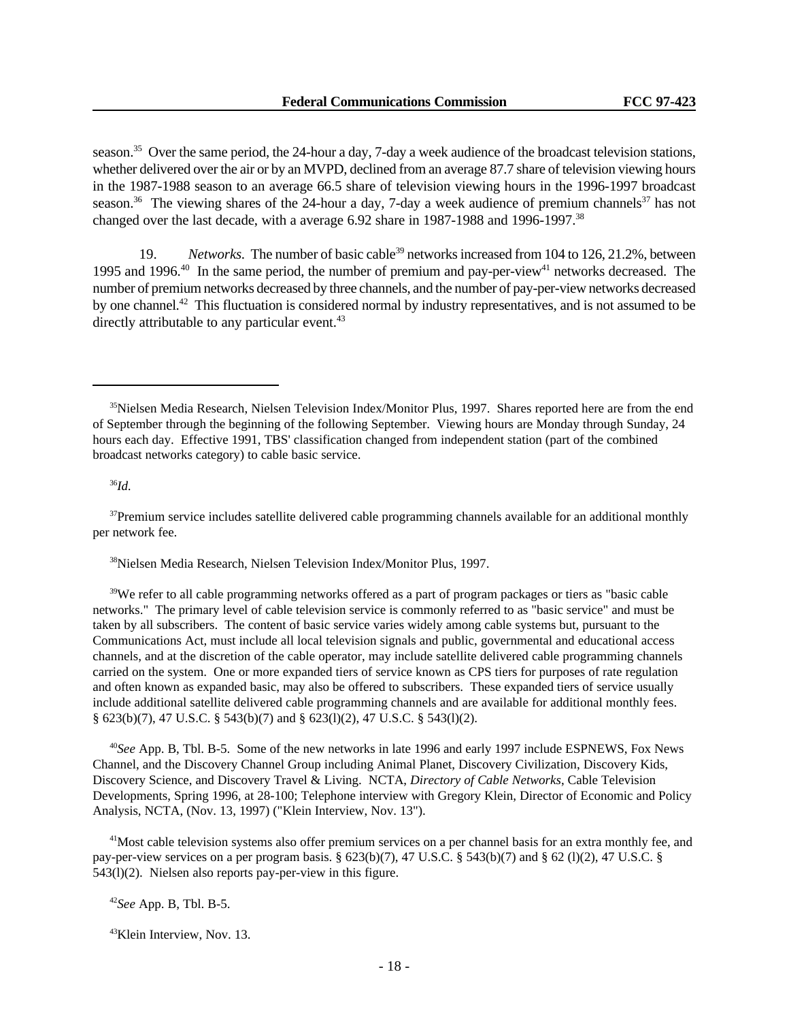season.<sup>35</sup> Over the same period, the 24-hour a day, 7-day a week audience of the broadcast television stations, whether delivered over the air or by an MVPD, declined from an average 87.7 share of television viewing hours in the 1987-1988 season to an average 66.5 share of television viewing hours in the 1996-1997 broadcast season.<sup>36</sup> The viewing shares of the 24-hour a day, 7-day a week audience of premium channels<sup>37</sup> has not changed over the last decade, with a average 6.92 share in 1987-1988 and 1996-1997.<sup>38</sup>

19. Networks. The number of basic cable<sup>39</sup> networks increased from 104 to 126, 21.2%, between 1995 and 1996.<sup>40</sup> In the same period, the number of premium and pay-per-view<sup>41</sup> networks decreased. The number of premium networks decreased by three channels, and the number of pay-per-view networks decreased by one channel.<sup>42</sup> This fluctuation is considered normal by industry representatives, and is not assumed to be directly attributable to any particular event.<sup>43</sup>

<sup>36</sup>*Id.*

 $37$ Premium service includes satellite delivered cable programming channels available for an additional monthly per network fee.

<sup>38</sup>Nielsen Media Research, Nielsen Television Index/Monitor Plus, 1997.

<sup>39</sup>We refer to all cable programming networks offered as a part of program packages or tiers as "basic cable" networks." The primary level of cable television service is commonly referred to as "basic service" and must be taken by all subscribers. The content of basic service varies widely among cable systems but, pursuant to the Communications Act, must include all local television signals and public, governmental and educational access channels, and at the discretion of the cable operator, may include satellite delivered cable programming channels carried on the system. One or more expanded tiers of service known as CPS tiers for purposes of rate regulation and often known as expanded basic, may also be offered to subscribers. These expanded tiers of service usually include additional satellite delivered cable programming channels and are available for additional monthly fees. § 623(b)(7), 47 U.S.C. § 543(b)(7) and § 623(l)(2), 47 U.S.C. § 543(l)(2).

<sup>40</sup>*See* App. B, Tbl. B-5. Some of the new networks in late 1996 and early 1997 include ESPNEWS, Fox News Channel, and the Discovery Channel Group including Animal Planet, Discovery Civilization, Discovery Kids, Discovery Science, and Discovery Travel & Living. NCTA, *Directory of Cable Networks*, Cable Television Developments, Spring 1996, at 28-100; Telephone interview with Gregory Klein, Director of Economic and Policy Analysis, NCTA, (Nov. 13, 1997) ("Klein Interview, Nov. 13").

<sup>41</sup>Most cable television systems also offer premium services on a per channel basis for an extra monthly fee, and pay-per-view services on a per program basis. § 623(b)(7), 47 U.S.C. § 543(b)(7) and § 62 (l)(2), 47 U.S.C. § 543(l)(2). Nielsen also reports pay-per-view in this figure.

<sup>42</sup>*See* App. B, Tbl. B-5.

<sup>43</sup>Klein Interview, Nov. 13.

<sup>&</sup>lt;sup>35</sup>Nielsen Media Research, Nielsen Television Index/Monitor Plus, 1997. Shares reported here are from the end of September through the beginning of the following September. Viewing hours are Monday through Sunday, 24 hours each day. Effective 1991, TBS' classification changed from independent station (part of the combined broadcast networks category) to cable basic service.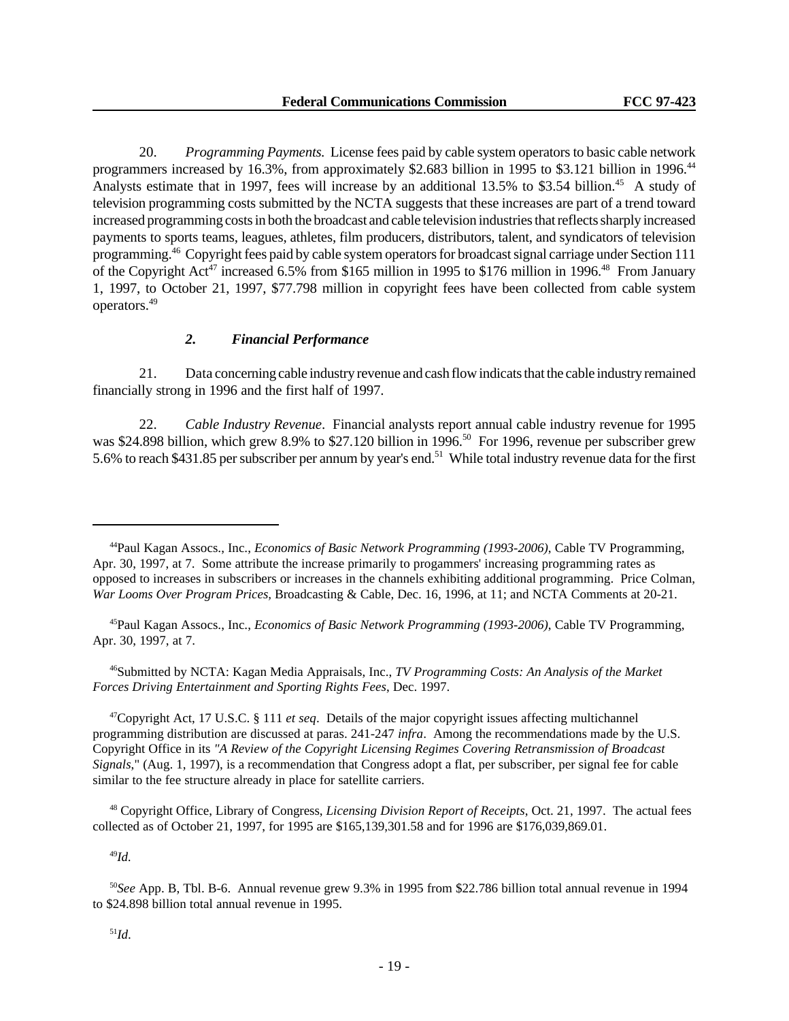20. *Programming Payments.* License fees paid by cable system operators to basic cable network programmers increased by 16.3%, from approximately \$2.683 billion in 1995 to \$3.121 billion in 1996.<sup>44</sup> Analysts estimate that in 1997, fees will increase by an additional 13.5% to \$3.54 billion.<sup>45</sup> A study of television programming costs submitted by the NCTA suggests that these increases are part of a trend toward increased programming costs in both the broadcast and cable television industries that reflects sharply increased payments to sports teams, leagues, athletes, film producers, distributors, talent, and syndicators of television programming.<sup>46</sup> Copyright fees paid by cable system operators for broadcast signal carriage under Section 111 of the Copyright Act<sup>47</sup> increased 6.5% from \$165 million in 1995 to \$176 million in 1996.<sup>48</sup> From January 1, 1997, to October 21, 1997, \$77.798 million in copyright fees have been collected from cable system operators.<sup>49</sup>

# *2. Financial Performance*

21. Data concerning cable industry revenue and cash flow indicats that the cable industry remained financially strong in 1996 and the first half of 1997.

22. *Cable Industry Revenue*. Financial analysts report annual cable industry revenue for 1995 was \$24.898 billion, which grew 8.9% to \$27.120 billion in 1996.<sup>50</sup> For 1996, revenue per subscriber grew 5.6% to reach \$431.85 per subscriber per annum by year's end.51 While total industry revenue data for the first

<sup>45</sup>Paul Kagan Assocs., Inc., *Economics of Basic Network Programming (1993-2006)*, Cable TV Programming, Apr. 30, 1997, at 7.

<sup>46</sup>Submitted by NCTA: Kagan Media Appraisals, Inc., *TV Programming Costs: An Analysis of the Market Forces Driving Entertainment and Sporting Rights Fees*, Dec. 1997.

<sup>47</sup>Copyright Act, 17 U.S.C. § 111 *et seq*. Details of the major copyright issues affecting multichannel programming distribution are discussed at paras. 241-247 *infra*. Among the recommendations made by the U.S. Copyright Office in its *"A Review of the Copyright Licensing Regimes Covering Retransmission of Broadcast Signals*," (Aug. 1, 1997), is a recommendation that Congress adopt a flat, per subscriber, per signal fee for cable similar to the fee structure already in place for satellite carriers.

<sup>48</sup> Copyright Office, Library of Congress, *Licensing Division Report of Receipts*, Oct. 21, 1997. The actual fees collected as of October 21, 1997, for 1995 are \$165,139,301.58 and for 1996 are \$176,039,869.01.

<sup>49</sup>*Id.*

<sup>50</sup>*See* App. B, Tbl. B-6. Annual revenue grew 9.3% in 1995 from \$22.786 billion total annual revenue in 1994 to \$24.898 billion total annual revenue in 1995.

<sup>51</sup>*Id*.

<sup>44</sup>Paul Kagan Assocs., Inc., *Economics of Basic Network Programming (1993-2006)*, Cable TV Programming, Apr. 30, 1997, at 7. Some attribute the increase primarily to progammers' increasing programming rates as opposed to increases in subscribers or increases in the channels exhibiting additional programming. Price Colman, *War Looms Over Program Prices,* Broadcasting & Cable, Dec. 16, 1996, at 11; and NCTA Comments at 20-21.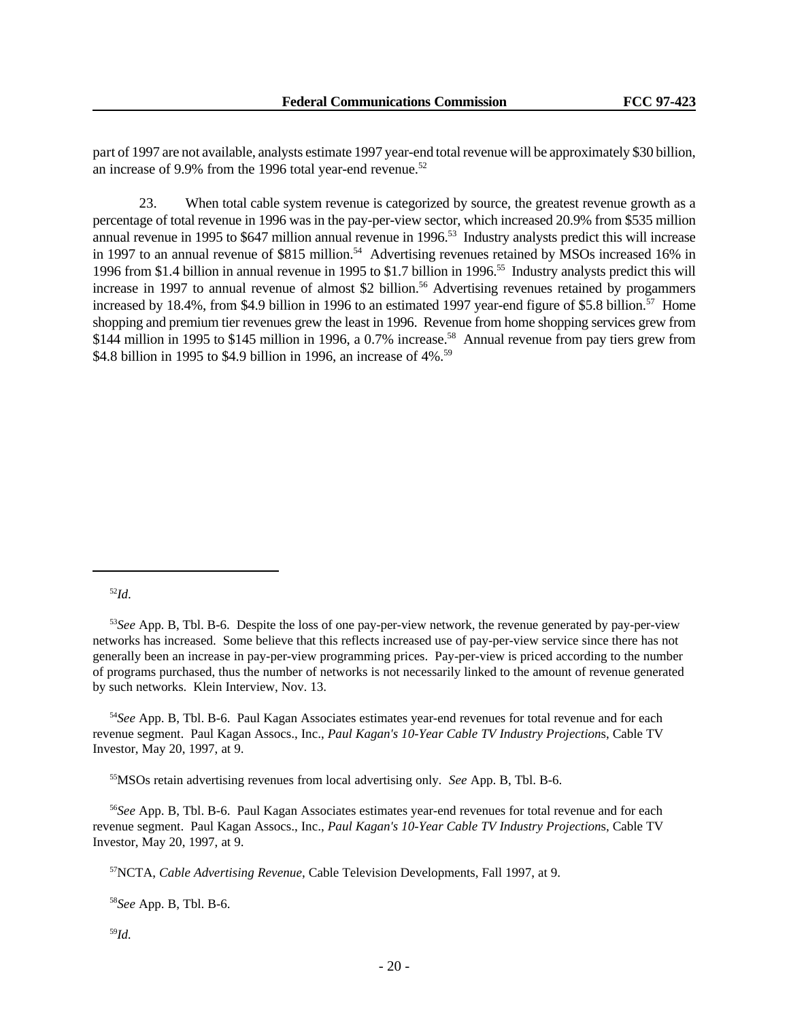part of 1997 are not available, analysts estimate 1997 year-end total revenue will be approximately \$30 billion, an increase of 9.9% from the 1996 total year-end revenue.<sup>52</sup>

23. When total cable system revenue is categorized by source, the greatest revenue growth as a percentage of total revenue in 1996 was in the pay-per-view sector, which increased 20.9% from \$535 million annual revenue in 1995 to \$647 million annual revenue in 1996.<sup>53</sup> Industry analysts predict this will increase in 1997 to an annual revenue of \$815 million.<sup>54</sup> Advertising revenues retained by MSOs increased 16% in 1996 from \$1.4 billion in annual revenue in 1995 to \$1.7 billion in 1996.<sup>55</sup> Industry analysts predict this will increase in 1997 to annual revenue of almost \$2 billion.<sup>56</sup> Advertising revenues retained by progammers increased by 18.4%, from \$4.9 billion in 1996 to an estimated 1997 year-end figure of \$5.8 billion.<sup>57</sup> Home shopping and premium tier revenues grew the least in 1996. Revenue from home shopping services grew from \$144 million in 1995 to \$145 million in 1996, a 0.7% increase.<sup>58</sup> Annual revenue from pay tiers grew from \$4.8 billion in 1995 to \$4.9 billion in 1996, an increase of 4%.<sup>59</sup>

<sup>52</sup>*Id*.

<sup>54</sup>*See* App. B, Tbl. B-6. Paul Kagan Associates estimates year-end revenues for total revenue and for each revenue segment. Paul Kagan Assocs., Inc., *Paul Kagan's 10-Year Cable TV Industry Projection*s, Cable TV Investor, May 20, 1997, at 9.

<sup>55</sup>MSOs retain advertising revenues from local advertising only*. See* App. B, Tbl. B-6.

<sup>56</sup>*See* App. B, Tbl. B-6. Paul Kagan Associates estimates year-end revenues for total revenue and for each revenue segment. Paul Kagan Assocs., Inc., *Paul Kagan's 10-Year Cable TV Industry Projection*s, Cable TV Investor, May 20, 1997, at 9.

<sup>57</sup>NCTA, *Cable Advertising Revenue*, Cable Television Developments, Fall 1997, at 9.

<sup>58</sup>*See* App. B, Tbl. B-6.

<sup>59</sup>*Id.*

<sup>53</sup>*See* App. B, Tbl. B-6. Despite the loss of one pay-per-view network, the revenue generated by pay-per-view networks has increased. Some believe that this reflects increased use of pay-per-view service since there has not generally been an increase in pay-per-view programming prices. Pay-per-view is priced according to the number of programs purchased, thus the number of networks is not necessarily linked to the amount of revenue generated by such networks. Klein Interview, Nov. 13.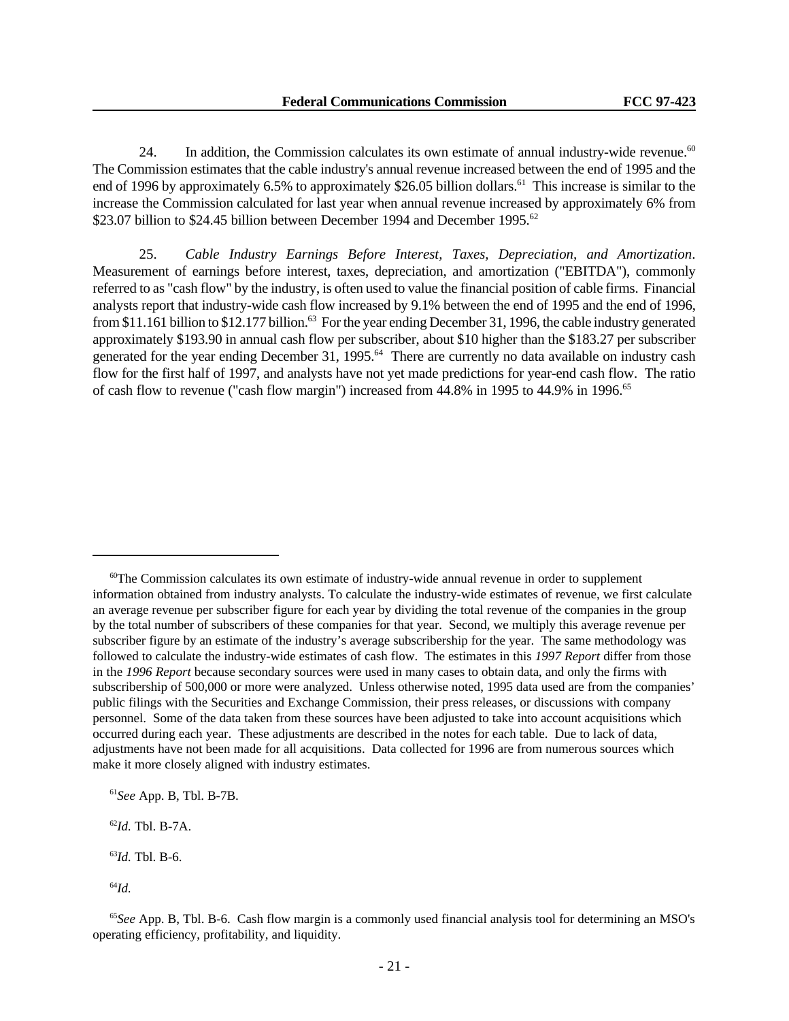24. In addition, the Commission calculates its own estimate of annual industry-wide revenue.<sup>60</sup> The Commission estimates that the cable industry's annual revenue increased between the end of 1995 and the end of 1996 by approximately 6.5% to approximately \$26.05 billion dollars.<sup>61</sup> This increase is similar to the increase the Commission calculated for last year when annual revenue increased by approximately 6% from \$23.07 billion to \$24.45 billion between December 1994 and December 1995.<sup>62</sup>

25. *Cable Industry Earnings Before Interest, Taxes, Depreciation, and Amortization*. Measurement of earnings before interest, taxes, depreciation, and amortization ("EBITDA"), commonly referred to as "cash flow" by the industry, is often used to value the financial position of cable firms. Financial analysts report that industry-wide cash flow increased by 9.1% between the end of 1995 and the end of 1996, from \$11.161 billion to \$12.177 billion.<sup>63</sup> For the year ending December 31, 1996, the cable industry generated approximately \$193.90 in annual cash flow per subscriber, about \$10 higher than the \$183.27 per subscriber generated for the year ending December 31, 1995.<sup>64</sup> There are currently no data available on industry cash flow for the first half of 1997, and analysts have not yet made predictions for year-end cash flow. The ratio of cash flow to revenue ("cash flow margin") increased from 44.8% in 1995 to 44.9% in 1996.<sup>65</sup>

<sup>62</sup>*Id.* Tbl. B-7A.

 $60$ The Commission calculates its own estimate of industry-wide annual revenue in order to supplement information obtained from industry analysts. To calculate the industry-wide estimates of revenue, we first calculate an average revenue per subscriber figure for each year by dividing the total revenue of the companies in the group by the total number of subscribers of these companies for that year. Second, we multiply this average revenue per subscriber figure by an estimate of the industry's average subscribership for the year. The same methodology was followed to calculate the industry-wide estimates of cash flow. The estimates in this *1997 Report* differ from those in the *1996 Report* because secondary sources were used in many cases to obtain data, and only the firms with subscribership of 500,000 or more were analyzed. Unless otherwise noted, 1995 data used are from the companies' public filings with the Securities and Exchange Commission, their press releases, or discussions with company personnel. Some of the data taken from these sources have been adjusted to take into account acquisitions which occurred during each year. These adjustments are described in the notes for each table. Due to lack of data, adjustments have not been made for all acquisitions. Data collected for 1996 are from numerous sources which make it more closely aligned with industry estimates.

<sup>61</sup>*See* App. B, Tbl. B-7B.

<sup>63</sup>*Id.* Tbl. B-6.

<sup>64</sup>*Id.*

<sup>65</sup>*See* App. B, Tbl. B-6. Cash flow margin is a commonly used financial analysis tool for determining an MSO's operating efficiency, profitability, and liquidity.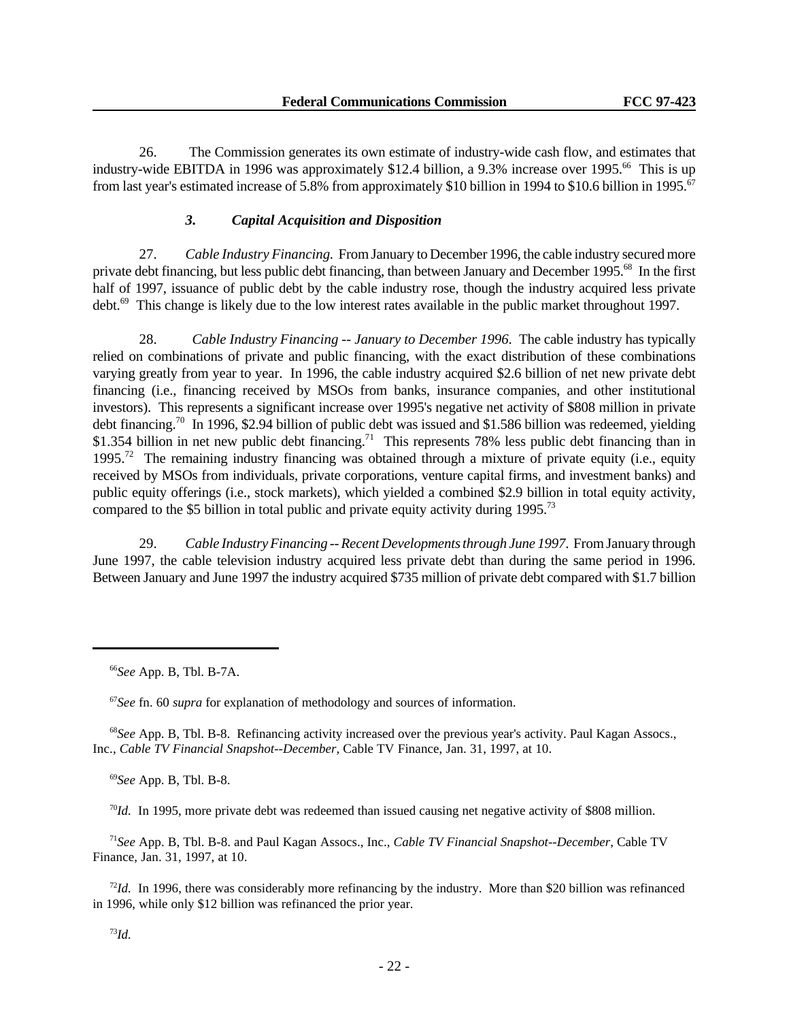26. The Commission generates its own estimate of industry-wide cash flow, and estimates that industry-wide EBITDA in 1996 was approximately \$12.4 billion, a 9.3% increase over 1995.<sup>66</sup> This is up from last year's estimated increase of 5.8% from approximately \$10 billion in 1994 to \$10.6 billion in 1995.<sup>67</sup>

# *3. Capital Acquisition and Disposition*

27. *Cable Industry Financing.* From January to December 1996, the cable industry secured more private debt financing, but less public debt financing, than between January and December 1995.<sup>68</sup> In the first half of 1997, issuance of public debt by the cable industry rose, though the industry acquired less private debt.<sup>69</sup> This change is likely due to the low interest rates available in the public market throughout 1997.

28. *Cable Industry Financing -- January to December 1996*. The cable industry has typically relied on combinations of private and public financing, with the exact distribution of these combinations varying greatly from year to year. In 1996, the cable industry acquired \$2.6 billion of net new private debt financing (i.e., financing received by MSOs from banks, insurance companies, and other institutional investors). This represents a significant increase over 1995's negative net activity of \$808 million in private debt financing.<sup>70</sup> In 1996, \$2.94 billion of public debt was issued and \$1.586 billion was redeemed, yielding \$1.354 billion in net new public debt financing.<sup>71</sup> This represents 78% less public debt financing than in 1995.<sup>72</sup> The remaining industry financing was obtained through a mixture of private equity (i.e., equity received by MSOs from individuals, private corporations, venture capital firms, and investment banks) and public equity offerings (i.e., stock markets), which yielded a combined \$2.9 billion in total equity activity, compared to the \$5 billion in total public and private equity activity during 1995.<sup>73</sup>

29. *Cable Industry Financing -- Recent Developments through June 1997*. From January through June 1997, the cable television industry acquired less private debt than during the same period in 1996. Between January and June 1997 the industry acquired \$735 million of private debt compared with \$1.7 billion

<sup>67</sup>*See* fn. 60 *supra* for explanation of methodology and sources of information.

<sup>68</sup>*See* App. B, Tbl. B-8. Refinancing activity increased over the previous year's activity. Paul Kagan Assocs., Inc., *Cable TV Financial Snapshot--December*, Cable TV Finance, Jan. 31, 1997, at 10.

<sup>69</sup>*See* App. B, Tbl. B-8.

 $\frac{70}{d}$ . In 1995, more private debt was redeemed than issued causing net negative activity of \$808 million.

<sup>71</sup>*See* App. B, Tbl. B-8. and Paul Kagan Assocs., Inc., *Cable TV Financial Snapshot--December*, Cable TV Finance, Jan. 31, 1997, at 10.

<sup>72</sup>*Id.* In 1996, there was considerably more refinancing by the industry. More than \$20 billion was refinanced in 1996, while only \$12 billion was refinanced the prior year.

<sup>66</sup>*See* App. B, Tbl. B-7A.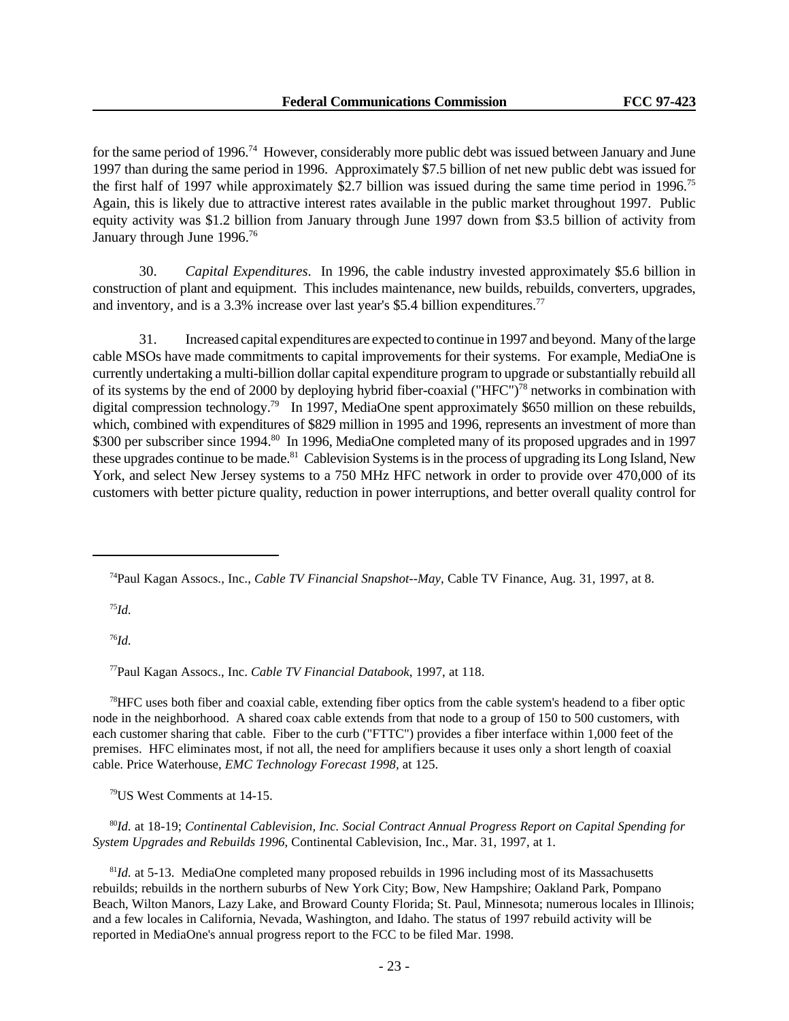for the same period of 1996.<sup>74</sup> However, considerably more public debt was issued between January and June 1997 than during the same period in 1996. Approximately \$7.5 billion of net new public debt was issued for the first half of 1997 while approximately \$2.7 billion was issued during the same time period in 1996.<sup>75</sup> Again, this is likely due to attractive interest rates available in the public market throughout 1997. Public equity activity was \$1.2 billion from January through June 1997 down from \$3.5 billion of activity from January through June 1996.<sup>76</sup>

30. *Capital Expenditures*. In 1996, the cable industry invested approximately \$5.6 billion in construction of plant and equipment. This includes maintenance, new builds, rebuilds, converters, upgrades, and inventory, and is a 3.3% increase over last year's \$5.4 billion expenditures.<sup>77</sup>

31. Increased capital expenditures are expected to continue in 1997 and beyond. Many of the large cable MSOs have made commitments to capital improvements for their systems. For example, MediaOne is currently undertaking a multi-billion dollar capital expenditure program to upgrade or substantially rebuild all of its systems by the end of 2000 by deploying hybrid fiber-coaxial ("HFC")<sup>78</sup> networks in combination with digital compression technology.<sup>79</sup> In 1997, MediaOne spent approximately \$650 million on these rebuilds, which, combined with expenditures of \$829 million in 1995 and 1996, represents an investment of more than \$300 per subscriber since 1994.<sup>80</sup> In 1996, MediaOne completed many of its proposed upgrades and in 1997 these upgrades continue to be made.<sup>81</sup> Cablevision Systems is in the process of upgrading its Long Island, New York, and select New Jersey systems to a 750 MHz HFC network in order to provide over 470,000 of its customers with better picture quality, reduction in power interruptions, and better overall quality control for

<sup>75</sup>*Id.*

<sup>76</sup>*Id.*

<sup>77</sup>Paul Kagan Assocs., Inc. *Cable TV Financial Databook*, 1997, at 118.

<sup>78</sup>HFC uses both fiber and coaxial cable, extending fiber optics from the cable system's headend to a fiber optic node in the neighborhood. A shared coax cable extends from that node to a group of 150 to 500 customers, with each customer sharing that cable. Fiber to the curb ("FTTC") provides a fiber interface within 1,000 feet of the premises. HFC eliminates most, if not all, the need for amplifiers because it uses only a short length of coaxial cable. Price Waterhouse, *EMC Technology Forecast 1998,* at 125.

<sup>79</sup>US West Comments at 14-15.

<sup>80</sup>*Id.* at 18-19; *Continental Cablevision, Inc. Social Contract Annual Progress Report on Capital Spending for System Upgrades and Rebuilds 1996*, Continental Cablevision, Inc., Mar. 31, 1997, at 1.

<sup>81</sup>Id. at 5-13. MediaOne completed many proposed rebuilds in 1996 including most of its Massachusetts rebuilds; rebuilds in the northern suburbs of New York City; Bow, New Hampshire; Oakland Park, Pompano Beach, Wilton Manors, Lazy Lake, and Broward County Florida; St. Paul, Minnesota; numerous locales in Illinois; and a few locales in California, Nevada, Washington, and Idaho. The status of 1997 rebuild activity will be reported in MediaOne's annual progress report to the FCC to be filed Mar. 1998.

<sup>74</sup>Paul Kagan Assocs., Inc., *Cable TV Financial Snapshot--May*, Cable TV Finance, Aug. 31, 1997, at 8.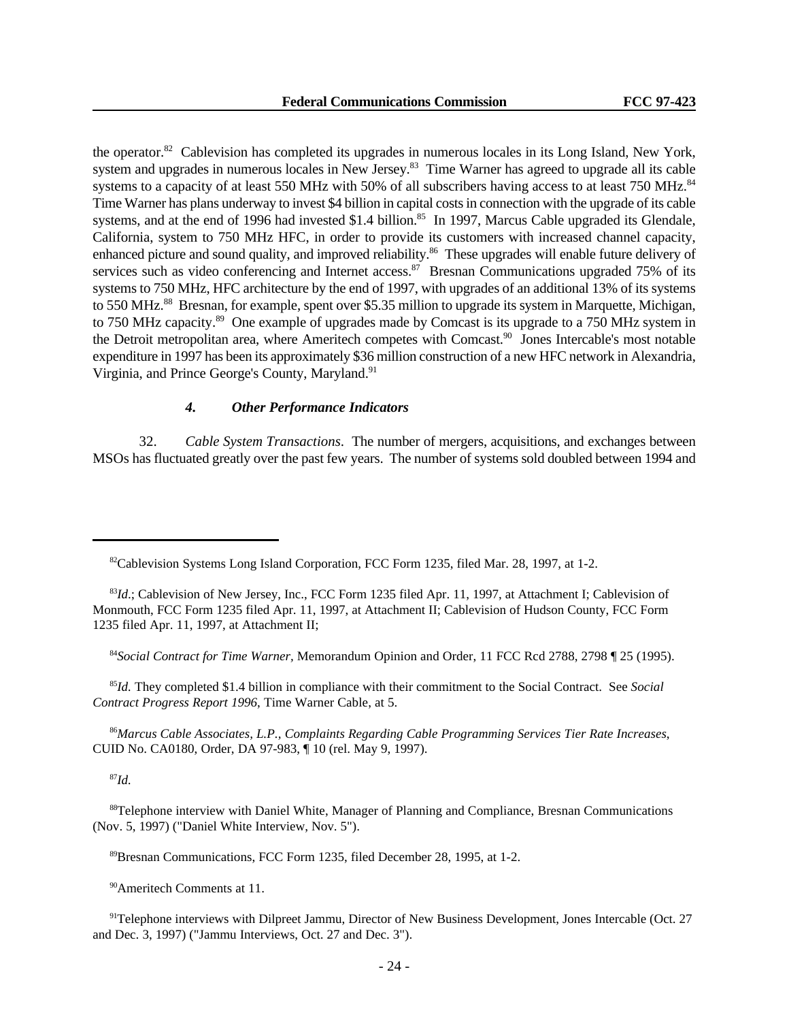the operator.<sup>82</sup> Cablevision has completed its upgrades in numerous locales in its Long Island, New York, system and upgrades in numerous locales in New Jersey.<sup>83</sup> Time Warner has agreed to upgrade all its cable systems to a capacity of at least 550 MHz with 50% of all subscribers having access to at least 750 MHz.<sup>84</sup> Time Warner has plans underway to invest \$4 billion in capital costs in connection with the upgrade of its cable systems, and at the end of 1996 had invested \$1.4 billion.<sup>85</sup> In 1997, Marcus Cable upgraded its Glendale, California, system to 750 MHz HFC, in order to provide its customers with increased channel capacity, enhanced picture and sound quality, and improved reliability.<sup>86</sup> These upgrades will enable future delivery of services such as video conferencing and Internet access.<sup>87</sup> Bresnan Communications upgraded 75% of its systems to 750 MHz, HFC architecture by the end of 1997, with upgrades of an additional 13% of its systems to 550 MHz.<sup>88</sup> Bresnan, for example, spent over \$5.35 million to upgrade its system in Marquette, Michigan, to 750 MHz capacity.<sup>89</sup> One example of upgrades made by Comcast is its upgrade to a 750 MHz system in the Detroit metropolitan area, where Ameritech competes with Comcast.<sup>90</sup> Jones Intercable's most notable expenditure in 1997 has been its approximately \$36 million construction of a new HFC network in Alexandria, Virginia, and Prince George's County, Maryland.<sup>91</sup>

# *4. Other Performance Indicators*

32. *Cable System Transactions*. The number of mergers, acquisitions, and exchanges between MSOs has fluctuated greatly over the past few years. The number of systems sold doubled between 1994 and

<sup>84</sup>*Social Contract for Time Warner,* Memorandum Opinion and Order, 11 FCC Rcd 2788, 2798 ¶ 25 (1995).

<sup>85</sup>*Id.* They completed \$1.4 billion in compliance with their commitment to the Social Contract. See *Social Contract Progress Report 1996*, Time Warner Cable, at 5.

<sup>86</sup>*Marcus Cable Associates, L.P., Complaints Regarding Cable Programming Services Tier Rate Increases*, CUID No. CA0180, Order, DA 97-983, ¶ 10 (rel. May 9, 1997).

<sup>87</sup>*Id.*

<sup>88</sup>Telephone interview with Daniel White, Manager of Planning and Compliance, Bresnan Communications (Nov. 5, 1997) ("Daniel White Interview, Nov. 5").

<sup>89</sup>Bresnan Communications, FCC Form 1235, filed December 28, 1995, at 1-2.

<sup>90</sup>Ameritech Comments at 11.

<sup>91</sup>Telephone interviews with Dilpreet Jammu, Director of New Business Development, Jones Intercable (Oct. 27) and Dec. 3, 1997) ("Jammu Interviews, Oct. 27 and Dec. 3").

<sup>&</sup>lt;sup>82</sup>Cablevision Systems Long Island Corporation, FCC Form 1235, filed Mar. 28, 1997, at 1-2.

<sup>&</sup>lt;sup>83</sup>*Id*.; Cablevision of New Jersey, Inc., FCC Form 1235 filed Apr. 11, 1997, at Attachment I; Cablevision of Monmouth, FCC Form 1235 filed Apr. 11, 1997, at Attachment II; Cablevision of Hudson County, FCC Form 1235 filed Apr. 11, 1997, at Attachment II;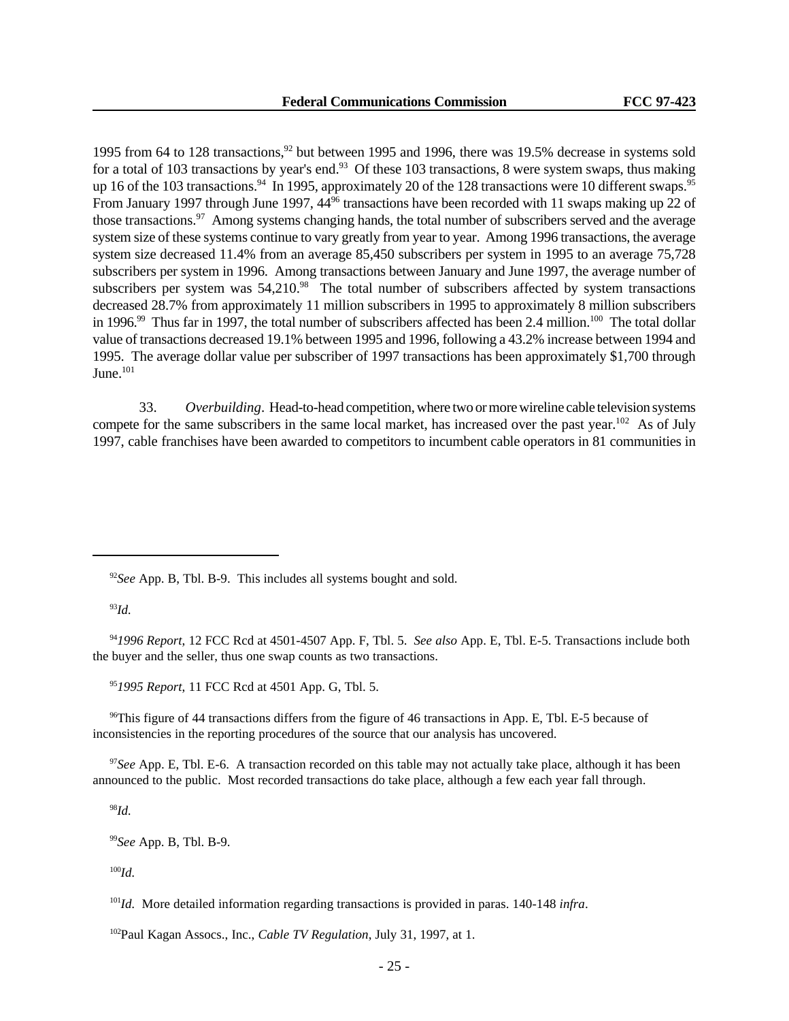1995 from 64 to 128 transactions,<sup>92</sup> but between 1995 and 1996, there was 19.5% decrease in systems sold for a total of 103 transactions by year's end.<sup>93</sup> Of these 103 transactions, 8 were system swaps, thus making up 16 of the 103 transactions.<sup>94</sup> In 1995, approximately 20 of the 128 transactions were 10 different swaps.<sup>95</sup> From January 1997 through June 1997, 44<sup>96</sup> transactions have been recorded with 11 swaps making up 22 of those transactions.<sup>97</sup> Among systems changing hands, the total number of subscribers served and the average system size of these systems continue to vary greatly from year to year. Among 1996 transactions, the average system size decreased 11.4% from an average 85,450 subscribers per system in 1995 to an average 75,728 subscribers per system in 1996. Among transactions between January and June 1997, the average number of subscribers per system was 54,210.<sup>98</sup> The total number of subscribers affected by system transactions decreased 28.7% from approximately 11 million subscribers in 1995 to approximately 8 million subscribers in 1996.<sup>99</sup> Thus far in 1997, the total number of subscribers affected has been 2.4 million.<sup>100</sup> The total dollar value of transactions decreased 19.1% between 1995 and 1996, following a 43.2% increase between 1994 and 1995. The average dollar value per subscriber of 1997 transactions has been approximately \$1,700 through June. $^{101}$ 

33. *Overbuilding*. Head-to-head competition, where two or more wireline cable television systems compete for the same subscribers in the same local market, has increased over the past year.<sup>102</sup> As of July 1997, cable franchises have been awarded to competitors to incumbent cable operators in 81 communities in

<sup>93</sup>*Id.*

<sup>94</sup>*1996 Report*, 12 FCC Rcd at 4501-4507 App. F, Tbl. 5. *See also* App. E, Tbl. E-5. Transactions include both the buyer and the seller, thus one swap counts as two transactions.

<sup>95</sup>*1995 Report*, 11 FCC Rcd at 4501 App. G, Tbl. 5.

<sup>96</sup>This figure of 44 transactions differs from the figure of 46 transactions in App. E, Tbl. E-5 because of inconsistencies in the reporting procedures of the source that our analysis has uncovered.

<sup>97</sup>*See* App. E, Tbl. E-6. A transaction recorded on this table may not actually take place, although it has been announced to the public. Most recorded transactions do take place, although a few each year fall through.

<sup>98</sup>*Id.*

<sup>99</sup>*See* App. B, Tbl. B-9.

<sup>100</sup>*Id.*

<sup>102</sup>Paul Kagan Assocs., Inc., *Cable TV Regulation*, July 31, 1997, at 1.

<sup>92</sup>*See* App. B, Tbl. B-9. This includes all systems bought and sold.

<sup>101</sup>*Id.* More detailed information regarding transactions is provided in paras. 140-148 *infra*.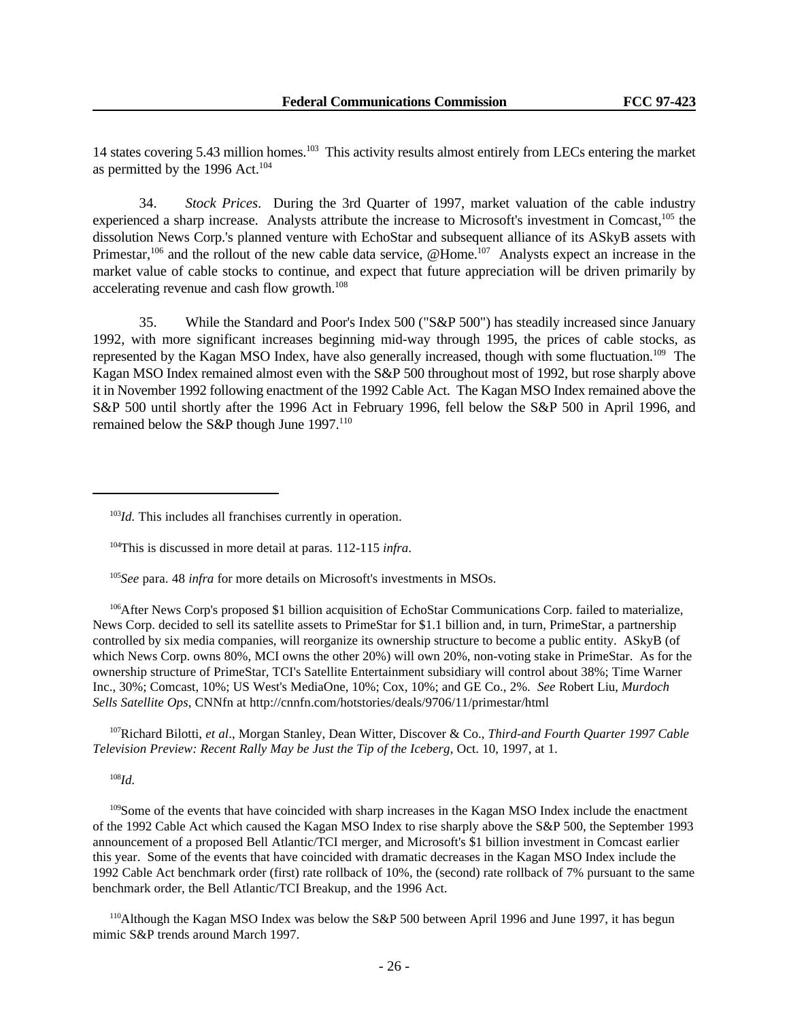14 states covering 5.43 million homes.<sup>103</sup> This activity results almost entirely from LECs entering the market as permitted by the 1996 Act. $104$ 

34. *Stock Prices*. During the 3rd Quarter of 1997, market valuation of the cable industry experienced a sharp increase. Analysts attribute the increase to Microsoft's investment in Comcast,<sup>105</sup> the dissolution News Corp.'s planned venture with EchoStar and subsequent alliance of its ASkyB assets with Primestar,<sup>106</sup> and the rollout of the new cable data service, @Home.<sup>107</sup> Analysts expect an increase in the market value of cable stocks to continue, and expect that future appreciation will be driven primarily by accelerating revenue and cash flow growth.<sup>108</sup>

35. While the Standard and Poor's Index 500 ("S&P 500") has steadily increased since January 1992, with more significant increases beginning mid-way through 1995, the prices of cable stocks, as represented by the Kagan MSO Index, have also generally increased, though with some fluctuation.<sup>109</sup> The Kagan MSO Index remained almost even with the S&P 500 throughout most of 1992, but rose sharply above it in November 1992 following enactment of the 1992 Cable Act. The Kagan MSO Index remained above the S&P 500 until shortly after the 1996 Act in February 1996, fell below the S&P 500 in April 1996, and remained below the S&P though June 1997.<sup>110</sup>

<sup>106</sup>After News Corp's proposed \$1 billion acquisition of EchoStar Communications Corp. failed to materialize, News Corp. decided to sell its satellite assets to PrimeStar for \$1.1 billion and, in turn, PrimeStar, a partnership controlled by six media companies, will reorganize its ownership structure to become a public entity. ASkyB (of which News Corp. owns 80%, MCI owns the other 20%) will own 20%, non-voting stake in PrimeStar. As for the ownership structure of PrimeStar, TCI's Satellite Entertainment subsidiary will control about 38%; Time Warner Inc., 30%; Comcast, 10%; US West's MediaOne, 10%; Cox, 10%; and GE Co., 2%. *See* Robert Liu, *Murdoch Sells Satellite Ops*, CNNfn at http://cnnfn.com/hotstories/deals/9706/11/primestar/html

<sup>107</sup>Richard Bilotti, *et al*., Morgan Stanley, Dean Witter, Discover & Co., *Third-and Fourth Quarter 1997 Cable Television Preview: Recent Rally May be Just the Tip of the Iceberg*, Oct. 10, 1997, at 1.

<sup>108</sup>*Id.*

<sup>109</sup>Some of the events that have coincided with sharp increases in the Kagan MSO Index include the enactment of the 1992 Cable Act which caused the Kagan MSO Index to rise sharply above the S&P 500, the September 1993 announcement of a proposed Bell Atlantic/TCI merger, and Microsoft's \$1 billion investment in Comcast earlier this year. Some of the events that have coincided with dramatic decreases in the Kagan MSO Index include the 1992 Cable Act benchmark order (first) rate rollback of 10%, the (second) rate rollback of 7% pursuant to the same benchmark order, the Bell Atlantic/TCI Breakup, and the 1996 Act.

<sup>110</sup>Although the Kagan MSO Index was below the S&P 500 between April 1996 and June 1997, it has begun mimic S&P trends around March 1997.

<sup>&</sup>lt;sup>103</sup>*Id.* This includes all franchises currently in operation.

<sup>104</sup>This is discussed in more detail at paras. 112-115 *infra*.

<sup>105</sup>*See* para. 48 *infra* for more details on Microsoft's investments in MSOs.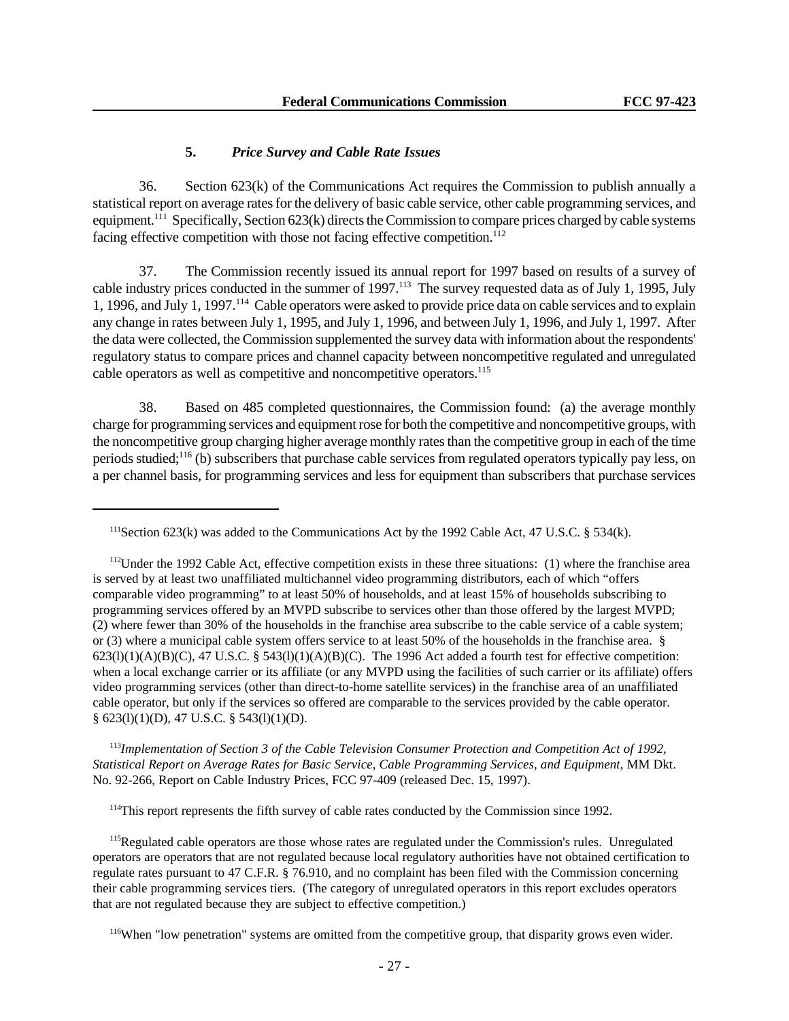### **5.** *Price Survey and Cable Rate Issues*

36. Section 623(k) of the Communications Act requires the Commission to publish annually a statistical report on average rates for the delivery of basic cable service, other cable programming services, and equipment.<sup>111</sup> Specifically, Section 623(k) directs the Commission to compare prices charged by cable systems facing effective competition with those not facing effective competition.<sup>112</sup>

37. The Commission recently issued its annual report for 1997 based on results of a survey of cable industry prices conducted in the summer of 1997.<sup>113</sup> The survey requested data as of July 1, 1995, July 1, 1996, and July 1, 1997.<sup>114</sup> Cable operators were asked to provide price data on cable services and to explain any change in rates between July 1, 1995, and July 1, 1996, and between July 1, 1996, and July 1, 1997. After the data were collected, the Commission supplemented the survey data with information about the respondents' regulatory status to compare prices and channel capacity between noncompetitive regulated and unregulated cable operators as well as competitive and noncompetitive operators.<sup>115</sup>

38. Based on 485 completed questionnaires, the Commission found: (a) the average monthly charge for programming services and equipment rose for both the competitive and noncompetitive groups, with the noncompetitive group charging higher average monthly rates than the competitive group in each of the time periods studied;<sup>116</sup> (b) subscribers that purchase cable services from regulated operators typically pay less, on a per channel basis, for programming services and less for equipment than subscribers that purchase services

 $112$ Under the 1992 Cable Act, effective competition exists in these three situations: (1) where the franchise area is served by at least two unaffiliated multichannel video programming distributors, each of which "offers comparable video programming" to at least 50% of households, and at least 15% of households subscribing to programming services offered by an MVPD subscribe to services other than those offered by the largest MVPD; (2) where fewer than 30% of the households in the franchise area subscribe to the cable service of a cable system; or (3) where a municipal cable system offers service to at least 50% of the households in the franchise area. §  $623(l)(1)(A)(B)(C)$ , 47 U.S.C. § 543(l)(1)(A)(B)(C). The 1996 Act added a fourth test for effective competition: when a local exchange carrier or its affiliate (or any MVPD using the facilities of such carrier or its affiliate) offers video programming services (other than direct-to-home satellite services) in the franchise area of an unaffiliated cable operator, but only if the services so offered are comparable to the services provided by the cable operator. § 623(l)(1)(D), 47 U.S.C. § 543(l)(1)(D).

<sup>113</sup>*Implementation of Section 3 of the Cable Television Consumer Protection and Competition Act of 1992, Statistical Report on Average Rates for Basic Service, Cable Programming Services, and Equipment*, MM Dkt. No. 92-266, Report on Cable Industry Prices, FCC 97-409 (released Dec. 15, 1997).

<sup>114</sup>This report represents the fifth survey of cable rates conducted by the Commission since 1992.

<sup>115</sup>Regulated cable operators are those whose rates are regulated under the Commission's rules. Unregulated operators are operators that are not regulated because local regulatory authorities have not obtained certification to regulate rates pursuant to 47 C.F.R. § 76.910, and no complaint has been filed with the Commission concerning their cable programming services tiers. (The category of unregulated operators in this report excludes operators that are not regulated because they are subject to effective competition.)

<sup>116</sup>When "low penetration" systems are omitted from the competitive group, that disparity grows even wider.

<sup>&</sup>lt;sup>111</sup>Section 623(k) was added to the Communications Act by the 1992 Cable Act, 47 U.S.C. § 534(k).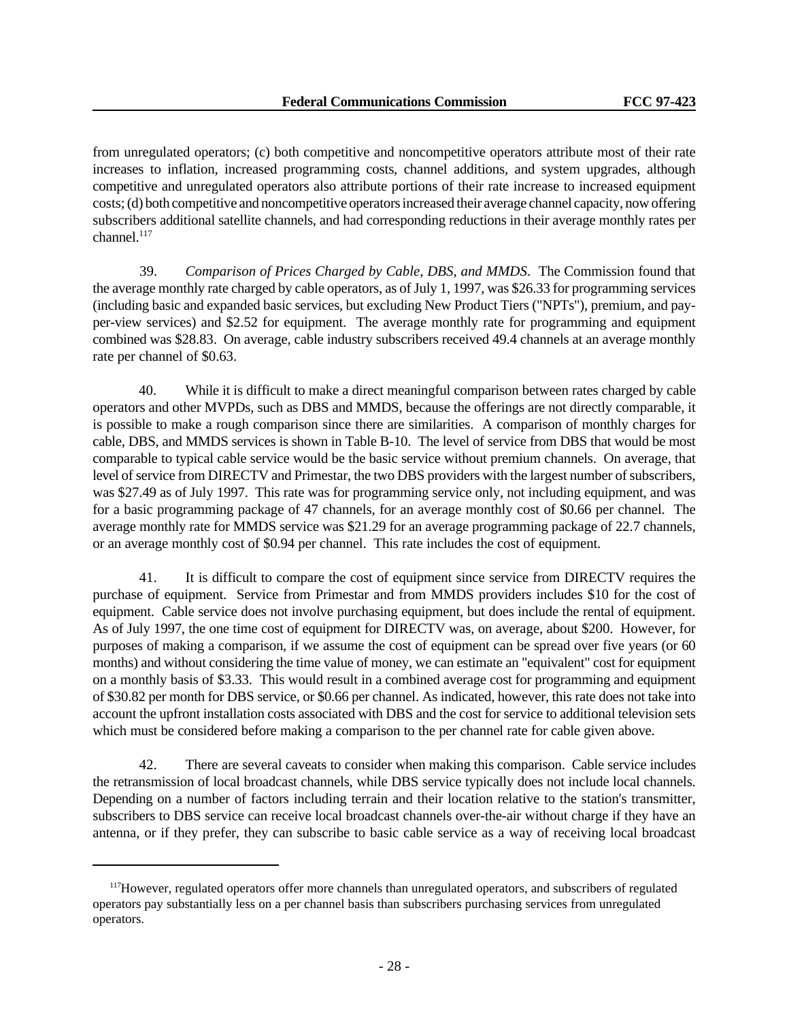from unregulated operators; (c) both competitive and noncompetitive operators attribute most of their rate increases to inflation, increased programming costs, channel additions, and system upgrades, although competitive and unregulated operators also attribute portions of their rate increase to increased equipment costs; (d) both competitive and noncompetitive operators increased their average channel capacity, now offering subscribers additional satellite channels, and had corresponding reductions in their average monthly rates per  $channel<sup>117</sup>$ 

39. *Comparison of Prices Charged by Cable, DBS, and MMDS*. The Commission found that the average monthly rate charged by cable operators, as of July 1, 1997, was \$26.33 for programming services (including basic and expanded basic services, but excluding New Product Tiers ("NPTs"), premium, and payper-view services) and \$2.52 for equipment. The average monthly rate for programming and equipment combined was \$28.83. On average, cable industry subscribers received 49.4 channels at an average monthly rate per channel of \$0.63.

40. While it is difficult to make a direct meaningful comparison between rates charged by cable operators and other MVPDs, such as DBS and MMDS, because the offerings are not directly comparable, it is possible to make a rough comparison since there are similarities. A comparison of monthly charges for cable, DBS, and MMDS services is shown in Table B-10. The level of service from DBS that would be most comparable to typical cable service would be the basic service without premium channels. On average, that level of service from DIRECTV and Primestar, the two DBS providers with the largest number of subscribers, was \$27.49 as of July 1997. This rate was for programming service only, not including equipment, and was for a basic programming package of 47 channels, for an average monthly cost of \$0.66 per channel. The average monthly rate for MMDS service was \$21.29 for an average programming package of 22.7 channels, or an average monthly cost of \$0.94 per channel. This rate includes the cost of equipment.

41. It is difficult to compare the cost of equipment since service from DIRECTV requires the purchase of equipment. Service from Primestar and from MMDS providers includes \$10 for the cost of equipment. Cable service does not involve purchasing equipment, but does include the rental of equipment. As of July 1997, the one time cost of equipment for DIRECTV was, on average, about \$200. However, for purposes of making a comparison, if we assume the cost of equipment can be spread over five years (or 60 months) and without considering the time value of money, we can estimate an "equivalent" cost for equipment on a monthly basis of \$3.33. This would result in a combined average cost for programming and equipment of \$30.82 per month for DBS service, or \$0.66 per channel. As indicated, however, this rate does not take into account the upfront installation costs associated with DBS and the cost for service to additional television sets which must be considered before making a comparison to the per channel rate for cable given above.

42. There are several caveats to consider when making this comparison. Cable service includes the retransmission of local broadcast channels, while DBS service typically does not include local channels. Depending on a number of factors including terrain and their location relative to the station's transmitter, subscribers to DBS service can receive local broadcast channels over-the-air without charge if they have an antenna, or if they prefer, they can subscribe to basic cable service as a way of receiving local broadcast

<sup>&</sup>lt;sup>117</sup>However, regulated operators offer more channels than unregulated operators, and subscribers of regulated operators pay substantially less on a per channel basis than subscribers purchasing services from unregulated operators.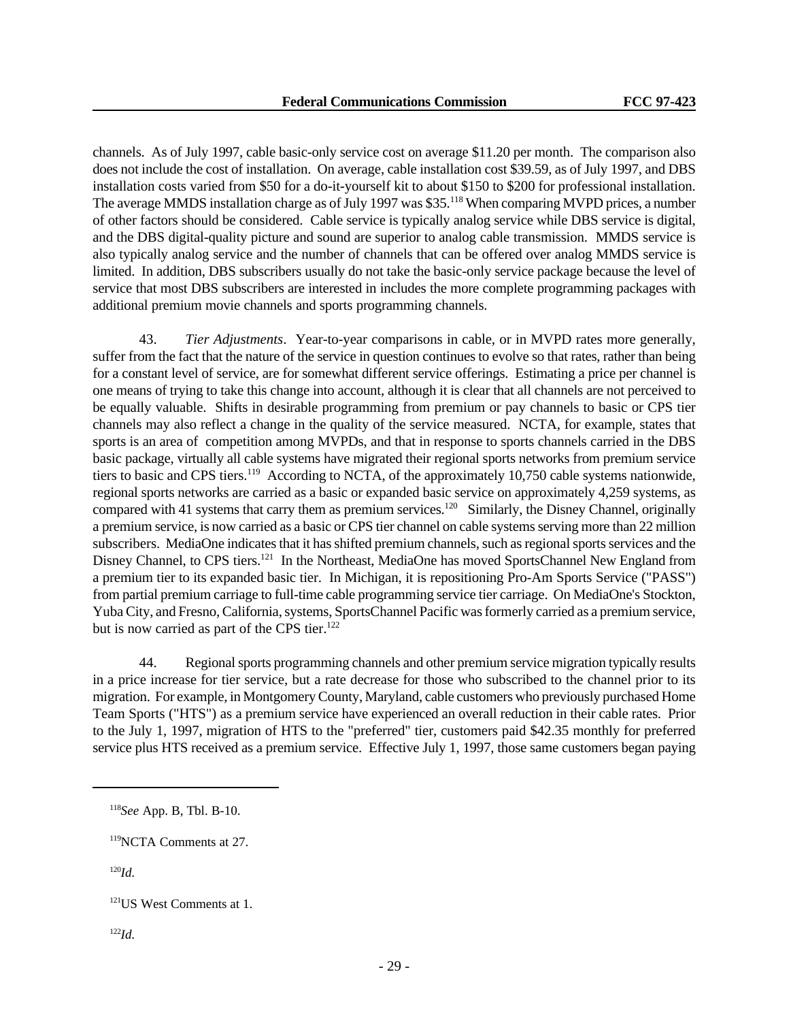channels. As of July 1997, cable basic-only service cost on average \$11.20 per month. The comparison also does not include the cost of installation. On average, cable installation cost \$39.59, as of July 1997, and DBS installation costs varied from \$50 for a do-it-yourself kit to about \$150 to \$200 for professional installation. The average MMDS installation charge as of July 1997 was \$35.<sup>118</sup> When comparing MVPD prices, a number of other factors should be considered. Cable service is typically analog service while DBS service is digital, and the DBS digital-quality picture and sound are superior to analog cable transmission. MMDS service is also typically analog service and the number of channels that can be offered over analog MMDS service is limited. In addition, DBS subscribers usually do not take the basic-only service package because the level of service that most DBS subscribers are interested in includes the more complete programming packages with additional premium movie channels and sports programming channels.

43. *Tier Adjustments*. Year-to-year comparisons in cable, or in MVPD rates more generally, suffer from the fact that the nature of the service in question continues to evolve so that rates, rather than being for a constant level of service, are for somewhat different service offerings. Estimating a price per channel is one means of trying to take this change into account, although it is clear that all channels are not perceived to be equally valuable. Shifts in desirable programming from premium or pay channels to basic or CPS tier channels may also reflect a change in the quality of the service measured. NCTA, for example, states that sports is an area of competition among MVPDs, and that in response to sports channels carried in the DBS basic package, virtually all cable systems have migrated their regional sports networks from premium service tiers to basic and CPS tiers.<sup>119</sup> According to NCTA, of the approximately 10,750 cable systems nationwide, regional sports networks are carried as a basic or expanded basic service on approximately 4,259 systems, as compared with 41 systems that carry them as premium services.<sup>120</sup> Similarly, the Disney Channel, originally a premium service, is now carried as a basic or CPS tier channel on cable systems serving more than 22 million subscribers. MediaOne indicates that it has shifted premium channels, such as regional sports services and the Disney Channel, to CPS tiers.<sup>121</sup> In the Northeast, MediaOne has moved SportsChannel New England from a premium tier to its expanded basic tier. In Michigan, it is repositioning Pro-Am Sports Service ("PASS") from partial premium carriage to full-time cable programming service tier carriage. On MediaOne's Stockton, Yuba City, and Fresno, California, systems, SportsChannel Pacific was formerly carried as a premium service, but is now carried as part of the CPS tier.<sup>122</sup>

44. Regional sports programming channels and other premium service migration typically results in a price increase for tier service, but a rate decrease for those who subscribed to the channel prior to its migration. For example, in Montgomery County, Maryland, cable customers who previously purchased Home Team Sports ("HTS") as a premium service have experienced an overall reduction in their cable rates. Prior to the July 1, 1997, migration of HTS to the "preferred" tier, customers paid \$42.35 monthly for preferred service plus HTS received as a premium service. Effective July 1, 1997, those same customers began paying

<sup>120</sup>*Id.*

<sup>122</sup>*Id.*

<sup>118</sup>*See* App. B, Tbl. B-10.

<sup>119</sup>NCTA Comments at 27.

<sup>121</sup>US West Comments at 1.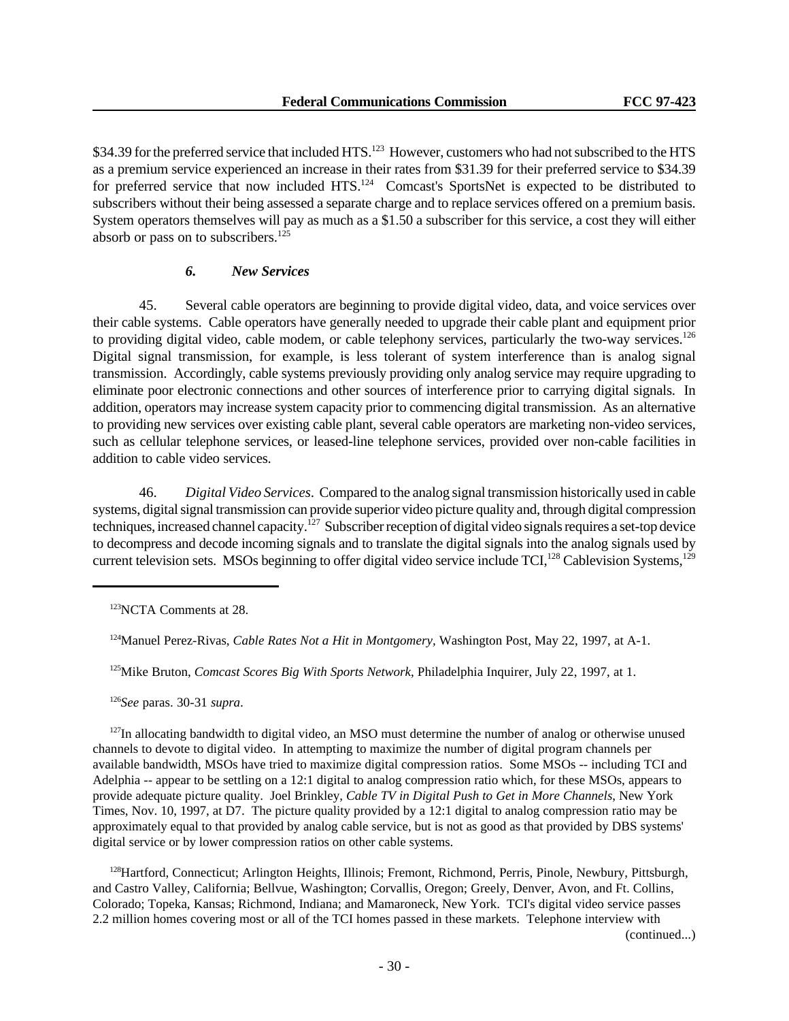\$34.39 for the preferred service that included HTS.<sup>123</sup> However, customers who had not subscribed to the HTS as a premium service experienced an increase in their rates from \$31.39 for their preferred service to \$34.39 for preferred service that now included HTS.<sup>124</sup> Comcast's SportsNet is expected to be distributed to subscribers without their being assessed a separate charge and to replace services offered on a premium basis. System operators themselves will pay as much as a \$1.50 a subscriber for this service, a cost they will either absorb or pass on to subscribers.<sup>125</sup>

# *6. New Services*

45. Several cable operators are beginning to provide digital video, data, and voice services over their cable systems. Cable operators have generally needed to upgrade their cable plant and equipment prior to providing digital video, cable modem, or cable telephony services, particularly the two-way services.<sup>126</sup> Digital signal transmission, for example, is less tolerant of system interference than is analog signal transmission. Accordingly, cable systems previously providing only analog service may require upgrading to eliminate poor electronic connections and other sources of interference prior to carrying digital signals. In addition, operators may increase system capacity prior to commencing digital transmission. As an alternative to providing new services over existing cable plant, several cable operators are marketing non-video services, such as cellular telephone services, or leased-line telephone services, provided over non-cable facilities in addition to cable video services.

46. *Digital Video Services*. Compared to the analog signal transmission historically used in cable systems, digital signal transmission can provide superior video picture quality and, through digital compression techniques, increased channel capacity.<sup>127</sup> Subscriber reception of digital video signals requires a set-top device to decompress and decode incoming signals and to translate the digital signals into the analog signals used by current television sets. MSOs beginning to offer digital video service include TCI,<sup>128</sup> Cablevision Systems,<sup>129</sup>

<sup>125</sup>Mike Bruton, *Comcast Scores Big With Sports Network*, Philadelphia Inquirer, July 22, 1997, at 1.

<sup>126</sup>*See* paras. 30-31 *supra*.

 $127$ In allocating bandwidth to digital video, an MSO must determine the number of analog or otherwise unused channels to devote to digital video. In attempting to maximize the number of digital program channels per available bandwidth, MSOs have tried to maximize digital compression ratios. Some MSOs -- including TCI and Adelphia -- appear to be settling on a 12:1 digital to analog compression ratio which, for these MSOs, appears to provide adequate picture quality. Joel Brinkley, *Cable TV in Digital Push to Get in More Channels*, New York Times, Nov. 10, 1997, at D7. The picture quality provided by a 12:1 digital to analog compression ratio may be approximately equal to that provided by analog cable service, but is not as good as that provided by DBS systems' digital service or by lower compression ratios on other cable systems.

<sup>128</sup>Hartford, Connecticut; Arlington Heights, Illinois; Fremont, Richmond, Perris, Pinole, Newbury, Pittsburgh, and Castro Valley, California; Bellvue, Washington; Corvallis, Oregon; Greely, Denver, Avon, and Ft. Collins, Colorado; Topeka, Kansas; Richmond, Indiana; and Mamaroneck, New York. TCI's digital video service passes 2.2 million homes covering most or all of the TCI homes passed in these markets. Telephone interview with

(continued...)

<sup>123</sup>NCTA Comments at 28.

<sup>124</sup>Manuel Perez-Rivas, *Cable Rates Not a Hit in Montgomery,* Washington Post, May 22, 1997, at A-1.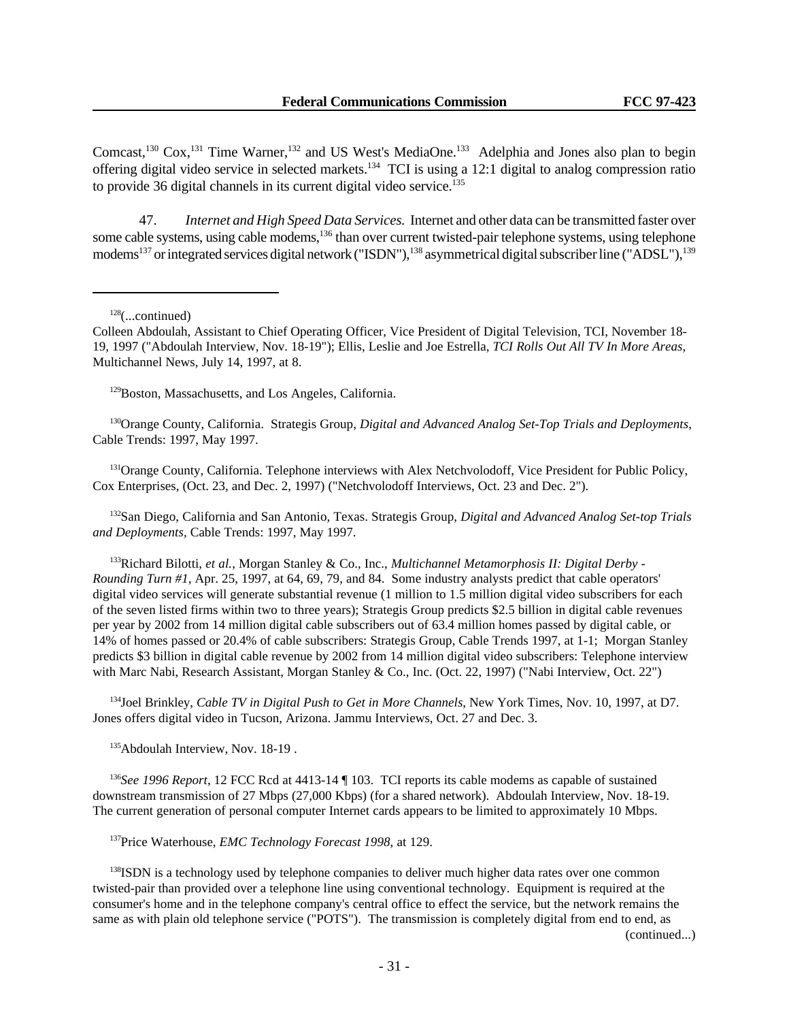Comcast,<sup>130</sup> Cox,<sup>131</sup> Time Warner,<sup>132</sup> and US West's MediaOne.<sup>133</sup> Adelphia and Jones also plan to begin offering digital video service in selected markets.<sup>134</sup> TCI is using a 12:1 digital to analog compression ratio to provide 36 digital channels in its current digital video service.<sup>135</sup>

47. *Internet and High Speed Data Services.* Internet and other data can be transmitted faster over some cable systems, using cable modems,<sup>136</sup> than over current twisted-pair telephone systems, using telephone modems<sup>137</sup> or integrated services digital network ("ISDN"),<sup>138</sup> asymmetrical digital subscriber line ("ADSL"),<sup>139</sup>

<sup>128</sup>(...continued)

<sup>129</sup>Boston, Massachusetts, and Los Angeles, California.

<sup>130</sup>Orange County, California. Strategis Group, *Digital and Advanced Analog Set-Top Trials and Deployments*, Cable Trends: 1997, May 1997.

<sup>131</sup>Orange County, California. Telephone interviews with Alex Netchvolodoff, Vice President for Public Policy, Cox Enterprises, (Oct. 23, and Dec. 2, 1997) ("Netchvolodoff Interviews, Oct. 23 and Dec. 2").

<sup>132</sup>San Diego, California and San Antonio, Texas. Strategis Group, *Digital and Advanced Analog Set-top Trials and Deployments*, Cable Trends: 1997, May 1997.

<sup>133</sup>Richard Bilotti, *et al.*, Morgan Stanley & Co., Inc., *Multichannel Metamorphosis II: Digital Derby - Rounding Turn #1*, Apr. 25, 1997, at 64, 69, 79, and 84. Some industry analysts predict that cable operators' digital video services will generate substantial revenue (1 million to 1.5 million digital video subscribers for each of the seven listed firms within two to three years); Strategis Group predicts \$2.5 billion in digital cable revenues per year by 2002 from 14 million digital cable subscribers out of 63.4 million homes passed by digital cable, or 14% of homes passed or 20.4% of cable subscribers: Strategis Group, Cable Trends 1997, at 1-1; Morgan Stanley predicts \$3 billion in digital cable revenue by 2002 from 14 million digital video subscribers: Telephone interview with Marc Nabi, Research Assistant, Morgan Stanley & Co., Inc. (Oct. 22, 1997) ("Nabi Interview, Oct. 22")

<sup>134</sup>Joel Brinkley, *Cable TV in Digital Push to Get in More Channels*, New York Times, Nov. 10, 1997, at D7. Jones offers digital video in Tucson, Arizona. Jammu Interviews, Oct. 27 and Dec. 3.

<sup>135</sup>Abdoulah Interview, Nov. 18-19.

<sup>136</sup>*See 1996 Report*, 12 FCC Rcd at 4413-14 ¶ 103. TCI reports its cable modems as capable of sustained downstream transmission of 27 Mbps (27,000 Kbps) (for a shared network). Abdoulah Interview, Nov. 18-19. The current generation of personal computer Internet cards appears to be limited to approximately 10 Mbps.

<sup>137</sup>Price Waterhouse, *EMC Technology Forecast 1998*, at 129.

<sup>138</sup>ISDN is a technology used by telephone companies to deliver much higher data rates over one common twisted-pair than provided over a telephone line using conventional technology. Equipment is required at the consumer's home and in the telephone company's central office to effect the service, but the network remains the same as with plain old telephone service ("POTS"). The transmission is completely digital from end to end, as

(continued...)

Colleen Abdoulah, Assistant to Chief Operating Officer, Vice President of Digital Television, TCI, November 18- 19, 1997 ("Abdoulah Interview, Nov. 18-19"); Ellis, Leslie and Joe Estrella, *TCI Rolls Out All TV In More Areas*, Multichannel News, July 14, 1997, at 8.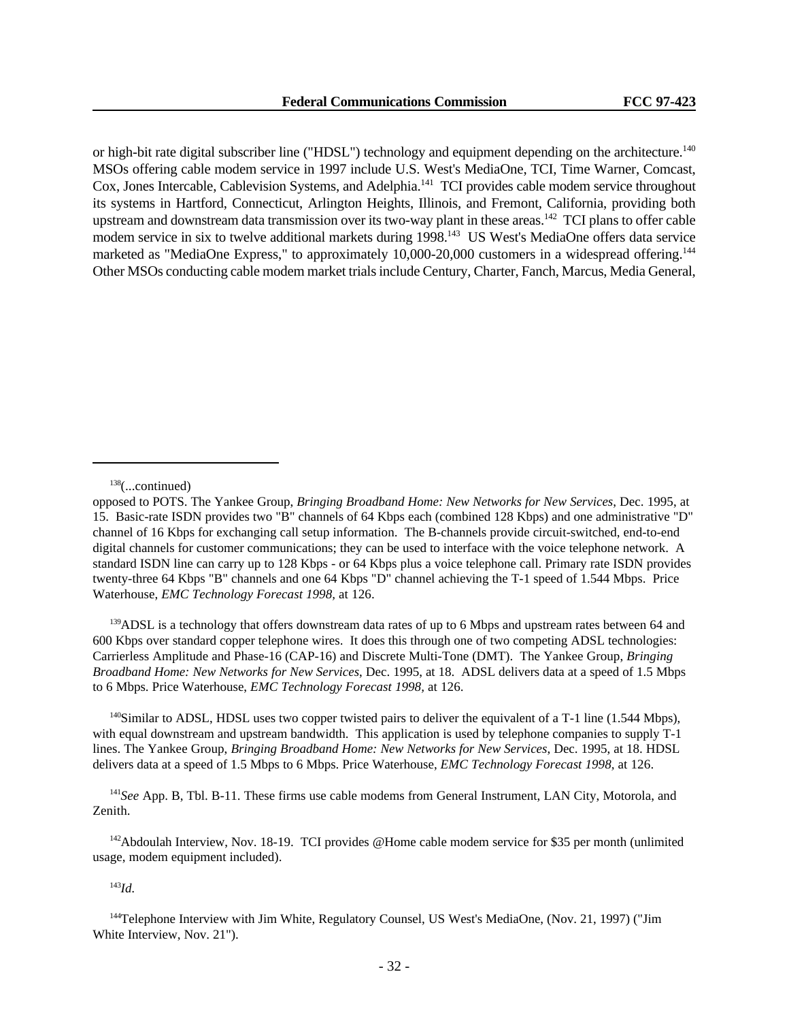or high-bit rate digital subscriber line ("HDSL") technology and equipment depending on the architecture.<sup>140</sup> MSOs offering cable modem service in 1997 include U.S. West's MediaOne, TCI, Time Warner, Comcast, Cox, Jones Intercable, Cablevision Systems, and Adelphia.<sup>141</sup> TCI provides cable modem service throughout its systems in Hartford, Connecticut, Arlington Heights, Illinois, and Fremont, California, providing both upstream and downstream data transmission over its two-way plant in these areas.<sup>142</sup> TCI plans to offer cable modem service in six to twelve additional markets during 1998.<sup>143</sup> US West's MediaOne offers data service marketed as "MediaOne Express," to approximately 10,000-20,000 customers in a widespread offering.<sup>144</sup> Other MSOs conducting cable modem market trials include Century, Charter, Fanch, Marcus, Media General,

<sup>139</sup>ADSL is a technology that offers downstream data rates of up to 6 Mbps and upstream rates between 64 and 600 Kbps over standard copper telephone wires. It does this through one of two competing ADSL technologies: Carrierless Amplitude and Phase-16 (CAP-16) and Discrete Multi-Tone (DMT). The Yankee Group, *Bringing Broadband Home: New Networks for New Services*, Dec. 1995, at 18. ADSL delivers data at a speed of 1.5 Mbps to 6 Mbps. Price Waterhouse, *EMC Technology Forecast 1998,* at 126.

<sup>140</sup>Similar to ADSL, HDSL uses two copper twisted pairs to deliver the equivalent of a T-1 line (1.544 Mbps), with equal downstream and upstream bandwidth. This application is used by telephone companies to supply T-1 lines. The Yankee Group, *Bringing Broadband Home: New Networks for New Services*, Dec. 1995, at 18. HDSL delivers data at a speed of 1.5 Mbps to 6 Mbps. Price Waterhouse, *EMC Technology Forecast 1998,* at 126.

<sup>141</sup>*See* App. B, Tbl. B-11. These firms use cable modems from General Instrument, LAN City, Motorola, and Zenith.

<sup>142</sup>Abdoulah Interview, Nov. 18-19. TCI provides @Home cable modem service for \$35 per month (unlimited usage, modem equipment included).

<sup>143</sup>*Id.*

<sup>144</sup>Telephone Interview with Jim White, Regulatory Counsel, US West's MediaOne, (Nov. 21, 1997) ("Jim White Interview, Nov. 21").

 $138$ (...continued)

opposed to POTS. The Yankee Group, *Bringing Broadband Home: New Networks for New Services*, Dec. 1995, at 15. Basic-rate ISDN provides two "B" channels of 64 Kbps each (combined 128 Kbps) and one administrative "D" channel of 16 Kbps for exchanging call setup information. The B-channels provide circuit-switched, end-to-end digital channels for customer communications; they can be used to interface with the voice telephone network. A standard ISDN line can carry up to 128 Kbps - or 64 Kbps plus a voice telephone call. Primary rate ISDN provides twenty-three 64 Kbps "B" channels and one 64 Kbps "D" channel achieving the T-1 speed of 1.544 Mbps. Price Waterhouse, *EMC Technology Forecast 1998,* at 126.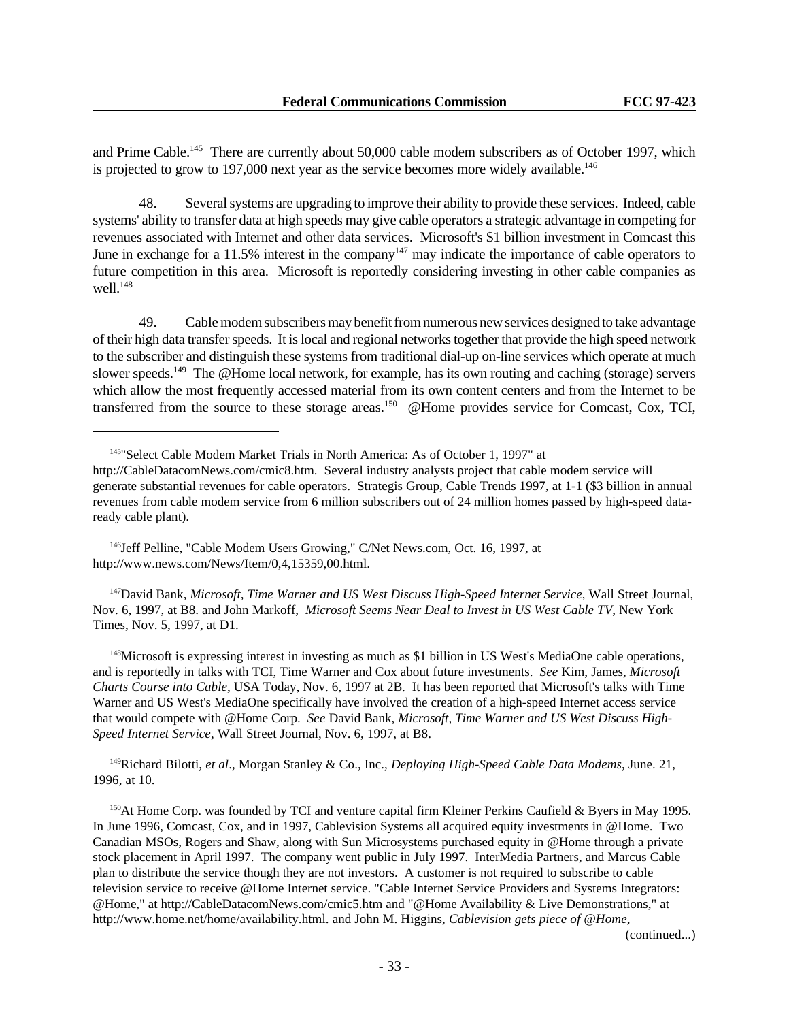and Prime Cable.<sup>145</sup> There are currently about 50,000 cable modem subscribers as of October 1997, which is projected to grow to 197,000 next year as the service becomes more widely available.<sup>146</sup>

48. Several systems are upgrading to improve their ability to provide these services. Indeed, cable systems' ability to transfer data at high speeds may give cable operators a strategic advantage in competing for revenues associated with Internet and other data services. Microsoft's \$1 billion investment in Comcast this June in exchange for a 11.5% interest in the company<sup>147</sup> may indicate the importance of cable operators to future competition in this area. Microsoft is reportedly considering investing in other cable companies as well $148$ 

49. Cable modem subscribers may benefit from numerous new services designed to take advantage of their high data transfer speeds. It is local and regional networks together that provide the high speed network to the subscriber and distinguish these systems from traditional dial-up on-line services which operate at much slower speeds.<sup>149</sup> The @Home local network, for example, has its own routing and caching (storage) servers which allow the most frequently accessed material from its own content centers and from the Internet to be transferred from the source to these storage areas.<sup>150</sup> @Home provides service for Comcast, Cox, TCI,

<sup>146</sup>Jeff Pelline, "Cable Modem Users Growing," C/Net News.com, Oct. 16, 1997, at http://www.news.com/News/Item/0,4,15359,00.html.

<sup>147</sup>David Bank, *Microsoft, Time Warner and US West Discuss High-Speed Internet Service*, Wall Street Journal, Nov. 6, 1997, at B8. and John Markoff, *Microsoft Seems Near Deal to Invest in US West Cable TV*, New York Times, Nov. 5, 1997, at D1.

<sup>148</sup>Microsoft is expressing interest in investing as much as \$1 billion in US West's MediaOne cable operations, and is reportedly in talks with TCI, Time Warner and Cox about future investments. *See* Kim, James, *Microsoft Charts Course into Cable*, USA Today, Nov. 6, 1997 at 2B. It has been reported that Microsoft's talks with Time Warner and US West's MediaOne specifically have involved the creation of a high-speed Internet access service that would compete with @Home Corp. *See* David Bank, *Microsoft, Time Warner and US West Discuss High-Speed Internet Service*, Wall Street Journal, Nov. 6, 1997, at B8.

<sup>149</sup>Richard Bilotti, *et al*., Morgan Stanley & Co., Inc., *Deploying High-Speed Cable Data Modems*, June. 21, 1996, at 10.

<sup>150</sup>At Home Corp. was founded by TCI and venture capital firm Kleiner Perkins Caufield & Byers in May 1995. In June 1996, Comcast, Cox, and in 1997, Cablevision Systems all acquired equity investments in @Home. Two Canadian MSOs, Rogers and Shaw, along with Sun Microsystems purchased equity in @Home through a private stock placement in April 1997. The company went public in July 1997. InterMedia Partners, and Marcus Cable plan to distribute the service though they are not investors. A customer is not required to subscribe to cable television service to receive @Home Internet service. "Cable Internet Service Providers and Systems Integrators: @Home," at http://CableDatacomNews.com/cmic5.htm and "@Home Availability & Live Demonstrations," at http://www.home.net/home/availability.html. and John M. Higgins, *Cablevision gets piece of @Home*,

(continued...)

<sup>145</sup>"Select Cable Modem Market Trials in North America: As of October 1, 1997" at

http://CableDatacomNews.com/cmic8.htm. Several industry analysts project that cable modem service will generate substantial revenues for cable operators. Strategis Group, Cable Trends 1997, at 1-1 (\$3 billion in annual revenues from cable modem service from 6 million subscribers out of 24 million homes passed by high-speed dataready cable plant).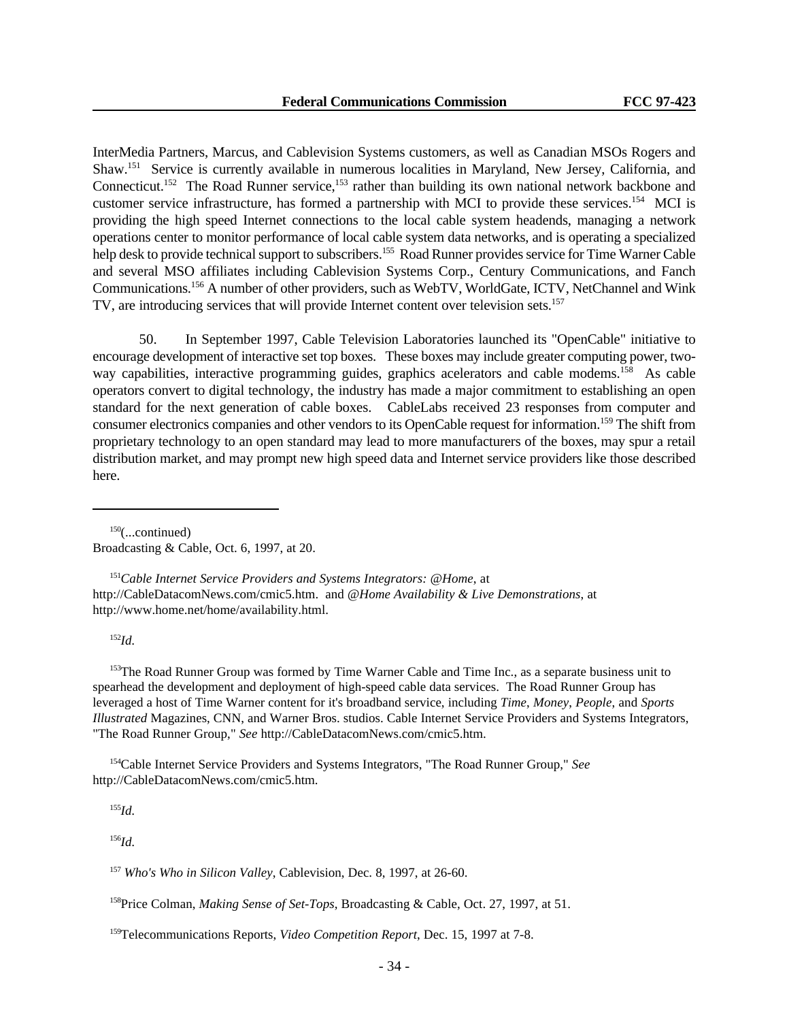InterMedia Partners, Marcus, and Cablevision Systems customers, as well as Canadian MSOs Rogers and Shaw.<sup>151</sup> Service is currently available in numerous localities in Maryland, New Jersey, California, and Connecticut.<sup>152</sup> The Road Runner service,<sup>153</sup> rather than building its own national network backbone and customer service infrastructure, has formed a partnership with MCI to provide these services.<sup>154</sup> MCI is providing the high speed Internet connections to the local cable system headends, managing a network operations center to monitor performance of local cable system data networks, and is operating a specialized help desk to provide technical support to subscribers.<sup>155</sup> Road Runner provides service for Time Warner Cable and several MSO affiliates including Cablevision Systems Corp., Century Communications, and Fanch Communications.<sup>156</sup> A number of other providers, such as WebTV, WorldGate, ICTV, NetChannel and Wink TV, are introducing services that will provide Internet content over television sets.<sup>157</sup>

50. In September 1997, Cable Television Laboratories launched its "OpenCable" initiative to encourage development of interactive set top boxes. These boxes may include greater computing power, twoway capabilities, interactive programming guides, graphics acelerators and cable modems.<sup>158</sup> As cable operators convert to digital technology, the industry has made a major commitment to establishing an open standard for the next generation of cable boxes. CableLabs received 23 responses from computer and consumer electronics companies and other vendors to its OpenCable request for information.<sup>159</sup> The shift from proprietary technology to an open standard may lead to more manufacturers of the boxes, may spur a retail distribution market, and may prompt new high speed data and Internet service providers like those described here.

 $150$ (...continued) Broadcasting & Cable, Oct. 6, 1997, at 20.

<sup>151</sup>*Cable Internet Service Providers and Systems Integrators: @Home*, at http://CableDatacomNews.com/cmic5.htm. and *@Home Availability & Live Demonstrations*, at http://www.home.net/home/availability.html.

<sup>152</sup>*Id.*

<sup>153</sup>The Road Runner Group was formed by Time Warner Cable and Time Inc., as a separate business unit to spearhead the development and deployment of high-speed cable data services. The Road Runner Group has leveraged a host of Time Warner content for it's broadband service, including *Time*, *Money*, *People*, and *Sports Illustrated* Magazines, CNN, and Warner Bros. studios. Cable Internet Service Providers and Systems Integrators, "The Road Runner Group," *See* http://CableDatacomNews.com/cmic5.htm.

<sup>154</sup>Cable Internet Service Providers and Systems Integrators, "The Road Runner Group," *See* http://CableDatacomNews.com/cmic5.htm.

<sup>155</sup>*Id.*

<sup>156</sup>*Id.*

<sup>157</sup> *Who's Who in Silicon Valley*, Cablevision, Dec. 8, 1997, at 26-60.

<sup>158</sup>Price Colman, *Making Sense of Set-Tops*, Broadcasting & Cable, Oct. 27, 1997, at 51.

<sup>159</sup>Telecommunications Reports, *Video Competition Report*, Dec. 15, 1997 at 7-8.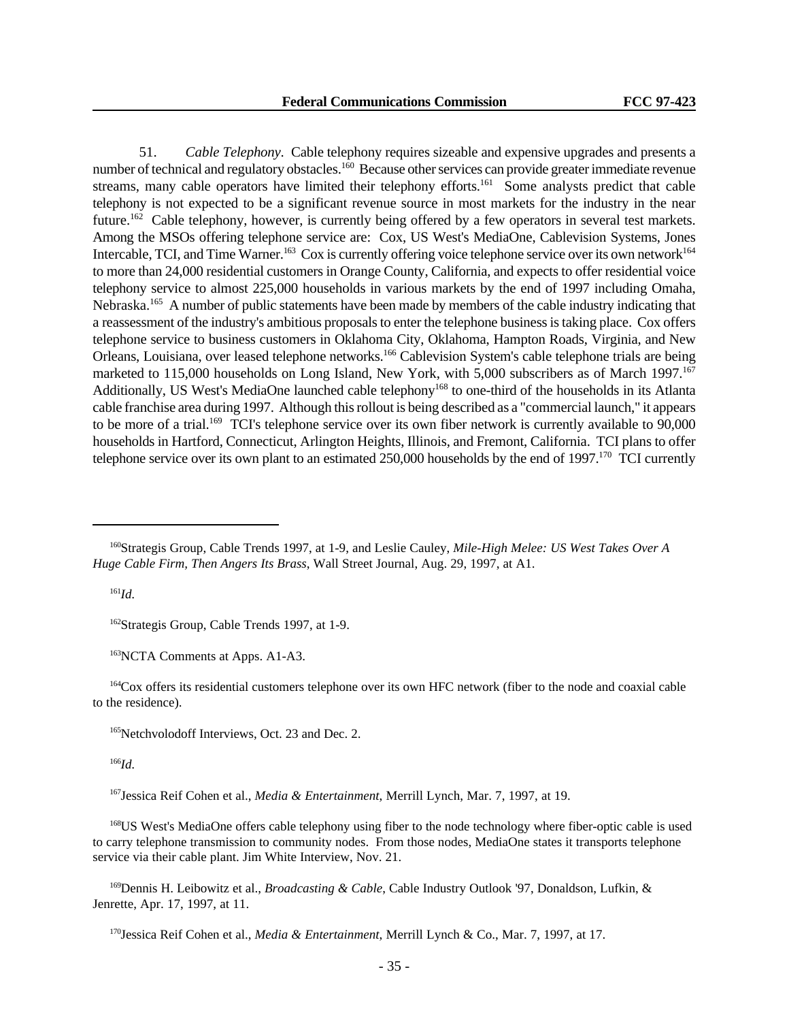51. *Cable Telephony*. Cable telephony requires sizeable and expensive upgrades and presents a number of technical and regulatory obstacles.<sup>160</sup> Because other services can provide greater immediate revenue streams, many cable operators have limited their telephony efforts.<sup>161</sup> Some analysts predict that cable telephony is not expected to be a significant revenue source in most markets for the industry in the near future.<sup>162</sup> Cable telephony, however, is currently being offered by a few operators in several test markets. Among the MSOs offering telephone service are: Cox, US West's MediaOne, Cablevision Systems, Jones Intercable, TCI, and Time Warner.<sup>163</sup> Cox is currently offering voice telephone service over its own network<sup>164</sup> to more than 24,000 residential customers in Orange County, California, and expects to offer residential voice telephony service to almost 225,000 households in various markets by the end of 1997 including Omaha, Nebraska.<sup>165</sup> A number of public statements have been made by members of the cable industry indicating that a reassessment of the industry's ambitious proposals to enter the telephone business is taking place. Cox offers telephone service to business customers in Oklahoma City, Oklahoma, Hampton Roads, Virginia, and New Orleans, Louisiana, over leased telephone networks.<sup>166</sup> Cablevision System's cable telephone trials are being marketed to 115,000 households on Long Island, New York, with 5,000 subscribers as of March 1997.<sup>167</sup> Additionally, US West's MediaOne launched cable telephony<sup>168</sup> to one-third of the households in its Atlanta cable franchise area during 1997. Although this rollout is being described as a "commercial launch," it appears to be more of a trial.<sup>169</sup> TCI's telephone service over its own fiber network is currently available to 90,000 households in Hartford, Connecticut, Arlington Heights, Illinois, and Fremont, California. TCI plans to offer telephone service over its own plant to an estimated 250,000 households by the end of 1997.<sup>170</sup> TCI currently

<sup>161</sup>*Id.*

<sup>162</sup>Strategis Group, Cable Trends 1997, at 1-9.

<sup>163</sup>NCTA Comments at Apps. A1-A3.

<sup>164</sup>Cox offers its residential customers telephone over its own HFC network (fiber to the node and coaxial cable to the residence).

<sup>165</sup>Netchvolodoff Interviews, Oct. 23 and Dec. 2.

<sup>166</sup>*Id.*

<sup>167</sup>Jessica Reif Cohen et al., *Media & Entertainment*, Merrill Lynch, Mar. 7, 1997, at 19.

<sup>168</sup>US West's MediaOne offers cable telephony using fiber to the node technology where fiber-optic cable is used to carry telephone transmission to community nodes. From those nodes, MediaOne states it transports telephone service via their cable plant. Jim White Interview, Nov. 21.

<sup>169</sup>Dennis H. Leibowitz et al., *Broadcasting & Cable*, Cable Industry Outlook '97, Donaldson, Lufkin, & Jenrette, Apr. 17, 1997, at 11.

<sup>170</sup>Jessica Reif Cohen et al., *Media & Entertainment*, Merrill Lynch & Co., Mar. 7, 1997, at 17.

<sup>160</sup>Strategis Group, Cable Trends 1997, at 1-9, and Leslie Cauley, *Mile-High Melee: US West Takes Over A Huge Cable Firm, Then Angers Its Brass*, Wall Street Journal, Aug. 29, 1997, at A1.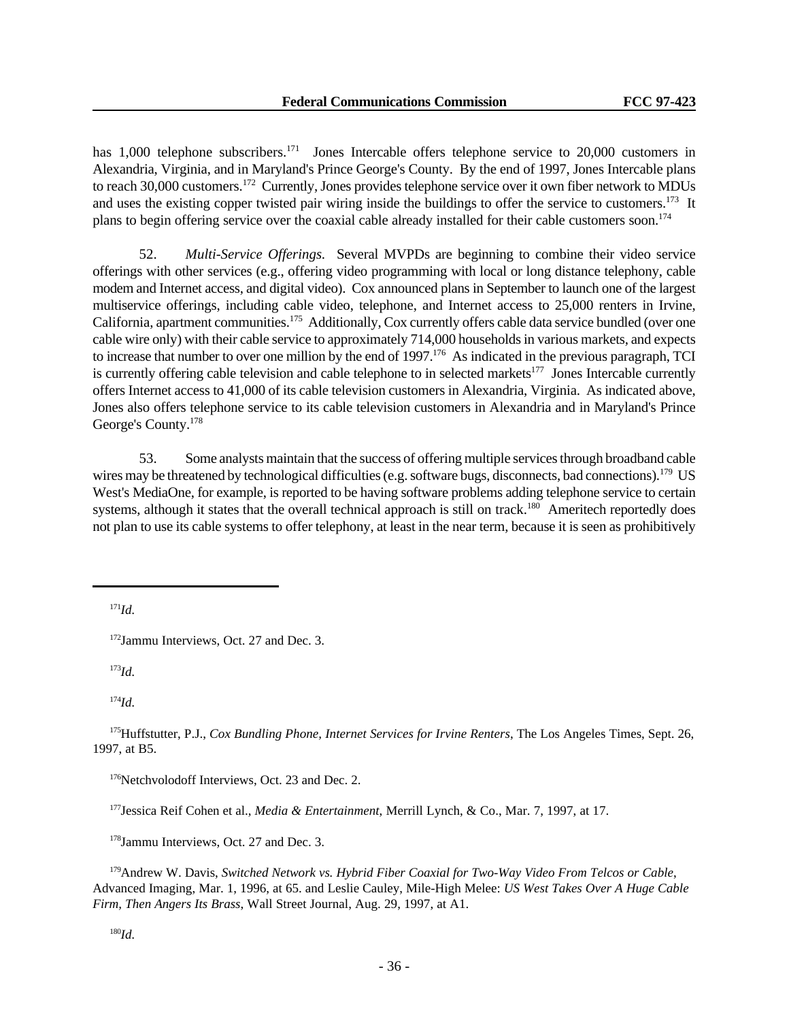has 1,000 telephone subscribers.<sup>171</sup> Jones Intercable offers telephone service to 20,000 customers in Alexandria, Virginia, and in Maryland's Prince George's County. By the end of 1997, Jones Intercable plans to reach 30,000 customers.<sup>172</sup> Currently, Jones provides telephone service over it own fiber network to MDUs and uses the existing copper twisted pair wiring inside the buildings to offer the service to customers.<sup>173</sup> It plans to begin offering service over the coaxial cable already installed for their cable customers soon.<sup>174</sup>

52. *Multi-Service Offerings.* Several MVPDs are beginning to combine their video service offerings with other services (e.g., offering video programming with local or long distance telephony, cable modem and Internet access, and digital video). Cox announced plans in September to launch one of the largest multiservice offerings, including cable video, telephone, and Internet access to 25,000 renters in Irvine, California, apartment communities.<sup>175</sup> Additionally, Cox currently offers cable data service bundled (over one cable wire only) with their cable service to approximately 714,000 households in various markets, and expects to increase that number to over one million by the end of 1997.<sup>176</sup> As indicated in the previous paragraph, TCI is currently offering cable television and cable telephone to in selected markets<sup>177</sup> Jones Intercable currently offers Internet access to 41,000 of its cable television customers in Alexandria, Virginia. As indicated above, Jones also offers telephone service to its cable television customers in Alexandria and in Maryland's Prince George's County.<sup>178</sup>

53. Some analysts maintain that the success of offering multiple services through broadband cable wires may be threatened by technological difficulties (e.g. software bugs, disconnects, bad connections).<sup>179</sup> US West's MediaOne, for example, is reported to be having software problems adding telephone service to certain systems, although it states that the overall technical approach is still on track.<sup>180</sup> Ameritech reportedly does not plan to use its cable systems to offer telephony, at least in the near term, because it is seen as prohibitively

<sup>171</sup>*Id.*

<sup>172</sup>Jammu Interviews, Oct. 27 and Dec. 3.

<sup>173</sup>*Id.*

<sup>174</sup>*Id.*

<sup>175</sup>Huffstutter, P.J., *Cox Bundling Phone, Internet Services for Irvine Renters*, The Los Angeles Times, Sept. 26, 1997, at B5.

<sup>176</sup>Netchvolodoff Interviews, Oct. 23 and Dec. 2.

<sup>177</sup>Jessica Reif Cohen et al., *Media & Entertainment*, Merrill Lynch, & Co., Mar. 7, 1997, at 17.

<sup>178</sup>Jammu Interviews, Oct. 27 and Dec. 3.

<sup>179</sup>Andrew W. Davis, *Switched Network vs. Hybrid Fiber Coaxial for Two-Way Video From Telcos or Cable*, Advanced Imaging, Mar. 1, 1996, at 65. and Leslie Cauley, Mile-High Melee: *US West Takes Over A Huge Cable Firm, Then Angers Its Brass*, Wall Street Journal, Aug. 29, 1997, at A1.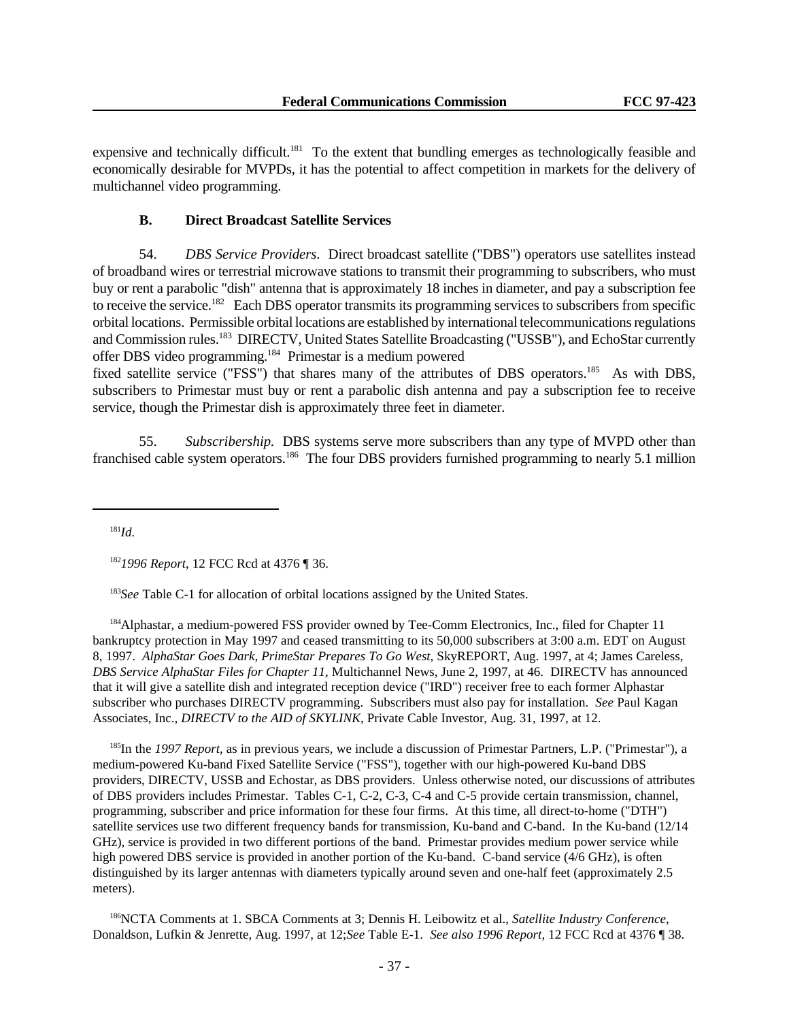expensive and technically difficult.<sup>181</sup> To the extent that bundling emerges as technologically feasible and economically desirable for MVPDs, it has the potential to affect competition in markets for the delivery of multichannel video programming.

## **B. Direct Broadcast Satellite Services**

54. *DBS Service Providers*. Direct broadcast satellite ("DBS") operators use satellites instead of broadband wires or terrestrial microwave stations to transmit their programming to subscribers, who must buy or rent a parabolic "dish" antenna that is approximately 18 inches in diameter, and pay a subscription fee to receive the service.<sup>182</sup> Each DBS operator transmits its programming services to subscribers from specific orbital locations. Permissible orbital locations are established by international telecommunications regulations and Commission rules.<sup>183</sup> DIRECTV, United States Satellite Broadcasting ("USSB"), and EchoStar currently offer DBS video programming.<sup>184</sup> Primestar is a medium powered

fixed satellite service ("FSS") that shares many of the attributes of DBS operators.<sup>185</sup> As with DBS, subscribers to Primestar must buy or rent a parabolic dish antenna and pay a subscription fee to receive service, though the Primestar dish is approximately three feet in diameter.

55. *Subscribership.* DBS systems serve more subscribers than any type of MVPD other than franchised cable system operators.<sup>186</sup> The four DBS providers furnished programming to nearly 5.1 million

<sup>181</sup>*Id.*

<sup>183</sup>*See* Table C-1 for allocation of orbital locations assigned by the United States.

<sup>184</sup>Alphastar, a medium-powered FSS provider owned by Tee-Comm Electronics, Inc., filed for Chapter 11 bankruptcy protection in May 1997 and ceased transmitting to its 50,000 subscribers at 3:00 a.m. EDT on August 8, 1997. *AlphaStar Goes Dark, PrimeStar Prepares To Go West*, SkyREPORT, Aug. 1997, at 4; James Careless, *DBS Service AlphaStar Files for Chapter 11*, Multichannel News, June 2, 1997, at 46. DIRECTV has announced that it will give a satellite dish and integrated reception device ("IRD") receiver free to each former Alphastar subscriber who purchases DIRECTV programming. Subscribers must also pay for installation. *See* Paul Kagan Associates, Inc., *DIRECTV to the AID of SKYLINK*, Private Cable Investor, Aug. 31, 1997, at 12.

<sup>185</sup>In the *1997 Report*, as in previous years, we include a discussion of Primestar Partners, L.P. ("Primestar"), a medium-powered Ku-band Fixed Satellite Service ("FSS"), together with our high-powered Ku-band DBS providers, DIRECTV, USSB and Echostar, as DBS providers. Unless otherwise noted, our discussions of attributes of DBS providers includes Primestar. Tables C-1, C-2, C-3, C-4 and C-5 provide certain transmission, channel, programming, subscriber and price information for these four firms. At this time, all direct-to-home ("DTH") satellite services use two different frequency bands for transmission, Ku-band and C-band. In the Ku-band (12/14 GHz), service is provided in two different portions of the band. Primestar provides medium power service while high powered DBS service is provided in another portion of the Ku-band. C-band service (4/6 GHz), is often distinguished by its larger antennas with diameters typically around seven and one-half feet (approximately 2.5 meters).

<sup>186</sup>NCTA Comments at 1. SBCA Comments at 3; Dennis H. Leibowitz et al., *Satellite Industry Conference*, Donaldson, Lufkin & Jenrette, Aug. 1997, at 12;*See* Table E-1. *See also 1996 Report,* 12 FCC Rcd at 4376 ¶ 38.

<sup>182</sup>*1996 Report*, 12 FCC Rcd at 4376 ¶ 36.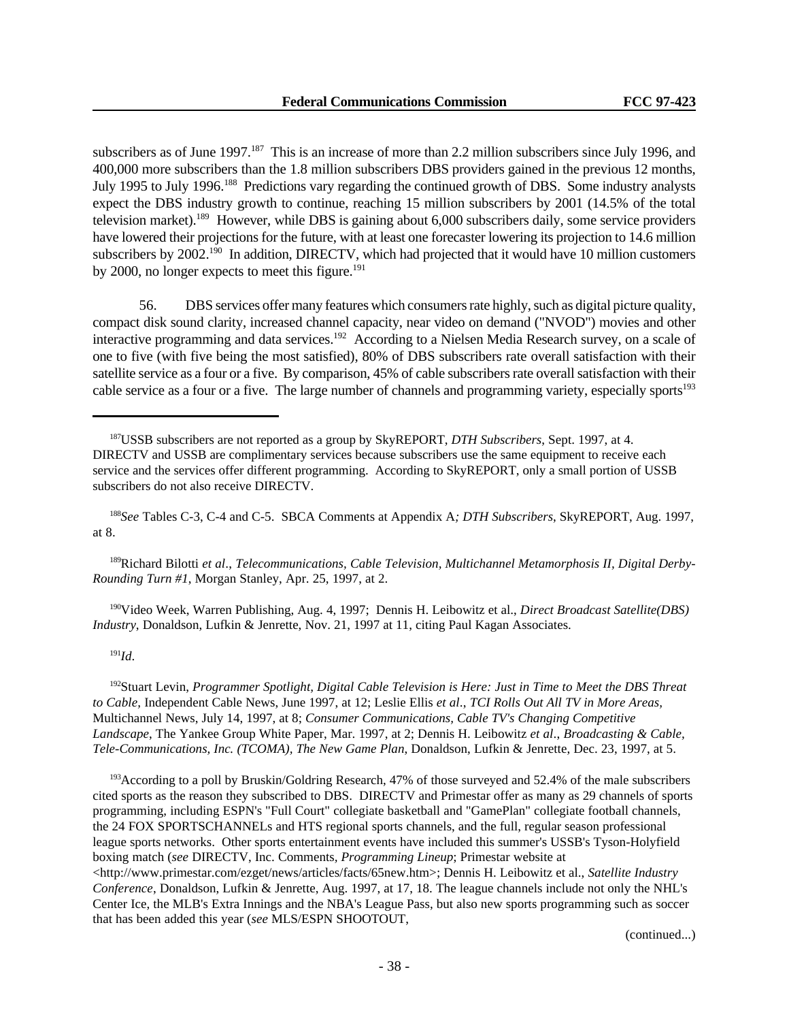subscribers as of June 1997.<sup>187</sup> This is an increase of more than 2.2 million subscribers since July 1996, and 400,000 more subscribers than the 1.8 million subscribers DBS providers gained in the previous 12 months, July 1995 to July 1996.<sup>188</sup> Predictions vary regarding the continued growth of DBS. Some industry analysts expect the DBS industry growth to continue, reaching 15 million subscribers by 2001 (14.5% of the total television market).<sup>189</sup> However, while DBS is gaining about 6,000 subscribers daily, some service providers have lowered their projections for the future, with at least one forecaster lowering its projection to 14.6 million subscribers by 2002.<sup>190</sup> In addition, DIRECTV, which had projected that it would have 10 million customers by 2000, no longer expects to meet this figure.<sup>191</sup>

56. DBS services offer many features which consumers rate highly, such as digital picture quality, compact disk sound clarity, increased channel capacity, near video on demand ("NVOD") movies and other interactive programming and data services.<sup>192</sup> According to a Nielsen Media Research survey, on a scale of one to five (with five being the most satisfied), 80% of DBS subscribers rate overall satisfaction with their satellite service as a four or a five. By comparison, 45% of cable subscribers rate overall satisfaction with their cable service as a four or a five. The large number of channels and programming variety, especially sports<sup>193</sup>

<sup>188</sup>*See* Tables C-3, C-4 and C-5. SBCA Comments at Appendix A*; DTH Subscribers*, SkyREPORT, Aug. 1997, at 8.

189Richard Bilotti *et al*., *Telecommunications, Cable Television, Multichannel Metamorphosis II, Digital Derby-Rounding Turn #1*, Morgan Stanley, Apr. 25, 1997, at 2.

<sup>190</sup>Video Week, Warren Publishing, Aug. 4, 1997; Dennis H. Leibowitz et al., *Direct Broadcast Satellite(DBS) Industry*, Donaldson, Lufkin & Jenrette, Nov. 21, 1997 at 11, citing Paul Kagan Associates.

# <sup>191</sup>*Id*.

<sup>192</sup>Stuart Levin, *Programmer Spotlight, Digital Cable Television is Here: Just in Time to Meet the DBS Threat to Cable,* Independent Cable News, June 1997, at 12; Leslie Ellis *et al*., *TCI Rolls Out All TV in More Areas,* Multichannel News, July 14, 1997, at 8; *Consumer Communications, Cable TV's Changing Competitive Landscape*, The Yankee Group White Paper, Mar. 1997, at 2; Dennis H. Leibowitz *et al*., *Broadcasting & Cable, Tele-Communications, Inc. (TCOMA), The New Game Plan*, Donaldson, Lufkin & Jenrette, Dec. 23, 1997, at 5.

<sup>193</sup>According to a poll by Bruskin/Goldring Research, 47% of those surveyed and 52.4% of the male subscribers cited sports as the reason they subscribed to DBS. DIRECTV and Primestar offer as many as 29 channels of sports programming, including ESPN's "Full Court" collegiate basketball and "GamePlan" collegiate football channels, the 24 FOX SPORTSCHANNELs and HTS regional sports channels, and the full, regular season professional league sports networks. Other sports entertainment events have included this summer's USSB's Tyson-Holyfield boxing match (*see* DIRECTV, Inc. Comments*, Programming Lineup*; Primestar website at <http://www.primestar.com/ezget/news/articles/facts/65new.htm>; Dennis H. Leibowitz et al., *Satellite Industry Conference*, Donaldson, Lufkin & Jenrette, Aug. 1997, at 17, 18. The league channels include not only the NHL's Center Ice, the MLB's Extra Innings and the NBA's League Pass, but also new sports programming such as soccer that has been added this year (*see* MLS/ESPN SHOOTOUT,

(continued...)

<sup>187</sup>USSB subscribers are not reported as a group by SkyREPORT, *DTH Subscribers*, Sept. 1997, at 4. DIRECTV and USSB are complimentary services because subscribers use the same equipment to receive each service and the services offer different programming. According to SkyREPORT, only a small portion of USSB subscribers do not also receive DIRECTV.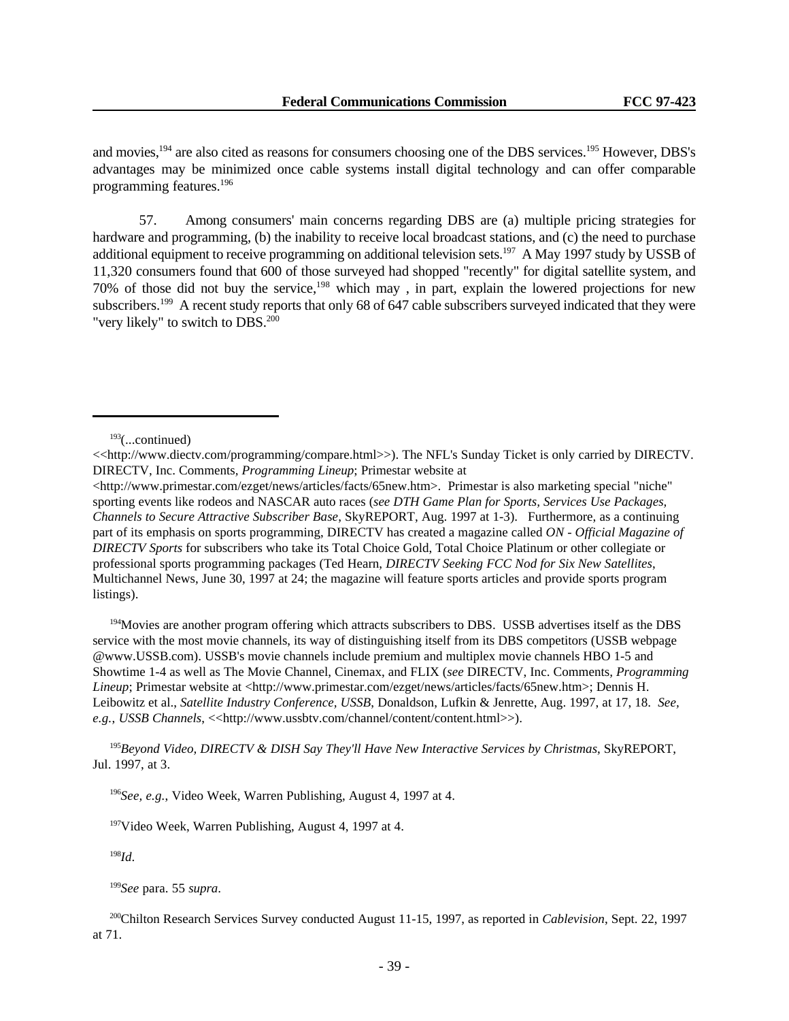and movies,<sup>194</sup> are also cited as reasons for consumers choosing one of the DBS services.<sup>195</sup> However, DBS's advantages may be minimized once cable systems install digital technology and can offer comparable programming features.<sup>196</sup>

57. Among consumers' main concerns regarding DBS are (a) multiple pricing strategies for hardware and programming, (b) the inability to receive local broadcast stations, and (c) the need to purchase additional equipment to receive programming on additional television sets.<sup>197</sup> A May 1997 study by USSB of 11,320 consumers found that 600 of those surveyed had shopped "recently" for digital satellite system, and 70% of those did not buy the service,<sup>198</sup> which may, in part, explain the lowered projections for new subscribers.<sup>199</sup> A recent study reports that only 68 of 647 cable subscribers surveyed indicated that they were "very likely" to switch to DBS.<sup>200</sup>

<sup>194</sup>Movies are another program offering which attracts subscribers to DBS. USSB advertises itself as the DBS service with the most movie channels, its way of distinguishing itself from its DBS competitors (USSB webpage @www.USSB.com). USSB's movie channels include premium and multiplex movie channels HBO 1-5 and Showtime 1-4 as well as The Movie Channel, Cinemax, and FLIX (*see* DIRECTV, Inc. Comments*, Programming Lineup*; Primestar website at <http://www.primestar.com/ezget/news/articles/facts/65new.htm>; Dennis H. Leibowitz et al., *Satellite Industry Conference, USSB*, Donaldson, Lufkin & Jenrette, Aug. 1997, at 17, 18. *See, e.g.*, *USSB Channels*, <<http://www.ussbtv.com/channel/content/content.html>>).

<sup>195</sup>*Beyond Video, DIRECTV & DISH Say They'll Have New Interactive Services by Christmas*, SkyREPORT, Jul. 1997, at 3.

<sup>198</sup>*Id*.

<sup>199</sup>*See* para. 55 *supra*.

 $193$ (...continued)

<sup>&</sup>lt;<http://www.diectv.com/programming/compare.html>>). The NFL's Sunday Ticket is only carried by DIRECTV. DIRECTV, Inc. Comments*, Programming Lineup*; Primestar website at

<sup>&</sup>lt;http://www.primestar.com/ezget/news/articles/facts/65new.htm>. Primestar is also marketing special "niche" sporting events like rodeos and NASCAR auto races (*see DTH Game Plan for Sports, Services Use Packages, Channels to Secure Attractive Subscriber Base*, SkyREPORT, Aug. 1997 at 1-3). Furthermore, as a continuing part of its emphasis on sports programming, DIRECTV has created a magazine called *ON - Official Magazine of DIRECTV Sports* for subscribers who take its Total Choice Gold, Total Choice Platinum or other collegiate or professional sports programming packages (Ted Hearn, *DIRECTV Seeking FCC Nod for Six New Satellites*, Multichannel News, June 30, 1997 at 24; the magazine will feature sports articles and provide sports program listings).

<sup>196</sup>*See, e.g.*, Video Week, Warren Publishing, August 4, 1997 at 4.

<sup>197</sup>Video Week, Warren Publishing, August 4, 1997 at 4.

<sup>200</sup>Chilton Research Services Survey conducted August 11-15, 1997, as reported in *Cablevision*, Sept. 22, 1997 at 71.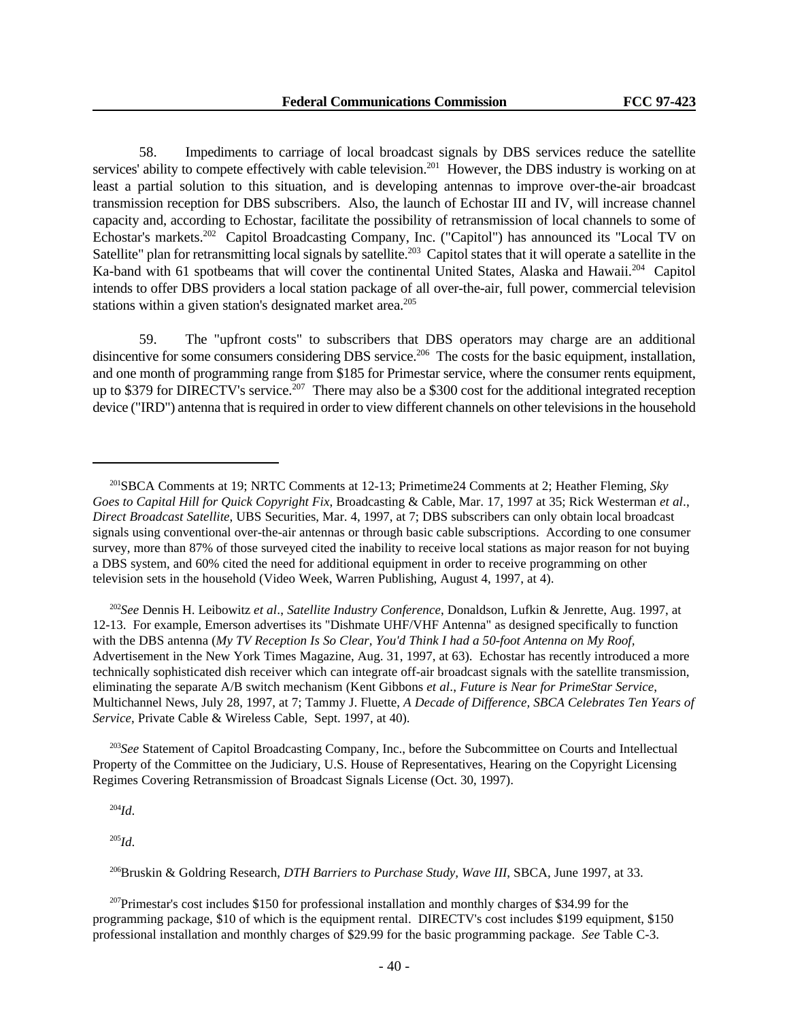58. Impediments to carriage of local broadcast signals by DBS services reduce the satellite services' ability to compete effectively with cable television.<sup>201</sup> However, the DBS industry is working on at least a partial solution to this situation, and is developing antennas to improve over-the-air broadcast transmission reception for DBS subscribers. Also, the launch of Echostar III and IV, will increase channel capacity and, according to Echostar, facilitate the possibility of retransmission of local channels to some of Echostar's markets.<sup>202</sup> Capitol Broadcasting Company, Inc. ("Capitol") has announced its "Local TV on Satellite" plan for retransmitting local signals by satellite.<sup>203</sup> Capitol states that it will operate a satellite in the Ka-band with 61 spotbeams that will cover the continental United States, Alaska and Hawaii.<sup>204</sup> Capitol intends to offer DBS providers a local station package of all over-the-air, full power, commercial television stations within a given station's designated market area.<sup>205</sup>

59. The "upfront costs" to subscribers that DBS operators may charge are an additional disincentive for some consumers considering DBS service.<sup>206</sup> The costs for the basic equipment, installation, and one month of programming range from \$185 for Primestar service, where the consumer rents equipment, up to \$379 for DIRECTV's service.<sup>207</sup> There may also be a \$300 cost for the additional integrated reception device ("IRD") antenna that is required in order to view different channels on other televisions in the household

<sup>202</sup>*See* Dennis H. Leibowitz *et al*., *Satellite Industry Conference*, Donaldson, Lufkin & Jenrette, Aug. 1997, at 12-13. For example, Emerson advertises its "Dishmate UHF/VHF Antenna" as designed specifically to function with the DBS antenna (*My TV Reception Is So Clear, You'd Think I had a 50-foot Antenna on My Roof,* Advertisement in the New York Times Magazine, Aug. 31, 1997, at 63). Echostar has recently introduced a more technically sophisticated dish receiver which can integrate off-air broadcast signals with the satellite transmission, eliminating the separate A/B switch mechanism (Kent Gibbons *et al*., *Future is Near for PrimeStar Service*, Multichannel News, July 28, 1997, at 7; Tammy J. Fluette, *A Decade of Difference, SBCA Celebrates Ten Years of Service*, Private Cable & Wireless Cable, Sept. 1997, at 40).

<sup>203</sup>*See* Statement of Capitol Broadcasting Company, Inc., before the Subcommittee on Courts and Intellectual Property of the Committee on the Judiciary, U.S. House of Representatives, Hearing on the Copyright Licensing Regimes Covering Retransmission of Broadcast Signals License (Oct. 30, 1997).

<sup>204</sup>*Id*.

<sup>205</sup>*Id*.

<sup>207</sup>Primestar's cost includes \$150 for professional installation and monthly charges of \$34.99 for the programming package, \$10 of which is the equipment rental. DIRECTV's cost includes \$199 equipment, \$150 professional installation and monthly charges of \$29.99 for the basic programming package. *See* Table C-3.

<sup>201</sup>SBCA Comments at 19; NRTC Comments at 12-13; Primetime24 Comments at 2; Heather Fleming, *Sky Goes to Capital Hill for Quick Copyright Fix*, Broadcasting & Cable, Mar. 17, 1997 at 35; Rick Westerman *et al*., *Direct Broadcast Satellite*, UBS Securities, Mar. 4, 1997, at 7; DBS subscribers can only obtain local broadcast signals using conventional over-the-air antennas or through basic cable subscriptions. According to one consumer survey, more than 87% of those surveyed cited the inability to receive local stations as major reason for not buying a DBS system, and 60% cited the need for additional equipment in order to receive programming on other television sets in the household (Video Week, Warren Publishing, August 4, 1997, at 4).

<sup>206</sup>Bruskin & Goldring Research, *DTH Barriers to Purchase Study, Wave III*, SBCA, June 1997, at 33.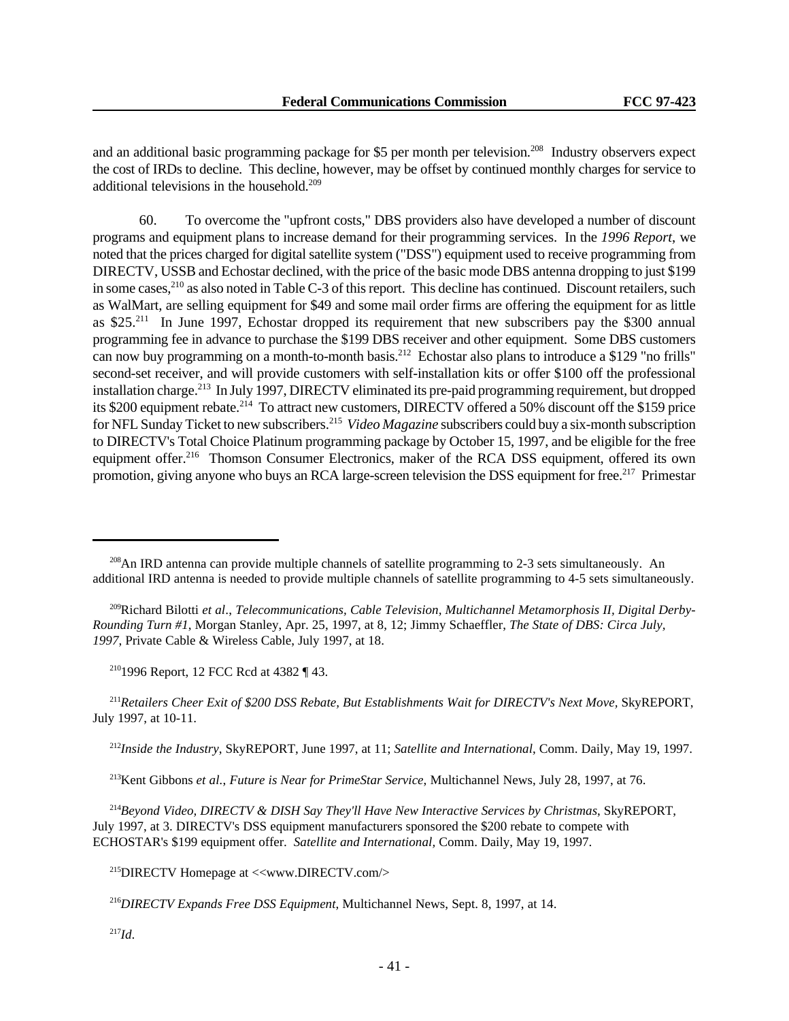and an additional basic programming package for \$5 per month per television.<sup>208</sup> Industry observers expect the cost of IRDs to decline. This decline, however, may be offset by continued monthly charges for service to additional televisions in the household.<sup>209</sup>

60. To overcome the "upfront costs," DBS providers also have developed a number of discount programs and equipment plans to increase demand for their programming services. In the *1996 Report*, we noted that the prices charged for digital satellite system ("DSS") equipment used to receive programming from DIRECTV, USSB and Echostar declined, with the price of the basic mode DBS antenna dropping to just \$199 in some cases,<sup>210</sup> as also noted in Table C-3 of this report. This decline has continued. Discount retailers, such as WalMart, are selling equipment for \$49 and some mail order firms are offering the equipment for as little as \$25.<sup>211</sup> In June 1997, Echostar dropped its requirement that new subscribers pay the \$300 annual programming fee in advance to purchase the \$199 DBS receiver and other equipment. Some DBS customers can now buy programming on a month-to-month basis.<sup>212</sup> Echostar also plans to introduce a \$129 "no frills" second-set receiver, and will provide customers with self-installation kits or offer \$100 off the professional installation charge.<sup>213</sup> In July 1997, DIRECTV eliminated its pre-paid programming requirement, but dropped its \$200 equipment rebate.<sup>214</sup> To attract new customers, DIRECTV offered a 50% discount off the \$159 price for NFL Sunday Ticket to new subscribers.<sup>215</sup> Video Magazine subscribers could buy a six-month subscription to DIRECTV's Total Choice Platinum programming package by October 15, 1997, and be eligible for the free equipment offer.<sup>216</sup> Thomson Consumer Electronics, maker of the RCA DSS equipment, offered its own promotion, giving anyone who buys an RCA large-screen television the DSS equipment for free.<sup>217</sup> Primestar

<sup>211</sup>Retailers Cheer Exit of \$200 DSS Rebate, But Establishments Wait for DIRECTV's Next Move, SkyREPORT, July 1997, at 10-11.

<sup>212</sup>*Inside the Industry*, SkyREPORT, June 1997, at 11; *Satellite and International*, Comm. Daily, May 19, 1997.

<sup>213</sup>Kent Gibbons *et al.*, *Future is Near for PrimeStar Service*, Multichannel News, July 28, 1997, at 76.

<sup>214</sup>*Beyond Video, DIRECTV & DISH Say They'll Have New Interactive Services by Christmas*, SkyREPORT, July 1997, at 3. DIRECTV's DSS equipment manufacturers sponsored the \$200 rebate to compete with ECHOSTAR's \$199 equipment offer. *Satellite and International,* Comm. Daily, May 19, 1997.

<sup>215</sup>DIRECTV Homepage at <<www.DIRECTV.com/>

<sup>216</sup>*DIRECTV Expands Free DSS Equipment*, Multichannel News, Sept. 8, 1997, at 14.

<sup>217</sup>*Id*.

<sup>&</sup>lt;sup>208</sup>An IRD antenna can provide multiple channels of satellite programming to 2-3 sets simultaneously. An additional IRD antenna is needed to provide multiple channels of satellite programming to 4-5 sets simultaneously.

<sup>209</sup>Richard Bilotti *et al*., *Telecommunications, Cable Television, Multichannel Metamorphosis II, Digital Derby-Rounding Turn #1*, Morgan Stanley, Apr. 25, 1997, at 8, 12; Jimmy Schaeffler, *The State of DBS: Circa July, 1997*, Private Cable & Wireless Cable, July 1997, at 18.

<sup>210</sup>1996 Report, 12 FCC Rcd at 4382 ¶ 43.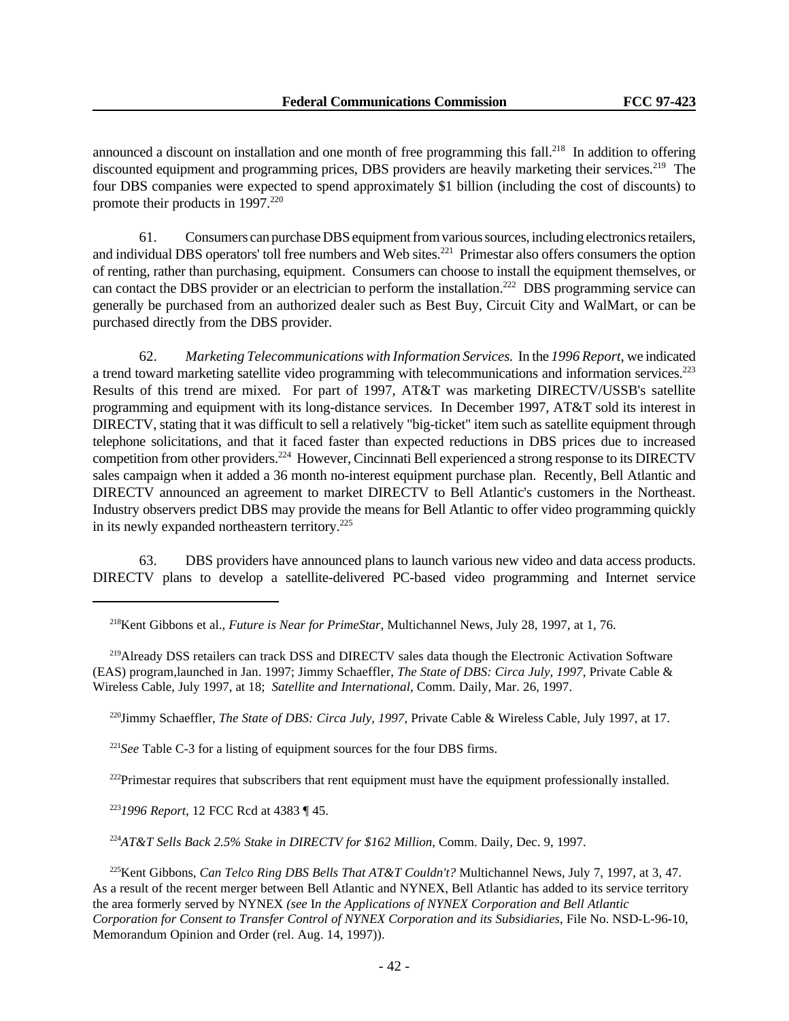announced a discount on installation and one month of free programming this fall.<sup>218</sup> In addition to offering discounted equipment and programming prices, DBS providers are heavily marketing their services.<sup>219</sup> The four DBS companies were expected to spend approximately \$1 billion (including the cost of discounts) to promote their products in 1997.<sup>220</sup>

61. Consumers can purchase DBS equipment from various sources, including electronics retailers, and individual DBS operators' toll free numbers and Web sites.<sup>221</sup> Primestar also offers consumers the option of renting, rather than purchasing, equipment. Consumers can choose to install the equipment themselves, or can contact the DBS provider or an electrician to perform the installation.<sup>222</sup> DBS programming service can generally be purchased from an authorized dealer such as Best Buy, Circuit City and WalMart, or can be purchased directly from the DBS provider.

62. *Marketing Telecommunications with Information Services.* In the *1996 Report*, we indicated a trend toward marketing satellite video programming with telecommunications and information services.<sup>223</sup> Results of this trend are mixed. For part of 1997, AT&T was marketing DIRECTV/USSB's satellite programming and equipment with its long-distance services. In December 1997, AT&T sold its interest in DIRECTV, stating that it was difficult to sell a relatively "big-ticket" item such as satellite equipment through telephone solicitations, and that it faced faster than expected reductions in DBS prices due to increased competition from other providers.<sup>224</sup> However, Cincinnati Bell experienced a strong response to its DIRECTV sales campaign when it added a 36 month no-interest equipment purchase plan. Recently, Bell Atlantic and DIRECTV announced an agreement to market DIRECTV to Bell Atlantic's customers in the Northeast. Industry observers predict DBS may provide the means for Bell Atlantic to offer video programming quickly in its newly expanded northeastern territory.<sup>225</sup>

63. DBS providers have announced plans to launch various new video and data access products. DIRECTV plans to develop a satellite-delivered PC-based video programming and Internet service

<sup>220</sup>Jimmy Schaeffler, *The State of DBS: Circa July, 1997*, Private Cable & Wireless Cable, July 1997, at 17.

<sup>221</sup>*See* Table C-3 for a listing of equipment sources for the four DBS firms.

<sup>222</sup>Primestar requires that subscribers that rent equipment must have the equipment professionally installed.

<sup>223</sup>*1996 Report*, 12 FCC Rcd at 4383 ¶ 45.

<sup>224</sup>*AT&T Sells Back 2.5% Stake in DIRECTV for \$162 Million*, Comm. Daily, Dec. 9, 1997.

<sup>225</sup>Kent Gibbons, *Can Telco Ring DBS Bells That AT&T Couldn't?* Multichannel News, July 7, 1997, at 3, 47. As a result of the recent merger between Bell Atlantic and NYNEX, Bell Atlantic has added to its service territory the area formerly served by NYNEX *(see* I*n the Applications of NYNEX Corporation and Bell Atlantic Corporation for Consent to Transfer Control of NYNEX Corporation and its Subsidiaries*, File No. NSD-L-96-10, Memorandum Opinion and Order (rel. Aug. 14, 1997)).

<sup>218</sup>Kent Gibbons et al., *Future is Near for PrimeStar*, Multichannel News, July 28, 1997, at 1, 76.

<sup>219</sup>Already DSS retailers can track DSS and DIRECTV sales data though the Electronic Activation Software (EAS) program,launched in Jan. 1997; Jimmy Schaeffler, *The State of DBS: Circa July, 1997*, Private Cable & Wireless Cable, July 1997, at 18; *Satellite and International*, Comm. Daily, Mar. 26, 1997.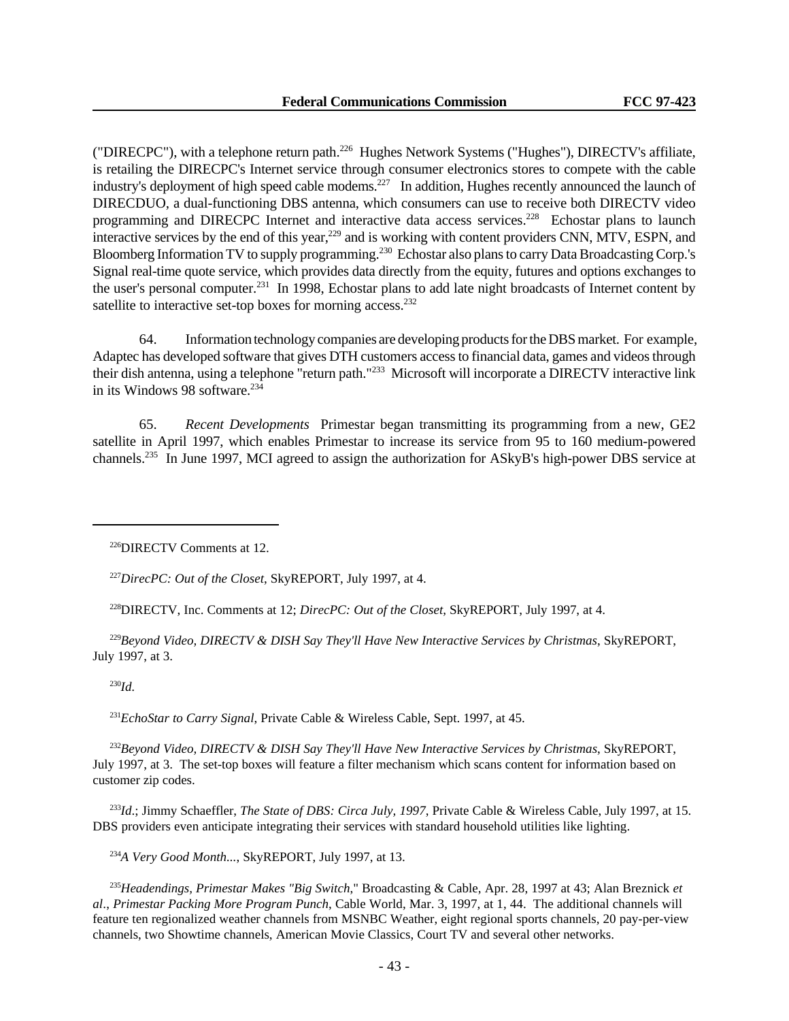("DIRECPC"), with a telephone return path.<sup>226</sup> Hughes Network Systems ("Hughes"), DIRECTV's affiliate, is retailing the DIRECPC's Internet service through consumer electronics stores to compete with the cable industry's deployment of high speed cable modems.<sup>227</sup> In addition, Hughes recently announced the launch of DIRECDUO, a dual-functioning DBS antenna, which consumers can use to receive both DIRECTV video programming and DIRECPC Internet and interactive data access services.<sup>228</sup> Echostar plans to launch interactive services by the end of this year,<sup>229</sup> and is working with content providers CNN, MTV, ESPN, and Bloomberg Information TV to supply programming.<sup>230</sup> Echostar also plans to carry Data Broadcasting Corp.'s Signal real-time quote service, which provides data directly from the equity, futures and options exchanges to the user's personal computer.<sup>231</sup> In 1998, Echostar plans to add late night broadcasts of Internet content by satellite to interactive set-top boxes for morning access.<sup>232</sup>

64. Information technology companies are developing products for the DBS market. For example, Adaptec has developed software that gives DTH customers access to financial data, games and videos through their dish antenna, using a telephone "return path."<sup>233</sup> Microsoft will incorporate a DIRECTV interactive link in its Windows 98 software.<sup>234</sup>

65. *Recent Developments* Primestar began transmitting its programming from a new, GE2 satellite in April 1997, which enables Primestar to increase its service from 95 to 160 medium-powered channels.235 In June 1997, MCI agreed to assign the authorization for ASkyB's high-power DBS service at

<sup>227</sup>*DirecPC: Out of the Closet*, SkyREPORT, July 1997, at 4.

<sup>228</sup>DIRECTV, Inc. Comments at 12; *DirecPC: Out of the Closet*, SkyREPORT, July 1997, at 4.

<sup>229</sup>*Beyond Video, DIRECTV & DISH Say They'll Have New Interactive Services by Christmas*, SkyREPORT, July 1997, at 3.

<sup>230</sup>*Id.*

<sup>231</sup>*EchoStar to Carry Signal*, Private Cable & Wireless Cable, Sept. 1997, at 45.

<sup>232</sup>*Beyond Video, DIRECTV & DISH Say They'll Have New Interactive Services by Christmas*, SkyREPORT, July 1997, at 3. The set-top boxes will feature a filter mechanism which scans content for information based on customer zip codes.

<sup>233</sup>*Id*.; Jimmy Schaeffler, *The State of DBS: Circa July, 1997*, Private Cable & Wireless Cable, July 1997, at 15. DBS providers even anticipate integrating their services with standard household utilities like lighting.

<sup>234</sup>*A Very Good Month...*, SkyREPORT, July 1997, at 13.

<sup>235</sup>*Headendings, Primestar Makes "Big Switch*," Broadcasting & Cable, Apr. 28, 1997 at 43; Alan Breznick *et al*., *Primestar Packing More Program Punch*, Cable World, Mar. 3, 1997, at 1, 44. The additional channels will feature ten regionalized weather channels from MSNBC Weather, eight regional sports channels, 20 pay-per-view channels, two Showtime channels, American Movie Classics, Court TV and several other networks.

<sup>226</sup>DIRECTV Comments at 12.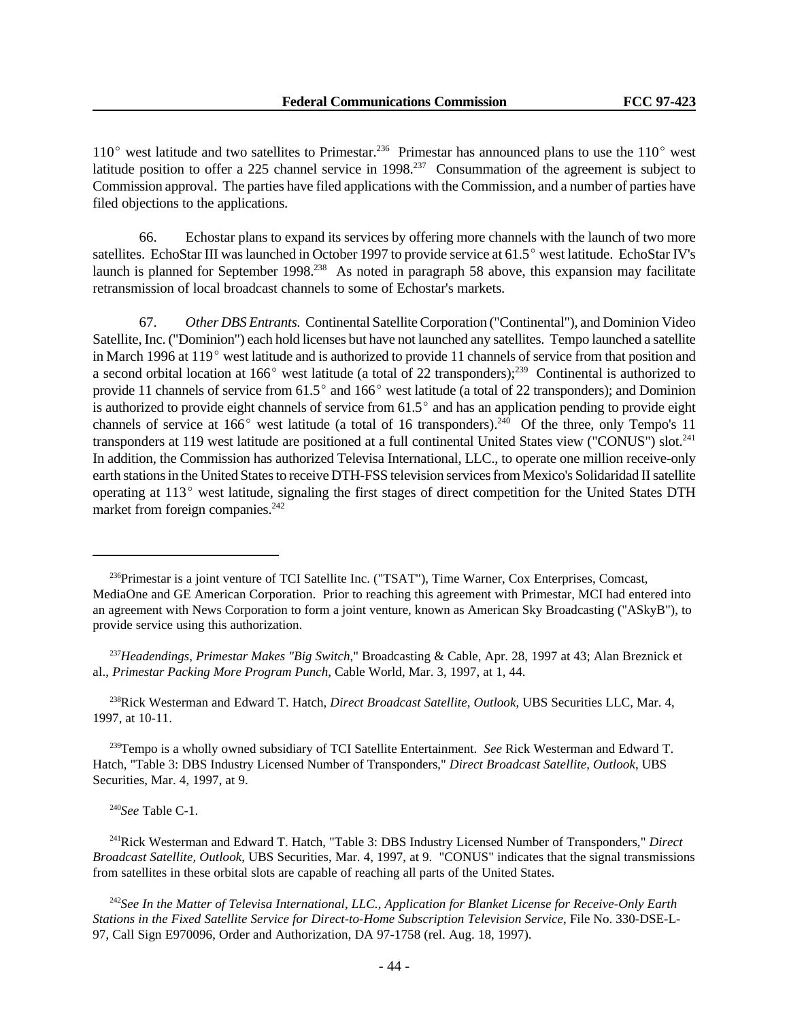$110^{\circ}$  west latitude and two satellites to Primestar.<sup>236</sup> Primestar has announced plans to use the 110 $^{\circ}$  west latitude position to offer a 225 channel service in  $1998$ <sup>237</sup> Consummation of the agreement is subject to Commission approval. The parties have filed applications with the Commission, and a number of parties have filed objections to the applications.

66. Echostar plans to expand its services by offering more channels with the launch of two more satellites. EchoStar III was launched in October 1997 to provide service at 61.5° west latitude. EchoStar IV's launch is planned for September 1998.<sup>238</sup> As noted in paragraph 58 above, this expansion may facilitate retransmission of local broadcast channels to some of Echostar's markets.

67. *Other DBS Entrants.* Continental Satellite Corporation ("Continental"), and Dominion Video Satellite, Inc. ("Dominion") each hold licenses but have not launched any satellites. Tempo launched a satellite in March 1996 at  $119^{\circ}$  west latitude and is authorized to provide 11 channels of service from that position and a second orbital location at 166 $^{\circ}$  west latitude (a total of 22 transponders);<sup>239</sup> Continental is authorized to provide 11 channels of service from  $61.5^{\circ}$  and  $166^{\circ}$  west latitude (a total of 22 transponders); and Dominion is authorized to provide eight channels of service from  $61.5^{\circ}$  and has an application pending to provide eight channels of service at  $166^{\circ}$  west latitude (a total of 16 transponders).<sup>240</sup> Of the three, only Tempo's 11 transponders at 119 west latitude are positioned at a full continental United States view ("CONUS") slot.<sup>241</sup> In addition, the Commission has authorized Televisa International, LLC., to operate one million receive-only earth stations in the United States to receive DTH-FSS television services from Mexico's Solidaridad II satellite operating at 113<sup>°</sup> west latitude, signaling the first stages of direct competition for the United States DTH market from foreign companies.<sup>242</sup>

<sup>238</sup>Rick Westerman and Edward T. Hatch, *Direct Broadcast Satellite, Outlook*, UBS Securities LLC, Mar. 4, 1997, at 10-11.

<sup>239</sup>Tempo is a wholly owned subsidiary of TCI Satellite Entertainment. *See* Rick Westerman and Edward T. Hatch, "Table 3: DBS Industry Licensed Number of Transponders," *Direct Broadcast Satellite, Outlook*, UBS Securities, Mar. 4, 1997, at 9.

<sup>240</sup>*See* Table C-1.

<sup>241</sup>Rick Westerman and Edward T. Hatch, "Table 3: DBS Industry Licensed Number of Transponders," *Direct Broadcast Satellite, Outlook*, UBS Securities, Mar. 4, 1997, at 9. "CONUS" indicates that the signal transmissions from satellites in these orbital slots are capable of reaching all parts of the United States.

<sup>242</sup>*See In the Matter of Televisa International, LLC., Application for Blanket License for Receive-Only Earth Stations in the Fixed Satellite Service for Direct-to-Home Subscription Television Service*, File No. 330-DSE-L-97, Call Sign E970096, Order and Authorization, DA 97-1758 (rel. Aug. 18, 1997).

<sup>236</sup>Primestar is a joint venture of TCI Satellite Inc. ("TSAT"), Time Warner, Cox Enterprises, Comcast, MediaOne and GE American Corporation. Prior to reaching this agreement with Primestar, MCI had entered into an agreement with News Corporation to form a joint venture, known as American Sky Broadcasting ("ASkyB"), to provide service using this authorization.

<sup>237</sup>*Headendings, Primestar Makes "Big Switch*," Broadcasting & Cable, Apr. 28, 1997 at 43; Alan Breznick et al., *Primestar Packing More Program Punch*, Cable World, Mar. 3, 1997, at 1, 44.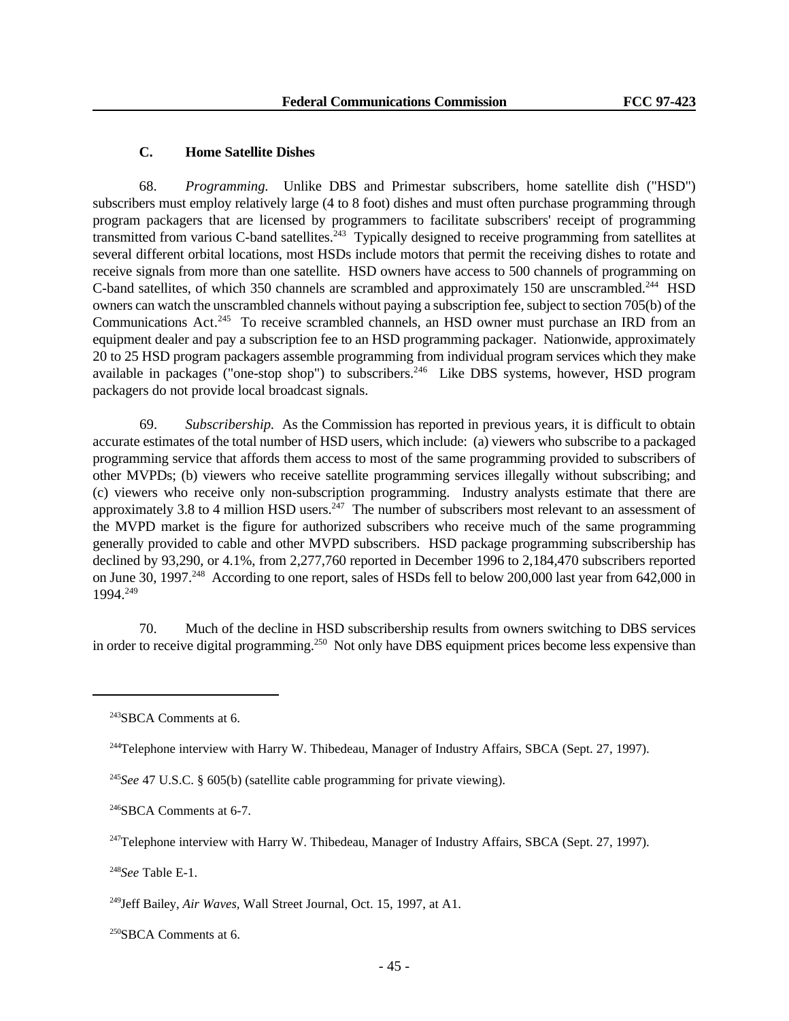## **C. Home Satellite Dishes**

68. *Programming.* Unlike DBS and Primestar subscribers, home satellite dish ("HSD") subscribers must employ relatively large (4 to 8 foot) dishes and must often purchase programming through program packagers that are licensed by programmers to facilitate subscribers' receipt of programming transmitted from various C-band satellites.<sup>243</sup> Typically designed to receive programming from satellites at several different orbital locations, most HSDs include motors that permit the receiving dishes to rotate and receive signals from more than one satellite. HSD owners have access to 500 channels of programming on C-band satellites, of which 350 channels are scrambled and approximately 150 are unscrambled.<sup>244</sup> HSD owners can watch the unscrambled channels without paying a subscription fee, subject to section 705(b) of the Communications Act.<sup>245</sup> To receive scrambled channels, an HSD owner must purchase an IRD from an equipment dealer and pay a subscription fee to an HSD programming packager. Nationwide, approximately 20 to 25 HSD program packagers assemble programming from individual program services which they make available in packages ("one-stop shop") to subscribers.<sup>246</sup> Like DBS systems, however, HSD program packagers do not provide local broadcast signals.

69. *Subscribership.* As the Commission has reported in previous years, it is difficult to obtain accurate estimates of the total number of HSD users, which include: (a) viewers who subscribe to a packaged programming service that affords them access to most of the same programming provided to subscribers of other MVPDs; (b) viewers who receive satellite programming services illegally without subscribing; and (c) viewers who receive only non-subscription programming. Industry analysts estimate that there are approximately 3.8 to 4 million HSD users.  $247$  The number of subscribers most relevant to an assessment of the MVPD market is the figure for authorized subscribers who receive much of the same programming generally provided to cable and other MVPD subscribers. HSD package programming subscribership has declined by 93,290, or 4.1%, from 2,277,760 reported in December 1996 to 2,184,470 subscribers reported on June 30, 1997.<sup>248</sup> According to one report, sales of HSDs fell to below 200,000 last year from 642,000 in 1994.<sup>249</sup>

70. Much of the decline in HSD subscribership results from owners switching to DBS services in order to receive digital programming.<sup>250</sup> Not only have DBS equipment prices become less expensive than

<sup>243</sup>SBCA Comments at 6.

<sup>&</sup>lt;sup>244</sup>Telephone interview with Harry W. Thibedeau, Manager of Industry Affairs, SBCA (Sept. 27, 1997).

<sup>245</sup>*See* 47 U.S.C. § 605(b) (satellite cable programming for private viewing).

<sup>&</sup>lt;sup>246</sup>SBCA Comments at 6-7.

 $247$ Telephone interview with Harry W. Thibedeau, Manager of Industry Affairs, SBCA (Sept. 27, 1997).

<sup>248</sup>*See* Table E-1.

<sup>249</sup>Jeff Bailey, *Air Waves,* Wall Street Journal, Oct. 15, 1997, at A1.

<sup>250</sup>SBCA Comments at 6.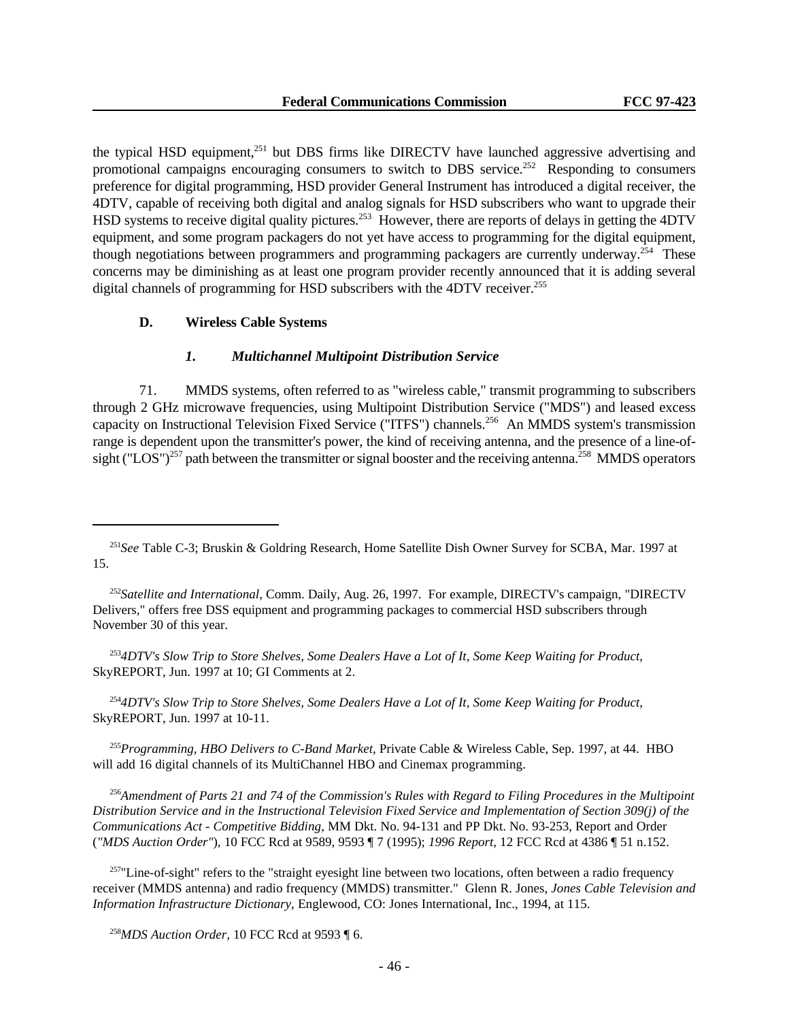the typical HSD equipment,<sup>251</sup> but DBS firms like DIRECTV have launched aggressive advertising and promotional campaigns encouraging consumers to switch to DBS service.<sup>252</sup> Responding to consumers preference for digital programming, HSD provider General Instrument has introduced a digital receiver, the 4DTV, capable of receiving both digital and analog signals for HSD subscribers who want to upgrade their HSD systems to receive digital quality pictures.<sup>253</sup> However, there are reports of delays in getting the 4DTV equipment, and some program packagers do not yet have access to programming for the digital equipment, though negotiations between programmers and programming packagers are currently underway.<sup>254</sup> These concerns may be diminishing as at least one program provider recently announced that it is adding several digital channels of programming for HSD subscribers with the 4DTV receiver.<sup>255</sup>

### **D. Wireless Cable Systems**

## *1. Multichannel Multipoint Distribution Service*

71. MMDS systems, often referred to as "wireless cable," transmit programming to subscribers through 2 GHz microwave frequencies, using Multipoint Distribution Service ("MDS") and leased excess capacity on Instructional Television Fixed Service ("ITFS") channels.<sup>256</sup> An MMDS system's transmission range is dependent upon the transmitter's power, the kind of receiving antenna, and the presence of a line-ofsight ("LOS")<sup>257</sup> path between the transmitter or signal booster and the receiving antenna.<sup>258</sup> MMDS operators

<sup>252</sup>*Satellite and International*, Comm. Daily, Aug. 26, 1997. For example, DIRECTV's campaign, "DIRECTV Delivers," offers free DSS equipment and programming packages to commercial HSD subscribers through November 30 of this year.

<sup>253</sup>*4DTV's Slow Trip to Store Shelves, Some Dealers Have a Lot of It, Some Keep Waiting for Product*, SkyREPORT, Jun. 1997 at 10; GI Comments at 2.

<sup>254</sup>*4DTV's Slow Trip to Store Shelves, Some Dealers Have a Lot of It, Some Keep Waiting for Product*, SkyREPORT, Jun. 1997 at 10-11.

<sup>255</sup>*Programming, HBO Delivers to C-Band Market*, Private Cable & Wireless Cable, Sep. 1997, at 44. HBO will add 16 digital channels of its MultiChannel HBO and Cinemax programming.

<sup>256</sup>*Amendment of Parts 21 and 74 of the Commission's Rules with Regard to Filing Procedures in the Multipoint Distribution Service and in the Instructional Television Fixed Service and Implementation of Section 309(j) of the Communications Act - Competitive Bidding*, MM Dkt. No. 94-131 and PP Dkt. No. 93-253, Report and Order (*"MDS Auction Order"*), 10 FCC Rcd at 9589, 9593 ¶ 7 (1995); *1996 Report*, 12 FCC Rcd at 4386 ¶ 51 n.152.

<sup>257</sup>"Line-of-sight" refers to the "straight eyesight line between two locations, often between a radio frequency receiver (MMDS antenna) and radio frequency (MMDS) transmitter." Glenn R. Jones, *Jones Cable Television and Information Infrastructure Dictionary*, Englewood, CO: Jones International, Inc., 1994, at 115.

<sup>258</sup>*MDS Auction Order,* 10 FCC Rcd at 9593 ¶ 6.

<sup>251</sup>*See* Table C-3; Bruskin & Goldring Research, Home Satellite Dish Owner Survey for SCBA, Mar. 1997 at 15.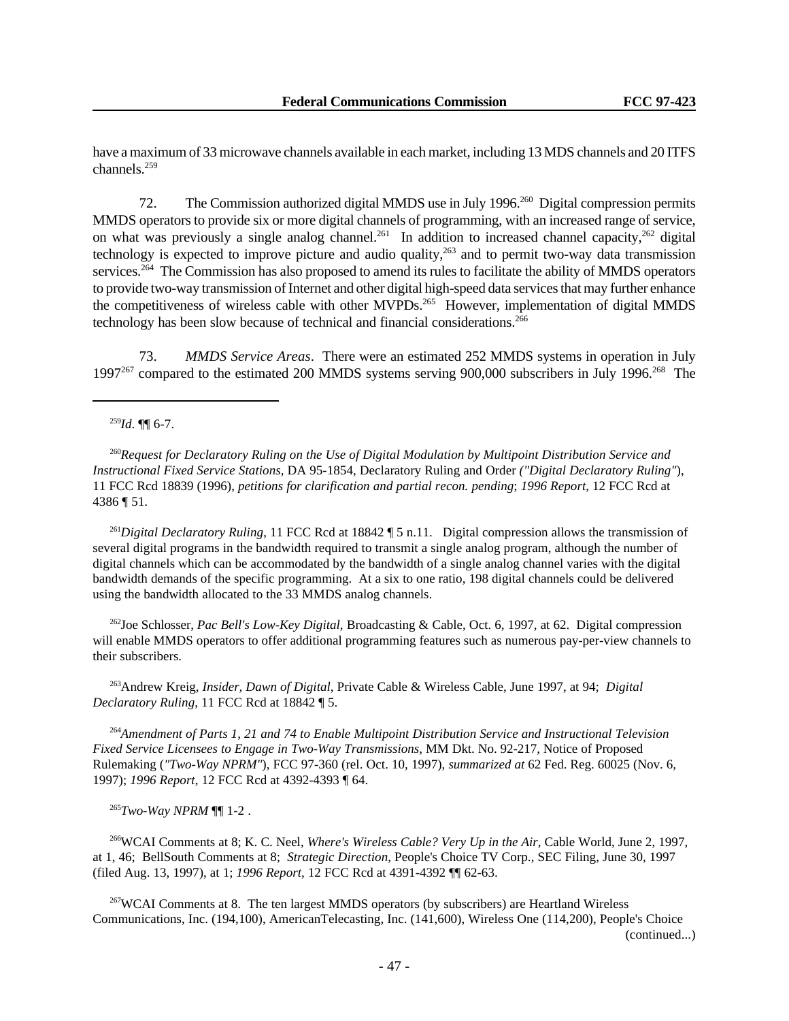have a maximum of 33 microwave channels available in each market, including 13 MDS channels and 20 ITFS channels.<sup>259</sup>

72. The Commission authorized digital MMDS use in July 1996.<sup>260</sup> Digital compression permits MMDS operators to provide six or more digital channels of programming, with an increased range of service, on what was previously a single analog channel.<sup>261</sup> In addition to increased channel capacity,<sup>262</sup> digital technology is expected to improve picture and audio quality, $263$  and to permit two-way data transmission services.<sup>264</sup> The Commission has also proposed to amend its rules to facilitate the ability of MMDS operators to provide two-way transmission of Internet and other digital high-speed data services that may further enhance the competitiveness of wireless cable with other MVPDs.<sup>265</sup> However, implementation of digital MMDS technology has been slow because of technical and financial considerations.<sup>266</sup>

73. *MMDS Service Areas*. There were an estimated 252 MMDS systems in operation in July 1997<sup>267</sup> compared to the estimated 200 MMDS systems serving 900,000 subscribers in July 1996.<sup>268</sup> The

<sup>259</sup>*Id*. ¶¶ 6-7.

<sup>260</sup>*Request for Declaratory Ruling on the Use of Digital Modulation by Multipoint Distribution Service and Instructional Fixed Service Stations,* DA 95-1854, Declaratory Ruling and Order *("Digital Declaratory Ruling"*), 11 FCC Rcd 18839 (1996), *petitions for clarification and partial recon. pending*; *1996 Report*, 12 FCC Rcd at 4386 ¶ 51.

<sup>261</sup>Digital Declaratory Ruling, 11 FCC Rcd at 18842 [5 n.11. Digital compression allows the transmission of several digital programs in the bandwidth required to transmit a single analog program, although the number of digital channels which can be accommodated by the bandwidth of a single analog channel varies with the digital bandwidth demands of the specific programming. At a six to one ratio, 198 digital channels could be delivered using the bandwidth allocated to the 33 MMDS analog channels.

<sup>262</sup>Joe Schlosser, *Pac Bell's Low-Key Digital*, Broadcasting & Cable, Oct. 6, 1997, at 62. Digital compression will enable MMDS operators to offer additional programming features such as numerous pay-per-view channels to their subscribers.

<sup>263</sup>Andrew Kreig, *Insider, Dawn of Digital*, Private Cable & Wireless Cable, June 1997, at 94; *Digital Declaratory Ruling*, 11 FCC Rcd at 18842 ¶ 5.

<sup>264</sup>*Amendment of Parts 1, 21 and 74 to Enable Multipoint Distribution Service and Instructional Television Fixed Service Licensees to Engage in Two-Way Transmissions*, MM Dkt. No. 92-217, Notice of Proposed Rulemaking (*"Two-Way NPRM"*), FCC 97-360 (rel. Oct. 10, 1997), *summarized at* 62 Fed. Reg. 60025 (Nov. 6, 1997); *1996 Report*, 12 FCC Rcd at 4392-4393 ¶ 64.

<sup>265</sup>*Two-Way NPRM* ¶¶ 1-2 .

<sup>266</sup>WCAI Comments at 8; K. C. Neel, *Where's Wireless Cable? Very Up in the Air*, Cable World, June 2, 1997, at 1, 46; BellSouth Comments at 8; *Strategic Direction*, People's Choice TV Corp., SEC Filing, June 30, 1997 (filed Aug. 13, 1997), at 1; *1996 Report*, 12 FCC Rcd at 4391-4392 ¶¶ 62-63.

<sup>267</sup>WCAI Comments at 8. The ten largest MMDS operators (by subscribers) are Heartland Wireless Communications, Inc. (194,100), AmericanTelecasting, Inc. (141,600), Wireless One (114,200), People's Choice (continued...)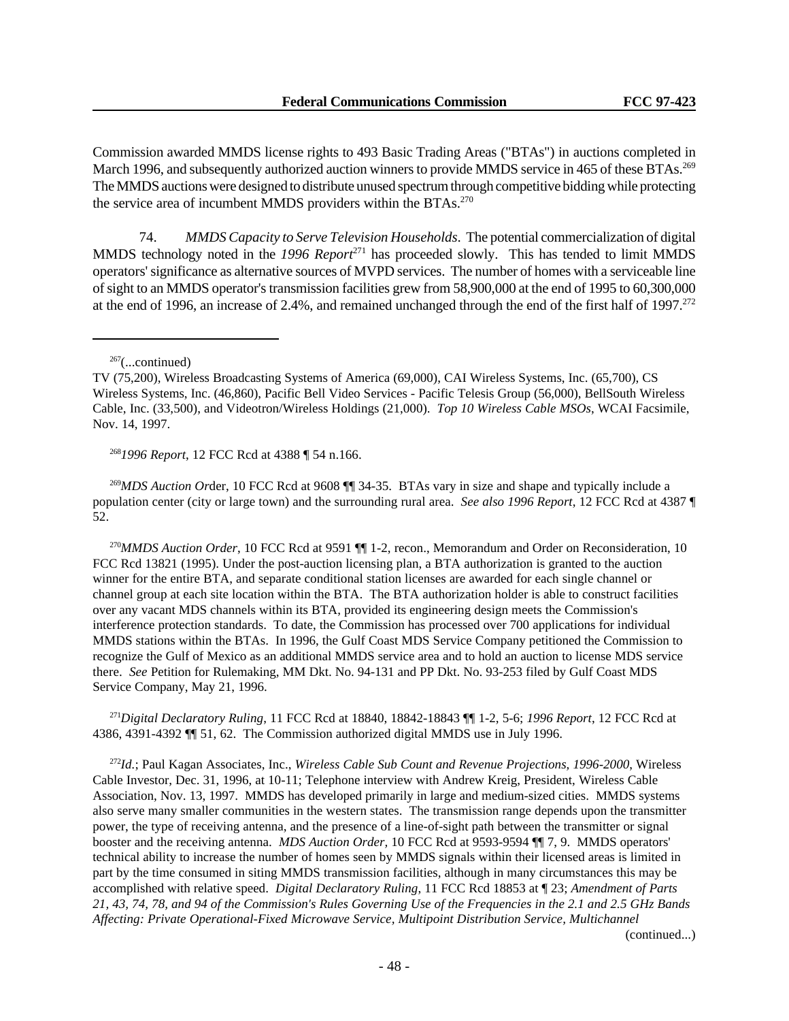Commission awarded MMDS license rights to 493 Basic Trading Areas ("BTAs") in auctions completed in March 1996, and subsequently authorized auction winners to provide MMDS service in 465 of these BTAs.<sup>269</sup> The MMDS auctions were designed to distribute unused spectrum through competitive bidding while protecting the service area of incumbent MMDS providers within the BTAs.<sup>270</sup>

74. *MMDS Capacity to Serve Television Households*. The potential commercialization of digital MMDS technology noted in the 1996 Report<sup>271</sup> has proceeded slowly. This has tended to limit MMDS operators' significance as alternative sources of MVPD services. The number of homes with a serviceable line of sight to an MMDS operator's transmission facilities grew from 58,900,000 at the end of 1995 to 60,300,000 at the end of 1996, an increase of 2.4%, and remained unchanged through the end of the first half of 1997.<sup>272</sup>

 $267$ (...continued)

<sup>268</sup>*1996 Report*, 12 FCC Rcd at 4388 ¶ 54 n.166.

<sup>269</sup>*MDS Auction Or*der, 10 FCC Rcd at 9608 ¶¶ 34-35. BTAs vary in size and shape and typically include a population center (city or large town) and the surrounding rural area. *See also 1996 Report*, 12 FCC Rcd at 4387 ¶ 52.

<sup>270</sup>*MMDS Auction Order*, 10 FCC Rcd at 9591 ¶¶ 1-2, recon., Memorandum and Order on Reconsideration, 10 FCC Rcd 13821 (1995). Under the post-auction licensing plan, a BTA authorization is granted to the auction winner for the entire BTA, and separate conditional station licenses are awarded for each single channel or channel group at each site location within the BTA. The BTA authorization holder is able to construct facilities over any vacant MDS channels within its BTA, provided its engineering design meets the Commission's interference protection standards. To date, the Commission has processed over 700 applications for individual MMDS stations within the BTAs. In 1996, the Gulf Coast MDS Service Company petitioned the Commission to recognize the Gulf of Mexico as an additional MMDS service area and to hold an auction to license MDS service there. *See* Petition for Rulemaking, MM Dkt. No. 94-131 and PP Dkt. No. 93-253 filed by Gulf Coast MDS Service Company, May 21, 1996.

<sup>271</sup>*Digital Declaratory Ruling*, 11 FCC Rcd at 18840, 18842-18843 ¶¶ 1-2, 5-6; *1996 Report*, 12 FCC Rcd at 4386, 4391-4392 ¶¶ 51, 62. The Commission authorized digital MMDS use in July 1996.

<sup>272</sup>*Id.*; Paul Kagan Associates, Inc., *Wireless Cable Sub Count and Revenue Projections, 1996-2000*, Wireless Cable Investor, Dec. 31, 1996, at 10-11; Telephone interview with Andrew Kreig, President, Wireless Cable Association, Nov. 13, 1997. MMDS has developed primarily in large and medium-sized cities. MMDS systems also serve many smaller communities in the western states. The transmission range depends upon the transmitter power, the type of receiving antenna, and the presence of a line-of-sight path between the transmitter or signal booster and the receiving antenna. *MDS Auction Order,* 10 FCC Rcd at 9593-9594 ¶¶ 7, 9. MMDS operators' technical ability to increase the number of homes seen by MMDS signals within their licensed areas is limited in part by the time consumed in siting MMDS transmission facilities, although in many circumstances this may be accomplished with relative speed. *Digital Declaratory Ruling*, 11 FCC Rcd 18853 at ¶ 23; *Amendment of Parts 21, 43, 74, 78, and 94 of the Commission's Rules Governing Use of the Frequencies in the 2.1 and 2.5 GHz Bands Affecting: Private Operational-Fixed Microwave Service, Multipoint Distribution Service, Multichannel*

(continued...)

TV (75,200), Wireless Broadcasting Systems of America (69,000), CAI Wireless Systems, Inc. (65,700), CS Wireless Systems, Inc. (46,860), Pacific Bell Video Services - Pacific Telesis Group (56,000), BellSouth Wireless Cable, Inc. (33,500), and Videotron/Wireless Holdings (21,000). *Top 10 Wireless Cable MSOs*, WCAI Facsimile, Nov. 14, 1997.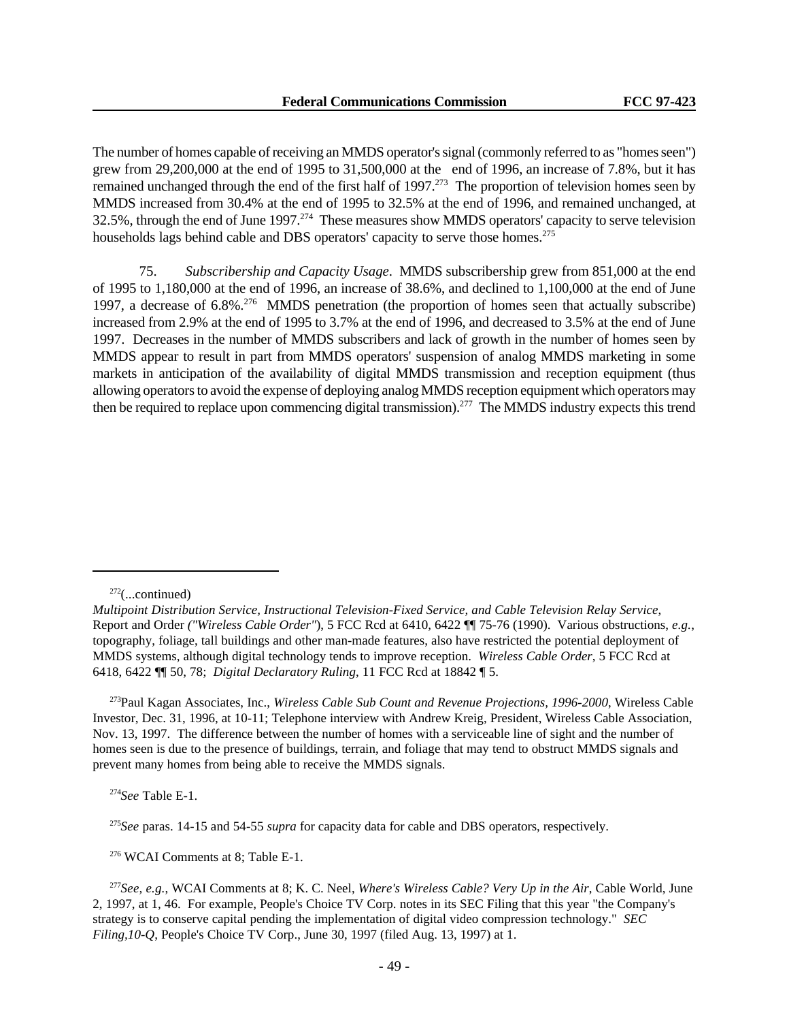The number of homes capable of receiving an MMDS operator's signal (commonly referred to as "homes seen") grew from 29,200,000 at the end of 1995 to 31,500,000 at the end of 1996, an increase of 7.8%, but it has remained unchanged through the end of the first half of 1997.<sup>273</sup> The proportion of television homes seen by MMDS increased from 30.4% at the end of 1995 to 32.5% at the end of 1996, and remained unchanged, at 32.5%, through the end of June 1997.<sup>274</sup> These measures show MMDS operators' capacity to serve television households lags behind cable and DBS operators' capacity to serve those homes.<sup>275</sup>

75. *Subscribership and Capacity Usage*. MMDS subscribership grew from 851,000 at the end of 1995 to 1,180,000 at the end of 1996, an increase of 38.6%, and declined to 1,100,000 at the end of June 1997, a decrease of 6.8%<sup>276</sup> MMDS penetration (the proportion of homes seen that actually subscribe) increased from 2.9% at the end of 1995 to 3.7% at the end of 1996, and decreased to 3.5% at the end of June 1997. Decreases in the number of MMDS subscribers and lack of growth in the number of homes seen by MMDS appear to result in part from MMDS operators' suspension of analog MMDS marketing in some markets in anticipation of the availability of digital MMDS transmission and reception equipment (thus allowing operators to avoid the expense of deploying analog MMDS reception equipment which operators may then be required to replace upon commencing digital transmission).<sup>277</sup> The MMDS industry expects this trend

<sup>273</sup>Paul Kagan Associates, Inc., *Wireless Cable Sub Count and Revenue Projections, 1996-2000*, Wireless Cable Investor, Dec. 31, 1996, at 10-11; Telephone interview with Andrew Kreig, President, Wireless Cable Association, Nov. 13, 1997. The difference between the number of homes with a serviceable line of sight and the number of homes seen is due to the presence of buildings, terrain, and foliage that may tend to obstruct MMDS signals and prevent many homes from being able to receive the MMDS signals.

<sup>274</sup>*See* Table E-1.

<sup>275</sup>*See* paras. 14-15 and 54-55 *supra* for capacity data for cable and DBS operators, respectively.

<sup>276</sup> WCAI Comments at 8; Table E-1.

 $272$ (...continued)

*Multipoint Distribution Service, Instructional Television-Fixed Service, and Cable Television Relay Service*, Report and Order *("Wireless Cable Order"*), 5 FCC Rcd at 6410, 6422 ¶¶ 75-76 (1990). Various obstructions, *e.g.*, topography, foliage, tall buildings and other man-made features, also have restricted the potential deployment of MMDS systems, although digital technology tends to improve reception. *Wireless Cable Order*, 5 FCC Rcd at 6418, 6422 ¶¶ 50, 78; *Digital Declaratory Ruling*, 11 FCC Rcd at 18842 ¶ 5.

<sup>277</sup>*See, e.g.*, WCAI Comments at 8; K. C. Neel, *Where's Wireless Cable? Very Up in the Air*, Cable World, June 2, 1997, at 1, 46. For example, People's Choice TV Corp. notes in its SEC Filing that this year "the Company's strategy is to conserve capital pending the implementation of digital video compression technology." *SEC Filing,10-Q*, People's Choice TV Corp., June 30, 1997 (filed Aug. 13, 1997) at 1.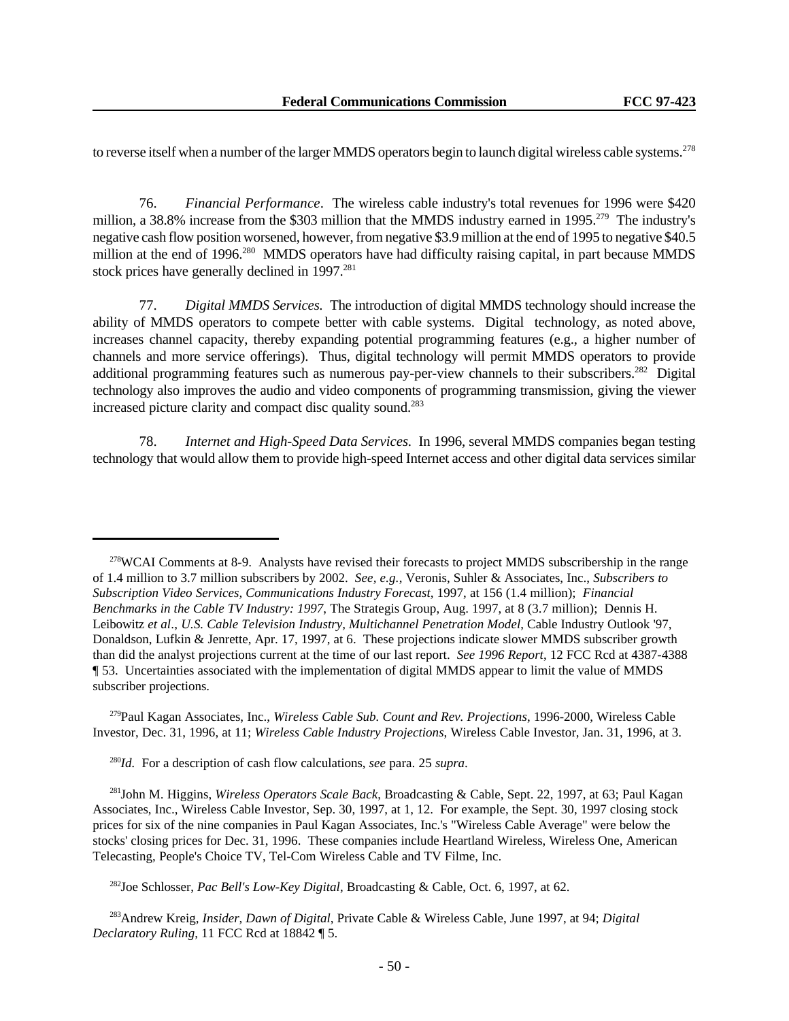to reverse itself when a number of the larger MMDS operators begin to launch digital wireless cable systems.<sup>278</sup>

76. *Financial Performance*. The wireless cable industry's total revenues for 1996 were \$420 million, a 38.8% increase from the \$303 million that the MMDS industry earned in 1995.<sup>279</sup> The industry's negative cash flow position worsened, however, from negative \$3.9 million at the end of 1995 to negative \$40.5 million at the end of 1996<sup>280</sup> MMDS operators have had difficulty raising capital, in part because MMDS stock prices have generally declined in  $1997.^{281}$ 

77. *Digital MMDS Services.* The introduction of digital MMDS technology should increase the ability of MMDS operators to compete better with cable systems. Digital technology, as noted above, increases channel capacity, thereby expanding potential programming features (e.g., a higher number of channels and more service offerings). Thus, digital technology will permit MMDS operators to provide additional programming features such as numerous pay-per-view channels to their subscribers.<sup>282</sup> Digital technology also improves the audio and video components of programming transmission, giving the viewer increased picture clarity and compact disc quality sound.<sup>283</sup>

78. *Internet and High-Speed Data Services.* In 1996, several MMDS companies began testing technology that would allow them to provide high-speed Internet access and other digital data services similar

<sup>279</sup>Paul Kagan Associates, Inc., *Wireless Cable Sub. Count and Rev. Projections*, 1996-2000, Wireless Cable Investor, Dec. 31, 1996, at 11; *Wireless Cable Industry Projections*, Wireless Cable Investor, Jan. 31, 1996, at 3.

<sup>280</sup>*Id.* For a description of cash flow calculations, *see* para. 25 *supra*.

<sup>281</sup>John M. Higgins, *Wireless Operators Scale Back*, Broadcasting & Cable, Sept. 22, 1997, at 63; Paul Kagan Associates, Inc., Wireless Cable Investor, Sep. 30, 1997, at 1, 12. For example, the Sept. 30, 1997 closing stock prices for six of the nine companies in Paul Kagan Associates, Inc.'s "Wireless Cable Average" were below the stocks' closing prices for Dec. 31, 1996. These companies include Heartland Wireless, Wireless One, American Telecasting, People's Choice TV, Tel-Com Wireless Cable and TV Filme, Inc.

<sup>282</sup>Joe Schlosser, *Pac Bell's Low-Key Digital*, Broadcasting & Cable, Oct. 6, 1997, at 62.

<sup>283</sup>Andrew Kreig, *Insider, Dawn of Digital*, Private Cable & Wireless Cable, June 1997, at 94; *Digital Declaratory Ruling*, 11 FCC Rcd at 18842 ¶ 5.

<sup>&</sup>lt;sup>278</sup>WCAI Comments at 8-9. Analysts have revised their forecasts to project MMDS subscribership in the range of 1.4 million to 3.7 million subscribers by 2002. *See, e.g.*, Veronis, Suhler & Associates, Inc., *Subscribers to Subscription Video Services, Communications Industry Forecast,* 1997, at 156 (1.4 million); *Financial Benchmarks in the Cable TV Industry: 1997*, The Strategis Group, Aug. 1997, at 8 (3.7 million); Dennis H. Leibowitz *et al*., *U.S. Cable Television Industry, Multichannel Penetration Model*, Cable Industry Outlook '97, Donaldson, Lufkin & Jenrette, Apr. 17, 1997, at 6. These projections indicate slower MMDS subscriber growth than did the analyst projections current at the time of our last report. *See 1996 Report*, 12 FCC Rcd at 4387-4388 ¶ 53. Uncertainties associated with the implementation of digital MMDS appear to limit the value of MMDS subscriber projections.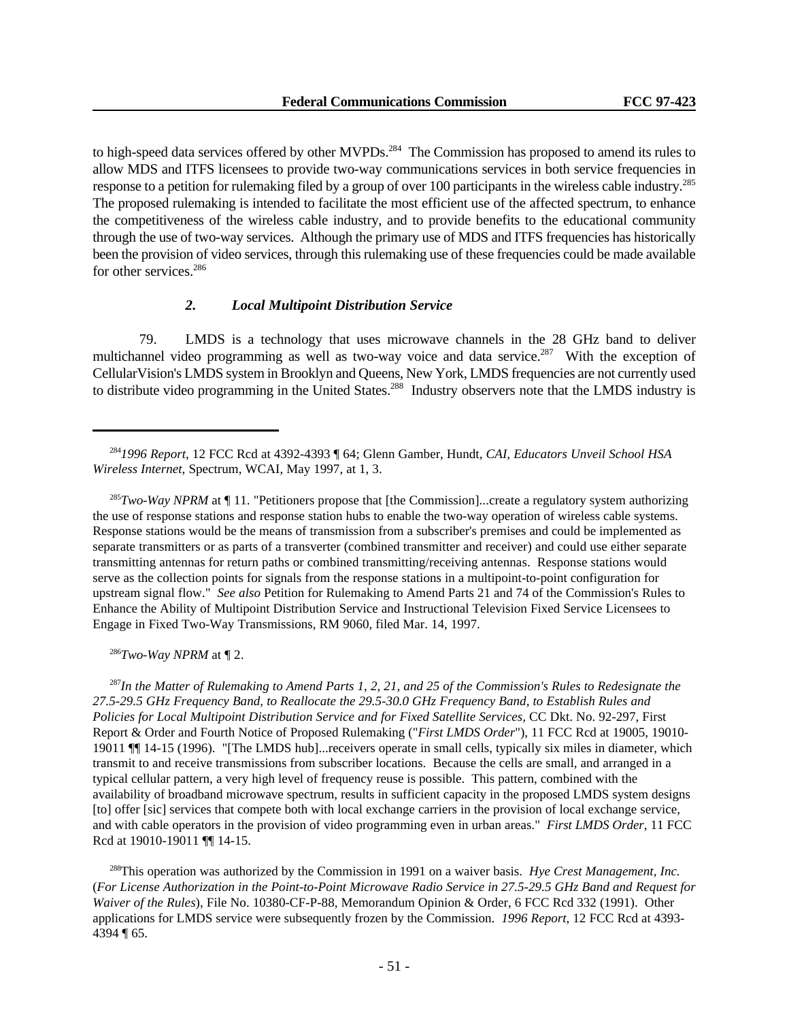to high-speed data services offered by other MVPDs.<sup>284</sup> The Commission has proposed to amend its rules to allow MDS and ITFS licensees to provide two-way communications services in both service frequencies in response to a petition for rulemaking filed by a group of over 100 participants in the wireless cable industry.<sup>285</sup> The proposed rulemaking is intended to facilitate the most efficient use of the affected spectrum, to enhance the competitiveness of the wireless cable industry, and to provide benefits to the educational community through the use of two-way services. Although the primary use of MDS and ITFS frequencies has historically been the provision of video services, through this rulemaking use of these frequencies could be made available for other services.<sup>286</sup>

# *2. Local Multipoint Distribution Service*

79. LMDS is a technology that uses microwave channels in the 28 GHz band to deliver multichannel video programming as well as two-way voice and data service.<sup>287</sup> With the exception of CellularVision's LMDS system in Brooklyn and Queens, New York, LMDS frequencies are not currently used to distribute video programming in the United States.<sup>288</sup> Industry observers note that the LMDS industry is

<sup>285</sup>*Two-Way NPRM* at ¶ 11. "Petitioners propose that [the Commission]...create a regulatory system authorizing the use of response stations and response station hubs to enable the two-way operation of wireless cable systems. Response stations would be the means of transmission from a subscriber's premises and could be implemented as separate transmitters or as parts of a transverter (combined transmitter and receiver) and could use either separate transmitting antennas for return paths or combined transmitting/receiving antennas. Response stations would serve as the collection points for signals from the response stations in a multipoint-to-point configuration for upstream signal flow." *See also* Petition for Rulemaking to Amend Parts 21 and 74 of the Commission's Rules to Enhance the Ability of Multipoint Distribution Service and Instructional Television Fixed Service Licensees to Engage in Fixed Two-Way Transmissions, RM 9060, filed Mar. 14, 1997.

 $286$ *Two-Way NPRM* at  $\P$  2.

<sup>287</sup>*In the Matter of Rulemaking to Amend Parts 1, 2, 21, and 25 of the Commission's Rules to Redesignate the 27.5-29.5 GHz Frequency Band, to Reallocate the 29.5-30.0 GHz Frequency Band, to Establish Rules and Policies for Local Multipoint Distribution Service and for Fixed Satellite Services,* CC Dkt. No. 92-297, First Report & Order and Fourth Notice of Proposed Rulemaking ("*First LMDS Order*"), 11 FCC Rcd at 19005, 19010- 19011 ¶¶ 14-15 (1996). "[The LMDS hub]...receivers operate in small cells, typically six miles in diameter, which transmit to and receive transmissions from subscriber locations. Because the cells are small, and arranged in a typical cellular pattern, a very high level of frequency reuse is possible. This pattern, combined with the availability of broadband microwave spectrum, results in sufficient capacity in the proposed LMDS system designs [to] offer [sic] services that compete both with local exchange carriers in the provision of local exchange service, and with cable operators in the provision of video programming even in urban areas." *First LMDS Order*, 11 FCC Rcd at 19010-19011 ¶¶ 14-15.

<sup>288</sup>This operation was authorized by the Commission in 1991 on a waiver basis. *Hye Crest Management, Inc.* (*For License Authorization in the Point-to-Point Microwave Radio Service in 27.5-29.5 GHz Band and Request for Waiver of the Rules*), File No. 10380-CF-P-88, Memorandum Opinion & Order, 6 FCC Rcd 332 (1991). Other applications for LMDS service were subsequently frozen by the Commission. *1996 Report*, 12 FCC Rcd at 4393- 4394 ¶ 65.

<sup>284</sup>*1996 Report*, 12 FCC Rcd at 4392-4393 ¶ 64; Glenn Gamber, Hundt, *CAI, Educators Unveil School HSA Wireless Internet*, Spectrum, WCAI, May 1997, at 1, 3.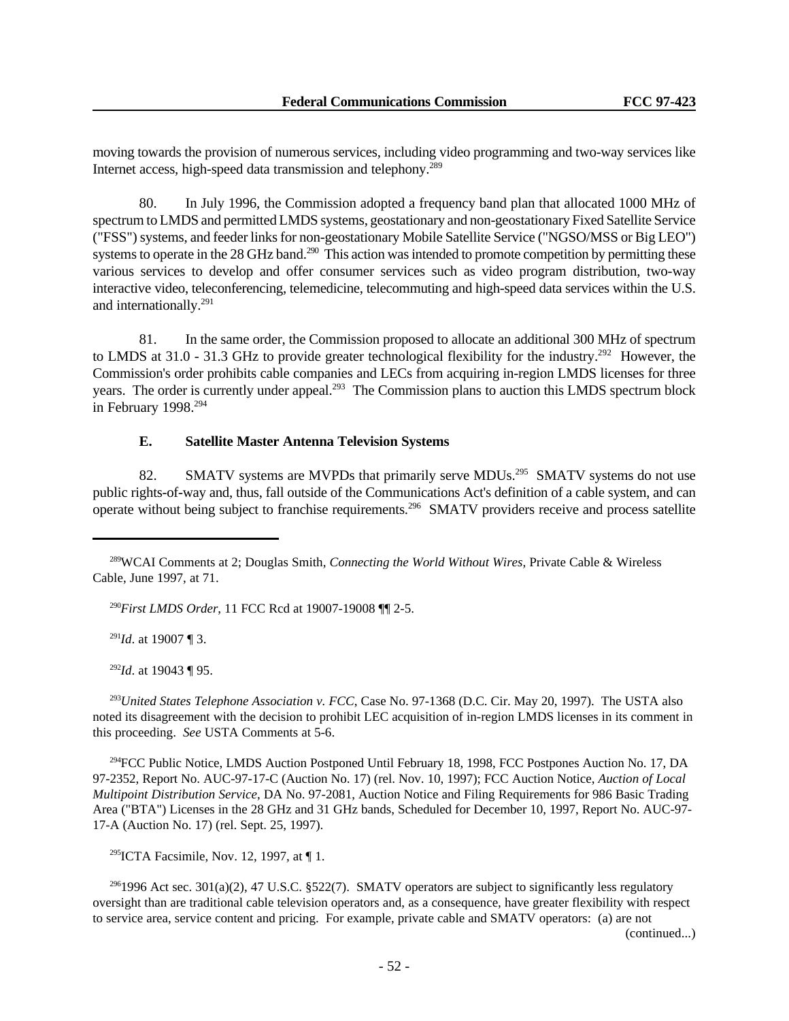moving towards the provision of numerous services, including video programming and two-way services like Internet access, high-speed data transmission and telephony.<sup>289</sup>

80. In July 1996, the Commission adopted a frequency band plan that allocated 1000 MHz of spectrum to LMDS and permitted LMDS systems, geostationary and non-geostationary Fixed Satellite Service ("FSS") systems, and feeder links for non-geostationary Mobile Satellite Service ("NGSO/MSS or Big LEO") systems to operate in the 28 GHz band.<sup>290</sup> This action was intended to promote competition by permitting these various services to develop and offer consumer services such as video program distribution, two-way interactive video, teleconferencing, telemedicine, telecommuting and high-speed data services within the U.S. and internationally.<sup>291</sup>

81. In the same order, the Commission proposed to allocate an additional 300 MHz of spectrum to LMDS at  $31.0 - 31.3$  GHz to provide greater technological flexibility for the industry.<sup>292</sup> However, the Commission's order prohibits cable companies and LECs from acquiring in-region LMDS licenses for three years. The order is currently under appeal.<sup>293</sup> The Commission plans to auction this LMDS spectrum block in February 1998.<sup>294</sup>

# **E. Satellite Master Antenna Television Systems**

82. SMATV systems are MVPDs that primarily serve MDUs.<sup>295</sup> SMATV systems do not use public rights-of-way and, thus, fall outside of the Communications Act's definition of a cable system, and can operate without being subject to franchise requirements.<sup>296</sup> SMATV providers receive and process satellite

<sup>290</sup>*First LMDS Order*, 11 FCC Rcd at 19007-19008 ¶¶ 2-5.

<sup>291</sup>*Id*. at 19007 ¶ 3.

<sup>292</sup>*Id*. at 19043 ¶ 95.

<sup>293</sup>*United States Telephone Association v. FCC*, Case No. 97-1368 (D.C. Cir. May 20, 1997). The USTA also noted its disagreement with the decision to prohibit LEC acquisition of in-region LMDS licenses in its comment in this proceeding. *See* USTA Comments at 5-6.

<sup>294</sup>FCC Public Notice, LMDS Auction Postponed Until February 18, 1998, FCC Postpones Auction No. 17, DA 97-2352, Report No. AUC-97-17-C (Auction No. 17) (rel. Nov. 10, 1997); FCC Auction Notice, *Auction of Local Multipoint Distribution Service*, DA No. 97-2081, Auction Notice and Filing Requirements for 986 Basic Trading Area ("BTA") Licenses in the 28 GHz and 31 GHz bands, Scheduled for December 10, 1997, Report No. AUC-97- 17-A (Auction No. 17) (rel. Sept. 25, 1997).

<sup>295</sup>ICTA Facsimile, Nov. 12, 1997, at  $\P$  1.

<sup>296</sup>1996 Act sec. 301(a)(2), 47 U.S.C. §522(7). SMATV operators are subject to significantly less regulatory oversight than are traditional cable television operators and, as a consequence, have greater flexibility with respect to service area, service content and pricing. For example, private cable and SMATV operators: (a) are not

(continued...)

<sup>289</sup>WCAI Comments at 2; Douglas Smith, *Connecting the World Without Wires*, Private Cable & Wireless Cable, June 1997, at 71.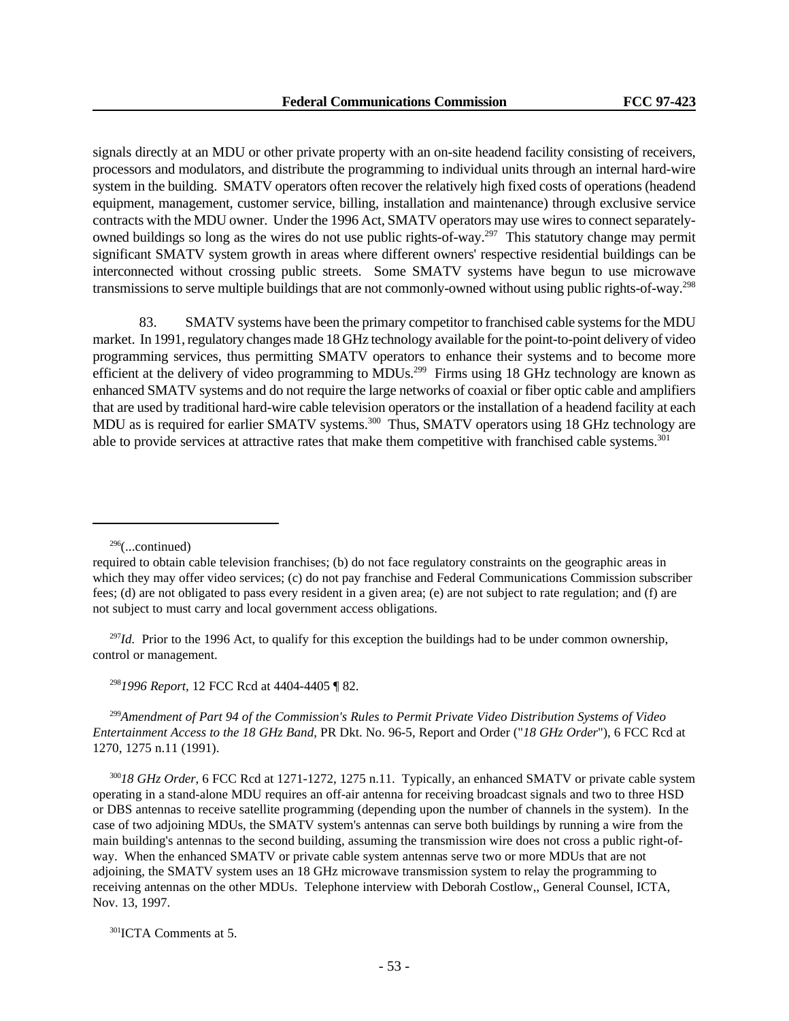signals directly at an MDU or other private property with an on-site headend facility consisting of receivers, processors and modulators, and distribute the programming to individual units through an internal hard-wire system in the building. SMATV operators often recover the relatively high fixed costs of operations (headend equipment, management, customer service, billing, installation and maintenance) through exclusive service contracts with the MDU owner. Under the 1996 Act, SMATV operators may use wires to connect separatelyowned buildings so long as the wires do not use public rights-of-way.<sup>297</sup> This statutory change may permit significant SMATV system growth in areas where different owners' respective residential buildings can be interconnected without crossing public streets. Some SMATV systems have begun to use microwave transmissions to serve multiple buildings that are not commonly-owned without using public rights-of-way.<sup>298</sup>

83. SMATV systems have been the primary competitor to franchised cable systems for the MDU market. In 1991, regulatory changes made 18 GHz technology available for the point-to-point delivery of video programming services, thus permitting SMATV operators to enhance their systems and to become more efficient at the delivery of video programming to MDUs.<sup>299</sup> Firms using 18 GHz technology are known as enhanced SMATV systems and do not require the large networks of coaxial or fiber optic cable and amplifiers that are used by traditional hard-wire cable television operators or the installation of a headend facility at each MDU as is required for earlier SMATV systems.<sup>300</sup> Thus, SMATV operators using 18 GHz technology are able to provide services at attractive rates that make them competitive with franchised cable systems.<sup>301</sup>

<sup>297</sup>*Id.* Prior to the 1996 Act, to qualify for this exception the buildings had to be under common ownership, control or management.

<sup>298</sup>*1996 Report*, 12 FCC Rcd at 4404-4405 ¶ 82.

<sup>299</sup>*Amendment of Part 94 of the Commission's Rules to Permit Private Video Distribution Systems of Video Entertainment Access to the 18 GHz Band*, PR Dkt. No. 96-5, Report and Order ("*18 GHz Order*"), 6 FCC Rcd at 1270, 1275 n.11 (1991).

<sup>300</sup>*18 GHz Order*, 6 FCC Rcd at 1271-1272, 1275 n.11. Typically, an enhanced SMATV or private cable system operating in a stand-alone MDU requires an off-air antenna for receiving broadcast signals and two to three HSD or DBS antennas to receive satellite programming (depending upon the number of channels in the system). In the case of two adjoining MDUs, the SMATV system's antennas can serve both buildings by running a wire from the main building's antennas to the second building, assuming the transmission wire does not cross a public right-ofway. When the enhanced SMATV or private cable system antennas serve two or more MDUs that are not adjoining, the SMATV system uses an 18 GHz microwave transmission system to relay the programming to receiving antennas on the other MDUs. Telephone interview with Deborah Costlow,, General Counsel, ICTA, Nov. 13, 1997.

<sup>301</sup>ICTA Comments at 5.

 $296$ (...continued)

required to obtain cable television franchises; (b) do not face regulatory constraints on the geographic areas in which they may offer video services; (c) do not pay franchise and Federal Communications Commission subscriber fees; (d) are not obligated to pass every resident in a given area; (e) are not subject to rate regulation; and (f) are not subject to must carry and local government access obligations.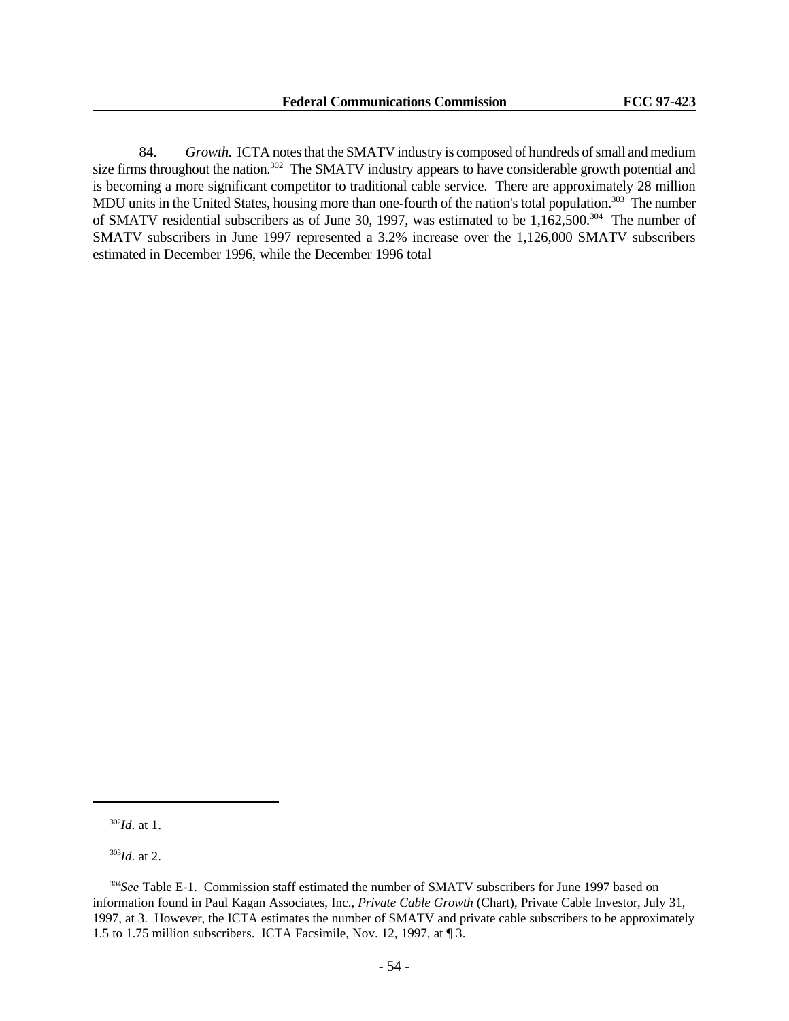84. *Growth.* ICTA notes that the SMATV industry is composed of hundreds of small and medium size firms throughout the nation.<sup>302</sup> The SMATV industry appears to have considerable growth potential and is becoming a more significant competitor to traditional cable service. There are approximately 28 million MDU units in the United States, housing more than one-fourth of the nation's total population.<sup>303</sup> The number of SMATV residential subscribers as of June 30, 1997, was estimated to be 1,162,500.<sup>304</sup> The number of SMATV subscribers in June 1997 represented a 3.2% increase over the 1,126,000 SMATV subscribers estimated in December 1996, while the December 1996 total

<sup>303</sup>*Id*. at 2.

<sup>302</sup>*Id*. at 1.

<sup>&</sup>lt;sup>304</sup>See Table E-1. Commission staff estimated the number of SMATV subscribers for June 1997 based on information found in Paul Kagan Associates, Inc., *Private Cable Growth* (Chart), Private Cable Investor, July 31, 1997, at 3. However, the ICTA estimates the number of SMATV and private cable subscribers to be approximately 1.5 to 1.75 million subscribers. ICTA Facsimile, Nov. 12, 1997, at ¶ 3.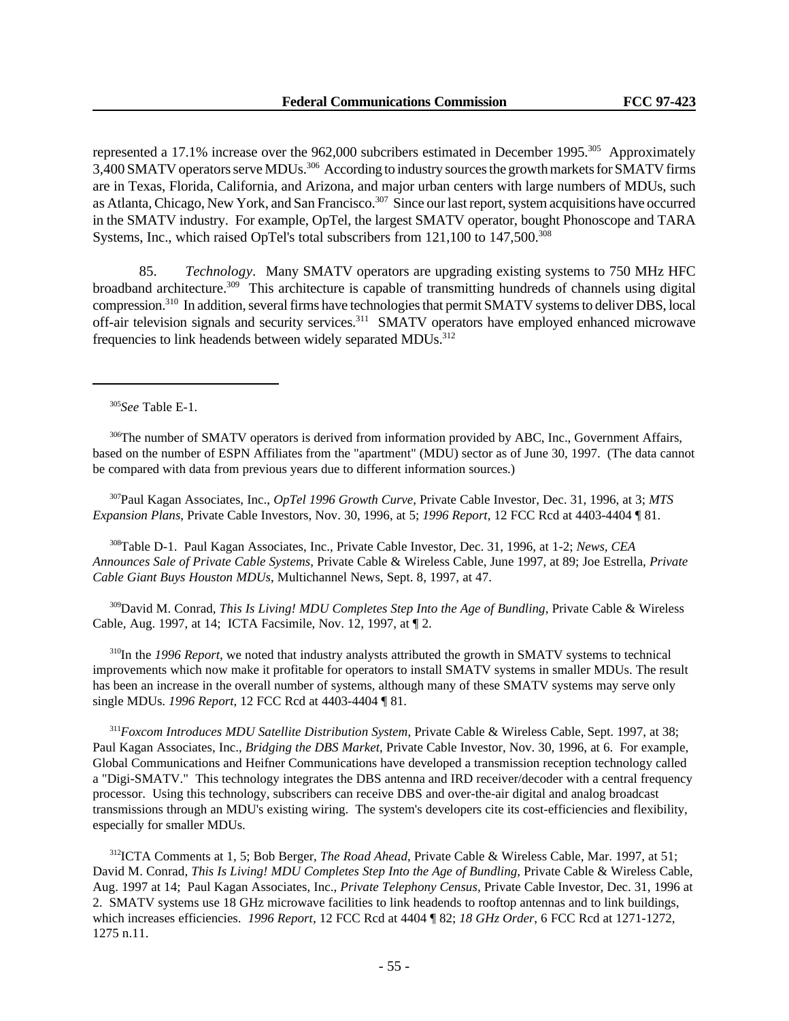represented a 17.1% increase over the 962,000 subcribers estimated in December 1995.<sup>305</sup> Approximately 3,400 SMATV operators serve MDUs.<sup>306</sup> According to industry sources the growth markets for SMATV firms are in Texas, Florida, California, and Arizona, and major urban centers with large numbers of MDUs, such as Atlanta, Chicago, New York, and San Francisco.<sup>307</sup> Since our last report, system acquisitions have occurred in the SMATV industry. For example, OpTel, the largest SMATV operator, bought Phonoscope and TARA Systems, Inc., which raised OpTel's total subscribers from 121,100 to 147,500.<sup>308</sup>

85. *Technology.* Many SMATV operators are upgrading existing systems to 750 MHz HFC broadband architecture.<sup>309</sup> This architecture is capable of transmitting hundreds of channels using digital compression.<sup>310</sup> In addition, several firms have technologies that permit SMATV systems to deliver DBS, local off-air television signals and security services.<sup>311</sup> SMATV operators have employed enhanced microwave frequencies to link headends between widely separated MDUs.<sup>312</sup>

<sup>306</sup>The number of SMATV operators is derived from information provided by ABC, Inc., Government Affairs, based on the number of ESPN Affiliates from the "apartment" (MDU) sector as of June 30, 1997. (The data cannot be compared with data from previous years due to different information sources.)

<sup>307</sup>Paul Kagan Associates, Inc., *OpTel 1996 Growth Curve*, Private Cable Investor, Dec. 31, 1996, at 3; *MTS Expansion Plans*, Private Cable Investors, Nov. 30, 1996, at 5; *1996 Report*, 12 FCC Rcd at 4403-4404 ¶ 81.

<sup>308</sup>Table D-1. Paul Kagan Associates, Inc., Private Cable Investor, Dec. 31, 1996, at 1-2; *News, CEA Announces Sale of Private Cable Systems*, Private Cable & Wireless Cable, June 1997, at 89; Joe Estrella, *Private Cable Giant Buys Houston MDUs*, Multichannel News, Sept. 8, 1997, at 47.

<sup>309</sup>David M. Conrad, *This Is Living! MDU Completes Step Into the Age of Bundling*, Private Cable & Wireless Cable, Aug. 1997, at 14; ICTA Facsimile, Nov. 12, 1997, at ¶ 2.

<sup>310</sup>In the *1996 Report*, we noted that industry analysts attributed the growth in SMATV systems to technical improvements which now make it profitable for operators to install SMATV systems in smaller MDUs. The result has been an increase in the overall number of systems, although many of these SMATV systems may serve only single MDUs. *1996 Report*, 12 FCC Rcd at 4403-4404 ¶ 81.

<sup>311</sup>*Foxcom Introduces MDU Satellite Distribution System*, Private Cable & Wireless Cable, Sept. 1997, at 38; Paul Kagan Associates, Inc., *Bridging the DBS Market*, Private Cable Investor, Nov. 30, 1996, at 6. For example, Global Communications and Heifner Communications have developed a transmission reception technology called a "Digi-SMATV." This technology integrates the DBS antenna and IRD receiver/decoder with a central frequency processor. Using this technology, subscribers can receive DBS and over-the-air digital and analog broadcast transmissions through an MDU's existing wiring. The system's developers cite its cost-efficiencies and flexibility, especially for smaller MDUs.

<sup>312</sup>ICTA Comments at 1, 5; Bob Berger, *The Road Ahead*, Private Cable & Wireless Cable, Mar. 1997, at 51; David M. Conrad, *This Is Living! MDU Completes Step Into the Age of Bundling*, Private Cable & Wireless Cable, Aug. 1997 at 14; Paul Kagan Associates, Inc., *Private Telephony Census,* Private Cable Investor, Dec. 31, 1996 at 2. SMATV systems use 18 GHz microwave facilities to link headends to rooftop antennas and to link buildings, which increases efficiencies. *1996 Report*, 12 FCC Rcd at 4404 ¶ 82; *18 GHz Order*, 6 FCC Rcd at 1271-1272, 1275 n.11.

<sup>305</sup>*See* Table E-1.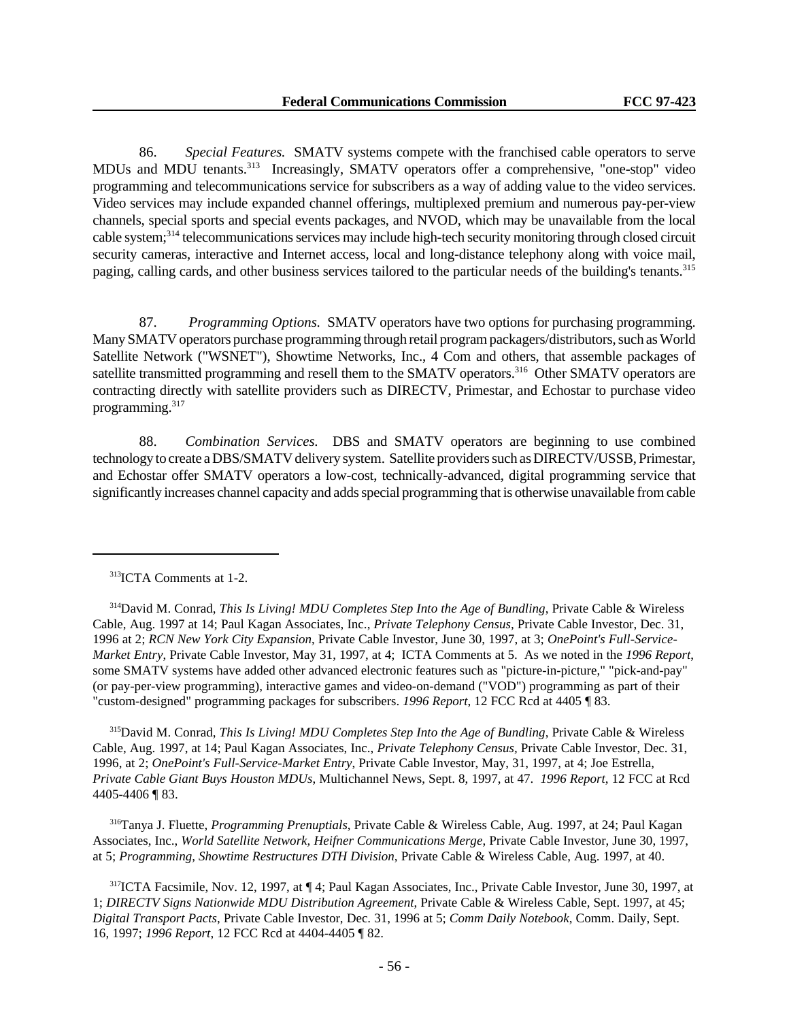86. *Special Features.* SMATV systems compete with the franchised cable operators to serve MDUs and MDU tenants.<sup>313</sup> Increasingly, SMATV operators offer a comprehensive, "one-stop" video programming and telecommunications service for subscribers as a way of adding value to the video services. Video services may include expanded channel offerings, multiplexed premium and numerous pay-per-view channels, special sports and special events packages, and NVOD, which may be unavailable from the local cable system;<sup>314</sup> telecommunications services may include high-tech security monitoring through closed circuit security cameras, interactive and Internet access, local and long-distance telephony along with voice mail, paging, calling cards, and other business services tailored to the particular needs of the building's tenants.<sup>315</sup>

87. *Programming Options.* SMATV operators have two options for purchasing programming. Many SMATV operators purchase programming through retail program packagers/distributors, such as World Satellite Network ("WSNET"), Showtime Networks, Inc., 4 Com and others, that assemble packages of satellite transmitted programming and resell them to the SMATV operators.<sup>316</sup> Other SMATV operators are contracting directly with satellite providers such as DIRECTV, Primestar, and Echostar to purchase video programming.<sup>317</sup>

88. *Combination Services.* DBS and SMATV operators are beginning to use combined technology to create a DBS/SMATV delivery system. Satellite providers such as DIRECTV/USSB, Primestar, and Echostar offer SMATV operators a low-cost, technically-advanced, digital programming service that significantly increases channel capacity and adds special programming that is otherwise unavailable from cable

<sup>315</sup>David M. Conrad, *This Is Living! MDU Completes Step Into the Age of Bundling*, Private Cable & Wireless Cable, Aug. 1997, at 14; Paul Kagan Associates, Inc., *Private Telephony Census,* Private Cable Investor, Dec. 31, 1996, at 2; *OnePoint's Full-Service-Market Entry*, Private Cable Investor, May, 31, 1997, at 4; Joe Estrella, *Private Cable Giant Buys Houston MDUs*, Multichannel News, Sept. 8, 1997, at 47. *1996 Report*, 12 FCC at Rcd 4405-4406 ¶ 83.

<sup>316</sup>Tanya J. Fluette, *Programming Prenuptials*, Private Cable & Wireless Cable, Aug. 1997, at 24; Paul Kagan Associates, Inc., *World Satellite Network, Heifner Communications Merge*, Private Cable Investor, June 30, 1997, at 5; *Programming, Showtime Restructures DTH Division*, Private Cable & Wireless Cable, Aug. 1997, at 40.

<sup>317</sup>ICTA Facsimile, Nov. 12, 1997, at ¶ 4; Paul Kagan Associates, Inc., Private Cable Investor, June 30, 1997, at 1; *DIRECTV Signs Nationwide MDU Distribution Agreement*, Private Cable & Wireless Cable, Sept. 1997, at 45; *Digital Transport Pacts*, Private Cable Investor, Dec. 31, 1996 at 5; *Comm Daily Notebook*, Comm. Daily, Sept. 16, 1997; *1996 Report*, 12 FCC Rcd at 4404-4405 ¶ 82.

<sup>313</sup>ICTA Comments at 1-2.

<sup>314</sup>David M. Conrad, *This Is Living! MDU Completes Step Into the Age of Bundling*, Private Cable & Wireless Cable, Aug. 1997 at 14; Paul Kagan Associates, Inc., *Private Telephony Census,* Private Cable Investor, Dec. 31, 1996 at 2; *RCN New York City Expansion*, Private Cable Investor, June 30, 1997, at 3; *OnePoint's Full-Service-Market Entry*, Private Cable Investor, May 31, 1997, at 4; ICTA Comments at 5. As we noted in the *1996 Report*, some SMATV systems have added other advanced electronic features such as "picture-in-picture," "pick-and-pay" (or pay-per-view programming), interactive games and video-on-demand ("VOD") programming as part of their "custom-designed" programming packages for subscribers. *1996 Report*, 12 FCC Rcd at 4405 ¶ 83.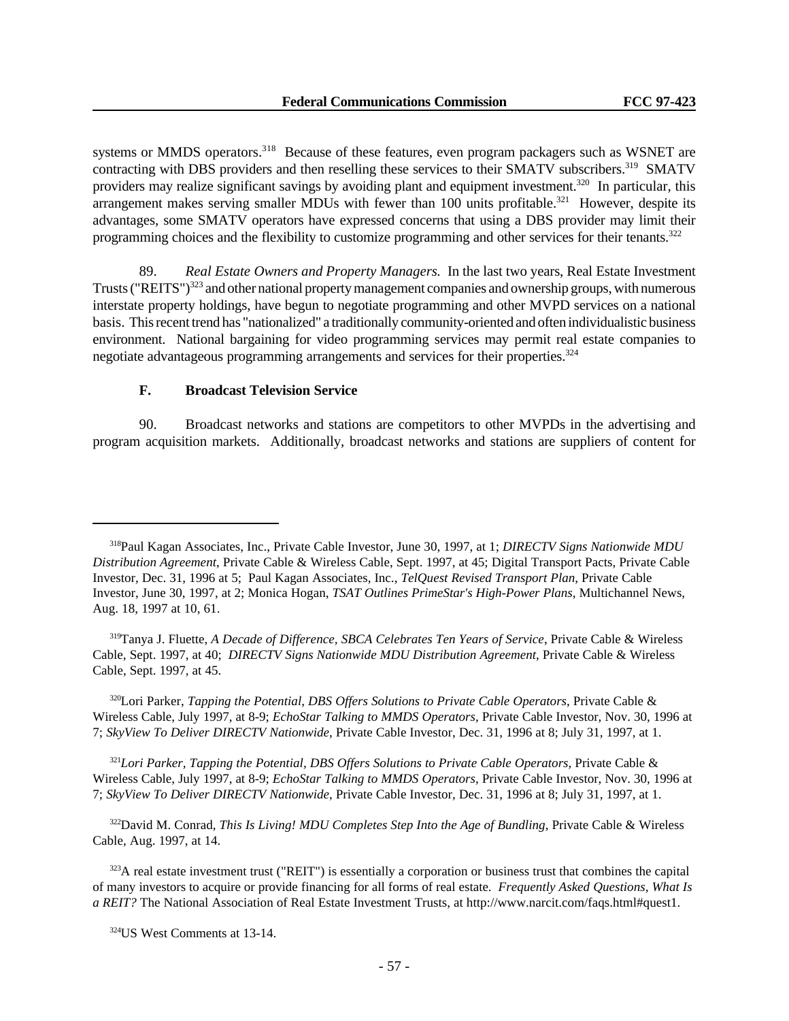systems or MMDS operators.<sup>318</sup> Because of these features, even program packagers such as WSNET are contracting with DBS providers and then reselling these services to their SMATV subscribers.<sup>319</sup> SMATV providers may realize significant savings by avoiding plant and equipment investment.<sup>320</sup> In particular, this arrangement makes serving smaller MDUs with fewer than 100 units profitable.<sup>321</sup> However, despite its advantages, some SMATV operators have expressed concerns that using a DBS provider may limit their programming choices and the flexibility to customize programming and other services for their tenants.<sup>322</sup>

89. *Real Estate Owners and Property Managers.* In the last two years, Real Estate Investment Trusts ("REITS")<sup>323</sup> and other national property management companies and ownership groups, with numerous interstate property holdings, have begun to negotiate programming and other MVPD services on a national basis. This recent trend has "nationalized" a traditionally community-oriented and often individualistic business environment. National bargaining for video programming services may permit real estate companies to negotiate advantageous programming arrangements and services for their properties.<sup>324</sup>

## **F. Broadcast Television Service**

90. Broadcast networks and stations are competitors to other MVPDs in the advertising and program acquisition markets. Additionally, broadcast networks and stations are suppliers of content for

<sup>319</sup>Tanya J. Fluette, *A Decade of Difference, SBCA Celebrates Ten Years of Service*, Private Cable & Wireless Cable, Sept. 1997, at 40; *DIRECTV Signs Nationwide MDU Distribution Agreement*, Private Cable & Wireless Cable, Sept. 1997, at 45.

<sup>320</sup>Lori Parker, *Tapping the Potential, DBS Offers Solutions to Private Cable Operators*, Private Cable & Wireless Cable, July 1997, at 8-9; *EchoStar Talking to MMDS Operators*, Private Cable Investor, Nov. 30, 1996 at 7; *SkyView To Deliver DIRECTV Nationwide*, Private Cable Investor, Dec. 31, 1996 at 8; July 31, 1997, at 1.

<sup>321</sup>Lori Parker, Tapping the Potential, DBS Offers Solutions to Private Cable Operators, Private Cable & Wireless Cable, July 1997, at 8-9; *EchoStar Talking to MMDS Operators*, Private Cable Investor, Nov. 30, 1996 at 7; *SkyView To Deliver DIRECTV Nationwide*, Private Cable Investor, Dec. 31, 1996 at 8; July 31, 1997, at 1.

<sup>322</sup>David M. Conrad, *This Is Living! MDU Completes Step Into the Age of Bundling*, Private Cable & Wireless Cable, Aug. 1997, at 14.

<sup>323</sup>A real estate investment trust ("REIT") is essentially a corporation or business trust that combines the capital of many investors to acquire or provide financing for all forms of real estate. *Frequently Asked Questions, What Is a REIT?* The National Association of Real Estate Investment Trusts, at http://www.narcit.com/faqs.html#quest1.

<sup>318</sup>Paul Kagan Associates, Inc., Private Cable Investor, June 30, 1997, at 1; *DIRECTV Signs Nationwide MDU Distribution Agreement*, Private Cable & Wireless Cable, Sept. 1997, at 45; Digital Transport Pacts, Private Cable Investor, Dec. 31, 1996 at 5; Paul Kagan Associates, Inc., *TelQuest Revised Transport Plan*, Private Cable Investor, June 30, 1997, at 2; Monica Hogan, *TSAT Outlines PrimeStar's High-Power Plans*, Multichannel News, Aug. 18, 1997 at 10, 61.

<sup>324</sup>US West Comments at 13-14.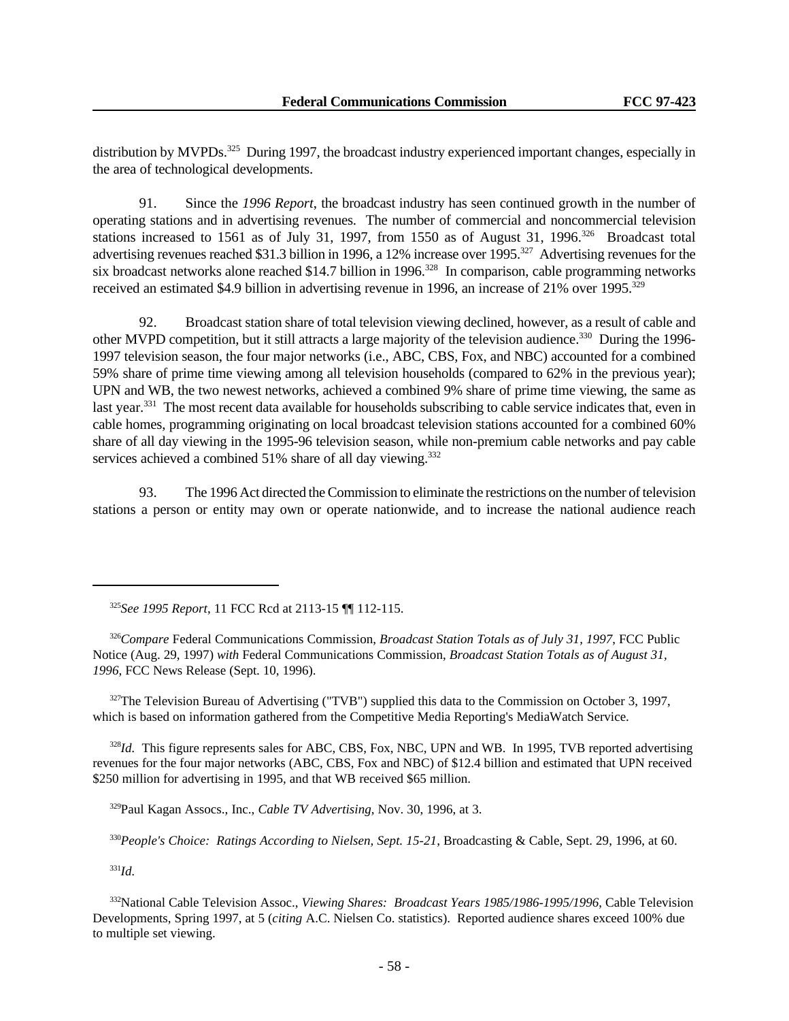distribution by MVPDs.<sup>325</sup> During 1997, the broadcast industry experienced important changes, especially in the area of technological developments.

91. Since the *1996 Report*, the broadcast industry has seen continued growth in the number of operating stations and in advertising revenues. The number of commercial and noncommercial television stations increased to 1561 as of July 31, 1997, from 1550 as of August 31, 1996.<sup>326</sup> Broadcast total advertising revenues reached \$31.3 billion in 1996, a 12% increase over 1995.<sup>327</sup> Advertising revenues for the six broadcast networks alone reached \$14.7 billion in 1996.<sup>328</sup> In comparison, cable programming networks received an estimated \$4.9 billion in advertising revenue in 1996, an increase of 21% over 1995.<sup>329</sup>

92. Broadcast station share of total television viewing declined, however, as a result of cable and other MVPD competition, but it still attracts a large majority of the television audience.<sup>330</sup> During the 1996-1997 television season, the four major networks (i.e., ABC, CBS, Fox, and NBC) accounted for a combined 59% share of prime time viewing among all television households (compared to 62% in the previous year); UPN and WB, the two newest networks, achieved a combined 9% share of prime time viewing, the same as last year.<sup>331</sup> The most recent data available for households subscribing to cable service indicates that, even in cable homes, programming originating on local broadcast television stations accounted for a combined 60% share of all day viewing in the 1995-96 television season, while non-premium cable networks and pay cable services achieved a combined 51% share of all day viewing.<sup>332</sup>

93. The 1996 Act directed the Commission to eliminate the restrictions on the number of television stations a person or entity may own or operate nationwide, and to increase the national audience reach

 $327$ The Television Bureau of Advertising ("TVB") supplied this data to the Commission on October 3, 1997, which is based on information gathered from the Competitive Media Reporting's MediaWatch Service.

<sup>328</sup>*Id.* This figure represents sales for ABC, CBS, Fox, NBC, UPN and WB. In 1995, TVB reported advertising revenues for the four major networks (ABC, CBS, Fox and NBC) of \$12.4 billion and estimated that UPN received \$250 million for advertising in 1995, and that WB received \$65 million.

<sup>329</sup>Paul Kagan Assocs., Inc., *Cable TV Advertising*, Nov. 30, 1996, at 3.

<sup>330</sup>*People's Choice: Ratings According to Nielsen, Sept. 15-21*, Broadcasting & Cable, Sept. 29, 1996, at 60.

<sup>331</sup>*Id.*

<sup>332</sup>National Cable Television Assoc., *Viewing Shares: Broadcast Years 1985/1986-1995/1996*, Cable Television Developments, Spring 1997, at 5 (*citing* A.C. Nielsen Co. statistics). Reported audience shares exceed 100% due to multiple set viewing.

<sup>325</sup>*See 1995 Report*, 11 FCC Rcd at 2113-15 ¶¶ 112-115.

<sup>326</sup>*Compare* Federal Communications Commission, *Broadcast Station Totals as of July 31, 1997*, FCC Public Notice (Aug. 29, 1997) *with* Federal Communications Commission, *Broadcast Station Totals as of August 31, 1996*, FCC News Release (Sept. 10, 1996).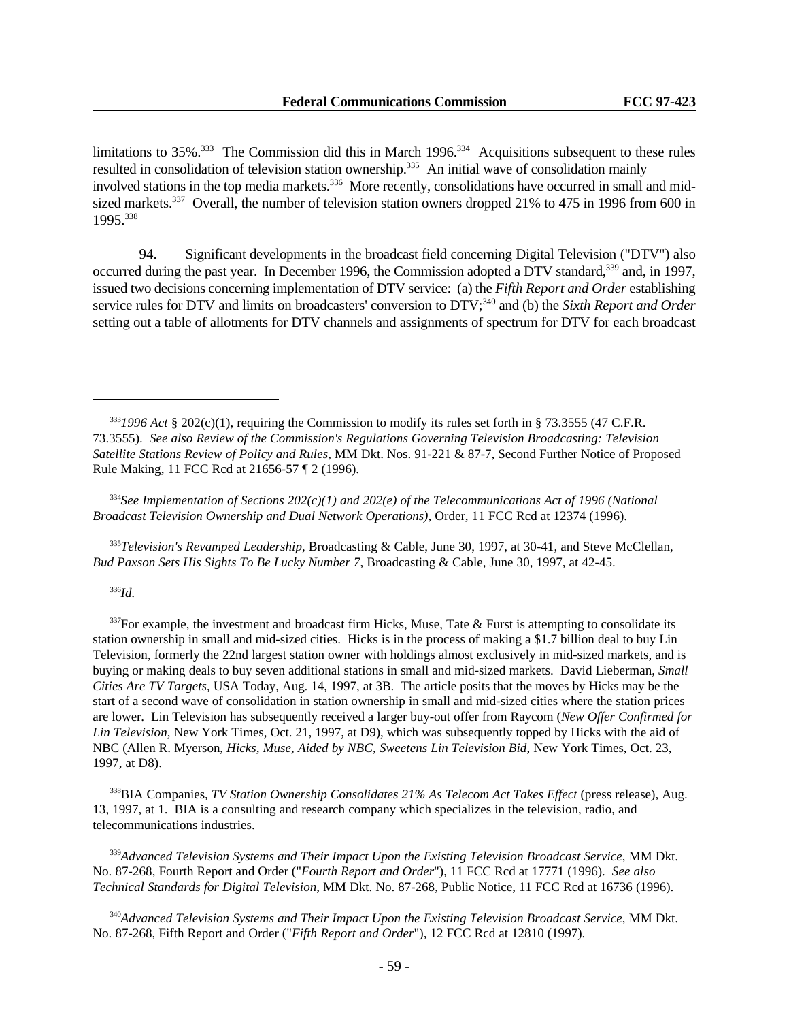limitations to  $35\%$ <sup>333</sup> The Commission did this in March 1996<sup>334</sup> Acquisitions subsequent to these rules resulted in consolidation of television station ownership.<sup>335</sup> An initial wave of consolidation mainly involved stations in the top media markets.<sup>336</sup> More recently, consolidations have occurred in small and midsized markets.<sup>337</sup> Overall, the number of television station owners dropped 21% to 475 in 1996 from 600 in 1995.<sup>338</sup>

94. Significant developments in the broadcast field concerning Digital Television ("DTV") also occurred during the past year. In December 1996, the Commission adopted a DTV standard,<sup>339</sup> and, in 1997, issued two decisions concerning implementation of DTV service: (a) the *Fifth Report and Order* establishing service rules for DTV and limits on broadcasters' conversion to DTV;<sup>340</sup> and (b) the *Sixth Report and Order* setting out a table of allotments for DTV channels and assignments of spectrum for DTV for each broadcast

<sup>335</sup>*Television's Revamped Leadership*, Broadcasting & Cable, June 30, 1997, at 30-41, and Steve McClellan, *Bud Paxson Sets His Sights To Be Lucky Number 7*, Broadcasting & Cable, June 30, 1997, at 42-45.

#### <sup>336</sup>*Id.*

 $337$ For example, the investment and broadcast firm Hicks, Muse, Tate & Furst is attempting to consolidate its station ownership in small and mid-sized cities. Hicks is in the process of making a \$1.7 billion deal to buy Lin Television, formerly the 22nd largest station owner with holdings almost exclusively in mid-sized markets, and is buying or making deals to buy seven additional stations in small and mid-sized markets. David Lieberman, *Small Cities Are TV Targets*, USA Today, Aug. 14, 1997, at 3B. The article posits that the moves by Hicks may be the start of a second wave of consolidation in station ownership in small and mid-sized cities where the station prices are lower. Lin Television has subsequently received a larger buy-out offer from Raycom (*New Offer Confirmed for Lin Television*, New York Times, Oct. 21, 1997, at D9), which was subsequently topped by Hicks with the aid of NBC (Allen R. Myerson, *Hicks, Muse, Aided by NBC, Sweetens Lin Television Bid*, New York Times, Oct. 23, 1997, at D8).

<sup>338</sup>BIA Companies, *TV Station Ownership Consolidates 21% As Telecom Act Takes Effect* (press release), Aug. 13, 1997, at 1. BIA is a consulting and research company which specializes in the television, radio, and telecommunications industries.

<sup>339</sup>*Advanced Television Systems and Their Impact Upon the Existing Television Broadcast Service*, MM Dkt. No. 87-268, Fourth Report and Order ("*Fourth Report and Order*"), 11 FCC Rcd at 17771 (1996). *See also Technical Standards for Digital Television*, MM Dkt. No. 87-268, Public Notice, 11 FCC Rcd at 16736 (1996).

<sup>340</sup>*Advanced Television Systems and Their Impact Upon the Existing Television Broadcast Service*, MM Dkt. No. 87-268, Fifth Report and Order ("*Fifth Report and Order*"), 12 FCC Rcd at 12810 (1997).

 $3331996$  Act § 202(c)(1), requiring the Commission to modify its rules set forth in § 73.3555 (47 C.F.R. 73.3555). *See also Review of the Commission's Regulations Governing Television Broadcasting: Television Satellite Stations Review of Policy and Rules*, MM Dkt. Nos. 91-221 & 87-7, Second Further Notice of Proposed Rule Making, 11 FCC Rcd at 21656-57 ¶ 2 (1996).

<sup>334</sup>*See Implementation of Sections 202(c)(1) and 202(e) of the Telecommunications Act of 1996 (National Broadcast Television Ownership and Dual Network Operations)*, Order, 11 FCC Rcd at 12374 (1996).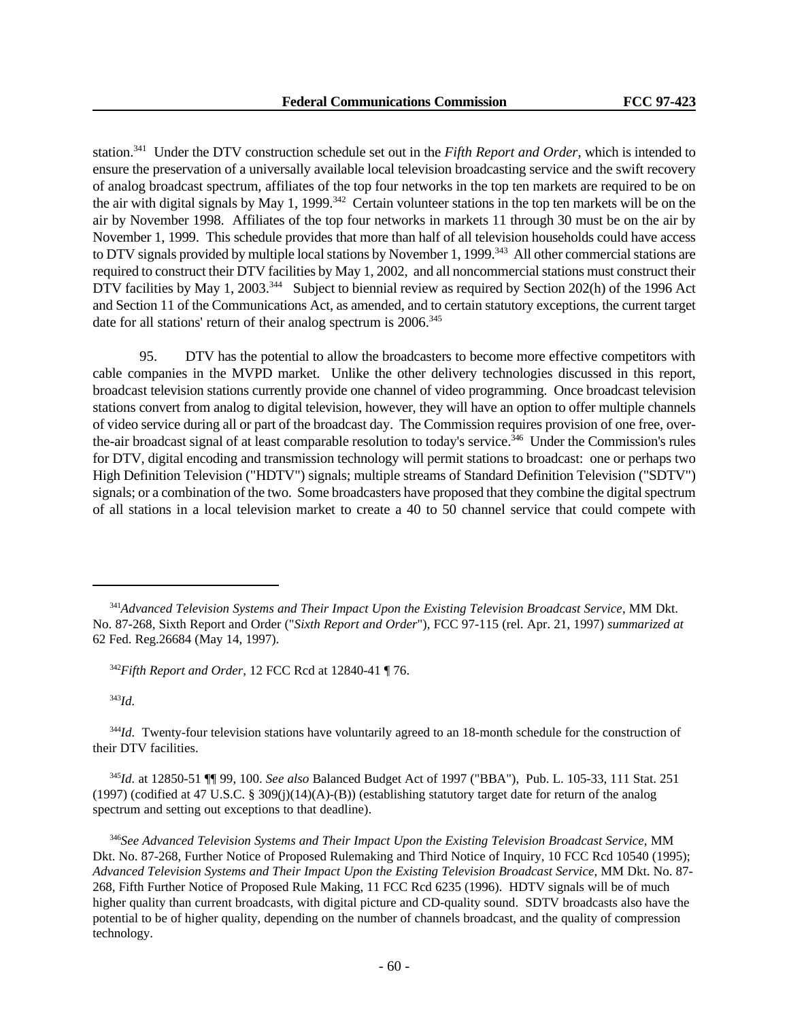station.<sup>341</sup> Under the DTV construction schedule set out in the *Fifth Report and Order*, which is intended to ensure the preservation of a universally available local television broadcasting service and the swift recovery of analog broadcast spectrum, affiliates of the top four networks in the top ten markets are required to be on the air with digital signals by May 1, 1999.<sup>342</sup> Certain volunteer stations in the top ten markets will be on the air by November 1998. Affiliates of the top four networks in markets 11 through 30 must be on the air by November 1, 1999. This schedule provides that more than half of all television households could have access to DTV signals provided by multiple local stations by November 1, 1999.<sup>343</sup> All other commercial stations are required to construct their DTV facilities by May 1, 2002, and all noncommercial stations must construct their DTV facilities by May 1, 2003.<sup>344</sup> Subject to biennial review as required by Section 202(h) of the 1996 Act and Section 11 of the Communications Act, as amended, and to certain statutory exceptions, the current target date for all stations' return of their analog spectrum is 2006.<sup>345</sup>

95. DTV has the potential to allow the broadcasters to become more effective competitors with cable companies in the MVPD market. Unlike the other delivery technologies discussed in this report, broadcast television stations currently provide one channel of video programming. Once broadcast television stations convert from analog to digital television, however, they will have an option to offer multiple channels of video service during all or part of the broadcast day. The Commission requires provision of one free, overthe-air broadcast signal of at least comparable resolution to today's service.<sup>346</sup> Under the Commission's rules for DTV, digital encoding and transmission technology will permit stations to broadcast: one or perhaps two High Definition Television ("HDTV") signals; multiple streams of Standard Definition Television ("SDTV") signals; or a combination of the two. Some broadcasters have proposed that they combine the digital spectrum of all stations in a local television market to create a 40 to 50 channel service that could compete with

<sup>343</sup>*Id.*

<sup>345</sup>*Id.* at 12850-51 ¶¶ 99, 100. *See also* Balanced Budget Act of 1997 ("BBA"), Pub. L. 105-33, 111 Stat. 251 (1997) (codified at 47 U.S.C. § 309(j)(14)(A)-(B)) (establishing statutory target date for return of the analog spectrum and setting out exceptions to that deadline).

<sup>341</sup>*Advanced Television Systems and Their Impact Upon the Existing Television Broadcast Service*, MM Dkt. No. 87-268, Sixth Report and Order ("*Sixth Report and Order*"), FCC 97-115 (rel. Apr. 21, 1997) *summarized at* 62 Fed. Reg.26684 (May 14, 1997).

<sup>342</sup>*Fifth Report and Order*, 12 FCC Rcd at 12840-41 ¶ 76.

<sup>&</sup>lt;sup>344</sup>*Id.* Twenty-four television stations have voluntarily agreed to an 18-month schedule for the construction of their DTV facilities.

<sup>346</sup>*See Advanced Television Systems and Their Impact Upon the Existing Television Broadcast Service,* MM Dkt. No. 87-268, Further Notice of Proposed Rulemaking and Third Notice of Inquiry, 10 FCC Rcd 10540 (1995); *Advanced Television Systems and Their Impact Upon the Existing Television Broadcast Service*, MM Dkt. No. 87- 268, Fifth Further Notice of Proposed Rule Making, 11 FCC Rcd 6235 (1996). HDTV signals will be of much higher quality than current broadcasts, with digital picture and CD-quality sound. SDTV broadcasts also have the potential to be of higher quality, depending on the number of channels broadcast, and the quality of compression technology.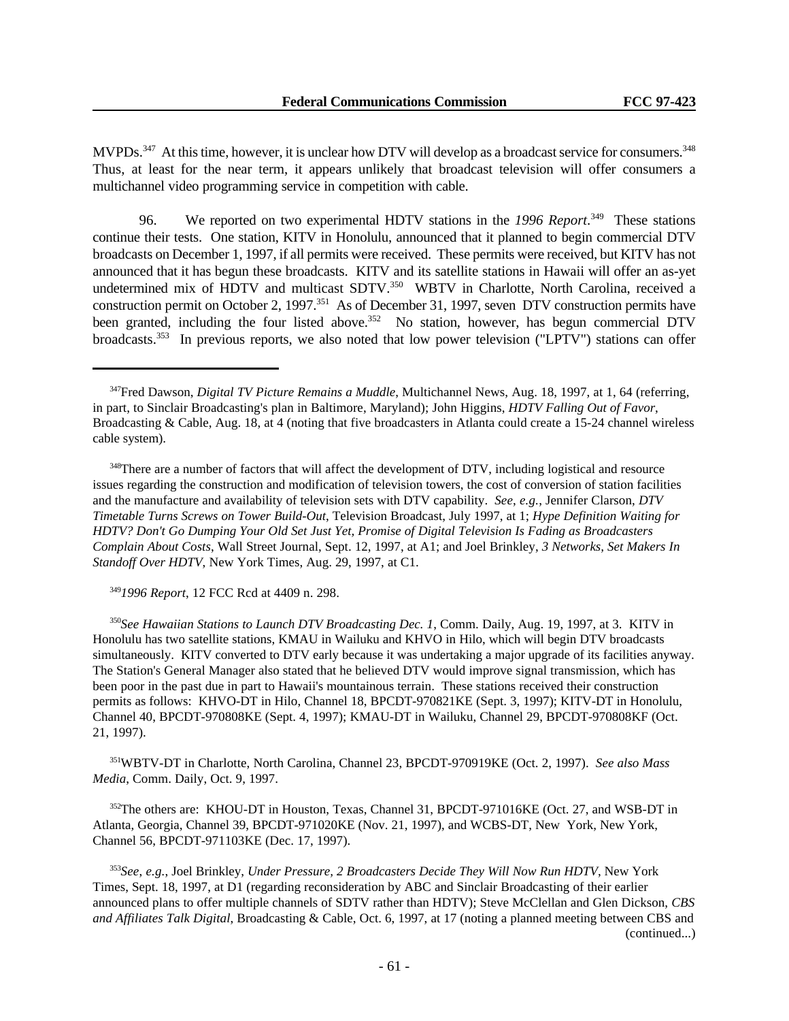MVPDs.<sup>347</sup> At this time, however, it is unclear how DTV will develop as a broadcast service for consumers.<sup>348</sup> Thus, at least for the near term, it appears unlikely that broadcast television will offer consumers a multichannel video programming service in competition with cable.

96. We reported on two experimental HDTV stations in the *1996 Report*. <sup>349</sup> These stations continue their tests. One station, KITV in Honolulu, announced that it planned to begin commercial DTV broadcasts on December 1, 1997, if all permits were received. These permits were received, but KITV has not announced that it has begun these broadcasts. KITV and its satellite stations in Hawaii will offer an as-yet undetermined mix of HDTV and multicast SDTV.<sup>350</sup> WBTV in Charlotte, North Carolina, received a construction permit on October 2, 1997.<sup>351</sup> As of December 31, 1997, seven DTV construction permits have been granted, including the four listed above.<sup>352</sup> No station, however, has begun commercial DTV broadcasts.353 In previous reports, we also noted that low power television ("LPTV") stations can offer

<sup>348</sup>There are a number of factors that will affect the development of DTV, including logistical and resource issues regarding the construction and modification of television towers, the cost of conversion of station facilities and the manufacture and availability of television sets with DTV capability. *See*, *e.g.*, Jennifer Clarson, *DTV Timetable Turns Screws on Tower Build-Out*, Television Broadcast, July 1997, at 1; *Hype Definition Waiting for HDTV? Don't Go Dumping Your Old Set Just Yet, Promise of Digital Television Is Fading as Broadcasters Complain About Costs*, Wall Street Journal, Sept. 12, 1997, at A1; and Joel Brinkley, *3 Networks, Set Makers In Standoff Over HDTV*, New York Times, Aug. 29, 1997, at C1.

<sup>349</sup>*1996 Report*, 12 FCC Rcd at 4409 n. 298.

<sup>350</sup>*See Hawaiian Stations to Launch DTV Broadcasting Dec. 1*, Comm. Daily, Aug. 19, 1997, at 3. KITV in Honolulu has two satellite stations, KMAU in Wailuku and KHVO in Hilo, which will begin DTV broadcasts simultaneously. KITV converted to DTV early because it was undertaking a major upgrade of its facilities anyway. The Station's General Manager also stated that he believed DTV would improve signal transmission, which has been poor in the past due in part to Hawaii's mountainous terrain. These stations received their construction permits as follows: KHVO-DT in Hilo, Channel 18, BPCDT-970821KE (Sept. 3, 1997); KITV-DT in Honolulu, Channel 40, BPCDT-970808KE (Sept. 4, 1997); KMAU-DT in Wailuku, Channel 29, BPCDT-970808KF (Oct. 21, 1997).

<sup>351</sup>WBTV-DT in Charlotte, North Carolina, Channel 23, BPCDT-970919KE (Oct. 2, 1997). *See also Mass Media*, Comm. Daily, Oct. 9, 1997.

<sup>352</sup>The others are: KHOU-DT in Houston, Texas, Channel 31, BPCDT-971016KE (Oct. 27, and WSB-DT in Atlanta, Georgia, Channel 39, BPCDT-971020KE (Nov. 21, 1997), and WCBS-DT, New York, New York, Channel 56, BPCDT-971103KE (Dec. 17, 1997).

<sup>353</sup>*See*, *e.g.*, Joel Brinkley, *Under Pressure, 2 Broadcasters Decide They Will Now Run HDTV*, New York Times, Sept. 18, 1997, at D1 (regarding reconsideration by ABC and Sinclair Broadcasting of their earlier announced plans to offer multiple channels of SDTV rather than HDTV); Steve McClellan and Glen Dickson, *CBS and Affiliates Talk Digital*, Broadcasting & Cable, Oct. 6, 1997, at 17 (noting a planned meeting between CBS and (continued...)

<sup>347</sup>Fred Dawson, *Digital TV Picture Remains a Muddle*, Multichannel News, Aug. 18, 1997, at 1, 64 (referring, in part, to Sinclair Broadcasting's plan in Baltimore, Maryland); John Higgins, *HDTV Falling Out of Favor*, Broadcasting & Cable, Aug. 18, at 4 (noting that five broadcasters in Atlanta could create a 15-24 channel wireless cable system).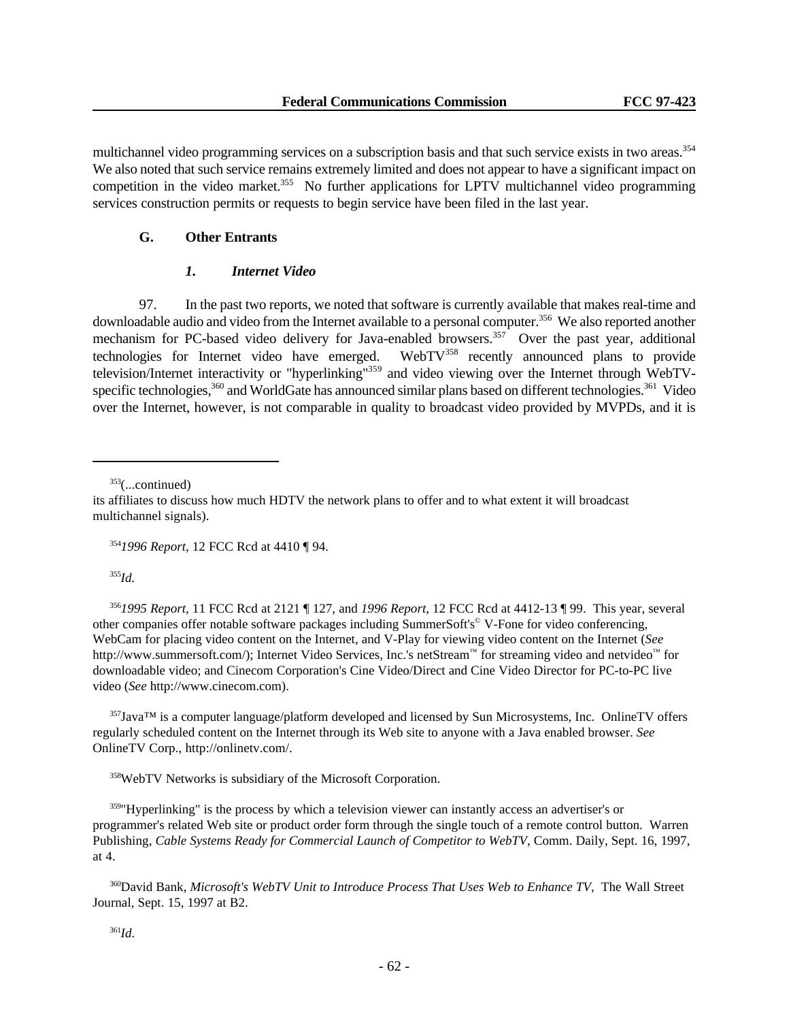multichannel video programming services on a subscription basis and that such service exists in two areas.<sup>354</sup> We also noted that such service remains extremely limited and does not appear to have a significant impact on competition in the video market.<sup>355</sup> No further applications for LPTV multichannel video programming services construction permits or requests to begin service have been filed in the last year.

### **G. Other Entrants**

## *1. Internet Video*

97. In the past two reports, we noted that software is currently available that makes real-time and downloadable audio and video from the Internet available to a personal computer.<sup>356</sup> We also reported another mechanism for PC-based video delivery for Java-enabled browsers.<sup>357</sup> Over the past year, additional technologies for Internet video have emerged. WebTV<sup>358</sup> recently announced plans to provide television/Internet interactivity or "hyperlinking"359 and video viewing over the Internet through WebTVspecific technologies,<sup>360</sup> and WorldGate has announced similar plans based on different technologies.<sup>361</sup> Video over the Internet, however, is not comparable in quality to broadcast video provided by MVPDs, and it is

 $353$ (...continued)

<sup>354</sup>*1996 Report*, 12 FCC Rcd at 4410 ¶ 94.

<sup>355</sup>*Id.*

<sup>356</sup>*1995 Report*, 11 FCC Rcd at 2121 ¶ 127, and *1996 Report*, 12 FCC Rcd at 4412-13 ¶ 99. This year, several other companies offer notable software packages including SummerSoft's© V-Fone for video conferencing, WebCam for placing video content on the Internet, and V-Play for viewing video content on the Internet (*See* http://www.summersoft.com/); Internet Video Services, Inc.'s netStream™ for streaming video and netvideo™ for downloadable video; and Cinecom Corporation's Cine Video/Direct and Cine Video Director for PC-to-PC live video (*See* http://www.cinecom.com).

<sup>357</sup>Java™ is a computer language/platform developed and licensed by Sun Microsystems, Inc. OnlineTV offers regularly scheduled content on the Internet through its Web site to anyone with a Java enabled browser. *See* OnlineTV Corp., http://onlinetv.com/.

<sup>358</sup>WebTV Networks is subsidiary of the Microsoft Corporation.

<sup>359</sup>"Hyperlinking" is the process by which a television viewer can instantly access an advertiser's or programmer's related Web site or product order form through the single touch of a remote control button. Warren Publishing, *Cable Systems Ready for Commercial Launch of Competitor to WebTV*, Comm. Daily, Sept. 16, 1997, at 4.

<sup>360</sup>David Bank, *Microsoft's WebTV Unit to Introduce Process That Uses Web to Enhance TV*, The Wall Street Journal, Sept. 15, 1997 at B2.

its affiliates to discuss how much HDTV the network plans to offer and to what extent it will broadcast multichannel signals).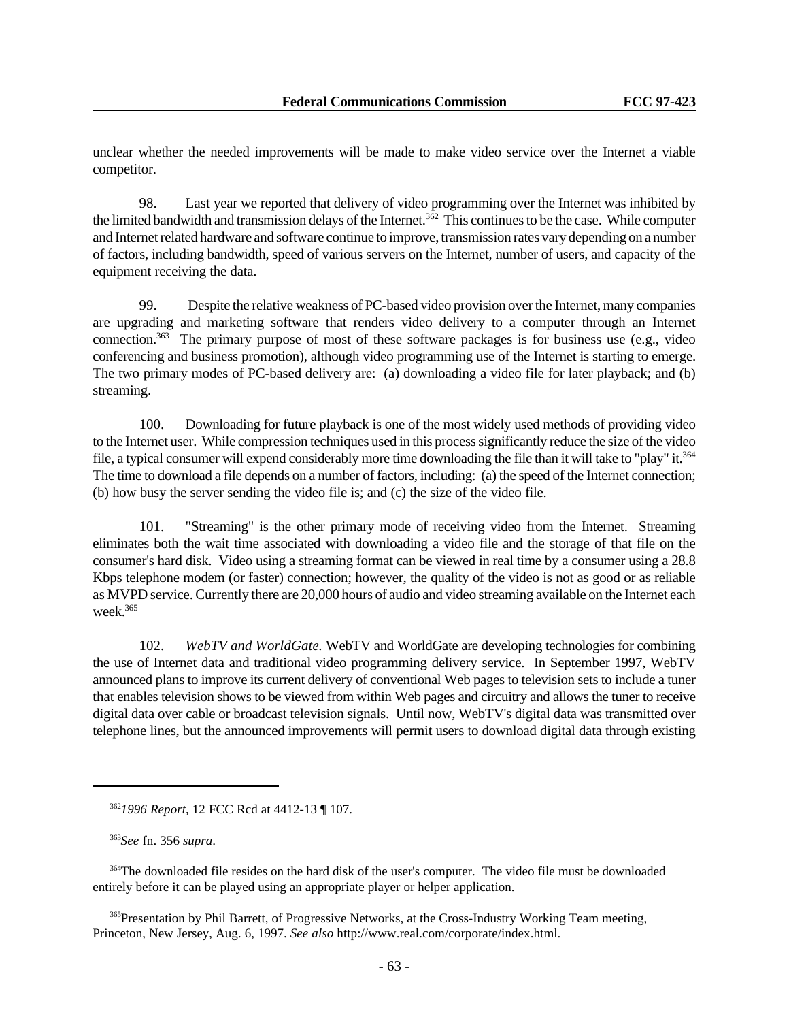unclear whether the needed improvements will be made to make video service over the Internet a viable competitor.

98. Last year we reported that delivery of video programming over the Internet was inhibited by the limited bandwidth and transmission delays of the Internet.<sup>362</sup> This continues to be the case. While computer and Internet related hardware and software continue to improve, transmission rates vary depending on a number of factors, including bandwidth, speed of various servers on the Internet, number of users, and capacity of the equipment receiving the data.

99. Despite the relative weakness of PC-based video provision over the Internet, many companies are upgrading and marketing software that renders video delivery to a computer through an Internet connection.<sup>363</sup> The primary purpose of most of these software packages is for business use (e.g., video conferencing and business promotion), although video programming use of the Internet is starting to emerge. The two primary modes of PC-based delivery are: (a) downloading a video file for later playback; and (b) streaming.

100. Downloading for future playback is one of the most widely used methods of providing video to the Internet user. While compression techniques used in this process significantly reduce the size of the video file, a typical consumer will expend considerably more time downloading the file than it will take to "play" it.<sup>364</sup> The time to download a file depends on a number of factors, including: (a) the speed of the Internet connection; (b) how busy the server sending the video file is; and (c) the size of the video file.

101. "Streaming" is the other primary mode of receiving video from the Internet. Streaming eliminates both the wait time associated with downloading a video file and the storage of that file on the consumer's hard disk. Video using a streaming format can be viewed in real time by a consumer using a 28.8 Kbps telephone modem (or faster) connection; however, the quality of the video is not as good or as reliable as MVPD service. Currently there are 20,000 hours of audio and video streaming available on the Internet each week.<sup>365</sup>

102. *WebTV and WorldGate.* WebTV and WorldGate are developing technologies for combining the use of Internet data and traditional video programming delivery service. In September 1997, WebTV announced plans to improve its current delivery of conventional Web pages to television sets to include a tuner that enables television shows to be viewed from within Web pages and circuitry and allows the tuner to receive digital data over cable or broadcast television signals. Until now, WebTV's digital data was transmitted over telephone lines, but the announced improvements will permit users to download digital data through existing

<sup>365</sup>Presentation by Phil Barrett, of Progressive Networks, at the Cross-Industry Working Team meeting, Princeton, New Jersey, Aug. 6, 1997. *See also* http://www.real.com/corporate/index.html.

<sup>362</sup>*1996 Report*, 12 FCC Rcd at 4412-13 ¶ 107.

<sup>363</sup>*See* fn. 356 *supra*.

<sup>&</sup>lt;sup>364</sup>The downloaded file resides on the hard disk of the user's computer. The video file must be downloaded entirely before it can be played using an appropriate player or helper application.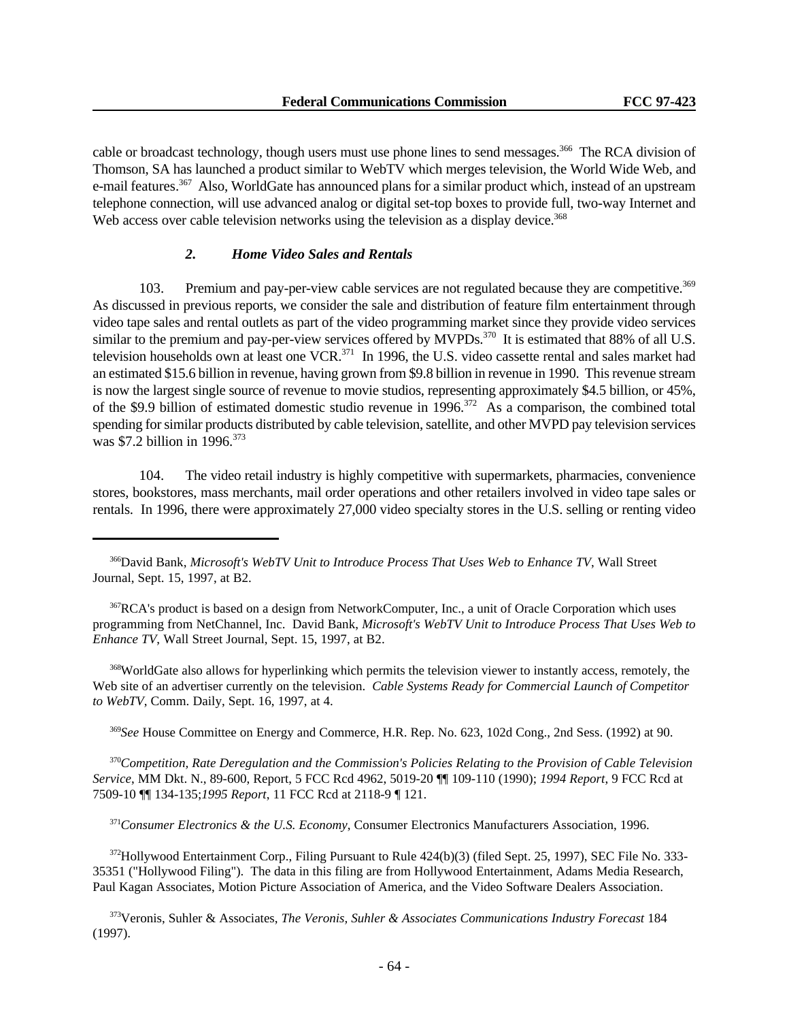cable or broadcast technology, though users must use phone lines to send messages.<sup>366</sup> The RCA division of Thomson, SA has launched a product similar to WebTV which merges television, the World Wide Web, and e-mail features.<sup>367</sup> Also, WorldGate has announced plans for a similar product which, instead of an upstream telephone connection, will use advanced analog or digital set-top boxes to provide full, two-way Internet and Web access over cable television networks using the television as a display device.<sup>368</sup>

# *2. Home Video Sales and Rentals*

103. Premium and pay-per-view cable services are not regulated because they are competitive.<sup>369</sup> As discussed in previous reports, we consider the sale and distribution of feature film entertainment through video tape sales and rental outlets as part of the video programming market since they provide video services similar to the premium and pay-per-view services offered by MVPDs.<sup>370</sup> It is estimated that 88% of all U.S. television households own at least one VCR.<sup>371</sup> In 1996, the U.S. video cassette rental and sales market had an estimated \$15.6 billion in revenue, having grown from \$9.8 billion in revenue in 1990. This revenue stream is now the largest single source of revenue to movie studios, representing approximately \$4.5 billion, or 45%, of the \$9.9 billion of estimated domestic studio revenue in 1996.<sup>372</sup> As a comparison, the combined total spending for similar products distributed by cable television, satellite, and other MVPD pay television services was \$7.2 billion in 1996.<sup>373</sup>

104. The video retail industry is highly competitive with supermarkets, pharmacies, convenience stores, bookstores, mass merchants, mail order operations and other retailers involved in video tape sales or rentals. In 1996, there were approximately 27,000 video specialty stores in the U.S. selling or renting video

<sup>366</sup>David Bank, *Microsoft's WebTV Unit to Introduce Process That Uses Web to Enhance TV*, Wall Street Journal, Sept. 15, 1997, at B2.

<sup>367</sup>RCA's product is based on a design from NetworkComputer, Inc., a unit of Oracle Corporation which uses programming from NetChannel, Inc. David Bank, *Microsoft's WebTV Unit to Introduce Process That Uses Web to Enhance TV*, Wall Street Journal, Sept. 15, 1997, at B2.

<sup>368</sup>WorldGate also allows for hyperlinking which permits the television viewer to instantly access, remotely, the Web site of an advertiser currently on the television. *Cable Systems Ready for Commercial Launch of Competitor to WebTV*, Comm. Daily, Sept. 16, 1997, at 4.

<sup>369</sup>*See* House Committee on Energy and Commerce, H.R. Rep. No. 623, 102d Cong., 2nd Sess. (1992) at 90.

<sup>370</sup>*Competition, Rate Deregulation and the Commission's Policies Relating to the Provision of Cable Television Service*, MM Dkt. N., 89-600, Report, 5 FCC Rcd 4962, 5019-20 ¶¶ 109-110 (1990); *1994 Report*, 9 FCC Rcd at 7509-10 ¶¶ 134-135;*1995 Report*, 11 FCC Rcd at 2118-9 ¶ 121.

<sup>371</sup>*Consumer Electronics & the U.S. Economy*, Consumer Electronics Manufacturers Association, 1996.

<sup>372</sup>Hollywood Entertainment Corp., Filing Pursuant to Rule 424(b)(3) (filed Sept. 25, 1997), SEC File No. 333-35351 ("Hollywood Filing"). The data in this filing are from Hollywood Entertainment, Adams Media Research, Paul Kagan Associates, Motion Picture Association of America, and the Video Software Dealers Association.

<sup>373</sup>Veronis, Suhler & Associates, *The Veronis, Suhler & Associates Communications Industry Forecast* 184 (1997).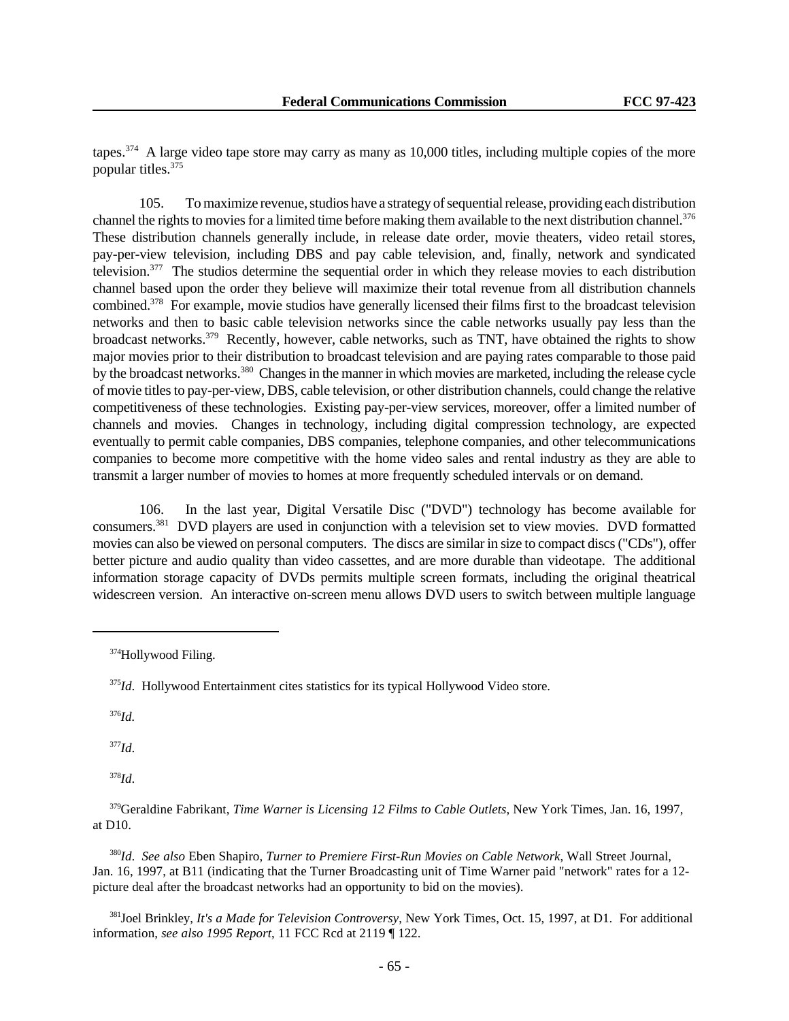tapes.<sup>374</sup> A large video tape store may carry as many as 10,000 titles, including multiple copies of the more popular titles.<sup>375</sup>

105. To maximize revenue, studios have a strategy of sequential release, providing each distribution channel the rights to movies for a limited time before making them available to the next distribution channel.<sup>376</sup> These distribution channels generally include, in release date order, movie theaters, video retail stores, pay-per-view television, including DBS and pay cable television, and, finally, network and syndicated television. $377$  The studios determine the sequential order in which they release movies to each distribution channel based upon the order they believe will maximize their total revenue from all distribution channels combined.<sup>378</sup> For example, movie studios have generally licensed their films first to the broadcast television networks and then to basic cable television networks since the cable networks usually pay less than the broadcast networks.<sup>379</sup> Recently, however, cable networks, such as TNT, have obtained the rights to show major movies prior to their distribution to broadcast television and are paying rates comparable to those paid by the broadcast networks.<sup>380</sup> Changes in the manner in which movies are marketed, including the release cycle of movie titles to pay-per-view, DBS, cable television, or other distribution channels, could change the relative competitiveness of these technologies. Existing pay-per-view services, moreover, offer a limited number of channels and movies. Changes in technology, including digital compression technology, are expected eventually to permit cable companies, DBS companies, telephone companies, and other telecommunications companies to become more competitive with the home video sales and rental industry as they are able to transmit a larger number of movies to homes at more frequently scheduled intervals or on demand.

106. In the last year, Digital Versatile Disc ("DVD") technology has become available for consumers.<sup>381</sup> DVD players are used in conjunction with a television set to view movies. DVD formatted movies can also be viewed on personal computers. The discs are similar in size to compact discs ("CDs"), offer better picture and audio quality than video cassettes, and are more durable than videotape. The additional information storage capacity of DVDs permits multiple screen formats, including the original theatrical widescreen version. An interactive on-screen menu allows DVD users to switch between multiple language

<sup>376</sup>*Id.*

<sup>377</sup>*Id*.

<sup>378</sup>*Id*.

<sup>380</sup>*Id*. *See also* Eben Shapiro, *Turner to Premiere First-Run Movies on Cable Network*, Wall Street Journal, Jan. 16, 1997, at B11 (indicating that the Turner Broadcasting unit of Time Warner paid "network" rates for a 12 picture deal after the broadcast networks had an opportunity to bid on the movies).

<sup>381</sup>Joel Brinkley, *It's a Made for Television Controversy*, New York Times, Oct. 15, 1997, at D1. For additional information, *see also 1995 Report*, 11 FCC Rcd at 2119 ¶ 122.

<sup>374</sup>Hollywood Filing.

<sup>&</sup>lt;sup>375</sup>*Id*. Hollywood Entertainment cites statistics for its typical Hollywood Video store.

<sup>379</sup>Geraldine Fabrikant, *Time Warner is Licensing 12 Films to Cable Outlets*, New York Times, Jan. 16, 1997, at D10.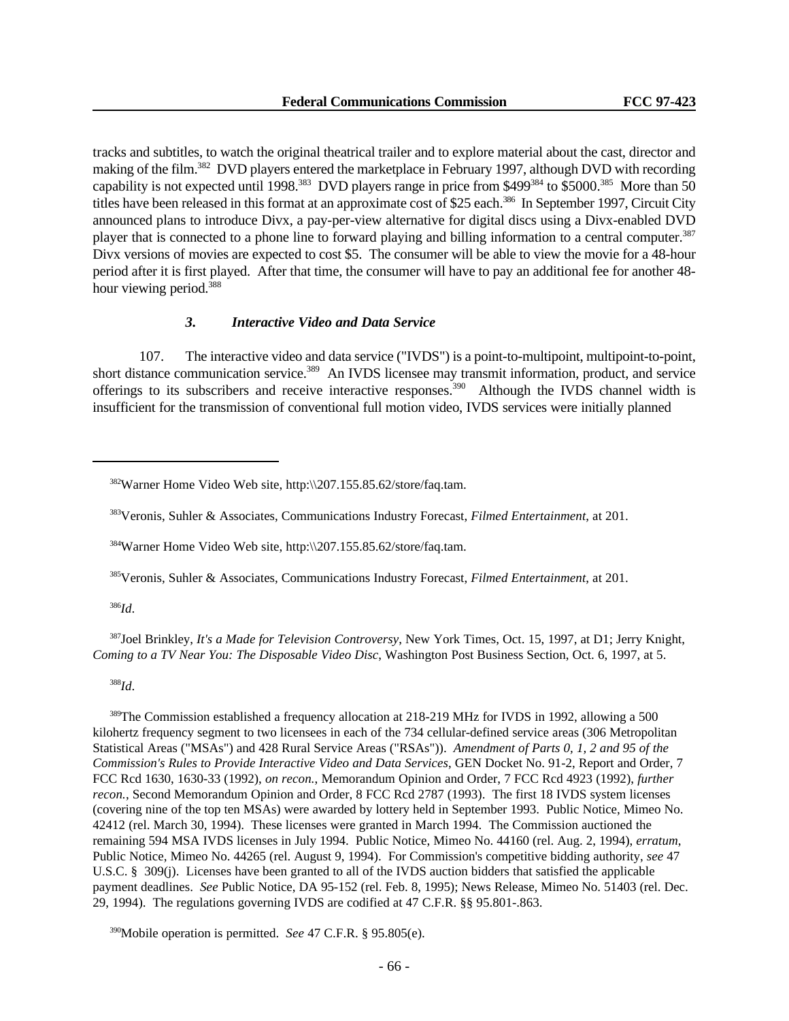tracks and subtitles, to watch the original theatrical trailer and to explore material about the cast, director and making of the film.<sup>382</sup> DVD players entered the marketplace in February 1997, although DVD with recording capability is not expected until 1998.<sup>383</sup> DVD players range in price from \$499<sup>384</sup> to \$5000.<sup>385</sup> More than 50 titles have been released in this format at an approximate cost of \$25 each.<sup>386</sup> In September 1997, Circuit City announced plans to introduce Divx, a pay-per-view alternative for digital discs using a Divx-enabled DVD player that is connected to a phone line to forward playing and billing information to a central computer.<sup>387</sup> Divx versions of movies are expected to cost \$5. The consumer will be able to view the movie for a 48-hour period after it is first played. After that time, the consumer will have to pay an additional fee for another 48 hour viewing period.<sup>388</sup>

### *3. Interactive Video and Data Service*

107. The interactive video and data service ("IVDS") is a point-to-multipoint, multipoint-to-point, short distance communication service.<sup>389</sup> An IVDS licensee may transmit information, product, and service offerings to its subscribers and receive interactive responses.<sup>390</sup> Although the IVDS channel width is insufficient for the transmission of conventional full motion video, IVDS services were initially planned

<sup>384</sup>Warner Home Video Web site, http:\\207.155.85.62/store/faq.tam.

<sup>385</sup>Veronis, Suhler & Associates, Communications Industry Forecast, *Filmed Entertainment*, at 201.

<sup>386</sup>*Id*.

<sup>387</sup>Joel Brinkley, *It's a Made for Television Controversy*, New York Times, Oct. 15, 1997, at D1; Jerry Knight, *Coming to a TV Near You: The Disposable Video Disc*, Washington Post Business Section, Oct. 6, 1997, at 5.

<sup>388</sup>*Id*.

<sup>389</sup>The Commission established a frequency allocation at 218-219 MHz for IVDS in 1992, allowing a 500 kilohertz frequency segment to two licensees in each of the 734 cellular-defined service areas (306 Metropolitan Statistical Areas ("MSAs") and 428 Rural Service Areas ("RSAs")). *Amendment of Parts 0, 1, 2 and 95 of the Commission's Rules to Provide Interactive Video and Data Services*, GEN Docket No. 91-2, Report and Order, 7 FCC Rcd 1630, 1630-33 (1992), *on recon.*, Memorandum Opinion and Order, 7 FCC Rcd 4923 (1992), *further recon.*, Second Memorandum Opinion and Order, 8 FCC Rcd 2787 (1993). The first 18 IVDS system licenses (covering nine of the top ten MSAs) were awarded by lottery held in September 1993. Public Notice, Mimeo No. 42412 (rel. March 30, 1994). These licenses were granted in March 1994. The Commission auctioned the remaining 594 MSA IVDS licenses in July 1994. Public Notice, Mimeo No. 44160 (rel. Aug. 2, 1994), *erratum*, Public Notice, Mimeo No. 44265 (rel. August 9, 1994). For Commission's competitive bidding authority, *see* 47 U.S.C. § 309(j). Licenses have been granted to all of the IVDS auction bidders that satisfied the applicable payment deadlines. *See* Public Notice, DA 95-152 (rel. Feb. 8, 1995); News Release, Mimeo No. 51403 (rel. Dec. 29, 1994). The regulations governing IVDS are codified at 47 C.F.R. §§ 95.801-.863.

<sup>390</sup>Mobile operation is permitted. *See* 47 C.F.R. § 95.805(e).

<sup>382</sup>Warner Home Video Web site, http:\\207.155.85.62/store/faq.tam.

<sup>383</sup>Veronis, Suhler & Associates, Communications Industry Forecast, *Filmed Entertainment*, at 201.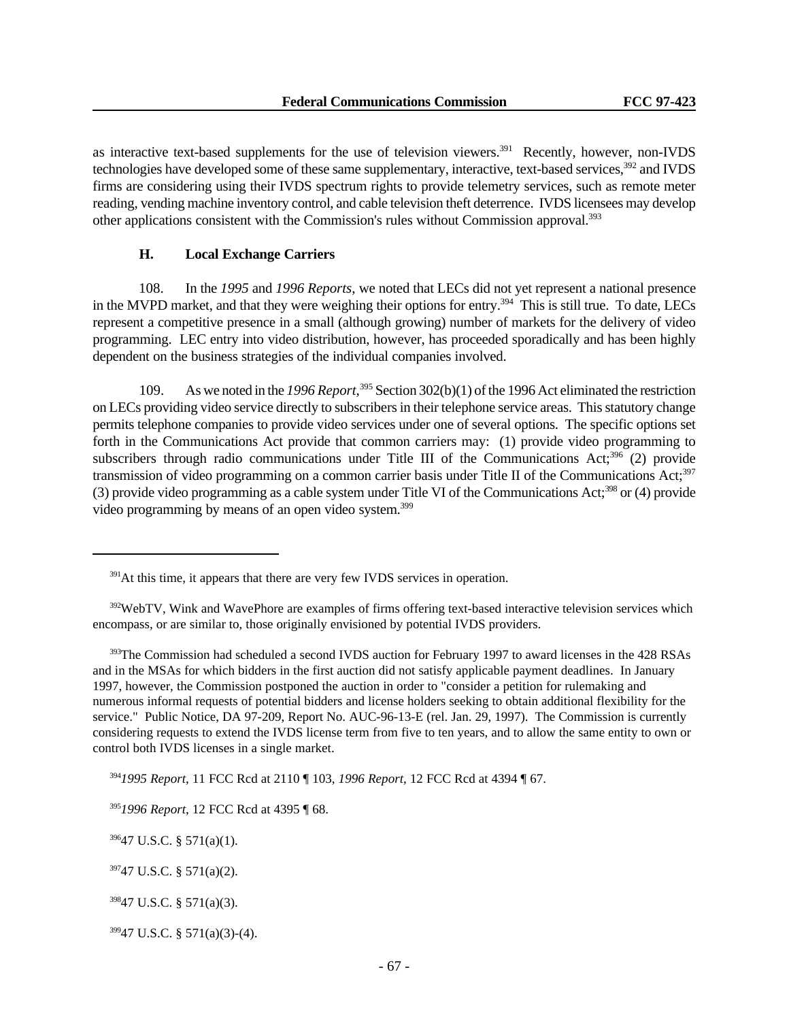as interactive text-based supplements for the use of television viewers.<sup>391</sup> Recently, however, non-IVDS technologies have developed some of these same supplementary, interactive, text-based services,<sup>392</sup> and IVDS firms are considering using their IVDS spectrum rights to provide telemetry services, such as remote meter reading, vending machine inventory control, and cable television theft deterrence. IVDS licensees may develop other applications consistent with the Commission's rules without Commission approval.<sup>393</sup>

# **H. Local Exchange Carriers**

108. In the *1995* and *1996 Reports*, we noted that LECs did not yet represent a national presence in the MVPD market, and that they were weighing their options for entry.<sup>394</sup> This is still true. To date, LECs represent a competitive presence in a small (although growing) number of markets for the delivery of video programming. LEC entry into video distribution, however, has proceeded sporadically and has been highly dependent on the business strategies of the individual companies involved.

109. As we noted in the *1996 Report*, <sup>395</sup> Section 302(b)(1) of the 1996 Act eliminated the restriction on LECs providing video service directly to subscribers in their telephone service areas. This statutory change permits telephone companies to provide video services under one of several options. The specific options set forth in the Communications Act provide that common carriers may: (1) provide video programming to subscribers through radio communications under Title III of the Communications Act; $396$  (2) provide transmission of video programming on a common carrier basis under Title II of the Communications Act;<sup>397</sup> (3) provide video programming as a cable system under Title VI of the Communications Act;<sup>398</sup> or (4) provide video programming by means of an open video system.<sup>399</sup>

<sup>393</sup>The Commission had scheduled a second IVDS auction for February 1997 to award licenses in the 428 RSAs and in the MSAs for which bidders in the first auction did not satisfy applicable payment deadlines. In January 1997, however, the Commission postponed the auction in order to "consider a petition for rulemaking and numerous informal requests of potential bidders and license holders seeking to obtain additional flexibility for the service." Public Notice, DA 97-209, Report No. AUC-96-13-E (rel. Jan. 29, 1997). The Commission is currently considering requests to extend the IVDS license term from five to ten years, and to allow the same entity to own or control both IVDS licenses in a single market.

<sup>394</sup>*1995 Report*, 11 FCC Rcd at 2110 ¶ 103, *1996 Report*, 12 FCC Rcd at 4394 ¶ 67.

 $39647$  U.S.C. § 571(a)(1).

 $391$ At this time, it appears that there are very few IVDS services in operation.

<sup>&</sup>lt;sup>392</sup>WebTV, Wink and WavePhore are examples of firms offering text-based interactive television services which encompass, or are similar to, those originally envisioned by potential IVDS providers.

<sup>395</sup>*1996 Report*, 12 FCC Rcd at 4395 ¶ 68.

 $39747$  U.S.C. § 571(a)(2).

 $39847$  U.S.C. § 571(a)(3).

 $39947$  U.S.C. § 571(a)(3)-(4).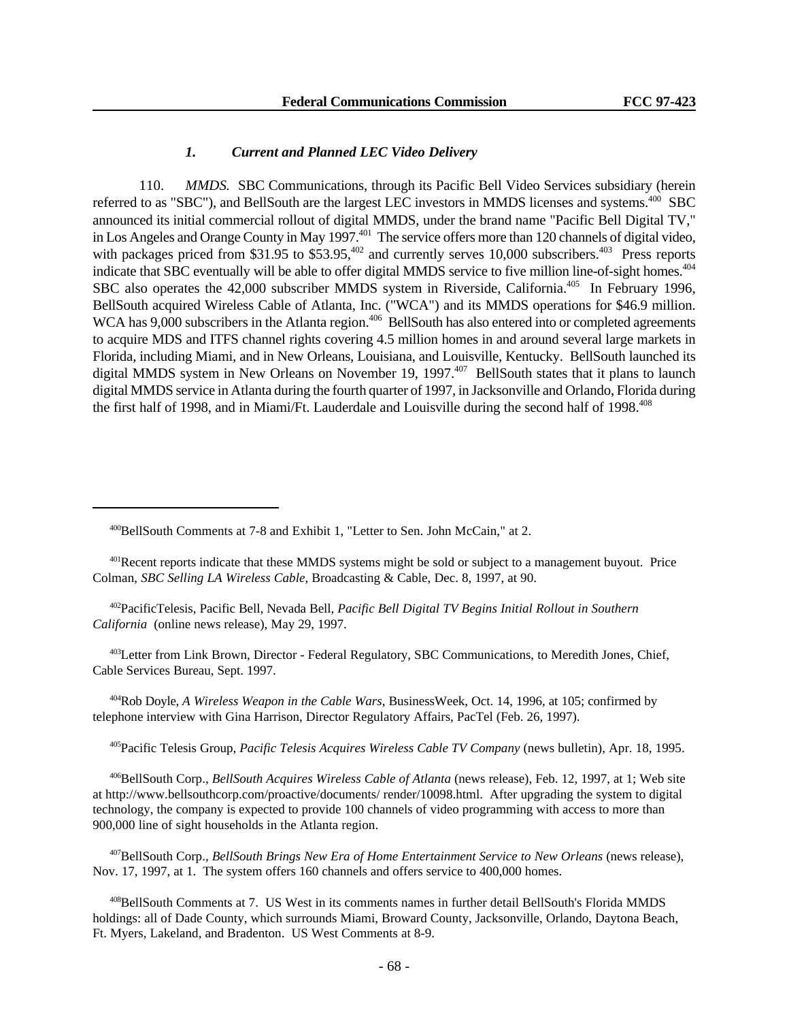# *1. Current and Planned LEC Video Delivery*

110. *MMDS.* SBC Communications, through its Pacific Bell Video Services subsidiary (herein referred to as "SBC"), and BellSouth are the largest LEC investors in MMDS licenses and systems.<sup>400</sup> SBC announced its initial commercial rollout of digital MMDS, under the brand name "Pacific Bell Digital TV," in Los Angeles and Orange County in May 1997.<sup>401</sup> The service offers more than 120 channels of digital video, with packages priced from \$31.95 to  $$53.95<sup>402</sup>$  and currently serves 10,000 subscribers.<sup>403</sup> Press reports indicate that SBC eventually will be able to offer digital MMDS service to five million line-of-sight homes.<sup>404</sup> SBC also operates the 42,000 subscriber MMDS system in Riverside, California.<sup>405</sup> In February 1996, BellSouth acquired Wireless Cable of Atlanta, Inc. ("WCA") and its MMDS operations for \$46.9 million. WCA has 9,000 subscribers in the Atlanta region.<sup>406</sup> BellSouth has also entered into or completed agreements to acquire MDS and ITFS channel rights covering 4.5 million homes in and around several large markets in Florida, including Miami, and in New Orleans, Louisiana, and Louisville, Kentucky. BellSouth launched its digital MMDS system in New Orleans on November 19, 1997.<sup>407</sup> BellSouth states that it plans to launch digital MMDS service in Atlanta during the fourth quarter of 1997, in Jacksonville and Orlando, Florida during the first half of 1998, and in Miami/Ft. Lauderdale and Louisville during the second half of 1998.<sup>408</sup>

<sup>401</sup>Recent reports indicate that these MMDS systems might be sold or subject to a management buyout. Price Colman, *SBC Selling LA Wireless Cable*, Broadcasting & Cable, Dec. 8, 1997, at 90.

<sup>402</sup>PacificTelesis, Pacific Bell, Nevada Bell, *Pacific Bell Digital TV Begins Initial Rollout in Southern California* (online news release), May 29, 1997.

<sup>403</sup>Letter from Link Brown, Director - Federal Regulatory, SBC Communications, to Meredith Jones, Chief, Cable Services Bureau, Sept. 1997.

<sup>404</sup>Rob Doyle, *A Wireless Weapon in the Cable Wars*, BusinessWeek, Oct. 14, 1996, at 105; confirmed by telephone interview with Gina Harrison, Director Regulatory Affairs, PacTel (Feb. 26, 1997).

<sup>405</sup>Pacific Telesis Group, *Pacific Telesis Acquires Wireless Cable TV Company* (news bulletin), Apr. 18, 1995.

<sup>406</sup>BellSouth Corp., *BellSouth Acquires Wireless Cable of Atlanta* (news release), Feb. 12, 1997, at 1; Web site at http://www.bellsouthcorp.com/proactive/documents/ render/10098.html. After upgrading the system to digital technology, the company is expected to provide 100 channels of video programming with access to more than 900,000 line of sight households in the Atlanta region.

<sup>407</sup>BellSouth Corp., *BellSouth Brings New Era of Home Entertainment Service to New Orleans* (news release), Nov. 17, 1997, at 1. The system offers 160 channels and offers service to 400,000 homes.

<sup>408</sup>BellSouth Comments at 7. US West in its comments names in further detail BellSouth's Florida MMDS holdings: all of Dade County, which surrounds Miami, Broward County, Jacksonville, Orlando, Daytona Beach, Ft. Myers, Lakeland, and Bradenton. US West Comments at 8-9.

<sup>400</sup>BellSouth Comments at 7-8 and Exhibit 1, "Letter to Sen. John McCain," at 2.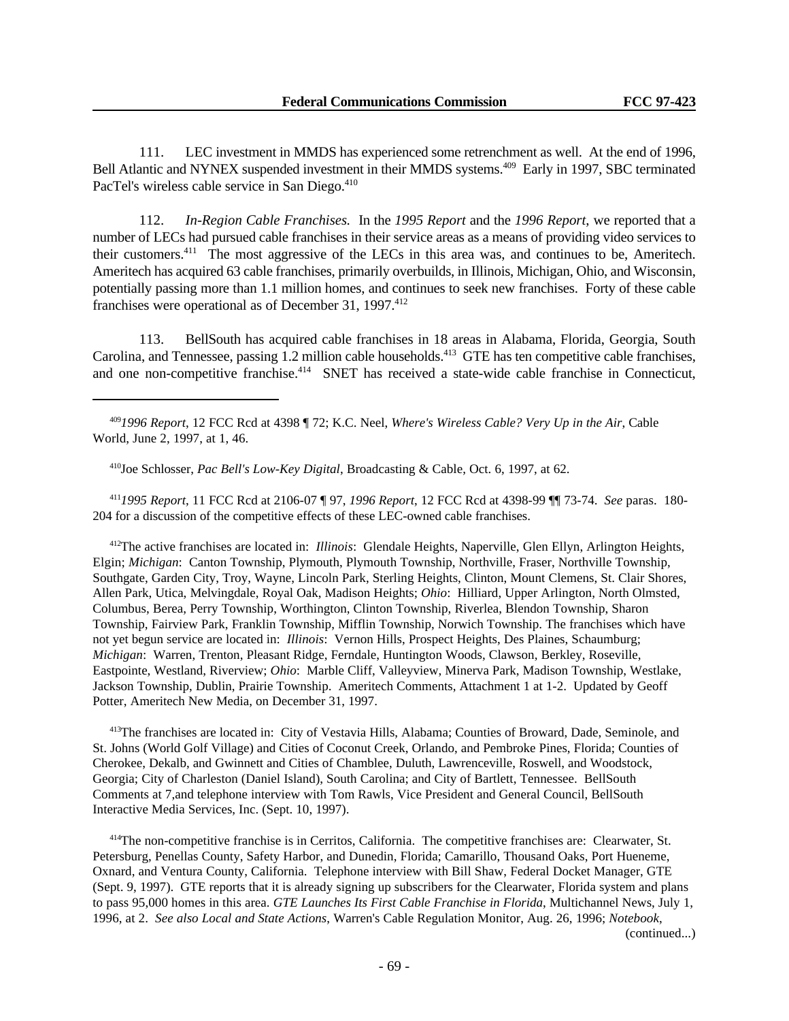111. LEC investment in MMDS has experienced some retrenchment as well. At the end of 1996, Bell Atlantic and NYNEX suspended investment in their MMDS systems.<sup>409</sup> Early in 1997, SBC terminated PacTel's wireless cable service in San Diego.<sup>410</sup>

112. *In-Region Cable Franchises.* In the *1995 Report* and the *1996 Report*, we reported that a number of LECs had pursued cable franchises in their service areas as a means of providing video services to their customers.<sup>411</sup> The most aggressive of the LECs in this area was, and continues to be, Ameritech. Ameritech has acquired 63 cable franchises, primarily overbuilds, in Illinois, Michigan, Ohio, and Wisconsin, potentially passing more than 1.1 million homes, and continues to seek new franchises. Forty of these cable franchises were operational as of December 31, 1997.<sup>412</sup>

113. BellSouth has acquired cable franchises in 18 areas in Alabama, Florida, Georgia, South Carolina, and Tennessee, passing  $1.2$  million cable households.<sup>413</sup> GTE has ten competitive cable franchises, and one non-competitive franchise.<sup>414</sup> SNET has received a state-wide cable franchise in Connecticut,

<sup>409</sup>*1996 Report*, 12 FCC Rcd at 4398 ¶ 72; K.C. Neel, *Where's Wireless Cable? Very Up in the Air*, Cable World, June 2, 1997, at 1, 46.

<sup>410</sup>Joe Schlosser, *Pac Bell's Low-Key Digital*, Broadcasting & Cable, Oct. 6, 1997, at 62.

<sup>411</sup>*1995 Report*, 11 FCC Rcd at 2106-07 ¶ 97, *1996 Report*, 12 FCC Rcd at 4398-99 ¶¶ 73-74. *See* paras. 180- 204 for a discussion of the competitive effects of these LEC-owned cable franchises.

<sup>412</sup>The active franchises are located in: *Illinois*: Glendale Heights, Naperville, Glen Ellyn, Arlington Heights, Elgin; *Michigan*: Canton Township, Plymouth, Plymouth Township, Northville, Fraser, Northville Township, Southgate, Garden City, Troy, Wayne, Lincoln Park, Sterling Heights, Clinton, Mount Clemens, St. Clair Shores, Allen Park, Utica, Melvingdale, Royal Oak, Madison Heights; *Ohio*: Hilliard, Upper Arlington, North Olmsted, Columbus, Berea, Perry Township, Worthington, Clinton Township, Riverlea, Blendon Township, Sharon Township, Fairview Park, Franklin Township, Mifflin Township, Norwich Township. The franchises which have not yet begun service are located in: *Illinois*: Vernon Hills, Prospect Heights, Des Plaines, Schaumburg; *Michigan*: Warren, Trenton, Pleasant Ridge, Ferndale, Huntington Woods, Clawson, Berkley, Roseville, Eastpointe, Westland, Riverview; *Ohio*: Marble Cliff, Valleyview, Minerva Park, Madison Township, Westlake, Jackson Township, Dublin, Prairie Township. Ameritech Comments, Attachment 1 at 1-2. Updated by Geoff Potter, Ameritech New Media, on December 31, 1997.

<sup>413</sup>The franchises are located in: City of Vestavia Hills, Alabama; Counties of Broward, Dade, Seminole, and St. Johns (World Golf Village) and Cities of Coconut Creek, Orlando, and Pembroke Pines, Florida; Counties of Cherokee, Dekalb, and Gwinnett and Cities of Chamblee, Duluth, Lawrenceville, Roswell, and Woodstock, Georgia; City of Charleston (Daniel Island), South Carolina; and City of Bartlett, Tennessee. BellSouth Comments at 7,and telephone interview with Tom Rawls, Vice President and General Council, BellSouth Interactive Media Services, Inc. (Sept. 10, 1997).

<sup>414</sup>The non-competitive franchise is in Cerritos, California. The competitive franchises are: Clearwater, St. Petersburg, Penellas County, Safety Harbor, and Dunedin, Florida; Camarillo, Thousand Oaks, Port Hueneme, Oxnard, and Ventura County, California. Telephone interview with Bill Shaw, Federal Docket Manager, GTE (Sept. 9, 1997). GTE reports that it is already signing up subscribers for the Clearwater, Florida system and plans to pass 95,000 homes in this area. *GTE Launches Its First Cable Franchise in Florida*, Multichannel News, July 1, 1996, at 2. *See also Local and State Actions*, Warren's Cable Regulation Monitor, Aug. 26, 1996; *Notebook*,

(continued...)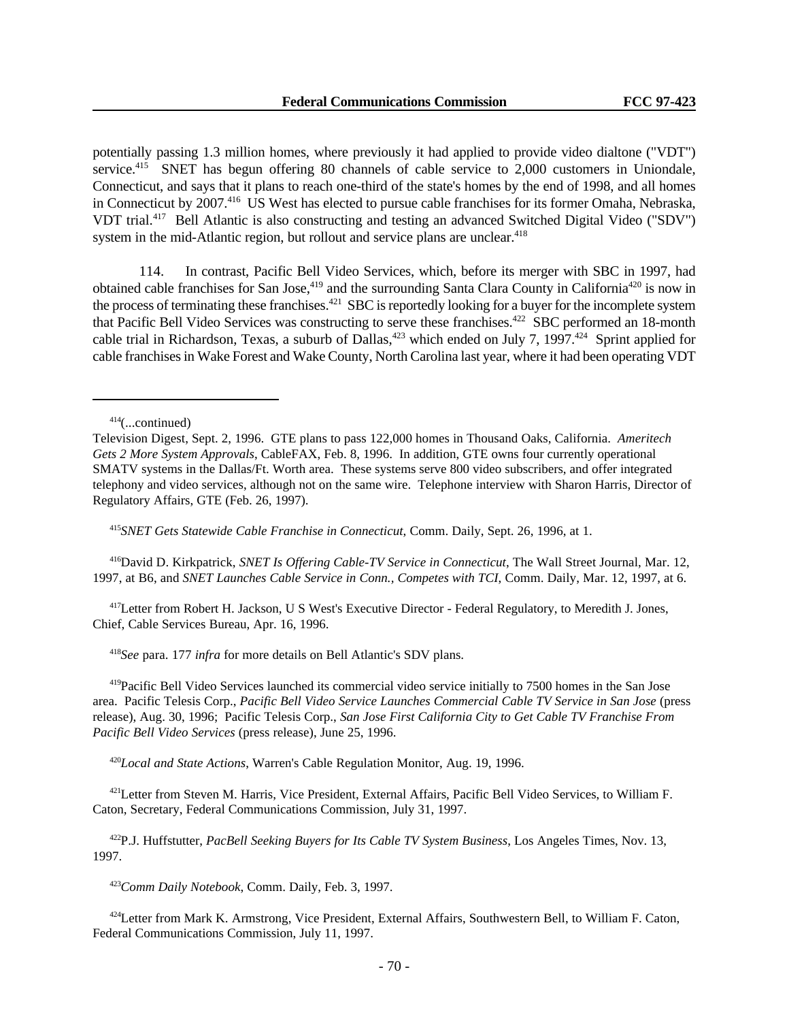potentially passing 1.3 million homes, where previously it had applied to provide video dialtone ("VDT") service.<sup>415</sup> SNET has begun offering 80 channels of cable service to 2,000 customers in Uniondale, Connecticut, and says that it plans to reach one-third of the state's homes by the end of 1998, and all homes in Connecticut by 2007.<sup>416</sup> US West has elected to pursue cable franchises for its former Omaha, Nebraska, VDT trial.<sup>417</sup> Bell Atlantic is also constructing and testing an advanced Switched Digital Video ("SDV") system in the mid-Atlantic region, but rollout and service plans are unclear.<sup>418</sup>

114. In contrast, Pacific Bell Video Services, which, before its merger with SBC in 1997, had obtained cable franchises for San Jose,<sup>419</sup> and the surrounding Santa Clara County in California<sup>420</sup> is now in the process of terminating these franchises.<sup>421</sup> SBC is reportedly looking for a buyer for the incomplete system that Pacific Bell Video Services was constructing to serve these franchises.<sup>422</sup> SBC performed an 18-month cable trial in Richardson, Texas, a suburb of Dallas,<sup>423</sup> which ended on July 7, 1997.<sup>424</sup> Sprint applied for cable franchises in Wake Forest and Wake County, North Carolina last year, where it had been operating VDT

<sup>415</sup>*SNET Gets Statewide Cable Franchise in Connecticut*, Comm. Daily, Sept. 26, 1996, at 1.

<sup>416</sup>David D. Kirkpatrick, *SNET Is Offering Cable-TV Service in Connecticut*, The Wall Street Journal, Mar. 12, 1997, at B6, and *SNET Launches Cable Service in Conn., Competes with TCI*, Comm. Daily, Mar. 12, 1997, at 6.

<sup>417</sup>Letter from Robert H. Jackson, U S West's Executive Director - Federal Regulatory, to Meredith J. Jones, Chief, Cable Services Bureau, Apr. 16, 1996.

<sup>418</sup>*See* para. 177 *infra* for more details on Bell Atlantic's SDV plans.

<sup>419</sup>Pacific Bell Video Services launched its commercial video service initially to 7500 homes in the San Jose area. Pacific Telesis Corp., *Pacific Bell Video Service Launches Commercial Cable TV Service in San Jose* (press release), Aug. 30, 1996; Pacific Telesis Corp., *San Jose First California City to Get Cable TV Franchise From Pacific Bell Video Services* (press release), June 25, 1996.

<sup>420</sup>*Local and State Actions*, Warren's Cable Regulation Monitor, Aug. 19, 1996.

<sup>421</sup>Letter from Steven M. Harris, Vice President, External Affairs, Pacific Bell Video Services, to William F. Caton, Secretary, Federal Communications Commission, July 31, 1997.

<sup>422</sup>P.J. Huffstutter, *PacBell Seeking Buyers for Its Cable TV System Business*, Los Angeles Times, Nov. 13, 1997.

<sup>423</sup>*Comm Daily Notebook*, Comm. Daily, Feb. 3, 1997.

<sup>424</sup>Letter from Mark K. Armstrong, Vice President, External Affairs, Southwestern Bell, to William F. Caton, Federal Communications Commission, July 11, 1997.

 $414$ (...continued)

Television Digest, Sept. 2, 1996. GTE plans to pass 122,000 homes in Thousand Oaks, California. *Ameritech Gets 2 More System Approvals*, CableFAX, Feb. 8, 1996. In addition, GTE owns four currently operational SMATV systems in the Dallas/Ft. Worth area. These systems serve 800 video subscribers, and offer integrated telephony and video services, although not on the same wire. Telephone interview with Sharon Harris, Director of Regulatory Affairs, GTE (Feb. 26, 1997).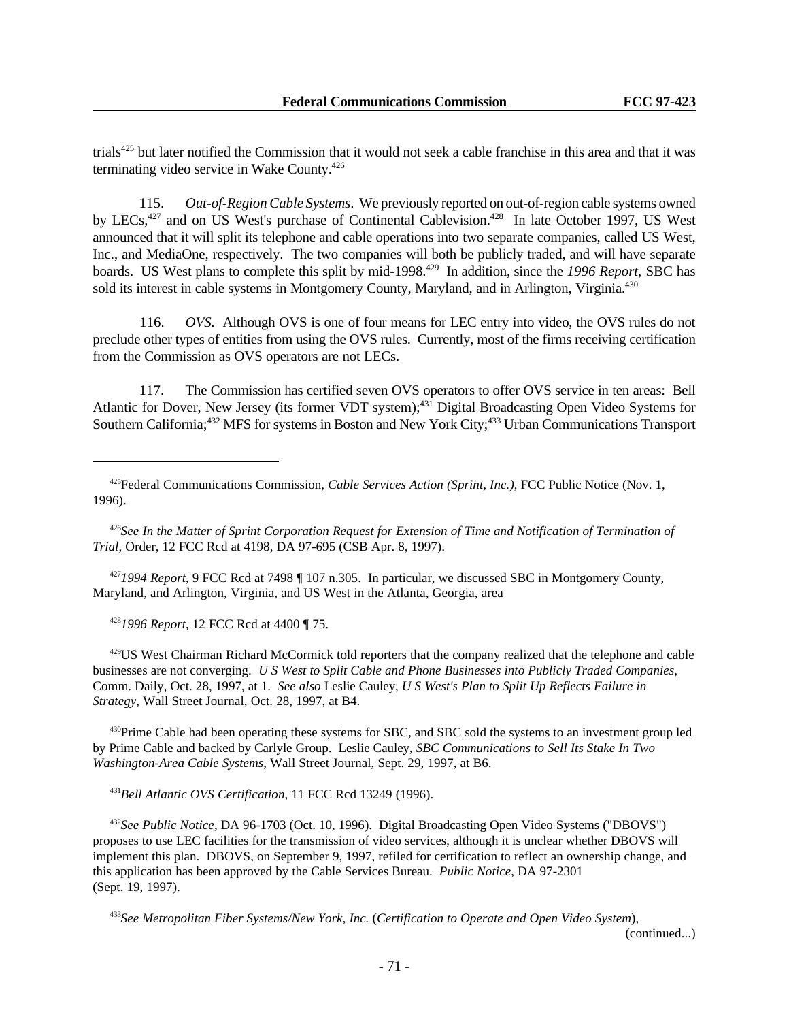trials<sup>425</sup> but later notified the Commission that it would not seek a cable franchise in this area and that it was terminating video service in Wake County.<sup>426</sup>

115. *Out-of-Region Cable Systems*. We previously reported on out-of-region cable systems owned by LECs,<sup>427</sup> and on US West's purchase of Continental Cablevision.<sup>428</sup> In late October 1997, US West announced that it will split its telephone and cable operations into two separate companies, called US West, Inc., and MediaOne, respectively. The two companies will both be publicly traded, and will have separate boards. US West plans to complete this split by mid-1998.<sup>429</sup> In addition, since the 1996 Report, SBC has sold its interest in cable systems in Montgomery County, Maryland, and in Arlington, Virginia.<sup>430</sup>

116. *OVS.* Although OVS is one of four means for LEC entry into video, the OVS rules do not preclude other types of entities from using the OVS rules. Currently, most of the firms receiving certification from the Commission as OVS operators are not LECs.

117. The Commission has certified seven OVS operators to offer OVS service in ten areas: Bell Atlantic for Dover, New Jersey (its former VDT system);<sup>431</sup> Digital Broadcasting Open Video Systems for Southern California;<sup>432</sup> MFS for systems in Boston and New York City;<sup>433</sup> Urban Communications Transport

<sup>426</sup>*See In the Matter of Sprint Corporation Request for Extension of Time and Notification of Termination of Trial*, Order, 12 FCC Rcd at 4198, DA 97-695 (CSB Apr. 8, 1997).

<sup>427</sup>*1994 Report*, 9 FCC Rcd at 7498 ¶ 107 n.305. In particular, we discussed SBC in Montgomery County, Maryland, and Arlington, Virginia, and US West in the Atlanta, Georgia, area

<sup>428</sup>*1996 Report*, 12 FCC Rcd at 4400 ¶ 75.

<sup>429</sup>US West Chairman Richard McCormick told reporters that the company realized that the telephone and cable businesses are not converging. *U S West to Split Cable and Phone Businesses into Publicly Traded Companies*, Comm. Daily, Oct. 28, 1997, at 1. *See also* Leslie Cauley, *U S West's Plan to Split Up Reflects Failure in Strategy*, Wall Street Journal, Oct. 28, 1997, at B4.

<sup>430</sup>Prime Cable had been operating these systems for SBC, and SBC sold the systems to an investment group led by Prime Cable and backed by Carlyle Group. Leslie Cauley, *SBC Communications to Sell Its Stake In Two Washington-Area Cable Systems*, Wall Street Journal, Sept. 29, 1997, at B6.

<sup>431</sup>*Bell Atlantic OVS Certification*, 11 FCC Rcd 13249 (1996).

<sup>432</sup>*See Public Notice*, DA 96-1703 (Oct. 10, 1996). Digital Broadcasting Open Video Systems ("DBOVS") proposes to use LEC facilities for the transmission of video services, although it is unclear whether DBOVS will implement this plan. DBOVS, on September 9, 1997, refiled for certification to reflect an ownership change, and this application has been approved by the Cable Services Bureau. *Public Notice*, DA 97-2301 (Sept. 19, 1997).

<sup>433</sup>*See Metropolitan Fiber Systems/New York, Inc.* (*Certification to Operate and Open Video System*),

(continued...)

<sup>425</sup>Federal Communications Commission, *Cable Services Action (Sprint, Inc.)*, FCC Public Notice (Nov. 1, 1996).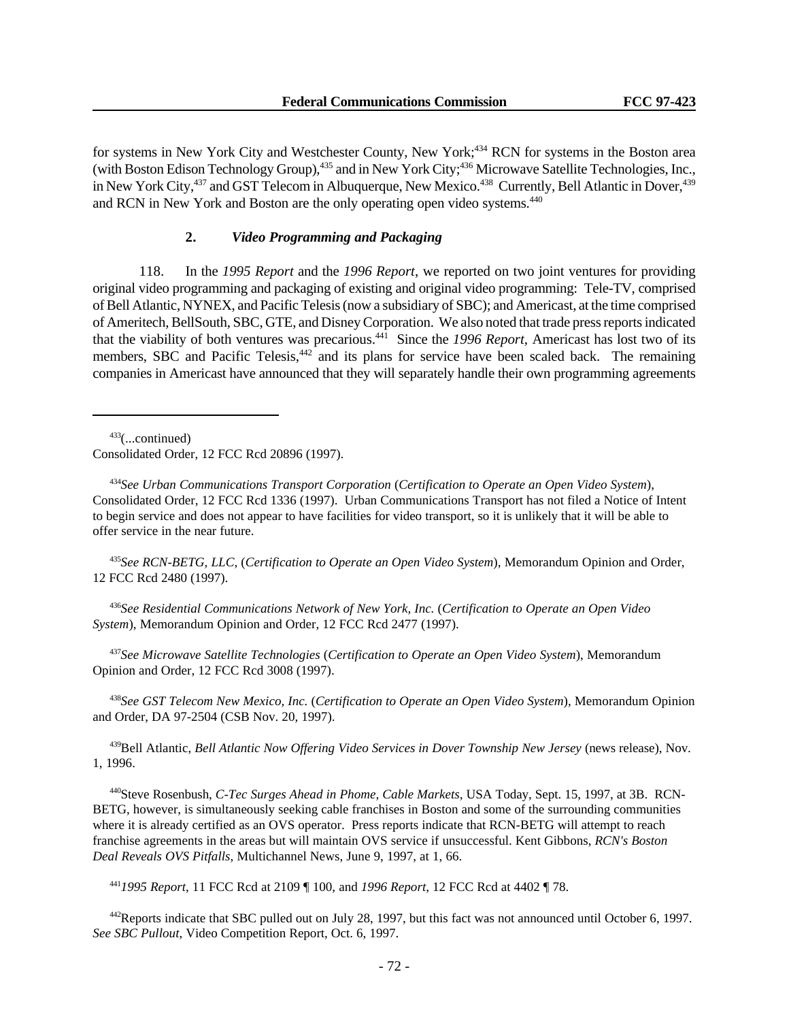for systems in New York City and Westchester County, New York;<sup>434</sup> RCN for systems in the Boston area (with Boston Edison Technology Group),<sup>435</sup> and in New York City;<sup>436</sup> Microwave Satellite Technologies, Inc., in New York City,<sup>437</sup> and GST Telecom in Albuquerque, New Mexico.<sup>438</sup> Currently, Bell Atlantic in Dover,<sup>439</sup> and RCN in New York and Boston are the only operating open video systems.<sup>440</sup>

### **2.** *Video Programming and Packaging*

118. In the *1995 Report* and the *1996 Report*, we reported on two joint ventures for providing original video programming and packaging of existing and original video programming: Tele-TV, comprised of Bell Atlantic, NYNEX, and Pacific Telesis (now a subsidiary of SBC); and Americast, at the time comprised of Ameritech, BellSouth, SBC, GTE, and Disney Corporation. We also noted that trade press reports indicated that the viability of both ventures was precarious.<sup>441</sup> Since the *1996 Report*, Americast has lost two of its members, SBC and Pacific Telesis,<sup>442</sup> and its plans for service have been scaled back. The remaining companies in Americast have announced that they will separately handle their own programming agreements

 $433$ (...continued)

Consolidated Order, 12 FCC Rcd 20896 (1997).

<sup>434</sup>*See Urban Communications Transport Corporation* (*Certification to Operate an Open Video System*), Consolidated Order, 12 FCC Rcd 1336 (1997). Urban Communications Transport has not filed a Notice of Intent to begin service and does not appear to have facilities for video transport, so it is unlikely that it will be able to offer service in the near future.

<sup>435</sup>*See RCN-BETG, LLC*, (*Certification to Operate an Open Video System*), Memorandum Opinion and Order, 12 FCC Rcd 2480 (1997).

<sup>436</sup>*See Residential Communications Network of New York, Inc.* (*Certification to Operate an Open Video System*), Memorandum Opinion and Order, 12 FCC Rcd 2477 (1997).

<sup>437</sup>*See Microwave Satellite Technologies* (*Certification to Operate an Open Video System*), Memorandum Opinion and Order, 12 FCC Rcd 3008 (1997).

<sup>438</sup>*See GST Telecom New Mexico, Inc.* (*Certification to Operate an Open Video System*), Memorandum Opinion and Order, DA 97-2504 (CSB Nov. 20, 1997).

<sup>439</sup>Bell Atlantic, *Bell Atlantic Now Offering Video Services in Dover Township New Jersey* (news release), Nov. 1, 1996.

440Steve Rosenbush, *C-Tec Surges Ahead in Phome, Cable Markets*, USA Today, Sept. 15, 1997, at 3B. RCN-BETG, however, is simultaneously seeking cable franchises in Boston and some of the surrounding communities where it is already certified as an OVS operator. Press reports indicate that RCN-BETG will attempt to reach franchise agreements in the areas but will maintain OVS service if unsuccessful. Kent Gibbons, *RCN's Boston Deal Reveals OVS Pitfalls*, Multichannel News, June 9, 1997, at 1, 66.

<sup>441</sup>*1995 Report*, 11 FCC Rcd at 2109 ¶ 100, and *1996 Report*, 12 FCC Rcd at 4402 ¶ 78.

<sup>442</sup>Reports indicate that SBC pulled out on July 28, 1997, but this fact was not announced until October 6, 1997. *See SBC Pullout*, Video Competition Report, Oct. 6, 1997.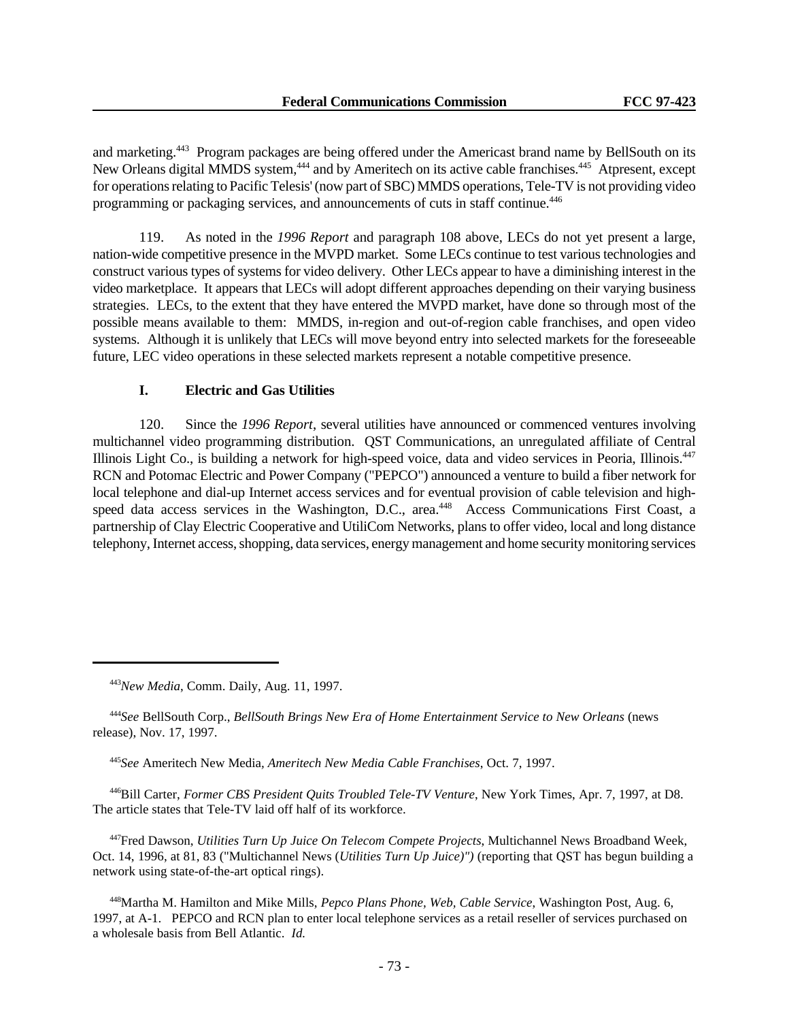and marketing.<sup>443</sup> Program packages are being offered under the Americast brand name by BellSouth on its New Orleans digital MMDS system,<sup>444</sup> and by Ameritech on its active cable franchises.<sup>445</sup> Atpresent, except for operations relating to Pacific Telesis' (now part of SBC) MMDS operations, Tele-TV is not providing video programming or packaging services, and announcements of cuts in staff continue.<sup>446</sup>

119. As noted in the *1996 Report* and paragraph 108 above, LECs do not yet present a large, nation-wide competitive presence in the MVPD market. Some LECs continue to test various technologies and construct various types of systems for video delivery. Other LECs appear to have a diminishing interest in the video marketplace. It appears that LECs will adopt different approaches depending on their varying business strategies. LECs, to the extent that they have entered the MVPD market, have done so through most of the possible means available to them: MMDS, in-region and out-of-region cable franchises, and open video systems. Although it is unlikely that LECs will move beyond entry into selected markets for the foreseeable future, LEC video operations in these selected markets represent a notable competitive presence.

# **I. Electric and Gas Utilities**

120. Since the *1996 Report*, several utilities have announced or commenced ventures involving multichannel video programming distribution. QST Communications, an unregulated affiliate of Central Illinois Light Co., is building a network for high-speed voice, data and video services in Peoria, Illinois.<sup>447</sup> RCN and Potomac Electric and Power Company ("PEPCO") announced a venture to build a fiber network for local telephone and dial-up Internet access services and for eventual provision of cable television and highspeed data access services in the Washington, D.C., area.<sup>448</sup> Access Communications First Coast, a partnership of Clay Electric Cooperative and UtiliCom Networks, plans to offer video, local and long distance telephony, Internet access, shopping, data services, energy management and home security monitoring services

<sup>444</sup>*See* BellSouth Corp., *BellSouth Brings New Era of Home Entertainment Service to New Orleans* (news release), Nov. 17, 1997.

<sup>445</sup>*See* Ameritech New Media*, Ameritech New Media Cable Franchises*, Oct. 7, 1997.

<sup>446</sup>Bill Carter, *Former CBS President Quits Troubled Tele-TV Venture*, New York Times, Apr. 7, 1997, at D8. The article states that Tele-TV laid off half of its workforce.

<sup>447</sup>Fred Dawson, *Utilities Turn Up Juice On Telecom Compete Projects*, Multichannel News Broadband Week, Oct. 14, 1996, at 81, 83 ("Multichannel News (*Utilities Turn Up Juice)")* (reporting that QST has begun building a network using state-of-the-art optical rings).

<sup>448</sup>Martha M. Hamilton and Mike Mills, *Pepco Plans Phone, Web, Cable Service*, Washington Post, Aug. 6, 1997, at A-1. PEPCO and RCN plan to enter local telephone services as a retail reseller of services purchased on a wholesale basis from Bell Atlantic. *Id.*

<sup>443</sup>*New Media*, Comm. Daily, Aug. 11, 1997.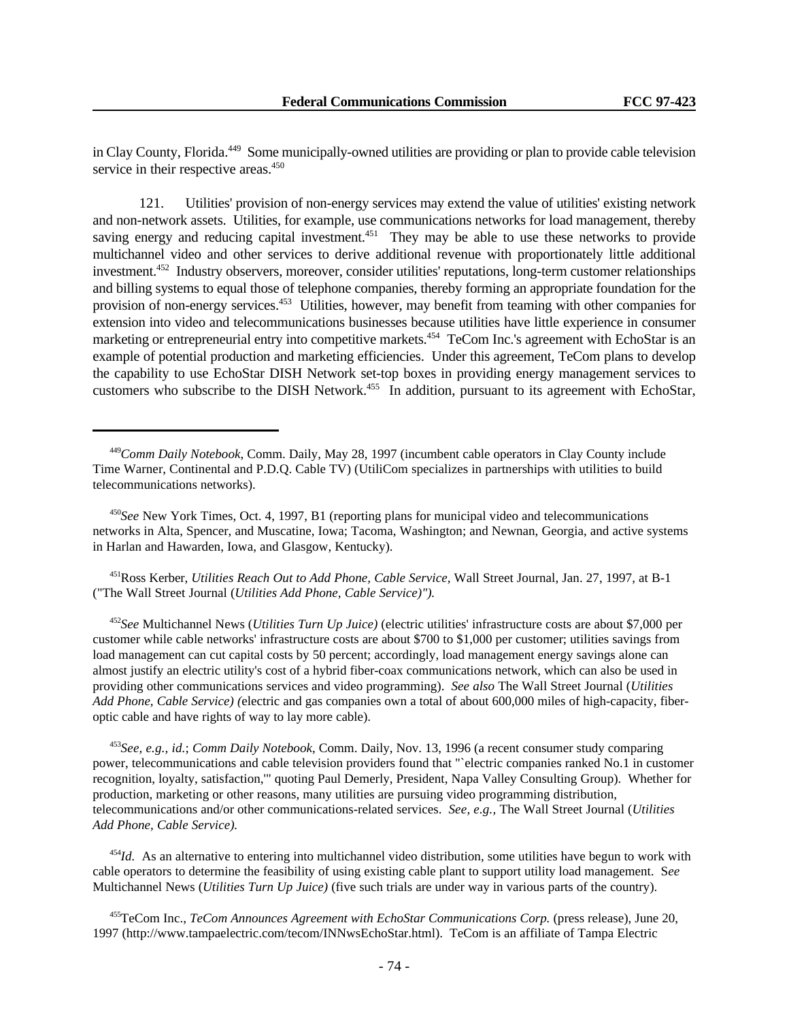in Clay County, Florida.<sup>449</sup> Some municipally-owned utilities are providing or plan to provide cable television service in their respective areas.<sup>450</sup>

121. Utilities' provision of non-energy services may extend the value of utilities' existing network and non-network assets. Utilities, for example, use communications networks for load management, thereby saving energy and reducing capital investment.<sup>451</sup> They may be able to use these networks to provide multichannel video and other services to derive additional revenue with proportionately little additional investment.<sup>452</sup> Industry observers, moreover, consider utilities' reputations, long-term customer relationships and billing systems to equal those of telephone companies, thereby forming an appropriate foundation for the provision of non-energy services.<sup>453</sup> Utilities, however, may benefit from teaming with other companies for extension into video and telecommunications businesses because utilities have little experience in consumer marketing or entrepreneurial entry into competitive markets.<sup>454</sup> TeCom Inc.'s agreement with EchoStar is an example of potential production and marketing efficiencies. Under this agreement, TeCom plans to develop the capability to use EchoStar DISH Network set-top boxes in providing energy management services to customers who subscribe to the DISH Network.<sup>455</sup> In addition, pursuant to its agreement with EchoStar,

<sup>451</sup>Ross Kerber, *Utilities Reach Out to Add Phone, Cable Service,* Wall Street Journal, Jan. 27, 1997, at B-1 ("The Wall Street Journal (*Utilities Add Phone, Cable Service)").*

<sup>452</sup>*See* Multichannel News (*Utilities Turn Up Juice)* (electric utilities' infrastructure costs are about \$7,000 per customer while cable networks' infrastructure costs are about \$700 to \$1,000 per customer; utilities savings from load management can cut capital costs by 50 percent; accordingly, load management energy savings alone can almost justify an electric utility's cost of a hybrid fiber-coax communications network, which can also be used in providing other communications services and video programming). *See also* The Wall Street Journal (*Utilities Add Phone, Cable Service) (*electric and gas companies own a total of about 600,000 miles of high-capacity, fiberoptic cable and have rights of way to lay more cable).

<sup>453</sup>*See, e.g., id.*; *Comm Daily Notebook*, Comm. Daily, Nov. 13, 1996 (a recent consumer study comparing power, telecommunications and cable television providers found that "`electric companies ranked No.1 in customer recognition, loyalty, satisfaction,'" quoting Paul Demerly, President, Napa Valley Consulting Group). Whether for production, marketing or other reasons, many utilities are pursuing video programming distribution, telecommunications and/or other communications-related services. *See, e.g.,* The Wall Street Journal (*Utilities Add Phone, Cable Service).*

<sup>454</sup>*Id.* As an alternative to entering into multichannel video distribution, some utilities have begun to work with cable operators to determine the feasibility of using existing cable plant to support utility load management. S*ee* Multichannel News (*Utilities Turn Up Juice)* (five such trials are under way in various parts of the country).

<sup>455</sup>TeCom Inc., *TeCom Announces Agreement with EchoStar Communications Corp.* (press release), June 20, 1997 (http://www.tampaelectric.com/tecom/INNwsEchoStar.html). TeCom is an affiliate of Tampa Electric

<sup>449</sup>*Comm Daily Notebook*, Comm. Daily, May 28, 1997 (incumbent cable operators in Clay County include Time Warner, Continental and P.D.Q. Cable TV) (UtiliCom specializes in partnerships with utilities to build telecommunications networks).

<sup>450</sup>*See* New York Times, Oct. 4, 1997, B1 (reporting plans for municipal video and telecommunications networks in Alta, Spencer, and Muscatine, Iowa; Tacoma, Washington; and Newnan, Georgia, and active systems in Harlan and Hawarden, Iowa, and Glasgow, Kentucky).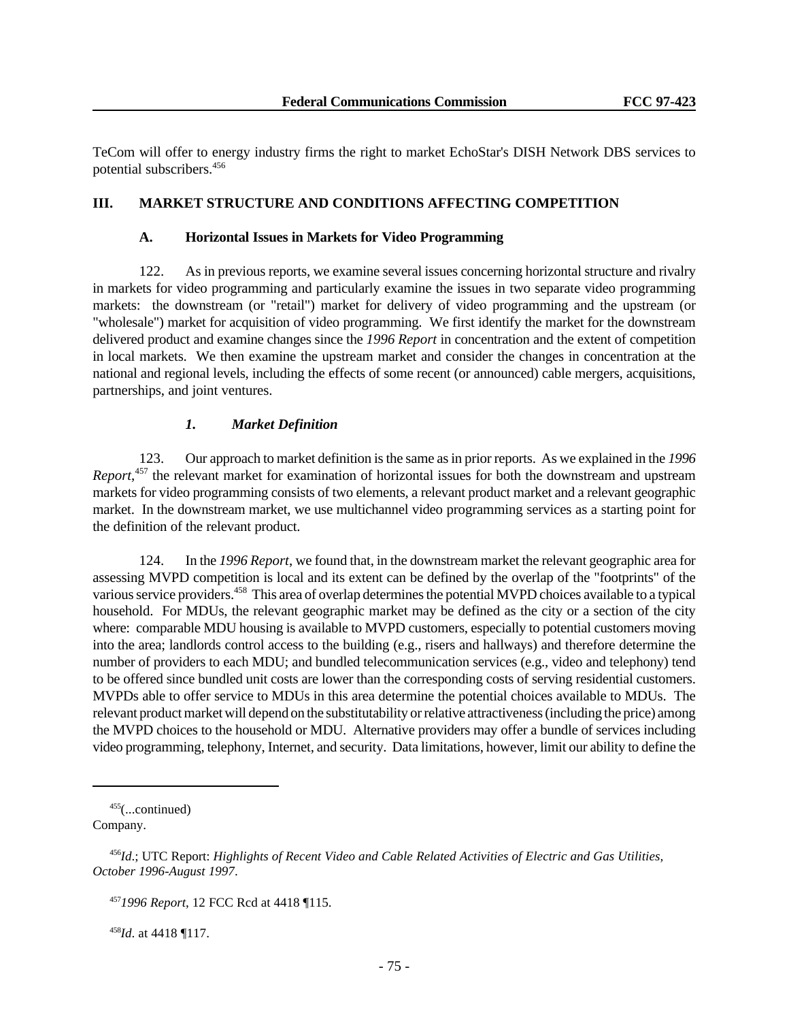TeCom will offer to energy industry firms the right to market EchoStar's DISH Network DBS services to potential subscribers.<sup>456</sup>

### **III. MARKET STRUCTURE AND CONDITIONS AFFECTING COMPETITION**

#### **A. Horizontal Issues in Markets for Video Programming**

122. As in previous reports, we examine several issues concerning horizontal structure and rivalry in markets for video programming and particularly examine the issues in two separate video programming markets: the downstream (or "retail") market for delivery of video programming and the upstream (or "wholesale") market for acquisition of video programming. We first identify the market for the downstream delivered product and examine changes since the *1996 Report* in concentration and the extent of competition in local markets. We then examine the upstream market and consider the changes in concentration at the national and regional levels, including the effects of some recent (or announced) cable mergers, acquisitions, partnerships, and joint ventures.

# *1. Market Definition*

123. Our approach to market definition is the same as in prior reports. As we explained in the *1996 Report*,<sup>457</sup> the relevant market for examination of horizontal issues for both the downstream and upstream markets for video programming consists of two elements, a relevant product market and a relevant geographic market. In the downstream market, we use multichannel video programming services as a starting point for the definition of the relevant product.

124. In the *1996 Report*, we found that, in the downstream market the relevant geographic area for assessing MVPD competition is local and its extent can be defined by the overlap of the "footprints" of the various service providers.<sup>458</sup> This area of overlap determines the potential MVPD choices available to a typical household. For MDUs, the relevant geographic market may be defined as the city or a section of the city where: comparable MDU housing is available to MVPD customers, especially to potential customers moving into the area; landlords control access to the building (e.g., risers and hallways) and therefore determine the number of providers to each MDU; and bundled telecommunication services (e.g., video and telephony) tend to be offered since bundled unit costs are lower than the corresponding costs of serving residential customers. MVPDs able to offer service to MDUs in this area determine the potential choices available to MDUs. The relevant product market will depend on the substitutability or relative attractiveness (including the price) among the MVPD choices to the household or MDU. Alternative providers may offer a bundle of services including video programming, telephony, Internet, and security. Data limitations, however, limit our ability to define the

 $455$ (...continued) Company.

<sup>458</sup>*Id*. at 4418 ¶117.

<sup>456</sup>*Id*.; UTC Report: *Highlights of Recent Video and Cable Related Activities of Electric and Gas Utilities, October 1996-August 1997*.

<sup>457</sup>*1996 Report*, 12 FCC Rcd at 4418 ¶115.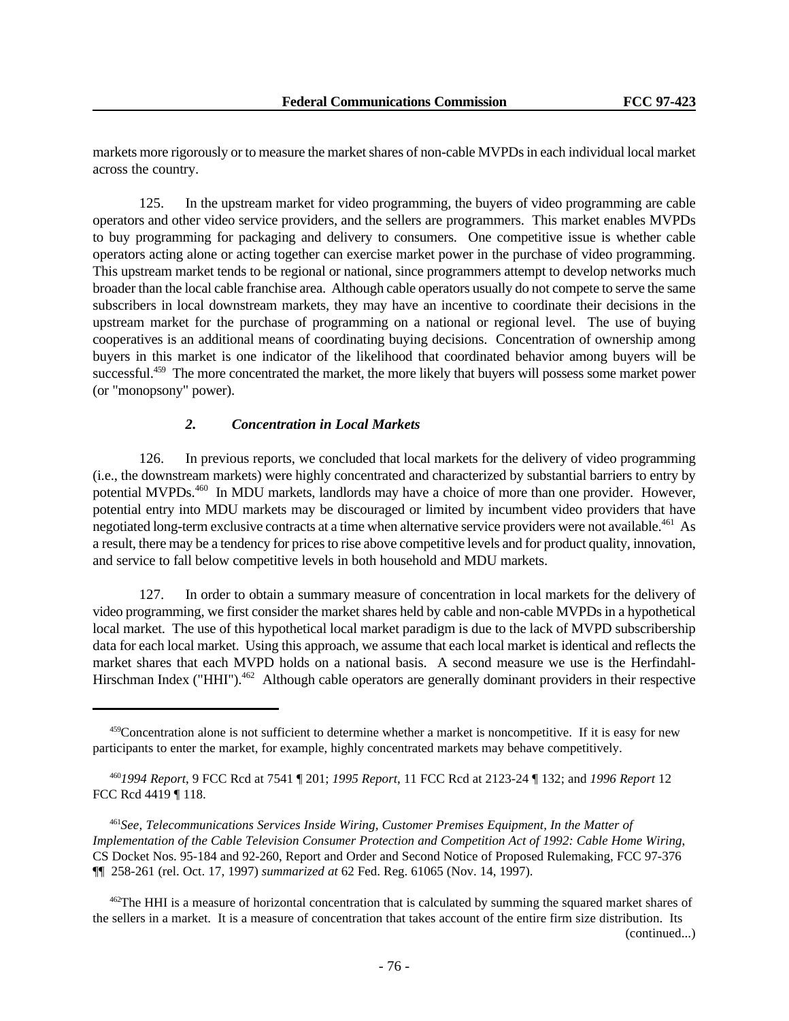markets more rigorously or to measure the market shares of non-cable MVPDs in each individual local market across the country.

125. In the upstream market for video programming, the buyers of video programming are cable operators and other video service providers, and the sellers are programmers. This market enables MVPDs to buy programming for packaging and delivery to consumers. One competitive issue is whether cable operators acting alone or acting together can exercise market power in the purchase of video programming. This upstream market tends to be regional or national, since programmers attempt to develop networks much broader than the local cable franchise area. Although cable operators usually do not compete to serve the same subscribers in local downstream markets, they may have an incentive to coordinate their decisions in the upstream market for the purchase of programming on a national or regional level. The use of buying cooperatives is an additional means of coordinating buying decisions. Concentration of ownership among buyers in this market is one indicator of the likelihood that coordinated behavior among buyers will be successful.<sup>459</sup> The more concentrated the market, the more likely that buyers will possess some market power (or "monopsony" power).

# *2. Concentration in Local Markets*

126. In previous reports, we concluded that local markets for the delivery of video programming (i.e., the downstream markets) were highly concentrated and characterized by substantial barriers to entry by potential MVPDs.<sup>460</sup> In MDU markets, landlords may have a choice of more than one provider. However, potential entry into MDU markets may be discouraged or limited by incumbent video providers that have negotiated long-term exclusive contracts at a time when alternative service providers were not available.<sup>461</sup> As a result, there may be a tendency for prices to rise above competitive levels and for product quality, innovation, and service to fall below competitive levels in both household and MDU markets.

127. In order to obtain a summary measure of concentration in local markets for the delivery of video programming, we first consider the market shares held by cable and non-cable MVPDs in a hypothetical local market. The use of this hypothetical local market paradigm is due to the lack of MVPD subscribership data for each local market. Using this approach, we assume that each local market is identical and reflects the market shares that each MVPD holds on a national basis. A second measure we use is the Herfindahl-Hirschman Index ("HHI").<sup>462</sup> Although cable operators are generally dominant providers in their respective

<sup>&</sup>lt;sup>459</sup>Concentration alone is not sufficient to determine whether a market is noncompetitive. If it is easy for new participants to enter the market, for example, highly concentrated markets may behave competitively.

<sup>460</sup>*1994 Report*, 9 FCC Rcd at 7541 ¶ 201; *1995 Report*, 11 FCC Rcd at 2123-24 ¶ 132; and *1996 Report* 12 FCC Rcd 4419 ¶ 118.

<sup>461</sup>*See*, *Telecommunications Services Inside Wiring, Customer Premises Equipment, In the Matter of Implementation of the Cable Television Consumer Protection and Competition Act of 1992: Cable Home Wiring*, CS Docket Nos. 95-184 and 92-260, Report and Order and Second Notice of Proposed Rulemaking, FCC 97-376 ¶¶ 258-261 (rel. Oct. 17, 1997) *summarized at* 62 Fed. Reg. 61065 (Nov. 14, 1997).

<sup>&</sup>lt;sup>462</sup>The HHI is a measure of horizontal concentration that is calculated by summing the squared market shares of the sellers in a market. It is a measure of concentration that takes account of the entire firm size distribution. Its (continued...)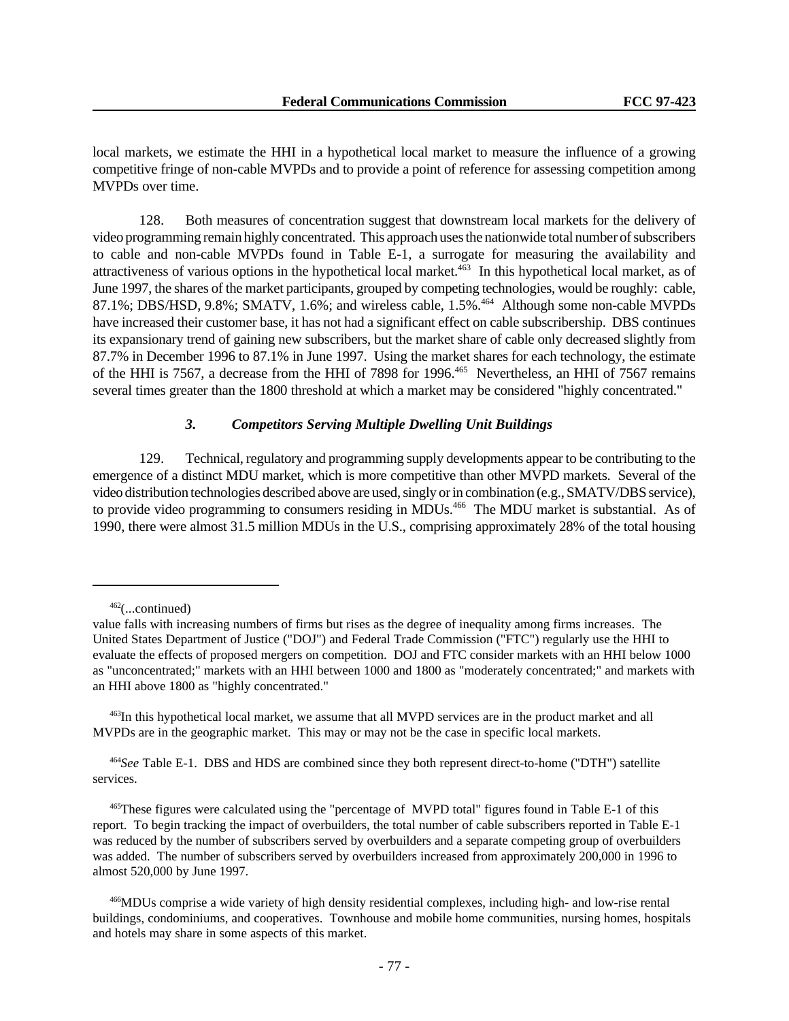local markets, we estimate the HHI in a hypothetical local market to measure the influence of a growing competitive fringe of non-cable MVPDs and to provide a point of reference for assessing competition among MVPDs over time.

128. Both measures of concentration suggest that downstream local markets for the delivery of video programming remain highly concentrated. This approach uses the nationwide total number of subscribers to cable and non-cable MVPDs found in Table E-1, a surrogate for measuring the availability and attractiveness of various options in the hypothetical local market.<sup>463</sup> In this hypothetical local market, as of June 1997, the shares of the market participants, grouped by competing technologies, would be roughly: cable, 87.1%; DBS/HSD, 9.8%; SMATV, 1.6%; and wireless cable, 1.5%.<sup>464</sup> Although some non-cable MVPDs have increased their customer base, it has not had a significant effect on cable subscribership. DBS continues its expansionary trend of gaining new subscribers, but the market share of cable only decreased slightly from 87.7% in December 1996 to 87.1% in June 1997. Using the market shares for each technology, the estimate of the HHI is 7567, a decrease from the HHI of 7898 for 1996.<sup>465</sup> Nevertheless, an HHI of 7567 remains several times greater than the 1800 threshold at which a market may be considered "highly concentrated."

#### *3. Competitors Serving Multiple Dwelling Unit Buildings*

129. Technical, regulatory and programming supply developments appear to be contributing to the emergence of a distinct MDU market, which is more competitive than other MVPD markets. Several of the video distribution technologies described above are used, singly or in combination (e.g., SMATV/DBS service), to provide video programming to consumers residing in MDUs.<sup>466</sup> The MDU market is substantial. As of 1990, there were almost 31.5 million MDUs in the U.S., comprising approximately 28% of the total housing

<sup>462</sup>(...continued)

value falls with increasing numbers of firms but rises as the degree of inequality among firms increases. The United States Department of Justice ("DOJ") and Federal Trade Commission ("FTC") regularly use the HHI to evaluate the effects of proposed mergers on competition. DOJ and FTC consider markets with an HHI below 1000 as "unconcentrated;" markets with an HHI between 1000 and 1800 as "moderately concentrated;" and markets with an HHI above 1800 as "highly concentrated."

<sup>463</sup>In this hypothetical local market, we assume that all MVPD services are in the product market and all MVPDs are in the geographic market. This may or may not be the case in specific local markets.

<sup>464</sup>*See* Table E-1. DBS and HDS are combined since they both represent direct-to-home ("DTH") satellite services.

<sup>465</sup>These figures were calculated using the "percentage of MVPD total" figures found in Table E-1 of this report. To begin tracking the impact of overbuilders, the total number of cable subscribers reported in Table E-1 was reduced by the number of subscribers served by overbuilders and a separate competing group of overbuilders was added. The number of subscribers served by overbuilders increased from approximately 200,000 in 1996 to almost 520,000 by June 1997.

<sup>466</sup>MDUs comprise a wide variety of high density residential complexes, including high- and low-rise rental buildings, condominiums, and cooperatives. Townhouse and mobile home communities, nursing homes, hospitals and hotels may share in some aspects of this market.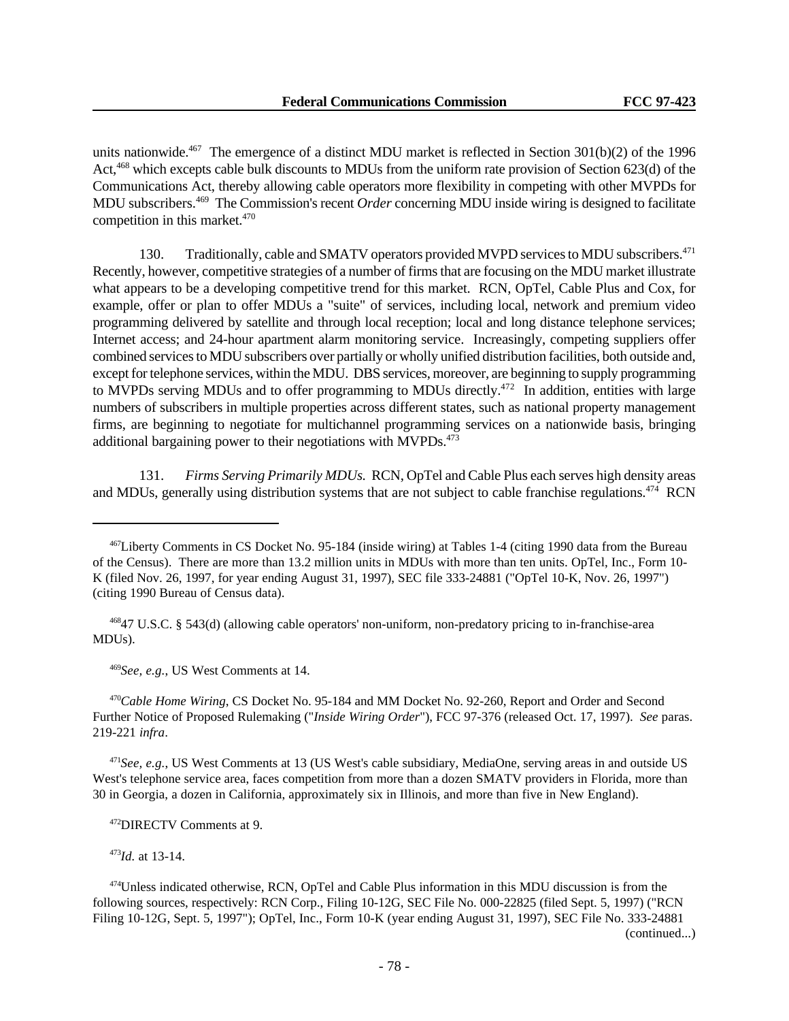units nationwide.<sup>467</sup> The emergence of a distinct MDU market is reflected in Section  $301(b)(2)$  of the 1996 Act,<sup>468</sup> which excepts cable bulk discounts to MDUs from the uniform rate provision of Section 623(d) of the Communications Act, thereby allowing cable operators more flexibility in competing with other MVPDs for MDU subscribers.<sup>469</sup> The Commission's recent *Order* concerning MDU inside wiring is designed to facilitate competition in this market.<sup>470</sup>

130. Traditionally, cable and SMATV operators provided MVPD services to MDU subscribers.<sup>471</sup> Recently, however, competitive strategies of a number of firms that are focusing on the MDU market illustrate what appears to be a developing competitive trend for this market. RCN, OpTel, Cable Plus and Cox, for example, offer or plan to offer MDUs a "suite" of services, including local, network and premium video programming delivered by satellite and through local reception; local and long distance telephone services; Internet access; and 24-hour apartment alarm monitoring service. Increasingly, competing suppliers offer combined services to MDU subscribers over partially or wholly unified distribution facilities, both outside and, except for telephone services, within the MDU. DBS services, moreover, are beginning to supply programming to MVPDs serving MDUs and to offer programming to MDUs directly.<sup>472</sup> In addition, entities with large numbers of subscribers in multiple properties across different states, such as national property management firms, are beginning to negotiate for multichannel programming services on a nationwide basis, bringing additional bargaining power to their negotiations with MVPDs.<sup>473</sup>

131. *Firms Serving Primarily MDUs.* RCN, OpTel and Cable Plus each serves high density areas and MDUs, generally using distribution systems that are not subject to cable franchise regulations.<sup>474</sup> RCN

<sup>468</sup>47 U.S.C. § 543(d) (allowing cable operators' non-uniform, non-predatory pricing to in-franchise-area MDUs).

<sup>469</sup>*See, e.g.*, US West Comments at 14.

<sup>470</sup>*Cable Home Wiring*, CS Docket No. 95-184 and MM Docket No. 92-260, Report and Order and Second Further Notice of Proposed Rulemaking ("*Inside Wiring Order*"), FCC 97-376 (released Oct. 17, 1997). *See* paras. 219-221 *infra*.

<sup>471</sup>*See, e.g.*, US West Comments at 13 (US West's cable subsidiary, MediaOne, serving areas in and outside US West's telephone service area, faces competition from more than a dozen SMATV providers in Florida, more than 30 in Georgia, a dozen in California, approximately six in Illinois, and more than five in New England).

<sup>472</sup>DIRECTV Comments at 9.

<sup>473</sup>*Id.* at 13-14.

(continued...)

<sup>467</sup>Liberty Comments in CS Docket No. 95-184 (inside wiring) at Tables 1-4 (citing 1990 data from the Bureau of the Census). There are more than 13.2 million units in MDUs with more than ten units. OpTel, Inc., Form 10- K (filed Nov. 26, 1997, for year ending August 31, 1997), SEC file 333-24881 ("OpTel 10-K, Nov. 26, 1997") (citing 1990 Bureau of Census data).

<sup>474</sup>Unless indicated otherwise, RCN, OpTel and Cable Plus information in this MDU discussion is from the following sources, respectively: RCN Corp., Filing 10-12G, SEC File No. 000-22825 (filed Sept. 5, 1997) ("RCN Filing 10-12G, Sept. 5, 1997"); OpTel, Inc., Form 10-K (year ending August 31, 1997), SEC File No. 333-24881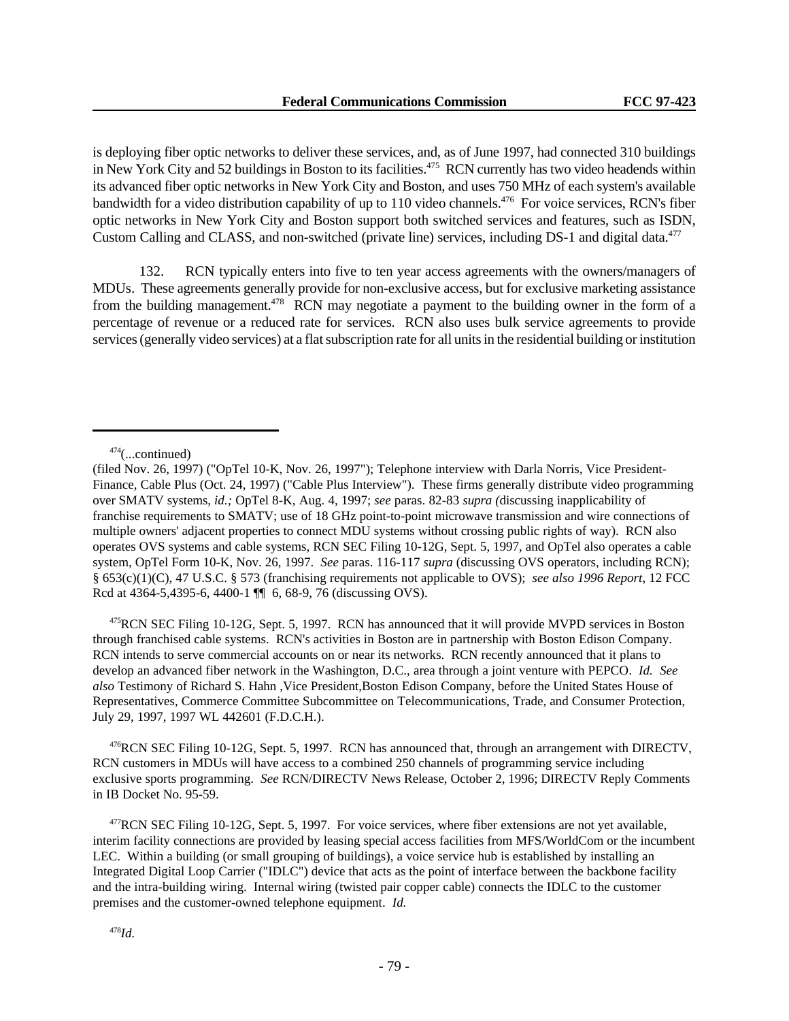is deploying fiber optic networks to deliver these services, and, as of June 1997, had connected 310 buildings in New York City and 52 buildings in Boston to its facilities.<sup>475</sup> RCN currently has two video headends within its advanced fiber optic networks in New York City and Boston, and uses 750 MHz of each system's available bandwidth for a video distribution capability of up to 110 video channels.<sup>476</sup> For voice services, RCN's fiber optic networks in New York City and Boston support both switched services and features, such as ISDN, Custom Calling and CLASS, and non-switched (private line) services, including DS-1 and digital data.<sup>477</sup>

132. RCN typically enters into five to ten year access agreements with the owners/managers of MDUs. These agreements generally provide for non-exclusive access, but for exclusive marketing assistance from the building management.<sup>478</sup> RCN may negotiate a payment to the building owner in the form of a percentage of revenue or a reduced rate for services. RCN also uses bulk service agreements to provide services (generally video services) at a flat subscription rate for all units in the residential building or institution

<sup>475</sup>RCN SEC Filing 10-12G, Sept. 5, 1997. RCN has announced that it will provide MVPD services in Boston through franchised cable systems. RCN's activities in Boston are in partnership with Boston Edison Company. RCN intends to serve commercial accounts on or near its networks. RCN recently announced that it plans to develop an advanced fiber network in the Washington, D.C., area through a joint venture with PEPCO. *Id. See also* Testimony of Richard S. Hahn ,Vice President,Boston Edison Company, before the United States House of Representatives, Commerce Committee Subcommittee on Telecommunications, Trade, and Consumer Protection, July 29, 1997, 1997 WL 442601 (F.D.C.H.).

<sup>476</sup>RCN SEC Filing 10-12G, Sept. 5, 1997. RCN has announced that, through an arrangement with DIRECTV, RCN customers in MDUs will have access to a combined 250 channels of programming service including exclusive sports programming. *See* RCN/DIRECTV News Release, October 2, 1996; DIRECTV Reply Comments in IB Docket No. 95-59.

<sup>477</sup>RCN SEC Filing 10-12G, Sept. 5, 1997. For voice services, where fiber extensions are not yet available, interim facility connections are provided by leasing special access facilities from MFS/WorldCom or the incumbent LEC. Within a building (or small grouping of buildings), a voice service hub is established by installing an Integrated Digital Loop Carrier ("IDLC") device that acts as the point of interface between the backbone facility and the intra-building wiring. Internal wiring (twisted pair copper cable) connects the IDLC to the customer premises and the customer-owned telephone equipment. *Id.*

 $474$ (...continued)

<sup>(</sup>filed Nov. 26, 1997) ("OpTel 10-K, Nov. 26, 1997"); Telephone interview with Darla Norris, Vice President-Finance, Cable Plus (Oct. 24, 1997) ("Cable Plus Interview"). These firms generally distribute video programming over SMATV systems, *id.;* OpTel 8-K, Aug. 4, 1997; *see* paras. 82-83 *supra (*discussing inapplicability of franchise requirements to SMATV; use of 18 GHz point-to-point microwave transmission and wire connections of multiple owners' adjacent properties to connect MDU systems without crossing public rights of way). RCN also operates OVS systems and cable systems, RCN SEC Filing 10-12G, Sept. 5, 1997, and OpTel also operates a cable system, OpTel Form 10-K, Nov. 26, 1997. *See* paras. 116-117 *supra* (discussing OVS operators, including RCN); § 653(c)(1)(C), 47 U.S.C. § 573 (franchising requirements not applicable to OVS); *see also 1996 Report*, 12 FCC Rcd at 4364-5,4395-6, 4400-1 ¶ 6, 68-9, 76 (discussing OVS).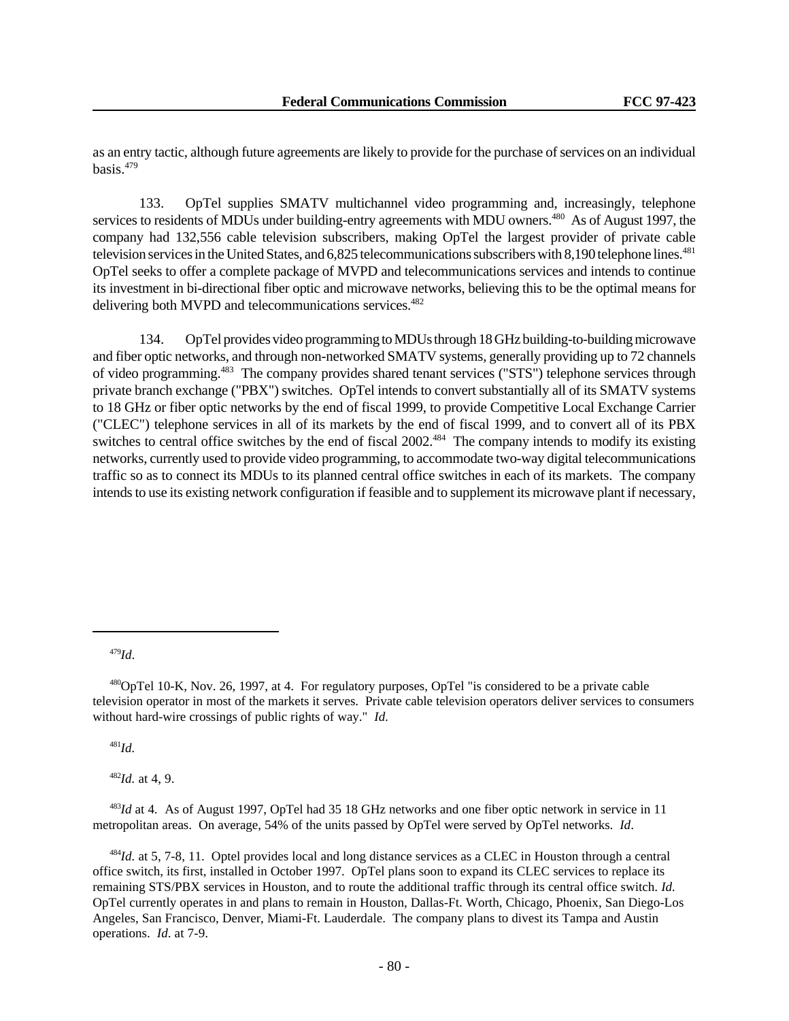as an entry tactic, although future agreements are likely to provide for the purchase of services on an individual basis.<sup>479</sup>

133. OpTel supplies SMATV multichannel video programming and, increasingly, telephone services to residents of MDUs under building-entry agreements with MDU owners.<sup>480</sup> As of August 1997, the company had 132,556 cable television subscribers, making OpTel the largest provider of private cable television services in the United States, and 6,825 telecommunications subscribers with 8,190 telephone lines.<sup>481</sup> OpTel seeks to offer a complete package of MVPD and telecommunications services and intends to continue its investment in bi-directional fiber optic and microwave networks, believing this to be the optimal means for delivering both MVPD and telecommunications services.<sup>482</sup>

134. OpTel provides video programming to MDUs through 18 GHz building-to-building microwave and fiber optic networks, and through non-networked SMATV systems, generally providing up to 72 channels of video programming.<sup>483</sup> The company provides shared tenant services ("STS") telephone services through private branch exchange ("PBX") switches. OpTel intends to convert substantially all of its SMATV systems to 18 GHz or fiber optic networks by the end of fiscal 1999, to provide Competitive Local Exchange Carrier ("CLEC") telephone services in all of its markets by the end of fiscal 1999, and to convert all of its PBX switches to central office switches by the end of fiscal 2002.<sup>484</sup> The company intends to modify its existing networks, currently used to provide video programming, to accommodate two-way digital telecommunications traffic so as to connect its MDUs to its planned central office switches in each of its markets. The company intends to use its existing network configuration if feasible and to supplement its microwave plant if necessary,

<sup>479</sup>*Id*.

<sup>481</sup>*Id.*

<sup>482</sup>*Id.* at 4, 9.

<sup>483</sup>*Id* at 4*.* As of August 1997, OpTel had 35 18 GHz networks and one fiber optic network in service in 11 metropolitan areas. On average, 54% of the units passed by OpTel were served by OpTel networks. *Id*.

<sup>484</sup>*Id.* at 5, 7-8, 11. Optel provides local and long distance services as a CLEC in Houston through a central office switch, its first, installed in October 1997. OpTel plans soon to expand its CLEC services to replace its remaining STS/PBX services in Houston, and to route the additional traffic through its central office switch. *Id.* OpTel currently operates in and plans to remain in Houston, Dallas-Ft. Worth, Chicago, Phoenix, San Diego-Los Angeles, San Francisco, Denver, Miami-Ft. Lauderdale. The company plans to divest its Tampa and Austin operations. *Id*. at 7-9.

<sup>480</sup>OpTel 10-K, Nov. 26, 1997, at 4. For regulatory purposes, OpTel "is considered to be a private cable television operator in most of the markets it serves. Private cable television operators deliver services to consumers without hard-wire crossings of public rights of way." *Id.*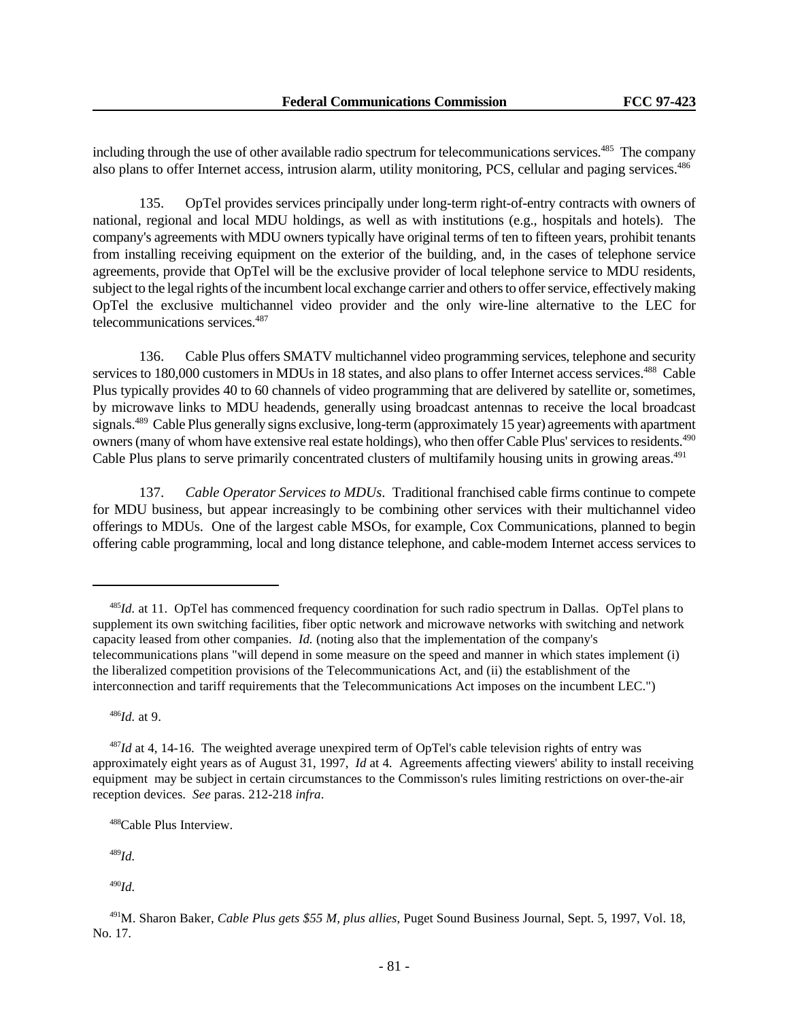including through the use of other available radio spectrum for telecommunications services.<sup>485</sup> The company also plans to offer Internet access, intrusion alarm, utility monitoring, PCS, cellular and paging services.<sup>486</sup>

135. OpTel provides services principally under long-term right-of-entry contracts with owners of national, regional and local MDU holdings, as well as with institutions (e.g., hospitals and hotels). The company's agreements with MDU owners typically have original terms of ten to fifteen years, prohibit tenants from installing receiving equipment on the exterior of the building, and, in the cases of telephone service agreements, provide that OpTel will be the exclusive provider of local telephone service to MDU residents, subject to the legal rights of the incumbent local exchange carrier and others to offer service, effectively making OpTel the exclusive multichannel video provider and the only wire-line alternative to the LEC for telecommunications services.<sup>487</sup>

136. Cable Plus offers SMATV multichannel video programming services, telephone and security services to 180,000 customers in MDUs in 18 states, and also plans to offer Internet access services.<sup>488</sup> Cable Plus typically provides 40 to 60 channels of video programming that are delivered by satellite or, sometimes, by microwave links to MDU headends, generally using broadcast antennas to receive the local broadcast signals.<sup>489</sup> Cable Plus generally signs exclusive, long-term (approximately 15 year) agreements with apartment owners (many of whom have extensive real estate holdings), who then offer Cable Plus' services to residents.<sup>490</sup> Cable Plus plans to serve primarily concentrated clusters of multifamily housing units in growing areas.<sup>491</sup>

137. *Cable Operator Services to MDUs*. Traditional franchised cable firms continue to compete for MDU business, but appear increasingly to be combining other services with their multichannel video offerings to MDUs. One of the largest cable MSOs, for example, Cox Communications, planned to begin offering cable programming, local and long distance telephone, and cable-modem Internet access services to

<sup>486</sup>*Id.* at 9.

<sup>489</sup>*Id.*

<sup>490</sup>*Id.*

<sup>485</sup>*Id.* at 11. OpTel has commenced frequency coordination for such radio spectrum in Dallas. OpTel plans to supplement its own switching facilities, fiber optic network and microwave networks with switching and network capacity leased from other companies. *Id.* (noting also that the implementation of the company's telecommunications plans "will depend in some measure on the speed and manner in which states implement (i) the liberalized competition provisions of the Telecommunications Act, and (ii) the establishment of the interconnection and tariff requirements that the Telecommunications Act imposes on the incumbent LEC.")

<sup>487</sup>*Id* at 4, 14-16. The weighted average unexpired term of OpTel's cable television rights of entry was approximately eight years as of August 31, 1997, *Id* at 4*.* Agreements affecting viewers' ability to install receiving equipment may be subject in certain circumstances to the Commisson's rules limiting restrictions on over-the-air reception devices. *See* paras. 212-218 *infra*.

<sup>488</sup>Cable Plus Interview.

<sup>491</sup>M. Sharon Baker, *Cable Plus gets \$55 M, plus allies*, Puget Sound Business Journal, Sept. 5, 1997, Vol. 18, No. 17.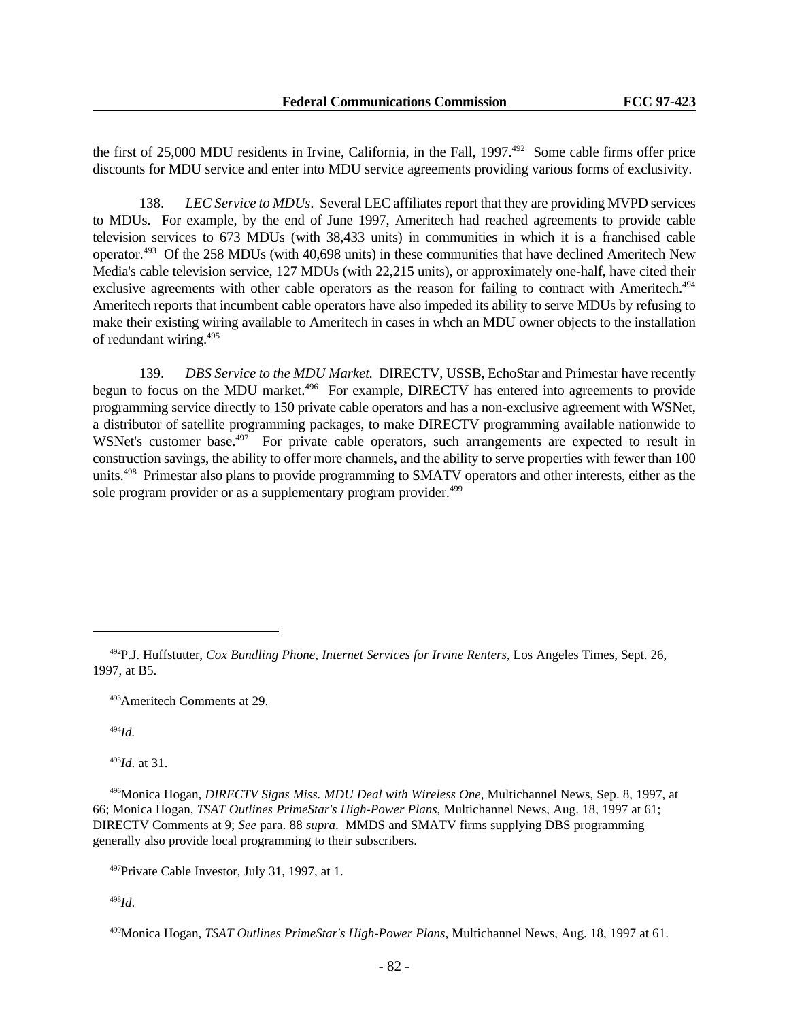the first of 25,000 MDU residents in Irvine, California, in the Fall, 1997.<sup>492</sup> Some cable firms offer price discounts for MDU service and enter into MDU service agreements providing various forms of exclusivity.

138. *LEC Service to MDUs*. Several LEC affiliates report that they are providing MVPD services to MDUs. For example, by the end of June 1997, Ameritech had reached agreements to provide cable television services to 673 MDUs (with 38,433 units) in communities in which it is a franchised cable operator.<sup>493</sup> Of the 258 MDUs (with 40,698 units) in these communities that have declined Ameritech New Media's cable television service, 127 MDUs (with 22,215 units), or approximately one-half, have cited their exclusive agreements with other cable operators as the reason for failing to contract with Ameritech.<sup>494</sup> Ameritech reports that incumbent cable operators have also impeded its ability to serve MDUs by refusing to make their existing wiring available to Ameritech in cases in whch an MDU owner objects to the installation of redundant wiring.<sup>495</sup>

139. *DBS Service to the MDU Market.* DIRECTV, USSB, EchoStar and Primestar have recently begun to focus on the MDU market.<sup>496</sup> For example, DIRECTV has entered into agreements to provide programming service directly to 150 private cable operators and has a non-exclusive agreement with WSNet, a distributor of satellite programming packages, to make DIRECTV programming available nationwide to WSNet's customer base.<sup>497</sup> For private cable operators, such arrangements are expected to result in construction savings, the ability to offer more channels, and the ability to serve properties with fewer than 100 units.<sup>498</sup> Primestar also plans to provide programming to SMATV operators and other interests, either as the sole program provider or as a supplementary program provider.<sup>499</sup>

<sup>494</sup>*Id.*

<sup>495</sup>*Id*. at 31.

<sup>496</sup>Monica Hogan, *DIRECTV Signs Miss. MDU Deal with Wireless One*, Multichannel News, Sep. 8, 1997, at 66; Monica Hogan, *TSAT Outlines PrimeStar's High-Power Plans*, Multichannel News, Aug. 18, 1997 at 61; DIRECTV Comments at 9; *See* para. 88 *supra*. MMDS and SMATV firms supplying DBS programming generally also provide local programming to their subscribers.

<sup>497</sup>Private Cable Investor, July 31, 1997, at 1.

<sup>498</sup>*Id*.

<sup>492</sup>P.J. Huffstutter, *Cox Bundling Phone, Internet Services for Irvine Renters*, Los Angeles Times, Sept. 26, 1997, at B5.

<sup>493</sup>Ameritech Comments at 29.

<sup>499</sup>Monica Hogan, *TSAT Outlines PrimeStar's High-Power Plans*, Multichannel News, Aug. 18, 1997 at 61.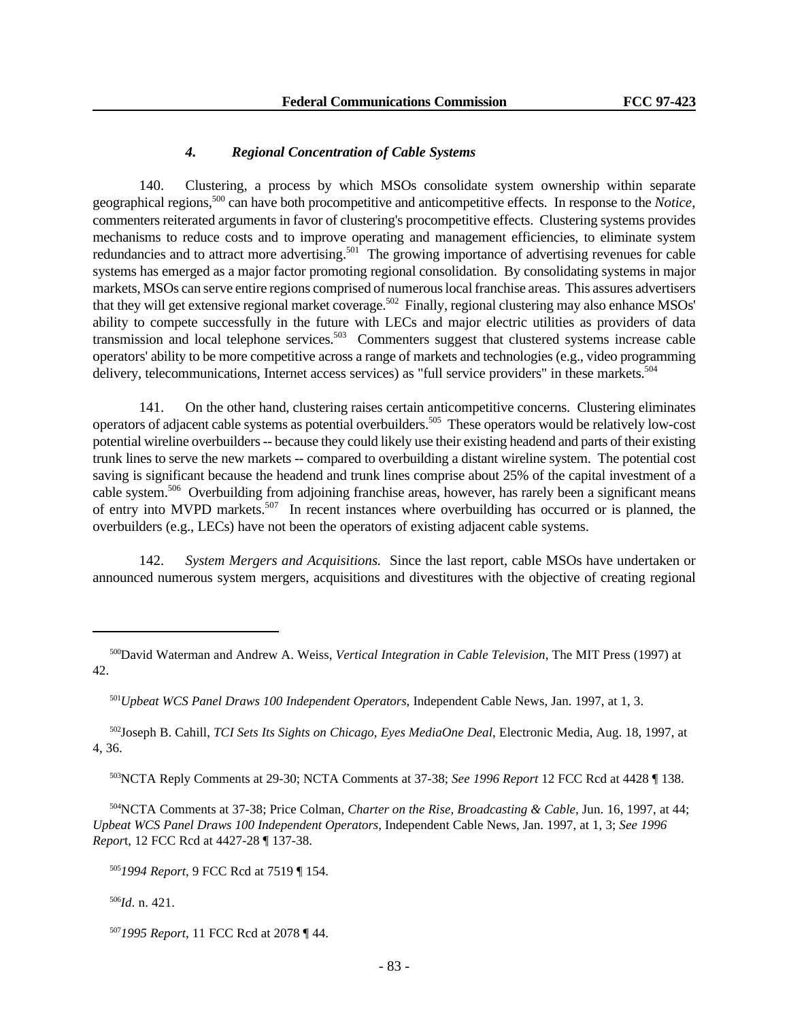# *4. Regional Concentration of Cable Systems*

140. Clustering, a process by which MSOs consolidate system ownership within separate geographical regions,<sup>500</sup> can have both procompetitive and anticompetitive effects. In response to the *Notice*, commenters reiterated arguments in favor of clustering's procompetitive effects. Clustering systems provides mechanisms to reduce costs and to improve operating and management efficiencies, to eliminate system redundancies and to attract more advertising.<sup>501</sup> The growing importance of advertising revenues for cable systems has emerged as a major factor promoting regional consolidation. By consolidating systems in major markets, MSOs can serve entire regions comprised of numerous local franchise areas. This assures advertisers that they will get extensive regional market coverage.<sup>502</sup> Finally, regional clustering may also enhance MSOs' ability to compete successfully in the future with LECs and major electric utilities as providers of data transmission and local telephone services.<sup>503</sup> Commenters suggest that clustered systems increase cable operators' ability to be more competitive across a range of markets and technologies (e.g., video programming delivery, telecommunications, Internet access services) as "full service providers" in these markets.<sup>504</sup>

141. On the other hand, clustering raises certain anticompetitive concerns. Clustering eliminates operators of adjacent cable systems as potential overbuilders.<sup>505</sup> These operators would be relatively low-cost potential wireline overbuilders -- because they could likely use their existing headend and parts of their existing trunk lines to serve the new markets -- compared to overbuilding a distant wireline system. The potential cost saving is significant because the headend and trunk lines comprise about 25% of the capital investment of a cable system.<sup>506</sup> Overbuilding from adjoining franchise areas, however, has rarely been a significant means of entry into MVPD markets.<sup>507</sup> In recent instances where overbuilding has occurred or is planned, the overbuilders (e.g., LECs) have not been the operators of existing adjacent cable systems.

142. *System Mergers and Acquisitions.* Since the last report, cable MSOs have undertaken or announced numerous system mergers, acquisitions and divestitures with the objective of creating regional

<sup>502</sup>Joseph B. Cahill, *TCI Sets Its Sights on Chicago, Eyes MediaOne Deal*, Electronic Media, Aug. 18, 1997, at 4, 36.

<sup>503</sup>NCTA Reply Comments at 29-30; NCTA Comments at 37-38; *See 1996 Report* 12 FCC Rcd at 4428 ¶ 138.

<sup>504</sup>NCTA Comments at 37-38; Price Colman, *Charter on the Rise, Broadcasting & Cable,* Jun. 16, 1997, at 44; *Upbeat WCS Panel Draws 100 Independent Operators*, Independent Cable News, Jan. 1997, at 1, 3; *See 1996 Repor*t, 12 FCC Rcd at 4427-28 ¶ 137-38.

<sup>505</sup>*1994 Report*, 9 FCC Rcd at 7519 ¶ 154.

<sup>506</sup>*Id*. n. 421.

<sup>500</sup>David Waterman and Andrew A. Weiss, *Vertical Integration in Cable Television*, The MIT Press (1997) at 42.

<sup>501</sup>*Upbeat WCS Panel Draws 100 Independent Operators*, Independent Cable News, Jan. 1997, at 1, 3.

<sup>507</sup>*1995 Report*, 11 FCC Rcd at 2078 ¶ 44.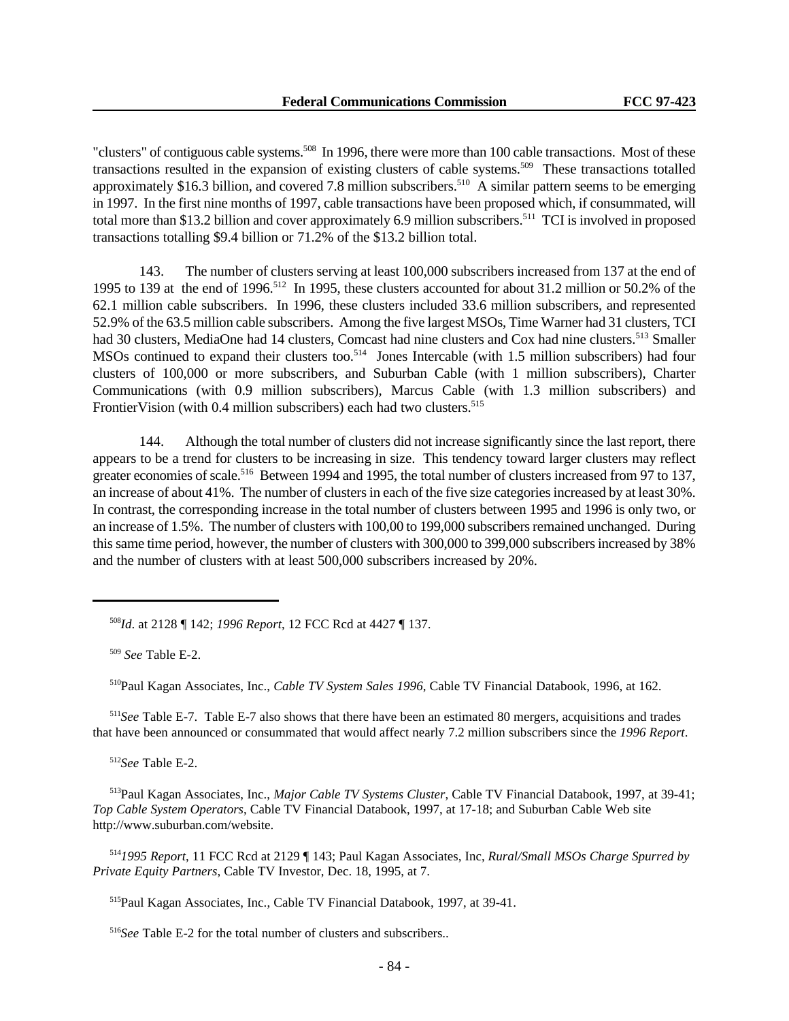"clusters" of contiguous cable systems.<sup>508</sup> In 1996, there were more than 100 cable transactions. Most of these transactions resulted in the expansion of existing clusters of cable systems.<sup>509</sup> These transactions totalled approximately \$16.3 billion, and covered 7.8 million subscribers.<sup>510</sup> A similar pattern seems to be emerging in 1997. In the first nine months of 1997, cable transactions have been proposed which, if consummated, will total more than \$13.2 billion and cover approximately 6.9 million subscribers.<sup>511</sup> TCI is involved in proposed transactions totalling \$9.4 billion or 71.2% of the \$13.2 billion total.

143. The number of clusters serving at least 100,000 subscribers increased from 137 at the end of 1995 to 139 at the end of 1996.<sup>512</sup> In 1995, these clusters accounted for about 31.2 million or 50.2% of the 62.1 million cable subscribers. In 1996, these clusters included 33.6 million subscribers, and represented 52.9% of the 63.5 million cable subscribers. Among the five largest MSOs, Time Warner had 31 clusters, TCI had 30 clusters, MediaOne had 14 clusters, Comcast had nine clusters and Cox had nine clusters.<sup>513</sup> Smaller MSOs continued to expand their clusters too.<sup>514</sup> Jones Intercable (with 1.5 million subscribers) had four clusters of 100,000 or more subscribers, and Suburban Cable (with 1 million subscribers), Charter Communications (with 0.9 million subscribers), Marcus Cable (with 1.3 million subscribers) and FrontierVision (with 0.4 million subscribers) each had two clusters.<sup>515</sup>

144. Although the total number of clusters did not increase significantly since the last report, there appears to be a trend for clusters to be increasing in size. This tendency toward larger clusters may reflect greater economies of scale.<sup>516</sup> Between 1994 and 1995, the total number of clusters increased from 97 to 137, an increase of about 41%. The number of clusters in each of the five size categories increased by at least 30%. In contrast, the corresponding increase in the total number of clusters between 1995 and 1996 is only two, or an increase of 1.5%. The number of clusters with 100,00 to 199,000 subscribers remained unchanged. During this same time period, however, the number of clusters with 300,000 to 399,000 subscribers increased by 38% and the number of clusters with at least 500,000 subscribers increased by 20%.

<sup>508</sup>*Id*. at 2128 ¶ 142; *1996 Report*, 12 FCC Rcd at 4427 ¶ 137.

<sup>510</sup>Paul Kagan Associates, Inc., *Cable TV System Sales 1996*, Cable TV Financial Databook, 1996, at 162.

<sup>511</sup>*See* Table E-7. Table E-7 also shows that there have been an estimated 80 mergers, acquisitions and trades that have been announced or consummated that would affect nearly 7.2 million subscribers since the *1996 Report*.

<sup>512</sup>*See* Table E-2.

<sup>513</sup>Paul Kagan Associates, Inc., *Major Cable TV Systems Cluster*, Cable TV Financial Databook, 1997, at 39-41; *Top Cable System Operators*, Cable TV Financial Databook, 1997, at 17-18; and Suburban Cable Web site http://www.suburban.com/website.

<sup>514</sup>*1995 Report*, 11 FCC Rcd at 2129 ¶ 143; Paul Kagan Associates, Inc, *Rural/Small MSOs Charge Spurred by Private Equity Partners*, Cable TV Investor, Dec. 18, 1995, at 7.

<sup>515</sup>Paul Kagan Associates, Inc., Cable TV Financial Databook, 1997, at 39-41.

<sup>516</sup>*See* Table E-2 for the total number of clusters and subscribers..

<sup>509</sup> *See* Table E-2.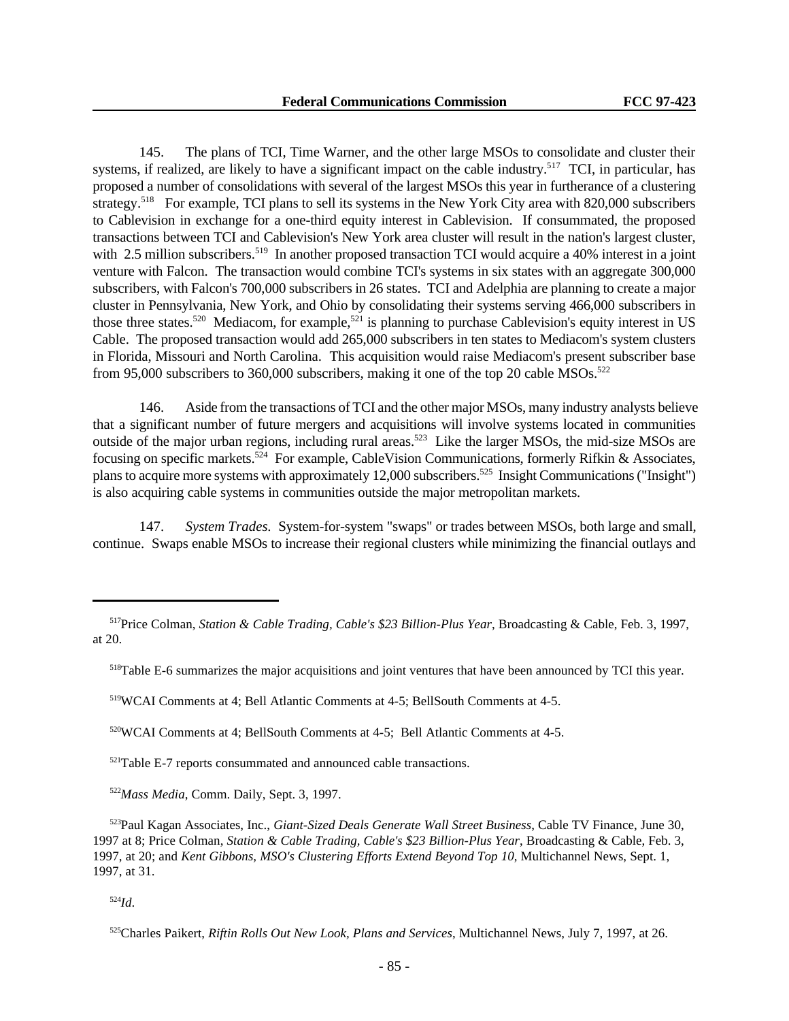145. The plans of TCI, Time Warner, and the other large MSOs to consolidate and cluster their systems, if realized, are likely to have a significant impact on the cable industry.<sup>517</sup> TCI, in particular, has proposed a number of consolidations with several of the largest MSOs this year in furtherance of a clustering strategy.<sup>518</sup> For example, TCI plans to sell its systems in the New York City area with 820,000 subscribers to Cablevision in exchange for a one-third equity interest in Cablevision. If consummated, the proposed transactions between TCI and Cablevision's New York area cluster will result in the nation's largest cluster, with 2.5 million subscribers.<sup>519</sup> In another proposed transaction TCI would acquire a 40% interest in a joint venture with Falcon. The transaction would combine TCI's systems in six states with an aggregate 300,000 subscribers, with Falcon's 700,000 subscribers in 26 states. TCI and Adelphia are planning to create a major cluster in Pennsylvania, New York, and Ohio by consolidating their systems serving 466,000 subscribers in those three states.<sup>520</sup> Mediacom, for example,<sup>521</sup> is planning to purchase Cablevision's equity interest in US Cable. The proposed transaction would add 265,000 subscribers in ten states to Mediacom's system clusters in Florida, Missouri and North Carolina. This acquisition would raise Mediacom's present subscriber base from 95,000 subscribers to 360,000 subscribers, making it one of the top 20 cable  $\text{MSOs.}^{522}$ 

146. Aside from the transactions of TCI and the other major MSOs, many industry analysts believe that a significant number of future mergers and acquisitions will involve systems located in communities outside of the major urban regions, including rural areas.<sup>523</sup> Like the larger MSOs, the mid-size MSOs are focusing on specific markets.<sup>524</sup> For example, CableVision Communications, formerly Rifkin & Associates, plans to acquire more systems with approximately 12,000 subscribers.<sup>525</sup> Insight Communications ("Insight") is also acquiring cable systems in communities outside the major metropolitan markets.

147. *System Trades.* System-for-system "swaps" or trades between MSOs, both large and small, continue. Swaps enable MSOs to increase their regional clusters while minimizing the financial outlays and

<sup>522</sup>*Mass Media*, Comm. Daily, Sept. 3, 1997.

<sup>523</sup>Paul Kagan Associates, Inc., *Giant-Sized Deals Generate Wall Street Business*, Cable TV Finance, June 30, 1997 at 8; Price Colman, *Station & Cable Trading, Cable's \$23 Billion-Plus Year*, Broadcasting & Cable, Feb. 3, 1997, at 20; and *Kent Gibbons, MSO's Clustering Efforts Extend Beyond Top 10*, Multichannel News, Sept. 1, 1997, at 31.

<sup>524</sup>*Id*.

<sup>517</sup>Price Colman, *Station & Cable Trading, Cable's \$23 Billion-Plus Year*, Broadcasting & Cable, Feb. 3, 1997, at 20.

<sup>518</sup>Table E-6 summarizes the major acquisitions and joint ventures that have been announced by TCI this year.

<sup>519</sup>WCAI Comments at 4; Bell Atlantic Comments at 4-5; BellSouth Comments at 4-5.

<sup>520</sup>WCAI Comments at 4; BellSouth Comments at 4-5; Bell Atlantic Comments at 4-5.

<sup>521</sup>Table E-7 reports consummated and announced cable transactions.

<sup>525</sup>Charles Paikert, *Riftin Rolls Out New Look, Plans and Services*, Multichannel News, July 7, 1997, at 26.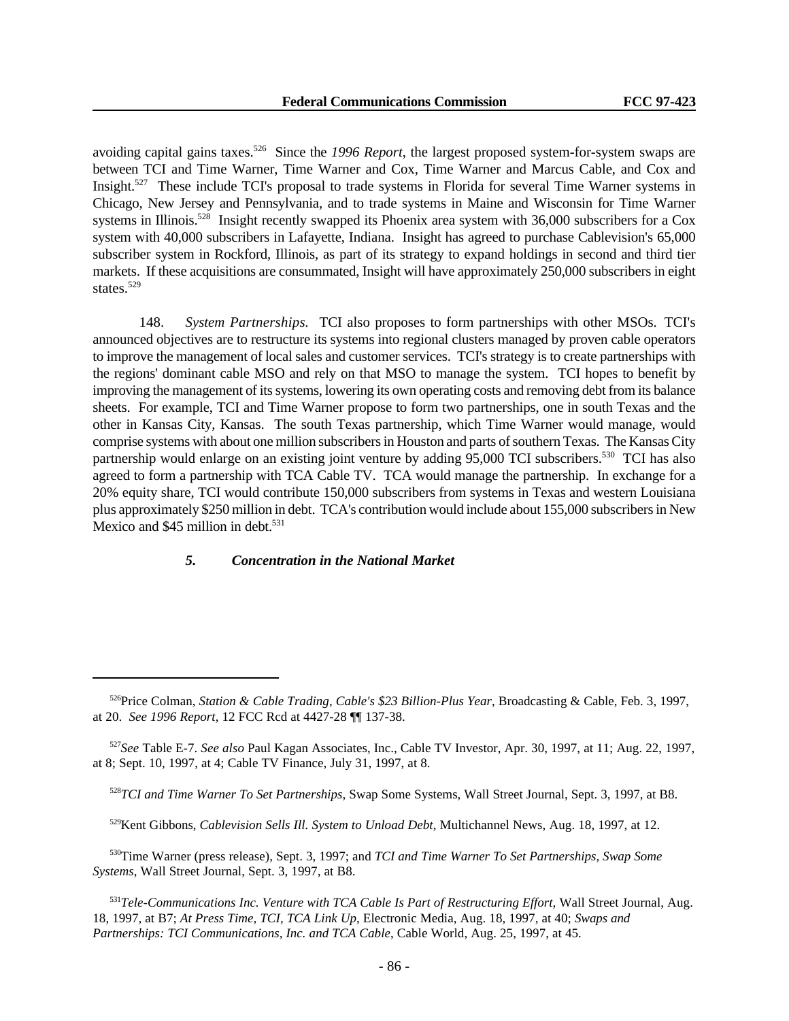avoiding capital gains taxes.<sup>526</sup> Since the *1996 Report*, the largest proposed system-for-system swaps are between TCI and Time Warner, Time Warner and Cox, Time Warner and Marcus Cable, and Cox and Insight.<sup>527</sup> These include TCI's proposal to trade systems in Florida for several Time Warner systems in Chicago, New Jersey and Pennsylvania, and to trade systems in Maine and Wisconsin for Time Warner systems in Illinois.<sup>528</sup> Insight recently swapped its Phoenix area system with 36,000 subscribers for a Cox system with 40,000 subscribers in Lafayette, Indiana. Insight has agreed to purchase Cablevision's 65,000 subscriber system in Rockford, Illinois, as part of its strategy to expand holdings in second and third tier markets. If these acquisitions are consummated, Insight will have approximately 250,000 subscribers in eight states.<sup>529</sup>

148. *System Partnerships.* TCI also proposes to form partnerships with other MSOs. TCI's announced objectives are to restructure its systems into regional clusters managed by proven cable operators to improve the management of local sales and customer services. TCI's strategy is to create partnerships with the regions' dominant cable MSO and rely on that MSO to manage the system. TCI hopes to benefit by improving the management of its systems, lowering its own operating costs and removing debt from its balance sheets. For example, TCI and Time Warner propose to form two partnerships, one in south Texas and the other in Kansas City, Kansas. The south Texas partnership, which Time Warner would manage, would comprise systems with about one million subscribers in Houston and parts of southern Texas. The Kansas City partnership would enlarge on an existing joint venture by adding 95,000 TCI subscribers.<sup>530</sup> TCI has also agreed to form a partnership with TCA Cable TV. TCA would manage the partnership. In exchange for a 20% equity share, TCI would contribute 150,000 subscribers from systems in Texas and western Louisiana plus approximately \$250 million in debt. TCA's contribution would include about 155,000 subscribers in New Mexico and  $$45$  million in debt.<sup>531</sup>

### *5. Concentration in the National Market*

<sup>526</sup>Price Colman, *Station & Cable Trading, Cable's \$23 Billion-Plus Year*, Broadcasting & Cable, Feb. 3, 1997, at 20. *See 1996 Report*, 12 FCC Rcd at 4427-28 ¶¶ 137-38.

<sup>527</sup>*See* Table E-7. *See also* Paul Kagan Associates, Inc., Cable TV Investor, Apr. 30, 1997, at 11; Aug. 22, 1997, at 8; Sept. 10, 1997, at 4; Cable TV Finance, July 31, 1997, at 8.

<sup>528</sup>*TCI and Time Warner To Set Partnerships*, Swap Some Systems, Wall Street Journal, Sept. 3, 1997, at B8.

<sup>529</sup>Kent Gibbons, *Cablevision Sells Ill. System to Unload Debt*, Multichannel News, Aug. 18, 1997, at 12.

<sup>530</sup>Time Warner (press release), Sept. 3, 1997; and *TCI and Time Warner To Set Partnerships, Swap Some Systems*, Wall Street Journal, Sept. 3, 1997, at B8.

<sup>531</sup>*Tele-Communications Inc. Venture with TCA Cable Is Part of Restructuring Effort*, Wall Street Journal, Aug. 18, 1997, at B7; *At Press Time, TCI, TCA Link Up*, Electronic Media, Aug. 18, 1997, at 40; *Swaps and Partnerships: TCI Communications, Inc. and TCA Cable*, Cable World, Aug. 25, 1997, at 45.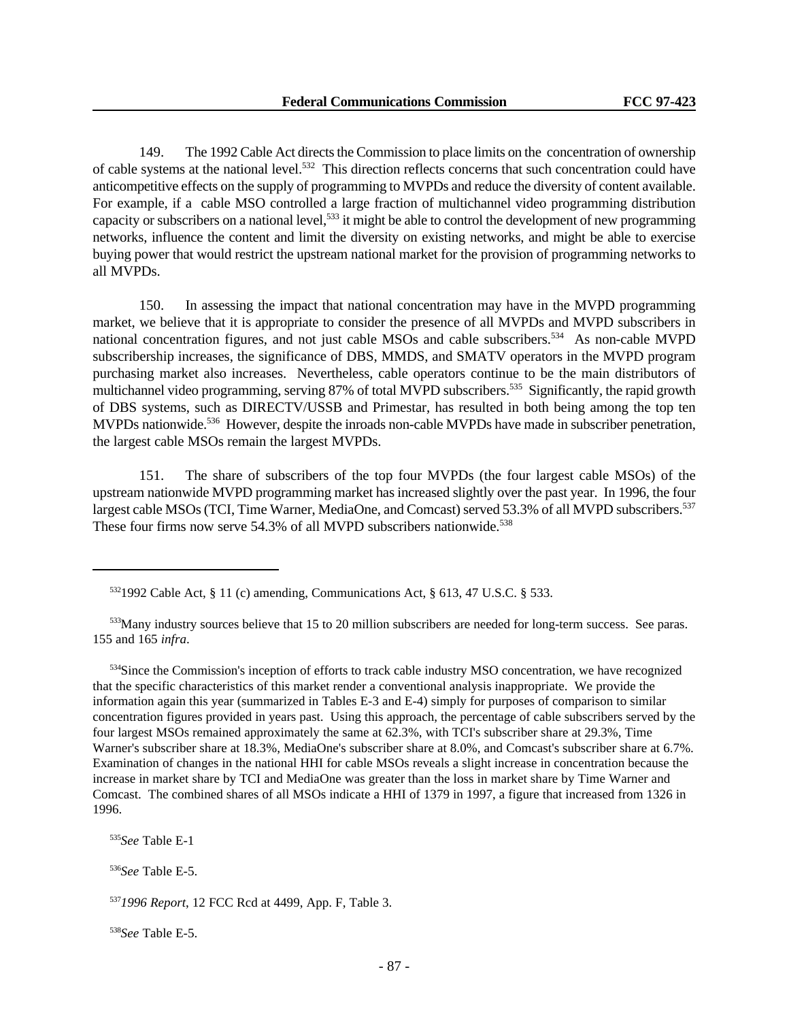149. The 1992 Cable Act directs the Commission to place limits on the concentration of ownership of cable systems at the national level.<sup>532</sup> This direction reflects concerns that such concentration could have anticompetitive effects on the supply of programming to MVPDs and reduce the diversity of content available. For example, if a cable MSO controlled a large fraction of multichannel video programming distribution capacity or subscribers on a national level,<sup>533</sup> it might be able to control the development of new programming networks, influence the content and limit the diversity on existing networks, and might be able to exercise buying power that would restrict the upstream national market for the provision of programming networks to all MVPDs.

150. In assessing the impact that national concentration may have in the MVPD programming market, we believe that it is appropriate to consider the presence of all MVPDs and MVPD subscribers in national concentration figures, and not just cable MSOs and cable subscribers.<sup>534</sup> As non-cable MVPD subscribership increases, the significance of DBS, MMDS, and SMATV operators in the MVPD program purchasing market also increases. Nevertheless, cable operators continue to be the main distributors of multichannel video programming, serving 87% of total MVPD subscribers.<sup>535</sup> Significantly, the rapid growth of DBS systems, such as DIRECTV/USSB and Primestar, has resulted in both being among the top ten MVPDs nationwide.<sup>536</sup> However, despite the inroads non-cable MVPDs have made in subscriber penetration, the largest cable MSOs remain the largest MVPDs.

151. The share of subscribers of the top four MVPDs (the four largest cable MSOs) of the upstream nationwide MVPD programming market has increased slightly over the past year. In 1996, the four largest cable MSOs (TCI, Time Warner, MediaOne, and Comcast) served 53.3% of all MVPD subscribers.<sup>537</sup> These four firms now serve  $54.3\%$  of all MVPD subscribers nationwide.<sup>538</sup>

<sup>534</sup>Since the Commission's inception of efforts to track cable industry MSO concentration, we have recognized that the specific characteristics of this market render a conventional analysis inappropriate. We provide the information again this year (summarized in Tables E-3 and E-4) simply for purposes of comparison to similar concentration figures provided in years past. Using this approach, the percentage of cable subscribers served by the four largest MSOs remained approximately the same at 62.3%, with TCI's subscriber share at 29.3%, Time Warner's subscriber share at 18.3%, MediaOne's subscriber share at 8.0%, and Comcast's subscriber share at 6.7%. Examination of changes in the national HHI for cable MSOs reveals a slight increase in concentration because the increase in market share by TCI and MediaOne was greater than the loss in market share by Time Warner and Comcast. The combined shares of all MSOs indicate a HHI of 1379 in 1997, a figure that increased from 1326 in 1996.

<sup>535</sup>*See* Table E-1

<sup>536</sup>*See* Table E-5.

<sup>538</sup>*See* Table E-5.

 $5321992$  Cable Act, § 11 (c) amending, Communications Act, § 613, 47 U.S.C. § 533.

<sup>533</sup>Many industry sources believe that 15 to 20 million subscribers are needed for long-term success. See paras. 155 and 165 *infra*.

<sup>537</sup>*1996 Report*, 12 FCC Rcd at 4499, App. F, Table 3.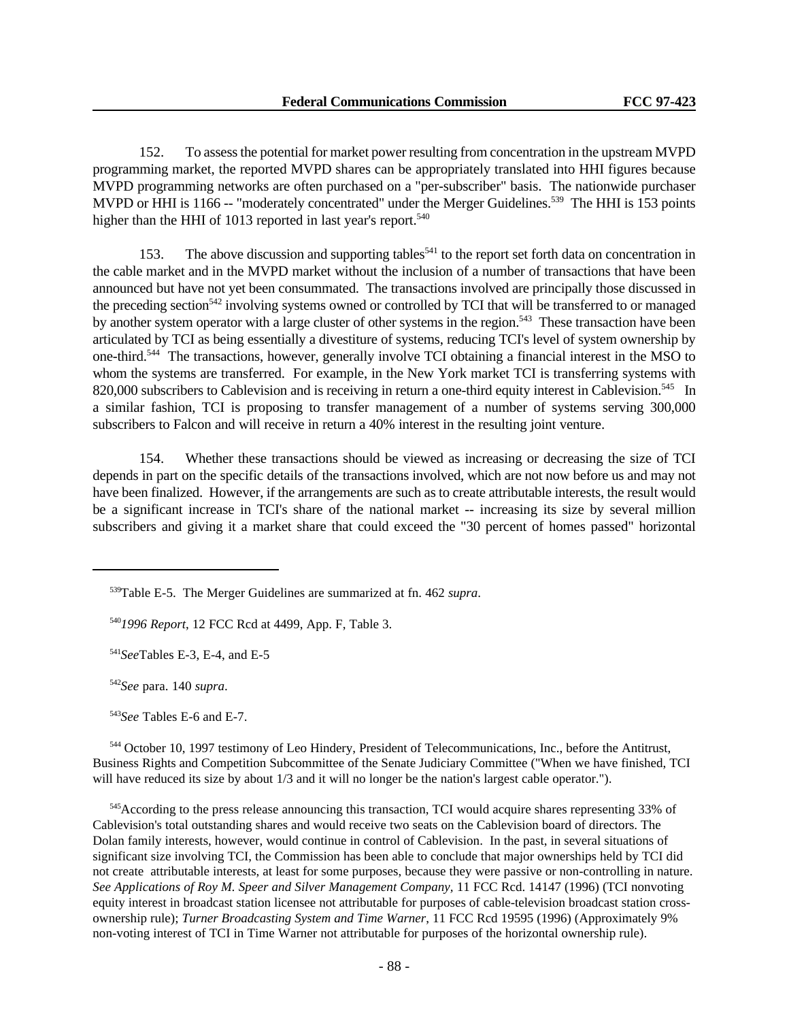152. To assess the potential for market power resulting from concentration in the upstream MVPD programming market, the reported MVPD shares can be appropriately translated into HHI figures because MVPD programming networks are often purchased on a "per-subscriber" basis. The nationwide purchaser MVPD or HHI is 1166 -- "moderately concentrated" under the Merger Guidelines.<sup>539</sup> The HHI is 153 points higher than the HHI of 1013 reported in last year's report.<sup>540</sup>

153. The above discussion and supporting tables<sup>541</sup> to the report set forth data on concentration in the cable market and in the MVPD market without the inclusion of a number of transactions that have been announced but have not yet been consummated. The transactions involved are principally those discussed in the preceding section<sup>542</sup> involving systems owned or controlled by TCI that will be transferred to or managed by another system operator with a large cluster of other systems in the region.<sup>543</sup> These transaction have been articulated by TCI as being essentially a divestiture of systems, reducing TCI's level of system ownership by one-third.<sup>544</sup> The transactions, however, generally involve TCI obtaining a financial interest in the MSO to whom the systems are transferred. For example, in the New York market TCI is transferring systems with 820,000 subscribers to Cablevision and is receiving in return a one-third equity interest in Cablevision.<sup>545</sup> In a similar fashion, TCI is proposing to transfer management of a number of systems serving 300,000 subscribers to Falcon and will receive in return a 40% interest in the resulting joint venture.

154. Whether these transactions should be viewed as increasing or decreasing the size of TCI depends in part on the specific details of the transactions involved, which are not now before us and may not have been finalized. However, if the arrangements are such as to create attributable interests, the result would be a significant increase in TCI's share of the national market -- increasing its size by several million subscribers and giving it a market share that could exceed the "30 percent of homes passed" horizontal

<sup>543</sup>*See* Tables E-6 and E-7.

<sup>544</sup> October 10, 1997 testimony of Leo Hindery, President of Telecommunications, Inc., before the Antitrust, Business Rights and Competition Subcommittee of the Senate Judiciary Committee ("When we have finished, TCI will have reduced its size by about  $1/3$  and it will no longer be the nation's largest cable operator.").

<sup>545</sup>According to the press release announcing this transaction, TCI would acquire shares representing 33% of Cablevision's total outstanding shares and would receive two seats on the Cablevision board of directors. The Dolan family interests, however, would continue in control of Cablevision. In the past, in several situations of significant size involving TCI, the Commission has been able to conclude that major ownerships held by TCI did not create attributable interests, at least for some purposes, because they were passive or non-controlling in nature. *See Applications of Roy M. Speer and Silver Management Company,* 11 FCC Rcd. 14147 (1996) (TCI nonvoting equity interest in broadcast station licensee not attributable for purposes of cable-television broadcast station crossownership rule); *Turner Broadcasting System and Time Warner*, 11 FCC Rcd 19595 (1996) (Approximately 9% non-voting interest of TCI in Time Warner not attributable for purposes of the horizontal ownership rule).

<sup>539</sup>Table E-5. The Merger Guidelines are summarized at fn. 462 *supra*.

<sup>540</sup>*1996 Report*, 12 FCC Rcd at 4499, App. F, Table 3.

<sup>541</sup>*See*Tables E-3, E-4, and E-5

<sup>542</sup>*See* para. 140 *supra*.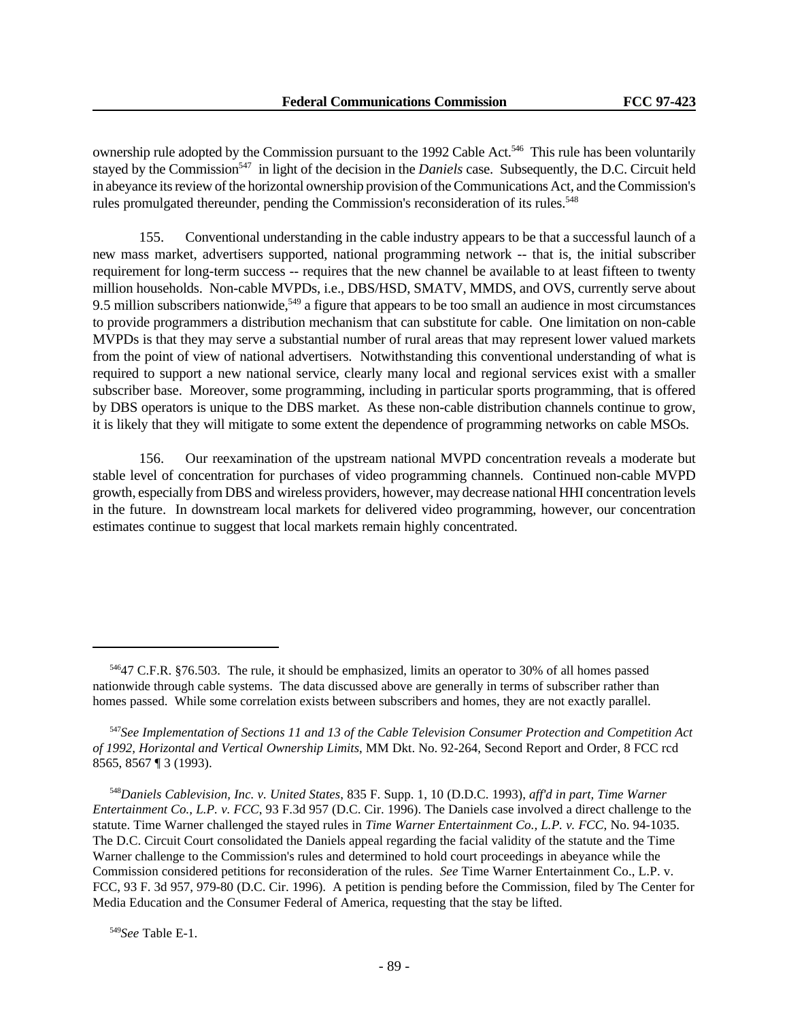ownership rule adopted by the Commission pursuant to the 1992 Cable Act.<sup>546</sup> This rule has been voluntarily stayed by the Commission<sup>547</sup> in light of the decision in the *Daniels* case. Subsequently, the D.C. Circuit held in abeyance its review of the horizontal ownership provision of the Communications Act, and the Commission's rules promulgated thereunder, pending the Commission's reconsideration of its rules.<sup>548</sup>

155. Conventional understanding in the cable industry appears to be that a successful launch of a new mass market, advertisers supported, national programming network -- that is, the initial subscriber requirement for long-term success -- requires that the new channel be available to at least fifteen to twenty million households. Non-cable MVPDs, i.e., DBS/HSD, SMATV, MMDS, and OVS, currently serve about 9.5 million subscribers nationwide,<sup>549</sup> a figure that appears to be too small an audience in most circumstances to provide programmers a distribution mechanism that can substitute for cable. One limitation on non-cable MVPDs is that they may serve a substantial number of rural areas that may represent lower valued markets from the point of view of national advertisers. Notwithstanding this conventional understanding of what is required to support a new national service, clearly many local and regional services exist with a smaller subscriber base. Moreover, some programming, including in particular sports programming, that is offered by DBS operators is unique to the DBS market. As these non-cable distribution channels continue to grow, it is likely that they will mitigate to some extent the dependence of programming networks on cable MSOs.

156. Our reexamination of the upstream national MVPD concentration reveals a moderate but stable level of concentration for purchases of video programming channels. Continued non-cable MVPD growth, especially from DBS and wireless providers, however, may decrease national HHI concentration levels in the future. In downstream local markets for delivered video programming, however, our concentration estimates continue to suggest that local markets remain highly concentrated.

<sup>546</sup>47 C.F.R. §76.503. The rule, it should be emphasized, limits an operator to 30% of all homes passed nationwide through cable systems. The data discussed above are generally in terms of subscriber rather than homes passed. While some correlation exists between subscribers and homes, they are not exactly parallel.

<sup>547</sup>*See Implementation of Sections 11 and 13 of the Cable Television Consumer Protection and Competition Act of 1992, Horizontal and Vertical Ownership Limits*, MM Dkt. No. 92-264, Second Report and Order, 8 FCC rcd 8565, 8567 ¶ 3 (1993).

<sup>548</sup>*Daniels Cablevision, Inc. v. United States*, 835 F. Supp. 1, 10 (D.D.C. 1993), *aff'd in part, Time Warner Entertainment Co., L.P. v. FCC*, 93 F.3d 957 (D.C. Cir. 1996). The Daniels case involved a direct challenge to the statute. Time Warner challenged the stayed rules in *Time Warner Entertainment Co., L.P. v. FCC*, No. 94-1035. The D.C. Circuit Court consolidated the Daniels appeal regarding the facial validity of the statute and the Time Warner challenge to the Commission's rules and determined to hold court proceedings in abeyance while the Commission considered petitions for reconsideration of the rules. *See* Time Warner Entertainment Co., L.P. v. FCC, 93 F. 3d 957, 979-80 (D.C. Cir. 1996). A petition is pending before the Commission, filed by The Center for Media Education and the Consumer Federal of America, requesting that the stay be lifted.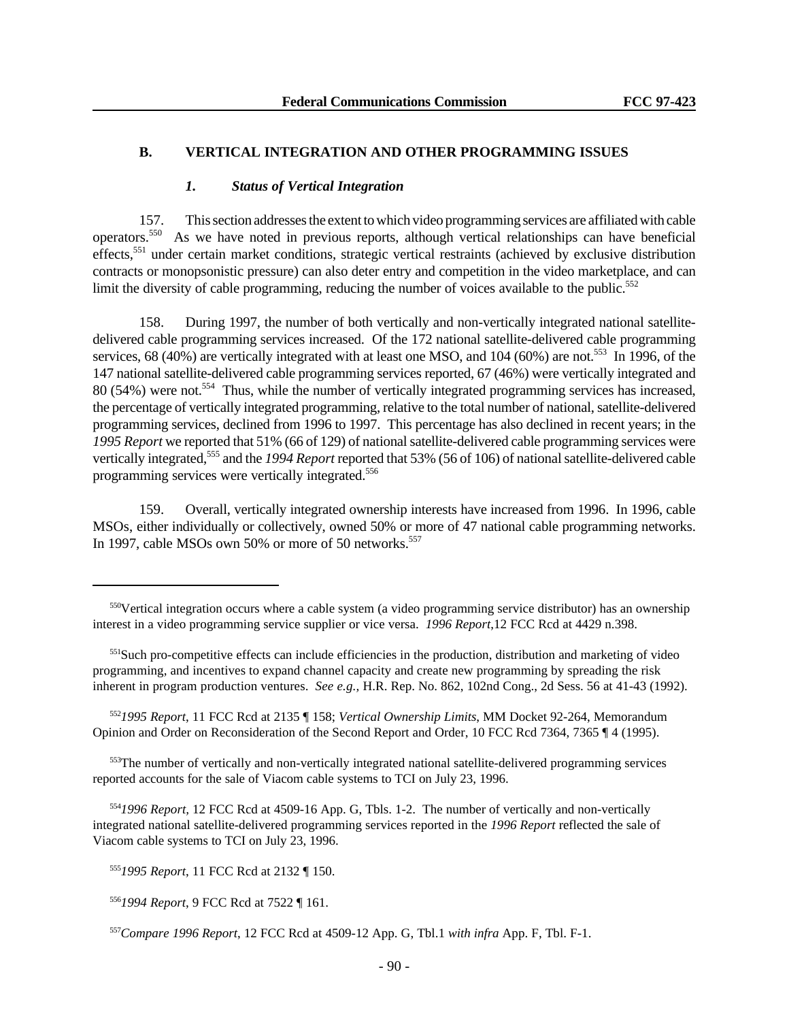#### **B. VERTICAL INTEGRATION AND OTHER PROGRAMMING ISSUES**

#### *1. Status of Vertical Integration*

157. This section addresses the extent to which video programming services are affiliated with cable operators.<sup>550</sup> As we have noted in previous reports, although vertical relationships can have beneficial effects,<sup>551</sup> under certain market conditions, strategic vertical restraints (achieved by exclusive distribution contracts or monopsonistic pressure) can also deter entry and competition in the video marketplace, and can limit the diversity of cable programming, reducing the number of voices available to the public.<sup>552</sup>

158. During 1997, the number of both vertically and non-vertically integrated national satellitedelivered cable programming services increased. Of the 172 national satellite-delivered cable programming services, 68 (40%) are vertically integrated with at least one MSO, and 104 (60%) are not.<sup>553</sup> In 1996, of the 147 national satellite-delivered cable programming services reported, 67 (46%) were vertically integrated and 80 (54%) were not.<sup>554</sup> Thus, while the number of vertically integrated programming services has increased, the percentage of vertically integrated programming, relative to the total number of national, satellite-delivered programming services, declined from 1996 to 1997. This percentage has also declined in recent years; in the *1995 Report* we reported that 51% (66 of 129) of national satellite-delivered cable programming services were vertically integrated,<sup>555</sup> and the *1994 Report* reported that 53% (56 of 106) of national satellite-delivered cable programming services were vertically integrated.<sup>556</sup>

159. Overall, vertically integrated ownership interests have increased from 1996. In 1996, cable MSOs, either individually or collectively, owned 50% or more of 47 national cable programming networks. In 1997, cable MSOs own 50% or more of 50 networks.<sup>557</sup>

<sup>553</sup>The number of vertically and non-vertically integrated national satellite-delivered programming services reported accounts for the sale of Viacom cable systems to TCI on July 23, 1996.

<sup>554</sup>*1996 Report,* 12 FCC Rcd at 4509-16 App. G, Tbls. 1-2. The number of vertically and non-vertically integrated national satellite-delivered programming services reported in the *1996 Report* reflected the sale of Viacom cable systems to TCI on July 23, 1996.

<sup>555</sup>*1995 Report*, 11 FCC Rcd at 2132 ¶ 150.

<sup>556</sup>*1994 Report*, 9 FCC Rcd at 7522 ¶ 161.

<sup>550</sup>Vertical integration occurs where a cable system (a video programming service distributor) has an ownership interest in a video programming service supplier or vice versa. *1996 Report*,12 FCC Rcd at 4429 n.398.

<sup>&</sup>lt;sup>551</sup>Such pro-competitive effects can include efficiencies in the production, distribution and marketing of video programming, and incentives to expand channel capacity and create new programming by spreading the risk inherent in program production ventures. *See e.g.,* H.R. Rep. No. 862, 102nd Cong., 2d Sess. 56 at 41-43 (1992).

<sup>552</sup>*1995 Report*, 11 FCC Rcd at 2135 ¶ 158; *Vertical Ownership Limits*, MM Docket 92-264, Memorandum Opinion and Order on Reconsideration of the Second Report and Order, 10 FCC Rcd 7364, 7365 ¶ 4 (1995).

<sup>557</sup>*Compare 1996 Report*, 12 FCC Rcd at 4509-12 App. G, Tbl.1 *with infra* App. F, Tbl. F-1.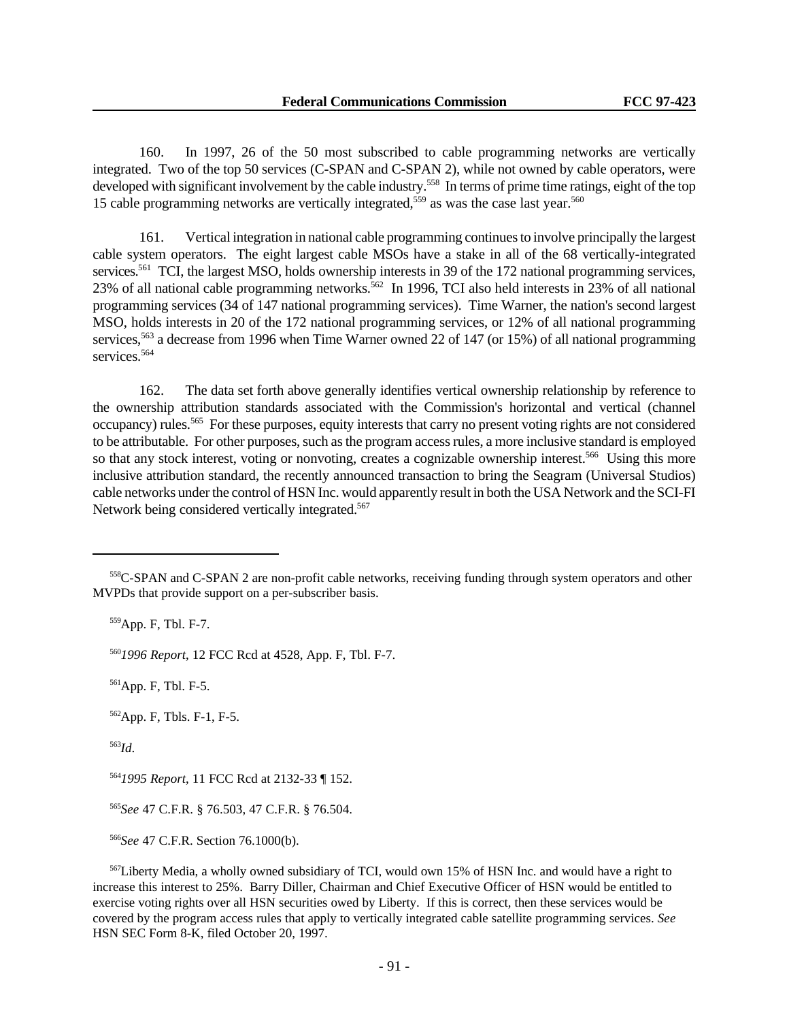160. In 1997, 26 of the 50 most subscribed to cable programming networks are vertically integrated. Two of the top 50 services (C-SPAN and C-SPAN 2), while not owned by cable operators, were developed with significant involvement by the cable industry.<sup>558</sup> In terms of prime time ratings, eight of the top 15 cable programming networks are vertically integrated,<sup>559</sup> as was the case last year.<sup>560</sup>

161. Vertical integration in national cable programming continues to involve principally the largest cable system operators. The eight largest cable MSOs have a stake in all of the 68 vertically-integrated services.<sup>561</sup> TCI, the largest MSO, holds ownership interests in 39 of the 172 national programming services, 23% of all national cable programming networks.<sup>562</sup> In 1996, TCI also held interests in 23% of all national programming services (34 of 147 national programming services). Time Warner, the nation's second largest MSO, holds interests in 20 of the 172 national programming services, or 12% of all national programming services,<sup>563</sup> a decrease from 1996 when Time Warner owned 22 of 147 (or 15%) of all national programming services.<sup>564</sup>

162. The data set forth above generally identifies vertical ownership relationship by reference to the ownership attribution standards associated with the Commission's horizontal and vertical (channel occupancy) rules.<sup>565</sup> For these purposes, equity interests that carry no present voting rights are not considered to be attributable. For other purposes, such as the program access rules, a more inclusive standard is employed so that any stock interest, voting or nonvoting, creates a cognizable ownership interest.<sup>566</sup> Using this more inclusive attribution standard, the recently announced transaction to bring the Seagram (Universal Studios) cable networks under the control of HSN Inc. would apparently result in both the USA Network and the SCI-FI Network being considered vertically integrated.<sup>567</sup>

<sup>559</sup>App. F, Tbl. F-7.

<sup>560</sup>*1996 Report*, 12 FCC Rcd at 4528, App. F, Tbl. F-7.

<sup>561</sup>App. F, Tbl. F-5.

<sup>562</sup>App. F, Tbls. F-1, F-5.

<sup>563</sup>*Id*.

<sup>564</sup>*1995 Report*, 11 FCC Rcd at 2132-33 ¶ 152.

<sup>565</sup>*See* 47 C.F.R. § 76.503, 47 C.F.R. § 76.504.

<sup>566</sup>*See* 47 C.F.R. Section 76.1000(b).

<sup>567</sup>Liberty Media, a wholly owned subsidiary of TCI, would own 15% of HSN Inc. and would have a right to increase this interest to 25%. Barry Diller, Chairman and Chief Executive Officer of HSN would be entitled to exercise voting rights over all HSN securities owed by Liberty. If this is correct, then these services would be covered by the program access rules that apply to vertically integrated cable satellite programming services. *See* HSN SEC Form 8-K, filed October 20, 1997.

<sup>558</sup>C-SPAN and C-SPAN 2 are non-profit cable networks, receiving funding through system operators and other MVPDs that provide support on a per-subscriber basis.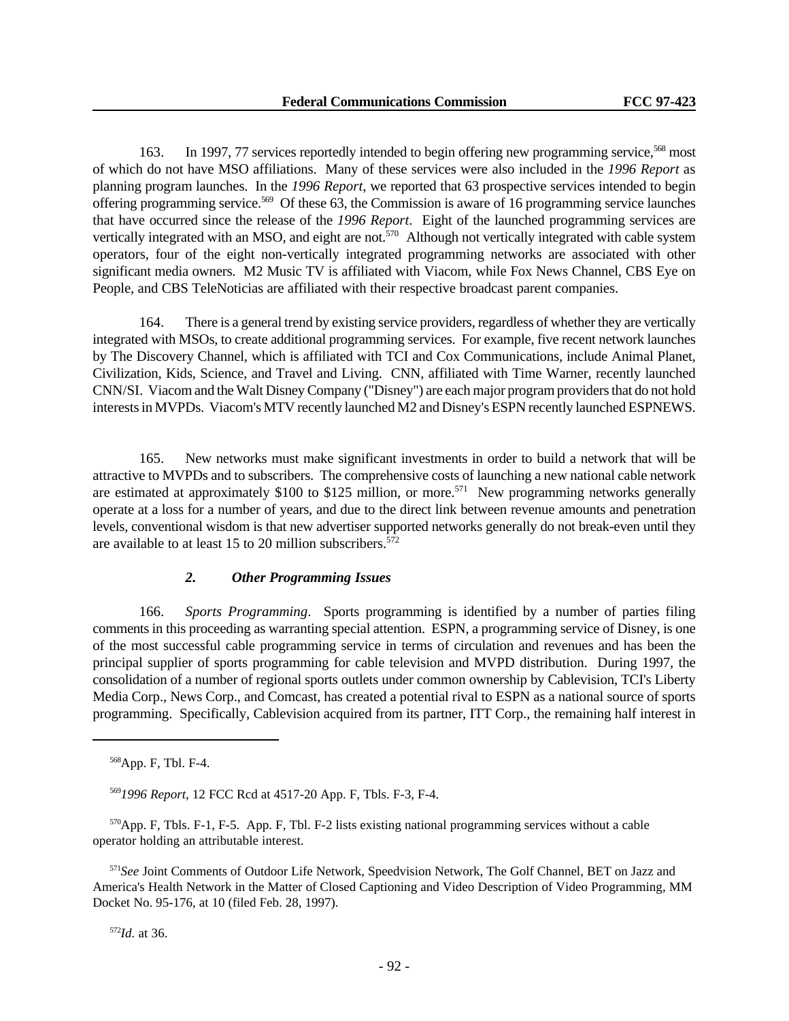163. In 1997, 77 services reportedly intended to begin offering new programming service,<sup>568</sup> most of which do not have MSO affiliations. Many of these services were also included in the *1996 Report* as planning program launches. In the *1996 Report,* we reported that 63 prospective services intended to begin offering programming service.<sup>569</sup> Of these 63, the Commission is aware of 16 programming service launches that have occurred since the release of the *1996 Report*. Eight of the launched programming services are vertically integrated with an MSO, and eight are not.<sup>570</sup> Although not vertically integrated with cable system operators, four of the eight non-vertically integrated programming networks are associated with other significant media owners. M2 Music TV is affiliated with Viacom, while Fox News Channel, CBS Eye on People, and CBS TeleNoticias are affiliated with their respective broadcast parent companies.

164. There is a general trend by existing service providers, regardless of whether they are vertically integrated with MSOs, to create additional programming services. For example, five recent network launches by The Discovery Channel, which is affiliated with TCI and Cox Communications, include Animal Planet, Civilization, Kids, Science, and Travel and Living. CNN, affiliated with Time Warner, recently launched CNN/SI. Viacom and the Walt Disney Company ("Disney") are each major program providers that do not hold interests in MVPDs. Viacom's MTV recently launched M2 and Disney's ESPN recently launched ESPNEWS.

165. New networks must make significant investments in order to build a network that will be attractive to MVPDs and to subscribers. The comprehensive costs of launching a new national cable network are estimated at approximately \$100 to \$125 million, or more.<sup>571</sup> New programming networks generally operate at a loss for a number of years, and due to the direct link between revenue amounts and penetration levels, conventional wisdom is that new advertiser supported networks generally do not break-even until they are available to at least 15 to 20 million subscribers.<sup>572</sup>

# *2. Other Programming Issues*

166. *Sports Programming*. Sports programming is identified by a number of parties filing comments in this proceeding as warranting special attention. ESPN, a programming service of Disney, is one of the most successful cable programming service in terms of circulation and revenues and has been the principal supplier of sports programming for cable television and MVPD distribution. During 1997, the consolidation of a number of regional sports outlets under common ownership by Cablevision, TCI's Liberty Media Corp., News Corp., and Comcast, has created a potential rival to ESPN as a national source of sports programming. Specifically, Cablevision acquired from its partner, ITT Corp., the remaining half interest in

<sup>569</sup>*1996 Report*, 12 FCC Rcd at 4517-20 App. F, Tbls. F-3, F-4.

<sup>570</sup>App. F, Tbls. F-1, F-5. App. F, Tbl. F-2 lists existing national programming services without a cable operator holding an attributable interest.

<sup>571</sup>*See* Joint Comments of Outdoor Life Network, Speedvision Network, The Golf Channel, BET on Jazz and America's Health Network in the Matter of Closed Captioning and Video Description of Video Programming, MM Docket No. 95-176, at 10 (filed Feb. 28, 1997).

<sup>568</sup>App. F, Tbl. F-4.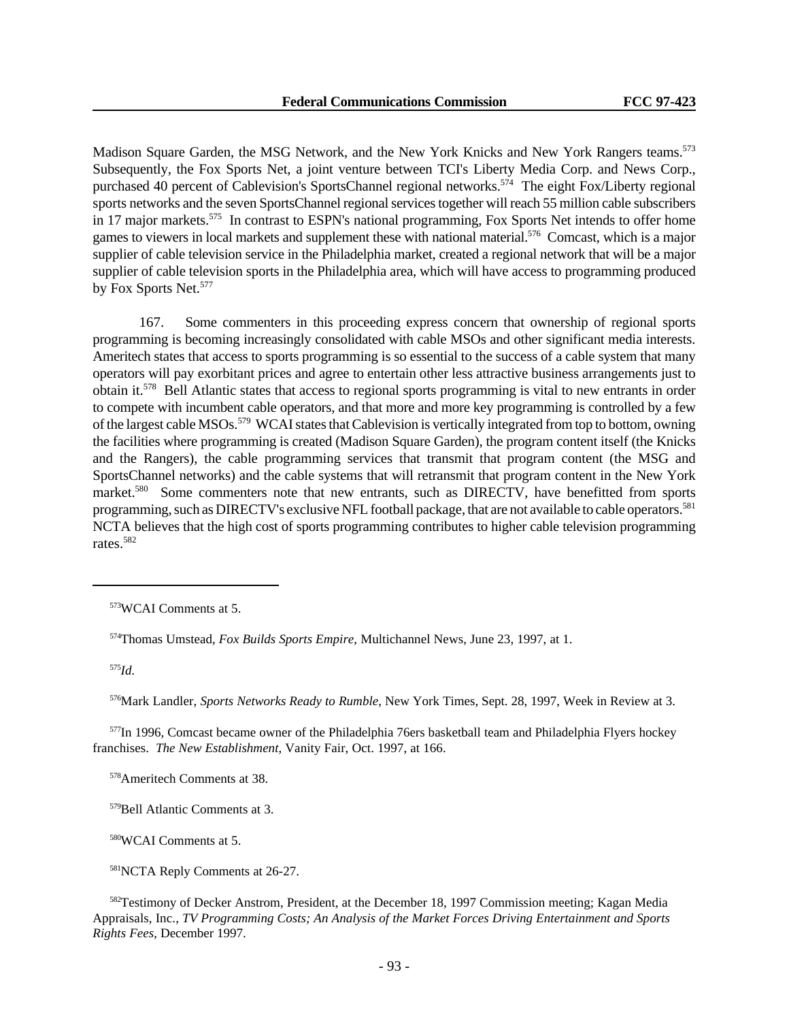Madison Square Garden, the MSG Network, and the New York Knicks and New York Rangers teams.<sup>573</sup> Subsequently, the Fox Sports Net, a joint venture between TCI's Liberty Media Corp. and News Corp., purchased 40 percent of Cablevision's SportsChannel regional networks.<sup>574</sup> The eight Fox/Liberty regional sports networks and the seven SportsChannel regional services together will reach 55 million cable subscribers in 17 major markets.<sup>575</sup> In contrast to ESPN's national programming, Fox Sports Net intends to offer home games to viewers in local markets and supplement these with national material.<sup>576</sup> Comcast, which is a major supplier of cable television service in the Philadelphia market, created a regional network that will be a major supplier of cable television sports in the Philadelphia area, which will have access to programming produced by Fox Sports Net.<sup>577</sup>

167. Some commenters in this proceeding express concern that ownership of regional sports programming is becoming increasingly consolidated with cable MSOs and other significant media interests. Ameritech states that access to sports programming is so essential to the success of a cable system that many operators will pay exorbitant prices and agree to entertain other less attractive business arrangements just to obtain it.<sup>578</sup> Bell Atlantic states that access to regional sports programming is vital to new entrants in order to compete with incumbent cable operators, and that more and more key programming is controlled by a few of the largest cable MSOs.<sup>579</sup> WCAI states that Cablevision is vertically integrated from top to bottom, owning the facilities where programming is created (Madison Square Garden), the program content itself (the Knicks and the Rangers), the cable programming services that transmit that program content (the MSG and SportsChannel networks) and the cable systems that will retransmit that program content in the New York market.<sup>580</sup> Some commenters note that new entrants, such as DIRECTV, have benefitted from sports programming, such as DIRECTV's exclusive NFL football package, that are not available to cable operators.<sup>581</sup> NCTA believes that the high cost of sports programming contributes to higher cable television programming rates.<sup>582</sup>

<sup>575</sup>*Id.*

<sup>576</sup>Mark Landler, *Sports Networks Ready to Rumble*, New York Times, Sept. 28, 1997, Week in Review at 3.

<sup>577</sup>In 1996, Comcast became owner of the Philadelphia 76ers basketball team and Philadelphia Flyers hockey franchises. *The New Establishment*, Vanity Fair, Oct. 1997, at 166.

<sup>578</sup>Ameritech Comments at 38.

<sup>579</sup>Bell Atlantic Comments at 3.

<sup>580</sup>WCAI Comments at 5.

<sup>581</sup>NCTA Reply Comments at 26-27.

<sup>582</sup>Testimony of Decker Anstrom, President, at the December 18, 1997 Commission meeting; Kagan Media Appraisals, Inc., *TV Programming Costs; An Analysis of the Market Forces Driving Entertainment and Sports Rights Fees*, December 1997.

<sup>573</sup>WCAI Comments at 5.

<sup>574</sup>Thomas Umstead, *Fox Builds Sports Empire*, Multichannel News, June 23, 1997, at 1.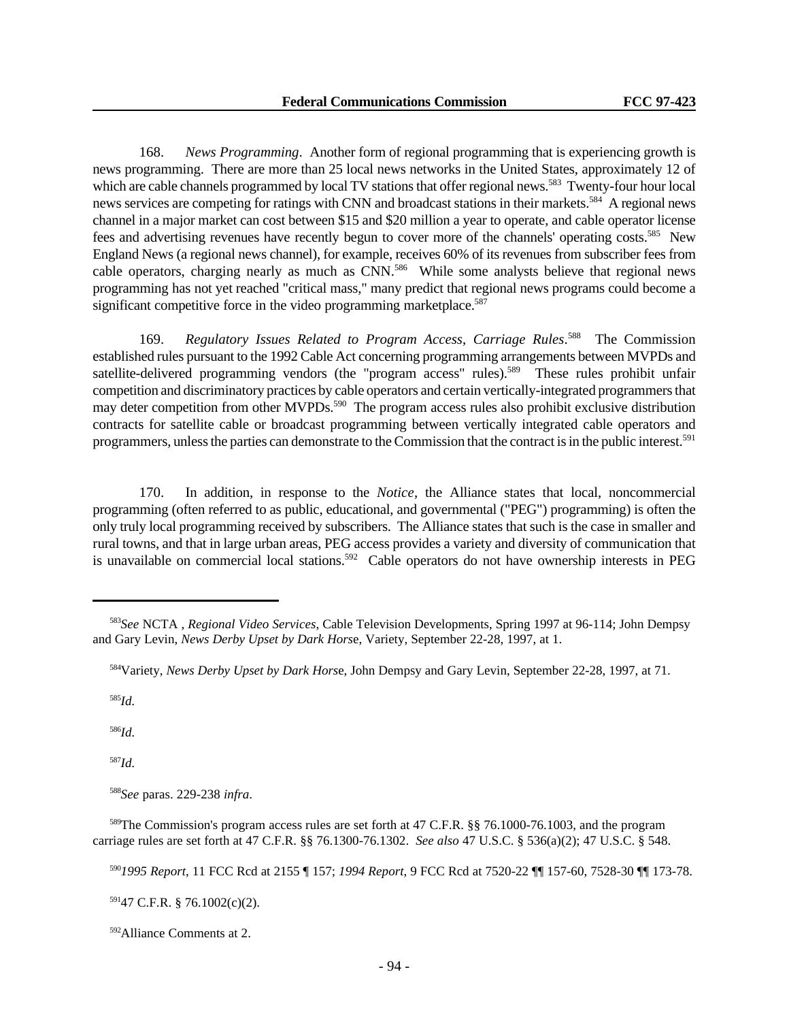168. *News Programming*. Another form of regional programming that is experiencing growth is news programming. There are more than 25 local news networks in the United States, approximately 12 of which are cable channels programmed by local TV stations that offer regional news.<sup>583</sup> Twenty-four hour local news services are competing for ratings with CNN and broadcast stations in their markets.<sup>584</sup> A regional news channel in a major market can cost between \$15 and \$20 million a year to operate, and cable operator license fees and advertising revenues have recently begun to cover more of the channels' operating costs.<sup>585</sup> New England News (a regional news channel), for example, receives 60% of its revenues from subscriber fees from cable operators, charging nearly as much as CNN.<sup>586</sup> While some analysts believe that regional news programming has not yet reached "critical mass," many predict that regional news programs could become a significant competitive force in the video programming marketplace.<sup>587</sup>

169. *Regulatory Issues Related to Program Access*, *Carriage Rules*. <sup>588</sup> The Commission established rules pursuant to the 1992 Cable Act concerning programming arrangements between MVPDs and satellite-delivered programming vendors (the "program access" rules).<sup>589</sup> These rules prohibit unfair competition and discriminatory practices by cable operators and certain vertically-integrated programmers that may deter competition from other MVPDs.<sup>590</sup> The program access rules also prohibit exclusive distribution contracts for satellite cable or broadcast programming between vertically integrated cable operators and programmers, unless the parties can demonstrate to the Commission that the contract is in the public interest.<sup>591</sup>

170. In addition, in response to the *Notice*, the Alliance states that local, noncommercial programming (often referred to as public, educational, and governmental ("PEG") programming) is often the only truly local programming received by subscribers. The Alliance states that such is the case in smaller and rural towns, and that in large urban areas, PEG access provides a variety and diversity of communication that is unavailable on commercial local stations.<sup>592</sup> Cable operators do not have ownership interests in PEG

<sup>585</sup>*Id.*

<sup>586</sup>*Id.*

<sup>587</sup>*Id.*

<sup>588</sup>*See* paras. 229-238 *infra*.

<sup>591</sup>47 C.F.R. § 76.1002(c)(2).

<sup>583</sup>*See* NCTA , *Regional Video Services*, Cable Television Developments, Spring 1997 at 96-114; John Dempsy and Gary Levin, *News Derby Upset by Dark Hors*e, Variety, September 22-28, 1997, at 1.

<sup>584</sup>Variety, *News Derby Upset by Dark Hors*e, John Dempsy and Gary Levin, September 22-28, 1997, at 71.

<sup>589</sup>The Commission's program access rules are set forth at 47 C.F.R. §§ 76.1000-76.1003, and the program carriage rules are set forth at 47 C.F.R. §§ 76.1300-76.1302. *See also* 47 U.S.C. § 536(a)(2); 47 U.S.C. § 548.

<sup>590</sup>*1995 Report*, 11 FCC Rcd at 2155 ¶ 157; *1994 Report*, 9 FCC Rcd at 7520-22 ¶¶ 157-60, 7528-30 ¶¶ 173-78.

<sup>592</sup>Alliance Comments at 2.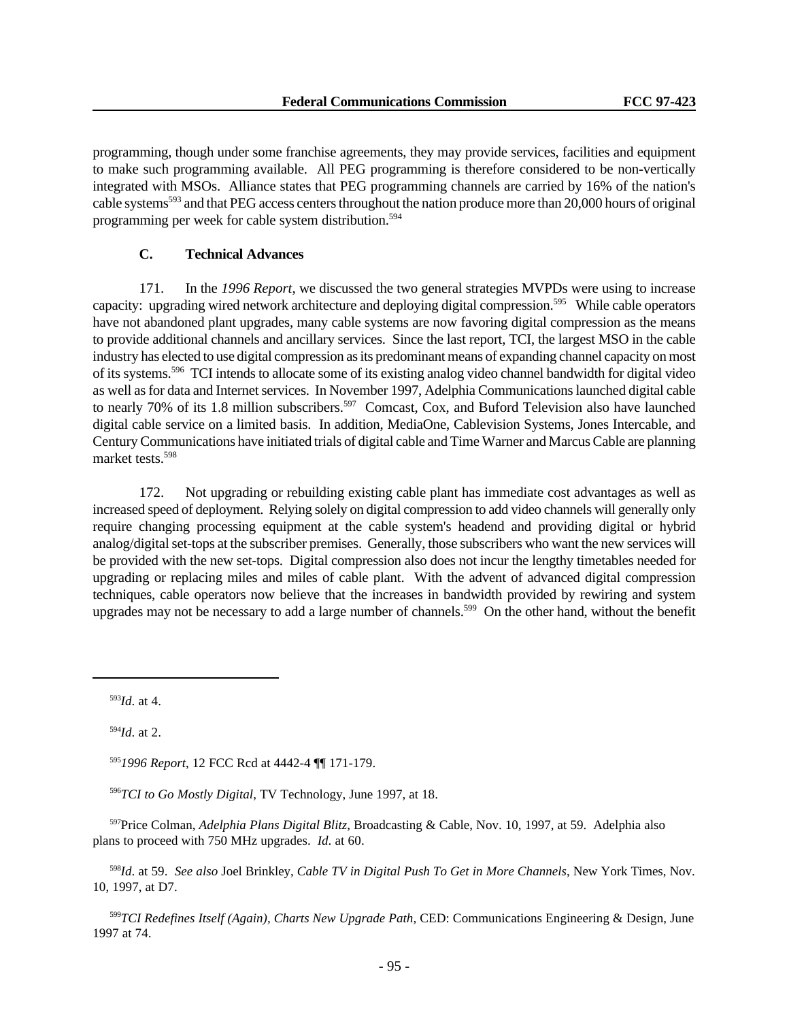programming, though under some franchise agreements, they may provide services, facilities and equipment to make such programming available. All PEG programming is therefore considered to be non-vertically integrated with MSOs. Alliance states that PEG programming channels are carried by 16% of the nation's cable systems<sup>593</sup> and that PEG access centers throughout the nation produce more than 20,000 hours of original programming per week for cable system distribution.<sup>594</sup>

# **C. Technical Advances**

171. In the *1996 Report*, we discussed the two general strategies MVPDs were using to increase capacity: upgrading wired network architecture and deploying digital compression.<sup>595</sup> While cable operators have not abandoned plant upgrades, many cable systems are now favoring digital compression as the means to provide additional channels and ancillary services. Since the last report, TCI, the largest MSO in the cable industry has elected to use digital compression as its predominant means of expanding channel capacity on most of its systems.<sup>596</sup> TCI intends to allocate some of its existing analog video channel bandwidth for digital video as well as for data and Internet services. In November 1997, Adelphia Communications launched digital cable to nearly 70% of its 1.8 million subscribers.<sup>597</sup> Comcast, Cox, and Buford Television also have launched digital cable service on a limited basis. In addition, MediaOne, Cablevision Systems, Jones Intercable, and Century Communications have initiated trials of digital cable and Time Warner and Marcus Cable are planning market tests.<sup>598</sup>

172. Not upgrading or rebuilding existing cable plant has immediate cost advantages as well as increased speed of deployment. Relying solely on digital compression to add video channels will generally only require changing processing equipment at the cable system's headend and providing digital or hybrid analog/digital set-tops at the subscriber premises. Generally, those subscribers who want the new services will be provided with the new set-tops. Digital compression also does not incur the lengthy timetables needed for upgrading or replacing miles and miles of cable plant. With the advent of advanced digital compression techniques, cable operators now believe that the increases in bandwidth provided by rewiring and system upgrades may not be necessary to add a large number of channels.<sup>599</sup> On the other hand, without the benefit

<sup>593</sup>*Id*. at 4.

<sup>594</sup>*Id*. at 2.

<sup>595</sup>*1996 Report*, 12 FCC Rcd at 4442-4 ¶¶ 171-179.

<sup>596</sup>*TCI to Go Mostly Digital*, TV Technology, June 1997, at 18.

<sup>597</sup>Price Colman, *Adelphia Plans Digital Blitz*, Broadcasting & Cable, Nov. 10, 1997, at 59. Adelphia also plans to proceed with 750 MHz upgrades. *Id*. at 60.

<sup>598</sup>*Id*. at 59. *See also* Joel Brinkley, *Cable TV in Digital Push To Get in More Channels*, New York Times, Nov. 10, 1997, at D7.

<sup>599</sup>*TCI Redefines Itself (Again), Charts New Upgrade Path,* CED: Communications Engineering & Design, June 1997 at 74.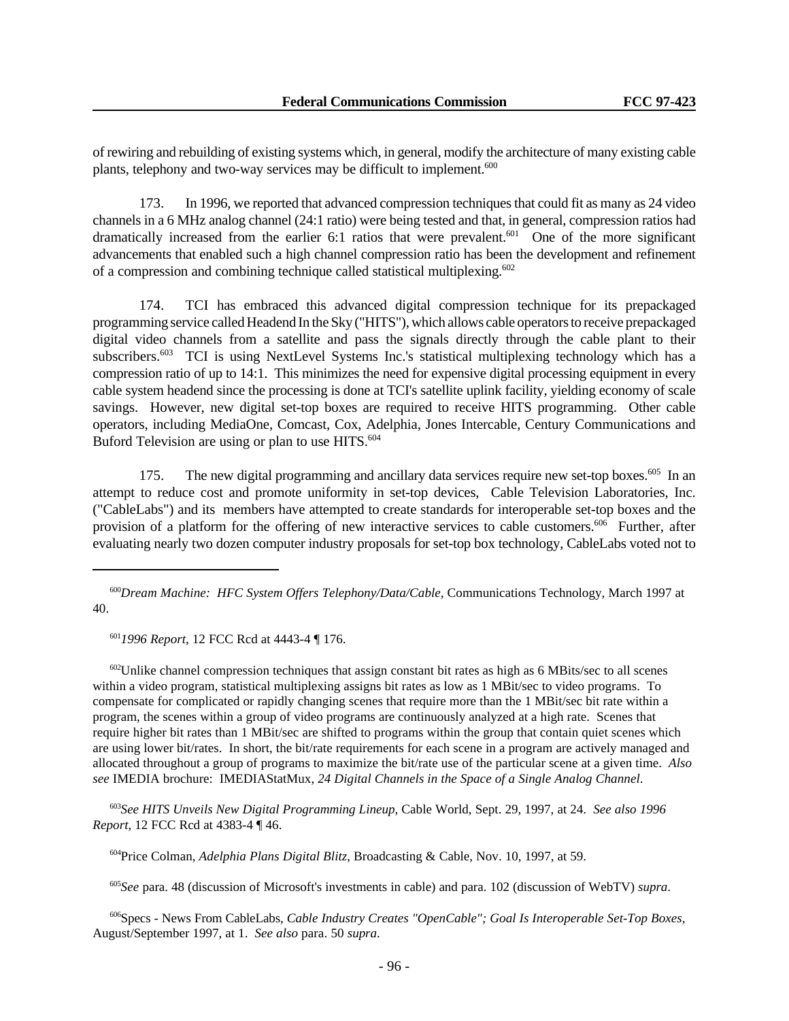of rewiring and rebuilding of existing systems which, in general, modify the architecture of many existing cable plants, telephony and two-way services may be difficult to implement.<sup>600</sup>

173. In 1996, we reported that advanced compression techniques that could fit as many as 24 video channels in a 6 MHz analog channel (24:1 ratio) were being tested and that, in general, compression ratios had dramatically increased from the earlier 6:1 ratios that were prevalent.<sup>601</sup> One of the more significant advancements that enabled such a high channel compression ratio has been the development and refinement of a compression and combining technique called statistical multiplexing.<sup>602</sup>

174. TCI has embraced this advanced digital compression technique for its prepackaged programming service called Headend In the Sky ("HITS"), which allows cable operators to receive prepackaged digital video channels from a satellite and pass the signals directly through the cable plant to their subscribers.<sup>603</sup> TCI is using NextLevel Systems Inc.'s statistical multiplexing technology which has a compression ratio of up to 14:1. This minimizes the need for expensive digital processing equipment in every cable system headend since the processing is done at TCI's satellite uplink facility, yielding economy of scale savings. However, new digital set-top boxes are required to receive HITS programming. Other cable operators, including MediaOne, Comcast, Cox, Adelphia, Jones Intercable, Century Communications and Buford Television are using or plan to use HITS.<sup>604</sup>

175. The new digital programming and ancillary data services require new set-top boxes.<sup>605</sup> In an attempt to reduce cost and promote uniformity in set-top devices, Cable Television Laboratories, Inc. ("CableLabs") and its members have attempted to create standards for interoperable set-top boxes and the provision of a platform for the offering of new interactive services to cable customers.<sup>606</sup> Further, after evaluating nearly two dozen computer industry proposals for set-top box technology, CableLabs voted not to

<sup>601</sup>*1996 Report*, 12 FCC Rcd at 4443-4 ¶ 176.

<sup>602</sup>Unlike channel compression techniques that assign constant bit rates as high as 6 MBits/sec to all scenes within a video program, statistical multiplexing assigns bit rates as low as 1 MBit/sec to video programs. To compensate for complicated or rapidly changing scenes that require more than the 1 MBit/sec bit rate within a program, the scenes within a group of video programs are continuously analyzed at a high rate. Scenes that require higher bit rates than 1 MBit/sec are shifted to programs within the group that contain quiet scenes which are using lower bit/rates. In short, the bit/rate requirements for each scene in a program are actively managed and allocated throughout a group of programs to maximize the bit/rate use of the particular scene at a given time. *Also see* IMEDIA brochure: IMEDIAStatMux, *24 Digital Channels in the Space of a Single Analog Channel*.

<sup>603</sup>*See HITS Unveils New Digital Programming Lineup,* Cable World, Sept. 29, 1997, at 24. *See also 1996 Report*, 12 FCC Rcd at 4383-4 ¶ 46.

<sup>604</sup>Price Colman, *Adelphia Plans Digital Blitz*, Broadcasting & Cable, Nov. 10, 1997, at 59.

<sup>605</sup>*See* para. 48 (discussion of Microsoft's investments in cable) and para. 102 (discussion of WebTV) *supra*.

<sup>606</sup>Specs - News From CableLabs, *Cable Industry Creates "OpenCable"; Goal Is Interoperable Set-Top Boxes,* August/September 1997, at 1. *See also* para. 50 *supra*.

<sup>600</sup>*Dream Machine: HFC System Offers Telephony/Data/Cable,* Communications Technology, March 1997 at 40.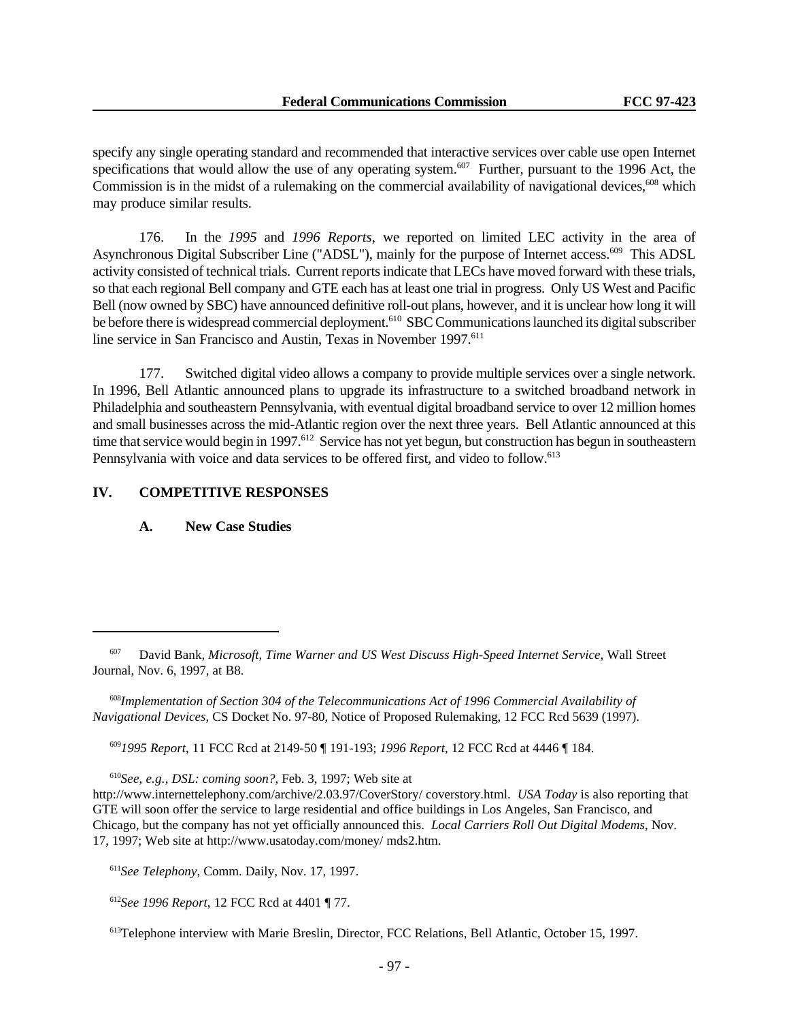specify any single operating standard and recommended that interactive services over cable use open Internet specifications that would allow the use of any operating system.<sup>607</sup> Further, pursuant to the 1996 Act, the Commission is in the midst of a rulemaking on the commercial availability of navigational devices,  $608$  which may produce similar results.

176. In the *1995* and *1996 Reports*, we reported on limited LEC activity in the area of Asynchronous Digital Subscriber Line ("ADSL"), mainly for the purpose of Internet access.<sup>609</sup> This ADSL activity consisted of technical trials. Current reports indicate that LECs have moved forward with these trials, so that each regional Bell company and GTE each has at least one trial in progress. Only US West and Pacific Bell (now owned by SBC) have announced definitive roll-out plans, however, and it is unclear how long it will be before there is widespread commercial deployment.<sup>610</sup> SBC Communications launched its digital subscriber line service in San Francisco and Austin, Texas in November 1997.<sup>611</sup>

177. Switched digital video allows a company to provide multiple services over a single network. In 1996, Bell Atlantic announced plans to upgrade its infrastructure to a switched broadband network in Philadelphia and southeastern Pennsylvania, with eventual digital broadband service to over 12 million homes and small businesses across the mid-Atlantic region over the next three years. Bell Atlantic announced at this time that service would begin in 1997.<sup>612</sup> Service has not yet begun, but construction has begun in southeastern Pennsylvania with voice and data services to be offered first, and video to follow.<sup>613</sup>

### **IV. COMPETITIVE RESPONSES**

#### **A. New Case Studies**

<sup>609</sup>*1995 Report*, 11 FCC Rcd at 2149-50 ¶ 191-193; *1996 Report*, 12 FCC Rcd at 4446 ¶ 184.

<sup>610</sup>*See, e.g., DSL: coming soon?*, Feb. 3, 1997; Web site at

<sup>612</sup>*See 1996 Report*, 12 FCC Rcd at 4401 ¶ 77.

<sup>607</sup> David Bank, *Microsoft, Time Warner and US West Discuss High-Speed Internet Service*, Wall Street Journal, Nov. 6, 1997, at B8.

<sup>608</sup>*Implementation of Section 304 of the Telecommunications Act of 1996 Commercial Availability of Navigational Devices*, CS Docket No. 97-80, Notice of Proposed Rulemaking, 12 FCC Rcd 5639 (1997).

http://www.internettelephony.com/archive/2.03.97/CoverStory/ coverstory.html. *USA Today* is also reporting that GTE will soon offer the service to large residential and office buildings in Los Angeles, San Francisco, and Chicago, but the company has not yet officially announced this. *Local Carriers Roll Out Digital Modems*, Nov. 17, 1997; Web site at http://www.usatoday.com/money/ mds2.htm.

<sup>611</sup>*See Telephony*, Comm. Daily, Nov. 17, 1997.

<sup>613</sup>Telephone interview with Marie Breslin, Director, FCC Relations, Bell Atlantic, October 15, 1997.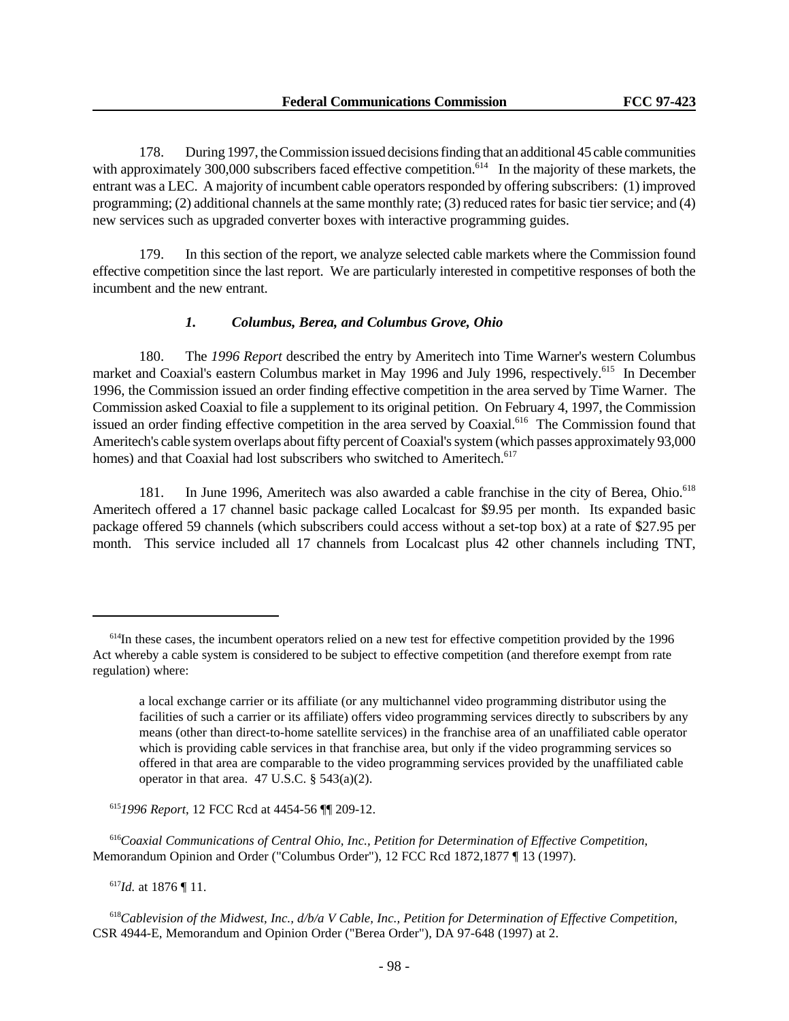178. During 1997, the Commission issued decisions finding that an additional 45 cable communities with approximately 300,000 subscribers faced effective competition.<sup>614</sup> In the majority of these markets, the entrant was a LEC. A majority of incumbent cable operators responded by offering subscribers: (1) improved programming; (2) additional channels at the same monthly rate; (3) reduced rates for basic tier service; and (4) new services such as upgraded converter boxes with interactive programming guides.

179. In this section of the report, we analyze selected cable markets where the Commission found effective competition since the last report. We are particularly interested in competitive responses of both the incumbent and the new entrant.

### *1. Columbus, Berea, and Columbus Grove, Ohio*

180. The *1996 Report* described the entry by Ameritech into Time Warner's western Columbus market and Coaxial's eastern Columbus market in May 1996 and July 1996, respectively.<sup>615</sup> In December 1996, the Commission issued an order finding effective competition in the area served by Time Warner. The Commission asked Coaxial to file a supplement to its original petition. On February 4, 1997, the Commission issued an order finding effective competition in the area served by Coaxial.<sup>616</sup> The Commission found that Ameritech's cable system overlaps about fifty percent of Coaxial's system (which passes approximately 93,000 homes) and that Coaxial had lost subscribers who switched to Ameritech.<sup>617</sup>

181. In June 1996, Ameritech was also awarded a cable franchise in the city of Berea, Ohio.<sup>618</sup> Ameritech offered a 17 channel basic package called Localcast for \$9.95 per month. Its expanded basic package offered 59 channels (which subscribers could access without a set-top box) at a rate of \$27.95 per month. This service included all 17 channels from Localcast plus 42 other channels including TNT,

<sup>615</sup>*1996 Report*, 12 FCC Rcd at 4454-56 ¶¶ 209-12.

<sup>616</sup>*Coaxial Communications of Central Ohio, Inc., Petition for Determination of Effective Competition*, Memorandum Opinion and Order ("Columbus Order"), 12 FCC Rcd 1872,1877 ¶ 13 (1997).

<sup>617</sup>*Id.* at 1876 ¶ 11.

<sup>&</sup>lt;sup>614</sup>In these cases, the incumbent operators relied on a new test for effective competition provided by the 1996 Act whereby a cable system is considered to be subject to effective competition (and therefore exempt from rate regulation) where:

a local exchange carrier or its affiliate (or any multichannel video programming distributor using the facilities of such a carrier or its affiliate) offers video programming services directly to subscribers by any means (other than direct-to-home satellite services) in the franchise area of an unaffiliated cable operator which is providing cable services in that franchise area, but only if the video programming services so offered in that area are comparable to the video programming services provided by the unaffiliated cable operator in that area.  $47$  U.S.C. §  $543(a)(2)$ .

<sup>618</sup>*Cablevision of the Midwest, Inc., d/b/a V Cable, Inc., Petition for Determination of Effective Competition*, CSR 4944-E, Memorandum and Opinion Order ("Berea Order"), DA 97-648 (1997) at 2.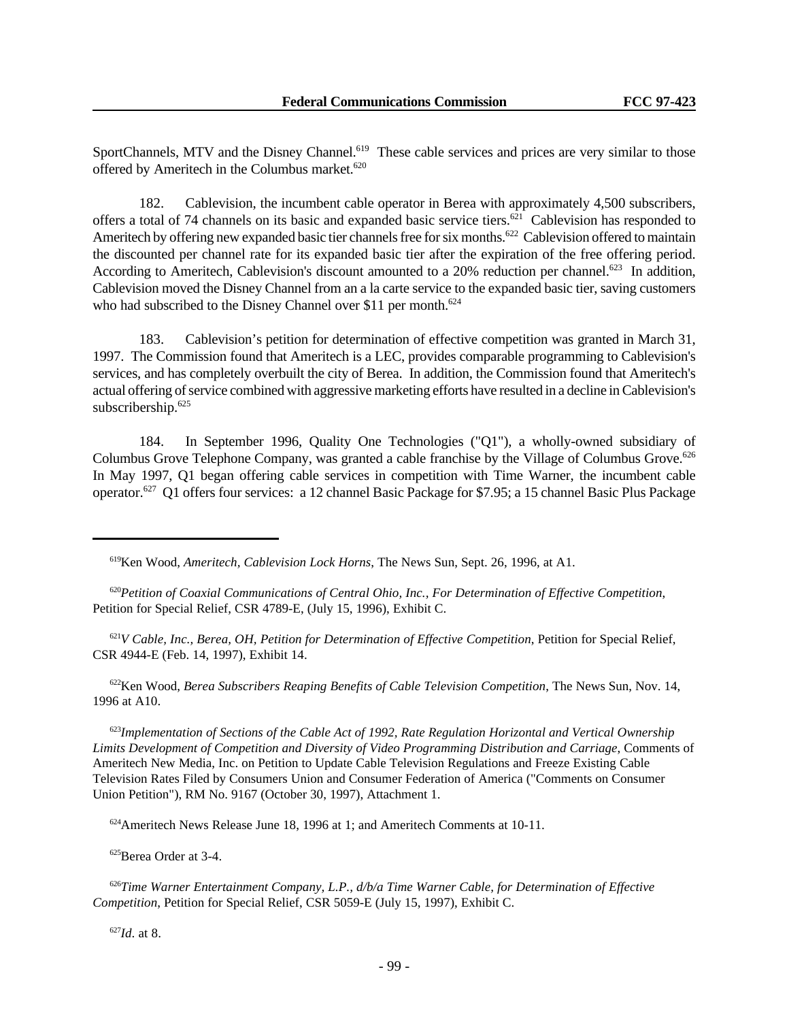SportChannels, MTV and the Disney Channel.<sup>619</sup> These cable services and prices are very similar to those offered by Ameritech in the Columbus market.<sup>620</sup>

182. Cablevision, the incumbent cable operator in Berea with approximately 4,500 subscribers, offers a total of 74 channels on its basic and expanded basic service tiers.<sup>621</sup> Cablevision has responded to Ameritech by offering new expanded basic tier channels free for six months.<sup>622</sup> Cablevision offered to maintain the discounted per channel rate for its expanded basic tier after the expiration of the free offering period. According to Ameritech, Cablevision's discount amounted to a 20% reduction per channel.<sup>623</sup> In addition, Cablevision moved the Disney Channel from an a la carte service to the expanded basic tier, saving customers who had subscribed to the Disney Channel over \$11 per month.<sup>624</sup>

183. Cablevision's petition for determination of effective competition was granted in March 31, 1997. The Commission found that Ameritech is a LEC, provides comparable programming to Cablevision's services, and has completely overbuilt the city of Berea. In addition, the Commission found that Ameritech's actual offering of service combined with aggressive marketing efforts have resulted in a decline in Cablevision's subscribership.<sup>625</sup>

184. In September 1996, Quality One Technologies ("Q1"), a wholly-owned subsidiary of Columbus Grove Telephone Company, was granted a cable franchise by the Village of Columbus Grove.<sup>626</sup> In May 1997, Q1 began offering cable services in competition with Time Warner, the incumbent cable operator.627 Q1 offers four services: a 12 channel Basic Package for \$7.95; a 15 channel Basic Plus Package

<sup>620</sup>*Petition of Coaxial Communications of Central Ohio, Inc., For Determination of Effective Competition*, Petition for Special Relief, CSR 4789-E, (July 15, 1996), Exhibit C.

<sup>621</sup>*V Cable, Inc., Berea, OH, Petition for Determination of Effective Competition*, Petition for Special Relief, CSR 4944-E (Feb. 14, 1997), Exhibit 14.

<sup>622</sup>Ken Wood, *Berea Subscribers Reaping Benefits of Cable Television Competition*, The News Sun, Nov. 14, 1996 at A10.

<sup>623</sup>*Implementation of Sections of the Cable Act of 1992, Rate Regulation Horizontal and Vertical Ownership Limits Development of Competition and Diversity of Video Programming Distribution and Carriage*, Comments of Ameritech New Media, Inc. on Petition to Update Cable Television Regulations and Freeze Existing Cable Television Rates Filed by Consumers Union and Consumer Federation of America ("Comments on Consumer Union Petition"), RM No. 9167 (October 30, 1997), Attachment 1.

<sup>624</sup>Ameritech News Release June 18, 1996 at 1; and Ameritech Comments at 10-11.

<sup>625</sup>Berea Order at 3-4.

<sup>626</sup>*Time Warner Entertainment Company, L.P., d/b/a Time Warner Cable, for Determination of Effective Competition*, Petition for Special Relief, CSR 5059-E (July 15, 1997), Exhibit C.

<sup>627</sup>*Id*. at 8.

<sup>619</sup>Ken Wood, *Ameritech, Cablevision Lock Horns*, The News Sun, Sept. 26, 1996, at A1.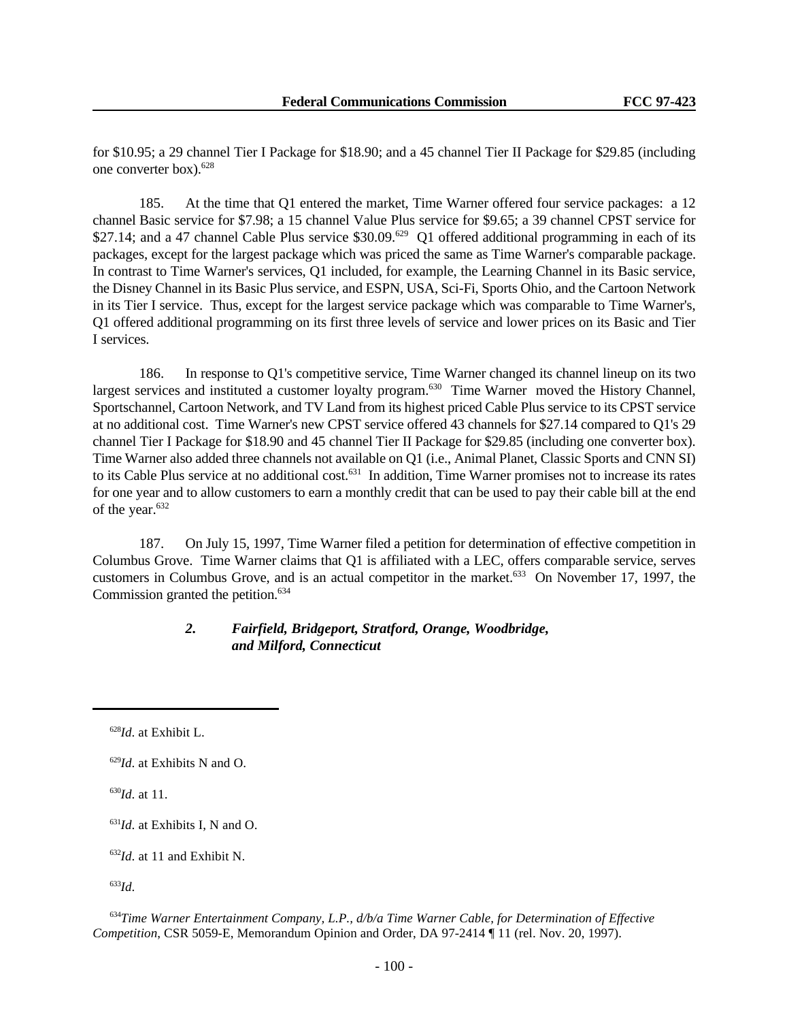for \$10.95; a 29 channel Tier I Package for \$18.90; and a 45 channel Tier II Package for \$29.85 (including one converter box).<sup>628</sup>

185. At the time that Q1 entered the market, Time Warner offered four service packages: a 12 channel Basic service for \$7.98; a 15 channel Value Plus service for \$9.65; a 39 channel CPST service for \$27.14; and a 47 channel Cable Plus service \$30.09.<sup>629</sup> Q1 offered additional programming in each of its packages, except for the largest package which was priced the same as Time Warner's comparable package. In contrast to Time Warner's services, Q1 included, for example, the Learning Channel in its Basic service, the Disney Channel in its Basic Plus service, and ESPN, USA, Sci-Fi, Sports Ohio, and the Cartoon Network in its Tier I service. Thus, except for the largest service package which was comparable to Time Warner's, Q1 offered additional programming on its first three levels of service and lower prices on its Basic and Tier I services.

186. In response to Q1's competitive service, Time Warner changed its channel lineup on its two largest services and instituted a customer loyalty program.<sup>630</sup> Time Warner moved the History Channel, Sportschannel, Cartoon Network, and TV Land from its highest priced Cable Plus service to its CPST service at no additional cost. Time Warner's new CPST service offered 43 channels for \$27.14 compared to Q1's 29 channel Tier I Package for \$18.90 and 45 channel Tier II Package for \$29.85 (including one converter box). Time Warner also added three channels not available on Q1 (i.e., Animal Planet, Classic Sports and CNN SI) to its Cable Plus service at no additional cost.<sup>631</sup> In addition, Time Warner promises not to increase its rates for one year and to allow customers to earn a monthly credit that can be used to pay their cable bill at the end of the year.<sup>632</sup>

187. On July 15, 1997, Time Warner filed a petition for determination of effective competition in Columbus Grove. Time Warner claims that Q1 is affiliated with a LEC, offers comparable service, serves customers in Columbus Grove, and is an actual competitor in the market.<sup>633</sup> On November 17, 1997, the Commission granted the petition. $634$ 

# *2. Fairfield, Bridgeport, Stratford, Orange, Woodbridge, and Milford, Connecticut*

<sup>630</sup>*Id*. at 11.

<sup>628</sup>*Id*. at Exhibit L.

<sup>629</sup>*Id*. at Exhibits N and O.

<sup>631</sup>*Id*. at Exhibits I, N and O.

<sup>632</sup>*Id*. at 11 and Exhibit N.

<sup>633</sup>*Id*.

<sup>634</sup>*Time Warner Entertainment Company, L.P., d/b/a Time Warner Cable, for Determination of Effective Competition*, CSR 5059-E, Memorandum Opinion and Order, DA 97-2414 ¶ 11 (rel. Nov. 20, 1997).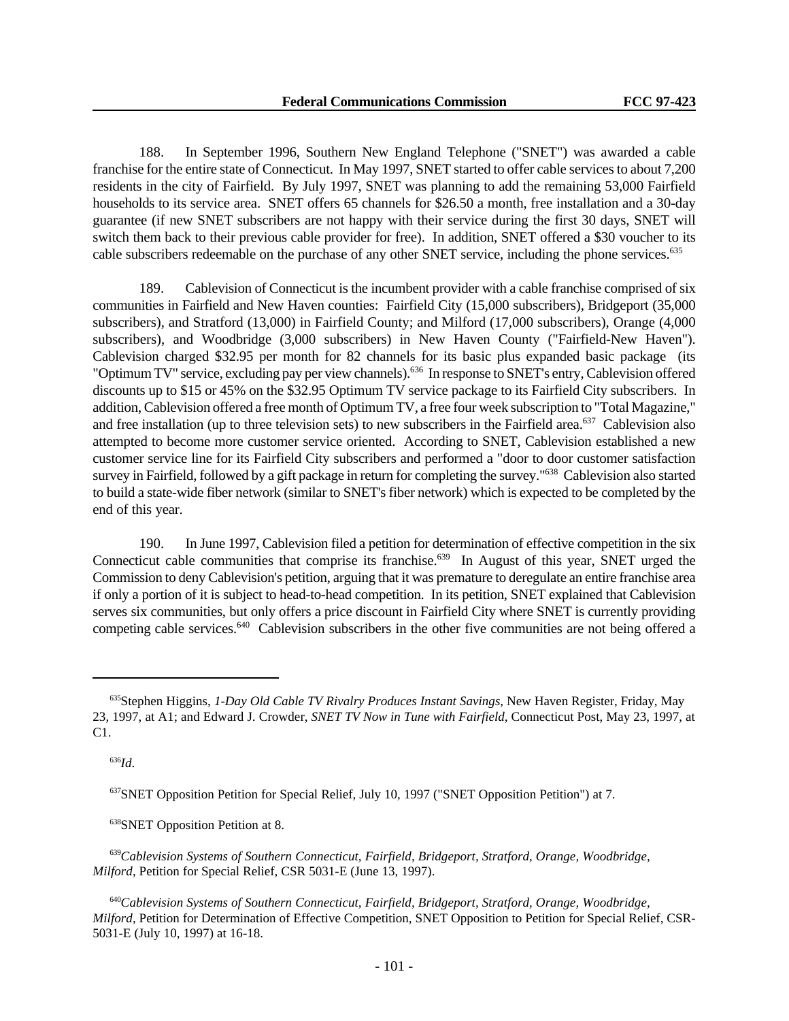188. In September 1996, Southern New England Telephone ("SNET") was awarded a cable franchise for the entire state of Connecticut. In May 1997, SNET started to offer cable services to about 7,200 residents in the city of Fairfield. By July 1997, SNET was planning to add the remaining 53,000 Fairfield households to its service area. SNET offers 65 channels for \$26.50 a month, free installation and a 30-day guarantee (if new SNET subscribers are not happy with their service during the first 30 days, SNET will switch them back to their previous cable provider for free). In addition, SNET offered a \$30 voucher to its cable subscribers redeemable on the purchase of any other SNET service, including the phone services.<sup>635</sup>

189. Cablevision of Connecticut is the incumbent provider with a cable franchise comprised of six communities in Fairfield and New Haven counties: Fairfield City (15,000 subscribers), Bridgeport (35,000 subscribers), and Stratford (13,000) in Fairfield County; and Milford (17,000 subscribers), Orange (4,000 subscribers), and Woodbridge (3,000 subscribers) in New Haven County ("Fairfield-New Haven"). Cablevision charged \$32.95 per month for 82 channels for its basic plus expanded basic package (its "Optimum TV" service, excluding pay per view channels).<sup>636</sup> In response to SNET's entry, Cablevision offered discounts up to \$15 or 45% on the \$32.95 Optimum TV service package to its Fairfield City subscribers. In addition, Cablevision offered a free month of Optimum TV, a free four week subscription to "Total Magazine," and free installation (up to three television sets) to new subscribers in the Fairfield area.<sup>637</sup> Cablevision also attempted to become more customer service oriented. According to SNET, Cablevision established a new customer service line for its Fairfield City subscribers and performed a "door to door customer satisfaction survey in Fairfield, followed by a gift package in return for completing the survey."<sup>638</sup> Cablevision also started to build a state-wide fiber network (similar to SNET's fiber network) which is expected to be completed by the end of this year.

190. In June 1997, Cablevision filed a petition for determination of effective competition in the six Connecticut cable communities that comprise its franchise.<sup>639</sup> In August of this year, SNET urged the Commission to deny Cablevision's petition, arguing that it was premature to deregulate an entire franchise area if only a portion of it is subject to head-to-head competition. In its petition, SNET explained that Cablevision serves six communities, but only offers a price discount in Fairfield City where SNET is currently providing competing cable services.<sup>640</sup> Cablevision subscribers in the other five communities are not being offered a

<sup>636</sup>*Id*.

<sup>638</sup>SNET Opposition Petition at 8.

<sup>635</sup>Stephen Higgins, *1-Day Old Cable TV Rivalry Produces Instant Savings*, New Haven Register, Friday, May 23, 1997, at A1; and Edward J. Crowder, *SNET TV Now in Tune with Fairfield*, Connecticut Post, May 23, 1997, at C1.

<sup>637</sup>SNET Opposition Petition for Special Relief, July 10, 1997 ("SNET Opposition Petition") at 7.

<sup>639</sup>*Cablevision Systems of Southern Connecticut, Fairfield, Bridgeport, Stratford, Orange, Woodbridge, Milford*, Petition for Special Relief, CSR 5031-E (June 13, 1997).

<sup>640</sup>*Cablevision Systems of Southern Connecticut, Fairfield, Bridgeport, Stratford, Orange, Woodbridge, Milford*, Petition for Determination of Effective Competition, SNET Opposition to Petition for Special Relief, CSR-5031-E (July 10, 1997) at 16-18.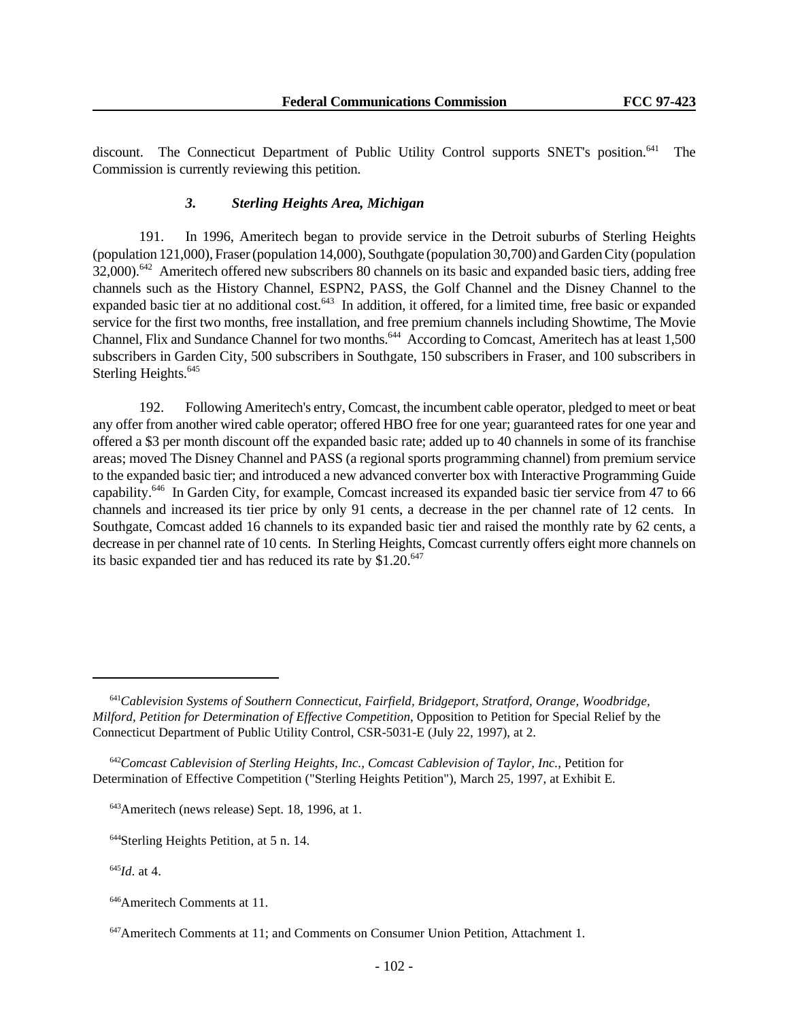discount. The Connecticut Department of Public Utility Control supports SNET's position.<sup>641</sup> The Commission is currently reviewing this petition.

### *3. Sterling Heights Area, Michigan*

191. In 1996, Ameritech began to provide service in the Detroit suburbs of Sterling Heights (population 121,000), Fraser (population 14,000), Southgate (population 30,700) and Garden City (population 32,000).<sup>642</sup> Ameritech offered new subscribers 80 channels on its basic and expanded basic tiers, adding free channels such as the History Channel, ESPN2, PASS, the Golf Channel and the Disney Channel to the expanded basic tier at no additional cost.<sup>643</sup> In addition, it offered, for a limited time, free basic or expanded service for the first two months, free installation, and free premium channels including Showtime, The Movie Channel, Flix and Sundance Channel for two months.<sup>644</sup> According to Comcast, Ameritech has at least 1,500 subscribers in Garden City, 500 subscribers in Southgate, 150 subscribers in Fraser, and 100 subscribers in Sterling Heights.<sup>645</sup>

192. Following Ameritech's entry, Comcast, the incumbent cable operator, pledged to meet or beat any offer from another wired cable operator; offered HBO free for one year; guaranteed rates for one year and offered a \$3 per month discount off the expanded basic rate; added up to 40 channels in some of its franchise areas; moved The Disney Channel and PASS (a regional sports programming channel) from premium service to the expanded basic tier; and introduced a new advanced converter box with Interactive Programming Guide capability.<sup>646</sup> In Garden City, for example, Comcast increased its expanded basic tier service from 47 to 66 channels and increased its tier price by only 91 cents, a decrease in the per channel rate of 12 cents. In Southgate, Comcast added 16 channels to its expanded basic tier and raised the monthly rate by 62 cents, a decrease in per channel rate of 10 cents. In Sterling Heights, Comcast currently offers eight more channels on its basic expanded tier and has reduced its rate by  $$1.20$ .<sup>647</sup>

<sup>645</sup>*Id*. at 4.

<sup>641</sup>*Cablevision Systems of Southern Connecticut, Fairfield, Bridgeport, Stratford, Orange, Woodbridge, Milford, Petition for Determination of Effective Competition*, Opposition to Petition for Special Relief by the Connecticut Department of Public Utility Control, CSR-5031-E (July 22, 1997), at 2.

<sup>642</sup>*Comcast Cablevision of Sterling Heights, Inc., Comcast Cablevision of Taylor, Inc.*, Petition for Determination of Effective Competition ("Sterling Heights Petition"), March 25, 1997, at Exhibit E.

<sup>643</sup>Ameritech (news release) Sept. 18, 1996, at 1.

<sup>644</sup>Sterling Heights Petition, at 5 n. 14.

<sup>646</sup>Ameritech Comments at 11.

<sup>647</sup>Ameritech Comments at 11; and Comments on Consumer Union Petition, Attachment 1.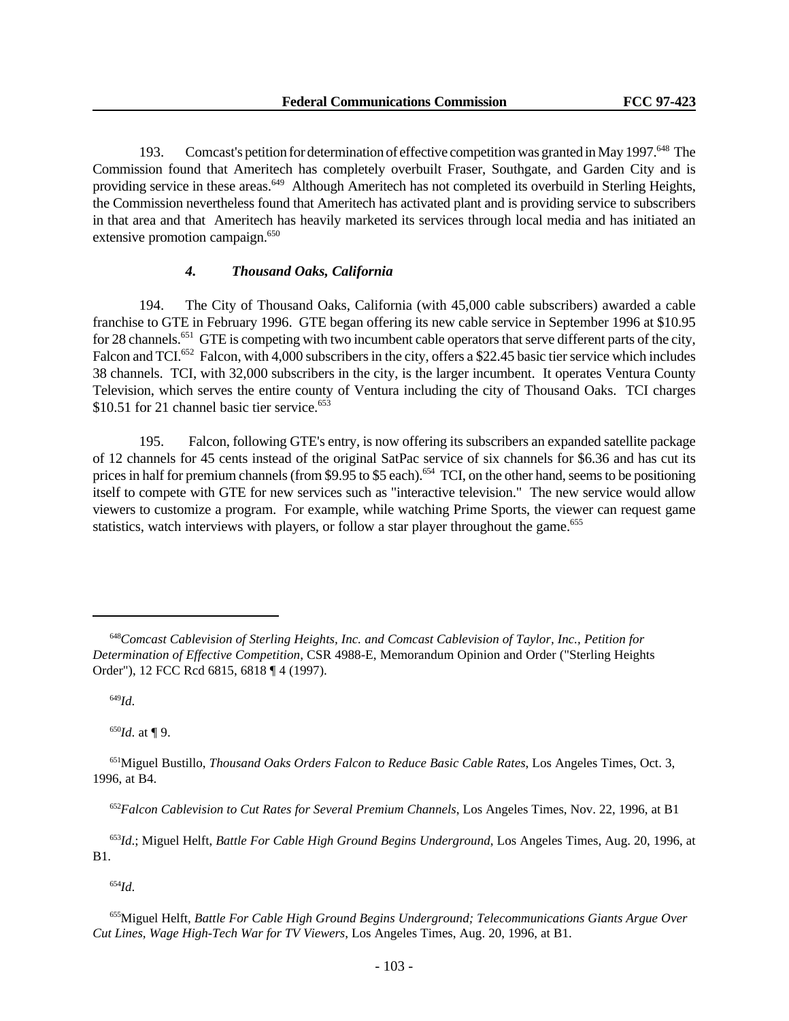193. Comcast's petition for determination of effective competition was granted in May 1997.<sup>648</sup> The Commission found that Ameritech has completely overbuilt Fraser, Southgate, and Garden City and is providing service in these areas.<sup>649</sup> Although Ameritech has not completed its overbuild in Sterling Heights, the Commission nevertheless found that Ameritech has activated plant and is providing service to subscribers in that area and that Ameritech has heavily marketed its services through local media and has initiated an extensive promotion campaign.<sup>650</sup>

# *4. Thousand Oaks, California*

194. The City of Thousand Oaks, California (with 45,000 cable subscribers) awarded a cable franchise to GTE in February 1996. GTE began offering its new cable service in September 1996 at \$10.95 for 28 channels.<sup>651</sup> GTE is competing with two incumbent cable operators that serve different parts of the city, Falcon and TCI.<sup>652</sup> Falcon, with 4,000 subscribers in the city, offers a \$22.45 basic tier service which includes 38 channels. TCI, with 32,000 subscribers in the city, is the larger incumbent. It operates Ventura County Television, which serves the entire county of Ventura including the city of Thousand Oaks. TCI charges  $$10.51$  for 21 channel basic tier service.<sup>653</sup>

195. Falcon, following GTE's entry, is now offering its subscribers an expanded satellite package of 12 channels for 45 cents instead of the original SatPac service of six channels for \$6.36 and has cut its prices in half for premium channels (from \$9.95 to \$5 each).<sup>654</sup> TCI, on the other hand, seems to be positioning itself to compete with GTE for new services such as "interactive television." The new service would allow viewers to customize a program. For example, while watching Prime Sports, the viewer can request game statistics, watch interviews with players, or follow a star player throughout the game.<sup>655</sup>

<sup>649</sup>*Id*.

<sup>650</sup>*Id*. at ¶ 9.

<sup>654</sup>*Id*.

<sup>648</sup>*Comcast Cablevision of Sterling Heights, Inc. and Comcast Cablevision of Taylor, Inc., Petition for Determination of Effective Competition*, CSR 4988-E, Memorandum Opinion and Order ("Sterling Heights Order"), 12 FCC Rcd 6815, 6818 ¶ 4 (1997).

<sup>651</sup>Miguel Bustillo, *Thousand Oaks Orders Falcon to Reduce Basic Cable Rates*, Los Angeles Times, Oct. 3, 1996, at B4.

<sup>652</sup>*Falcon Cablevision to Cut Rates for Several Premium Channels*, Los Angeles Times, Nov. 22, 1996, at B1

<sup>653</sup>*Id*.; Miguel Helft, *Battle For Cable High Ground Begins Underground*, Los Angeles Times, Aug. 20, 1996, at B1.

<sup>655</sup>Miguel Helft, *Battle For Cable High Ground Begins Underground; Telecommunications Giants Argue Over Cut Lines, Wage High-Tech War for TV Viewers*, Los Angeles Times, Aug. 20, 1996, at B1.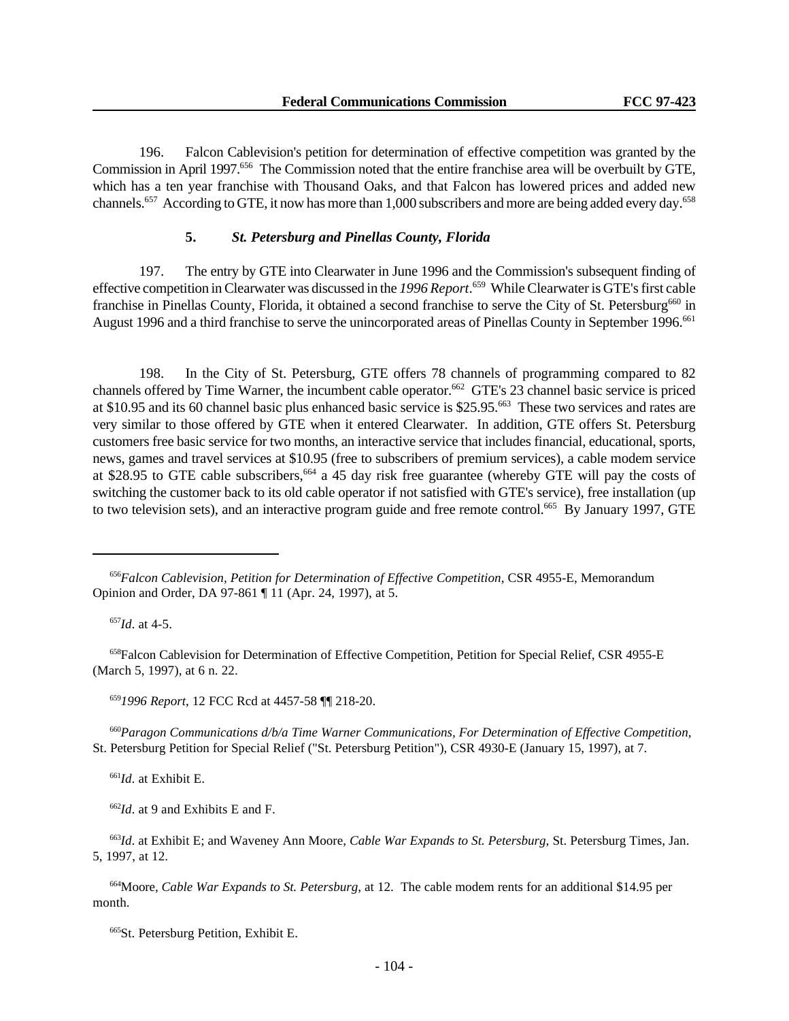196. Falcon Cablevision's petition for determination of effective competition was granted by the Commission in April 1997.<sup>656</sup> The Commission noted that the entire franchise area will be overbuilt by GTE, which has a ten year franchise with Thousand Oaks, and that Falcon has lowered prices and added new channels.<sup>657</sup> According to GTE, it now has more than 1,000 subscribers and more are being added every day.<sup>658</sup>

#### **5.** *St. Petersburg and Pinellas County, Florida*

197. The entry by GTE into Clearwater in June 1996 and the Commission's subsequent finding of effective competition in Clearwater was discussed in the *1996 Report*. <sup>659</sup> While Clearwater is GTE's first cable franchise in Pinellas County, Florida, it obtained a second franchise to serve the City of St. Petersburg<sup>660</sup> in August 1996 and a third franchise to serve the unincorporated areas of Pinellas County in September 1996.<sup>661</sup>

198. In the City of St. Petersburg, GTE offers 78 channels of programming compared to 82 channels offered by Time Warner, the incumbent cable operator.<sup>662</sup> GTE's 23 channel basic service is priced at \$10.95 and its 60 channel basic plus enhanced basic service is \$25.95.<sup>663</sup> These two services and rates are very similar to those offered by GTE when it entered Clearwater. In addition, GTE offers St. Petersburg customers free basic service for two months, an interactive service that includes financial, educational, sports, news, games and travel services at \$10.95 (free to subscribers of premium services), a cable modem service at \$28.95 to GTE cable subscribers,<sup>664</sup> a 45 day risk free guarantee (whereby GTE will pay the costs of switching the customer back to its old cable operator if not satisfied with GTE's service), free installation (up to two television sets), and an interactive program guide and free remote control.<sup>665</sup> By January 1997, GTE

<sup>657</sup>*Id*. at 4-5.

<sup>658</sup>Falcon Cablevision for Determination of Effective Competition, Petition for Special Relief, CSR 4955-E (March 5, 1997), at 6 n. 22.

<sup>659</sup>*1996 Report*, 12 FCC Rcd at 4457-58 ¶¶ 218-20.

<sup>660</sup>*Paragon Communications d/b/a Time Warner Communications, For Determination of Effective Competition*, St. Petersburg Petition for Special Relief ("St. Petersburg Petition"), CSR 4930-E (January 15, 1997), at 7.

<sup>661</sup>*Id*. at Exhibit E.

<sup>662</sup>*Id*. at 9 and Exhibits E and F.

<sup>663</sup>*Id*. at Exhibit E; and Waveney Ann Moore, *Cable War Expands to St. Petersburg*, St. Petersburg Times, Jan. 5, 1997, at 12.

<sup>664</sup>Moore, *Cable War Expands to St. Petersburg*, at 12. The cable modem rents for an additional \$14.95 per month.

<sup>665</sup>St. Petersburg Petition, Exhibit E.

<sup>656</sup>*Falcon Cablevision, Petition for Determination of Effective Competition*, CSR 4955-E, Memorandum Opinion and Order, DA 97-861 ¶ 11 (Apr. 24, 1997), at 5.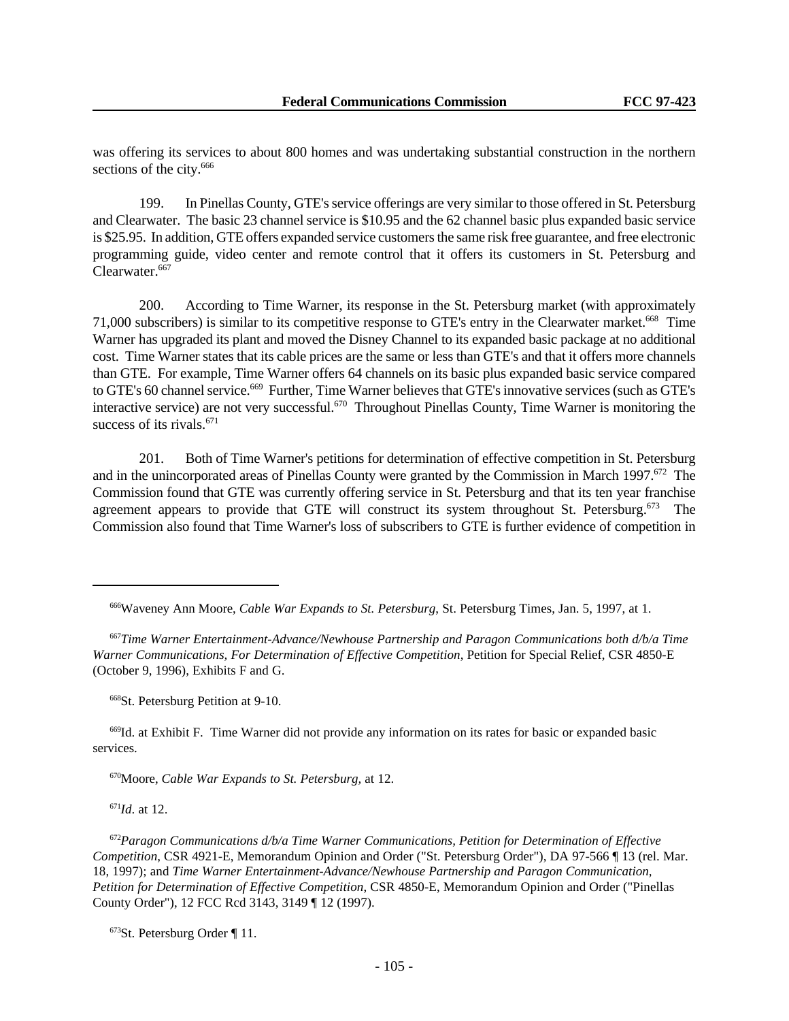was offering its services to about 800 homes and was undertaking substantial construction in the northern sections of the city.<sup>666</sup>

199. In Pinellas County, GTE's service offerings are very similar to those offered in St. Petersburg and Clearwater. The basic 23 channel service is \$10.95 and the 62 channel basic plus expanded basic service is \$25.95. In addition, GTE offers expanded service customers the same risk free guarantee, and free electronic programming guide, video center and remote control that it offers its customers in St. Petersburg and Clearwater.<sup>667</sup>

200. According to Time Warner, its response in the St. Petersburg market (with approximately 71,000 subscribers) is similar to its competitive response to GTE's entry in the Clearwater market.<sup>668</sup> Time Warner has upgraded its plant and moved the Disney Channel to its expanded basic package at no additional cost. Time Warner states that its cable prices are the same or less than GTE's and that it offers more channels than GTE. For example, Time Warner offers 64 channels on its basic plus expanded basic service compared to GTE's 60 channel service.<sup>669</sup> Further, Time Warner believes that GTE's innovative services (such as GTE's interactive service) are not very successful.<sup>670</sup> Throughout Pinellas County, Time Warner is monitoring the success of its rivals. $671$ 

201. Both of Time Warner's petitions for determination of effective competition in St. Petersburg and in the unincorporated areas of Pinellas County were granted by the Commission in March 1997.<sup>672</sup> The Commission found that GTE was currently offering service in St. Petersburg and that its ten year franchise agreement appears to provide that GTE will construct its system throughout St. Petersburg.<sup>673</sup> The Commission also found that Time Warner's loss of subscribers to GTE is further evidence of competition in

<sup>668</sup>St. Petersburg Petition at 9-10.

<sup>669</sup>Id. at Exhibit F. Time Warner did not provide any information on its rates for basic or expanded basic services.

<sup>670</sup>Moore, *Cable War Expands to St. Petersburg,* at 12.

<sup>671</sup>*Id*. at 12.

<sup>672</sup>*Paragon Communications d/b/a Time Warner Communications, Petition for Determination of Effective Competition*, CSR 4921-E, Memorandum Opinion and Order ("St. Petersburg Order"), DA 97-566 ¶ 13 (rel. Mar. 18, 1997); and *Time Warner Entertainment-Advance/Newhouse Partnership and Paragon Communication, Petition for Determination of Effective Competition*, CSR 4850-E, Memorandum Opinion and Order ("Pinellas County Order"), 12 FCC Rcd 3143, 3149 ¶ 12 (1997).

<sup>673</sup>St. Petersburg Order ¶ 11.

<sup>666</sup>Waveney Ann Moore, *Cable War Expands to St. Petersburg*, St. Petersburg Times, Jan. 5, 1997, at 1.

<sup>667</sup>*Time Warner Entertainment-Advance/Newhouse Partnership and Paragon Communications both d/b/a Time Warner Communications, For Determination of Effective Competition*, Petition for Special Relief, CSR 4850-E (October 9, 1996), Exhibits F and G.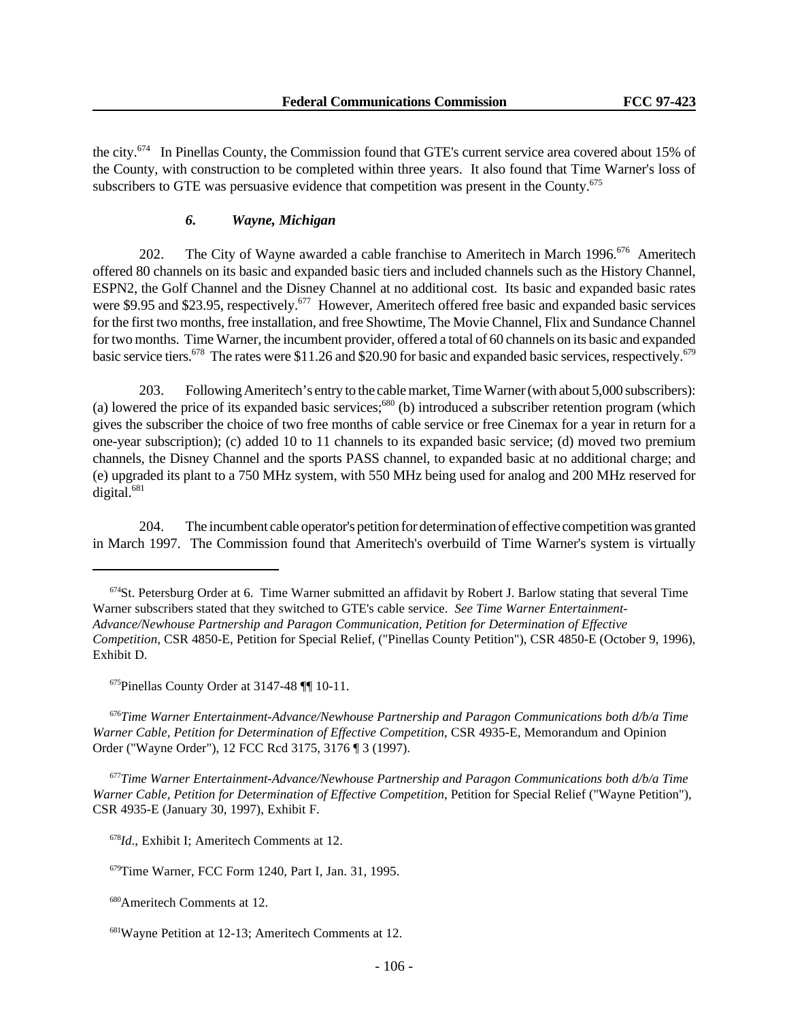the city.<sup>674</sup> In Pinellas County, the Commission found that GTE's current service area covered about 15% of the County, with construction to be completed within three years. It also found that Time Warner's loss of subscribers to GTE was persuasive evidence that competition was present in the County. $675$ 

### *6. Wayne, Michigan*

202. The City of Wayne awarded a cable franchise to Ameritech in March 1996.<sup>676</sup> Ameritech offered 80 channels on its basic and expanded basic tiers and included channels such as the History Channel, ESPN2, the Golf Channel and the Disney Channel at no additional cost. Its basic and expanded basic rates were \$9.95 and \$23.95, respectively.<sup>677</sup> However, Ameritech offered free basic and expanded basic services for the first two months, free installation, and free Showtime, The Movie Channel, Flix and Sundance Channel for two months. Time Warner, the incumbent provider, offered a total of 60 channels on its basic and expanded basic service tiers.<sup>678</sup> The rates were \$11.26 and \$20.90 for basic and expanded basic services, respectively.<sup>679</sup>

203. Following Ameritech's entry to the cable market, Time Warner (with about 5,000 subscribers): (a) lowered the price of its expanded basic services; $680$  (b) introduced a subscriber retention program (which gives the subscriber the choice of two free months of cable service or free Cinemax for a year in return for a one-year subscription); (c) added 10 to 11 channels to its expanded basic service; (d) moved two premium channels, the Disney Channel and the sports PASS channel, to expanded basic at no additional charge; and (e) upgraded its plant to a 750 MHz system, with 550 MHz being used for analog and 200 MHz reserved for digital.<sup>681</sup>

204. The incumbent cable operator's petition for determination of effective competition was granted in March 1997. The Commission found that Ameritech's overbuild of Time Warner's system is virtually

<sup>675</sup>Pinellas County Order at 3147-48 ¶¶ 10-11.

<sup>676</sup>*Time Warner Entertainment-Advance/Newhouse Partnership and Paragon Communications both d/b/a Time Warner Cable, Petition for Determination of Effective Competition*, CSR 4935-E, Memorandum and Opinion Order ("Wayne Order"), 12 FCC Rcd 3175, 3176 ¶ 3 (1997).

<sup>677</sup>*Time Warner Entertainment-Advance/Newhouse Partnership and Paragon Communications both d/b/a Time Warner Cable, Petition for Determination of Effective Competition*, Petition for Special Relief ("Wayne Petition"), CSR 4935-E (January 30, 1997), Exhibit F.

<sup>678</sup>*Id*., Exhibit I; Ameritech Comments at 12.

<sup>679</sup>Time Warner, FCC Form 1240, Part I, Jan. 31, 1995.

<sup>680</sup>Ameritech Comments at 12.

<sup>681</sup>Wayne Petition at 12-13; Ameritech Comments at 12.

 $674$ St. Petersburg Order at 6. Time Warner submitted an affidavit by Robert J. Barlow stating that several Time Warner subscribers stated that they switched to GTE's cable service. *See Time Warner Entertainment-Advance/Newhouse Partnership and Paragon Communication, Petition for Determination of Effective Competition*, CSR 4850-E, Petition for Special Relief, ("Pinellas County Petition"), CSR 4850-E (October 9, 1996), Exhibit D.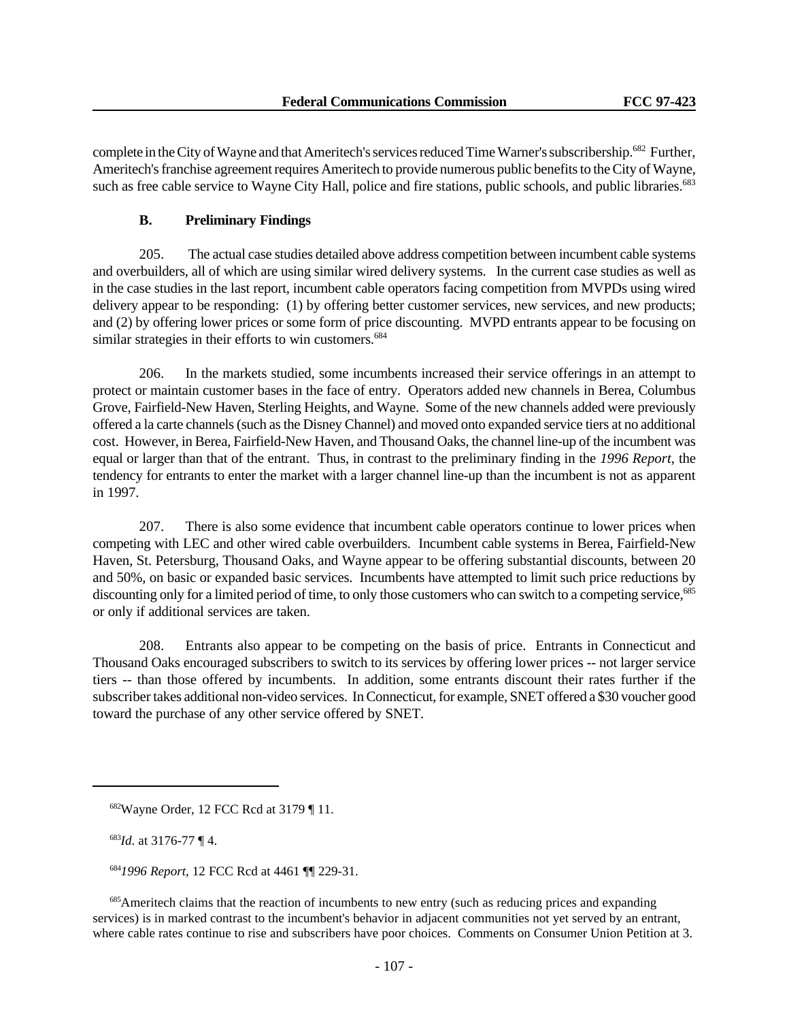complete in the City of Wayne and that Ameritech's services reduced Time Warner's subscribership.<sup>682</sup> Further, Ameritech's franchise agreement requires Ameritech to provide numerous public benefits to the City of Wayne, such as free cable service to Wayne City Hall, police and fire stations, public schools, and public libraries.<sup>683</sup>

# **B. Preliminary Findings**

205. The actual case studies detailed above address competition between incumbent cable systems and overbuilders, all of which are using similar wired delivery systems. In the current case studies as well as in the case studies in the last report, incumbent cable operators facing competition from MVPDs using wired delivery appear to be responding: (1) by offering better customer services, new services, and new products; and (2) by offering lower prices or some form of price discounting. MVPD entrants appear to be focusing on similar strategies in their efforts to win customers.<sup>684</sup>

206. In the markets studied, some incumbents increased their service offerings in an attempt to protect or maintain customer bases in the face of entry. Operators added new channels in Berea, Columbus Grove, Fairfield-New Haven, Sterling Heights, and Wayne. Some of the new channels added were previously offered a la carte channels (such as the Disney Channel) and moved onto expanded service tiers at no additional cost. However, in Berea, Fairfield-New Haven, and Thousand Oaks, the channel line-up of the incumbent was equal or larger than that of the entrant. Thus, in contrast to the preliminary finding in the *1996 Report*, the tendency for entrants to enter the market with a larger channel line-up than the incumbent is not as apparent in 1997.

207. There is also some evidence that incumbent cable operators continue to lower prices when competing with LEC and other wired cable overbuilders. Incumbent cable systems in Berea, Fairfield-New Haven, St. Petersburg, Thousand Oaks, and Wayne appear to be offering substantial discounts, between 20 and 50%, on basic or expanded basic services. Incumbents have attempted to limit such price reductions by discounting only for a limited period of time, to only those customers who can switch to a competing service,<sup>685</sup> or only if additional services are taken.

208. Entrants also appear to be competing on the basis of price. Entrants in Connecticut and Thousand Oaks encouraged subscribers to switch to its services by offering lower prices -- not larger service tiers -- than those offered by incumbents. In addition, some entrants discount their rates further if the subscriber takes additional non-video services. In Connecticut, for example, SNET offered a \$30 voucher good toward the purchase of any other service offered by SNET.

<sup>683</sup>*Id*. at 3176-77 ¶ 4.

<sup>684</sup>*1996 Report*, 12 FCC Rcd at 4461 ¶¶ 229-31.

<sup>685</sup>Ameritech claims that the reaction of incumbents to new entry (such as reducing prices and expanding services) is in marked contrast to the incumbent's behavior in adjacent communities not yet served by an entrant, where cable rates continue to rise and subscribers have poor choices. Comments on Consumer Union Petition at 3.

<sup>682</sup>Wayne Order, 12 FCC Rcd at 3179 ¶ 11.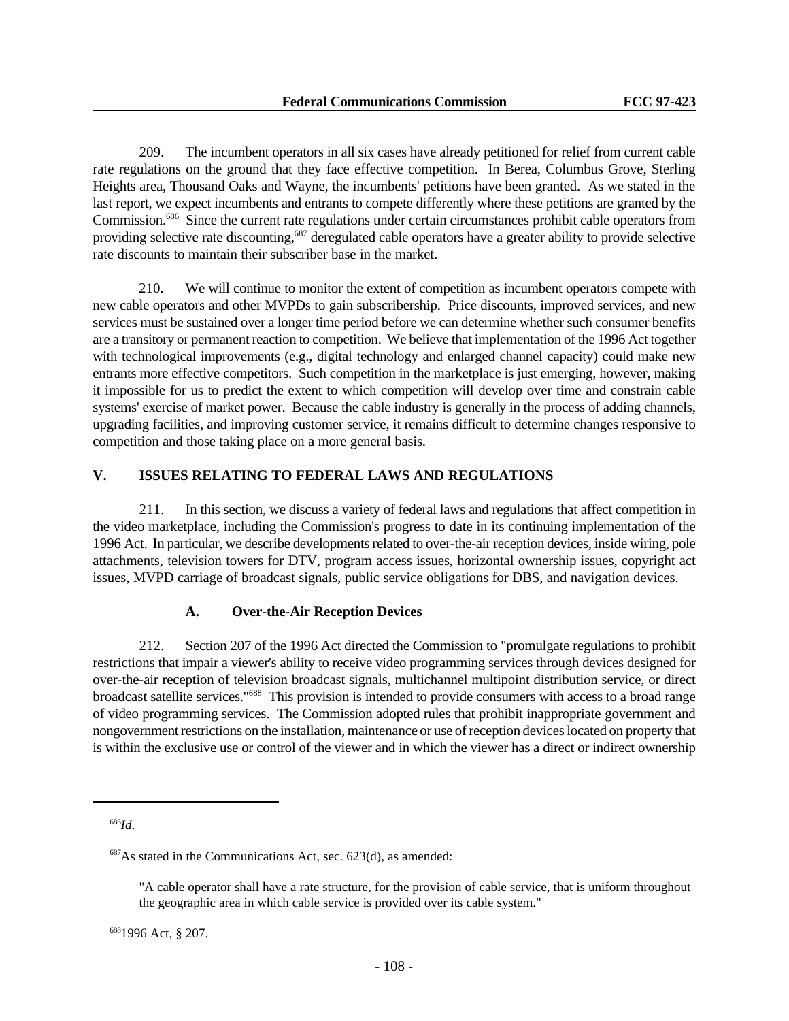209. The incumbent operators in all six cases have already petitioned for relief from current cable rate regulations on the ground that they face effective competition. In Berea, Columbus Grove, Sterling Heights area, Thousand Oaks and Wayne, the incumbents' petitions have been granted. As we stated in the last report, we expect incumbents and entrants to compete differently where these petitions are granted by the Commission.<sup>686</sup> Since the current rate regulations under certain circumstances prohibit cable operators from providing selective rate discounting,<sup>687</sup> deregulated cable operators have a greater ability to provide selective rate discounts to maintain their subscriber base in the market.

210. We will continue to monitor the extent of competition as incumbent operators compete with new cable operators and other MVPDs to gain subscribership. Price discounts, improved services, and new services must be sustained over a longer time period before we can determine whether such consumer benefits are a transitory or permanent reaction to competition. We believe that implementation of the 1996 Act together with technological improvements (e.g., digital technology and enlarged channel capacity) could make new entrants more effective competitors. Such competition in the marketplace is just emerging, however, making it impossible for us to predict the extent to which competition will develop over time and constrain cable systems' exercise of market power. Because the cable industry is generally in the process of adding channels, upgrading facilities, and improving customer service, it remains difficult to determine changes responsive to competition and those taking place on a more general basis.

# **V. ISSUES RELATING TO FEDERAL LAWS AND REGULATIONS**

211. In this section, we discuss a variety of federal laws and regulations that affect competition in the video marketplace, including the Commission's progress to date in its continuing implementation of the 1996 Act. In particular, we describe developments related to over-the-air reception devices, inside wiring, pole attachments, television towers for DTV, program access issues, horizontal ownership issues, copyright act issues, MVPD carriage of broadcast signals, public service obligations for DBS, and navigation devices.

### **A. Over-the-Air Reception Devices**

212. Section 207 of the 1996 Act directed the Commission to "promulgate regulations to prohibit restrictions that impair a viewer's ability to receive video programming services through devices designed for over-the-air reception of television broadcast signals, multichannel multipoint distribution service, or direct broadcast satellite services."<sup>688</sup> This provision is intended to provide consumers with access to a broad range of video programming services. The Commission adopted rules that prohibit inappropriate government and nongovernment restrictions on the installation, maintenance or use of reception devices located on property that is within the exclusive use or control of the viewer and in which the viewer has a direct or indirect ownership

<sup>686</sup>*Id*.

 $687\text{As stated in the Communications Act, sec. } 623\text{(d), as amended:}$ 

<sup>&</sup>quot;A cable operator shall have a rate structure, for the provision of cable service, that is uniform throughout the geographic area in which cable service is provided over its cable system."

<sup>688</sup>1996 Act, § 207.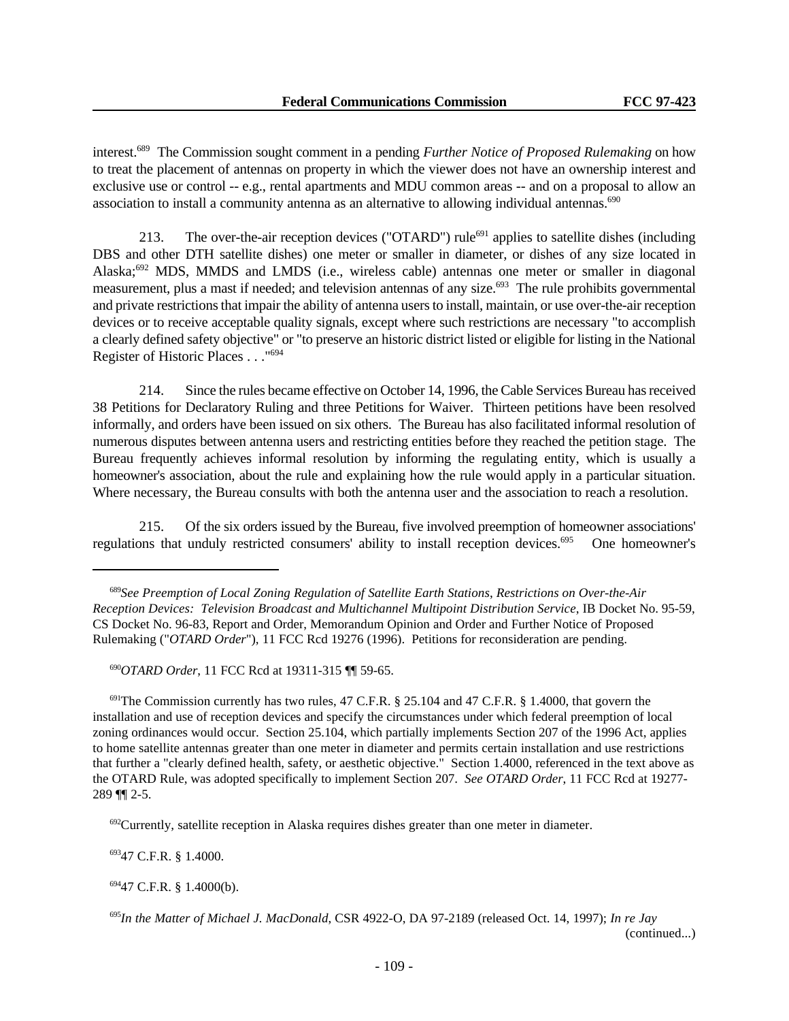interest.<sup>689</sup> The Commission sought comment in a pending *Further Notice of Proposed Rulemaking* on how to treat the placement of antennas on property in which the viewer does not have an ownership interest and exclusive use or control -- e.g., rental apartments and MDU common areas -- and on a proposal to allow an association to install a community antenna as an alternative to allowing individual antennas.<sup>690</sup>

213. The over-the-air reception devices ("OTARD") rule<sup>691</sup> applies to satellite dishes (including DBS and other DTH satellite dishes) one meter or smaller in diameter, or dishes of any size located in Alaska;<sup>692</sup> MDS, MMDS and LMDS (i.e., wireless cable) antennas one meter or smaller in diagonal measurement, plus a mast if needed; and television antennas of any size.<sup>693</sup> The rule prohibits governmental and private restrictions that impair the ability of antenna users to install, maintain, or use over-the-air reception devices or to receive acceptable quality signals, except where such restrictions are necessary "to accomplish a clearly defined safety objective" or "to preserve an historic district listed or eligible for listing in the National Register of Historic Places . . ."<sup>694</sup>

214. Since the rules became effective on October 14, 1996, the Cable Services Bureau has received 38 Petitions for Declaratory Ruling and three Petitions for Waiver. Thirteen petitions have been resolved informally, and orders have been issued on six others. The Bureau has also facilitated informal resolution of numerous disputes between antenna users and restricting entities before they reached the petition stage. The Bureau frequently achieves informal resolution by informing the regulating entity, which is usually a homeowner's association, about the rule and explaining how the rule would apply in a particular situation. Where necessary, the Bureau consults with both the antenna user and the association to reach a resolution.

215. Of the six orders issued by the Bureau, five involved preemption of homeowner associations' regulations that unduly restricted consumers' ability to install reception devices.<sup>695</sup> One homeowner's

<sup>690</sup>*OTARD Order*, 11 FCC Rcd at 19311-315 ¶¶ 59-65.

<sup>691</sup>The Commission currently has two rules, 47 C.F.R.  $\S$  25.104 and 47 C.F.R.  $\S$  1.4000, that govern the installation and use of reception devices and specify the circumstances under which federal preemption of local zoning ordinances would occur. Section 25.104, which partially implements Section 207 of the 1996 Act, applies to home satellite antennas greater than one meter in diameter and permits certain installation and use restrictions that further a "clearly defined health, safety, or aesthetic objective." Section 1.4000, referenced in the text above as the OTARD Rule, was adopted specifically to implement Section 207. *See OTARD Order*, 11 FCC Rcd at 19277- 289 ¶¶ 2-5.

 $692$ Currently, satellite reception in Alaska requires dishes greater than one meter in diameter.

<sup>693</sup>47 C.F.R. § 1.4000.

<sup>694</sup>47 C.F.R. § 1.4000(b).

<sup>695</sup>*In the Matter of Michael J. MacDonald*, CSR 4922-O, DA 97-2189 (released Oct. 14, 1997); *In re Jay* (continued...)

<sup>689</sup>*See Preemption of Local Zoning Regulation of Satellite Earth Stations*, *Restrictions on Over-the-Air Reception Devices: Television Broadcast and Multichannel Multipoint Distribution Service*, IB Docket No. 95-59, CS Docket No. 96-83, Report and Order, Memorandum Opinion and Order and Further Notice of Proposed Rulemaking ("*OTARD Order*"), 11 FCC Rcd 19276 (1996). Petitions for reconsideration are pending.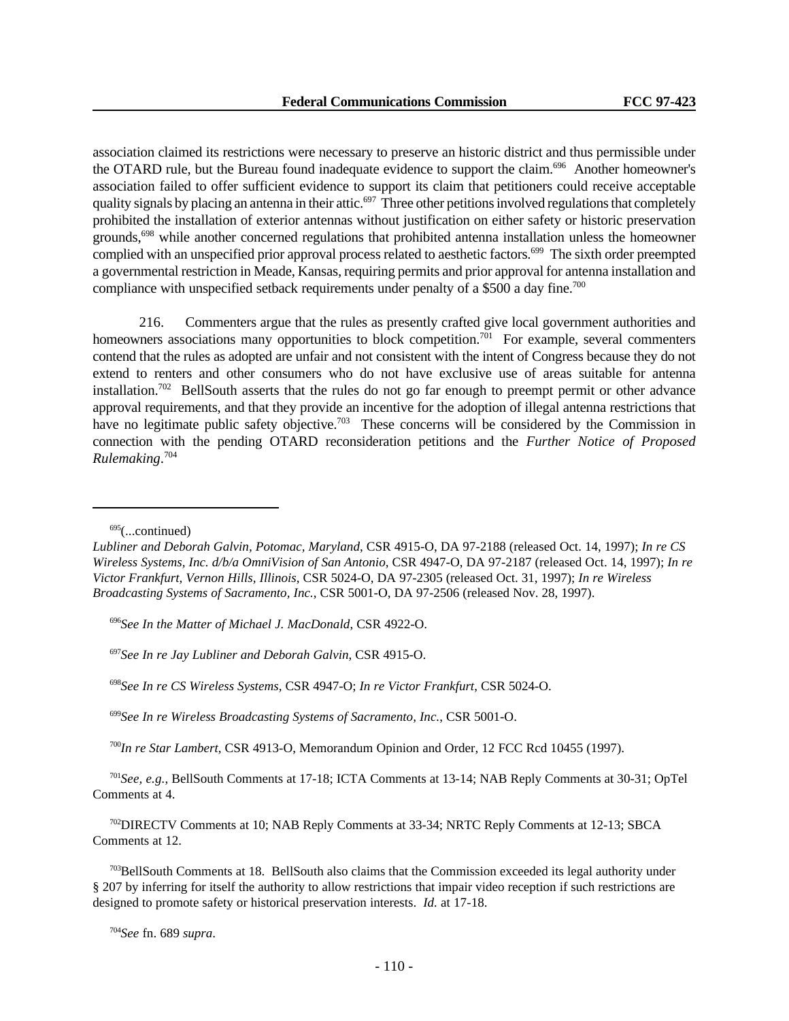association claimed its restrictions were necessary to preserve an historic district and thus permissible under the OTARD rule, but the Bureau found inadequate evidence to support the claim.<sup>696</sup> Another homeowner's association failed to offer sufficient evidence to support its claim that petitioners could receive acceptable quality signals by placing an antenna in their attic.<sup>697</sup> Three other petitions involved regulations that completely prohibited the installation of exterior antennas without justification on either safety or historic preservation grounds,<sup>698</sup> while another concerned regulations that prohibited antenna installation unless the homeowner complied with an unspecified prior approval process related to aesthetic factors.<sup>699</sup> The sixth order preempted a governmental restriction in Meade, Kansas, requiring permits and prior approval for antenna installation and compliance with unspecified setback requirements under penalty of a \$500 a day fine.<sup>700</sup>

216. Commenters argue that the rules as presently crafted give local government authorities and homeowners associations many opportunities to block competition.<sup>701</sup> For example, several commenters contend that the rules as adopted are unfair and not consistent with the intent of Congress because they do not extend to renters and other consumers who do not have exclusive use of areas suitable for antenna installation.<sup>702</sup> BellSouth asserts that the rules do not go far enough to preempt permit or other advance approval requirements, and that they provide an incentive for the adoption of illegal antenna restrictions that have no legitimate public safety objective.<sup>703</sup> These concerns will be considered by the Commission in connection with the pending OTARD reconsideration petitions and the *Further Notice of Proposed Rulemaking*. 704

 $695$ (...continued)

<sup>696</sup>*See In the Matter of Michael J. MacDonald*, CSR 4922-O.

<sup>697</sup>*See In re Jay Lubliner and Deborah Galvin*, CSR 4915-O.

<sup>698</sup>*See In re CS Wireless Systems,* CSR 4947-O; *In re Victor Frankfurt*, CSR 5024-O.

<sup>699</sup>*See In re Wireless Broadcasting Systems of Sacramento, Inc.*, CSR 5001-O.

<sup>700</sup>*In re Star Lambert*, CSR 4913-O, Memorandum Opinion and Order, 12 FCC Rcd 10455 (1997).

<sup>701</sup>*See, e.g.*, BellSouth Comments at 17-18; ICTA Comments at 13-14; NAB Reply Comments at 30-31; OpTel Comments at 4.

<sup>702</sup>DIRECTV Comments at 10; NAB Reply Comments at 33-34; NRTC Reply Comments at 12-13; SBCA Comments at 12.

 $703$ BellSouth Comments at 18. BellSouth also claims that the Commission exceeded its legal authority under § 207 by inferring for itself the authority to allow restrictions that impair video reception if such restrictions are designed to promote safety or historical preservation interests. *Id.* at 17-18.

*Lubliner and Deborah Galvin, Potomac, Maryland*, CSR 4915-O, DA 97-2188 (released Oct. 14, 1997); *In re CS Wireless Systems, Inc. d/b/a OmniVision of San Antonio*, CSR 4947-O, DA 97-2187 (released Oct. 14, 1997); *In re Victor Frankfurt, Vernon Hills, Illinois*, CSR 5024-O, DA 97-2305 (released Oct. 31, 1997); *In re Wireless Broadcasting Systems of Sacramento, Inc.*, CSR 5001-O, DA 97-2506 (released Nov. 28, 1997).

<sup>704</sup>*See* fn. 689 *supra*.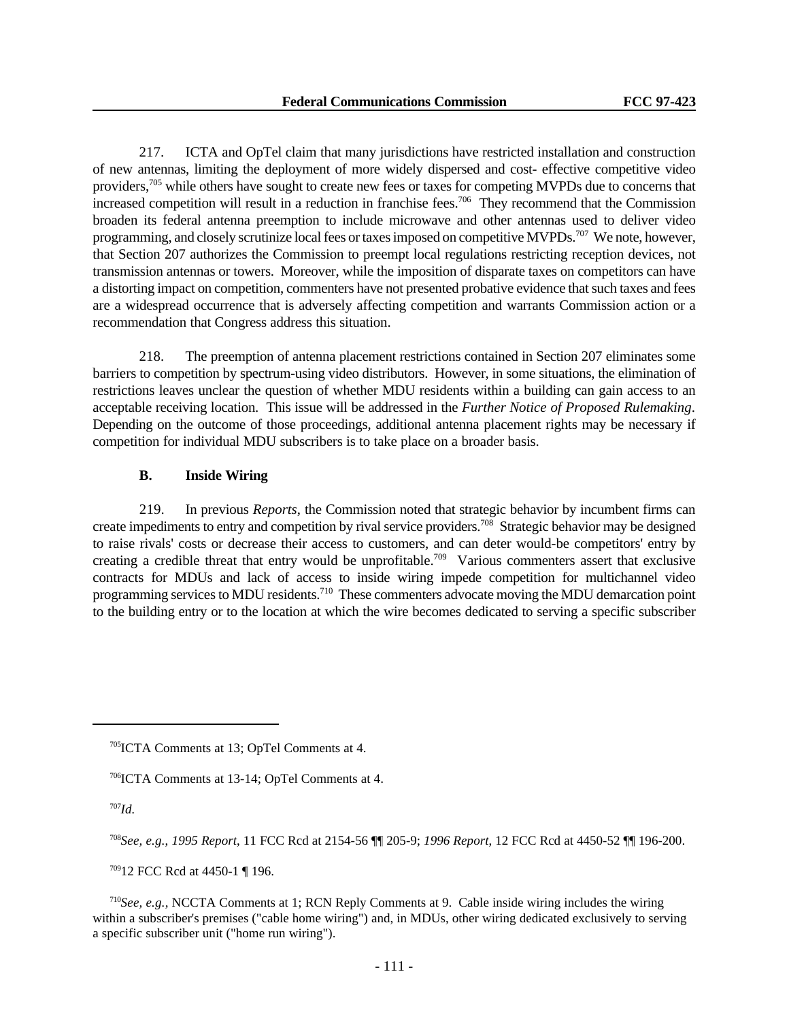217. ICTA and OpTel claim that many jurisdictions have restricted installation and construction of new antennas, limiting the deployment of more widely dispersed and cost- effective competitive video providers,<sup>705</sup> while others have sought to create new fees or taxes for competing MVPDs due to concerns that increased competition will result in a reduction in franchise fees.<sup>706</sup> They recommend that the Commission broaden its federal antenna preemption to include microwave and other antennas used to deliver video programming, and closely scrutinize local fees or taxes imposed on competitive MVPDs.<sup>707</sup> We note, however, that Section 207 authorizes the Commission to preempt local regulations restricting reception devices, not transmission antennas or towers. Moreover, while the imposition of disparate taxes on competitors can have a distorting impact on competition, commenters have not presented probative evidence that such taxes and fees are a widespread occurrence that is adversely affecting competition and warrants Commission action or a recommendation that Congress address this situation.

218. The preemption of antenna placement restrictions contained in Section 207 eliminates some barriers to competition by spectrum-using video distributors. However, in some situations, the elimination of restrictions leaves unclear the question of whether MDU residents within a building can gain access to an acceptable receiving location. This issue will be addressed in the *Further Notice of Proposed Rulemaking*. Depending on the outcome of those proceedings, additional antenna placement rights may be necessary if competition for individual MDU subscribers is to take place on a broader basis.

# **B. Inside Wiring**

219. In previous *Reports*, the Commission noted that strategic behavior by incumbent firms can create impediments to entry and competition by rival service providers.<sup>708</sup> Strategic behavior may be designed to raise rivals' costs or decrease their access to customers, and can deter would-be competitors' entry by creating a credible threat that entry would be unprofitable.<sup>709</sup> Various commenters assert that exclusive contracts for MDUs and lack of access to inside wiring impede competition for multichannel video programming services to MDU residents.<sup>710</sup> These commenters advocate moving the MDU demarcation point to the building entry or to the location at which the wire becomes dedicated to serving a specific subscriber

<sup>707</sup>*Id.*

<sup>708</sup>*See, e.g.*, *1995 Report*, 11 FCC Rcd at 2154-56 ¶¶ 205-9; *1996 Report*, 12 FCC Rcd at 4450-52 ¶¶ 196-200.

<sup>709</sup>12 FCC Rcd at 4450-1 ¶ 196.

<sup>710</sup>*See, e.g.,* NCCTA Comments at 1; RCN Reply Comments at 9. Cable inside wiring includes the wiring within a subscriber's premises ("cable home wiring") and, in MDUs, other wiring dedicated exclusively to serving a specific subscriber unit ("home run wiring").

<sup>705</sup>ICTA Comments at 13; OpTel Comments at 4.

<sup>706</sup>ICTA Comments at 13-14; OpTel Comments at 4.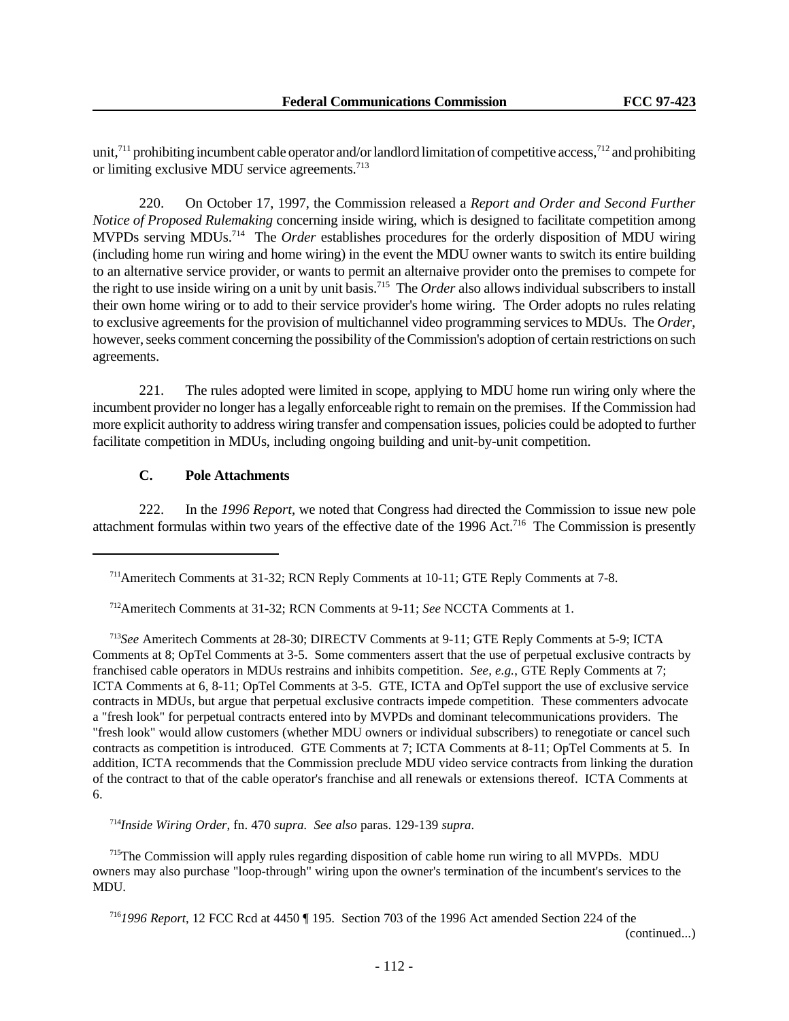unit,<sup>711</sup> prohibiting incumbent cable operator and/or landlord limitation of competitive access,<sup>712</sup> and prohibiting or limiting exclusive MDU service agreements.<sup>713</sup>

220. On October 17, 1997, the Commission released a *Report and Order and Second Further Notice of Proposed Rulemaking* concerning inside wiring, which is designed to facilitate competition among MVPDs serving MDUs.<sup>714</sup> The *Order* establishes procedures for the orderly disposition of MDU wiring (including home run wiring and home wiring) in the event the MDU owner wants to switch its entire building to an alternative service provider, or wants to permit an alternaive provider onto the premises to compete for the right to use inside wiring on a unit by unit basis.<sup>715</sup> The *Order* also allows individual subscribers to install their own home wiring or to add to their service provider's home wiring. The Order adopts no rules relating to exclusive agreements for the provision of multichannel video programming services to MDUs. The *Order*, however, seeks comment concerning the possibility of the Commission's adoption of certain restrictions on such agreements.

221. The rules adopted were limited in scope, applying to MDU home run wiring only where the incumbent provider no longer has a legally enforceable right to remain on the premises. If the Commission had more explicit authority to address wiring transfer and compensation issues, policies could be adopted to further facilitate competition in MDUs, including ongoing building and unit-by-unit competition.

# **C. Pole Attachments**

222. In the *1996 Report*, we noted that Congress had directed the Commission to issue new pole attachment formulas within two years of the effective date of the 1996 Act.<sup>716</sup> The Commission is presently

<sup>714</sup>*Inside Wiring Order*, fn. 470 *supra. See also* paras. 129-139 *supra*.

<sup>715</sup>The Commission will apply rules regarding disposition of cable home run wiring to all MVPDs. MDU owners may also purchase "loop-through" wiring upon the owner's termination of the incumbent's services to the MDU.

<sup>716</sup>*1996 Report*, 12 FCC Rcd at 4450 ¶ 195. Section 703 of the 1996 Act amended Section 224 of the

(continued...)

<sup>711</sup>Ameritech Comments at 31-32; RCN Reply Comments at 10-11; GTE Reply Comments at 7-8.

<sup>712</sup>Ameritech Comments at 31-32; RCN Comments at 9-11; *See* NCCTA Comments at 1.

<sup>713</sup>*See* Ameritech Comments at 28-30; DIRECTV Comments at 9-11; GTE Reply Comments at 5-9; ICTA Comments at 8; OpTel Comments at 3-5. Some commenters assert that the use of perpetual exclusive contracts by franchised cable operators in MDUs restrains and inhibits competition. *See, e.g.*, GTE Reply Comments at 7; ICTA Comments at 6, 8-11; OpTel Comments at 3-5. GTE, ICTA and OpTel support the use of exclusive service contracts in MDUs, but argue that perpetual exclusive contracts impede competition. These commenters advocate a "fresh look" for perpetual contracts entered into by MVPDs and dominant telecommunications providers. The "fresh look" would allow customers (whether MDU owners or individual subscribers) to renegotiate or cancel such contracts as competition is introduced. GTE Comments at 7; ICTA Comments at 8-11; OpTel Comments at 5. In addition, ICTA recommends that the Commission preclude MDU video service contracts from linking the duration of the contract to that of the cable operator's franchise and all renewals or extensions thereof. ICTA Comments at 6.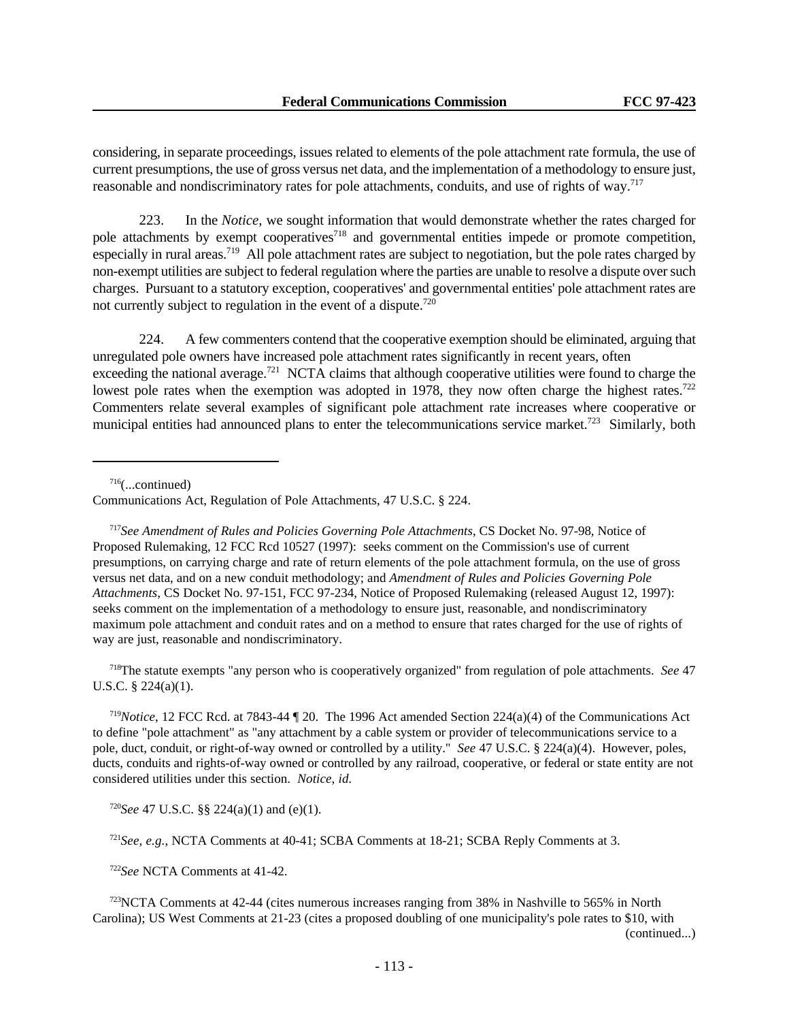considering, in separate proceedings, issues related to elements of the pole attachment rate formula, the use of current presumptions, the use of gross versus net data, and the implementation of a methodology to ensure just, reasonable and nondiscriminatory rates for pole attachments, conduits, and use of rights of way.<sup>717</sup>

223. In the *Notice*, we sought information that would demonstrate whether the rates charged for pole attachments by exempt cooperatives<sup>718</sup> and governmental entities impede or promote competition, especially in rural areas.<sup>719</sup> All pole attachment rates are subject to negotiation, but the pole rates charged by non-exempt utilities are subject to federal regulation where the parties are unable to resolve a dispute over such charges. Pursuant to a statutory exception, cooperatives' and governmental entities' pole attachment rates are not currently subject to regulation in the event of a dispute.<sup>720</sup>

224. A few commenters contend that the cooperative exemption should be eliminated, arguing that unregulated pole owners have increased pole attachment rates significantly in recent years, often exceeding the national average.<sup>721</sup> NCTA claims that although cooperative utilities were found to charge the lowest pole rates when the exemption was adopted in 1978, they now often charge the highest rates.<sup>722</sup> Commenters relate several examples of significant pole attachment rate increases where cooperative or municipal entities had announced plans to enter the telecommunications service market.<sup>723</sup> Similarly, both

 $716$ (...continued)

<sup>717</sup>*See Amendment of Rules and Policies Governing Pole Attachments*, CS Docket No. 97-98, Notice of Proposed Rulemaking, 12 FCC Rcd 10527 (1997): seeks comment on the Commission's use of current presumptions, on carrying charge and rate of return elements of the pole attachment formula, on the use of gross versus net data, and on a new conduit methodology; and *Amendment of Rules and Policies Governing Pole Attachments*, CS Docket No. 97-151, FCC 97-234, Notice of Proposed Rulemaking (released August 12, 1997): seeks comment on the implementation of a methodology to ensure just, reasonable, and nondiscriminatory maximum pole attachment and conduit rates and on a method to ensure that rates charged for the use of rights of way are just, reasonable and nondiscriminatory.

<sup>718</sup>The statute exempts "any person who is cooperatively organized" from regulation of pole attachments. *See* 47 U.S.C. § 224(a)(1).

<sup>719</sup>*Notice*, 12 FCC Rcd. at 7843-44 ¶ 20. The 1996 Act amended Section 224(a)(4) of the Communications Act to define "pole attachment" as "any attachment by a cable system or provider of telecommunications service to a pole, duct, conduit, or right-of-way owned or controlled by a utility." *See* 47 U.S.C. § 224(a)(4). However, poles, ducts, conduits and rights-of-way owned or controlled by any railroad, cooperative, or federal or state entity are not considered utilities under this section. *Notice*, *id.*

<sup>720</sup>*See* 47 U.S.C. §§ 224(a)(1) and (e)(1).

<sup>721</sup>*See, e.g.*, NCTA Comments at 40-41; SCBA Comments at 18-21; SCBA Reply Comments at 3.

<sup>722</sup>*See* NCTA Comments at 41-42.

<sup>723</sup>NCTA Comments at 42-44 (cites numerous increases ranging from 38% in Nashville to 565% in North Carolina); US West Comments at 21-23 (cites a proposed doubling of one municipality's pole rates to \$10, with

(continued...)

Communications Act, Regulation of Pole Attachments, 47 U.S.C. § 224.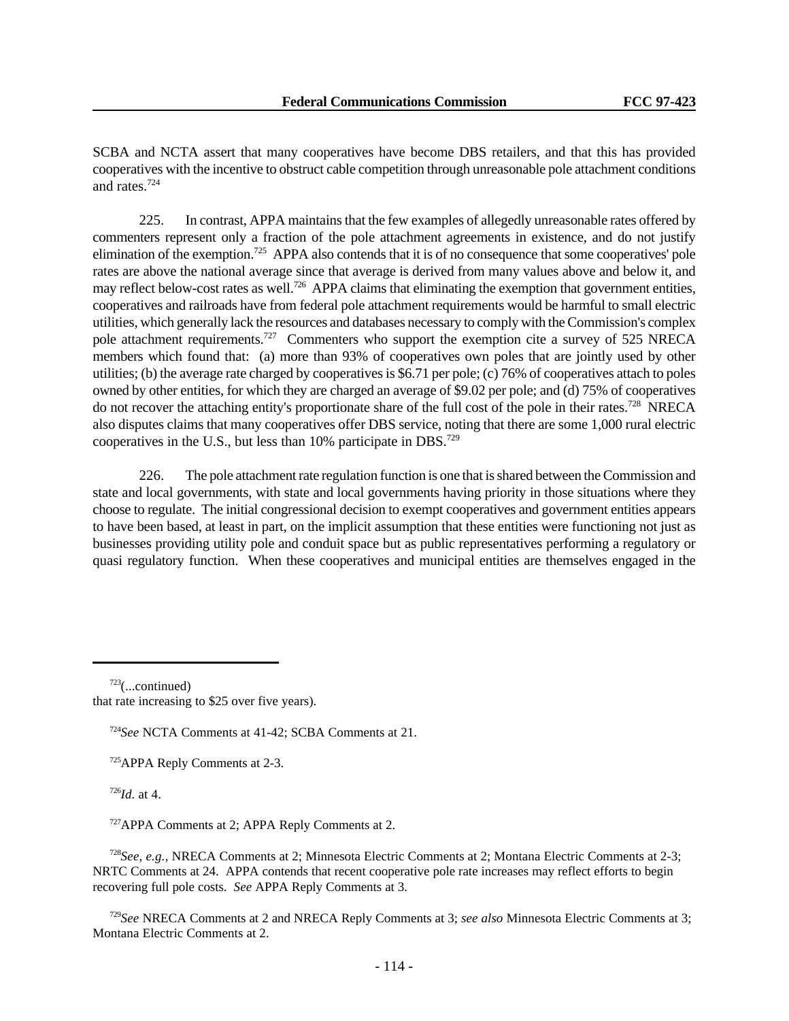SCBA and NCTA assert that many cooperatives have become DBS retailers, and that this has provided cooperatives with the incentive to obstruct cable competition through unreasonable pole attachment conditions and rates.<sup>724</sup>

225. In contrast, APPA maintains that the few examples of allegedly unreasonable rates offered by commenters represent only a fraction of the pole attachment agreements in existence, and do not justify elimination of the exemption.<sup>725</sup> APPA also contends that it is of no consequence that some cooperatives' pole rates are above the national average since that average is derived from many values above and below it, and may reflect below-cost rates as well.<sup>726</sup> APPA claims that eliminating the exemption that government entities, cooperatives and railroads have from federal pole attachment requirements would be harmful to small electric utilities, which generally lack the resources and databases necessary to comply with the Commission's complex pole attachment requirements.<sup>727</sup> Commenters who support the exemption cite a survey of 525 NRECA members which found that: (a) more than 93% of cooperatives own poles that are jointly used by other utilities; (b) the average rate charged by cooperatives is \$6.71 per pole; (c) 76% of cooperatives attach to poles owned by other entities, for which they are charged an average of \$9.02 per pole; and (d) 75% of cooperatives do not recover the attaching entity's proportionate share of the full cost of the pole in their rates.<sup>728</sup> NRECA also disputes claims that many cooperatives offer DBS service, noting that there are some 1,000 rural electric cooperatives in the U.S., but less than  $10\%$  participate in DBS.<sup>729</sup>

226. The pole attachment rate regulation function is one that is shared between the Commission and state and local governments, with state and local governments having priority in those situations where they choose to regulate. The initial congressional decision to exempt cooperatives and government entities appears to have been based, at least in part, on the implicit assumption that these entities were functioning not just as businesses providing utility pole and conduit space but as public representatives performing a regulatory or quasi regulatory function. When these cooperatives and municipal entities are themselves engaged in the

that rate increasing to \$25 over five years).

<sup>724</sup>*See* NCTA Comments at 41-42; SCBA Comments at 21.

<sup>725</sup>APPA Reply Comments at 2-3.

<sup>726</sup>*Id.* at 4.

<sup>727</sup>APPA Comments at 2; APPA Reply Comments at 2.

<sup>728</sup>*See, e.g.,* NRECA Comments at 2; Minnesota Electric Comments at 2; Montana Electric Comments at 2-3; NRTC Comments at 24. APPA contends that recent cooperative pole rate increases may reflect efforts to begin recovering full pole costs. *See* APPA Reply Comments at 3.

<sup>729</sup>*See* NRECA Comments at 2 and NRECA Reply Comments at 3; *see also* Minnesota Electric Comments at 3; Montana Electric Comments at 2.

 $723$ (...continued)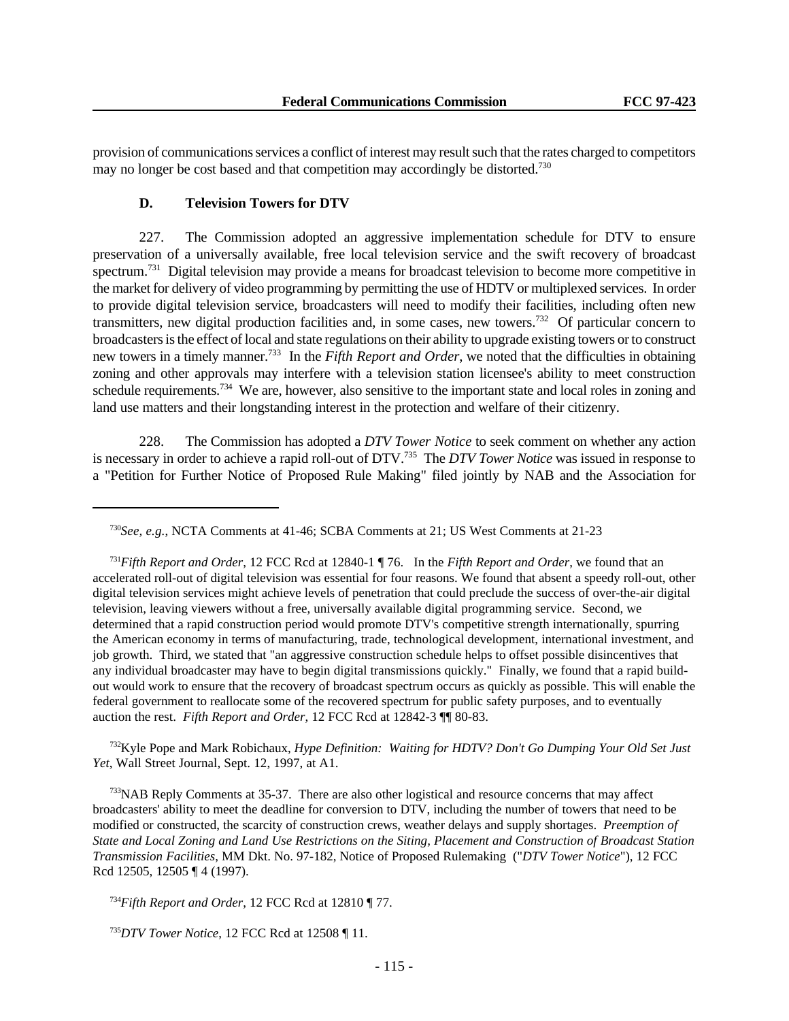provision of communications services a conflict of interest may result such that the rates charged to competitors may no longer be cost based and that competition may accordingly be distorted.<sup>730</sup>

### **D. Television Towers for DTV**

227. The Commission adopted an aggressive implementation schedule for DTV to ensure preservation of a universally available, free local television service and the swift recovery of broadcast spectrum.<sup>731</sup> Digital television may provide a means for broadcast television to become more competitive in the market for delivery of video programming by permitting the use of HDTV or multiplexed services. In order to provide digital television service, broadcasters will need to modify their facilities, including often new transmitters, new digital production facilities and, in some cases, new towers.<sup>732</sup> Of particular concern to broadcasters is the effect of local and state regulations on their ability to upgrade existing towers or to construct new towers in a timely manner.<sup>733</sup> In the *Fifth Report and Order*, we noted that the difficulties in obtaining zoning and other approvals may interfere with a television station licensee's ability to meet construction schedule requirements.<sup>734</sup> We are, however, also sensitive to the important state and local roles in zoning and land use matters and their longstanding interest in the protection and welfare of their citizenry.

228. The Commission has adopted a *DTV Tower Notice* to seek comment on whether any action is necessary in order to achieve a rapid roll-out of DTV.<sup>735</sup> The *DTV Tower Notice* was issued in response to a "Petition for Further Notice of Proposed Rule Making" filed jointly by NAB and the Association for

<sup>732</sup>Kyle Pope and Mark Robichaux, *Hype Definition: Waiting for HDTV? Don't Go Dumping Your Old Set Just Yet*, Wall Street Journal, Sept. 12, 1997, at A1.

<sup>733</sup>NAB Reply Comments at 35-37. There are also other logistical and resource concerns that may affect broadcasters' ability to meet the deadline for conversion to DTV, including the number of towers that need to be modified or constructed, the scarcity of construction crews, weather delays and supply shortages. *Preemption of State and Local Zoning and Land Use Restrictions on the Siting, Placement and Construction of Broadcast Station Transmission Facilities*, MM Dkt. No. 97-182, Notice of Proposed Rulemaking ("*DTV Tower Notice*"), 12 FCC Rcd 12505, 12505 ¶ 4 (1997).

<sup>734</sup>*Fifth Report and Order*, 12 FCC Rcd at 12810 ¶ 77.

<sup>735</sup>*DTV Tower Notice*, 12 FCC Rcd at 12508 ¶ 11.

<sup>730</sup>*See, e.g.*, NCTA Comments at 41-46; SCBA Comments at 21; US West Comments at 21-23

<sup>731</sup>*Fifth Report and Order*, 12 FCC Rcd at 12840-1 ¶ 76. In the *Fifth Report and Order*, we found that an accelerated roll-out of digital television was essential for four reasons. We found that absent a speedy roll-out, other digital television services might achieve levels of penetration that could preclude the success of over-the-air digital television, leaving viewers without a free, universally available digital programming service. Second, we determined that a rapid construction period would promote DTV's competitive strength internationally, spurring the American economy in terms of manufacturing, trade, technological development, international investment, and job growth. Third, we stated that "an aggressive construction schedule helps to offset possible disincentives that any individual broadcaster may have to begin digital transmissions quickly." Finally, we found that a rapid buildout would work to ensure that the recovery of broadcast spectrum occurs as quickly as possible. This will enable the federal government to reallocate some of the recovered spectrum for public safety purposes, and to eventually auction the rest. *Fifth Report and Order*, 12 FCC Rcd at 12842-3 ¶¶ 80-83.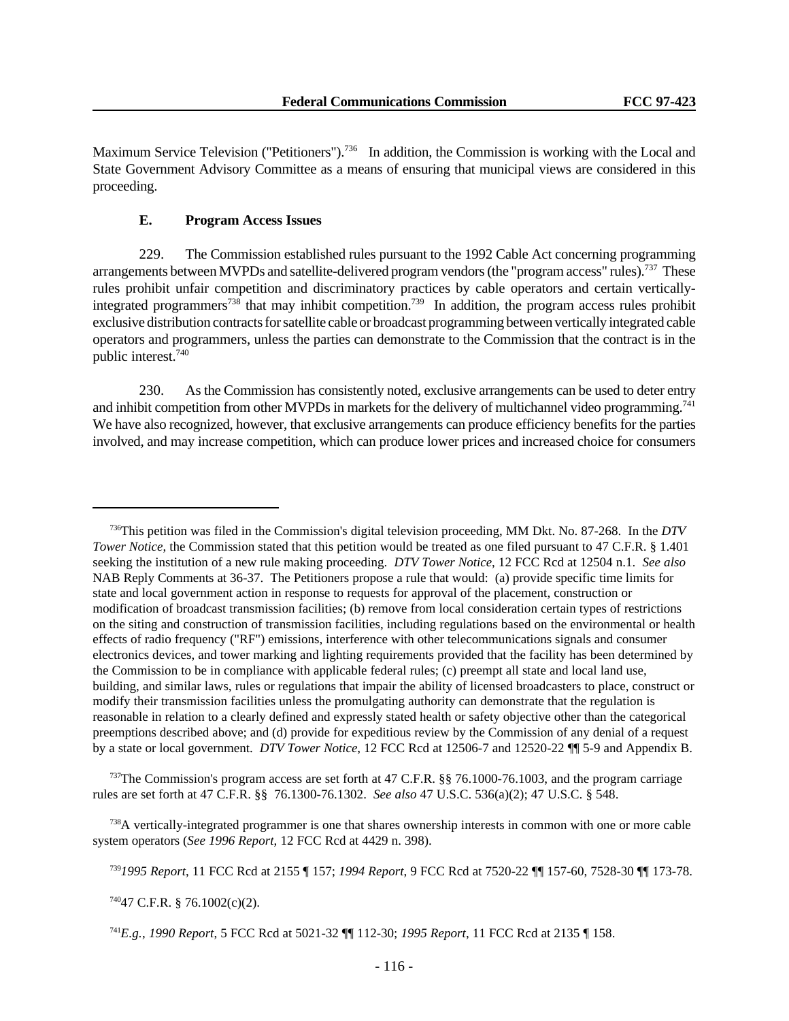Maximum Service Television ("Petitioners").<sup>736</sup> In addition, the Commission is working with the Local and State Government Advisory Committee as a means of ensuring that municipal views are considered in this proceeding.

# **E. Program Access Issues**

229. The Commission established rules pursuant to the 1992 Cable Act concerning programming arrangements between MVPDs and satellite-delivered program vendors (the "program access" rules).<sup>737</sup> These rules prohibit unfair competition and discriminatory practices by cable operators and certain verticallyintegrated programmers<sup>738</sup> that may inhibit competition.<sup>739</sup> In addition, the program access rules prohibit exclusive distribution contracts for satellite cable or broadcast programming between vertically integrated cable operators and programmers, unless the parties can demonstrate to the Commission that the contract is in the public interest.<sup>740</sup>

230. As the Commission has consistently noted, exclusive arrangements can be used to deter entry and inhibit competition from other MVPDs in markets for the delivery of multichannel video programming.<sup>741</sup> We have also recognized, however, that exclusive arrangements can produce efficiency benefits for the parties involved, and may increase competition, which can produce lower prices and increased choice for consumers

 $737$ The Commission's program access are set forth at 47 C.F.R. §§ 76.1000-76.1003, and the program carriage rules are set forth at 47 C.F.R. §§ 76.1300-76.1302. *See also* 47 U.S.C. 536(a)(2); 47 U.S.C. § 548.

<sup>738</sup>A vertically-integrated programmer is one that shares ownership interests in common with one or more cable system operators (*See 1996 Report*, 12 FCC Rcd at 4429 n. 398).

 $74047$  C.F.R. § 76.1002(c)(2).

<sup>736</sup>This petition was filed in the Commission's digital television proceeding, MM Dkt. No. 87-268. In the *DTV Tower Notice*, the Commission stated that this petition would be treated as one filed pursuant to 47 C.F.R. § 1.401 seeking the institution of a new rule making proceeding. *DTV Tower Notice*, 12 FCC Rcd at 12504 n.1. *See also* NAB Reply Comments at 36-37. The Petitioners propose a rule that would: (a) provide specific time limits for state and local government action in response to requests for approval of the placement, construction or modification of broadcast transmission facilities; (b) remove from local consideration certain types of restrictions on the siting and construction of transmission facilities, including regulations based on the environmental or health effects of radio frequency ("RF") emissions, interference with other telecommunications signals and consumer electronics devices, and tower marking and lighting requirements provided that the facility has been determined by the Commission to be in compliance with applicable federal rules; (c) preempt all state and local land use, building, and similar laws, rules or regulations that impair the ability of licensed broadcasters to place, construct or modify their transmission facilities unless the promulgating authority can demonstrate that the regulation is reasonable in relation to a clearly defined and expressly stated health or safety objective other than the categorical preemptions described above; and (d) provide for expeditious review by the Commission of any denial of a request by a state or local government. *DTV Tower Notice*, 12 FCC Rcd at 12506-7 and 12520-22 ¶¶ 5-9 and Appendix B.

<sup>739</sup>*1995 Report*, 11 FCC Rcd at 2155 ¶ 157; *1994 Report*, 9 FCC Rcd at 7520-22 ¶¶ 157-60, 7528-30 ¶¶ 173-78.

<sup>741</sup>*E.g.*, *1990 Report*, 5 FCC Rcd at 5021-32 ¶¶ 112-30; *1995 Report*, 11 FCC Rcd at 2135 ¶ 158.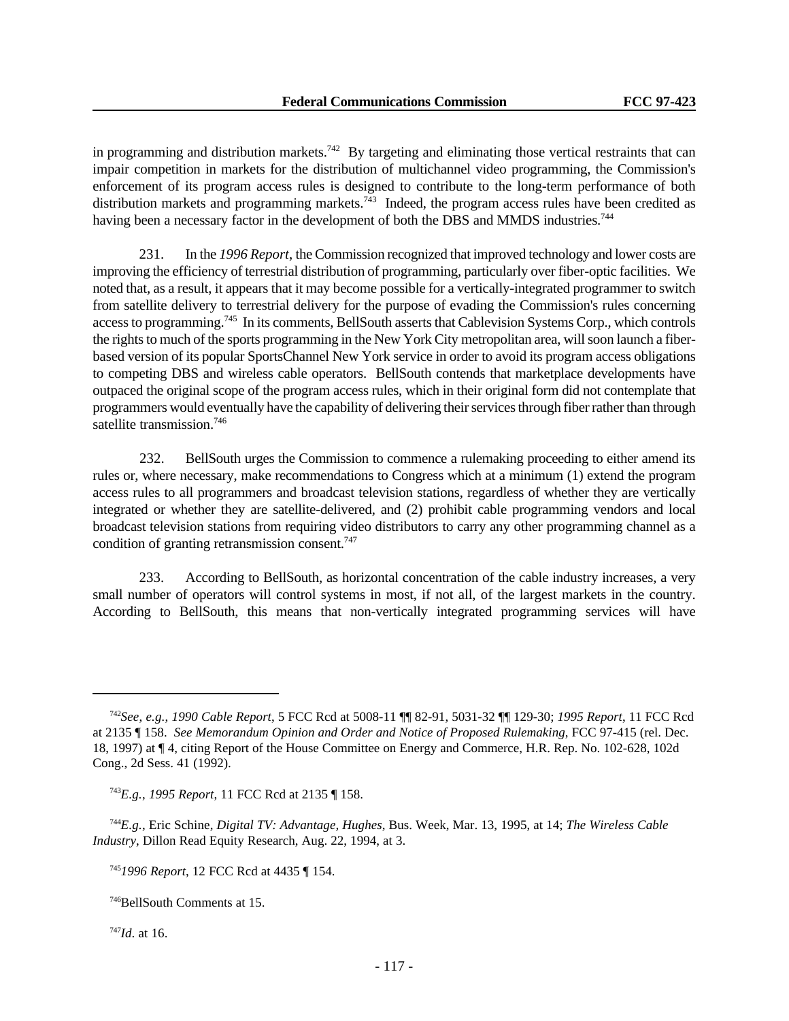in programming and distribution markets.<sup>742</sup> By targeting and eliminating those vertical restraints that can impair competition in markets for the distribution of multichannel video programming, the Commission's enforcement of its program access rules is designed to contribute to the long-term performance of both distribution markets and programming markets.<sup>743</sup> Indeed, the program access rules have been credited as having been a necessary factor in the development of both the DBS and MMDS industries.<sup>744</sup>

231. In the *1996 Report*, the Commission recognized that improved technology and lower costs are improving the efficiency of terrestrial distribution of programming, particularly over fiber-optic facilities. We noted that, as a result, it appears that it may become possible for a vertically-integrated programmer to switch from satellite delivery to terrestrial delivery for the purpose of evading the Commission's rules concerning access to programming.<sup>745</sup> In its comments, BellSouth asserts that Cablevision Systems Corp., which controls the rights to much of the sports programming in the New York City metropolitan area, will soon launch a fiberbased version of its popular SportsChannel New York service in order to avoid its program access obligations to competing DBS and wireless cable operators. BellSouth contends that marketplace developments have outpaced the original scope of the program access rules, which in their original form did not contemplate that programmers would eventually have the capability of delivering their services through fiber rather than through satellite transmission.<sup>746</sup>

232. BellSouth urges the Commission to commence a rulemaking proceeding to either amend its rules or, where necessary, make recommendations to Congress which at a minimum (1) extend the program access rules to all programmers and broadcast television stations, regardless of whether they are vertically integrated or whether they are satellite-delivered, and (2) prohibit cable programming vendors and local broadcast television stations from requiring video distributors to carry any other programming channel as a condition of granting retransmission consent.<sup>747</sup>

233. According to BellSouth, as horizontal concentration of the cable industry increases, a very small number of operators will control systems in most, if not all, of the largest markets in the country. According to BellSouth, this means that non-vertically integrated programming services will have

<sup>744</sup>*E.g.*, Eric Schine, *Digital TV: Advantage, Hughes*, Bus. Week, Mar. 13, 1995, at 14; *The Wireless Cable Industry*, Dillon Read Equity Research, Aug. 22, 1994, at 3.

<sup>747</sup>*Id*. at 16.

<sup>742</sup>*See*, *e.g.*, *1990 Cable Report*, 5 FCC Rcd at 5008-11 ¶¶ 82-91, 5031-32 ¶¶ 129-30; *1995 Report*, 11 FCC Rcd at 2135 ¶ 158. *See Memorandum Opinion and Order and Notice of Proposed Rulemaking*, FCC 97-415 (rel. Dec. 18, 1997) at ¶ 4, citing Report of the House Committee on Energy and Commerce, H.R. Rep. No. 102-628, 102d Cong., 2d Sess. 41 (1992).

<sup>743</sup>*E.g.*, *1995 Report*, 11 FCC Rcd at 2135 ¶ 158.

<sup>745</sup>*1996 Report*, 12 FCC Rcd at 4435 ¶ 154.

<sup>746</sup>BellSouth Comments at 15.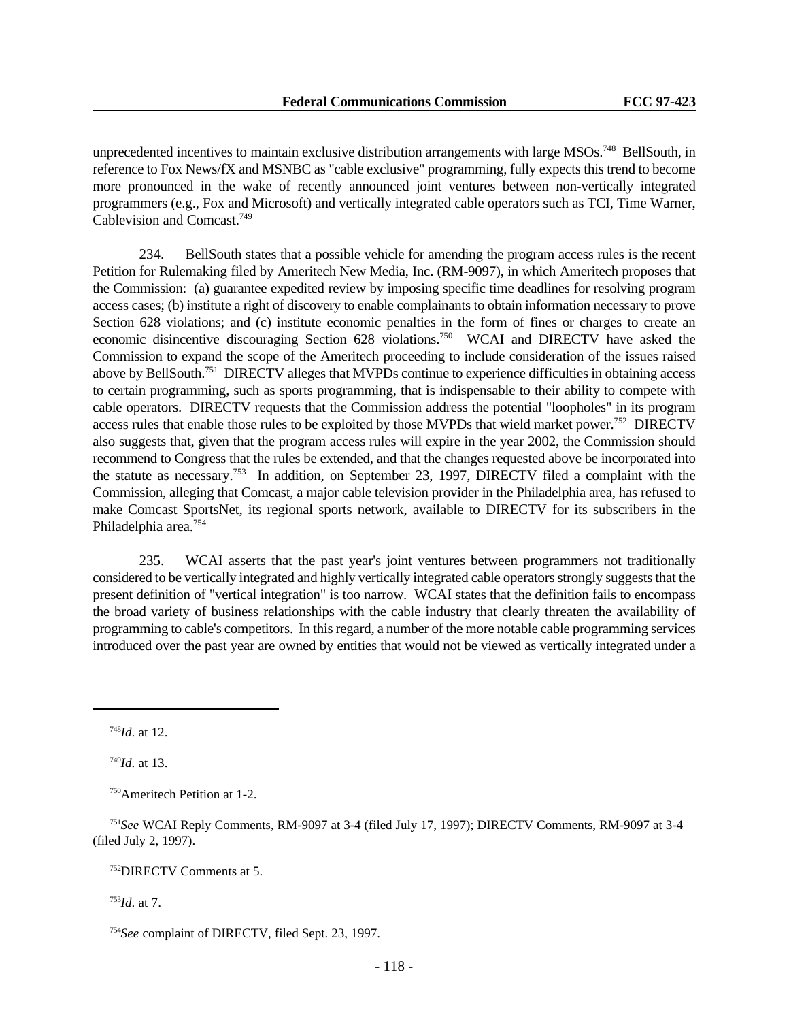unprecedented incentives to maintain exclusive distribution arrangements with large MSOs.<sup>748</sup> BellSouth, in reference to Fox News/fX and MSNBC as "cable exclusive" programming, fully expects this trend to become more pronounced in the wake of recently announced joint ventures between non-vertically integrated programmers (e.g., Fox and Microsoft) and vertically integrated cable operators such as TCI, Time Warner, Cablevision and Comcast.<sup>749</sup>

234. BellSouth states that a possible vehicle for amending the program access rules is the recent Petition for Rulemaking filed by Ameritech New Media, Inc. (RM-9097), in which Ameritech proposes that the Commission: (a) guarantee expedited review by imposing specific time deadlines for resolving program access cases; (b) institute a right of discovery to enable complainants to obtain information necessary to prove Section 628 violations; and (c) institute economic penalties in the form of fines or charges to create an economic disincentive discouraging Section 628 violations.<sup>750</sup> WCAI and DIRECTV have asked the Commission to expand the scope of the Ameritech proceeding to include consideration of the issues raised above by BellSouth.<sup>751</sup> DIRECTV alleges that MVPDs continue to experience difficulties in obtaining access to certain programming, such as sports programming, that is indispensable to their ability to compete with cable operators. DIRECTV requests that the Commission address the potential "loopholes" in its program access rules that enable those rules to be exploited by those MVPDs that wield market power.<sup>752</sup> DIRECTV also suggests that, given that the program access rules will expire in the year 2002, the Commission should recommend to Congress that the rules be extended, and that the changes requested above be incorporated into the statute as necessary.<sup>753</sup> In addition, on September 23, 1997, DIRECTV filed a complaint with the Commission, alleging that Comcast, a major cable television provider in the Philadelphia area, has refused to make Comcast SportsNet, its regional sports network, available to DIRECTV for its subscribers in the Philadelphia area.<sup>754</sup>

235. WCAI asserts that the past year's joint ventures between programmers not traditionally considered to be vertically integrated and highly vertically integrated cable operators strongly suggests that the present definition of "vertical integration" is too narrow. WCAI states that the definition fails to encompass the broad variety of business relationships with the cable industry that clearly threaten the availability of programming to cable's competitors. In this regard, a number of the more notable cable programming services introduced over the past year are owned by entities that would not be viewed as vertically integrated under a

<sup>748</sup>*Id*. at 12.

<sup>749</sup>*Id*. at 13.

<sup>750</sup>Ameritech Petition at 1-2.

<sup>751</sup>*See* WCAI Reply Comments, RM-9097 at 3-4 (filed July 17, 1997); DIRECTV Comments, RM-9097 at 3-4 (filed July 2, 1997).

<sup>752</sup>DIRECTV Comments at 5.

<sup>753</sup>*Id*. at 7.

<sup>754</sup>*See* complaint of DIRECTV, filed Sept. 23, 1997.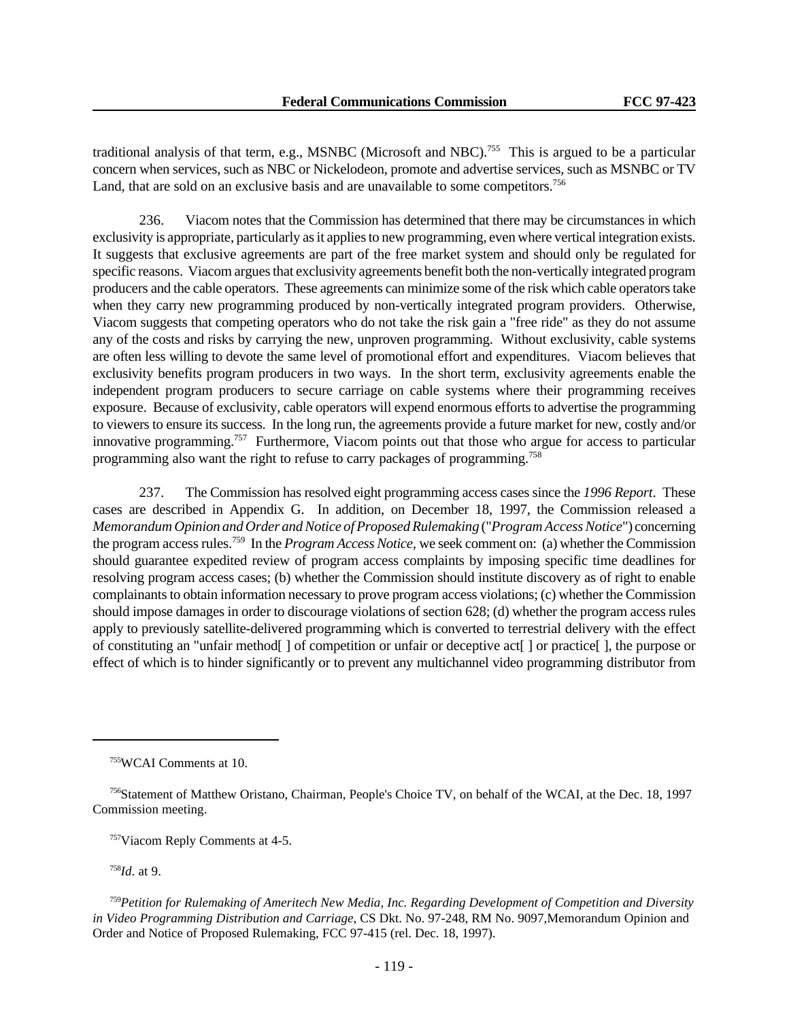traditional analysis of that term, e.g., MSNBC (Microsoft and NBC).<sup>755</sup> This is argued to be a particular concern when services, such as NBC or Nickelodeon, promote and advertise services, such as MSNBC or TV Land, that are sold on an exclusive basis and are unavailable to some competitors.<sup>756</sup>

236. Viacom notes that the Commission has determined that there may be circumstances in which exclusivity is appropriate, particularly as it applies to new programming, even where vertical integration exists. It suggests that exclusive agreements are part of the free market system and should only be regulated for specific reasons. Viacom argues that exclusivity agreements benefit both the non-vertically integrated program producers and the cable operators. These agreements can minimize some of the risk which cable operators take when they carry new programming produced by non-vertically integrated program providers. Otherwise, Viacom suggests that competing operators who do not take the risk gain a "free ride" as they do not assume any of the costs and risks by carrying the new, unproven programming. Without exclusivity, cable systems are often less willing to devote the same level of promotional effort and expenditures. Viacom believes that exclusivity benefits program producers in two ways. In the short term, exclusivity agreements enable the independent program producers to secure carriage on cable systems where their programming receives exposure. Because of exclusivity, cable operators will expend enormous efforts to advertise the programming to viewers to ensure its success. In the long run, the agreements provide a future market for new, costly and/or innovative programming.<sup>757</sup> Furthermore, Viacom points out that those who argue for access to particular programming also want the right to refuse to carry packages of programming.<sup>758</sup>

237. The Commission has resolved eight programming access cases since the *1996 Report*. These cases are described in Appendix G. In addition, on December 18, 1997, the Commission released a *Memorandum Opinion and Order and Notice of Proposed Rulemaking* ("*Program Access Notice*") concerning the program access rules.<sup>759</sup> In the *Program Access Notice*, we seek comment on: (a) whether the Commission should guarantee expedited review of program access complaints by imposing specific time deadlines for resolving program access cases; (b) whether the Commission should institute discovery as of right to enable complainants to obtain information necessary to prove program access violations; (c) whether the Commission should impose damages in order to discourage violations of section 628; (d) whether the program access rules apply to previously satellite-delivered programming which is converted to terrestrial delivery with the effect of constituting an "unfair method[ ] of competition or unfair or deceptive act[ ] or practice[ ], the purpose or effect of which is to hinder significantly or to prevent any multichannel video programming distributor from

<sup>757</sup>Viacom Reply Comments at 4-5.

<sup>758</sup>*Id*. at 9.

<sup>755</sup>WCAI Comments at 10.

<sup>756</sup>Statement of Matthew Oristano, Chairman, People's Choice TV, on behalf of the WCAI, at the Dec. 18, 1997 Commission meeting.

<sup>759</sup>*Petition for Rulemaking of Ameritech New Media, Inc. Regarding Development of Competition and Diversity in Video Programming Distribution and Carriage*, CS Dkt. No. 97-248, RM No. 9097,Memorandum Opinion and Order and Notice of Proposed Rulemaking, FCC 97-415 (rel. Dec. 18, 1997).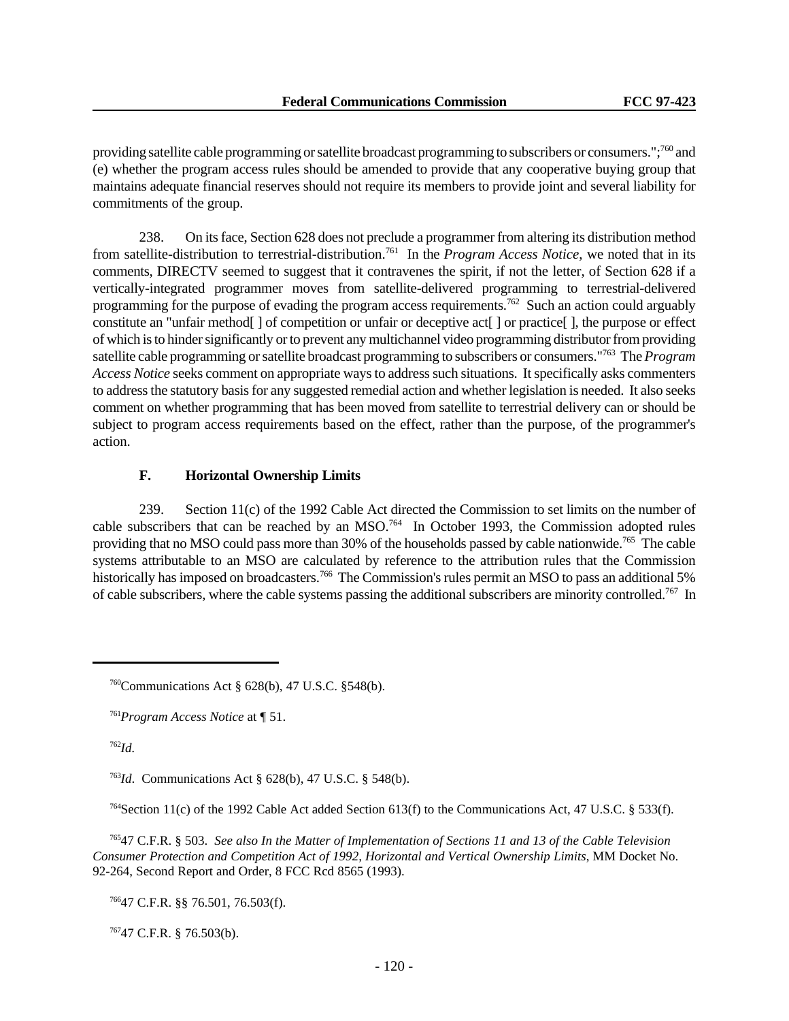providing satellite cable programming or satellite broadcast programming to subscribers or consumers.";<sup>760</sup> and (e) whether the program access rules should be amended to provide that any cooperative buying group that maintains adequate financial reserves should not require its members to provide joint and several liability for commitments of the group.

238. On its face, Section 628 does not preclude a programmer from altering its distribution method from satellite-distribution to terrestrial-distribution.<sup>761</sup> In the *Program Access Notice*, we noted that in its comments, DIRECTV seemed to suggest that it contravenes the spirit, if not the letter, of Section 628 if a vertically-integrated programmer moves from satellite-delivered programming to terrestrial-delivered programming for the purpose of evading the program access requirements.<sup>762</sup> Such an action could arguably constitute an "unfair method[ ] of competition or unfair or deceptive act[ ] or practice[ ], the purpose or effect of which is to hinder significantly or to prevent any multichannel video programming distributor from providing satellite cable programming or satellite broadcast programming to subscribers or consumers."<sup>763</sup> The *Program Access Notice* seeks comment on appropriate ways to address such situations. It specifically asks commenters to address the statutory basis for any suggested remedial action and whether legislation is needed. It also seeks comment on whether programming that has been moved from satellite to terrestrial delivery can or should be subject to program access requirements based on the effect, rather than the purpose, of the programmer's action.

# **F. Horizontal Ownership Limits**

239. Section 11(c) of the 1992 Cable Act directed the Commission to set limits on the number of cable subscribers that can be reached by an MSO.<sup>764</sup> In October 1993, the Commission adopted rules providing that no MSO could pass more than 30% of the households passed by cable nationwide.<sup>765</sup> The cable systems attributable to an MSO are calculated by reference to the attribution rules that the Commission historically has imposed on broadcasters.<sup>766</sup> The Commission's rules permit an MSO to pass an additional 5% of cable subscribers, where the cable systems passing the additional subscribers are minority controlled.767 In

<sup>762</sup>*Id.*

<sup>763</sup>*Id*. Communications Act § 628(b), 47 U.S.C. § 548(b).

<sup>764</sup>Section 11(c) of the 1992 Cable Act added Section 613(f) to the Communications Act, 47 U.S.C. § 533(f).

<sup>765</sup>47 C.F.R. § 503. *See also In the Matter of Implementation of Sections 11 and 13 of the Cable Television Consumer Protection and Competition Act of 1992, Horizontal and Vertical Ownership Limits*, MM Docket No. 92-264, Second Report and Order, 8 FCC Rcd 8565 (1993).

<sup>766</sup>47 C.F.R. §§ 76.501, 76.503(f).

<sup>767</sup>47 C.F.R. § 76.503(b).

<sup>760</sup>Communications Act § 628(b), 47 U.S.C. §548(b).

<sup>761</sup>*Program Access Notice* at ¶ 51.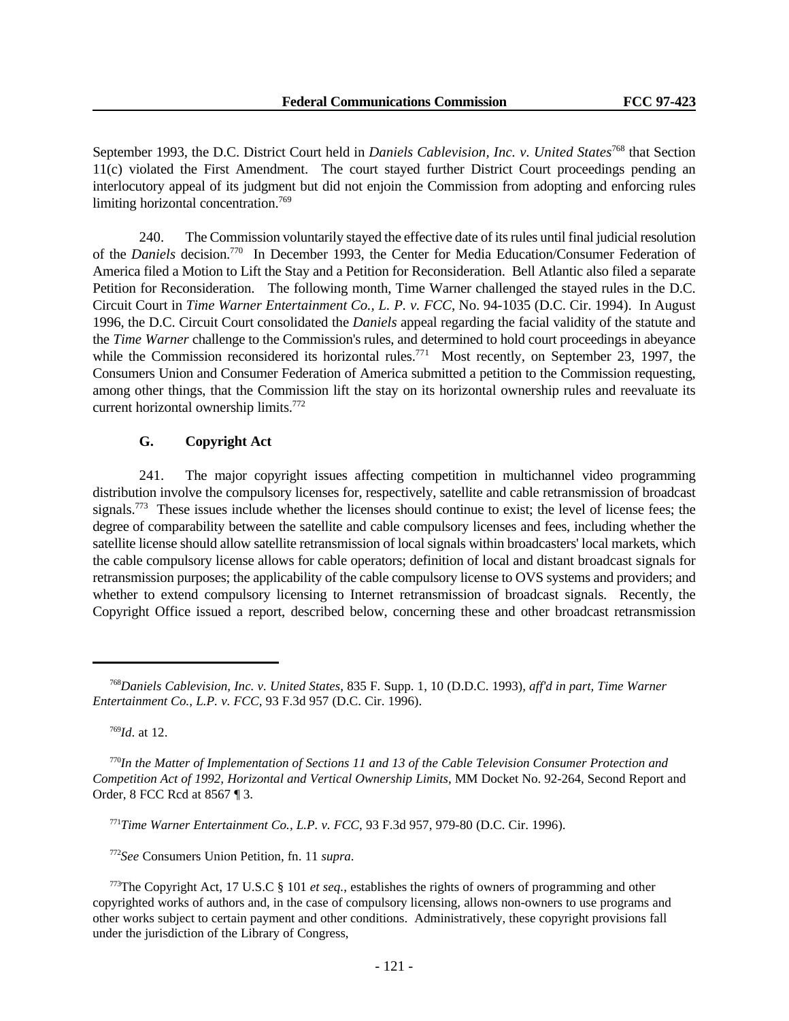September 1993, the D.C. District Court held in *Daniels Cablevision, Inc. v. United States*<sup>768</sup> that Section 11(c) violated the First Amendment. The court stayed further District Court proceedings pending an interlocutory appeal of its judgment but did not enjoin the Commission from adopting and enforcing rules limiting horizontal concentration.<sup>769</sup>

240. The Commission voluntarily stayed the effective date of its rules until final judicial resolution of the *Daniels* decision.<sup>770</sup> In December 1993, the Center for Media Education/Consumer Federation of America filed a Motion to Lift the Stay and a Petition for Reconsideration. Bell Atlantic also filed a separate Petition for Reconsideration. The following month, Time Warner challenged the stayed rules in the D.C. Circuit Court in *Time Warner Entertainment Co., L. P. v. FCC*, No. 94-1035 (D.C. Cir. 1994). In August 1996, the D.C. Circuit Court consolidated the *Daniels* appeal regarding the facial validity of the statute and the *Time Warner* challenge to the Commission's rules, and determined to hold court proceedings in abeyance while the Commission reconsidered its horizontal rules.<sup>771</sup> Most recently, on September 23, 1997, the Consumers Union and Consumer Federation of America submitted a petition to the Commission requesting, among other things, that the Commission lift the stay on its horizontal ownership rules and reevaluate its current horizontal ownership limits.<sup>772</sup>

# **G. Copyright Act**

241. The major copyright issues affecting competition in multichannel video programming distribution involve the compulsory licenses for, respectively, satellite and cable retransmission of broadcast signals.<sup>773</sup> These issues include whether the licenses should continue to exist; the level of license fees; the degree of comparability between the satellite and cable compulsory licenses and fees, including whether the satellite license should allow satellite retransmission of local signals within broadcasters' local markets, which the cable compulsory license allows for cable operators; definition of local and distant broadcast signals for retransmission purposes; the applicability of the cable compulsory license to OVS systems and providers; and whether to extend compulsory licensing to Internet retransmission of broadcast signals. Recently, the Copyright Office issued a report, described below, concerning these and other broadcast retransmission

<sup>769</sup>*Id*. at 12.

<sup>771</sup>*Time Warner Entertainment Co., L.P. v. FCC*, 93 F.3d 957, 979-80 (D.C. Cir. 1996).

<sup>772</sup>*See* Consumers Union Petition, fn. 11 *supra*.

<sup>768</sup>*Daniels Cablevision, Inc. v. United States*, 835 F. Supp. 1, 10 (D.D.C. 1993), *aff'd in part, Time Warner Entertainment Co., L.P. v. FCC*, 93 F.3d 957 (D.C. Cir. 1996).

<sup>770</sup>*In the Matter of Implementation of Sections 11 and 13 of the Cable Television Consumer Protection and Competition Act of 1992, Horizontal and Vertical Ownership Limits*, MM Docket No. 92-264, Second Report and Order, 8 FCC Rcd at 8567 ¶ 3.

<sup>773</sup>The Copyright Act, 17 U.S.C § 101 *et seq.*, establishes the rights of owners of programming and other copyrighted works of authors and, in the case of compulsory licensing, allows non-owners to use programs and other works subject to certain payment and other conditions. Administratively, these copyright provisions fall under the jurisdiction of the Library of Congress,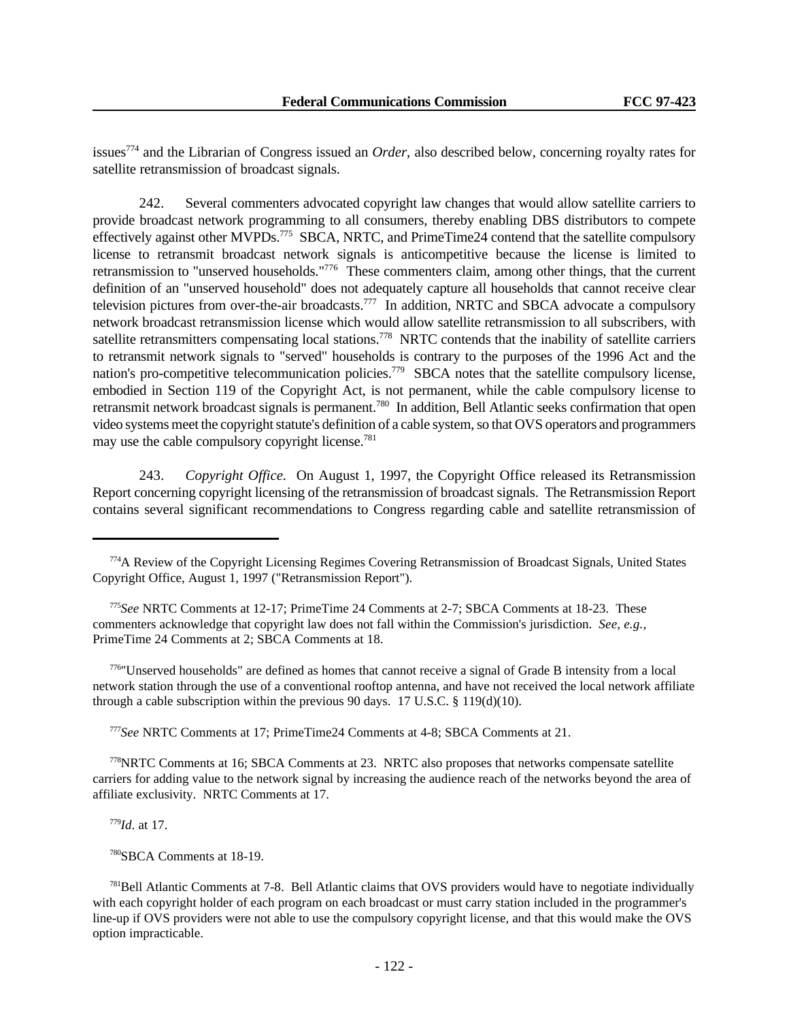issues<sup>774</sup> and the Librarian of Congress issued an *Order*, also described below, concerning royalty rates for satellite retransmission of broadcast signals.

242. Several commenters advocated copyright law changes that would allow satellite carriers to provide broadcast network programming to all consumers, thereby enabling DBS distributors to compete effectively against other MVPDs.<sup>775</sup> SBCA, NRTC, and PrimeTime24 contend that the satellite compulsory license to retransmit broadcast network signals is anticompetitive because the license is limited to retransmission to "unserved households."<sup>776</sup> These commenters claim, among other things, that the current definition of an "unserved household" does not adequately capture all households that cannot receive clear television pictures from over-the-air broadcasts.<sup>777</sup> In addition, NRTC and SBCA advocate a compulsory network broadcast retransmission license which would allow satellite retransmission to all subscribers, with satellite retransmitters compensating local stations.<sup>778</sup> NRTC contends that the inability of satellite carriers to retransmit network signals to "served" households is contrary to the purposes of the 1996 Act and the nation's pro-competitive telecommunication policies.<sup>779</sup> SBCA notes that the satellite compulsory license, embodied in Section 119 of the Copyright Act, is not permanent, while the cable compulsory license to retransmit network broadcast signals is permanent.<sup>780</sup> In addition, Bell Atlantic seeks confirmation that open video systems meet the copyright statute's definition of a cable system, so that OVS operators and programmers may use the cable compulsory copyright license.<sup>781</sup>

243. *Copyright Office.* On August 1, 1997, the Copyright Office released its Retransmission Report concerning copyright licensing of the retransmission of broadcast signals. The Retransmission Report contains several significant recommendations to Congress regarding cable and satellite retransmission of

<sup>776</sup>"Unserved households" are defined as homes that cannot receive a signal of Grade B intensity from a local network station through the use of a conventional rooftop antenna, and have not received the local network affiliate through a cable subscription within the previous 90 days. 17 U.S.C.  $\S$  119(d)(10).

<sup>777</sup>*See* NRTC Comments at 17; PrimeTime24 Comments at 4-8; SBCA Comments at 21.

<sup>778</sup>NRTC Comments at 16; SBCA Comments at 23. NRTC also proposes that networks compensate satellite carriers for adding value to the network signal by increasing the audience reach of the networks beyond the area of affiliate exclusivity. NRTC Comments at 17.

<sup>779</sup>*Id*. at 17.

<sup>780</sup>SBCA Comments at 18-19.

<sup>774</sup>A Review of the Copyright Licensing Regimes Covering Retransmission of Broadcast Signals, United States Copyright Office, August 1, 1997 ("Retransmission Report").

<sup>775</sup>*See* NRTC Comments at 12-17; PrimeTime 24 Comments at 2-7; SBCA Comments at 18-23. These commenters acknowledge that copyright law does not fall within the Commission's jurisdiction. *See, e.g.,* PrimeTime 24 Comments at 2; SBCA Comments at 18.

<sup>781</sup>Bell Atlantic Comments at 7-8. Bell Atlantic claims that OVS providers would have to negotiate individually with each copyright holder of each program on each broadcast or must carry station included in the programmer's line-up if OVS providers were not able to use the compulsory copyright license, and that this would make the OVS option impracticable.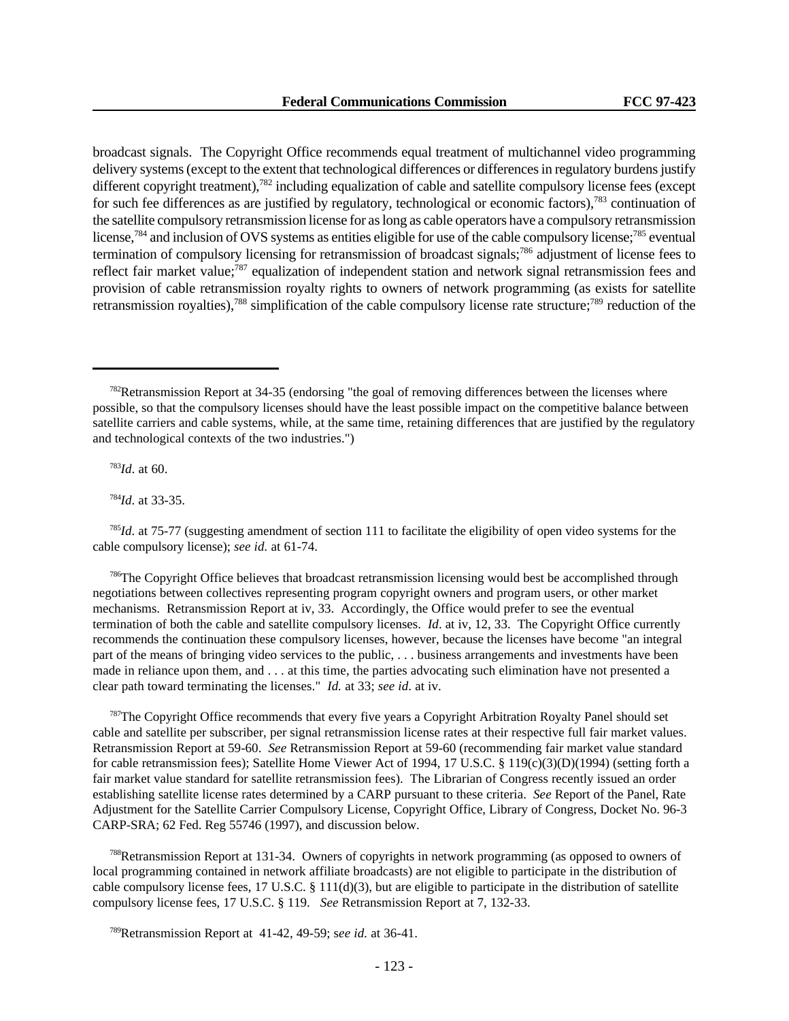broadcast signals. The Copyright Office recommends equal treatment of multichannel video programming delivery systems (except to the extent that technological differences or differences in regulatory burdens justify different copyright treatment),<sup>782</sup> including equalization of cable and satellite compulsory license fees (except for such fee differences as are justified by regulatory, technological or economic factors),<sup>783</sup> continuation of the satellite compulsory retransmission license for as long as cable operators have a compulsory retransmission license,<sup>784</sup> and inclusion of OVS systems as entities eligible for use of the cable compulsory license;<sup>785</sup> eventual termination of compulsory licensing for retransmission of broadcast signals;<sup>786</sup> adjustment of license fees to reflect fair market value;<sup>787</sup> equalization of independent station and network signal retransmission fees and provision of cable retransmission royalty rights to owners of network programming (as exists for satellite retransmission royalties),788 simplification of the cable compulsory license rate structure;789 reduction of the

<sup>783</sup>*Id*. at 60.

<sup>784</sup>*Id*. at 33-35.

<sup>785</sup>*Id*. at 75-77 (suggesting amendment of section 111 to facilitate the eligibility of open video systems for the cable compulsory license); *see id.* at 61-74.

<sup>786</sup>The Copyright Office believes that broadcast retransmission licensing would best be accomplished through negotiations between collectives representing program copyright owners and program users, or other market mechanisms. Retransmission Report at iv, 33. Accordingly, the Office would prefer to see the eventual termination of both the cable and satellite compulsory licenses. *Id*. at iv, 12, 33. The Copyright Office currently recommends the continuation these compulsory licenses, however, because the licenses have become "an integral part of the means of bringing video services to the public, . . . business arrangements and investments have been made in reliance upon them, and . . . at this time, the parties advocating such elimination have not presented a clear path toward terminating the licenses." *Id.* at 33; *see id*. at iv.

<sup>787</sup>The Copyright Office recommends that every five years a Copyright Arbitration Royalty Panel should set cable and satellite per subscriber, per signal retransmission license rates at their respective full fair market values. Retransmission Report at 59-60. *See* Retransmission Report at 59-60 (recommending fair market value standard for cable retransmission fees); Satellite Home Viewer Act of 1994, 17 U.S.C. § 119(c)(3)(D)(1994) (setting forth a fair market value standard for satellite retransmission fees). The Librarian of Congress recently issued an order establishing satellite license rates determined by a CARP pursuant to these criteria. *See* Report of the Panel, Rate Adjustment for the Satellite Carrier Compulsory License, Copyright Office, Library of Congress, Docket No. 96-3 CARP-SRA; 62 Fed. Reg 55746 (1997), and discussion below.

<sup>788</sup>Retransmission Report at 131-34. Owners of copyrights in network programming (as opposed to owners of local programming contained in network affiliate broadcasts) are not eligible to participate in the distribution of cable compulsory license fees, 17 U.S.C. § 111(d)(3), but are eligible to participate in the distribution of satellite compulsory license fees, 17 U.S.C. § 119. *See* Retransmission Report at 7, 132-33.

<sup>&</sup>lt;sup>782</sup>Retransmission Report at 34-35 (endorsing "the goal of removing differences between the licenses where possible, so that the compulsory licenses should have the least possible impact on the competitive balance between satellite carriers and cable systems, while, at the same time, retaining differences that are justified by the regulatory and technological contexts of the two industries.")

<sup>789</sup>Retransmission Report at 41-42, 49-59; s*ee id.* at 36-41.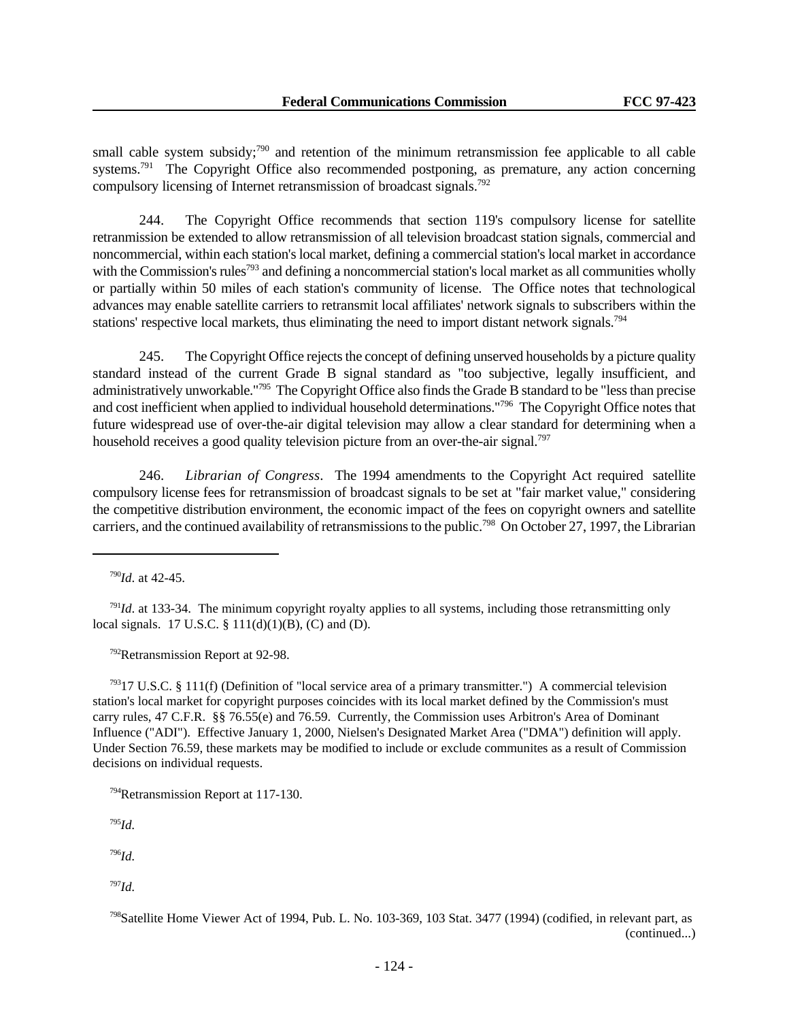small cable system subsidy;<sup>790</sup> and retention of the minimum retransmission fee applicable to all cable systems.<sup>791</sup> The Copyright Office also recommended postponing, as premature, any action concerning compulsory licensing of Internet retransmission of broadcast signals.<sup>792</sup>

244. The Copyright Office recommends that section 119's compulsory license for satellite retranmission be extended to allow retransmission of all television broadcast station signals, commercial and noncommercial, within each station's local market, defining a commercial station's local market in accordance with the Commission's rules<sup>793</sup> and defining a noncommercial station's local market as all communities wholly or partially within 50 miles of each station's community of license. The Office notes that technological advances may enable satellite carriers to retransmit local affiliates' network signals to subscribers within the stations' respective local markets, thus eliminating the need to import distant network signals.<sup>794</sup>

245. The Copyright Office rejects the concept of defining unserved households by a picture quality standard instead of the current Grade B signal standard as "too subjective, legally insufficient, and administratively unworkable."<sup>795</sup> The Copyright Office also finds the Grade B standard to be "less than precise and cost inefficient when applied to individual household determinations."<sup>796</sup> The Copyright Office notes that future widespread use of over-the-air digital television may allow a clear standard for determining when a household receives a good quality television picture from an over-the-air signal.<sup>797</sup>

246. *Librarian of Congress*. The 1994 amendments to the Copyright Act required satellite compulsory license fees for retransmission of broadcast signals to be set at "fair market value," considering the competitive distribution environment, the economic impact of the fees on copyright owners and satellite carriers, and the continued availability of retransmissions to the public.<sup>798</sup> On October 27, 1997, the Librarian

<sup>791</sup>*Id.* at 133-34. The minimum copyright royalty applies to all systems, including those retransmitting only local signals. 17 U.S.C. § 111(d)(1)(B), (C) and (D).

<sup>792</sup>Retransmission Report at 92-98.

 $79317$  U.S.C. § 111(f) (Definition of "local service area of a primary transmitter.") A commercial television station's local market for copyright purposes coincides with its local market defined by the Commission's must carry rules, 47 C.F.R. §§ 76.55(e) and 76.59. Currently, the Commission uses Arbitron's Area of Dominant Influence ("ADI"). Effective January 1, 2000, Nielsen's Designated Market Area ("DMA") definition will apply. Under Section 76.59, these markets may be modified to include or exclude communites as a result of Commission decisions on individual requests.

<sup>795</sup>*Id.*

<sup>796</sup>*Id.*

<sup>797</sup>*Id.*

<sup>790</sup>*Id*. at 42-45.

<sup>794</sup>Retransmission Report at 117-130.

<sup>798</sup>Satellite Home Viewer Act of 1994, Pub. L. No. 103-369, 103 Stat. 3477 (1994) (codified, in relevant part, as (continued...)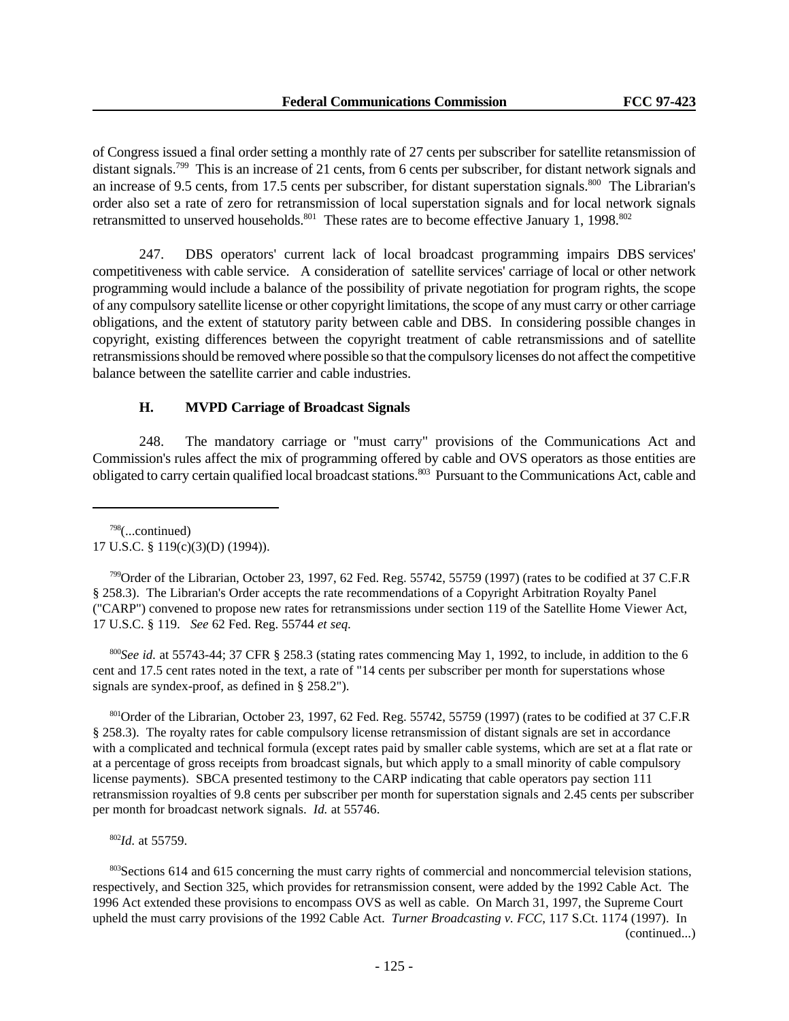of Congress issued a final order setting a monthly rate of 27 cents per subscriber for satellite retansmission of distant signals.<sup>799</sup> This is an increase of 21 cents, from 6 cents per subscriber, for distant network signals and an increase of 9.5 cents, from 17.5 cents per subscriber, for distant superstation signals.<sup>800</sup> The Librarian's order also set a rate of zero for retransmission of local superstation signals and for local network signals retransmitted to unserved households.<sup>801</sup> These rates are to become effective January 1, 1998.<sup>802</sup>

247. DBS operators' current lack of local broadcast programming impairs DBS services' competitiveness with cable service. A consideration of satellite services' carriage of local or other network programming would include a balance of the possibility of private negotiation for program rights, the scope of any compulsory satellite license or other copyright limitations, the scope of any must carry or other carriage obligations, and the extent of statutory parity between cable and DBS. In considering possible changes in copyright, existing differences between the copyright treatment of cable retransmissions and of satellite retransmissions should be removed where possible so that the compulsory licenses do not affect the competitive balance between the satellite carrier and cable industries.

### **H. MVPD Carriage of Broadcast Signals**

248. The mandatory carriage or "must carry" provisions of the Communications Act and Commission's rules affect the mix of programming offered by cable and OVS operators as those entities are obligated to carry certain qualified local broadcast stations.<sup>803</sup> Pursuant to the Communications Act, cable and

 $798$ (...continued) 17 U.S.C. § 119(c)(3)(D) (1994)).

 $799$ Order of the Librarian, October 23, 1997, 62 Fed. Reg. 55742, 55759 (1997) (rates to be codified at 37 C.F.R § 258.3). The Librarian's Order accepts the rate recommendations of a Copyright Arbitration Royalty Panel ("CARP") convened to propose new rates for retransmissions under section 119 of the Satellite Home Viewer Act, 17 U.S.C. § 119. *See* 62 Fed. Reg. 55744 *et seq.*

<sup>800</sup>*See id.* at 55743-44; 37 CFR § 258.3 (stating rates commencing May 1, 1992, to include, in addition to the 6 cent and 17.5 cent rates noted in the text, a rate of "14 cents per subscriber per month for superstations whose signals are syndex-proof, as defined in § 258.2").

801Order of the Librarian, October 23, 1997, 62 Fed. Reg. 55742, 55759 (1997) (rates to be codified at 37 C.F.R § 258.3). The royalty rates for cable compulsory license retransmission of distant signals are set in accordance with a complicated and technical formula (except rates paid by smaller cable systems, which are set at a flat rate or at a percentage of gross receipts from broadcast signals, but which apply to a small minority of cable compulsory license payments). SBCA presented testimony to the CARP indicating that cable operators pay section 111 retransmission royalties of 9.8 cents per subscriber per month for superstation signals and 2.45 cents per subscriber per month for broadcast network signals. *Id.* at 55746.

<sup>802</sup>*Id.* at 55759.

<sup>803</sup>Sections 614 and 615 concerning the must carry rights of commercial and noncommercial television stations, respectively, and Section 325, which provides for retransmission consent, were added by the 1992 Cable Act. The 1996 Act extended these provisions to encompass OVS as well as cable. On March 31, 1997, the Supreme Court upheld the must carry provisions of the 1992 Cable Act. *Turner Broadcasting v. FCC*, 117 S.Ct. 1174 (1997). In

(continued...)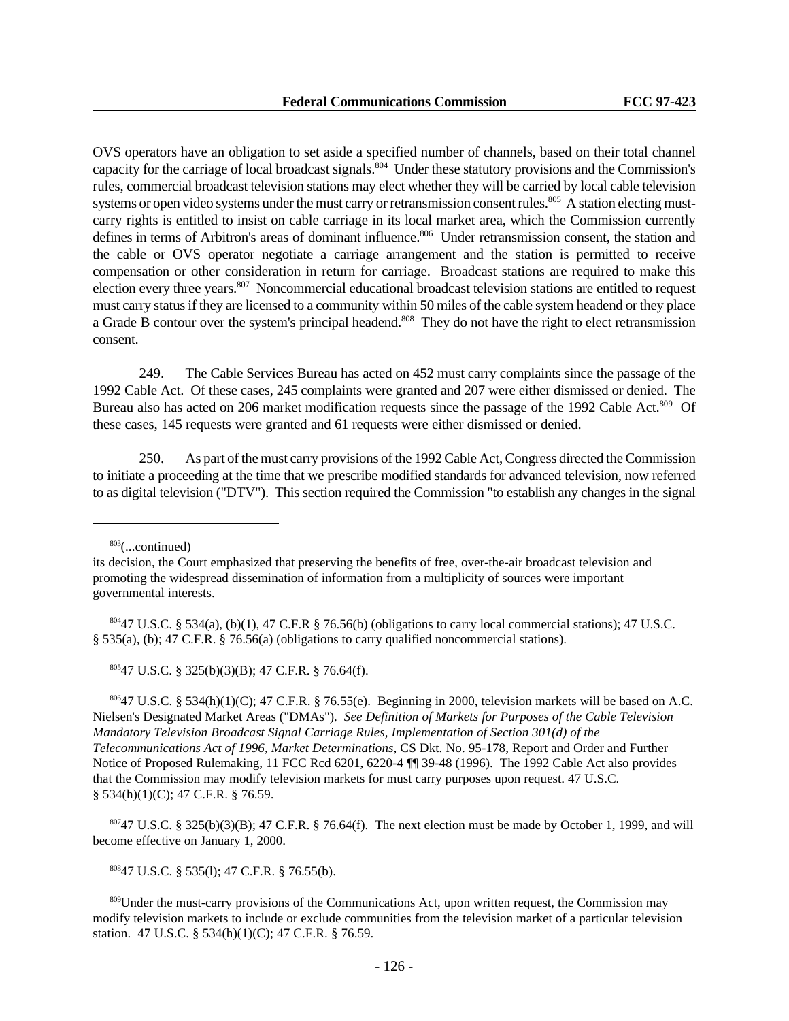OVS operators have an obligation to set aside a specified number of channels, based on their total channel capacity for the carriage of local broadcast signals.<sup>804</sup> Under these statutory provisions and the Commission's rules, commercial broadcast television stations may elect whether they will be carried by local cable television systems or open video systems under the must carry or retransmission consent rules.<sup>805</sup> A station electing mustcarry rights is entitled to insist on cable carriage in its local market area, which the Commission currently defines in terms of Arbitron's areas of dominant influence.<sup>806</sup> Under retransmission consent, the station and the cable or OVS operator negotiate a carriage arrangement and the station is permitted to receive compensation or other consideration in return for carriage. Broadcast stations are required to make this election every three years.<sup>807</sup> Noncommercial educational broadcast television stations are entitled to request must carry status if they are licensed to a community within 50 miles of the cable system headend or they place a Grade B contour over the system's principal headend.<sup>808</sup> They do not have the right to elect retransmission consent.

249. The Cable Services Bureau has acted on 452 must carry complaints since the passage of the 1992 Cable Act. Of these cases, 245 complaints were granted and 207 were either dismissed or denied. The Bureau also has acted on 206 market modification requests since the passage of the 1992 Cable Act.<sup>809</sup> Of these cases, 145 requests were granted and 61 requests were either dismissed or denied.

250. As part of the must carry provisions of the 1992 Cable Act, Congress directed the Commission to initiate a proceeding at the time that we prescribe modified standards for advanced television, now referred to as digital television ("DTV"). This section required the Commission "to establish any changes in the signal

 $803$ (...continued)

 $80447$  U.S.C. § 534(a), (b)(1), 47 C.F.R § 76.56(b) (obligations to carry local commercial stations); 47 U.S.C. § 535(a), (b); 47 C.F.R. § 76.56(a) (obligations to carry qualified noncommercial stations).

<sup>805</sup>47 U.S.C. § 325(b)(3)(B); 47 C.F.R. § 76.64(f).

 $80647$  U.S.C. § 534(h)(1)(C); 47 C.F.R. § 76.55(e). Beginning in 2000, television markets will be based on A.C. Nielsen's Designated Market Areas ("DMAs"). *See Definition of Markets for Purposes of the Cable Television Mandatory Television Broadcast Signal Carriage Rules, Implementation of Section 301(d) of the Telecommunications Act of 1996, Market Determinations*, CS Dkt. No. 95-178, Report and Order and Further Notice of Proposed Rulemaking, 11 FCC Rcd 6201, 6220-4 ¶¶ 39-48 (1996). The 1992 Cable Act also provides that the Commission may modify television markets for must carry purposes upon request. 47 U.S.C. § 534(h)(1)(C); 47 C.F.R. § 76.59.

 $80747$  U.S.C. § 325(b)(3)(B); 47 C.F.R. § 76.64(f). The next election must be made by October 1, 1999, and will become effective on January 1, 2000.

<sup>808</sup>47 U.S.C. § 535(l); 47 C.F.R. § 76.55(b).

<sup>809</sup>Under the must-carry provisions of the Communications Act, upon written request, the Commission may modify television markets to include or exclude communities from the television market of a particular television station. 47 U.S.C. § 534(h)(1)(C); 47 C.F.R. § 76.59.

its decision, the Court emphasized that preserving the benefits of free, over-the-air broadcast television and promoting the widespread dissemination of information from a multiplicity of sources were important governmental interests.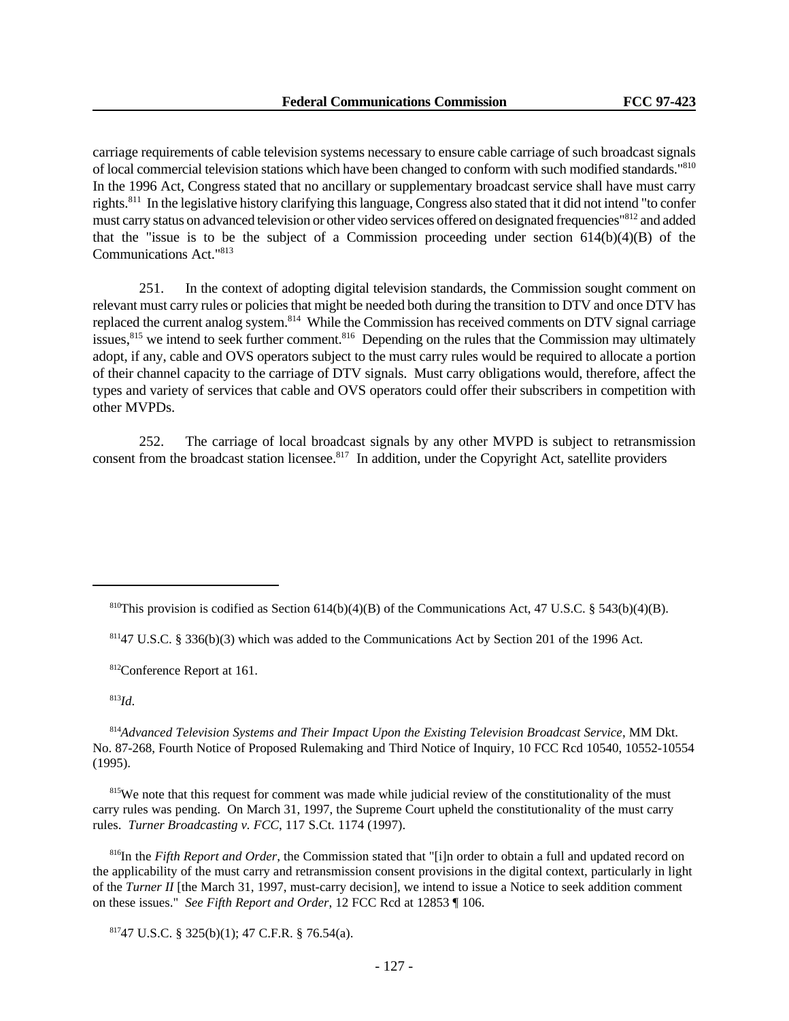carriage requirements of cable television systems necessary to ensure cable carriage of such broadcast signals of local commercial television stations which have been changed to conform with such modified standards."<sup>810</sup> In the 1996 Act, Congress stated that no ancillary or supplementary broadcast service shall have must carry rights.<sup>811</sup> In the legislative history clarifying this language, Congress also stated that it did not intend "to confer must carry status on advanced television or other video services offered on designated frequencies"<sup>812</sup> and added that the "issue is to be the subject of a Commission proceeding under section  $614(b)(4)(B)$  of the Communications Act."<sup>813</sup>

251. In the context of adopting digital television standards, the Commission sought comment on relevant must carry rules or policies that might be needed both during the transition to DTV and once DTV has replaced the current analog system.<sup>814</sup> While the Commission has received comments on DTV signal carriage issues,<sup>815</sup> we intend to seek further comment.<sup>816</sup> Depending on the rules that the Commission may ultimately adopt, if any, cable and OVS operators subject to the must carry rules would be required to allocate a portion of their channel capacity to the carriage of DTV signals. Must carry obligations would, therefore, affect the types and variety of services that cable and OVS operators could offer their subscribers in competition with other MVPDs.

252. The carriage of local broadcast signals by any other MVPD is subject to retransmission consent from the broadcast station licensee.<sup>817</sup> In addition, under the Copyright Act, satellite providers

<sup>812</sup>Conference Report at 161.

<sup>813</sup>*Id*.

<sup>814</sup>*Advanced Television Systems and Their Impact Upon the Existing Television Broadcast Service*, MM Dkt. No. 87-268, Fourth Notice of Proposed Rulemaking and Third Notice of Inquiry, 10 FCC Rcd 10540, 10552-10554 (1995).

<sup>815</sup>We note that this request for comment was made while judicial review of the constitutionality of the must carry rules was pending. On March 31, 1997, the Supreme Court upheld the constitutionality of the must carry rules. *Turner Broadcasting v. FCC*, 117 S.Ct. 1174 (1997).

<sup>816</sup>In the *Fifth Report and Order*, the Commission stated that "[i]n order to obtain a full and updated record on the applicability of the must carry and retransmission consent provisions in the digital context, particularly in light of the *Turner II* [the March 31, 1997, must-carry decision], we intend to issue a Notice to seek addition comment on these issues." *See Fifth Report and Order*, 12 FCC Rcd at 12853 ¶ 106.

<sup>817</sup>47 U.S.C. § 325(b)(1); 47 C.F.R. § 76.54(a).

<sup>&</sup>lt;sup>810</sup>This provision is codified as Section 614(b)(4)(B) of the Communications Act, 47 U.S.C. § 543(b)(4)(B).

 $81147$  U.S.C. § 336(b)(3) which was added to the Communications Act by Section 201 of the 1996 Act.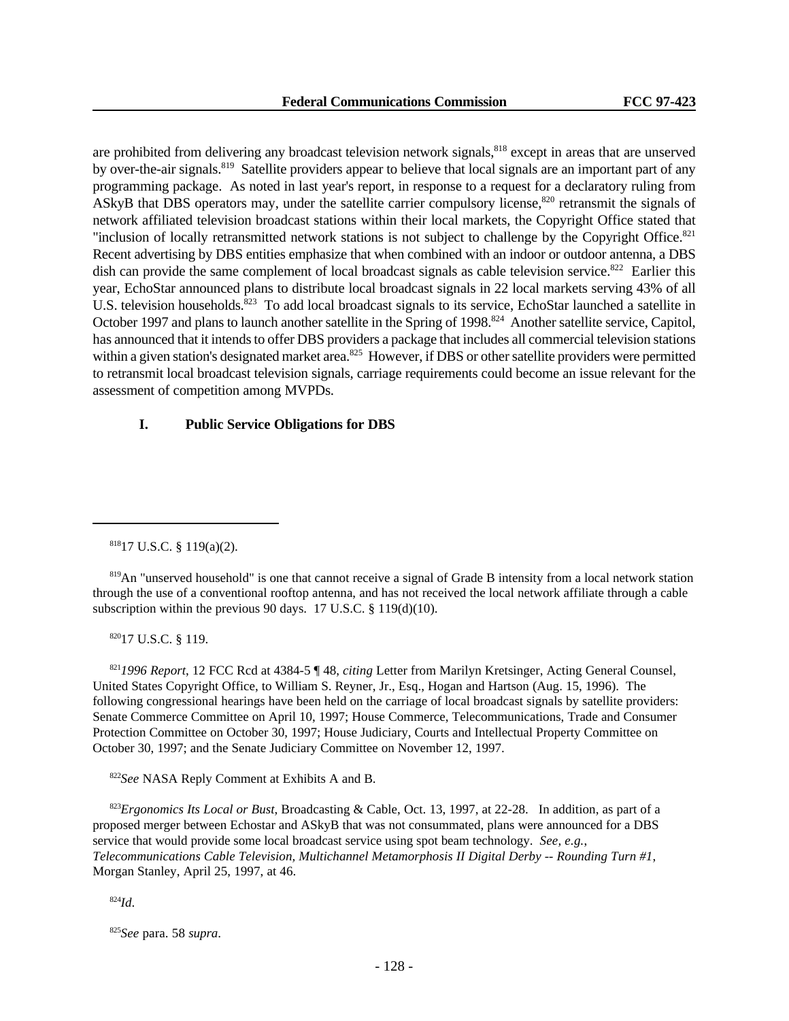are prohibited from delivering any broadcast television network signals,<sup>818</sup> except in areas that are unserved by over-the-air signals.<sup>819</sup> Satellite providers appear to believe that local signals are an important part of any programming package. As noted in last year's report, in response to a request for a declaratory ruling from ASkyB that DBS operators may, under the satellite carrier compulsory license,<sup>820</sup> retransmit the signals of network affiliated television broadcast stations within their local markets, the Copyright Office stated that "inclusion of locally retransmitted network stations is not subject to challenge by the Copyright Office.<sup>821</sup> Recent advertising by DBS entities emphasize that when combined with an indoor or outdoor antenna, a DBS dish can provide the same complement of local broadcast signals as cable television service. $822$  Earlier this year, EchoStar announced plans to distribute local broadcast signals in 22 local markets serving 43% of all U.S. television households.<sup>823</sup> To add local broadcast signals to its service, EchoStar launched a satellite in October 1997 and plans to launch another satellite in the Spring of 1998.<sup>824</sup> Another satellite service, Capitol, has announced that it intends to offer DBS providers a package that includes all commercial television stations within a given station's designated market area.<sup>825</sup> However, if DBS or other satellite providers were permitted to retransmit local broadcast television signals, carriage requirements could become an issue relevant for the assessment of competition among MVPDs.

# **I. Public Service Obligations for DBS**

<sup>820</sup>17 U.S.C. § 119.

<sup>821</sup>*1996 Report*, 12 FCC Rcd at 4384-5 ¶ 48, *citing* Letter from Marilyn Kretsinger, Acting General Counsel, United States Copyright Office, to William S. Reyner, Jr., Esq., Hogan and Hartson (Aug. 15, 1996). The following congressional hearings have been held on the carriage of local broadcast signals by satellite providers: Senate Commerce Committee on April 10, 1997; House Commerce, Telecommunications, Trade and Consumer Protection Committee on October 30, 1997; House Judiciary, Courts and Intellectual Property Committee on October 30, 1997; and the Senate Judiciary Committee on November 12, 1997.

<sup>822</sup>*See* NASA Reply Comment at Exhibits A and B.

<sup>823</sup>*Ergonomics Its Local or Bust*, Broadcasting & Cable, Oct. 13, 1997, at 22-28. In addition, as part of a proposed merger between Echostar and ASkyB that was not consummated, plans were announced for a DBS service that would provide some local broadcast service using spot beam technology. *See, e.g.*, *Telecommunications Cable Television, Multichannel Metamorphosis II Digital Derby -- Rounding Turn #1*, Morgan Stanley, April 25, 1997, at 46.

<sup>824</sup>*Id*.

<sup>825</sup>*See* para. 58 *supra*.

 $81817$  U.S.C. § 119(a)(2).

<sup>&</sup>lt;sup>819</sup>An "unserved household" is one that cannot receive a signal of Grade B intensity from a local network station through the use of a conventional rooftop antenna, and has not received the local network affiliate through a cable subscription within the previous 90 days. 17 U.S.C. § 119(d)(10).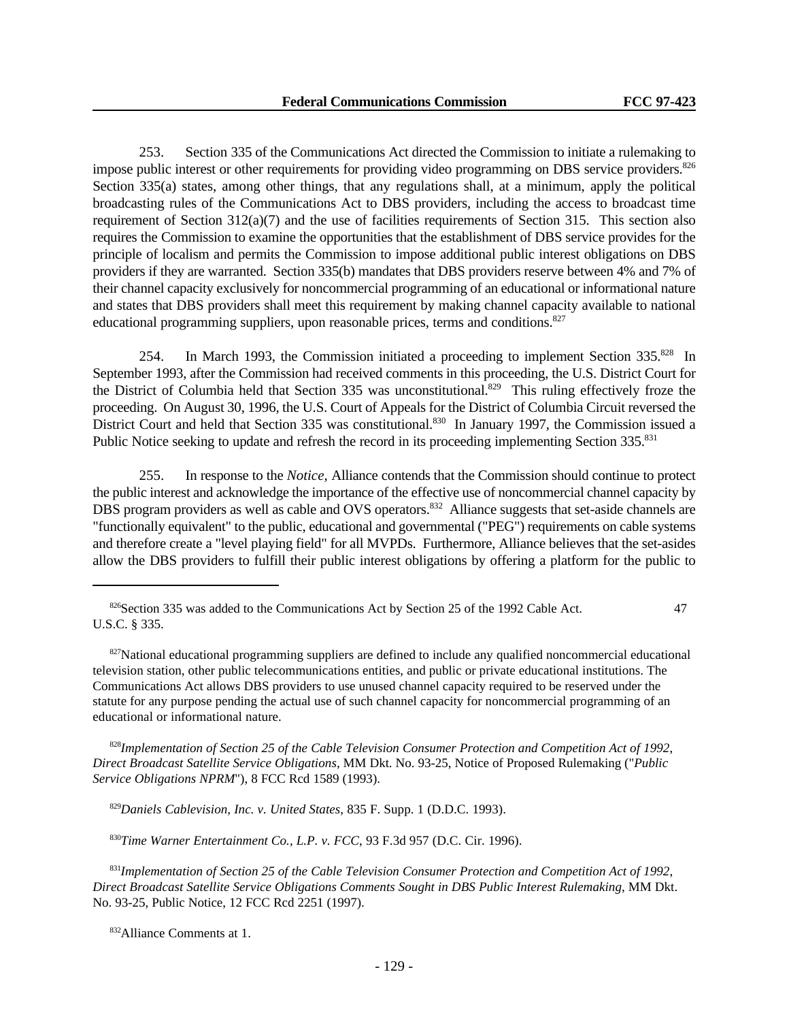253. Section 335 of the Communications Act directed the Commission to initiate a rulemaking to impose public interest or other requirements for providing video programming on DBS service providers.<sup>826</sup> Section 335(a) states, among other things, that any regulations shall, at a minimum, apply the political broadcasting rules of the Communications Act to DBS providers, including the access to broadcast time requirement of Section 312(a)(7) and the use of facilities requirements of Section 315. This section also requires the Commission to examine the opportunities that the establishment of DBS service provides for the principle of localism and permits the Commission to impose additional public interest obligations on DBS providers if they are warranted. Section 335(b) mandates that DBS providers reserve between 4% and 7% of their channel capacity exclusively for noncommercial programming of an educational or informational nature and states that DBS providers shall meet this requirement by making channel capacity available to national educational programming suppliers, upon reasonable prices, terms and conditions.<sup>827</sup>

254. In March 1993, the Commission initiated a proceeding to implement Section 335.<sup>828</sup> In September 1993, after the Commission had received comments in this proceeding, the U.S. District Court for the District of Columbia held that Section 335 was unconstitutional.<sup>829</sup> This ruling effectively froze the proceeding. On August 30, 1996, the U.S. Court of Appeals for the District of Columbia Circuit reversed the District Court and held that Section 335 was constitutional.<sup>830</sup> In January 1997, the Commission issued a Public Notice seeking to update and refresh the record in its proceeding implementing Section 335.<sup>831</sup>

255. In response to the *Notice,* Alliance contends that the Commission should continue to protect the public interest and acknowledge the importance of the effective use of noncommercial channel capacity by DBS program providers as well as cable and OVS operators.<sup>832</sup> Alliance suggests that set-aside channels are "functionally equivalent" to the public, educational and governmental ("PEG") requirements on cable systems and therefore create a "level playing field" for all MVPDs. Furthermore, Alliance believes that the set-asides allow the DBS providers to fulfill their public interest obligations by offering a platform for the public to

<sup>828</sup>*Implementation of Section 25 of the Cable Television Consumer Protection and Competition Act of 1992*, *Direct Broadcast Satellite Service Obligations*, MM Dkt. No. 93-25, Notice of Proposed Rulemaking ("*Public Service Obligations NPRM*"), 8 FCC Rcd 1589 (1993).

<sup>829</sup>*Daniels Cablevision, Inc. v. United States*, 835 F. Supp. 1 (D.D.C. 1993).

<sup>830</sup>*Time Warner Entertainment Co., L.P. v. FCC*, 93 F.3d 957 (D.C. Cir. 1996).

<sup>831</sup>*Implementation of Section 25 of the Cable Television Consumer Protection and Competition Act of 1992*, *Direct Broadcast Satellite Service Obligations Comments Sought in DBS Public Interest Rulemaking*, MM Dkt. No. 93-25, Public Notice, 12 FCC Rcd 2251 (1997).

<sup>&</sup>lt;sup>826</sup>Section 335 was added to the Communications Act by Section 25 of the 1992 Cable Act. 47 U.S.C. § 335.

 $827$ National educational programming suppliers are defined to include any qualified noncommercial educational television station, other public telecommunications entities, and public or private educational institutions. The Communications Act allows DBS providers to use unused channel capacity required to be reserved under the statute for any purpose pending the actual use of such channel capacity for noncommercial programming of an educational or informational nature.

<sup>832</sup>Alliance Comments at 1.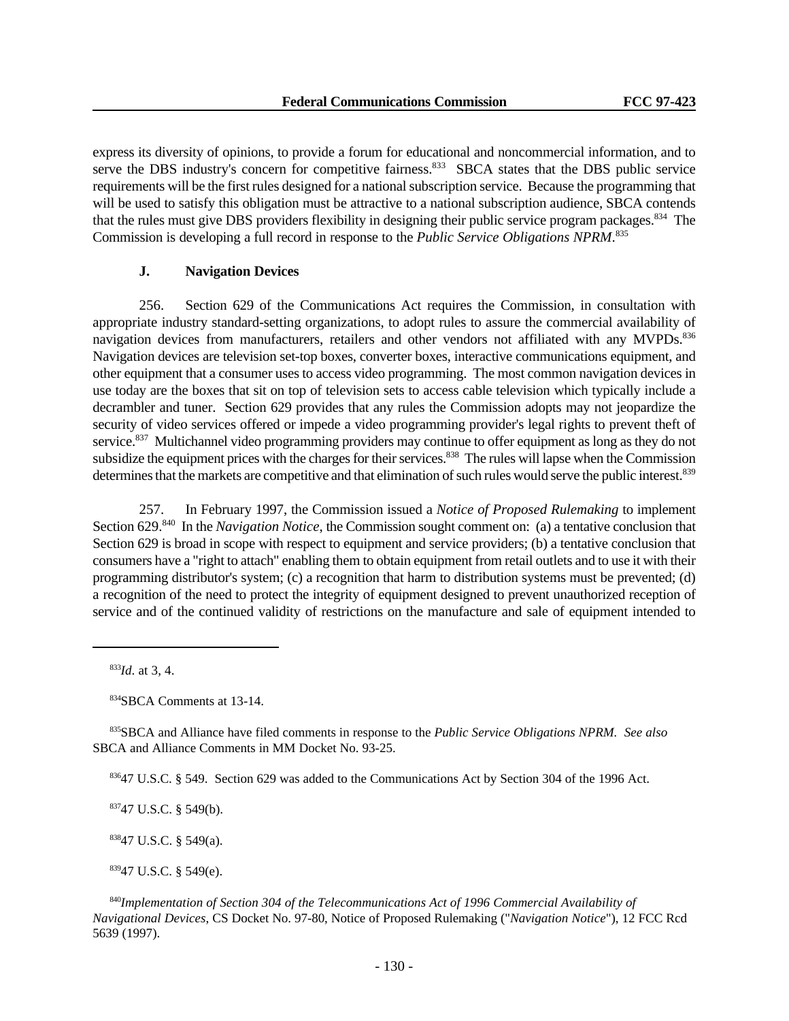express its diversity of opinions, to provide a forum for educational and noncommercial information, and to serve the DBS industry's concern for competitive fairness.<sup>833</sup> SBCA states that the DBS public service requirements will be the first rules designed for a national subscription service. Because the programming that will be used to satisfy this obligation must be attractive to a national subscription audience, SBCA contends that the rules must give DBS providers flexibility in designing their public service program packages.<sup>834</sup> The Commission is developing a full record in response to the *Public Service Obligations NPRM*. 835

# **J. Navigation Devices**

256. Section 629 of the Communications Act requires the Commission, in consultation with appropriate industry standard-setting organizations, to adopt rules to assure the commercial availability of navigation devices from manufacturers, retailers and other vendors not affiliated with any MVPDs.<sup>836</sup> Navigation devices are television set-top boxes, converter boxes, interactive communications equipment, and other equipment that a consumer uses to access video programming. The most common navigation devices in use today are the boxes that sit on top of television sets to access cable television which typically include a decrambler and tuner. Section 629 provides that any rules the Commission adopts may not jeopardize the security of video services offered or impede a video programming provider's legal rights to prevent theft of service.<sup>837</sup> Multichannel video programming providers may continue to offer equipment as long as they do not subsidize the equipment prices with the charges for their services.<sup>838</sup> The rules will lapse when the Commission determines that the markets are competitive and that elimination of such rules would serve the public interest.<sup>839</sup>

257. In February 1997, the Commission issued a *Notice of Proposed Rulemaking* to implement Section 629<sup>840</sup> In the *Navigation Notice*, the Commission sought comment on: (a) a tentative conclusion that Section 629 is broad in scope with respect to equipment and service providers; (b) a tentative conclusion that consumers have a "right to attach" enabling them to obtain equipment from retail outlets and to use it with their programming distributor's system; (c) a recognition that harm to distribution systems must be prevented; (d) a recognition of the need to protect the integrity of equipment designed to prevent unauthorized reception of service and of the continued validity of restrictions on the manufacture and sale of equipment intended to

<sup>833</sup>*Id*. at 3, 4.

<sup>834</sup>SBCA Comments at 13-14.

<sup>835</sup>SBCA and Alliance have filed comments in response to the *Public Service Obligations NPRM. See also* SBCA and Alliance Comments in MM Docket No. 93-25.

<sup>836</sup>47 U.S.C. § 549. Section 629 was added to the Communications Act by Section 304 of the 1996 Act.

<sup>837</sup>47 U.S.C. § 549(b).

<sup>838</sup>47 U.S.C. § 549(a).

<sup>839</sup>47 U.S.C. § 549(e).

<sup>840</sup>*Implementation of Section 304 of the Telecommunications Act of 1996 Commercial Availability of Navigational Devices*, CS Docket No. 97-80, Notice of Proposed Rulemaking ("*Navigation Notice*"), 12 FCC Rcd 5639 (1997).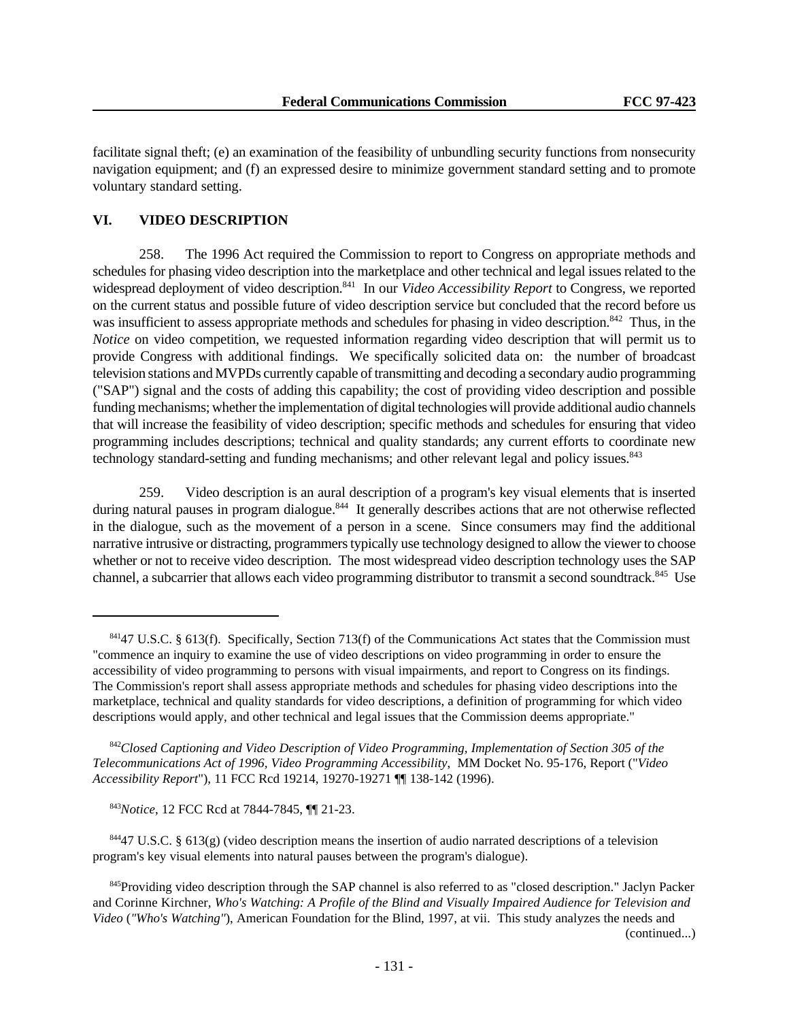facilitate signal theft; (e) an examination of the feasibility of unbundling security functions from nonsecurity navigation equipment; and (f) an expressed desire to minimize government standard setting and to promote voluntary standard setting.

# **VI. VIDEO DESCRIPTION**

258. The 1996 Act required the Commission to report to Congress on appropriate methods and schedules for phasing video description into the marketplace and other technical and legal issues related to the widespread deployment of video description.<sup>841</sup> In our *Video Accessibility Report* to Congress, we reported on the current status and possible future of video description service but concluded that the record before us was insufficient to assess appropriate methods and schedules for phasing in video description.<sup>842</sup> Thus, in the *Notice* on video competition, we requested information regarding video description that will permit us to provide Congress with additional findings. We specifically solicited data on: the number of broadcast television stations and MVPDs currently capable of transmitting and decoding a secondary audio programming ("SAP") signal and the costs of adding this capability; the cost of providing video description and possible funding mechanisms; whether the implementation of digital technologies will provide additional audio channels that will increase the feasibility of video description; specific methods and schedules for ensuring that video programming includes descriptions; technical and quality standards; any current efforts to coordinate new technology standard-setting and funding mechanisms; and other relevant legal and policy issues.<sup>843</sup>

259. Video description is an aural description of a program's key visual elements that is inserted during natural pauses in program dialogue.<sup>844</sup> It generally describes actions that are not otherwise reflected in the dialogue, such as the movement of a person in a scene. Since consumers may find the additional narrative intrusive or distracting, programmers typically use technology designed to allow the viewer to choose whether or not to receive video description. The most widespread video description technology uses the SAP channel, a subcarrier that allows each video programming distributor to transmit a second soundtrack.<sup>845</sup> Use

<sup>842</sup>*Closed Captioning and Video Description of Video Programming, Implementation of Section 305 of the Telecommunications Act of 1996, Video Programming Accessibility*, MM Docket No. 95-176, Report ("*Video Accessibility Report*"), 11 FCC Rcd 19214, 19270-19271 ¶¶ 138-142 (1996).

<sup>843</sup>*Notice*, 12 FCC Rcd at 7844-7845, ¶¶ 21-23.

 $84447$  U.S.C. § 613(g) (video description means the insertion of audio narrated descriptions of a television program's key visual elements into natural pauses between the program's dialogue).

845 Providing video description through the SAP channel is also referred to as "closed description." Jaclyn Packer and Corinne Kirchner, *Who's Watching: A Profile of the Blind and Visually Impaired Audience for Television and Video* (*"Who's Watching"*), American Foundation for the Blind, 1997, at vii. This study analyzes the needs and

(continued...)

<sup>84147</sup> U.S.C. § 613(f). Specifically, Section 713(f) of the Communications Act states that the Commission must "commence an inquiry to examine the use of video descriptions on video programming in order to ensure the accessibility of video programming to persons with visual impairments, and report to Congress on its findings. The Commission's report shall assess appropriate methods and schedules for phasing video descriptions into the marketplace, technical and quality standards for video descriptions, a definition of programming for which video descriptions would apply, and other technical and legal issues that the Commission deems appropriate."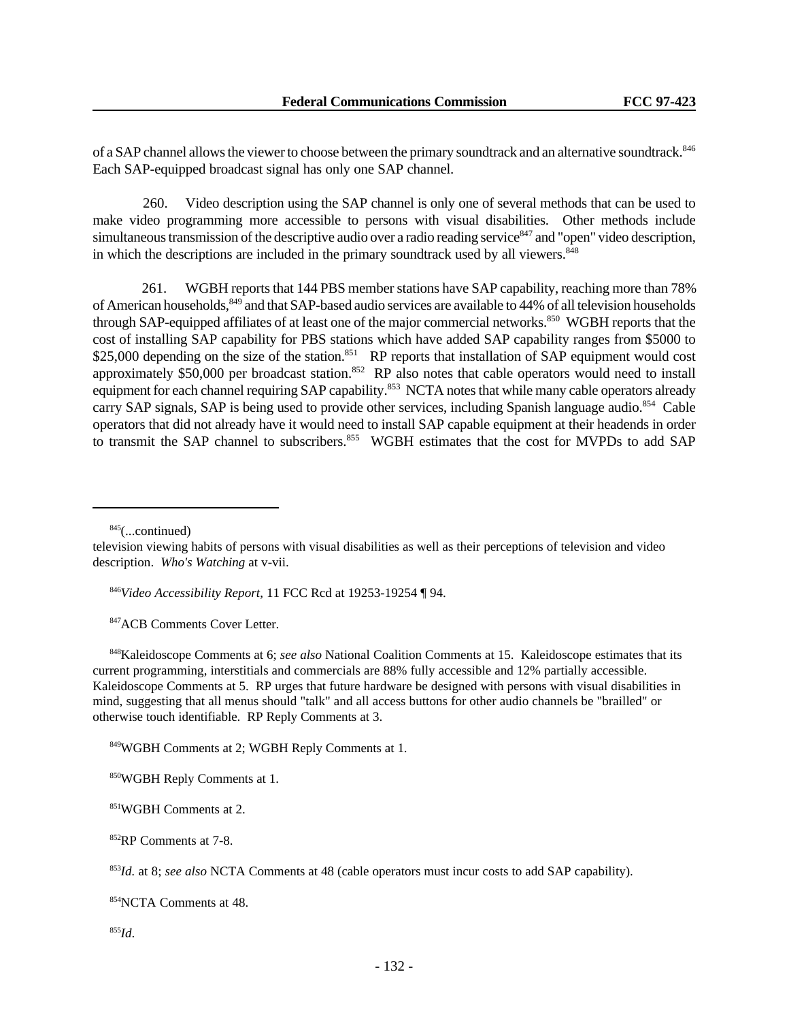of a SAP channel allows the viewer to choose between the primary soundtrack and an alternative soundtrack.<sup>846</sup> Each SAP-equipped broadcast signal has only one SAP channel.

 260. Video description using the SAP channel is only one of several methods that can be used to make video programming more accessible to persons with visual disabilities. Other methods include simultaneous transmission of the descriptive audio over a radio reading service<sup>847</sup> and "open" video description, in which the descriptions are included in the primary soundtrack used by all viewers.<sup>848</sup>

 261. WGBH reports that 144 PBS member stations have SAP capability, reaching more than 78% of American households,<sup>849</sup> and that SAP-based audio services are available to 44% of all television households through SAP-equipped affiliates of at least one of the major commercial networks.<sup>850</sup> WGBH reports that the cost of installing SAP capability for PBS stations which have added SAP capability ranges from \$5000 to \$25,000 depending on the size of the station.<sup>851</sup> RP reports that installation of SAP equipment would cost approximately  $$50,000$  per broadcast station.<sup>852</sup> RP also notes that cable operators would need to install equipment for each channel requiring SAP capability.<sup>853</sup> NCTA notes that while many cable operators already carry SAP signals, SAP is being used to provide other services, including Spanish language audio.<sup>854</sup> Cable operators that did not already have it would need to install SAP capable equipment at their headends in order to transmit the SAP channel to subscribers.<sup>855</sup> WGBH estimates that the cost for MVPDs to add SAP

 $845$ (...continued)

<sup>846</sup>*Video Accessibility Report*, 11 FCC Rcd at 19253-19254 ¶ 94.

847 ACB Comments Cover Letter.

<sup>848</sup>Kaleidoscope Comments at 6; *see also* National Coalition Comments at 15. Kaleidoscope estimates that its current programming, interstitials and commercials are 88% fully accessible and 12% partially accessible. Kaleidoscope Comments at 5. RP urges that future hardware be designed with persons with visual disabilities in mind, suggesting that all menus should "talk" and all access buttons for other audio channels be "brailled" or otherwise touch identifiable. RP Reply Comments at 3.

<sup>849</sup>WGBH Comments at 2; WGBH Reply Comments at 1.

<sup>851</sup>WGBH Comments at 2.

<sup>852</sup>RP Comments at 7-8.

<sup>853</sup>*Id.* at 8; *see also* NCTA Comments at 48 (cable operators must incur costs to add SAP capability).

<sup>854</sup>NCTA Comments at 48.

<sup>855</sup>*Id*.

television viewing habits of persons with visual disabilities as well as their perceptions of television and video description. *Who's Watching* at v-vii.

<sup>850</sup>WGBH Reply Comments at 1.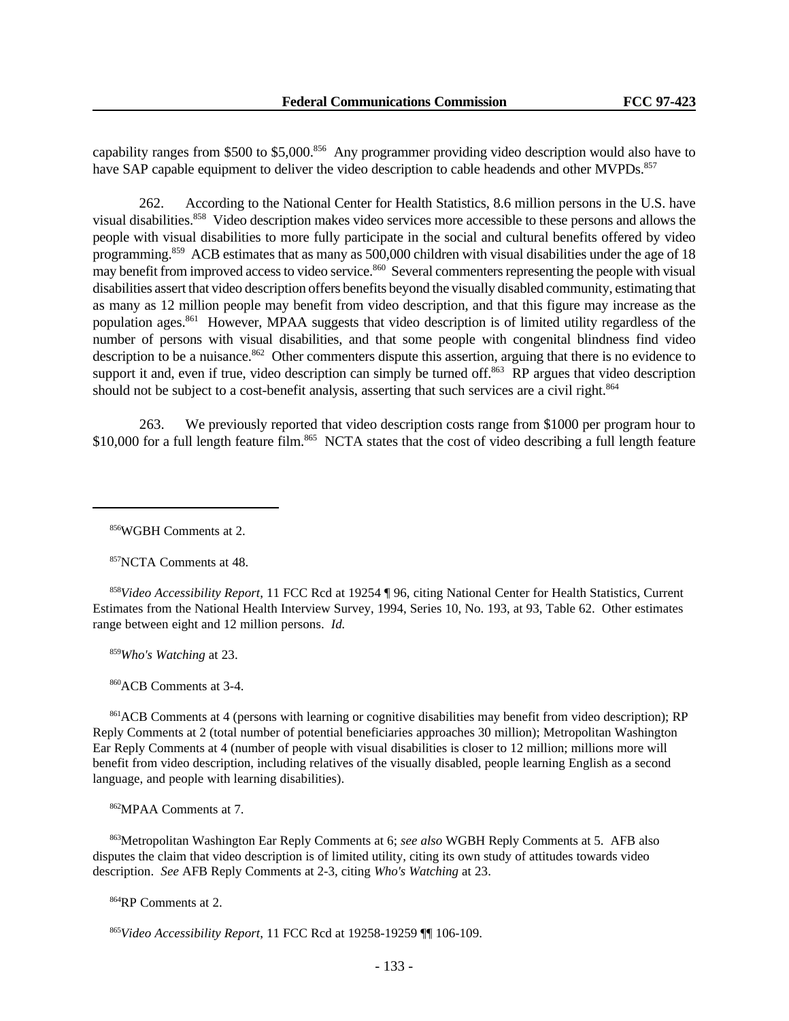capability ranges from \$500 to \$5,000.<sup>856</sup> Any programmer providing video description would also have to have SAP capable equipment to deliver the video description to cable headends and other MVPDs.<sup>857</sup>

262. According to the National Center for Health Statistics, 8.6 million persons in the U.S. have visual disabilities.<sup>858</sup> Video description makes video services more accessible to these persons and allows the people with visual disabilities to more fully participate in the social and cultural benefits offered by video programming.<sup>859</sup> ACB estimates that as many as 500,000 children with visual disabilities under the age of 18 may benefit from improved access to video service.<sup>860</sup> Several commenters representing the people with visual disabilities assert that video description offers benefits beyond the visually disabled community, estimating that as many as 12 million people may benefit from video description, and that this figure may increase as the population ages.<sup>861</sup> However, MPAA suggests that video description is of limited utility regardless of the number of persons with visual disabilities, and that some people with congenital blindness find video description to be a nuisance.<sup>862</sup> Other commenters dispute this assertion, arguing that there is no evidence to support it and, even if true, video description can simply be turned off.<sup>863</sup> RP argues that video description should not be subject to a cost-benefit analysis, asserting that such services are a civil right.<sup>864</sup>

263. We previously reported that video description costs range from \$1000 per program hour to \$10,000 for a full length feature film.<sup>865</sup> NCTA states that the cost of video describing a full length feature

<sup>856</sup>WGBH Comments at 2.

<sup>857</sup>NCTA Comments at 48.

<sup>858</sup>*Video Accessibility Report*, 11 FCC Rcd at 19254 ¶ 96, citing National Center for Health Statistics, Current Estimates from the National Health Interview Survey, 1994, Series 10, No. 193, at 93, Table 62. Other estimates range between eight and 12 million persons. *Id.*

<sup>859</sup>*Who's Watching* at 23.

<sup>860</sup>ACB Comments at 3-4.

<sup>861</sup>ACB Comments at 4 (persons with learning or cognitive disabilities may benefit from video description); RP Reply Comments at 2 (total number of potential beneficiaries approaches 30 million); Metropolitan Washington Ear Reply Comments at 4 (number of people with visual disabilities is closer to 12 million; millions more will benefit from video description, including relatives of the visually disabled, people learning English as a second language, and people with learning disabilities).

<sup>862</sup>MPAA Comments at 7.

<sup>863</sup>Metropolitan Washington Ear Reply Comments at 6; *see also* WGBH Reply Comments at 5. AFB also disputes the claim that video description is of limited utility, citing its own study of attitudes towards video description. *See* AFB Reply Comments at 2-3, citing *Who's Watching* at 23.

<sup>864</sup>RP Comments at 2.

<sup>865</sup>*Video Accessibility Report*, 11 FCC Rcd at 19258-19259 ¶¶ 106-109.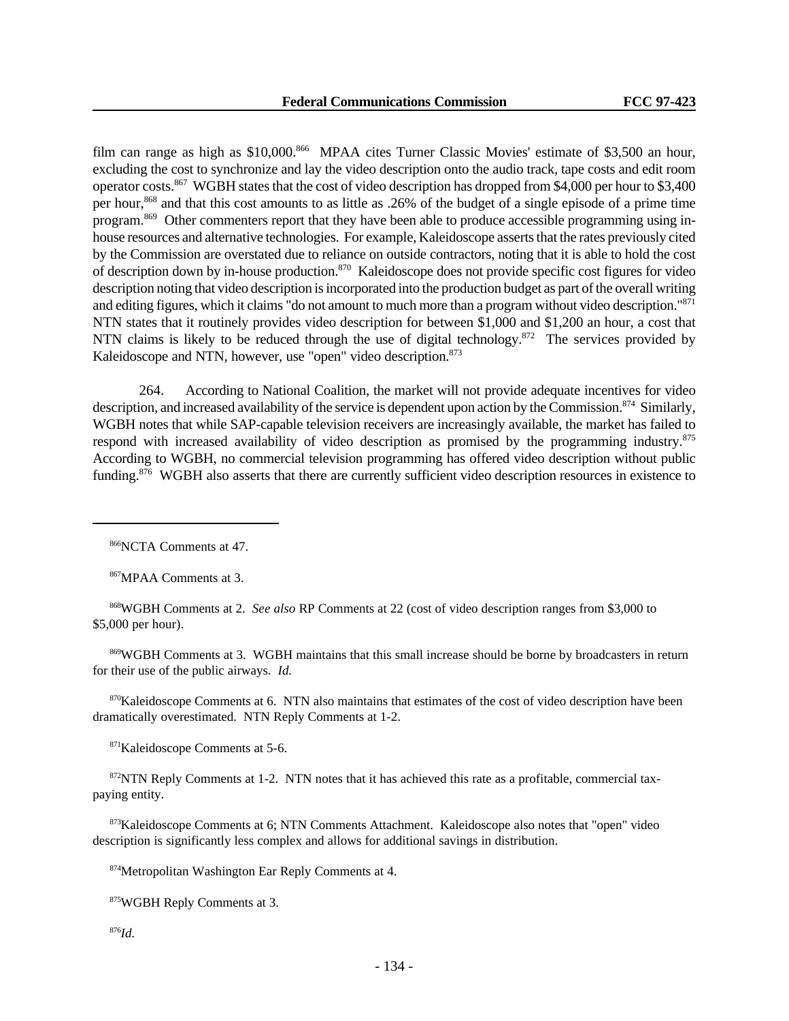film can range as high as \$10,000.<sup>866</sup> MPAA cites Turner Classic Movies' estimate of \$3,500 an hour, excluding the cost to synchronize and lay the video description onto the audio track, tape costs and edit room operator costs.<sup>867</sup> WGBH states that the cost of video description has dropped from \$4,000 per hour to \$3,400 per hour,<sup>868</sup> and that this cost amounts to as little as .26% of the budget of a single episode of a prime time program.869 Other commenters report that they have been able to produce accessible programming using inhouse resources and alternative technologies. For example, Kaleidoscope asserts that the rates previously cited by the Commission are overstated due to reliance on outside contractors, noting that it is able to hold the cost of description down by in-house production.<sup>870</sup> Kaleidoscope does not provide specific cost figures for video description noting that video description is incorporated into the production budget as part of the overall writing and editing figures, which it claims "do not amount to much more than a program without video description."<sup>871</sup> NTN states that it routinely provides video description for between \$1,000 and \$1,200 an hour, a cost that NTN claims is likely to be reduced through the use of digital technology.<sup>872</sup> The services provided by Kaleidoscope and NTN, however, use "open" video description.<sup>873</sup>

264. According to National Coalition, the market will not provide adequate incentives for video description, and increased availability of the service is dependent upon action by the Commission.<sup>874</sup> Similarly, WGBH notes that while SAP-capable television receivers are increasingly available, the market has failed to respond with increased availability of video description as promised by the programming industry.<sup>875</sup> According to WGBH, no commercial television programming has offered video description without public funding.<sup>876</sup> WGBH also asserts that there are currently sufficient video description resources in existence to

<sup>867</sup>MPAA Comments at 3.

<sup>868</sup>WGBH Comments at 2. *See also* RP Comments at 22 (cost of video description ranges from \$3,000 to \$5,000 per hour).

<sup>869</sup>WGBH Comments at 3. WGBH maintains that this small increase should be borne by broadcasters in return for their use of the public airways. *Id.*

870Kaleidoscope Comments at 6. NTN also maintains that estimates of the cost of video description have been dramatically overestimated. NTN Reply Comments at 1-2.

<sup>871</sup>Kaleidoscope Comments at 5-6.

872NTN Reply Comments at 1-2. NTN notes that it has achieved this rate as a profitable, commercial taxpaying entity.

<sup>873</sup>Kaleidoscope Comments at 6; NTN Comments Attachment. Kaleidoscope also notes that "open" video description is significantly less complex and allows for additional savings in distribution.

<sup>874</sup>Metropolitan Washington Ear Reply Comments at 4.

<sup>875</sup>WGBH Reply Comments at 3.

<sup>876</sup>*Id.*

<sup>866</sup>NCTA Comments at 47.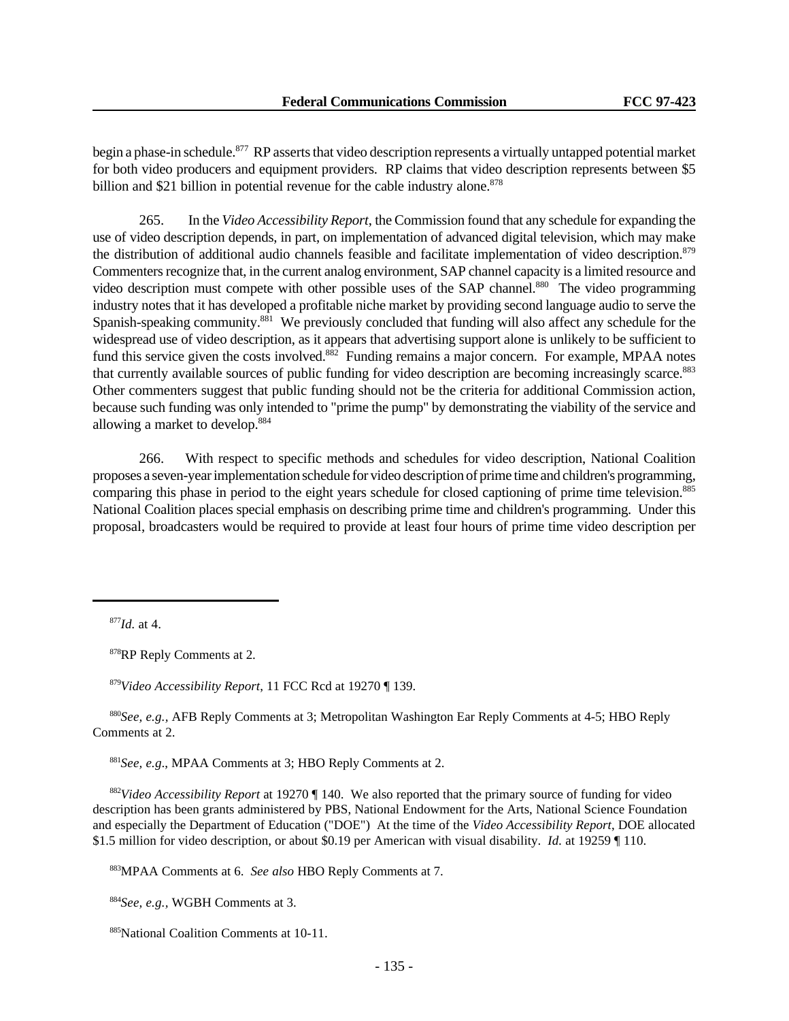begin a phase-in schedule.<sup>877</sup> RP asserts that video description represents a virtually untapped potential market for both video producers and equipment providers. RP claims that video description represents between \$5 billion and \$21 billion in potential revenue for the cable industry alone.<sup>878</sup>

265. In the *Video Accessibility Report*, the Commission found that any schedule for expanding the use of video description depends, in part, on implementation of advanced digital television, which may make the distribution of additional audio channels feasible and facilitate implementation of video description.<sup>879</sup> Commenters recognize that, in the current analog environment, SAP channel capacity is a limited resource and video description must compete with other possible uses of the SAP channel.<sup>880</sup> The video programming industry notes that it has developed a profitable niche market by providing second language audio to serve the Spanish-speaking community.<sup>881</sup> We previously concluded that funding will also affect any schedule for the widespread use of video description, as it appears that advertising support alone is unlikely to be sufficient to fund this service given the costs involved.<sup>882</sup> Funding remains a major concern. For example, MPAA notes that currently available sources of public funding for video description are becoming increasingly scarce.<sup>883</sup> Other commenters suggest that public funding should not be the criteria for additional Commission action, because such funding was only intended to "prime the pump" by demonstrating the viability of the service and allowing a market to develop.<sup>884</sup>

266. With respect to specific methods and schedules for video description, National Coalition proposes a seven-year implementation schedule for video description of prime time and children's programming, comparing this phase in period to the eight years schedule for closed captioning of prime time television.<sup>885</sup> National Coalition places special emphasis on describing prime time and children's programming. Under this proposal, broadcasters would be required to provide at least four hours of prime time video description per

<sup>878</sup>RP Reply Comments at 2.

<sup>879</sup>*Video Accessibility Report*, 11 FCC Rcd at 19270 ¶ 139.

<sup>880</sup>*See, e.g.,* AFB Reply Comments at 3; Metropolitan Washington Ear Reply Comments at 4-5; HBO Reply Comments at 2.

<sup>881</sup>*See, e.g*., MPAA Comments at 3; HBO Reply Comments at 2.

<sup>882</sup>*Video Accessibility Report* at 19270 ¶ 140. We also reported that the primary source of funding for video description has been grants administered by PBS, National Endowment for the Arts, National Science Foundation and especially the Department of Education ("DOE") At the time of the *Video Accessibility Report*, DOE allocated \$1.5 million for video description, or about \$0.19 per American with visual disability. *Id.* at 19259 ¶ 110.

<sup>883</sup>MPAA Comments at 6. *See also* HBO Reply Comments at 7.

<sup>884</sup>*See, e.g.,* WGBH Comments at 3.

<sup>885</sup>National Coalition Comments at 10-11.

<sup>877</sup>*Id.* at 4.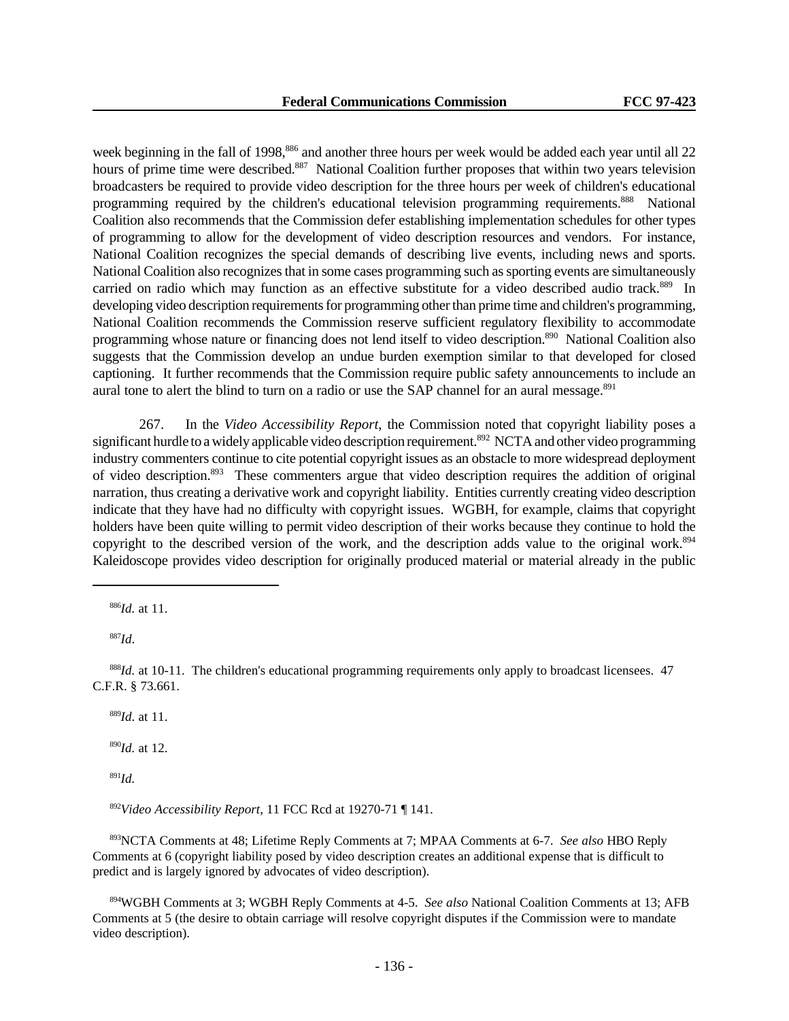week beginning in the fall of 1998,<sup>886</sup> and another three hours per week would be added each year until all 22 hours of prime time were described.<sup>887</sup> National Coalition further proposes that within two years television broadcasters be required to provide video description for the three hours per week of children's educational programming required by the children's educational television programming requirements.<sup>888</sup> National Coalition also recommends that the Commission defer establishing implementation schedules for other types of programming to allow for the development of video description resources and vendors. For instance, National Coalition recognizes the special demands of describing live events, including news and sports. National Coalition also recognizes that in some cases programming such as sporting events are simultaneously carried on radio which may function as an effective substitute for a video described audio track.<sup>889</sup> In developing video description requirements for programming other than prime time and children's programming, National Coalition recommends the Commission reserve sufficient regulatory flexibility to accommodate programming whose nature or financing does not lend itself to video description.<sup>890</sup> National Coalition also suggests that the Commission develop an undue burden exemption similar to that developed for closed captioning. It further recommends that the Commission require public safety announcements to include an aural tone to alert the blind to turn on a radio or use the SAP channel for an aural message.<sup>891</sup>

267. In the *Video Accessibility Report*, the Commission noted that copyright liability poses a significant hurdle to a widely applicable video description requirement.<sup>892</sup> NCTA and other video programming industry commenters continue to cite potential copyright issues as an obstacle to more widespread deployment of video description.<sup>893</sup> These commenters argue that video description requires the addition of original narration, thus creating a derivative work and copyright liability. Entities currently creating video description indicate that they have had no difficulty with copyright issues. WGBH, for example, claims that copyright holders have been quite willing to permit video description of their works because they continue to hold the copyright to the described version of the work, and the description adds value to the original work.<sup>894</sup> Kaleidoscope provides video description for originally produced material or material already in the public

<sup>886</sup>*Id.* at 11.

<sup>887</sup>*Id*.

<sup>888</sup>*Id.* at 10-11. The children's educational programming requirements only apply to broadcast licensees. 47 C.F.R. § 73.661.

<sup>889</sup>*Id*. at 11.

<sup>890</sup>*Id.* at 12.

<sup>891</sup>*Id.*

<sup>892</sup>*Video Accessibility Report*, 11 FCC Rcd at 19270-71 ¶ 141.

<sup>893</sup>NCTA Comments at 48; Lifetime Reply Comments at 7; MPAA Comments at 6-7. *See also* HBO Reply Comments at 6 (copyright liability posed by video description creates an additional expense that is difficult to predict and is largely ignored by advocates of video description).

<sup>894</sup>WGBH Comments at 3; WGBH Reply Comments at 4-5. *See also* National Coalition Comments at 13; AFB Comments at 5 (the desire to obtain carriage will resolve copyright disputes if the Commission were to mandate video description).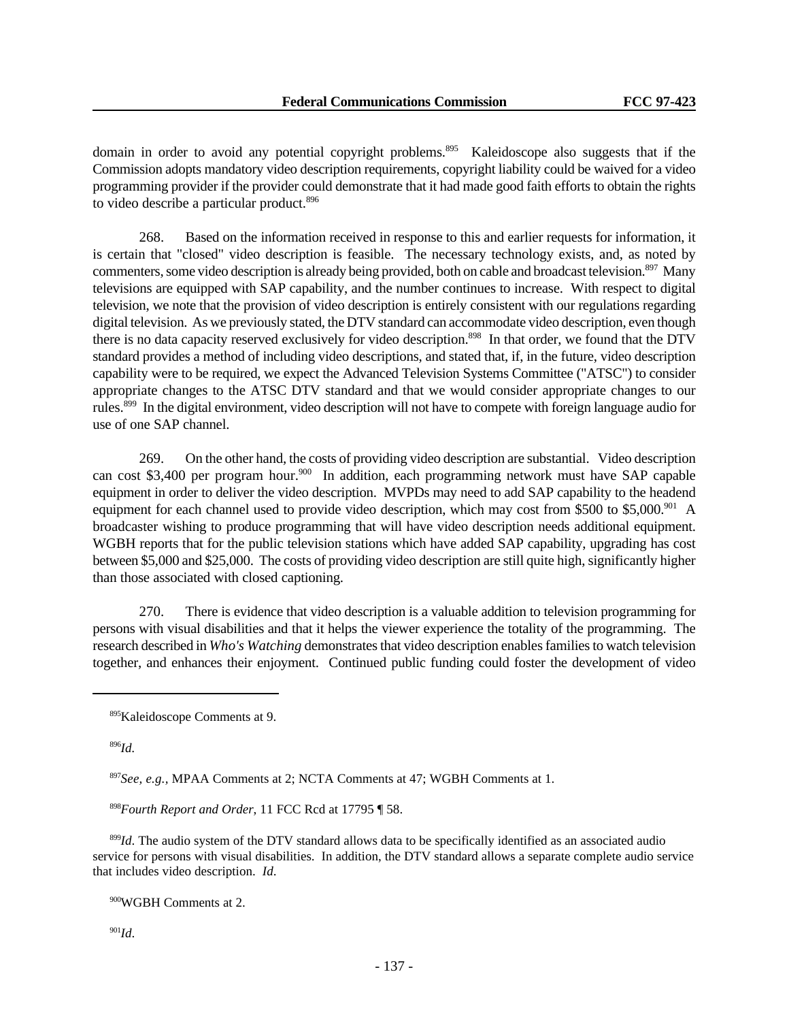domain in order to avoid any potential copyright problems.<sup>895</sup> Kaleidoscope also suggests that if the Commission adopts mandatory video description requirements, copyright liability could be waived for a video programming provider if the provider could demonstrate that it had made good faith efforts to obtain the rights to video describe a particular product.<sup>896</sup>

268. Based on the information received in response to this and earlier requests for information, it is certain that "closed" video description is feasible. The necessary technology exists, and, as noted by commenters, some video description is already being provided, both on cable and broadcast television.<sup>897</sup> Many televisions are equipped with SAP capability, and the number continues to increase. With respect to digital television, we note that the provision of video description is entirely consistent with our regulations regarding digital television. As we previously stated, the DTV standard can accommodate video description, even though there is no data capacity reserved exclusively for video description.<sup>898</sup> In that order, we found that the DTV standard provides a method of including video descriptions, and stated that, if, in the future, video description capability were to be required, we expect the Advanced Television Systems Committee ("ATSC") to consider appropriate changes to the ATSC DTV standard and that we would consider appropriate changes to our rules.<sup>899</sup> In the digital environment, video description will not have to compete with foreign language audio for use of one SAP channel.

269. On the other hand, the costs of providing video description are substantial. Video description can cost \$3,400 per program hour.<sup>900</sup> In addition, each programming network must have SAP capable equipment in order to deliver the video description. MVPDs may need to add SAP capability to the headend equipment for each channel used to provide video description, which may cost from \$500 to \$5,000.<sup>901</sup> A broadcaster wishing to produce programming that will have video description needs additional equipment. WGBH reports that for the public television stations which have added SAP capability, upgrading has cost between \$5,000 and \$25,000. The costs of providing video description are still quite high, significantly higher than those associated with closed captioning.

270. There is evidence that video description is a valuable addition to television programming for persons with visual disabilities and that it helps the viewer experience the totality of the programming. The research described in *Who's Watching* demonstrates that video description enables families to watch television together, and enhances their enjoyment. Continued public funding could foster the development of video

<sup>896</sup>*Id.*

<sup>897</sup>*See, e.g.,* MPAA Comments at 2; NCTA Comments at 47; WGBH Comments at 1.

<sup>898</sup>*Fourth Report and Order*, 11 FCC Rcd at 17795 ¶ 58.

<sup>899</sup>*Id*. The audio system of the DTV standard allows data to be specifically identified as an associated audio service for persons with visual disabilities. In addition, the DTV standard allows a separate complete audio service that includes video description. *Id*.

<sup>900</sup>WGBH Comments at 2.

 $901$ *Id.* 

<sup>895</sup>Kaleidoscope Comments at 9.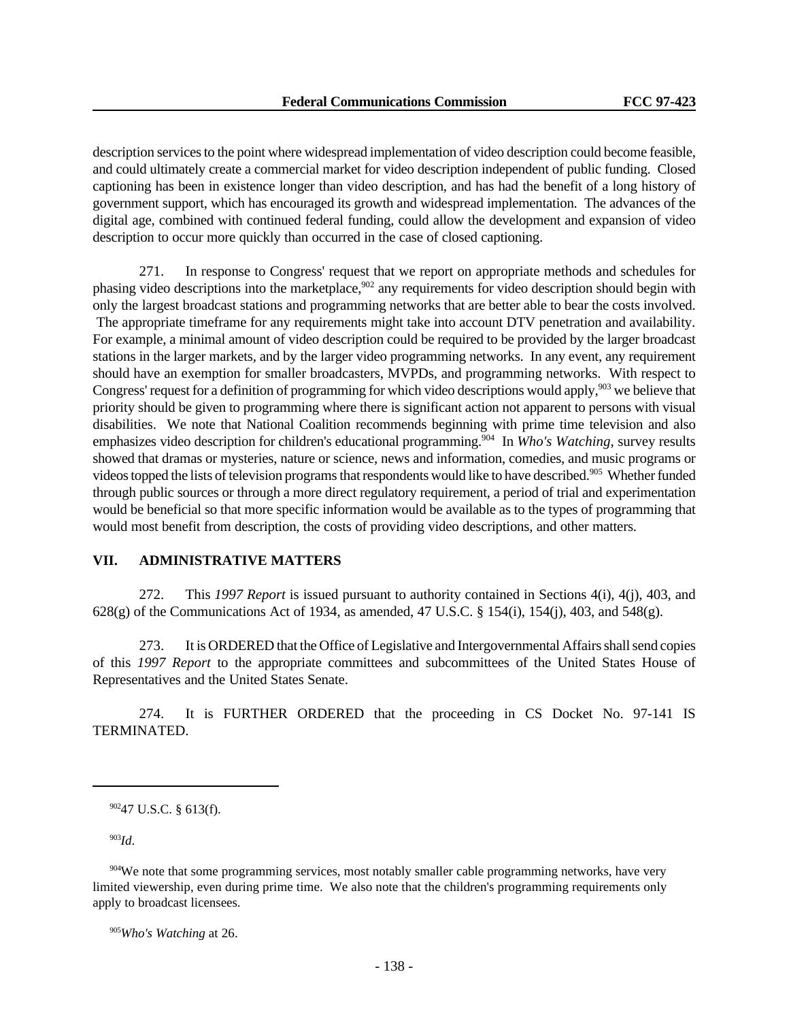description services to the point where widespread implementation of video description could become feasible, and could ultimately create a commercial market for video description independent of public funding. Closed captioning has been in existence longer than video description, and has had the benefit of a long history of government support, which has encouraged its growth and widespread implementation. The advances of the digital age, combined with continued federal funding, could allow the development and expansion of video description to occur more quickly than occurred in the case of closed captioning.

271. In response to Congress' request that we report on appropriate methods and schedules for phasing video descriptions into the marketplace,<sup>902</sup> any requirements for video description should begin with only the largest broadcast stations and programming networks that are better able to bear the costs involved. The appropriate timeframe for any requirements might take into account DTV penetration and availability. For example, a minimal amount of video description could be required to be provided by the larger broadcast stations in the larger markets, and by the larger video programming networks. In any event, any requirement should have an exemption for smaller broadcasters, MVPDs, and programming networks. With respect to Congress' request for a definition of programming for which video descriptions would apply,<sup>903</sup> we believe that priority should be given to programming where there is significant action not apparent to persons with visual disabilities. We note that National Coalition recommends beginning with prime time television and also emphasizes video description for children's educational programming.<sup>904</sup> In *Who's Watching*, survey results showed that dramas or mysteries, nature or science, news and information, comedies, and music programs or videos topped the lists of television programs that respondents would like to have described.<sup>905</sup> Whether funded through public sources or through a more direct regulatory requirement, a period of trial and experimentation would be beneficial so that more specific information would be available as to the types of programming that would most benefit from description, the costs of providing video descriptions, and other matters.

### **VII. ADMINISTRATIVE MATTERS**

272. This *1997 Report* is issued pursuant to authority contained in Sections 4(i), 4(j), 403, and 628(g) of the Communications Act of 1934, as amended, 47 U.S.C. § 154(i), 154(j), 403, and 548(g).

273. It is ORDERED that the Office of Legislative and Intergovernmental Affairs shall send copies of this *1997 Report* to the appropriate committees and subcommittees of the United States House of Representatives and the United States Senate.

274. It is FURTHER ORDERED that the proceeding in CS Docket No. 97-141 IS TERMINATED.

<sup>902</sup>47 U.S.C. § 613(f).

<sup>903</sup>*Id*.

<sup>904</sup>We note that some programming services, most notably smaller cable programming networks, have very limited viewership, even during prime time. We also note that the children's programming requirements only apply to broadcast licensees.

<sup>905</sup>*Who's Watching* at 26.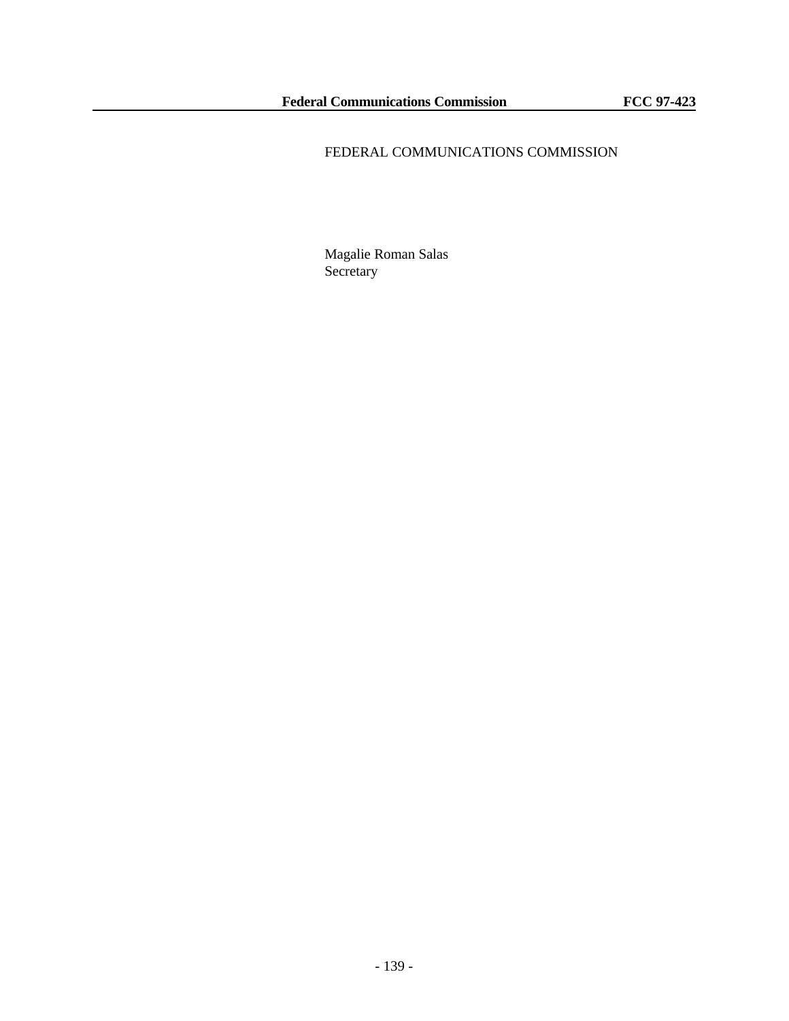# FEDERAL COMMUNICATIONS COMMISSION

Magalie Roman Salas Secretary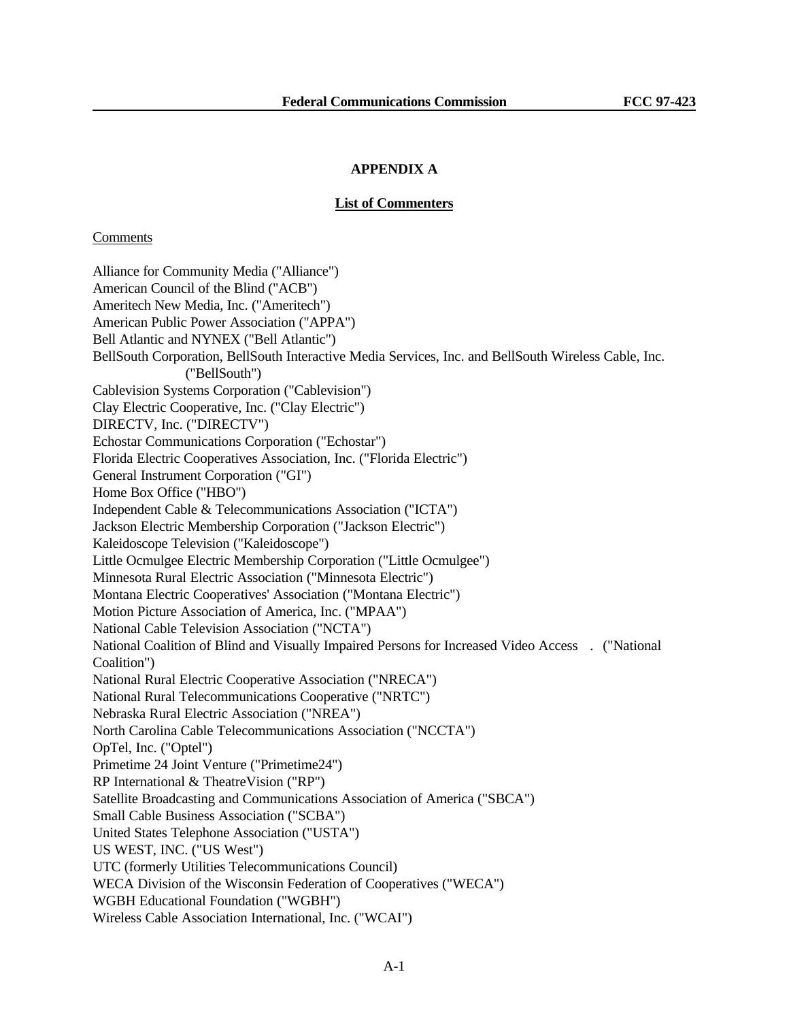# **APPENDIX A**

#### **List of Commenters**

#### Comments

Alliance for Community Media ("Alliance") American Council of the Blind ("ACB") Ameritech New Media, Inc. ("Ameritech") American Public Power Association ("APPA") Bell Atlantic and NYNEX ("Bell Atlantic") BellSouth Corporation, BellSouth Interactive Media Services, Inc. and BellSouth Wireless Cable, Inc. ("BellSouth") Cablevision Systems Corporation ("Cablevision") Clay Electric Cooperative, Inc. ("Clay Electric") DIRECTV, Inc. ("DIRECTV") Echostar Communications Corporation ("Echostar") Florida Electric Cooperatives Association, Inc. ("Florida Electric") General Instrument Corporation ("GI") Home Box Office ("HBO") Independent Cable & Telecommunications Association ("ICTA") Jackson Electric Membership Corporation ("Jackson Electric") Kaleidoscope Television ("Kaleidoscope") Little Ocmulgee Electric Membership Corporation ("Little Ocmulgee") Minnesota Rural Electric Association ("Minnesota Electric") Montana Electric Cooperatives' Association ("Montana Electric") Motion Picture Association of America, Inc. ("MPAA") National Cable Television Association ("NCTA") National Coalition of Blind and Visually Impaired Persons for Increased Video Access . ("National Coalition") National Rural Electric Cooperative Association ("NRECA") National Rural Telecommunications Cooperative ("NRTC") Nebraska Rural Electric Association ("NREA") North Carolina Cable Telecommunications Association ("NCCTA") OpTel, Inc. ("Optel") Primetime 24 Joint Venture ("Primetime24") RP International & TheatreVision ("RP") Satellite Broadcasting and Communications Association of America ("SBCA") Small Cable Business Association ("SCBA") United States Telephone Association ("USTA") US WEST, INC. ("US West") UTC (formerly Utilities Telecommunications Council) WECA Division of the Wisconsin Federation of Cooperatives ("WECA") WGBH Educational Foundation ("WGBH") Wireless Cable Association International, Inc. ("WCAI")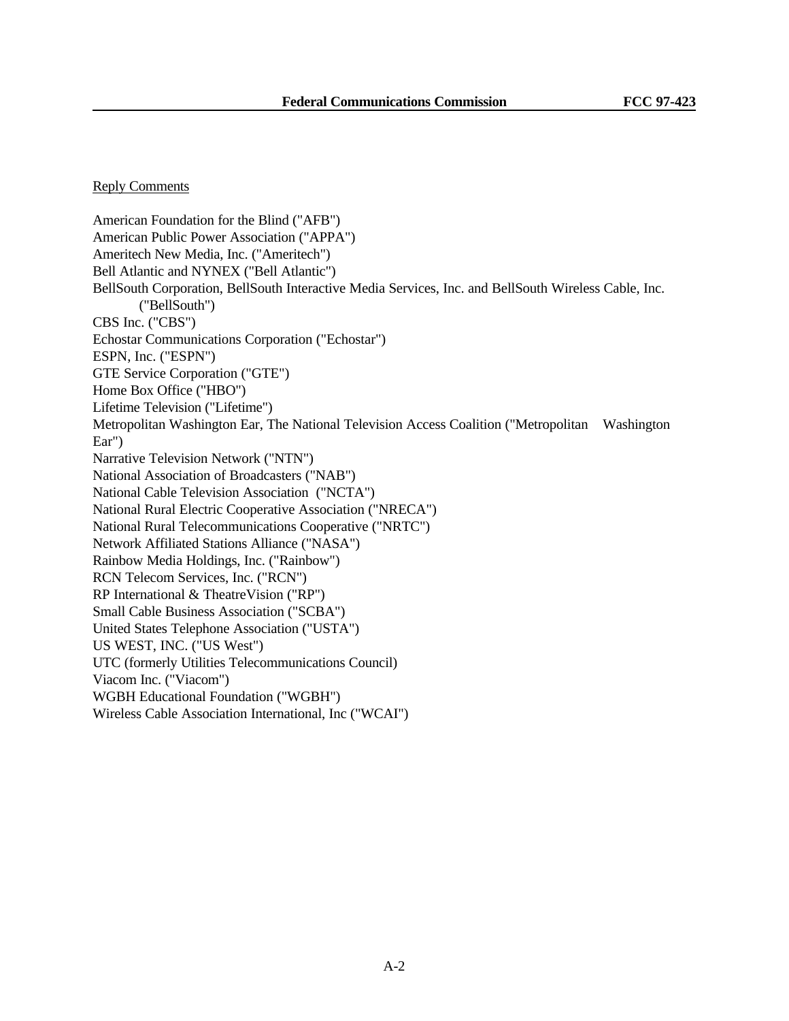### Reply Comments

American Foundation for the Blind ("AFB") American Public Power Association ("APPA") Ameritech New Media, Inc. ("Ameritech") Bell Atlantic and NYNEX ("Bell Atlantic") BellSouth Corporation, BellSouth Interactive Media Services, Inc. and BellSouth Wireless Cable, Inc. ("BellSouth") CBS Inc. ("CBS") Echostar Communications Corporation ("Echostar") ESPN, Inc. ("ESPN") GTE Service Corporation ("GTE") Home Box Office ("HBO") Lifetime Television ("Lifetime") Metropolitan Washington Ear, The National Television Access Coalition ("Metropolitan Washington Ear") Narrative Television Network ("NTN") National Association of Broadcasters ("NAB") National Cable Television Association ("NCTA") National Rural Electric Cooperative Association ("NRECA") National Rural Telecommunications Cooperative ("NRTC") Network Affiliated Stations Alliance ("NASA") Rainbow Media Holdings, Inc. ("Rainbow") RCN Telecom Services, Inc. ("RCN") RP International & TheatreVision ("RP") Small Cable Business Association ("SCBA") United States Telephone Association ("USTA") US WEST, INC. ("US West") UTC (formerly Utilities Telecommunications Council) Viacom Inc. ("Viacom") WGBH Educational Foundation ("WGBH") Wireless Cable Association International, Inc ("WCAI")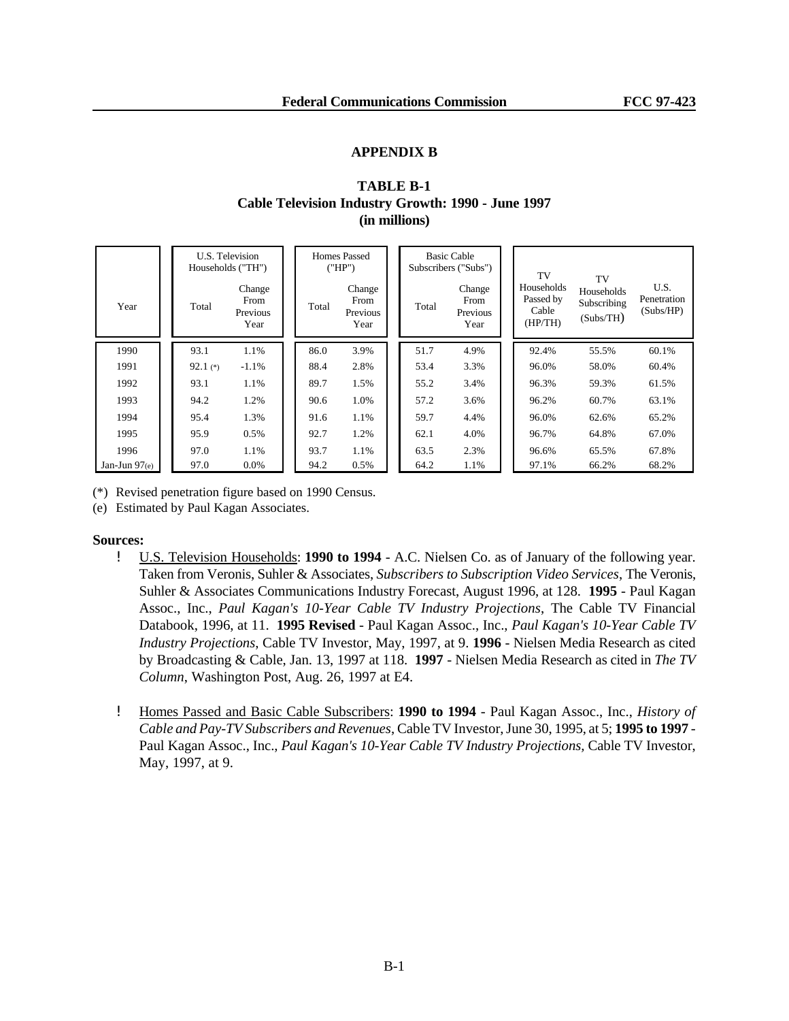#### **APPENDIX B**

# **TABLE B-1 Cable Television Industry Growth: 1990 - June 1997 (in millions)**

|                 | U.S. Television<br>Households ("TH") |                                    | <b>Homes Passed</b><br>("HP") |                                    | <b>Basic Cable</b><br>Subscribers ("Subs") |       |                                    | TV |                                             |                                              |                                  |
|-----------------|--------------------------------------|------------------------------------|-------------------------------|------------------------------------|--------------------------------------------|-------|------------------------------------|----|---------------------------------------------|----------------------------------------------|----------------------------------|
| Year            | Total                                | Change<br>From<br>Previous<br>Year | Total                         | Change<br>From<br>Previous<br>Year |                                            | Total | Change<br>From<br>Previous<br>Year |    | Households<br>Passed by<br>Cable<br>(HP/TH) | TV<br>Households<br>Subscribing<br>(Subs/TH) | U.S.<br>Penetration<br>(Subs/HP) |
| 1990            | 93.1                                 | 1.1%                               | 86.0                          | 3.9%                               |                                            | 51.7  | 4.9%                               |    | 92.4%                                       | 55.5%                                        | 60.1%                            |
| 1991            | 92.1 $(*)$                           | $-1.1%$                            | 88.4                          | 2.8%                               |                                            | 53.4  | 3.3%                               |    | 96.0%                                       | 58.0%                                        | 60.4%                            |
| 1992            | 93.1                                 | 1.1%                               | 89.7                          | 1.5%                               |                                            | 55.2  | 3.4%                               |    | 96.3%                                       | 59.3%                                        | 61.5%                            |
| 1993            | 94.2                                 | 1.2%                               | 90.6                          | 1.0%                               |                                            | 57.2  | 3.6%                               |    | 96.2%                                       | 60.7%                                        | 63.1%                            |
| 1994            | 95.4                                 | 1.3%                               | 91.6                          | 1.1%                               |                                            | 59.7  | 4.4%                               |    | 96.0%                                       | 62.6%                                        | 65.2%                            |
| 1995            | 95.9                                 | 0.5%                               | 92.7                          | 1.2%                               |                                            | 62.1  | 4.0%                               |    | 96.7%                                       | 64.8%                                        | 67.0%                            |
| 1996            | 97.0                                 | 1.1%                               | 93.7                          | 1.1%                               |                                            | 63.5  | 2.3%                               |    | 96.6%                                       | 65.5%                                        | 67.8%                            |
| Jan-Jun $97(e)$ | 97.0                                 | 0.0%                               | 94.2                          | 0.5%                               |                                            | 64.2  | 1.1%                               |    | 97.1%                                       | 66.2%                                        | 68.2%                            |

(\*) Revised penetration figure based on 1990 Census.

(e) Estimated by Paul Kagan Associates.

### **Sources:**

- ! U.S. Television Households: **1990 to 1994** A.C. Nielsen Co. as of January of the following year. Taken from Veronis, Suhler & Associates, *Subscribers to Subscription Video Services*, The Veronis, Suhler & Associates Communications Industry Forecast, August 1996, at 128. **1995** - Paul Kagan Assoc., Inc., *Paul Kagan's 10-Year Cable TV Industry Projections*, The Cable TV Financial Databook, 1996, at 11. **1995 Revised** - Paul Kagan Assoc., Inc., *Paul Kagan's 10-Year Cable TV Industry Projections*, Cable TV Investor, May, 1997, at 9. **1996** - Nielsen Media Research as cited by Broadcasting & Cable, Jan. 13, 1997 at 118. **1997** - Nielsen Media Research as cited in *The TV Column*, Washington Post, Aug. 26, 1997 at E4.
- ! Homes Passed and Basic Cable Subscribers: **1990 to 1994** Paul Kagan Assoc., Inc., *History of Cable and Pay-TV Subscribers and Revenues*, Cable TV Investor, June 30, 1995, at 5; **1995 to 1997** - Paul Kagan Assoc., Inc., *Paul Kagan's 10-Year Cable TV Industry Projections,* Cable TV Investor, May, 1997, at 9.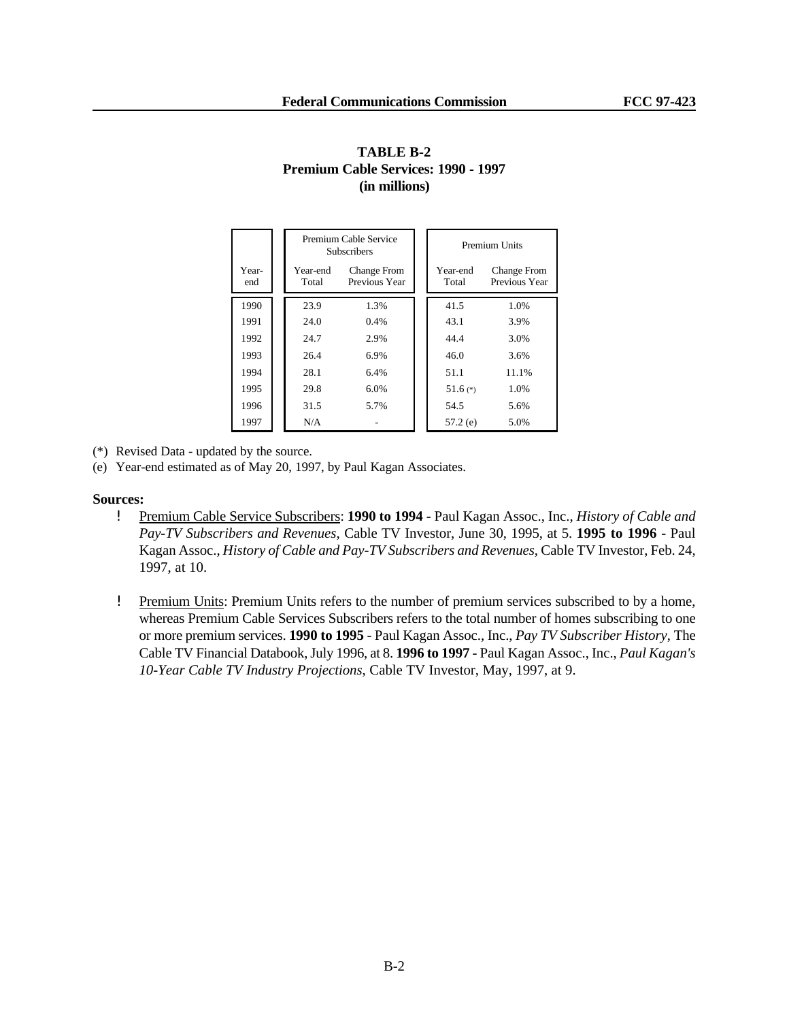|              |                   | Premium Cable Service<br><b>Subscribers</b> |  | Premium Units |                                     |  |  |  |
|--------------|-------------------|---------------------------------------------|--|---------------|-------------------------------------|--|--|--|
| Year-<br>end | Year-end<br>Total | <b>Change From</b><br>Previous Year         |  |               | <b>Change From</b><br>Previous Year |  |  |  |
| 1990         | 23.9              | 1.3%                                        |  | 41.5          | 1.0%                                |  |  |  |
| 1991         | 24.0              | $0.4\%$                                     |  | 43.1          | 3.9%                                |  |  |  |
| 1992         | 24.7              | 2.9%                                        |  | 44.4          | 3.0%                                |  |  |  |
| 1993         | 26.4              | 6.9%                                        |  | 46.0          | 3.6%                                |  |  |  |
| 1994         | 28.1              | 6.4%                                        |  | 51.1          | 11.1%                               |  |  |  |
| 1995         | 29.8              | 6.0%                                        |  | 51.6 $(*)$    | 1.0%                                |  |  |  |
| 1996         | 31.5              | 5.7%                                        |  | 54.5          | 5.6%                                |  |  |  |
| 1997         | N/A               |                                             |  | $57.2$ (e)    | 5.0%                                |  |  |  |

# **TABLE B-2 Premium Cable Services: 1990 - 1997 (in millions)**

(\*) Revised Data - updated by the source.

(e) Year-end estimated as of May 20, 1997, by Paul Kagan Associates.

#### **Sources:**

- ! Premium Cable Service Subscribers: **1990 to 1994** Paul Kagan Assoc., Inc., *History of Cable and Pay-TV Subscribers and Revenues*, Cable TV Investor, June 30, 1995, at 5. **1995 to 1996** - Paul Kagan Assoc., *History of Cable and Pay-TV Subscribers and Revenues*, Cable TV Investor, Feb. 24, 1997, at 10.
- ! Premium Units: Premium Units refers to the number of premium services subscribed to by a home, whereas Premium Cable Services Subscribers refers to the total number of homes subscribing to one or more premium services. **1990 to 1995** - Paul Kagan Assoc., Inc., *Pay TV Subscriber History*, The Cable TV Financial Databook, July 1996, at 8. **1996 to 1997** - Paul Kagan Assoc., Inc., *Paul Kagan's 10-Year Cable TV Industry Projections*, Cable TV Investor, May, 1997, at 9.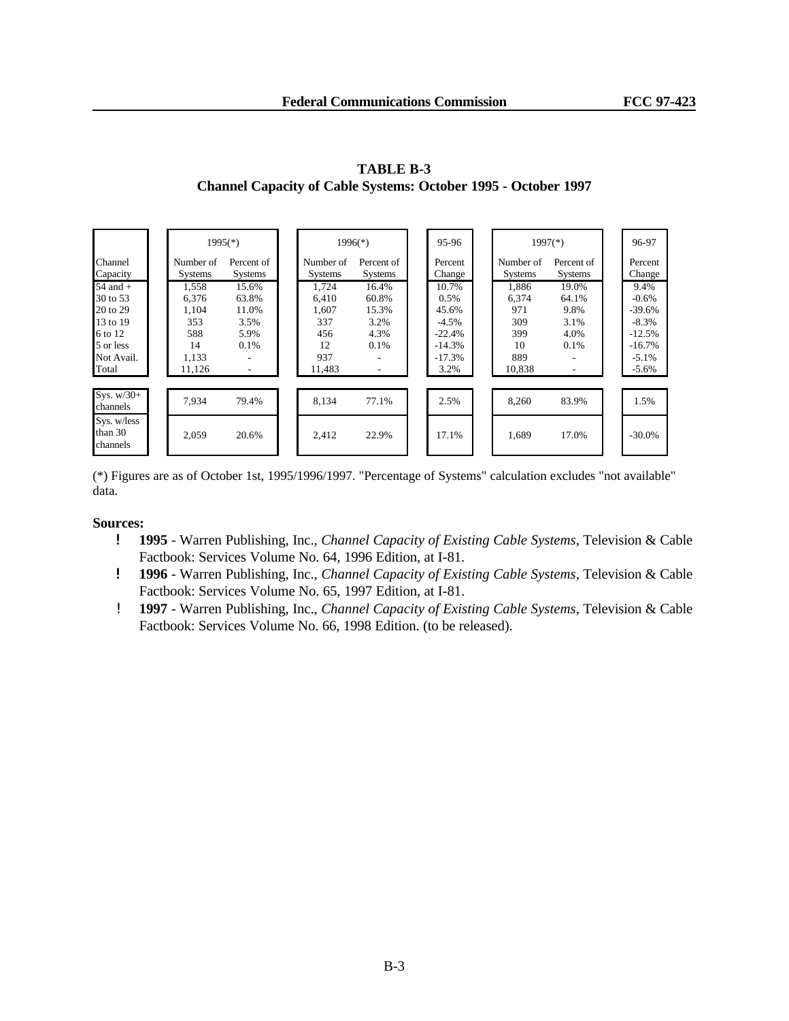|                                                                                                 | $1995(*)$                                                      |                                                                                   |  | $1996(*)$                                                    |                                                                                                         |  | 95-96                                                                         | $1997(*)$                                                  |                                                                                  | 96-97                                                                                |
|-------------------------------------------------------------------------------------------------|----------------------------------------------------------------|-----------------------------------------------------------------------------------|--|--------------------------------------------------------------|---------------------------------------------------------------------------------------------------------|--|-------------------------------------------------------------------------------|------------------------------------------------------------|----------------------------------------------------------------------------------|--------------------------------------------------------------------------------------|
| Channel<br>Capacity                                                                             | Number of<br><b>Systems</b>                                    | Percent of<br><b>Systems</b>                                                      |  | Number of<br><b>Systems</b>                                  | Percent of<br><b>Systems</b>                                                                            |  | Percent<br>Change                                                             | Number of<br><b>Systems</b>                                | Percent of<br><b>Systems</b>                                                     | Percent<br>Change                                                                    |
| $54$ and $+$<br>30 to 53<br>20 to 29<br>13 to 19<br>6 to 12<br>5 or less<br>Not Avail.<br>Total | 1,558<br>6.376<br>1,104<br>353<br>588<br>14<br>1,133<br>11,126 | 15.6%<br>63.8%<br>11.0%<br>3.5%<br>5.9%<br>0.1%<br>$\overline{\phantom{a}}$<br>٠. |  | 1,724<br>6.410<br>1,607<br>337<br>456<br>12<br>937<br>11,483 | 16.4%<br>60.8%<br>15.3%<br>3.2%<br>4.3%<br>0.1%<br>$\overline{\phantom{a}}$<br>$\overline{\phantom{a}}$ |  | 10.7%<br>0.5%<br>45.6%<br>$-4.5%$<br>$-22.4%$<br>$-14.3%$<br>$-17.3%$<br>3.2% | 1,886<br>6,374<br>971<br>309<br>399<br>10<br>889<br>10.838 | 19.0%<br>64.1%<br>9.8%<br>3.1%<br>4.0%<br>0.1%<br>$\overline{\phantom{0}}$<br>۰. | 9.4%<br>$-0.6%$<br>$-39.6%$<br>$-8.3%$<br>$-12.5%$<br>$-16.7%$<br>$-5.1%$<br>$-5.6%$ |
| Sys. $w/30+$<br>channels                                                                        | 7.934                                                          | 79.4%                                                                             |  | 8,134                                                        | 77.1%                                                                                                   |  | 2.5%                                                                          | 8,260                                                      | 83.9%                                                                            | 1.5%                                                                                 |
| Sys. w/less<br>than 30<br>channels                                                              | 2,059                                                          | 20.6%                                                                             |  | 2,412                                                        | 22.9%                                                                                                   |  | 17.1%                                                                         | 1,689                                                      | 17.0%                                                                            | $-30.0\%$                                                                            |

**TABLE B-3 Channel Capacity of Cable Systems: October 1995 - October 1997**

(\*) Figures are as of October 1st, 1995/1996/1997. "Percentage of Systems" calculation excludes "not available" data.

### **Sources:**

- ! **1995** Warren Publishing, Inc., *Channel Capacity of Existing Cable Systems*, Television & Cable Factbook: Services Volume No. 64, 1996 Edition, at I-81.
- ! **1996**  Warren Publishing, Inc., *Channel Capacity of Existing Cable Systems*, Television & Cable Factbook: Services Volume No. 65, 1997 Edition, at I-81.
- ! **1997**  Warren Publishing, Inc., *Channel Capacity of Existing Cable Systems*, Television & Cable Factbook: Services Volume No. 66, 1998 Edition. (to be released).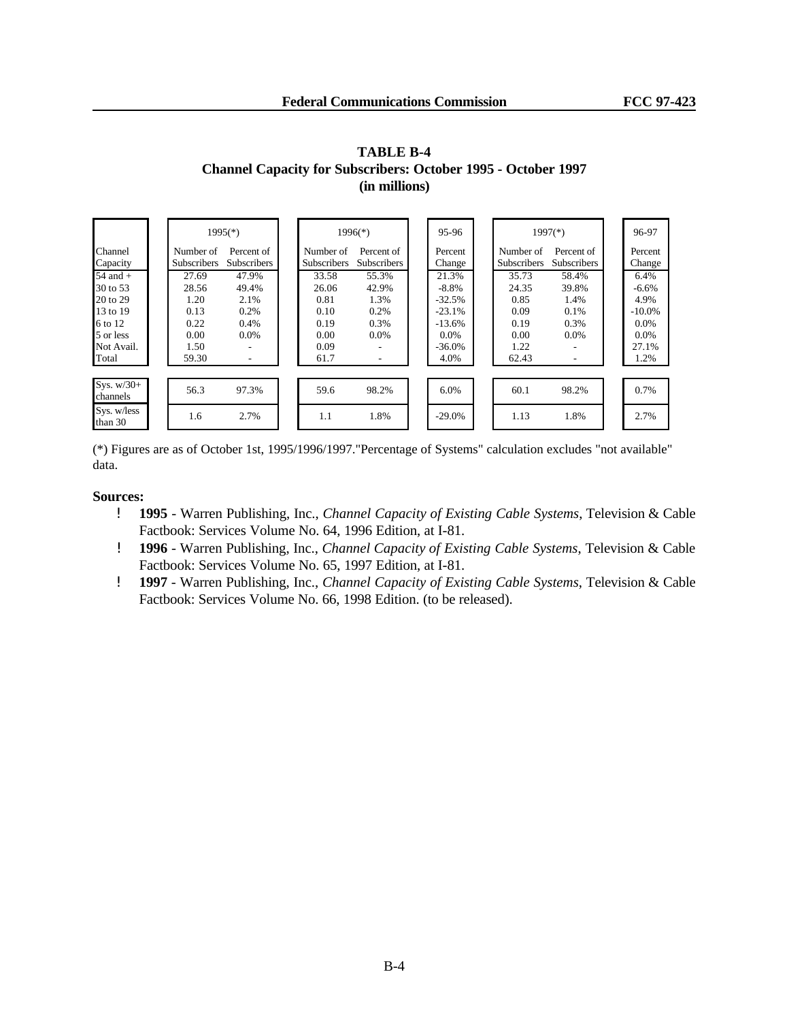|                                                                                                 |                                                                 | $1995$ <sup>(*)</sup>                                        |                                                                | $1996(*)$                                                                     | 95-96                                                                             |                                                                 | $1997$ <sup>(*)</sup>                          | 96-97                                                                       |
|-------------------------------------------------------------------------------------------------|-----------------------------------------------------------------|--------------------------------------------------------------|----------------------------------------------------------------|-------------------------------------------------------------------------------|-----------------------------------------------------------------------------------|-----------------------------------------------------------------|------------------------------------------------|-----------------------------------------------------------------------------|
| Channel<br>Capacity                                                                             | Number of<br><b>Subscribers</b>                                 | Percent of<br><b>Subscribers</b>                             | Number of<br><b>Subscribers</b>                                | Percent of<br><b>Subscribers</b>                                              | Percent<br>Change                                                                 | Number of<br><b>Subscribers</b>                                 | Percent of<br><b>Subscribers</b>               | Percent<br>Change                                                           |
| $54$ and $+$<br>30 to 53<br>20 to 29<br>13 to 19<br>6 to 12<br>5 or less<br>Not Avail.<br>Total | 27.69<br>28.56<br>1.20<br>0.13<br>0.22<br>0.00<br>1.50<br>59.30 | 47.9%<br>49.4%<br>2.1%<br>0.2%<br>0.4%<br>$0.0\%$<br>۰.<br>۰ | 33.58<br>26.06<br>0.81<br>0.10<br>0.19<br>0.00<br>0.09<br>61.7 | 55.3%<br>42.9%<br>1.3%<br>0.2%<br>0.3%<br>$0.0\%$<br>$\overline{\phantom{a}}$ | 21.3%<br>$-8.8\%$<br>$-32.5%$<br>$-23.1%$<br>$-13.6%$<br>0.0%<br>$-36.0%$<br>4.0% | 35.73<br>24.35<br>0.85<br>0.09<br>0.19<br>0.00<br>1.22<br>62.43 | 58.4%<br>39.8%<br>1.4%<br>0.1%<br>0.3%<br>0.0% | 6.4%<br>$-6.6%$<br>4.9%<br>$-10.0\%$<br>$0.0\%$<br>$0.0\%$<br>27.1%<br>1.2% |
| Sys. $w/30+$<br>channels                                                                        | 56.3                                                            | 97.3%                                                        | 59.6                                                           | 98.2%                                                                         | 6.0%                                                                              | 60.1                                                            | 98.2%                                          | 0.7%                                                                        |
| Sys. w/less<br>than 30                                                                          | 1.6                                                             | 2.7%                                                         | 1.1                                                            | 1.8%                                                                          | $-29.0%$                                                                          | 1.13                                                            | 1.8%                                           | 2.7%                                                                        |

## **TABLE B-4 Channel Capacity for Subscribers: October 1995 - October 1997 (in millions)**

(\*) Figures are as of October 1st, 1995/1996/1997."Percentage of Systems" calculation excludes "not available" data.

- ! **1995** Warren Publishing, Inc., *Channel Capacity of Existing Cable Systems*, Television & Cable Factbook: Services Volume No. 64, 1996 Edition, at I-81.
- ! **1996** Warren Publishing, Inc., *Channel Capacity of Existing Cable Systems*, Television & Cable Factbook: Services Volume No. 65, 1997 Edition, at I-81.
- ! **1997**  Warren Publishing, Inc., *Channel Capacity of Existing Cable Systems*, Television & Cable Factbook: Services Volume No. 66, 1998 Edition. (to be released).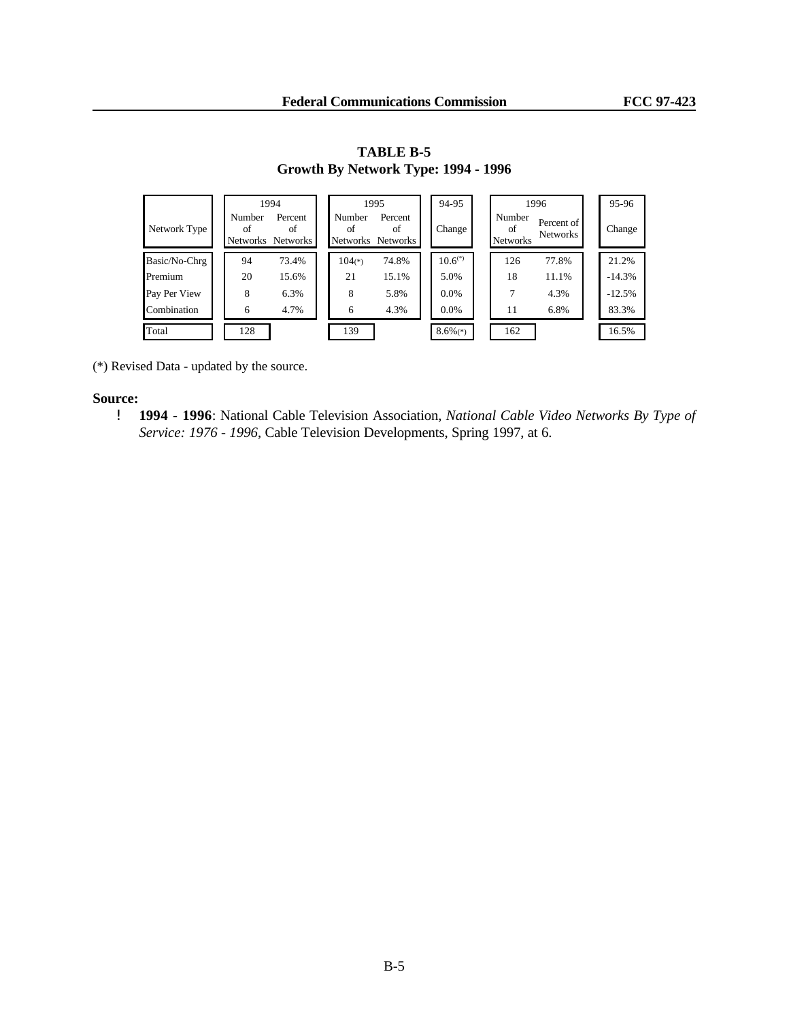|               |                          | 1994                             |              | 1995                               | 94-95                  |                                 | 1996                   | 95-96    |
|---------------|--------------------------|----------------------------------|--------------|------------------------------------|------------------------|---------------------------------|------------------------|----------|
| Network Type  | Number<br>of<br>Networks | Percent<br>οf<br><b>Networks</b> | Number<br>of | Percent<br>of<br>Networks Networks | Change                 | Number<br>ΩŤ<br><b>Networks</b> | Percent of<br>Networks | Change   |
| Basic/No-Chrg | 94                       | 73.4%                            | $104(*)$     | 74.8%                              | $10.6^{(*)}$           | 126                             | 77.8%                  | 21.2%    |
| Premium       | 20                       | 15.6%                            | 21           | 15.1%                              | 5.0%                   | 18                              | 11.1%                  | $-14.3%$ |
| Pay Per View  | 8                        | 6.3%                             | 8            | 5.8%                               | 0.0%                   |                                 | 4.3%                   | $-12.5%$ |
| Combination   | 6                        | 4.7%                             | 6            | 4.3%                               | $0.0\%$                | 11                              | 6.8%                   | 83.3%    |
| Total         | 128                      |                                  | 139          |                                    | $8.6\%$ <sup>(*)</sup> | 162                             |                        | 16.5%    |

**TABLE B-5 Growth By Network Type: 1994 - 1996**

(\*) Revised Data - updated by the source.

### **Source:**

! **1994 - 1996**: National Cable Television Association, *National Cable Video Networks By Type of Service: 1976 - 1996*, Cable Television Developments, Spring 1997, at 6.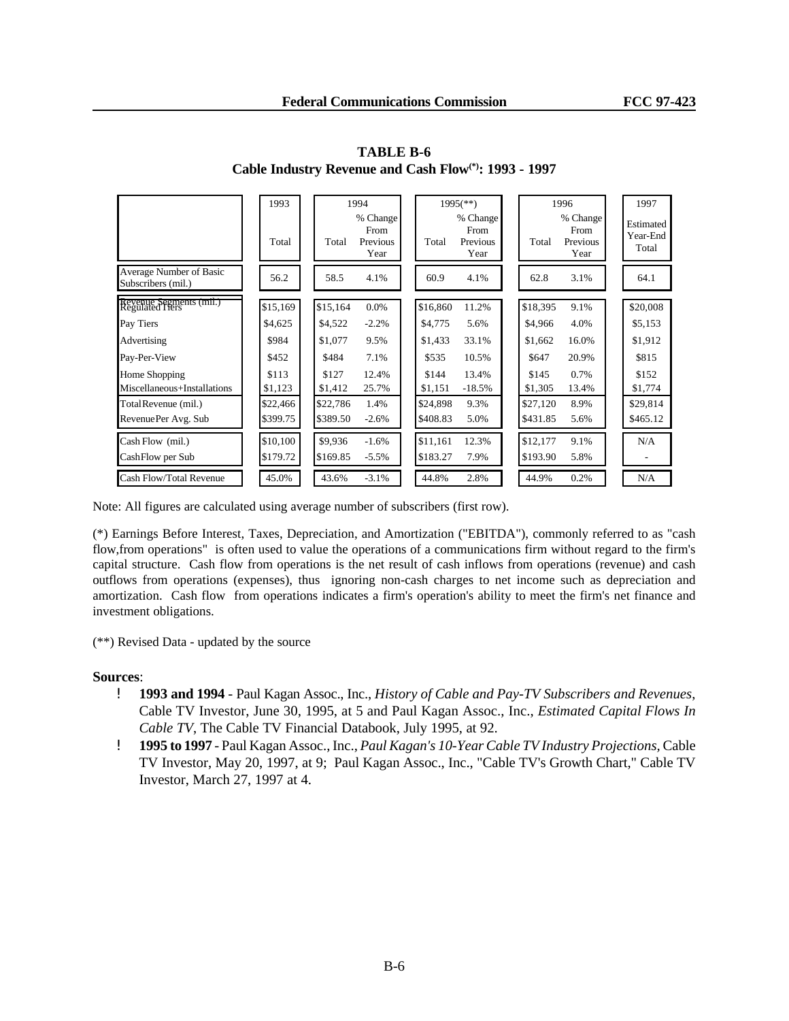|                                               | 1993     |          | 1994                                 |          | $1995$ <sup>(**)</sup> )             |  | 1996     |                                      | 1997                           |
|-----------------------------------------------|----------|----------|--------------------------------------|----------|--------------------------------------|--|----------|--------------------------------------|--------------------------------|
|                                               | Total    | Total    | % Change<br>From<br>Previous<br>Year | Total    | % Change<br>From<br>Previous<br>Year |  | Total    | % Change<br>From<br>Previous<br>Year | Estimated<br>Year-End<br>Total |
| Average Number of Basic<br>Subscribers (mil.) | 56.2     | 58.5     | 4.1%                                 | 60.9     | 4.1%                                 |  | 62.8     | 3.1%                                 | 64.1                           |
| Revenue Segments (mil.)<br>Regulated Fiers    | \$15,169 | \$15,164 | $0.0\%$                              | \$16,860 | 11.2%                                |  | \$18,395 | 9.1%                                 | \$20,008                       |
| Pay Tiers                                     | \$4,625  | \$4,522  | $-2.2%$                              | \$4,775  | 5.6%                                 |  | \$4,966  | 4.0%                                 | \$5,153                        |
| Advertising                                   | \$984    | \$1,077  | 9.5%                                 | \$1,433  | 33.1%                                |  | \$1,662  | 16.0%                                | \$1,912                        |
| Pay-Per-View                                  | \$452    | \$484    | 7.1%                                 | \$535    | 10.5%                                |  | \$647    | 20.9%                                | \$815                          |
| Home Shopping                                 | \$113    | \$127    | 12.4%                                | \$144    | 13.4%                                |  | \$145    | 0.7%                                 | \$152                          |
| Miscellaneous+Installations                   | \$1,123  | \$1,412  | 25.7%                                | \$1,151  | $-18.5%$                             |  | \$1,305  | 13.4%                                | \$1,774                        |
| Total Revenue (mil.)                          | \$22,466 | \$22,786 | 1.4%                                 | \$24,898 | 9.3%                                 |  | \$27,120 | 8.9%                                 | \$29,814                       |
| RevenuePer Avg. Sub                           | \$399.75 | \$389.50 | $-2.6%$                              | \$408.83 | 5.0%                                 |  | \$431.85 | 5.6%                                 | \$465.12                       |
| Cash Flow (mil.)                              | \$10,100 | \$9,936  | $-1.6%$                              | \$11,161 | 12.3%                                |  | \$12,177 | 9.1%                                 | N/A                            |
| CashFlow per Sub                              | \$179.72 | \$169.85 | $-5.5%$                              | \$183.27 | 7.9%                                 |  | \$193.90 | 5.8%                                 | -                              |
| Cash Flow/Total Revenue                       | 45.0%    | 43.6%    | $-3.1%$                              | 44.8%    | 2.8%                                 |  | 44.9%    | 0.2%                                 | N/A                            |

**TABLE B-6 Cable Industry Revenue and Cash Flow(\*): 1993 - 1997**

Note: All figures are calculated using average number of subscribers (first row).

(\*) Earnings Before Interest, Taxes, Depreciation, and Amortization ("EBITDA"), commonly referred to as "cash flow,from operations" is often used to value the operations of a communications firm without regard to the firm's capital structure. Cash flow from operations is the net result of cash inflows from operations (revenue) and cash outflows from operations (expenses), thus ignoring non-cash charges to net income such as depreciation and amortization. Cash flow from operations indicates a firm's operation's ability to meet the firm's net finance and investment obligations.

(\*\*) Revised Data - updated by the source

- ! **1993 and 1994**  Paul Kagan Assoc., Inc., *History of Cable and Pay-TV Subscribers and Revenues*, Cable TV Investor, June 30, 1995, at 5 and Paul Kagan Assoc., Inc., *Estimated Capital Flows In Cable TV*, The Cable TV Financial Databook, July 1995, at 92.
- ! **1995 to 1997** Paul Kagan Assoc., Inc., *Paul Kagan's 10-Year Cable TV Industry Projections,* Cable TV Investor, May 20, 1997, at 9; Paul Kagan Assoc., Inc., "Cable TV's Growth Chart," Cable TV Investor, March 27, 1997 at 4.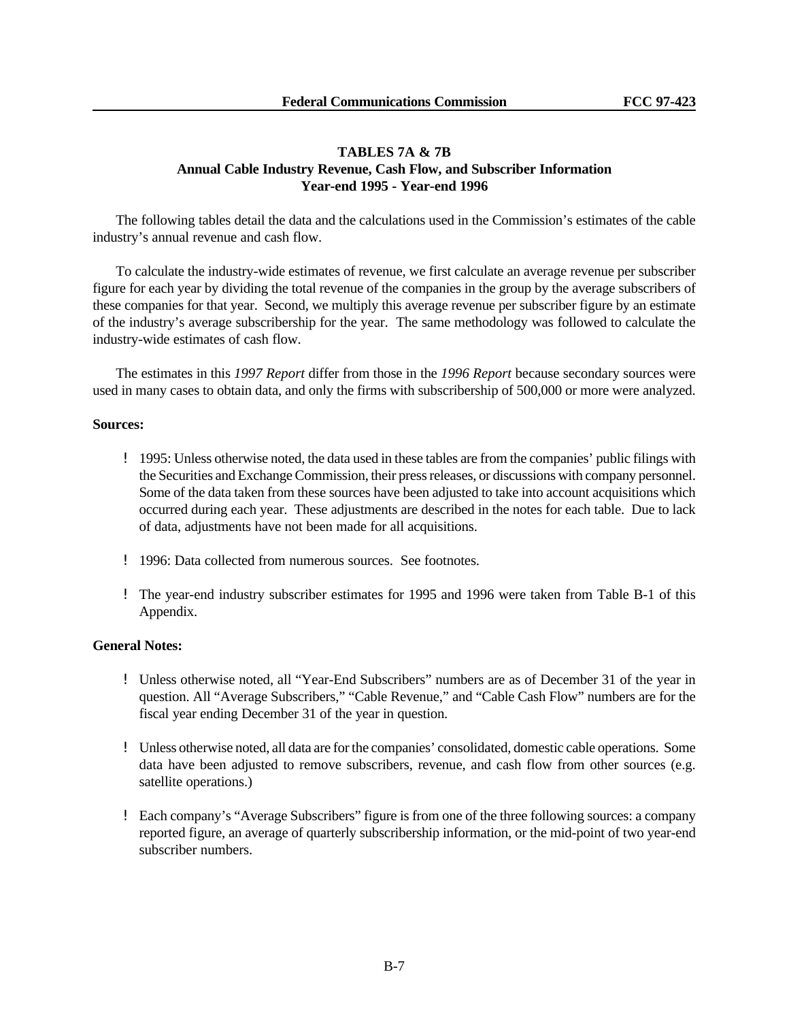## **TABLES 7A & 7B Annual Cable Industry Revenue, Cash Flow, and Subscriber Information Year-end 1995 - Year-end 1996**

The following tables detail the data and the calculations used in the Commission's estimates of the cable industry's annual revenue and cash flow.

To calculate the industry-wide estimates of revenue, we first calculate an average revenue per subscriber figure for each year by dividing the total revenue of the companies in the group by the average subscribers of these companies for that year. Second, we multiply this average revenue per subscriber figure by an estimate of the industry's average subscribership for the year. The same methodology was followed to calculate the industry-wide estimates of cash flow.

The estimates in this *1997 Report* differ from those in the *1996 Report* because secondary sources were used in many cases to obtain data, and only the firms with subscribership of 500,000 or more were analyzed.

## **Sources:**

- ! 1995: Unless otherwise noted, the data used in these tables are from the companies' public filings with the Securities and Exchange Commission, their press releases, or discussions with company personnel. Some of the data taken from these sources have been adjusted to take into account acquisitions which occurred during each year. These adjustments are described in the notes for each table. Due to lack of data, adjustments have not been made for all acquisitions.
- ! 1996: Data collected from numerous sources. See footnotes.
- ! The year-end industry subscriber estimates for 1995 and 1996 were taken from Table B-1 of this Appendix.

## **General Notes:**

- ! Unless otherwise noted, all "Year-End Subscribers" numbers are as of December 31 of the year in question. All "Average Subscribers," "Cable Revenue," and "Cable Cash Flow" numbers are for the fiscal year ending December 31 of the year in question.
- ! Unless otherwise noted, all data are for the companies' consolidated, domestic cable operations. Some data have been adjusted to remove subscribers, revenue, and cash flow from other sources (e.g. satellite operations.)
- ! Each company's "Average Subscribers" figure is from one of the three following sources: a company reported figure, an average of quarterly subscribership information, or the mid-point of two year-end subscriber numbers.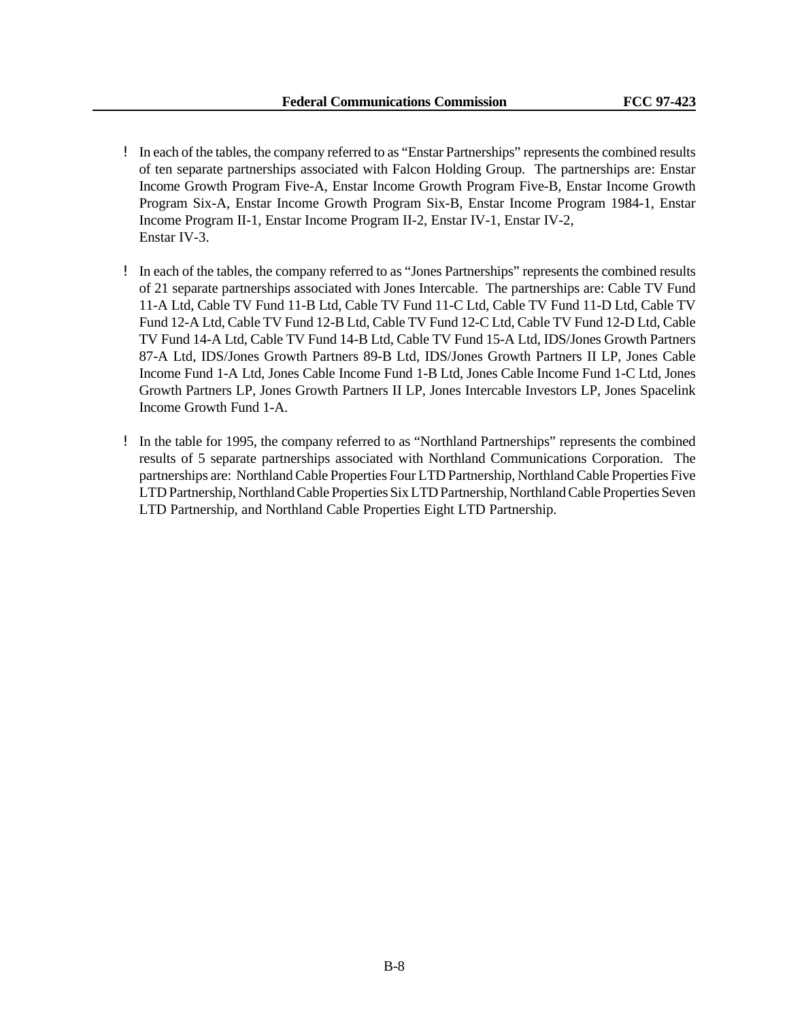- ! In each of the tables, the company referred to as "Enstar Partnerships" represents the combined results of ten separate partnerships associated with Falcon Holding Group. The partnerships are: Enstar Income Growth Program Five-A, Enstar Income Growth Program Five-B, Enstar Income Growth Program Six-A, Enstar Income Growth Program Six-B, Enstar Income Program 1984-1, Enstar Income Program II-1, Enstar Income Program II-2, Enstar IV-1, Enstar IV-2, Enstar IV-3.
- ! In each of the tables, the company referred to as "Jones Partnerships" represents the combined results of 21 separate partnerships associated with Jones Intercable. The partnerships are: Cable TV Fund 11-A Ltd, Cable TV Fund 11-B Ltd, Cable TV Fund 11-C Ltd, Cable TV Fund 11-D Ltd, Cable TV Fund 12-A Ltd, Cable TV Fund 12-B Ltd, Cable TV Fund 12-C Ltd, Cable TV Fund 12-D Ltd, Cable TV Fund 14-A Ltd, Cable TV Fund 14-B Ltd, Cable TV Fund 15-A Ltd, IDS/Jones Growth Partners 87-A Ltd, IDS/Jones Growth Partners 89-B Ltd, IDS/Jones Growth Partners II LP, Jones Cable Income Fund 1-A Ltd, Jones Cable Income Fund 1-B Ltd, Jones Cable Income Fund 1-C Ltd, Jones Growth Partners LP, Jones Growth Partners II LP, Jones Intercable Investors LP, Jones Spacelink Income Growth Fund 1-A.
- ! In the table for 1995, the company referred to as "Northland Partnerships" represents the combined results of 5 separate partnerships associated with Northland Communications Corporation. The partnerships are: Northland Cable Properties Four LTD Partnership, Northland Cable Properties Five LTD Partnership, Northland Cable Properties Six LTD Partnership, Northland Cable Properties Seven LTD Partnership, and Northland Cable Properties Eight LTD Partnership.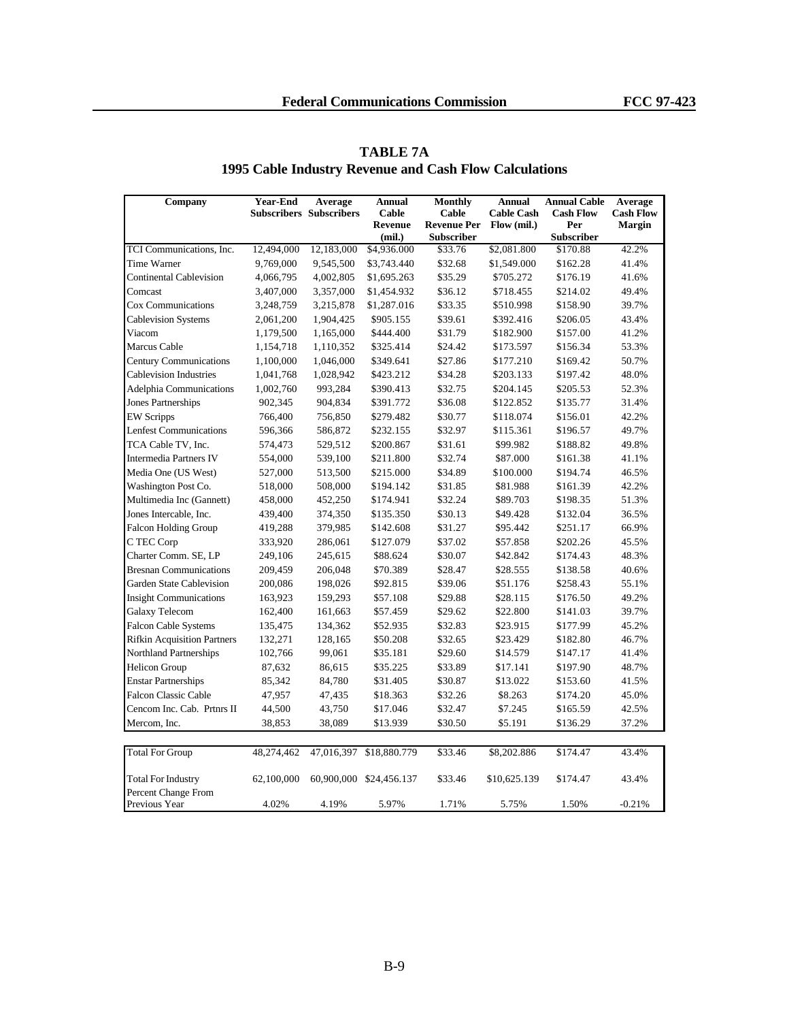| Company                            | <b>Year-End</b> | Average                        | <b>Annual</b>           | <b>Monthly</b>     | <b>Annual</b>     | <b>Annual Cable</b> | Average          |
|------------------------------------|-----------------|--------------------------------|-------------------------|--------------------|-------------------|---------------------|------------------|
|                                    |                 | <b>Subscribers Subscribers</b> | Cable                   | Cable              | <b>Cable Cash</b> | <b>Cash Flow</b>    | <b>Cash Flow</b> |
|                                    |                 |                                | Revenue                 | <b>Revenue Per</b> | Flow (mil.)       | Per                 | <b>Margin</b>    |
|                                    |                 |                                | (mil.)                  | <b>Subscriber</b>  |                   | Subscriber          |                  |
| TCI Communications, Inc.           | 12,494,000      | 12,183,000                     | \$4,936.000             | \$33.76            | \$2,081.800       | \$170.88            | 42.2%            |
| Time Warner                        | 9,769,000       | 9,545,500                      | \$3,743.440             | \$32.68            | \$1,549.000       | \$162.28            | 41.4%            |
| <b>Continental Cablevision</b>     | 4,066,795       | 4,002,805                      | \$1,695.263             | \$35.29            | \$705.272         | \$176.19            | 41.6%            |
| Comcast                            | 3,407,000       | 3,357,000                      | \$1,454.932             | \$36.12            | \$718.455         | \$214.02            | 49.4%            |
| Cox Communications                 | 3,248,759       | 3,215,878                      | \$1,287.016             | \$33.35            | \$510.998         | \$158.90            | 39.7%            |
| <b>Cablevision Systems</b>         | 2,061,200       | 1,904,425                      | \$905.155               | \$39.61            | \$392.416         | \$206.05            | 43.4%            |
| Viacom                             | 1,179,500       | 1,165,000                      | \$444.400               | \$31.79            | \$182.900         | \$157.00            | 41.2%            |
| Marcus Cable                       | 1,154,718       | 1,110,352                      | \$325.414               | \$24.42            | \$173.597         | \$156.34            | 53.3%            |
| <b>Century Communications</b>      | 1,100,000       | 1,046,000                      | \$349.641               | \$27.86            | \$177.210         | \$169.42            | 50.7%            |
| <b>Cablevision Industries</b>      | 1,041,768       | 1,028,942                      | \$423.212               | \$34.28            | \$203.133         | \$197.42            | 48.0%            |
| Adelphia Communications            | 1,002,760       | 993,284                        | \$390.413               | \$32.75            | \$204.145         | \$205.53            | 52.3%            |
| Jones Partnerships                 | 902,345         | 904,834                        | \$391.772               | \$36.08            | \$122.852         | \$135.77            | 31.4%            |
| <b>EW Scripps</b>                  | 766,400         | 756,850                        | \$279.482               | \$30.77            | \$118.074         | \$156.01            | 42.2%            |
| <b>Lenfest Communications</b>      | 596,366         | 586,872                        | \$232.155               | \$32.97            | \$115.361         | \$196.57            | 49.7%            |
| TCA Cable TV, Inc.                 | 574,473         | 529,512                        | \$200.867               | \$31.61            | \$99.982          | \$188.82            | 49.8%            |
| <b>Intermedia Partners IV</b>      | 554,000         | 539,100                        | \$211.800               | \$32.74            | \$87.000          | \$161.38            | 41.1%            |
| Media One (US West)                | 527,000         | 513,500                        | \$215.000               | \$34.89            | \$100.000         | \$194.74            | 46.5%            |
| Washington Post Co.                | 518,000         | 508,000                        | \$194.142               | \$31.85            | \$81.988          | \$161.39            | 42.2%            |
| Multimedia Inc (Gannett)           | 458,000         | 452,250                        | \$174.941               | \$32.24            | \$89.703          | \$198.35            | 51.3%            |
| Jones Intercable, Inc.             | 439,400         | 374,350                        | \$135.350               | \$30.13            | \$49.428          | \$132.04            | 36.5%            |
| <b>Falcon Holding Group</b>        | 419,288         | 379,985                        | \$142.608               | \$31.27            | \$95.442          | \$251.17            | 66.9%            |
| C TEC Corp                         | 333,920         | 286,061                        | \$127.079               | \$37.02            | \$57.858          | \$202.26            | 45.5%            |
| Charter Comm. SE, LP               | 249,106         | 245,615                        | \$88.624                | \$30.07            | \$42.842          | \$174.43            | 48.3%            |
| <b>Bresnan Communications</b>      | 209,459         | 206,048                        | \$70.389                | \$28.47            | \$28.555          | \$138.58            | 40.6%            |
| <b>Garden State Cablevision</b>    | 200,086         | 198,026                        | \$92.815                | \$39.06            | \$51.176          | \$258.43            | 55.1%            |
| <b>Insight Communications</b>      | 163,923         | 159,293                        | \$57.108                | \$29.88            | \$28.115          | \$176.50            | 49.2%            |
| Galaxy Telecom                     | 162,400         | 161,663                        | \$57.459                | \$29.62            | \$22.800          | \$141.03            | 39.7%            |
| <b>Falcon Cable Systems</b>        | 135,475         | 134,362                        | \$52.935                | \$32.83            | \$23.915          | \$177.99            | 45.2%            |
| <b>Rifkin Acquisition Partners</b> | 132,271         | 128,165                        | \$50.208                | \$32.65            | \$23.429          | \$182.80            | 46.7%            |
| Northland Partnerships             | 102,766         | 99,061                         | \$35.181                | \$29.60            | \$14.579          | \$147.17            | 41.4%            |
| <b>Helicon Group</b>               | 87,632          | 86,615                         | \$35.225                | \$33.89            | \$17.141          | \$197.90            | 48.7%            |
| <b>Enstar Partnerships</b>         | 85,342          | 84,780                         | \$31.405                | \$30.87            | \$13.022          | \$153.60            | 41.5%            |
| <b>Falcon Classic Cable</b>        | 47,957          | 47,435                         | \$18.363                | \$32.26            | \$8.263           | \$174.20            | 45.0%            |
| Cencom Inc. Cab. Prtnrs II         | 44,500          | 43,750                         | \$17.046                | \$32.47            | \$7.245           | \$165.59            | 42.5%            |
| Mercom, Inc.                       | 38,853          | 38,089                         | \$13.939                | \$30.50            | \$5.191           | \$136.29            | 37.2%            |
|                                    |                 |                                |                         |                    |                   |                     |                  |
| <b>Total For Group</b>             | 48,274,462      | 47,016,397                     | \$18,880.779            | \$33.46            | \$8,202.886       | \$174.47            | 43.4%            |
|                                    |                 |                                |                         |                    |                   |                     |                  |
| <b>Total For Industry</b>          | 62,100,000      |                                | 60,900,000 \$24,456.137 | \$33.46            | \$10,625.139      | \$174.47            | 43.4%            |
| Percent Change From                |                 |                                |                         |                    |                   |                     |                  |
| Previous Year                      | 4.02%           | 4.19%                          | 5.97%                   | 1.71%              | 5.75%             | 1.50%               | $-0.21%$         |

# **TABLE 7A 1995 Cable Industry Revenue and Cash Flow Calculations**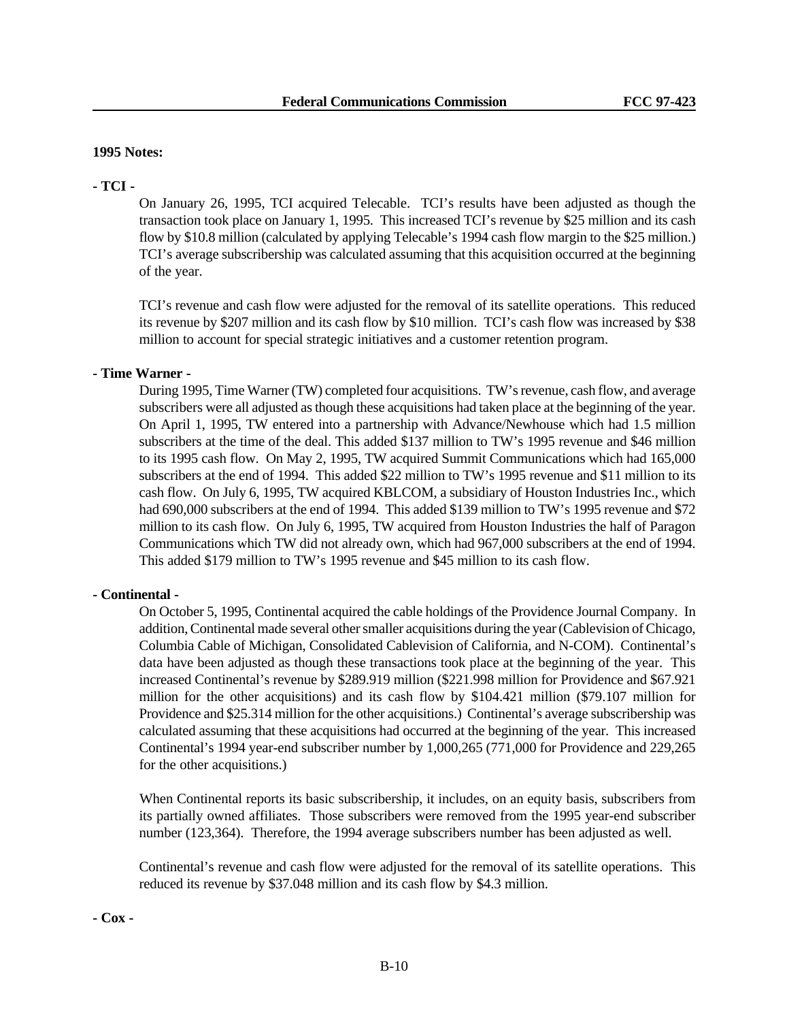### **1995 Notes:**

## **- TCI -**

On January 26, 1995, TCI acquired Telecable. TCI's results have been adjusted as though the transaction took place on January 1, 1995. This increased TCI's revenue by \$25 million and its cash flow by \$10.8 million (calculated by applying Telecable's 1994 cash flow margin to the \$25 million.) TCI's average subscribership was calculated assuming that this acquisition occurred at the beginning of the year.

TCI's revenue and cash flow were adjusted for the removal of its satellite operations. This reduced its revenue by \$207 million and its cash flow by \$10 million. TCI's cash flow was increased by \$38 million to account for special strategic initiatives and a customer retention program.

## **- Time Warner -**

During 1995, Time Warner (TW) completed four acquisitions. TW's revenue, cash flow, and average subscribers were all adjusted as though these acquisitions had taken place at the beginning of the year. On April 1, 1995, TW entered into a partnership with Advance/Newhouse which had 1.5 million subscribers at the time of the deal. This added \$137 million to TW's 1995 revenue and \$46 million to its 1995 cash flow. On May 2, 1995, TW acquired Summit Communications which had 165,000 subscribers at the end of 1994. This added \$22 million to TW's 1995 revenue and \$11 million to its cash flow. On July 6, 1995, TW acquired KBLCOM, a subsidiary of Houston Industries Inc., which had 690,000 subscribers at the end of 1994. This added \$139 million to TW's 1995 revenue and \$72 million to its cash flow. On July 6, 1995, TW acquired from Houston Industries the half of Paragon Communications which TW did not already own, which had 967,000 subscribers at the end of 1994. This added \$179 million to TW's 1995 revenue and \$45 million to its cash flow.

### **- Continental -**

On October 5, 1995, Continental acquired the cable holdings of the Providence Journal Company. In addition, Continental made several other smaller acquisitions during the year (Cablevision of Chicago, Columbia Cable of Michigan, Consolidated Cablevision of California, and N-COM). Continental's data have been adjusted as though these transactions took place at the beginning of the year. This increased Continental's revenue by \$289.919 million (\$221.998 million for Providence and \$67.921 million for the other acquisitions) and its cash flow by \$104.421 million (\$79.107 million for Providence and \$25.314 million for the other acquisitions.) Continental's average subscribership was calculated assuming that these acquisitions had occurred at the beginning of the year. This increased Continental's 1994 year-end subscriber number by 1,000,265 (771,000 for Providence and 229,265 for the other acquisitions.)

When Continental reports its basic subscribership, it includes, on an equity basis, subscribers from its partially owned affiliates. Those subscribers were removed from the 1995 year-end subscriber number (123,364). Therefore, the 1994 average subscribers number has been adjusted as well.

Continental's revenue and cash flow were adjusted for the removal of its satellite operations. This reduced its revenue by \$37.048 million and its cash flow by \$4.3 million.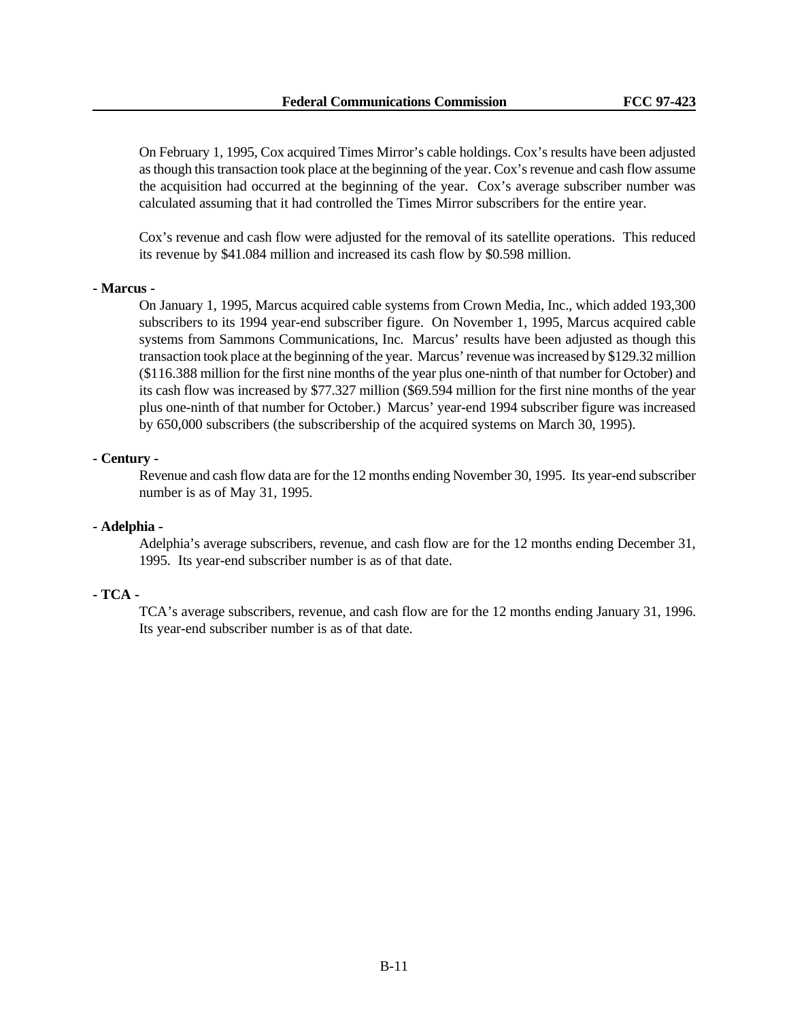On February 1, 1995, Cox acquired Times Mirror's cable holdings. Cox's results have been adjusted as though this transaction took place at the beginning of the year. Cox's revenue and cash flow assume the acquisition had occurred at the beginning of the year. Cox's average subscriber number was calculated assuming that it had controlled the Times Mirror subscribers for the entire year.

Cox's revenue and cash flow were adjusted for the removal of its satellite operations. This reduced its revenue by \$41.084 million and increased its cash flow by \$0.598 million.

#### **- Marcus -**

On January 1, 1995, Marcus acquired cable systems from Crown Media, Inc., which added 193,300 subscribers to its 1994 year-end subscriber figure. On November 1, 1995, Marcus acquired cable systems from Sammons Communications, Inc. Marcus' results have been adjusted as though this transaction took place at the beginning of the year. Marcus' revenue was increased by \$129.32 million (\$116.388 million for the first nine months of the year plus one-ninth of that number for October) and its cash flow was increased by \$77.327 million (\$69.594 million for the first nine months of the year plus one-ninth of that number for October.) Marcus' year-end 1994 subscriber figure was increased by 650,000 subscribers (the subscribership of the acquired systems on March 30, 1995).

#### **- Century -**

Revenue and cash flow data are for the 12 months ending November 30, 1995. Its year-end subscriber number is as of May 31, 1995.

#### **- Adelphia -**

Adelphia's average subscribers, revenue, and cash flow are for the 12 months ending December 31, 1995. Its year-end subscriber number is as of that date.

### **- TCA -**

TCA's average subscribers, revenue, and cash flow are for the 12 months ending January 31, 1996. Its year-end subscriber number is as of that date.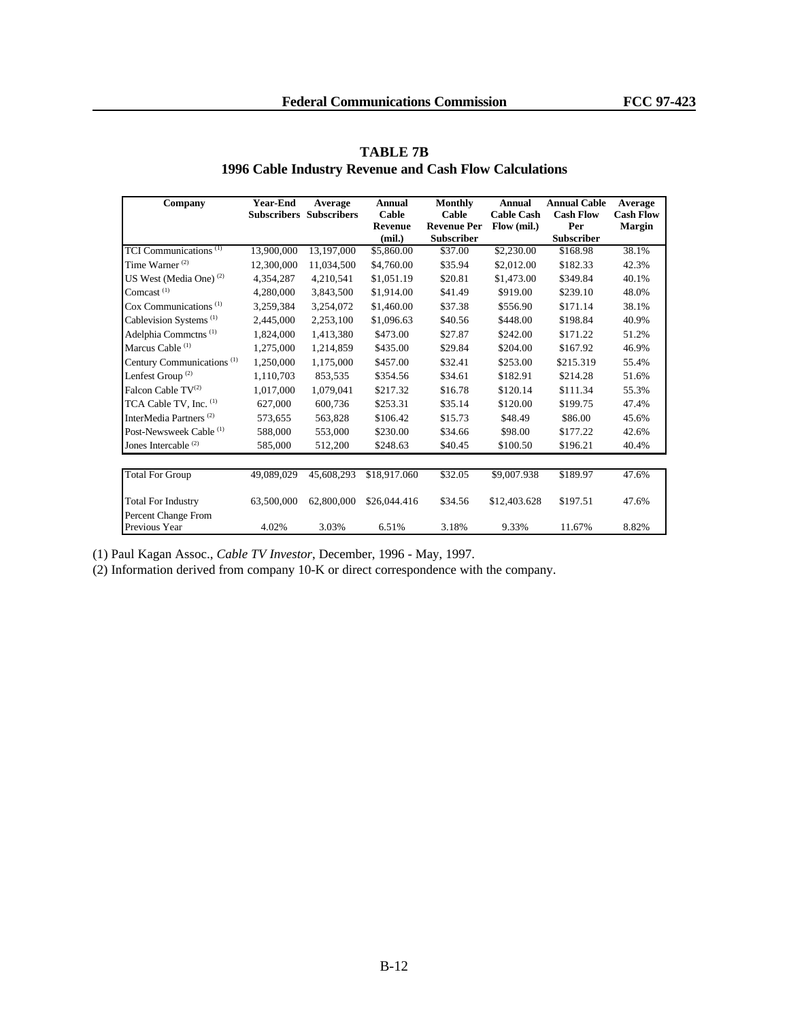| Company                                        | <b>Year-End</b> | Average                        | <b>Annual</b>  | Monthly            | Annual            | <b>Annual Cable</b> | Average          |
|------------------------------------------------|-----------------|--------------------------------|----------------|--------------------|-------------------|---------------------|------------------|
|                                                |                 | <b>Subscribers Subscribers</b> | Cable          | Cable              | <b>Cable Cash</b> | <b>Cash Flow</b>    | <b>Cash Flow</b> |
|                                                |                 |                                | <b>Revenue</b> | <b>Revenue Per</b> | Flow (mil.)       | Per                 | <b>Margin</b>    |
|                                                |                 |                                | (mil.)         | <b>Subscriber</b>  |                   | <b>Subscriber</b>   |                  |
| TCI Communications <sup>(1)</sup>              | 13,900,000      | 13,197,000                     | \$5,860.00     | \$37.00            | \$2,230.00        | \$168.98            | 38.1%            |
| Time Warner <sup>(2)</sup>                     | 12,300,000      | 11,034,500                     | \$4,760.00     | \$35.94            | \$2,012.00        | \$182.33            | 42.3%            |
| US West (Media One) <sup>(2)</sup>             | 4,354,287       | 4,210,541                      | \$1,051.19     | \$20.81            | \$1,473.00        | \$349.84            | 40.1%            |
| Comcast <sup>(1)</sup>                         | 4,280,000       | 3,843,500                      | \$1,914.00     | \$41.49            | \$919.00          | \$239.10            | 48.0%            |
| Cox Communications <sup><math>(1)</math></sup> | 3,259,384       | 3,254,072                      | \$1,460.00     | \$37.38            | \$556.90          | \$171.14            | 38.1%            |
| Cablevision Systems <sup>(1)</sup>             | 2,445,000       | 2,253,100                      | \$1,096.63     | \$40.56            | \$448.00          | \$198.84            | 40.9%            |
| Adelphia Commetns <sup>(1)</sup>               | 1,824,000       | 1,413,380                      | \$473.00       | \$27.87            | \$242.00          | \$171.22            | 51.2%            |
| Marcus Cable <sup>(1)</sup>                    | 1,275,000       | 1,214,859                      | \$435.00       | \$29.84            | \$204.00          | \$167.92            | 46.9%            |
| Century Communications <sup>(1)</sup>          | 1,250,000       | 1,175,000                      | \$457.00       | \$32.41            | \$253.00          | \$215.319           | 55.4%            |
| Lenfest Group <sup>(2)</sup>                   | 1,110,703       | 853,535                        | \$354.56       | \$34.61            | \$182.91          | \$214.28            | 51.6%            |
| Falcon Cable TV <sup>(2)</sup>                 | 1,017,000       | 1,079,041                      | \$217.32       | \$16.78            | \$120.14          | \$111.34            | 55.3%            |
| TCA Cable TV, Inc. (1)                         | 627,000         | 600,736                        | \$253.31       | \$35.14            | \$120.00          | \$199.75            | 47.4%            |
| InterMedia Partners <sup>(2)</sup>             | 573,655         | 563,828                        | \$106.42       | \$15.73            | \$48.49           | \$86.00             | 45.6%            |
| Post-Newsweek Cable <sup>(1)</sup>             | 588,000         | 553,000                        | \$230.00       | \$34.66            | \$98.00           | \$177.22            | 42.6%            |
| Jones Intercable $(2)$                         | 585,000         | 512,200                        | \$248.63       | \$40.45            | \$100.50          | \$196.21            | 40.4%            |
| <b>Total For Group</b>                         | 49,089,029      | 45,608,293                     | \$18,917.060   | \$32.05            | \$9,007.938       | \$189.97            | 47.6%            |
| <b>Total For Industry</b>                      | 63,500,000      | 62,800,000                     | \$26,044.416   | \$34.56            | \$12,403.628      | \$197.51            | 47.6%            |
| Percent Change From<br>Previous Year           | 4.02%           | 3.03%                          | 6.51%          | 3.18%              | 9.33%             | 11.67%              | 8.82%            |

# **TABLE 7B 1996 Cable Industry Revenue and Cash Flow Calculations**

(1) Paul Kagan Assoc., *Cable TV Investor*, December, 1996 - May, 1997.

(2) Information derived from company 10-K or direct correspondence with the company.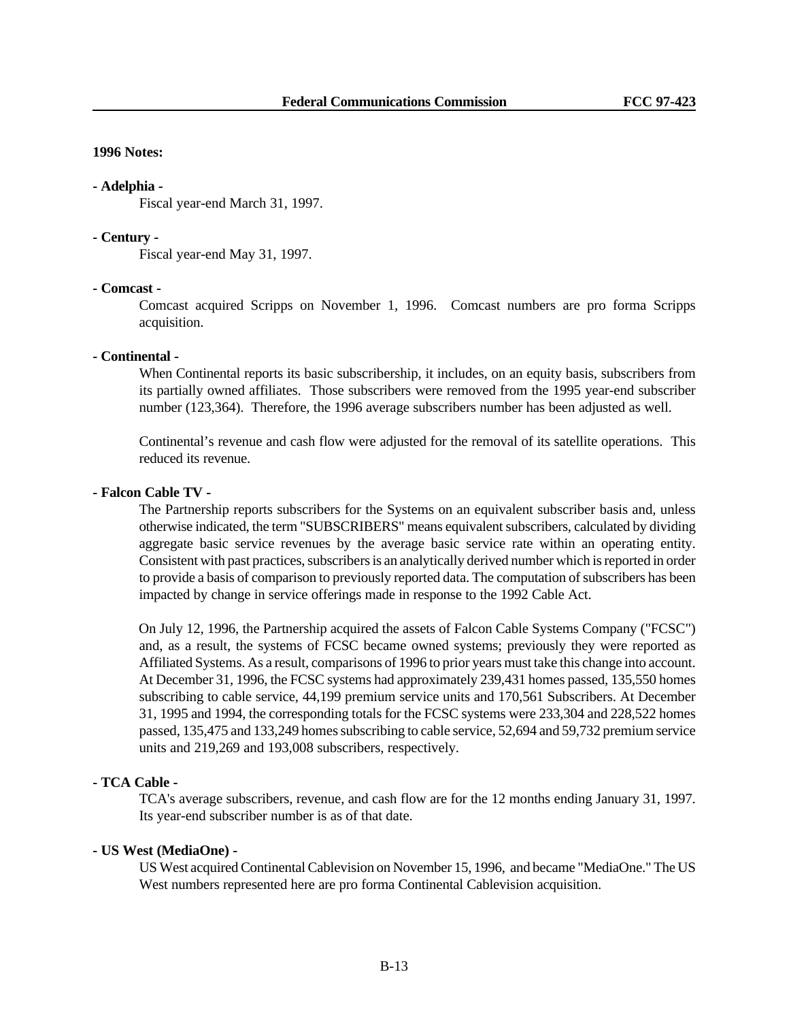#### **1996 Notes:**

#### **- Adelphia -**

Fiscal year-end March 31, 1997.

#### **- Century -**

Fiscal year-end May 31, 1997.

# **- Comcast -**

Comcast acquired Scripps on November 1, 1996. Comcast numbers are pro forma Scripps acquisition.

#### **- Continental -**

When Continental reports its basic subscribership, it includes, on an equity basis, subscribers from its partially owned affiliates. Those subscribers were removed from the 1995 year-end subscriber number (123,364). Therefore, the 1996 average subscribers number has been adjusted as well.

Continental's revenue and cash flow were adjusted for the removal of its satellite operations. This reduced its revenue.

#### **- Falcon Cable TV -**

The Partnership reports subscribers for the Systems on an equivalent subscriber basis and, unless otherwise indicated, the term "SUBSCRIBERS" means equivalent subscribers, calculated by dividing aggregate basic service revenues by the average basic service rate within an operating entity. Consistent with past practices, subscribers is an analytically derived number which is reported in order to provide a basis of comparison to previously reported data. The computation of subscribers has been impacted by change in service offerings made in response to the 1992 Cable Act.

On July 12, 1996, the Partnership acquired the assets of Falcon Cable Systems Company ("FCSC") and, as a result, the systems of FCSC became owned systems; previously they were reported as Affiliated Systems. As a result, comparisons of 1996 to prior years must take this change into account. At December 31, 1996, the FCSC systems had approximately 239,431 homes passed, 135,550 homes subscribing to cable service, 44,199 premium service units and 170,561 Subscribers. At December 31, 1995 and 1994, the corresponding totals for the FCSC systems were 233,304 and 228,522 homes passed, 135,475 and 133,249 homes subscribing to cable service, 52,694 and 59,732 premium service units and 219,269 and 193,008 subscribers, respectively.

#### **- TCA Cable -**

TCA's average subscribers, revenue, and cash flow are for the 12 months ending January 31, 1997. Its year-end subscriber number is as of that date.

#### **- US West (MediaOne) -**

US West acquired Continental Cablevision on November 15, 1996, and became "MediaOne." The US West numbers represented here are pro forma Continental Cablevision acquisition.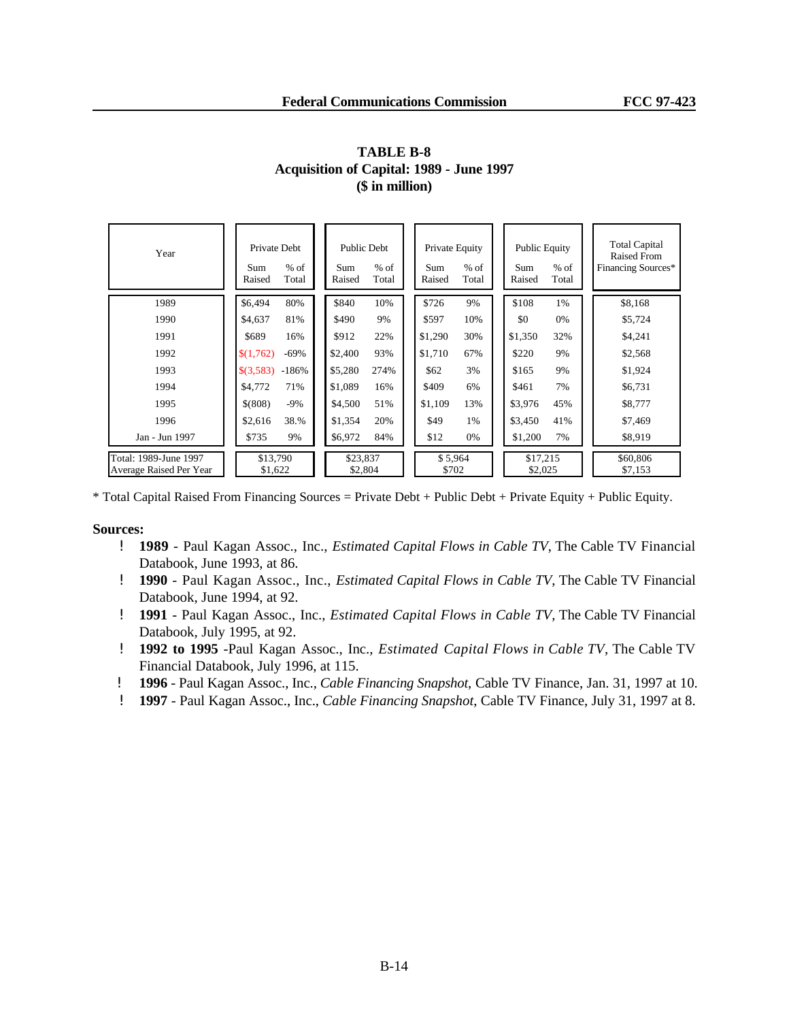| Year                                             | Private Debt<br>$%$ of<br>Sum<br>Raised<br>Total | Public Debt<br>$%$ of<br>Sum<br>Raised<br>Total | Private Equity<br>$%$ of<br>Sum<br>Raised<br>Total | <b>Public Equity</b><br>$%$ of<br>Sum<br>Raised<br>Total | <b>Total Capital</b><br><b>Raised From</b><br>Financing Sources* |
|--------------------------------------------------|--------------------------------------------------|-------------------------------------------------|----------------------------------------------------|----------------------------------------------------------|------------------------------------------------------------------|
| 1989                                             | \$6,494<br>80%                                   | \$840<br>10%                                    | \$726<br>9%                                        | \$108<br>1%                                              | \$8,168                                                          |
| 1990                                             | 81%<br>\$4,637                                   | \$490<br>9%                                     | \$597<br>10%                                       | \$0<br>0%                                                | \$5,724                                                          |
| 1991                                             | \$689<br>16%                                     | \$912<br>22%                                    | 30%<br>\$1,290                                     | \$1,350<br>32%                                           | \$4,241                                                          |
| 1992                                             | $-69%$<br>\$(1,762)                              | 93%<br>\$2,400                                  | \$1,710<br>67%                                     | \$220<br>9%                                              | \$2,568                                                          |
| 1993                                             | \$(3,583)<br>$-186%$                             | \$5,280<br>274%                                 | 3%<br>\$62                                         | \$165<br>9%                                              | \$1,924                                                          |
| 1994                                             | 71%<br>\$4,772                                   | \$1,089<br>16%                                  | \$409<br>6%                                        | \$461<br>7%                                              | \$6,731                                                          |
| 1995                                             | $$^{(808)}$<br>$-9\%$                            | \$4,500<br>51%                                  | \$1,109<br>13%                                     | \$3,976<br>45%                                           | \$8,777                                                          |
| 1996                                             | 38.%<br>\$2,616                                  | \$1,354<br>20%                                  | \$49<br>1%                                         | \$3,450<br>41%                                           | \$7,469                                                          |
| Jan - Jun 1997                                   | \$735<br>9%                                      | \$6,972<br>84%                                  | \$12<br>0%                                         | \$1,200<br>7%                                            | \$8,919                                                          |
| Total: 1989-June 1997<br>Average Raised Per Year | \$13,790<br>\$1,622                              | \$23,837<br>\$2,804                             | \$5,964<br>\$702                                   | \$17,215<br>\$2,025                                      | \$60,806<br>\$7,153                                              |

# **TABLE B-8 Acquisition of Capital: 1989 - June 1997 (\$ in million)**

\* Total Capital Raised From Financing Sources = Private Debt + Public Debt + Private Equity + Public Equity.

- ! **1989** Paul Kagan Assoc., Inc., *Estimated Capital Flows in Cable TV*, The Cable TV Financial Databook, June 1993, at 86.
- ! **1990** Paul Kagan Assoc., Inc., *Estimated Capital Flows in Cable TV*, The Cable TV Financial Databook, June 1994, at 92.
- ! **1991** Paul Kagan Assoc., Inc., *Estimated Capital Flows in Cable TV*, The Cable TV Financial Databook, July 1995, at 92.
- ! **1992 to 1995** -Paul Kagan Assoc., Inc., *Estimated Capital Flows in Cable TV*, The Cable TV Financial Databook, July 1996, at 115.
- ! **1996** Paul Kagan Assoc., Inc., *Cable Financing Snapshot*, Cable TV Finance, Jan. 31, 1997 at 10.
- ! **1997** Paul Kagan Assoc., Inc., *Cable Financing Snapshot*, Cable TV Finance, July 31, 1997 at 8.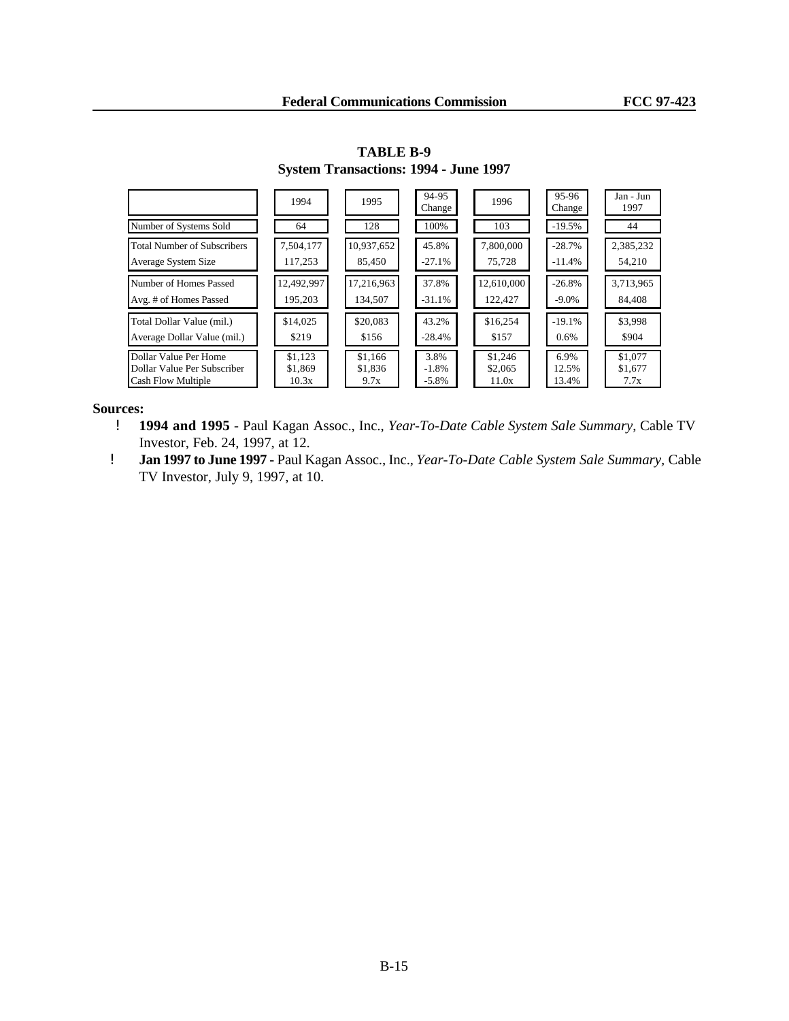|                                    | 1994       | 1995       | 94-95<br>Change | 1996       | 95-96<br>Change | Jan - Jun<br>1997 |
|------------------------------------|------------|------------|-----------------|------------|-----------------|-------------------|
| Number of Systems Sold             | 64         | 128        | 100%            | 103        | $-19.5%$        | 44                |
| <b>Total Number of Subscribers</b> | 7,504,177  | 10,937,652 | 45.8%           | 7,800,000  | $-28.7%$        | 2,385,232         |
| Average System Size                | 117,253    | 85.450     | $-27.1%$        | 75.728     | $-11.4%$        | 54,210            |
| Number of Homes Passed             | 12,492,997 | 17,216,963 | 37.8%           | 12.610.000 | $-26.8%$        | 3,713,965         |
| Avg. # of Homes Passed             | 195,203    | 134,507    | $-31.1%$        | 122,427    | $-9.0\%$        | 84,408            |
| Total Dollar Value (mil.)          | \$14,025   | \$20,083   | 43.2%           | \$16,254   | $-19.1%$        | \$3,998           |
| Average Dollar Value (mil.)        | \$219      | \$156      | $-28.4%$        | \$157      | $0.6\%$         | \$904             |
| Dollar Value Per Home              | \$1.123    | \$1,166    | 3.8%            | \$1.246    | 6.9%            | \$1,077           |
| Dollar Value Per Subscriber        | \$1,869    | \$1,836    | $-1.8\%$        | \$2,065    | 12.5%           | \$1,677           |
| Cash Flow Multiple                 | 10.3x      | 9.7x       | $-5.8\%$        | 11.0x      | 13.4%           | 7.7x              |

**TABLE B-9 System Transactions: 1994 - June 1997**

- ! **1994 and 1995** Paul Kagan Assoc., Inc., *Year-To-Date Cable System Sale Summary*, Cable TV Investor, Feb. 24, 1997, at 12.
- ! **Jan 1997 to June 1997 -** Paul Kagan Assoc., Inc., *Year-To-Date Cable System Sale Summary,* Cable TV Investor, July 9, 1997, at 10.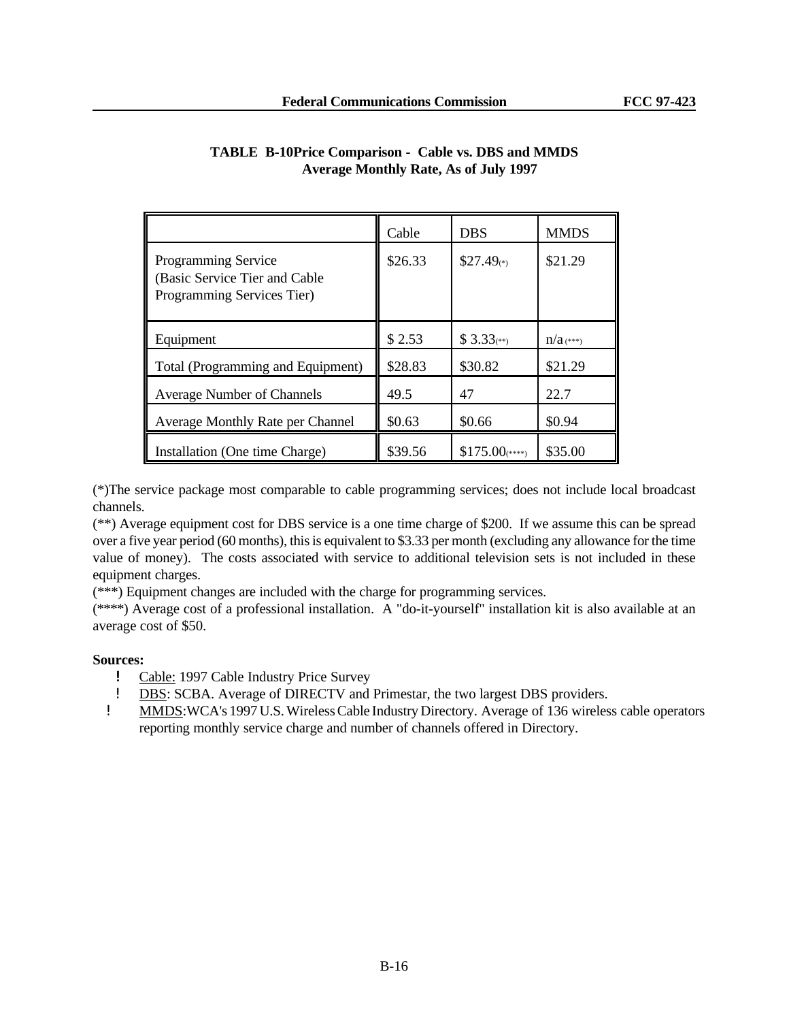|                                                                                    | Cable   | <b>DBS</b>              | <b>MMDS</b> |
|------------------------------------------------------------------------------------|---------|-------------------------|-------------|
| Programming Service<br>(Basic Service Tier and Cable<br>Programming Services Tier) | \$26.33 | $$27.49(*)$             | \$21.29     |
| Equipment                                                                          | \$2.53  | $$3.33$ <sup>(**)</sup> | $n/a$ (***) |
| Total (Programming and Equipment)                                                  | \$28.83 | \$30.82                 | \$21.29     |
| <b>Average Number of Channels</b>                                                  | 49.5    | 47                      | 22.7        |
| Average Monthly Rate per Channel                                                   | \$0.63  | \$0.66                  | \$0.94      |
| Installation (One time Charge)                                                     | \$39.56 | $$175.00$ (****)        | \$35.00     |

# **TABLE B-10Price Comparison - Cable vs. DBS and MMDS Average Monthly Rate, As of July 1997**

(\*)The service package most comparable to cable programming services; does not include local broadcast channels.

(\*\*) Average equipment cost for DBS service is a one time charge of \$200. If we assume this can be spread over a five year period (60 months), this is equivalent to \$3.33 per month (excluding any allowance for the time value of money). The costs associated with service to additional television sets is not included in these equipment charges.

(\*\*\*) Equipment changes are included with the charge for programming services.

(\*\*\*\*) Average cost of a professional installation. A "do-it-yourself" installation kit is also available at an average cost of \$50.

- ! Cable: 1997 Cable Industry Price Survey
- ! DBS: SCBA. Average of DIRECTV and Primestar, the two largest DBS providers.
- ! MMDS:WCA's 1997 U.S. Wireless Cable Industry Directory. Average of 136 wireless cable operators reporting monthly service charge and number of channels offered in Directory.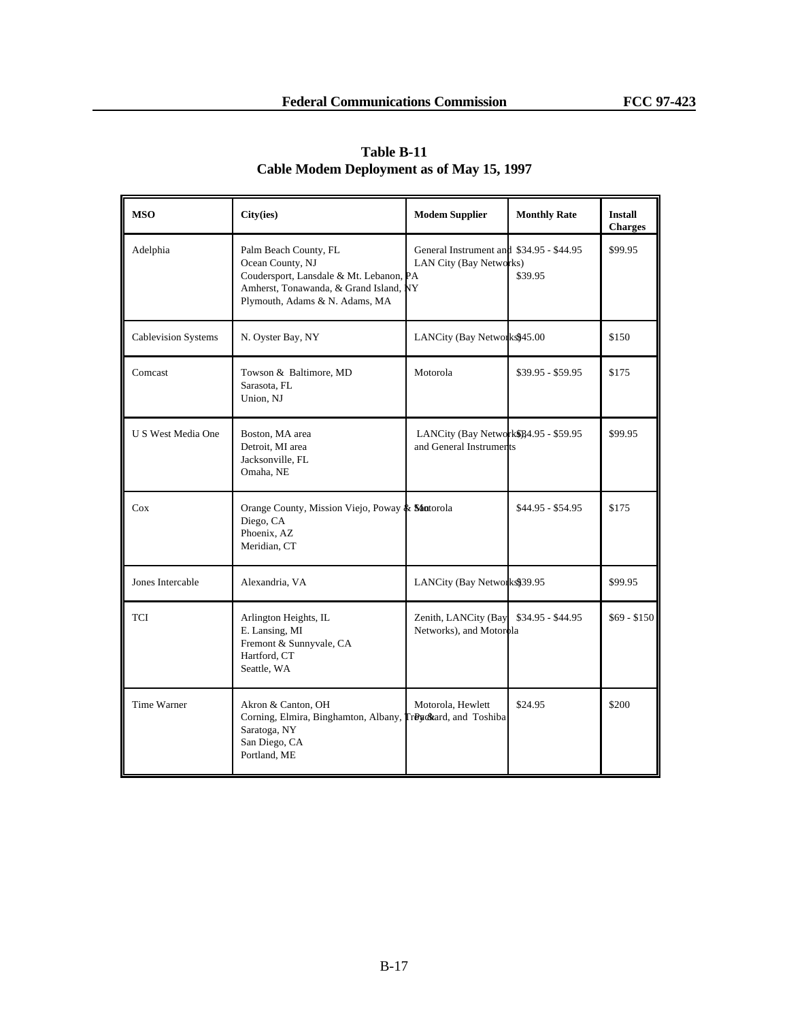| <b>MSO</b>                 | City(ies)                                                                                                                                                        | <b>Modem Supplier</b>                                               | <b>Monthly Rate</b> | <b>Install</b><br><b>Charges</b> |
|----------------------------|------------------------------------------------------------------------------------------------------------------------------------------------------------------|---------------------------------------------------------------------|---------------------|----------------------------------|
| Adelphia                   | Palm Beach County, FL<br>Ocean County, NJ<br>Coudersport, Lansdale & Mt. Lebanon, PA<br>Amherst, Tonawanda, & Grand Island, NY<br>Plymouth, Adams & N. Adams, MA | General Instrument and \$34.95 - \$44.95<br>LAN City (Bay Networks) | \$39.95             | \$99.95                          |
| <b>Cablevision Systems</b> | N. Oyster Bay, NY                                                                                                                                                | LANCity (Bay Networks\$45.00                                        |                     | \$150                            |
| Comcast                    | Towson & Baltimore, MD<br>Sarasota, FL<br>Union, NJ                                                                                                              | Motorola                                                            | $$39.95 - $59.95$   | \$175                            |
| U S West Media One         | Boston, MA area<br>Detroit, MI area<br>Jacksonville, FL<br>Omaha, NE                                                                                             | LANCity (Bay Network\$)34.95 - \$59.95<br>and General Instruments   |                     | \$99.95                          |
| Cox                        | Orange County, Mission Viejo, Poway & Shatorola<br>Diego, CA<br>Phoenix, AZ<br>Meridian, CT                                                                      |                                                                     | \$44.95 - \$54.95   | \$175                            |
| Jones Intercable           | Alexandria, VA                                                                                                                                                   | LANCity (Bay Networks\$39.95                                        |                     | \$99.95                          |
| TCI                        | Arlington Heights, IL<br>E. Lansing, MI<br>Fremont & Sunnyvale, CA<br>Hartford, CT<br>Seattle, WA                                                                | Zenith, LANCity (Bay<br>Networks), and Motorola                     | \$34.95 - \$44.95   | $$69 - $150$                     |
| Time Warner                | Akron & Canton, OH<br>Corning, Elmira, Binghamton, Albany, TrByckard, and Toshiba<br>Saratoga, NY<br>San Diego, CA<br>Portland, ME                               | Motorola, Hewlett                                                   | \$24.95             | \$200                            |

# **Table B-11 Cable Modem Deployment as of May 15, 1997**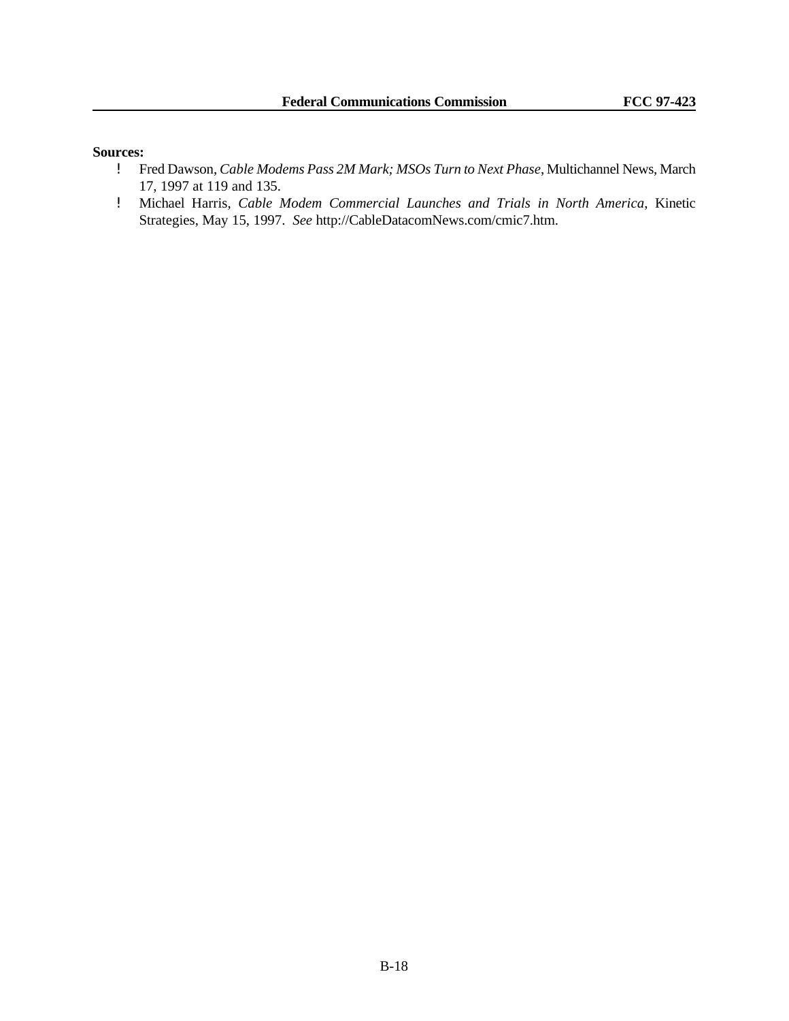- ! Fred Dawson, *Cable Modems Pass 2M Mark; MSOs Turn to Next Phase*, Multichannel News, March 17, 1997 at 119 and 135.
- ! Michael Harris, *Cable Modem Commercial Launches and Trials in North America*, Kinetic Strategies, May 15, 1997. *See* http://CableDatacomNews.com/cmic7.htm.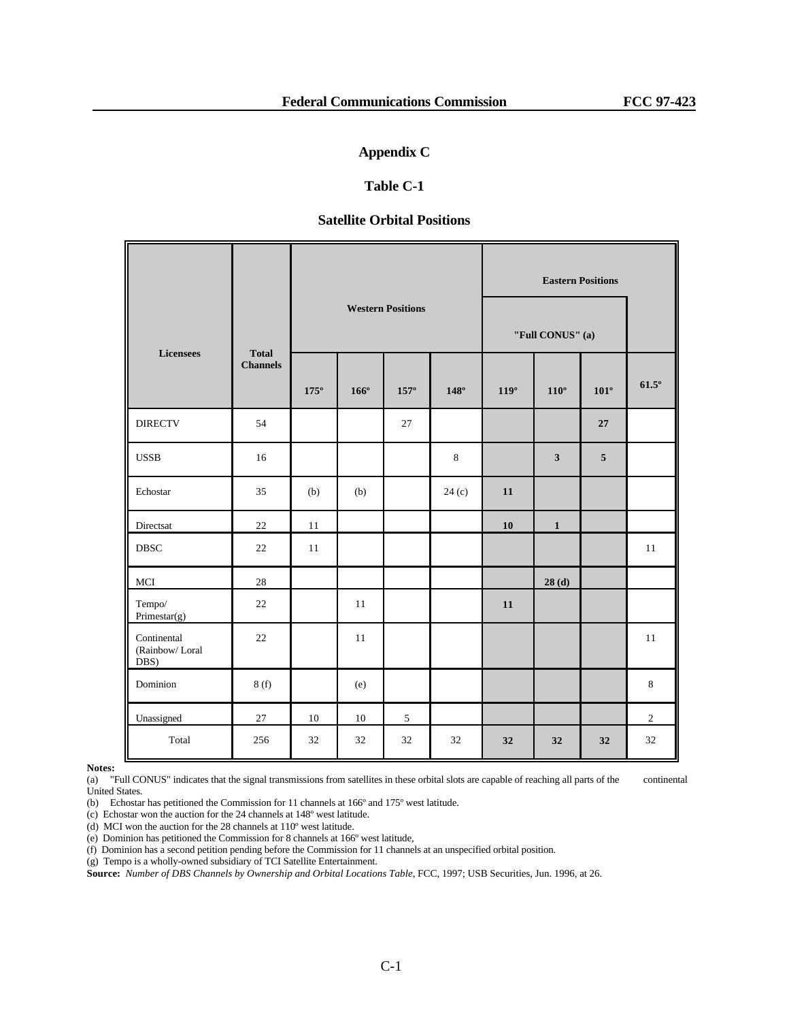## **Appendix C**

# **Table C-1**

## **Satellite Orbital Positions**

|                                       |                 |             |             |                          |             |                  | <b>Eastern Positions</b> |                |                |  |
|---------------------------------------|-----------------|-------------|-------------|--------------------------|-------------|------------------|--------------------------|----------------|----------------|--|
| <b>Licensees</b>                      | <b>Total</b>    |             |             | <b>Western Positions</b> |             | "Full CONUS" (a) |                          |                |                |  |
|                                       | <b>Channels</b> | $175^\circ$ | $166^\circ$ | $157^{\circ}$            | $148^\circ$ | $119^\circ$      | $110^{\circ}$            | $101^\circ$    | $61.5^\circ$   |  |
| <b>DIRECTV</b>                        | 54              |             |             | 27                       |             |                  |                          | $\bf 27$       |                |  |
| <b>USSB</b>                           | 16              |             |             |                          | 8           |                  | $\mathbf{3}$             | $\overline{5}$ |                |  |
| Echostar                              | 35              | (b)         | (b)         |                          | 24(c)       | 11               |                          |                |                |  |
| Directsat                             | 22              | 11          |             |                          |             | 10               | $\mathbf{1}$             |                |                |  |
| <b>DBSC</b>                           | 22              | 11          |             |                          |             |                  |                          |                | 11             |  |
| $_{\mathrm{MCI}}$                     | $28\,$          |             |             |                          |             |                  | 28(d)                    |                |                |  |
| Tempo/<br>Primestar(g)                | 22              |             | 11          |                          |             | 11               |                          |                |                |  |
| Continental<br>(Rainbow/Loral<br>DBS) | 22              |             | 11          |                          |             |                  |                          |                | 11             |  |
| Dominion                              | 8(f)            |             | (e)         |                          |             |                  |                          |                | $\,8\,$        |  |
| Unassigned                            | $27\,$          | 10          | 10          | 5                        |             |                  |                          |                | $\overline{c}$ |  |
| Total                                 | 256             | 32          | 32          | 32                       | 32          | 32               | 32                       | 32             | 32             |  |

**Notes:**

(a) "Full CONUS" indicates that the signal transmissions from satellites in these orbital slots are capable of reaching all parts of the continental United States.

(b) Echostar has petitioned the Commission for 11 channels at 166º and 175º west latitude.

(c) Echostar won the auction for the 24 channels at 148º west latitude.

(d) MCI won the auction for the 28 channels at 110º west latitude.

(e) Dominion has petitioned the Commission for 8 channels at 166º west latitude,

(f) Dominion has a second petition pending before the Commission for 11 channels at an unspecified orbital position.

(g) Tempo is a wholly-owned subsidiary of TCI Satellite Entertainment.

**Source:** *Number of DBS Channels by Ownership and Orbital Locations Table*, FCC, 1997; USB Securities, Jun. 1996, at 26.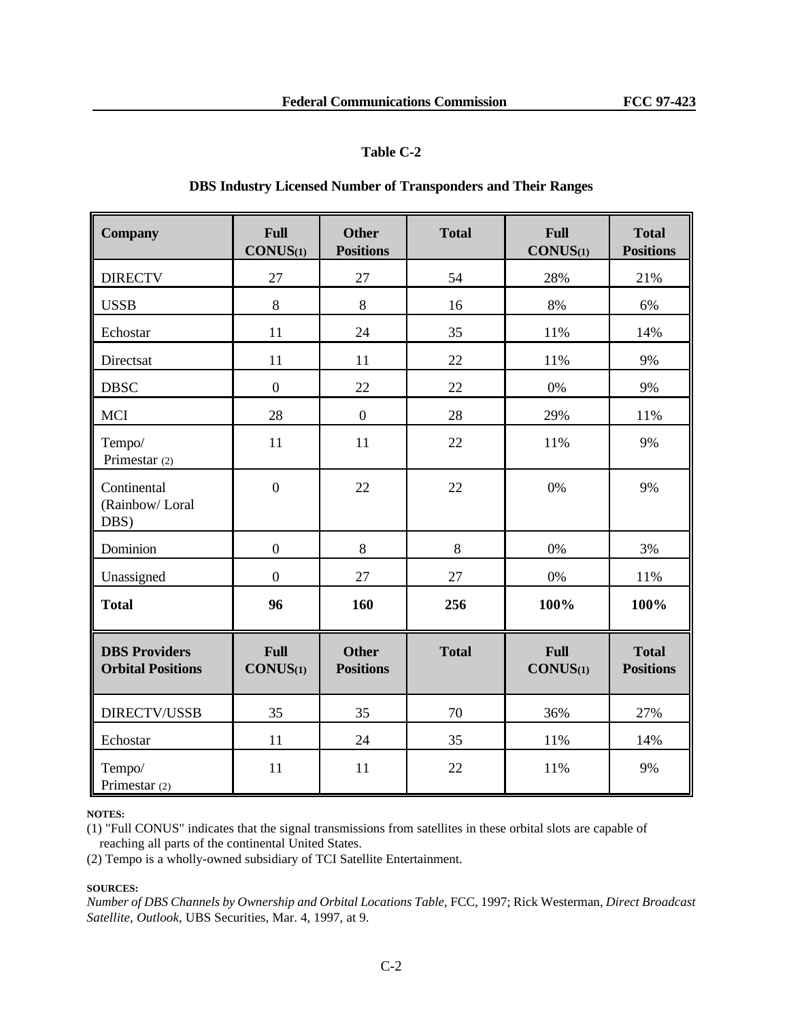# **Table C-2**

## **DBS Industry Licensed Number of Transponders and Their Ranges**

| <b>Company</b>                                   | <b>Full</b><br>CONUS(1) | <b>Other</b><br><b>Positions</b> | <b>Total</b> | Full<br>CONUS(1) | <b>Total</b><br><b>Positions</b> |
|--------------------------------------------------|-------------------------|----------------------------------|--------------|------------------|----------------------------------|
| <b>DIRECTV</b>                                   | 27                      | 27                               | 54           | 28%              | 21%                              |
| <b>USSB</b>                                      | 8                       | $\,8\,$                          | 16           | 8%               | 6%                               |
| Echostar                                         | 11                      | 24                               | 35           | 11%              | 14%                              |
| Directsat                                        | 11                      | 11                               | 22           | 11%              | 9%                               |
| <b>DBSC</b>                                      | $\boldsymbol{0}$        | 22                               | $22\,$       | 0%               | 9%                               |
| <b>MCI</b>                                       | 28                      | $\boldsymbol{0}$                 | 28           | 29%              | 11%                              |
| Tempo/<br>Primestar (2)                          | 11                      | 11                               | 22           | 11%              | 9%                               |
| Continental<br>(Rainbow/Loral<br>DBS)            | $\overline{0}$          | 22                               | 22           | 0%               | 9%                               |
| Dominion                                         | $\boldsymbol{0}$        | $\,8\,$                          | $8\,$        | 0%               | 3%                               |
| Unassigned                                       | $\overline{0}$          | 27                               | 27           | $0\%$            | 11%                              |
| <b>Total</b>                                     | 96                      | 160                              | 256          | 100%             | 100%                             |
| <b>DBS Providers</b><br><b>Orbital Positions</b> | <b>Full</b><br>CONUS(1) | <b>Other</b><br><b>Positions</b> | <b>Total</b> | Full<br>CONUS(1) | <b>Total</b><br><b>Positions</b> |
| DIRECTV/USSB                                     | 35                      | 35                               | 70           | 36%              | 27%                              |
| Echostar                                         | 11                      | 24                               | 35           | 11%              | 14%                              |
| Tempo/<br>Primestar (2)                          | 11                      | 11                               | 22           | 11%              | 9%                               |

#### **NOTES:**

(1) "Full CONUS" indicates that the signal transmissions from satellites in these orbital slots are capable of reaching all parts of the continental United States.

(2) Tempo is a wholly-owned subsidiary of TCI Satellite Entertainment.

### **SOURCES:**

*Number of DBS Channels by Ownership and Orbital Locations Table*, FCC, 1997; Rick Westerman, *Direct Broadcast Satellite, Outlook*, UBS Securities, Mar. 4, 1997, at 9.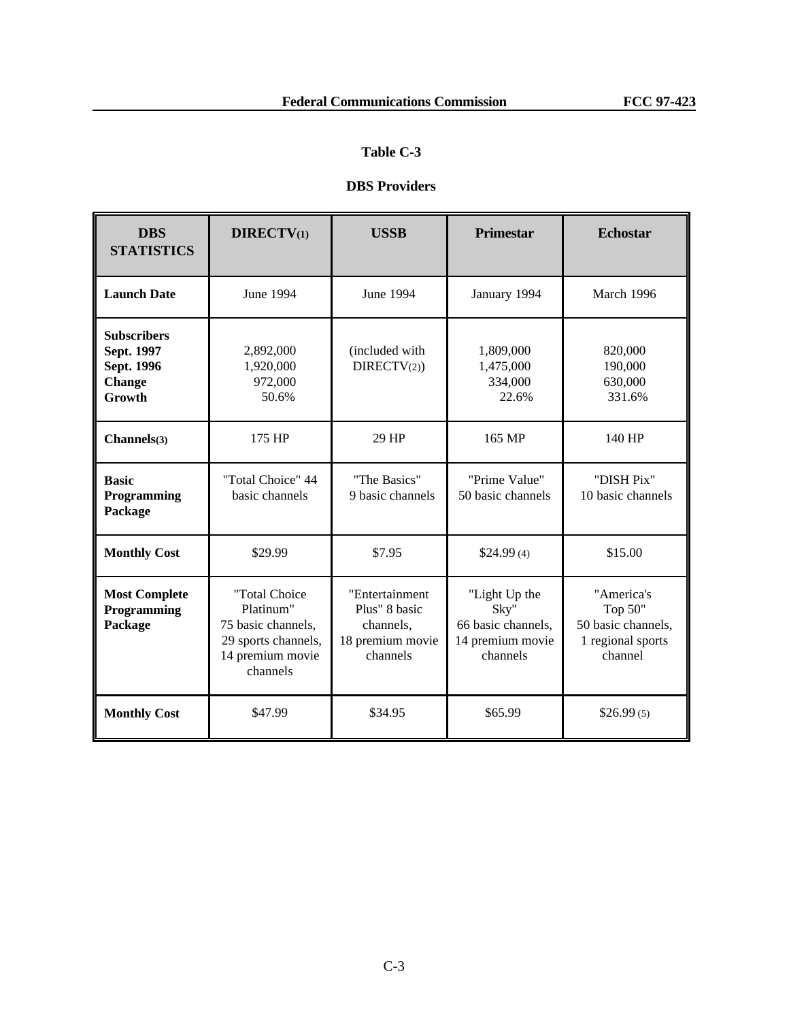# **Table C-3**

# **DBS Providers**

| <b>DBS</b><br><b>STATISTICS</b>                                           | <b>DIRECTV(1)</b><br><b>USSB</b>                                                                        |                                                                              | <b>Primestar</b>                                                            | <b>Echostar</b>                                                             |
|---------------------------------------------------------------------------|---------------------------------------------------------------------------------------------------------|------------------------------------------------------------------------------|-----------------------------------------------------------------------------|-----------------------------------------------------------------------------|
| <b>Launch Date</b>                                                        | June 1994                                                                                               | June 1994                                                                    | January 1994                                                                | March 1996                                                                  |
| <b>Subscribers</b><br>Sept. 1997<br>Sept. 1996<br><b>Change</b><br>Growth | 2,892,000<br>1,920,000<br>972,000<br>50.6%                                                              | (included with)<br>DIRECTV(2)                                                | 1,809,000<br>1,475,000<br>334,000<br>22.6%                                  | 820,000<br>190,000<br>630,000<br>331.6%                                     |
| Channels(3)                                                               | 175 HP                                                                                                  | 29 HP                                                                        | 165 MP                                                                      | 140 HP                                                                      |
| <b>Basic</b><br>Programming<br>Package                                    | "Total Choice" 44<br>basic channels                                                                     | "The Basics"<br>9 basic channels                                             | "Prime Value"<br>50 basic channels                                          | "DISH Pix"<br>10 basic channels                                             |
| <b>Monthly Cost</b>                                                       | \$29.99                                                                                                 | \$7.95                                                                       | \$24.99(4)                                                                  | \$15.00                                                                     |
| <b>Most Complete</b><br>Programming<br>Package                            | "Total Choice<br>Platinum"<br>75 basic channels,<br>29 sports channels,<br>14 premium movie<br>channels | "Entertainment<br>Plus" 8 basic<br>channels,<br>18 premium movie<br>channels | "Light Up the<br>Sky"<br>66 basic channels,<br>14 premium movie<br>channels | "America's<br>Top 50"<br>50 basic channels,<br>1 regional sports<br>channel |
| <b>Monthly Cost</b>                                                       | \$47.99                                                                                                 | \$34.95                                                                      | \$65.99                                                                     | \$26.99(5)                                                                  |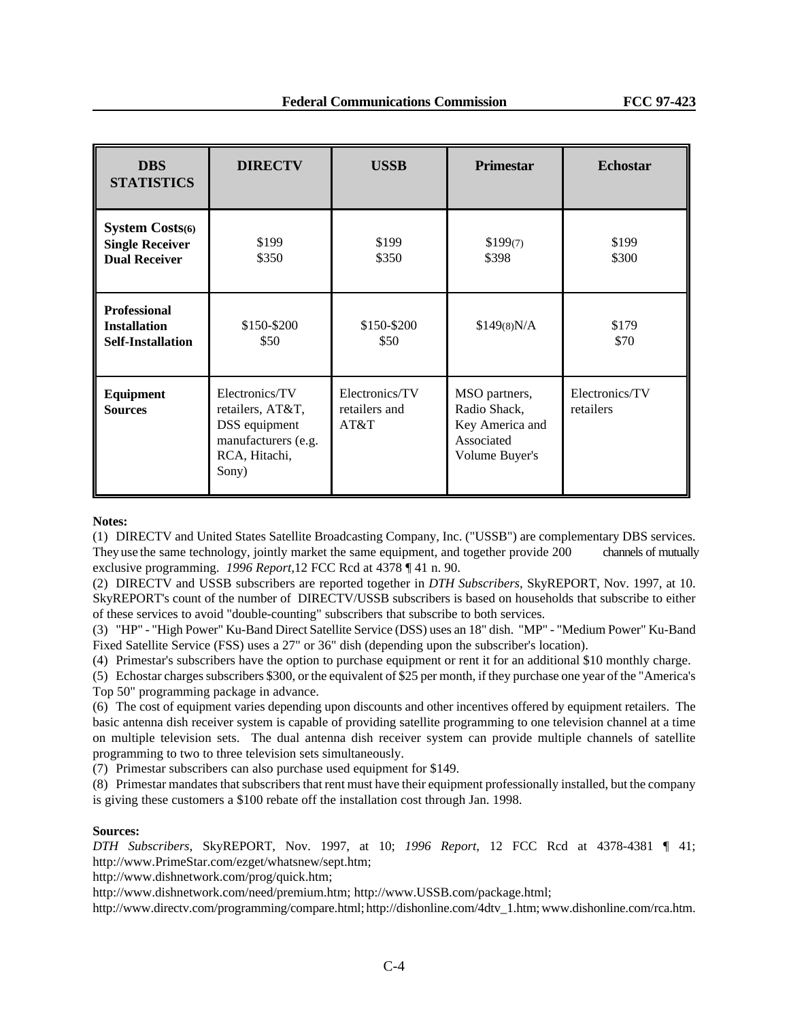| <b>DBS</b><br><b>STATISTICS</b>                                                                                                            | <b>DIRECTV</b>      | <b>USSB</b>                             | <b>Primestar</b>                                                                 | <b>Echostar</b>             |
|--------------------------------------------------------------------------------------------------------------------------------------------|---------------------|-----------------------------------------|----------------------------------------------------------------------------------|-----------------------------|
| <b>System Costs(6)</b><br><b>Single Receiver</b><br><b>Dual Receiver</b>                                                                   | \$199<br>\$350      | \$199<br>\$350                          | \$199(7)<br>\$398                                                                | \$199<br>\$300              |
| <b>Professional</b><br><b>Installation</b><br><b>Self-Installation</b>                                                                     | \$150-\$200<br>\$50 | \$150-\$200<br>\$50                     | \$149(8)N/A                                                                      | \$179<br>\$70               |
| Electronics/TV<br><b>Equipment</b><br><b>Sources</b><br>retailers, AT&T,<br>DSS equipment<br>manufacturers (e.g.<br>RCA, Hitachi,<br>Sony) |                     | Electronics/TV<br>retailers and<br>AT&T | MSO partners,<br>Radio Shack,<br>Key America and<br>Associated<br>Volume Buyer's | Electronics/TV<br>retailers |

**Notes:**

(1) DIRECTV and United States Satellite Broadcasting Company, Inc. ("USSB") are complementary DBS services. They use the same technology, jointly market the same equipment, and together provide 200 channels of mutually exclusive programming. *1996 Report,*12 FCC Rcd at 4378 ¶ 41 n. 90.

(2) DIRECTV and USSB subscribers are reported together in *DTH Subscribers*, SkyREPORT, Nov. 1997, at 10. SkyREPORT's count of the number of DIRECTV/USSB subscribers is based on households that subscribe to either of these services to avoid "double-counting" subscribers that subscribe to both services.

(3) "HP" - "High Power" Ku-Band Direct Satellite Service (DSS) uses an 18" dish. "MP" - "Medium Power" Ku-Band Fixed Satellite Service (FSS) uses a 27" or 36" dish (depending upon the subscriber's location).

(4) Primestar's subscribers have the option to purchase equipment or rent it for an additional \$10 monthly charge.

(5) Echostar charges subscribers \$300, or the equivalent of \$25 per month, if they purchase one year of the "America's Top 50" programming package in advance.

(6) The cost of equipment varies depending upon discounts and other incentives offered by equipment retailers. The basic antenna dish receiver system is capable of providing satellite programming to one television channel at a time on multiple television sets. The dual antenna dish receiver system can provide multiple channels of satellite programming to two to three television sets simultaneously.

(7) Primestar subscribers can also purchase used equipment for \$149.

(8) Primestar mandates that subscribers that rent must have their equipment professionally installed, but the company is giving these customers a \$100 rebate off the installation cost through Jan. 1998.

#### **Sources:**

*DTH Subscribers*, SkyREPORT, Nov. 1997, at 10; *1996 Report*, 12 FCC Rcd at 4378-4381 ¶ 41; http://www.PrimeStar.com/ezget/whatsnew/sept.htm;

http://www.dishnetwork.com/prog/quick.htm;

http://www.dishnetwork.com/need/premium.htm; http://www.USSB.com/package.html;

http://www.directv.com/programming/compare.html; http://dishonline.com/4dtv\_1.htm; www.dishonline.com/rca.htm.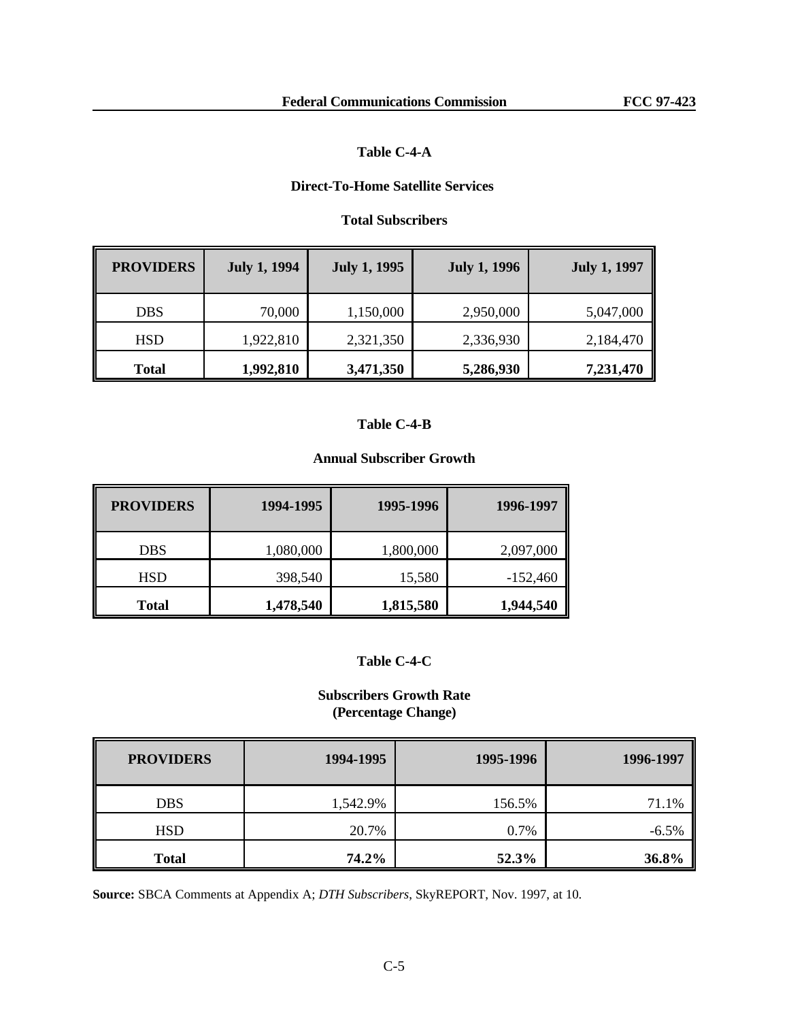# **Table C-4-A**

# **Direct-To-Home Satellite Services**

# **Total Subscribers**

| <b>PROVIDERS</b> | <b>July 1, 1994</b> | <b>July 1, 1995</b> | <b>July 1, 1996</b> | <b>July 1, 1997</b> |
|------------------|---------------------|---------------------|---------------------|---------------------|
| DBS.             | 70,000              | 1,150,000           | 2,950,000           | 5,047,000           |
| <b>HSD</b>       | 1,922,810           | 2,321,350           | 2,336,930           | 2,184,470           |
| <b>Total</b>     | 1,992,810           | 3,471,350           | 5,286,930           | 7,231,470           |

### **Table C-4-B**

# **Annual Subscriber Growth**

| <b>PROVIDERS</b> | 1994-1995 | 1995-1996 | 1996-1997  |
|------------------|-----------|-----------|------------|
| <b>DBS</b>       | 1,080,000 | 1,800,000 | 2,097,000  |
| <b>HSD</b>       | 398,540   | 15,580    | $-152,460$ |
| <b>Total</b>     | 1,478,540 | 1,815,580 | 1,944,540  |

# **Table C-4-C**

# **Subscribers Growth Rate (Percentage Change)**

| <b>PROVIDERS</b> | 1994-1995 | 1995-1996 | 1996-1997 |
|------------------|-----------|-----------|-----------|
| <b>DBS</b>       | 1,542.9%  | 156.5%    | 71.1%     |
| <b>HSD</b>       | 20.7%     | 0.7%      | $-6.5\%$  |
| <b>Total</b>     | 74.2%     | 52.3%     | 36.8%     |

**Source:** SBCA Comments at Appendix A; *DTH Subscribers*, SkyREPORT, Nov. 1997, at 10.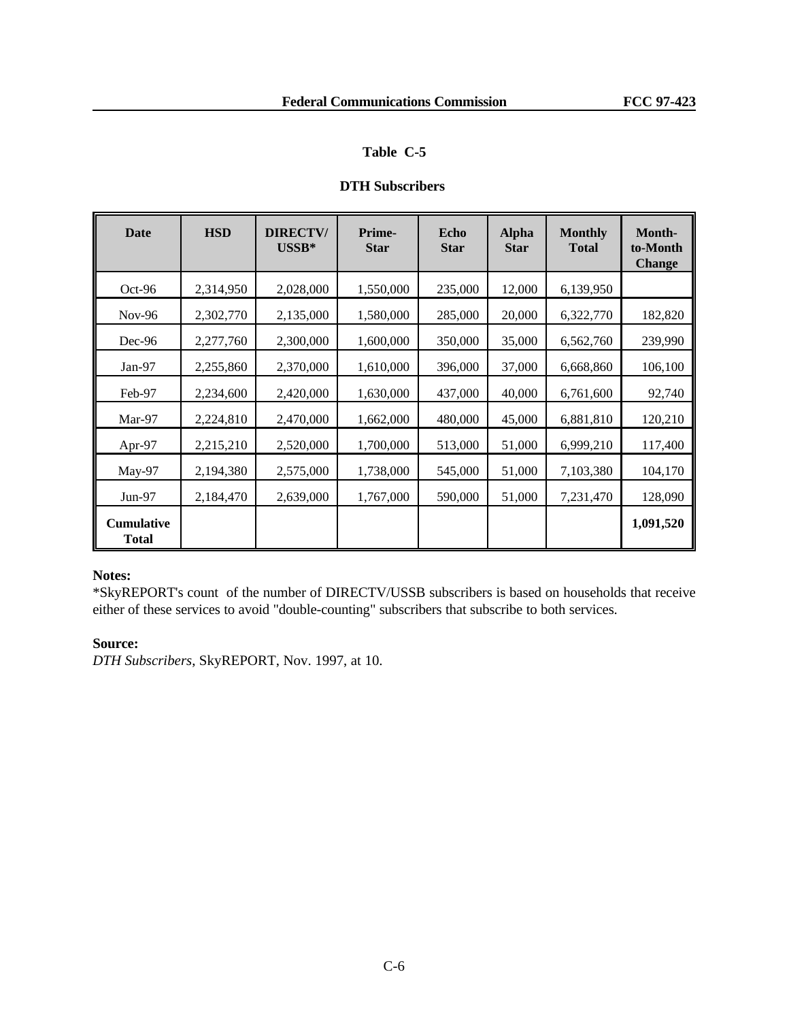# **Table C-5**

# **DTH Subscribers**

| Date                              | <b>HSD</b> | <b>DIRECTV/</b><br>$\mathbf{U}\mathbf{SSB}^*$ | Prime-<br><b>Star</b> | Echo<br><b>Star</b> | <b>Alpha</b><br><b>Star</b> | <b>Monthly</b><br><b>Total</b> | Month-<br>to-Month<br><b>Change</b> |
|-----------------------------------|------------|-----------------------------------------------|-----------------------|---------------------|-----------------------------|--------------------------------|-------------------------------------|
| Oct-96                            | 2,314,950  | 2,028,000                                     | 1,550,000             | 235,000             | 12,000                      | 6,139,950                      |                                     |
| $Nov-96$                          | 2,302,770  | 2,135,000                                     | 1,580,000             | 285,000             | 20,000                      | 6,322,770                      | 182,820                             |
| $Dec-96$                          | 2,277,760  | 2,300,000                                     | 1,600,000             | 350,000             | 35,000                      | 6,562,760                      | 239,990                             |
| $Jan-97$                          | 2,255,860  | 2,370,000                                     | 1,610,000             | 396,000             | 37,000                      | 6,668,860                      | 106,100                             |
| Feb-97                            | 2,234,600  | 2,420,000                                     | 1,630,000             | 437,000             | 40,000                      | 6,761,600                      | 92,740                              |
| Mar-97                            | 2,224,810  | 2,470,000                                     | 1,662,000             | 480,000             | 45,000                      | 6,881,810                      | 120,210                             |
| Apr-97                            | 2,215,210  | 2,520,000                                     | 1,700,000             | 513,000             | 51,000                      | 6,999,210                      | 117,400                             |
| May-97                            | 2,194,380  | 2,575,000                                     | 1,738,000             | 545,000             | 51,000                      | 7,103,380                      | 104,170                             |
| $Jun-97$                          | 2,184,470  | 2,639,000                                     | 1,767,000             | 590,000             | 51,000                      | 7,231,470                      | 128,090                             |
| <b>Cumulative</b><br><b>Total</b> |            |                                               |                       |                     |                             |                                | 1,091,520                           |

# **Notes:**

\*SkyREPORT's count of the number of DIRECTV/USSB subscribers is based on households that receive either of these services to avoid "double-counting" subscribers that subscribe to both services.

# **Source:**

*DTH Subscribers*, SkyREPORT, Nov. 1997, at 10.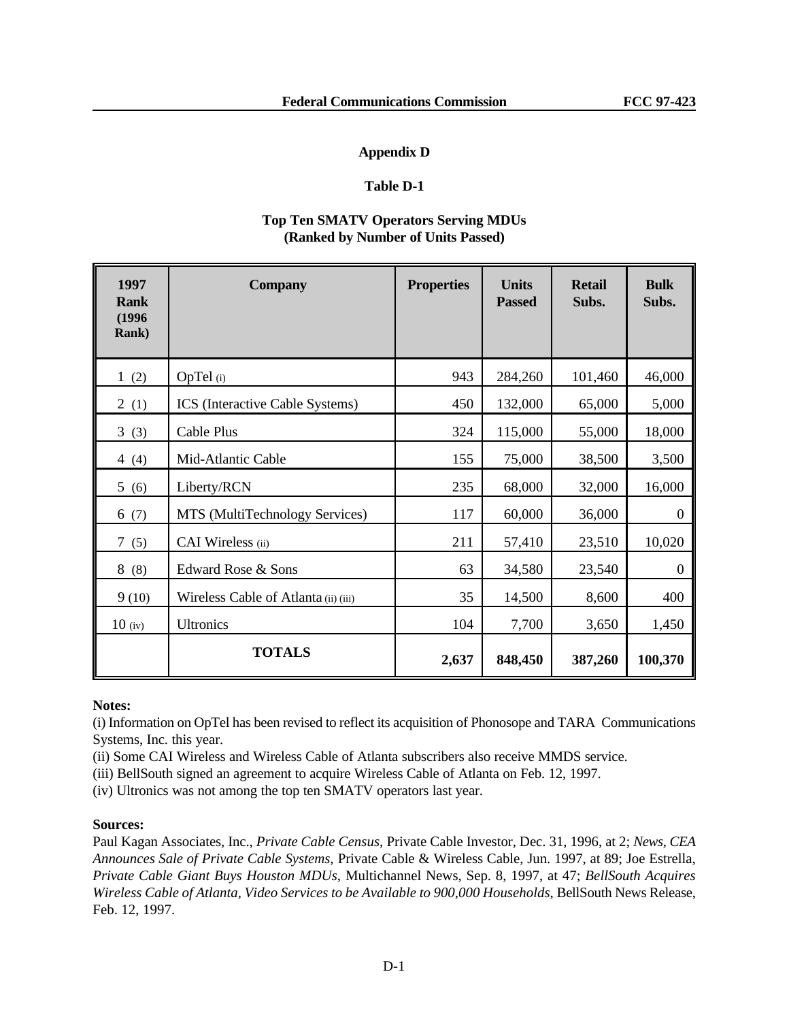# **Appendix D**

# **Table D-1**

# **Top Ten SMATV Operators Serving MDUs (Ranked by Number of Units Passed)**

| 1997<br><b>Rank</b><br>(1996)<br><b>Rank</b> ) | <b>Company</b>                         | <b>Properties</b> | <b>Units</b><br><b>Passed</b> | <b>Retail</b><br>Subs. | <b>Bulk</b><br>Subs. |
|------------------------------------------------|----------------------------------------|-------------------|-------------------------------|------------------------|----------------------|
| 1(2)                                           | OpTel (i)                              | 943               | 284,260                       | 101,460                | 46,000               |
| 2(1)                                           | <b>ICS</b> (Interactive Cable Systems) | 450               | 132,000                       | 65,000                 | 5,000                |
| 3(3)                                           | Cable Plus                             | 324               | 115,000                       | 55,000                 | 18,000               |
| 4 $(4)$                                        | Mid-Atlantic Cable                     | 155               | 75,000                        | 38,500                 | 3,500                |
| 5(6)                                           | Liberty/RCN                            | 235               | 68,000                        | 32,000                 | 16,000               |
| 6(7)                                           | MTS (MultiTechnology Services)         | 117               | 60,000                        | 36,000                 | $\mathbf{0}$         |
| 7(5)                                           | CAI Wireless (ii)                      | 211               | 57,410                        | 23,510                 | 10,020               |
| 8(8)                                           | Edward Rose & Sons                     | 63                | 34,580                        | 23,540                 | $\theta$             |
| 9(10)                                          | Wireless Cable of Atlanta (ii) (iii)   | 35                | 14,500                        | 8,600                  | 400                  |
| $10$ (iv)                                      | <b>Ultronics</b>                       | 104               | 7,700                         | 3,650                  | 1,450                |
|                                                | <b>TOTALS</b>                          | 2,637             | 848,450                       | 387,260                | 100,370              |

### **Notes:**

(i) Information on OpTel has been revised to reflect its acquisition of Phonosope and TARA Communications Systems, Inc. this year.

(ii) Some CAI Wireless and Wireless Cable of Atlanta subscribers also receive MMDS service.

(iii) BellSouth signed an agreement to acquire Wireless Cable of Atlanta on Feb. 12, 1997.

(iv) Ultronics was not among the top ten SMATV operators last year.

# **Sources:**

Paul Kagan Associates, Inc., *Private Cable Census*, Private Cable Investor, Dec. 31, 1996, at 2; *News, CEA Announces Sale of Private Cable Systems*, Private Cable & Wireless Cable, Jun. 1997, at 89; Joe Estrella, *Private Cable Giant Buys Houston MDUs*, Multichannel News, Sep. 8, 1997, at 47; *BellSouth Acquires Wireless Cable of Atlanta, Video Services to be Available to 900,000 Households*, BellSouth News Release, Feb. 12, 1997.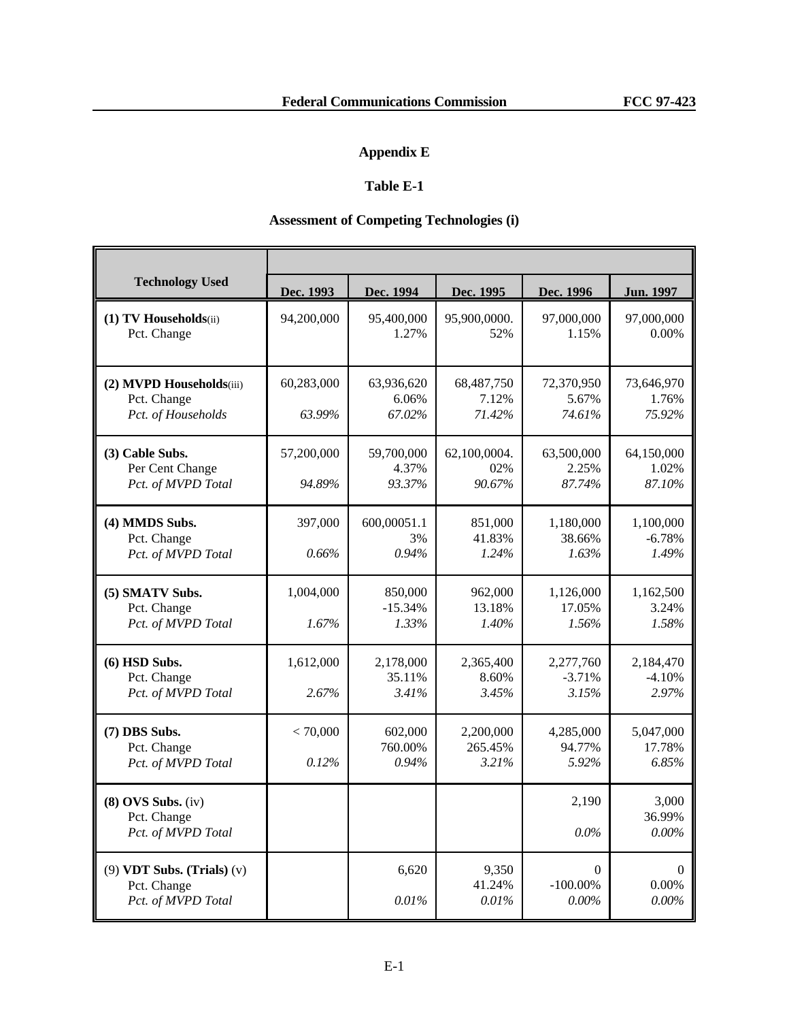# **Appendix E**

# **Table E-1**

# **Assessment of Competing Technologies (i)**

| <b>Technology Used</b>                                              | Dec. 1993            | Dec. 1994                     | Dec. 1995                     | Dec. 1996                           | <b>Jun. 1997</b>                 |
|---------------------------------------------------------------------|----------------------|-------------------------------|-------------------------------|-------------------------------------|----------------------------------|
| (1) TV Households(ii)<br>Pct. Change                                | 94,200,000           | 95,400,000<br>1.27%           | 95,900,0000.<br>52%           | 97,000,000<br>1.15%                 | 97,000,000<br>0.00%              |
| (2) MVPD Households(iii)<br>Pct. Change<br>Pct. of Households       | 60,283,000<br>63.99% | 63,936,620<br>6.06%<br>67.02% | 68,487,750<br>7.12%<br>71.42% | 72,370,950<br>5.67%<br>74.61%       | 73,646,970<br>1.76%<br>75.92%    |
| (3) Cable Subs.<br>Per Cent Change<br>Pct. of MVPD Total            | 57,200,000<br>94.89% | 59,700,000<br>4.37%<br>93.37% | 62,100,0004.<br>02%<br>90.67% | 63,500,000<br>2.25%<br>87.74%       | 64,150,000<br>1.02%<br>87.10%    |
| (4) MMDS Subs.<br>Pct. Change<br>Pct. of MVPD Total                 | 397,000<br>0.66%     | 600,00051.1<br>3%<br>0.94%    | 851,000<br>41.83%<br>1.24%    | 1,180,000<br>38.66%<br>1.63%        | 1,100,000<br>$-6.78%$<br>1.49%   |
| (5) SMATV Subs.<br>Pct. Change<br>Pct. of MVPD Total                | 1,004,000<br>1.67%   | 850,000<br>$-15.34%$<br>1.33% | 962,000<br>13.18%<br>1.40%    | 1,126,000<br>17.05%<br>1.56%        | 1,162,500<br>3.24%<br>1.58%      |
| $(6)$ HSD Subs.<br>Pct. Change<br>Pct. of MVPD Total                | 1,612,000<br>2.67%   | 2,178,000<br>35.11%<br>3.41%  | 2,365,400<br>8.60%<br>3.45%   | 2,277,760<br>$-3.71%$<br>3.15%      | 2,184,470<br>$-4.10%$<br>2.97%   |
| (7) DBS Subs.<br>Pct. Change<br>Pct. of MVPD Total                  | < 70,000<br>0.12%    | 602,000<br>760.00%<br>0.94%   | 2,200,000<br>265.45%<br>3.21% | 4,285,000<br>94.77%<br>5.92%        | 5,047,000<br>17.78%<br>6.85%     |
| $(8)$ OVS Subs. $(iv)$<br>Pct. Change<br>Pct. of MVPD Total         |                      |                               |                               | 2,190<br>0.0%                       | 3,000<br>36.99%<br>0.00%         |
| $(9)$ VDT Subs. (Trials) $(v)$<br>Pct. Change<br>Pct. of MVPD Total |                      | 6,620<br>0.01%                | 9,350<br>41.24%<br>0.01%      | $\Omega$<br>$-100.00\%$<br>$0.00\%$ | $\left($<br>$0.00\%$<br>$0.00\%$ |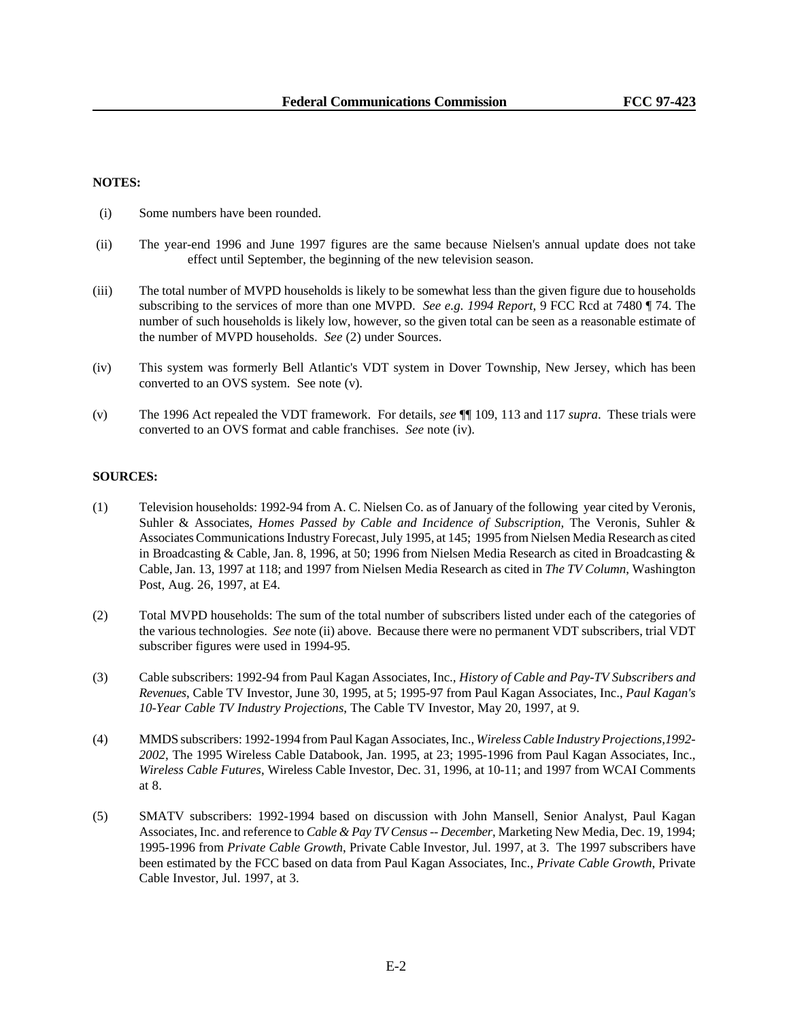#### **NOTES:**

- (i) Some numbers have been rounded.
- (ii) The year-end 1996 and June 1997 figures are the same because Nielsen's annual update does not take effect until September, the beginning of the new television season.
- (iii) The total number of MVPD households is likely to be somewhat less than the given figure due to households subscribing to the services of more than one MVPD. *See e.g. 1994 Report*, 9 FCC Rcd at 7480 ¶ 74. The number of such households is likely low, however, so the given total can be seen as a reasonable estimate of the number of MVPD households. *See* (2) under Sources.
- (iv) This system was formerly Bell Atlantic's VDT system in Dover Township, New Jersey, which has been converted to an OVS system. See note (v).
- (v) The 1996 Act repealed the VDT framework. For details, *see* ¶¶ 109, 113 and 117 *supra*. These trials were converted to an OVS format and cable franchises. *See* note (iv).

#### **SOURCES:**

- (1) Television households: 1992-94 from A. C. Nielsen Co. as of January of the following year cited by Veronis, Suhler & Associates, *Homes Passed by Cable and Incidence of Subscription*, The Veronis, Suhler & Associates Communications Industry Forecast, July 1995, at 145; 1995 from Nielsen Media Research as cited in Broadcasting & Cable, Jan. 8, 1996, at 50; 1996 from Nielsen Media Research as cited in Broadcasting & Cable, Jan. 13, 1997 at 118; and 1997 from Nielsen Media Research as cited in *The TV Column*, Washington Post, Aug. 26, 1997, at E4.
- (2) Total MVPD households: The sum of the total number of subscribers listed under each of the categories of the various technologies. *See* note (ii) above. Because there were no permanent VDT subscribers, trial VDT subscriber figures were used in 1994-95.
- (3) Cable subscribers: 1992-94 from Paul Kagan Associates, Inc.*, History of Cable and Pay-TV Subscribers and Revenues*, Cable TV Investor, June 30, 1995, at 5; 1995-97 from Paul Kagan Associates, Inc., *Paul Kagan's 10-Year Cable TV Industry Projections*, The Cable TV Investor, May 20, 1997, at 9.
- (4) MMDS subscribers: 1992-1994 from Paul Kagan Associates, Inc., *Wireless Cable Industry Projections,1992- 2002*, The 1995 Wireless Cable Databook, Jan. 1995, at 23; 1995-1996 from Paul Kagan Associates, Inc., *Wireless Cable Futures*, Wireless Cable Investor, Dec. 31, 1996, at 10-11; and 1997 from WCAI Comments at 8.
- (5) SMATV subscribers: 1992-1994 based on discussion with John Mansell, Senior Analyst, Paul Kagan Associates, Inc. and reference to *Cable & Pay TV Census -- December*, Marketing New Media, Dec. 19, 1994; 1995-1996 from *Private Cable Growth*, Private Cable Investor, Jul. 1997, at 3. The 1997 subscribers have been estimated by the FCC based on data from Paul Kagan Associates, Inc., *Private Cable Growth*, Private Cable Investor, Jul. 1997, at 3.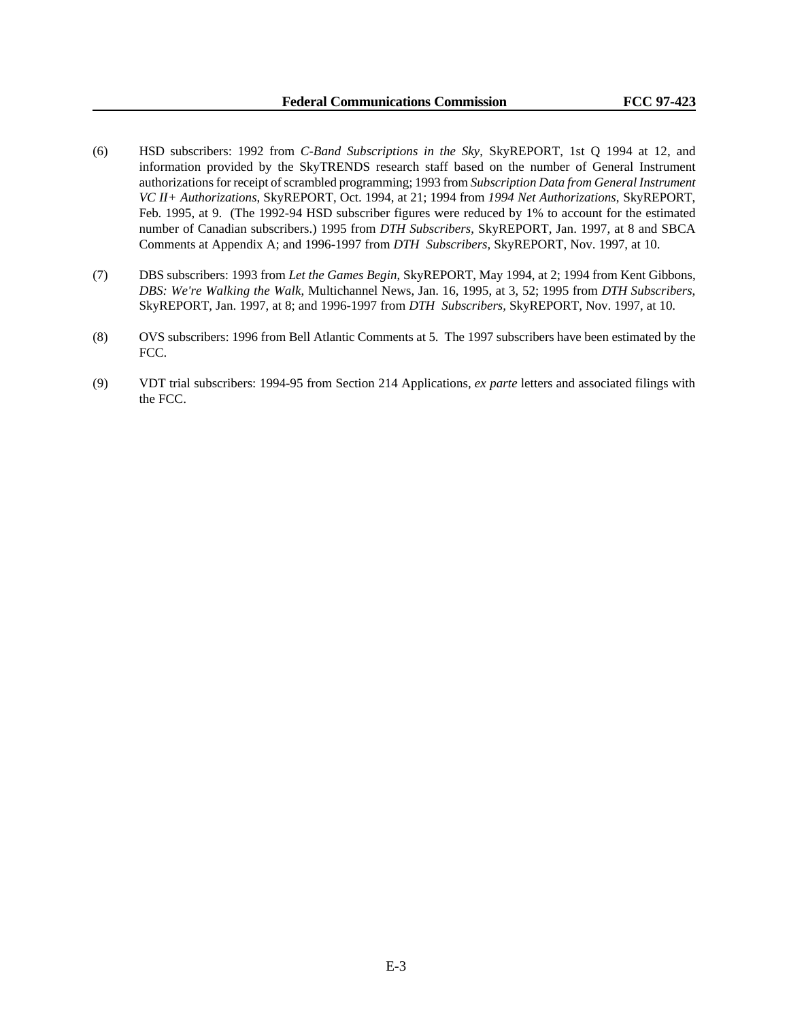- (6) HSD subscribers: 1992 from *C-Band Subscriptions in the Sky*, SkyREPORT, 1st Q 1994 at 12, and information provided by the SkyTRENDS research staff based on the number of General Instrument authorizations for receipt of scrambled programming; 1993 from *Subscription Data from General Instrument VC II+ Authorizations*, SkyREPORT, Oct. 1994, at 21; 1994 from *1994 Net Authorizations*, SkyREPORT, Feb. 1995, at 9. (The 1992-94 HSD subscriber figures were reduced by 1% to account for the estimated number of Canadian subscribers.) 1995 from *DTH Subscribers*, SkyREPORT, Jan. 1997, at 8 and SBCA Comments at Appendix A; and 1996-1997 from *DTH Subscribers,* SkyREPORT, Nov. 1997, at 10.
- (7) DBS subscribers: 1993 from *Let the Games Begin*, SkyREPORT, May 1994, at 2; 1994 from Kent Gibbons, *DBS: We're Walking the Walk*, Multichannel News, Jan. 16, 1995, at 3, 52; 1995 from *DTH Subscribers*, SkyREPORT, Jan. 1997, at 8; and 1996-1997 from *DTH Subscribers,* SkyREPORT, Nov. 1997, at 10.
- (8) OVS subscribers: 1996 from Bell Atlantic Comments at 5. The 1997 subscribers have been estimated by the FCC.
- (9) VDT trial subscribers: 1994-95 from Section 214 Applications, *ex parte* letters and associated filings with the FCC.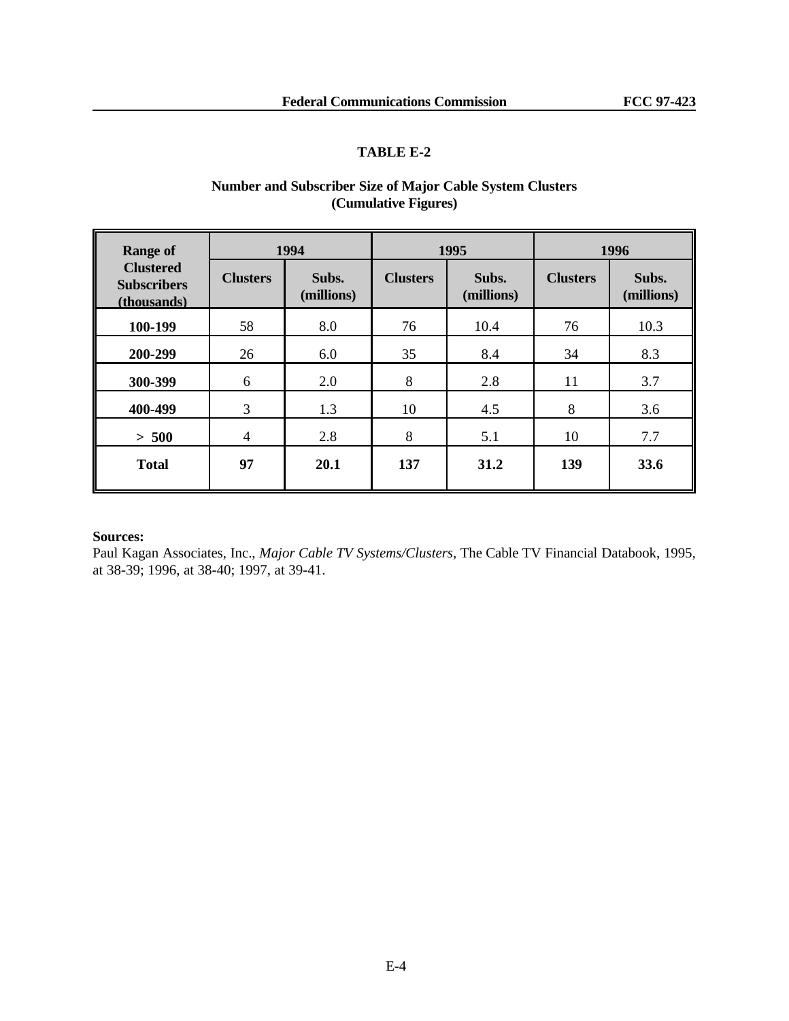# **TABLE E-2**

| <b>Range of</b>                                       |                 | 1994                | 1995            |                     | 1996            |                     |
|-------------------------------------------------------|-----------------|---------------------|-----------------|---------------------|-----------------|---------------------|
| <b>Clustered</b><br><b>Subscribers</b><br>(thousands) | <b>Clusters</b> | Subs.<br>(millions) | <b>Clusters</b> | Subs.<br>(millions) | <b>Clusters</b> | Subs.<br>(millions) |
| 100-199                                               | 58              | 8.0                 | 76              | 10.4                | 76              | 10.3                |
| 200-299                                               | 26              | 6.0                 | 35              | 8.4                 | 34              | 8.3                 |
| 300-399                                               | 6               | 2.0                 | 8               | 2.8                 | 11              | 3.7                 |
| 400-499                                               | 3               | 1.3                 | 10              | 4.5                 | 8               | 3.6                 |
| > 500                                                 | 4               | 2.8                 | 8               | 5.1                 | 10              | 7.7                 |
| <b>Total</b>                                          | 97              | 20.1                | 137             | 31.2                | 139             | 33.6                |

# **Number and Subscriber Size of Major Cable System Clusters (Cumulative Figures)**

### **Sources:**

Paul Kagan Associates, Inc., *Major Cable TV Systems/Clusters,* The Cable TV Financial Databook, 1995, at 38-39; 1996, at 38-40; 1997, at 39-41.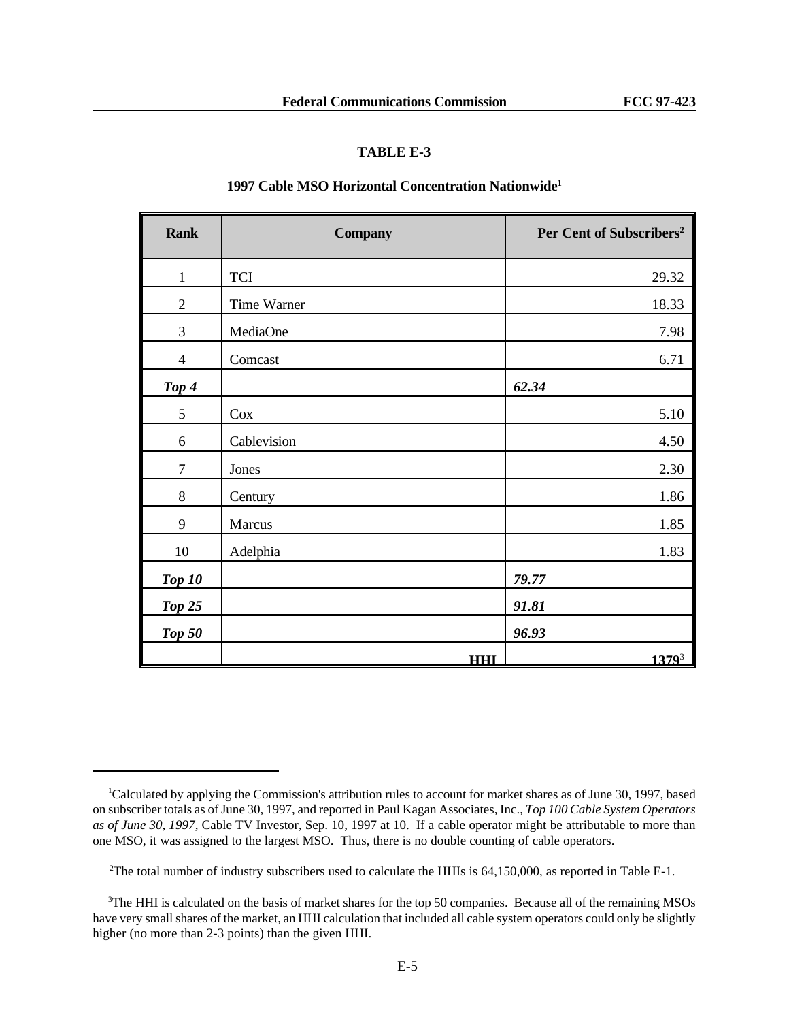## **TABLE E-3**

# **1997 Cable MSO Horizontal Concentration Nationwide<sup>1</sup>**

| <b>Rank</b>    | <b>Company</b> | Per Cent of Subscribers <sup>2</sup> |
|----------------|----------------|--------------------------------------|
| $\mathbf{1}$   | <b>TCI</b>     | 29.32                                |
| $\overline{2}$ | Time Warner    | 18.33                                |
| 3              | MediaOne       | 7.98                                 |
| $\overline{4}$ | Comcast        | 6.71                                 |
| Top 4          |                | 62.34                                |
| 5              | Cox            | 5.10                                 |
| 6              | Cablevision    | 4.50                                 |
| $\tau$         | Jones          | 2.30                                 |
| $8\,$          | Century        | 1.86                                 |
| 9              | Marcus         | 1.85                                 |
| 10             | Adelphia       | 1.83                                 |
| <b>Top 10</b>  |                | 79.77                                |
| <b>Top 25</b>  |                | 91.81                                |
| <b>Top 50</b>  |                | 96.93                                |
|                | <b>HHI</b>     | $1379^{3}$                           |

<sup>&</sup>lt;sup>1</sup>Calculated by applying the Commission's attribution rules to account for market shares as of June 30, 1997, based on subscriber totals as of June 30, 1997, and reported in Paul Kagan Associates, Inc., *Top 100 Cable System Operators as of June 30, 1997*, Cable TV Investor, Sep. 10, 1997 at 10. If a cable operator might be attributable to more than one MSO, it was assigned to the largest MSO. Thus, there is no double counting of cable operators.

<sup>&</sup>lt;sup>2</sup>The total number of industry subscribers used to calculate the HHIs is 64,150,000, as reported in Table E-1.

<sup>&</sup>lt;sup>3</sup>The HHI is calculated on the basis of market shares for the top 50 companies. Because all of the remaining MSOs have very small shares of the market, an HHI calculation that included all cable system operators could only be slightly higher (no more than 2-3 points) than the given HHI.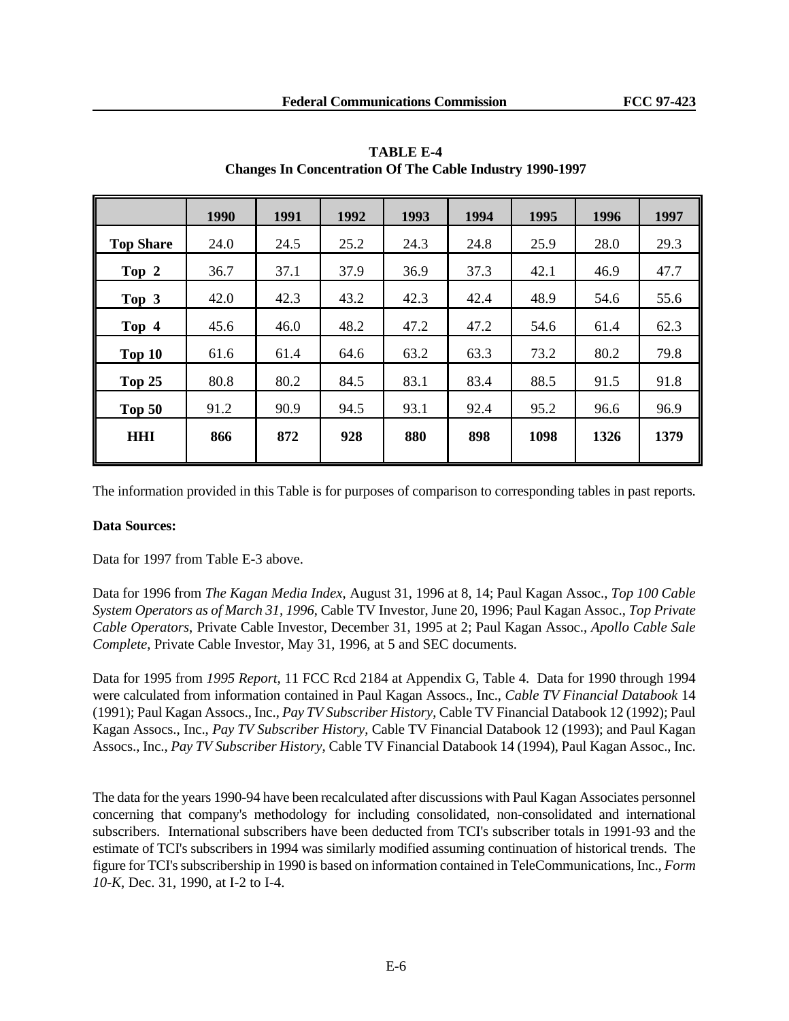|                  | 1990 | 1991 | 1992 | 1993 | 1994 | 1995 | 1996 | 1997 |
|------------------|------|------|------|------|------|------|------|------|
| <b>Top Share</b> | 24.0 | 24.5 | 25.2 | 24.3 | 24.8 | 25.9 | 28.0 | 29.3 |
| Top 2            | 36.7 | 37.1 | 37.9 | 36.9 | 37.3 | 42.1 | 46.9 | 47.7 |
| Top 3            | 42.0 | 42.3 | 43.2 | 42.3 | 42.4 | 48.9 | 54.6 | 55.6 |
| Top 4            | 45.6 | 46.0 | 48.2 | 47.2 | 47.2 | 54.6 | 61.4 | 62.3 |
| Top 10           | 61.6 | 61.4 | 64.6 | 63.2 | 63.3 | 73.2 | 80.2 | 79.8 |
| Top 25           | 80.8 | 80.2 | 84.5 | 83.1 | 83.4 | 88.5 | 91.5 | 91.8 |
| <b>Top 50</b>    | 91.2 | 90.9 | 94.5 | 93.1 | 92.4 | 95.2 | 96.6 | 96.9 |
| <b>HHI</b>       | 866  | 872  | 928  | 880  | 898  | 1098 | 1326 | 1379 |

**TABLE E-4 Changes In Concentration Of The Cable Industry 1990-1997**

The information provided in this Table is for purposes of comparison to corresponding tables in past reports.

# **Data Sources:**

Data for 1997 from Table E-3 above.

Data for 1996 from *The Kagan Media Index*, August 31, 1996 at 8, 14; Paul Kagan Assoc., *Top 100 Cable System Operators as of March 31, 1996*, Cable TV Investor, June 20, 1996; Paul Kagan Assoc., *Top Private Cable Operators*, Private Cable Investor, December 31, 1995 at 2; Paul Kagan Assoc., *Apollo Cable Sale Complete*, Private Cable Investor, May 31, 1996, at 5 and SEC documents.

Data for 1995 from *1995 Report*, 11 FCC Rcd 2184 at Appendix G, Table 4. Data for 1990 through 1994 were calculated from information contained in Paul Kagan Assocs., Inc., *Cable TV Financial Databook* 14 (1991); Paul Kagan Assocs., Inc., *Pay TV Subscriber History*, Cable TV Financial Databook 12 (1992); Paul Kagan Assocs., Inc., *Pay TV Subscriber History*, Cable TV Financial Databook 12 (1993); and Paul Kagan Assocs., Inc., *Pay TV Subscriber History*, Cable TV Financial Databook 14 (1994), Paul Kagan Assoc., Inc.

The data for the years 1990-94 have been recalculated after discussions with Paul Kagan Associates personnel concerning that company's methodology for including consolidated, non-consolidated and international subscribers. International subscribers have been deducted from TCI's subscriber totals in 1991-93 and the estimate of TCI's subscribers in 1994 was similarly modified assuming continuation of historical trends. The figure for TCI's subscribership in 1990 is based on information contained in TeleCommunications, Inc., *Form 10-K*, Dec. 31, 1990, at I-2 to I-4.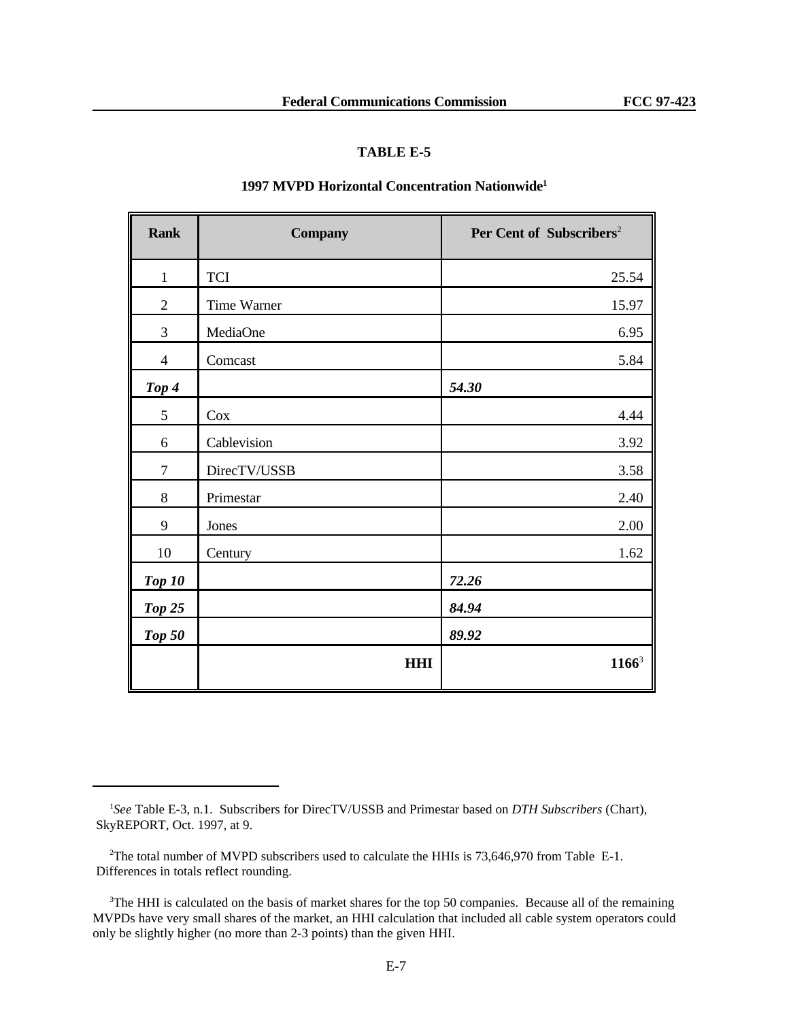### **TABLE E-5**

## **1997 MVPD Horizontal Concentration Nationwide<sup>1</sup>**

| <b>Rank</b>    | <b>Company</b> | Per Cent of Subscribers <sup>2</sup> |
|----------------|----------------|--------------------------------------|
| $\mathbf{1}$   | <b>TCI</b>     | 25.54                                |
| $\overline{2}$ | Time Warner    | 15.97                                |
| 3              | MediaOne       | 6.95                                 |
| $\overline{4}$ | Comcast        | 5.84                                 |
| Top 4          |                | 54.30                                |
| $\mathfrak{S}$ | Cox            | 4.44                                 |
| 6              | Cablevision    | 3.92                                 |
| $\overline{7}$ | DirecTV/USSB   | 3.58                                 |
| $8\,$          | Primestar      | 2.40                                 |
| 9              | Jones          | 2.00                                 |
| $10\,$         | Century        | 1.62                                 |
| Top 10         |                | 72.26                                |
| <b>Top 25</b>  |                | 84.94                                |
| <b>Top 50</b>  |                | 89.92                                |
|                | <b>HHI</b>     | $1166^3$                             |

<sup>1</sup> *See* Table E-3, n.1. Subscribers for DirecTV/USSB and Primestar based on *DTH Subscribers* (Chart), SkyREPORT, Oct. 1997, at 9.

<sup>&</sup>lt;sup>2</sup>The total number of MVPD subscribers used to calculate the HHIs is 73,646,970 from Table E-1. Differences in totals reflect rounding.

<sup>&</sup>lt;sup>3</sup>The HHI is calculated on the basis of market shares for the top 50 companies. Because all of the remaining MVPDs have very small shares of the market, an HHI calculation that included all cable system operators could only be slightly higher (no more than 2-3 points) than the given HHI.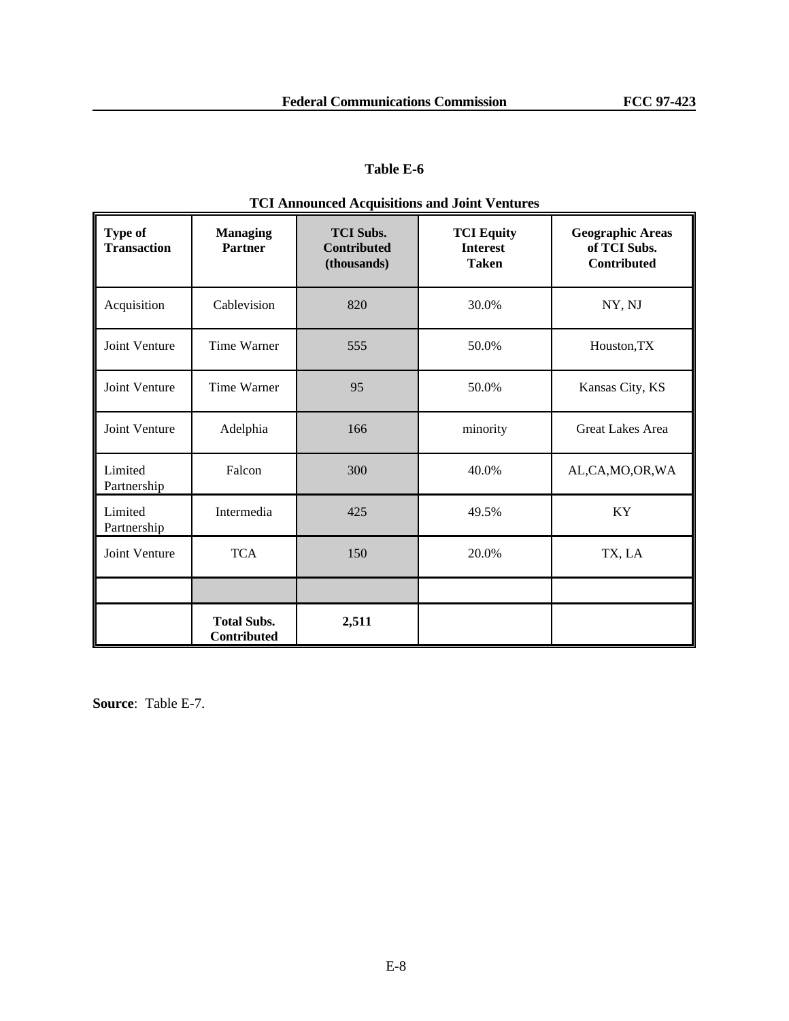# **Table E-6**

| <b>Type of</b><br><b>Transaction</b> | <b>Managing</b><br><b>Partner</b> | <b>TCI Subs.</b><br><b>Contributed</b><br>(thousands) | <b>TCI Equity</b><br><b>Interest</b><br><b>Taken</b> | <b>Geographic Areas</b><br>of TCI Subs.<br><b>Contributed</b> |
|--------------------------------------|-----------------------------------|-------------------------------------------------------|------------------------------------------------------|---------------------------------------------------------------|
| Acquisition                          | Cablevision                       | 820                                                   | 30.0%                                                | NY, NJ                                                        |
| Joint Venture                        | <b>Time Warner</b>                | 555                                                   | 50.0%                                                | Houston, TX                                                   |
| Joint Venture                        | <b>Time Warner</b>                | 95                                                    | 50.0%                                                | Kansas City, KS                                               |
| Joint Venture                        | Adelphia                          | 166                                                   | minority                                             | <b>Great Lakes Area</b>                                       |
| Limited<br>Partnership               | Falcon                            | 300                                                   | 40.0%                                                | AL,CA,MO,OR,WA                                                |
| Limited<br>Partnership               | Intermedia                        | 425                                                   | 49.5%                                                | KY                                                            |
| Joint Venture                        | <b>TCA</b>                        | 150                                                   | 20.0%                                                | TX, LA                                                        |
|                                      |                                   |                                                       |                                                      |                                                               |
|                                      | <b>Total Subs.</b><br>Contributed | 2,511                                                 |                                                      |                                                               |

# **TCI Announced Acquisitions and Joint Ventures**

**Source**: Table E-7.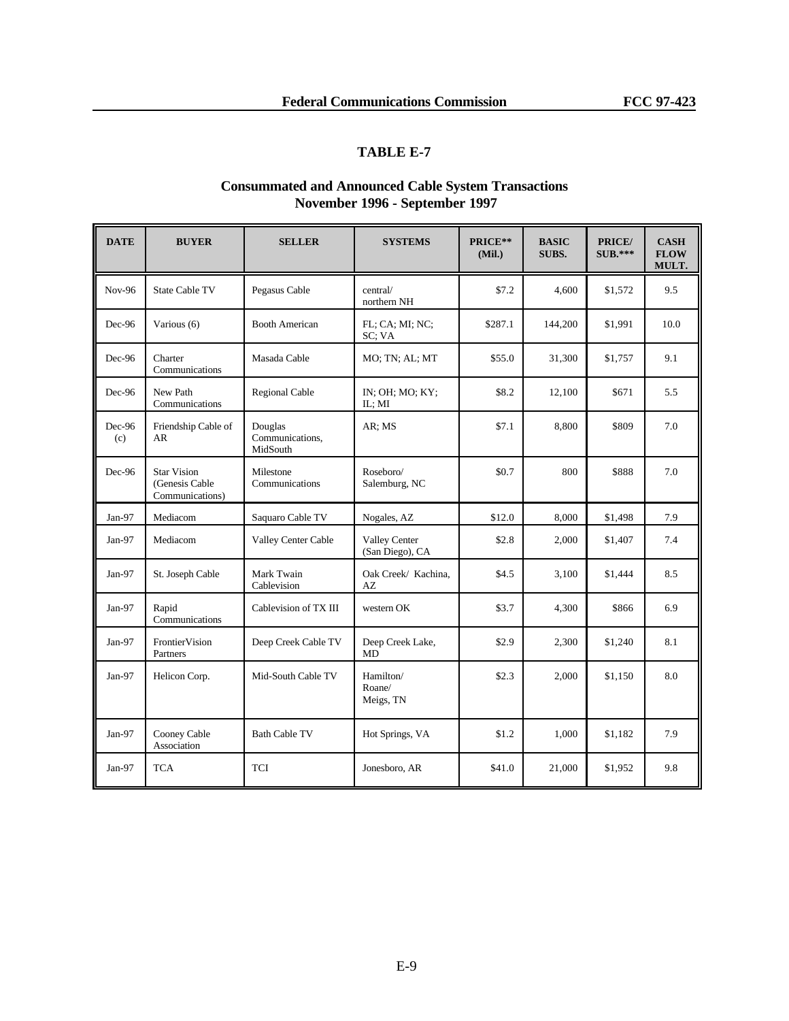# **TABLE E-7**

## **Consummated and Announced Cable System Transactions November 1996 - September 1997**

| <b>DATE</b>   | <b>BUYER</b>                                            | <b>SELLER</b>                          | <b>SYSTEMS</b>                   | PRICE**<br>(Mil.) | <b>BASIC</b><br>SUBS. | PRICE/<br><b>SUB.***</b> | <b>CASH</b><br><b>FLOW</b><br>MULT. |
|---------------|---------------------------------------------------------|----------------------------------------|----------------------------------|-------------------|-----------------------|--------------------------|-------------------------------------|
| Nov-96        | <b>State Cable TV</b>                                   | Pegasus Cable                          | central/<br>northern NH          | \$7.2             | 4.600                 | \$1,572                  | 9.5                                 |
| Dec-96        | Various (6)                                             | <b>Booth American</b>                  | FL; CA; MI; NC;<br>SC; VA        | \$287.1           | 144,200               | \$1,991                  | 10.0                                |
| Dec-96        | Charter<br>Communications                               | Masada Cable                           | MO; TN; AL; MT                   | \$55.0            | 31,300                | \$1,757                  | 9.1                                 |
| Dec-96        | New Path<br>Communications                              | <b>Regional Cable</b>                  | IN; OH; MO; KY;<br>IL; MI        | \$8.2             | 12,100                | \$671                    | 5.5                                 |
| Dec-96<br>(c) | Friendship Cable of<br>AR                               | Douglas<br>Communications,<br>MidSouth | AR; MS                           | \$7.1             | 8,800                 | \$809                    | 7.0                                 |
| Dec-96        | <b>Star Vision</b><br>(Genesis Cable<br>Communications) | Milestone<br>Communications            | Roseboro/<br>Salemburg, NC       | \$0.7             | 800                   | \$888                    | 7.0                                 |
| Jan-97        | Mediacom                                                | Saquaro Cable TV                       | Nogales, AZ                      | \$12.0            | 8,000                 | \$1,498                  | 7.9                                 |
| $Jan-97$      | Mediacom                                                | Valley Center Cable                    | Valley Center<br>(San Diego), CA | \$2.8             | 2,000                 | \$1,407                  | 7.4                                 |
| Jan-97        | St. Joseph Cable                                        | Mark Twain<br>Cablevision              | Oak Creek/ Kachina,<br>AZ        | \$4.5             | 3,100                 | \$1,444                  | 8.5                                 |
| $Jan-97$      | Rapid<br>Communications                                 | Cablevision of TX III                  | western OK                       | \$3.7             | 4,300                 | \$866                    | 6.9                                 |
| $Jan-97$      | FrontierVision<br>Partners                              | Deep Creek Cable TV                    | Deep Creek Lake,<br>MD           | \$2.9             | 2,300                 | \$1,240                  | 8.1                                 |
| $Jan-97$      | Helicon Corp.                                           | Mid-South Cable TV                     | Hamilton/<br>Roane/<br>Meigs, TN | \$2.3             | 2,000                 | \$1,150                  | 8.0                                 |
| Jan-97        | Cooney Cable<br>Association                             | <b>Bath Cable TV</b>                   | Hot Springs, VA                  | \$1.2             | 1,000                 | \$1,182                  | 7.9                                 |
| Jan-97        | <b>TCA</b>                                              | <b>TCI</b>                             | Jonesboro, AR                    | \$41.0            | 21,000                | \$1,952                  | 9.8                                 |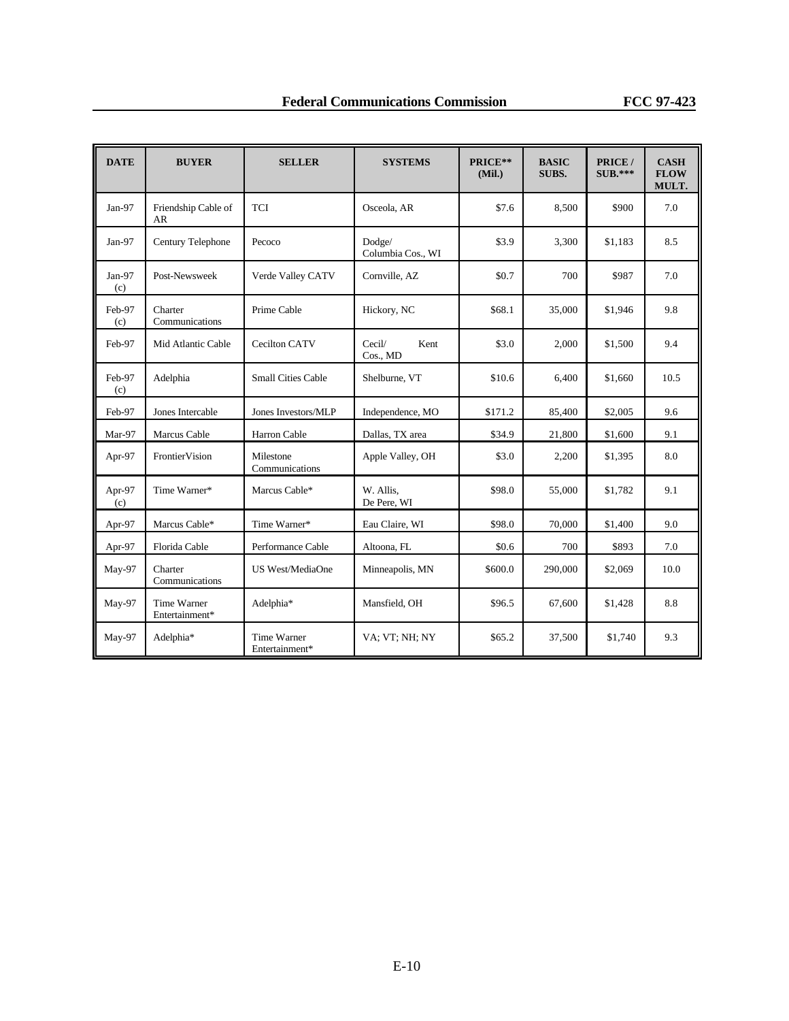| <b>DATE</b>   | <b>BUYER</b>                  | <b>SELLER</b>                 | <b>SYSTEMS</b>              | PRICE**<br>(Mil.) | <b>BASIC</b><br>SUBS. | PRICE /<br>$SUB.***$ | <b>CASH</b><br><b>FLOW</b><br>MULT. |
|---------------|-------------------------------|-------------------------------|-----------------------------|-------------------|-----------------------|----------------------|-------------------------------------|
| Jan-97        | Friendship Cable of<br>AR     | <b>TCI</b>                    | Osceola, AR                 | \$7.6             | 8,500                 | \$900                | 7.0                                 |
| $Jan-97$      | Century Telephone             | Pecoco                        | Dodge/<br>Columbia Cos., WI | \$3.9             | 3,300                 | \$1,183              | 8.5                                 |
| Jan-97<br>(c) | Post-Newsweek                 | Verde Valley CATV             | Cornville, AZ               | \$0.7             | 700                   | \$987                | 7.0                                 |
| Feb-97<br>(c) | Charter<br>Communications     | Prime Cable                   | Hickory, NC                 | \$68.1            | 35,000                | \$1,946              | 9.8                                 |
| Feb-97        | Mid Atlantic Cable            | Cecilton CATV                 | Cecil/<br>Kent<br>Cos., MD  | \$3.0             | 2,000                 | \$1,500              | 9.4                                 |
| Feb-97<br>(c) | Adelphia                      | <b>Small Cities Cable</b>     | Shelburne, VT               | \$10.6            | 6,400                 | \$1,660              | 10.5                                |
| Feb-97        | Jones Intercable              | Jones Investors/MLP           | Independence, MO            | \$171.2           | 85,400                | \$2,005              | 9.6                                 |
| Mar-97        | Marcus Cable                  | Harron Cable                  | Dallas, TX area             | \$34.9            | 21,800                | \$1,600              | 9.1                                 |
| Apr-97        | FrontierVision                | Milestone<br>Communications   | Apple Valley, OH            | \$3.0             | 2,200                 | \$1,395              | 8.0                                 |
| Apr-97<br>(c) | Time Warner*                  | Marcus Cable*                 | W. Allis.<br>De Pere, WI    | \$98.0            | 55,000                | \$1,782              | 9.1                                 |
| Apr-97        | Marcus Cable*                 | Time Warner*                  | Eau Claire, WI              | \$98.0            | 70,000                | \$1,400              | 9.0                                 |
| Apr-97        | Florida Cable                 | Performance Cable             | Altoona, FL                 | \$0.6             | 700                   | \$893                | 7.0                                 |
| May-97        | Charter<br>Communications     | US West/MediaOne              | Minneapolis, MN             | \$600.0           | 290,000               | \$2,069              | 10.0                                |
| May-97        | Time Warner<br>Entertainment* | Adelphia*                     | Mansfield, OH               | \$96.5            | 67,600                | \$1,428              | 8.8                                 |
| May-97        | Adelphia*                     | Time Warner<br>Entertainment* | VA; VT; NH; NY              | \$65.2            | 37,500                | \$1,740              | 9.3                                 |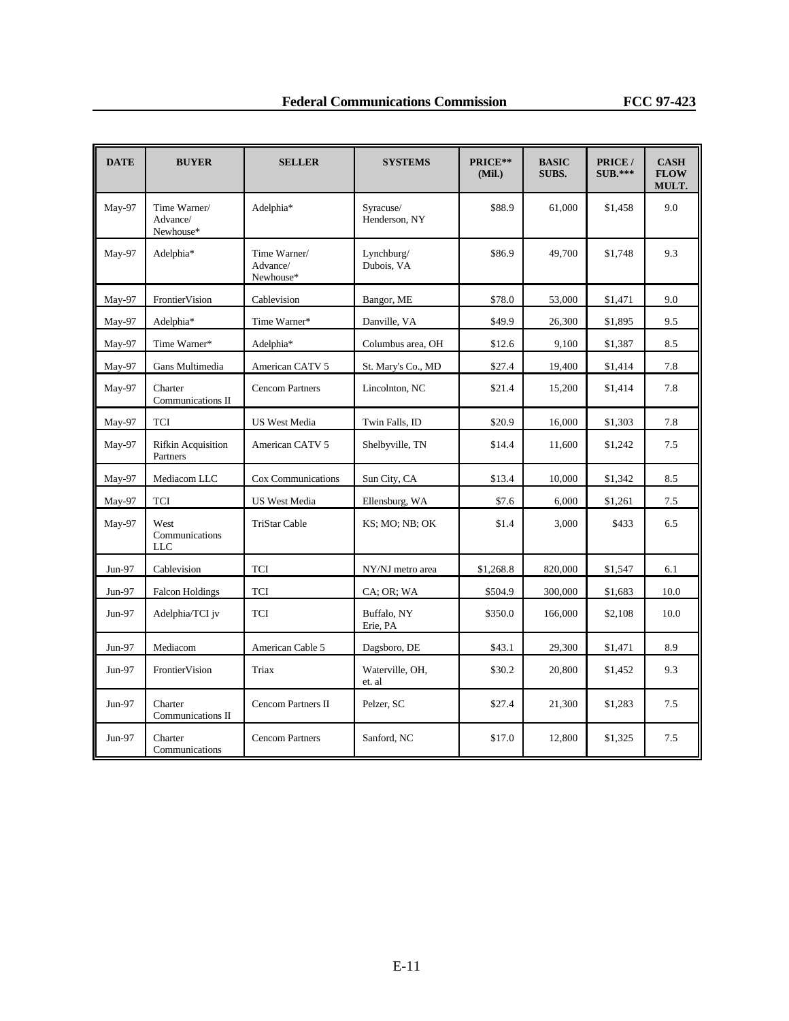| <b>DATE</b> | <b>BUYER</b>                          | <b>SELLER</b>                         | <b>SYSTEMS</b>             | PRICE**<br>(Mil.) | <b>BASIC</b><br>SUBS. | PRICE /<br>$SUB.***$ | <b>CASH</b><br><b>FLOW</b><br>MULT. |
|-------------|---------------------------------------|---------------------------------------|----------------------------|-------------------|-----------------------|----------------------|-------------------------------------|
| May-97      | Time Warner/<br>Advance/<br>Newhouse* | Adelphia*                             | Syracuse/<br>Henderson, NY | \$88.9            | 61,000                | \$1,458              | 9.0                                 |
| May-97      | Adelphia*                             | Time Warner/<br>Advance/<br>Newhouse* | Lynchburg/<br>Dubois, VA   | \$86.9            | 49,700                | \$1,748              | 9.3                                 |
| May-97      | FrontierVision                        | Cablevision                           | Bangor, ME                 | \$78.0            | 53,000                | \$1,471              | 9.0                                 |
| May-97      | Adelphia*                             | Time Warner*                          | Danville, VA               | \$49.9            | 26,300                | \$1,895              | 9.5                                 |
| May-97      | Time Warner*                          | Adelphia*                             | Columbus area, OH          | \$12.6            | 9,100                 | \$1,387              | 8.5                                 |
| May-97      | Gans Multimedia                       | American CATV 5                       | St. Mary's Co., MD         | \$27.4            | 19,400                | \$1,414              | 7.8                                 |
| May-97      | Charter<br>Communications II          | <b>Cencom Partners</b>                | Lincolnton, NC             | \$21.4            | 15,200                | \$1,414              | 7.8                                 |
| May-97      | <b>TCI</b>                            | <b>US West Media</b>                  | Twin Falls, ID             | \$20.9            | 16,000                | \$1,303              | 7.8                                 |
| May-97      | <b>Rifkin Acquisition</b><br>Partners | American CATV 5                       | Shelbyville, TN            | \$14.4            | 11,600                | \$1,242              | 7.5                                 |
| May-97      | Mediacom LLC                          | Cox Communications                    | Sun City, CA               | \$13.4            | 10,000                | \$1,342              | 8.5                                 |
| May-97      | <b>TCI</b>                            | <b>US West Media</b>                  | Ellensburg, WA             | \$7.6             | 6,000                 | \$1,261              | 7.5                                 |
| May-97      | West<br>Communications<br><b>LLC</b>  | <b>TriStar Cable</b>                  | KS; MO; NB; OK             | \$1.4             | 3,000                 | \$433                | 6.5                                 |
| Jun-97      | Cablevision                           | TCI                                   | NY/NJ metro area           | \$1,268.8         | 820,000               | \$1,547              | 6.1                                 |
| $Jun-97$    | <b>Falcon Holdings</b>                | TCI                                   | CA; OR; WA                 | \$504.9           | 300,000               | \$1,683              | 10.0                                |
| $Jun-97$    | Adelphia/TCI jv                       | TCI                                   | Buffalo, NY<br>Erie, PA    | \$350.0           | 166,000               | \$2,108              | 10.0                                |
| Jun-97      | Mediacom                              | American Cable 5                      | Dagsboro, DE               | \$43.1            | 29,300                | \$1,471              | 8.9                                 |
| Jun-97      | FrontierVision                        | Triax                                 | Waterville, OH,<br>et. al  | \$30.2            | 20,800                | \$1,452              | 9.3                                 |
| Jun-97      | Charter<br>Communications II          | Cencom Partners II                    | Pelzer, SC                 | \$27.4            | 21,300                | \$1,283              | 7.5                                 |
| Jun-97      | Charter<br>Communications             | <b>Cencom Partners</b>                | Sanford, NC                | \$17.0            | 12,800                | \$1,325              | 7.5                                 |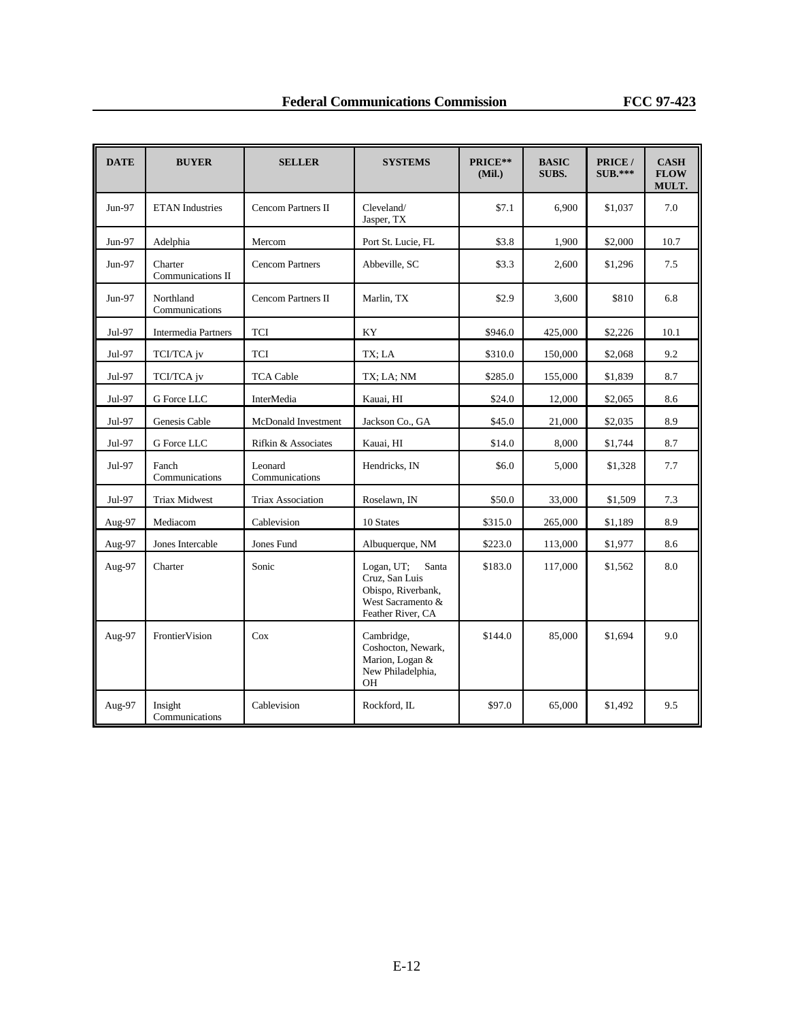| <b>DATE</b> | <b>BUYER</b>                 | <b>SELLER</b>             | <b>SYSTEMS</b>                                                                                        | PRICE**<br>(Mil.) | <b>BASIC</b><br>SUBS. | PRICE /<br>$SUB.***$ | <b>CASH</b><br><b>FLOW</b><br>MULT. |
|-------------|------------------------------|---------------------------|-------------------------------------------------------------------------------------------------------|-------------------|-----------------------|----------------------|-------------------------------------|
| Jun-97      | <b>ETAN</b> Industries       | <b>Cencom Partners II</b> | Cleveland/<br>Jasper, TX                                                                              | \$7.1             | 6,900                 | \$1,037              | 7.0                                 |
| Jun-97      | Adelphia                     | Mercom                    | Port St. Lucie, FL                                                                                    | \$3.8             | 1,900                 | \$2,000              | 10.7                                |
| Jun-97      | Charter<br>Communications II | <b>Cencom Partners</b>    | Abbeville, SC                                                                                         | \$3.3             | 2.600                 | \$1,296              | 7.5                                 |
| Jun-97      | Northland<br>Communications  | <b>Cencom Partners II</b> | Marlin, TX                                                                                            | \$2.9             | 3,600                 | \$810                | 6.8                                 |
| Jul-97      | <b>Intermedia Partners</b>   | TCI                       | KY                                                                                                    | \$946.0           | 425,000               | \$2,226              | 10.1                                |
| Jul-97      | TCI/TCA jv                   | TCI                       | TX; LA                                                                                                | \$310.0           | 150,000               | \$2,068              | 9.2                                 |
| Jul-97      | TCI/TCA jv                   | <b>TCA Cable</b>          | TX; LA; NM                                                                                            | \$285.0           | 155,000               | \$1,839              | 8.7                                 |
| Jul-97      | G Force LLC                  | InterMedia                | Kauai, HI                                                                                             | \$24.0            | 12,000                | \$2,065              | 8.6                                 |
| Jul-97      | Genesis Cable                | McDonald Investment       | Jackson Co., GA                                                                                       | \$45.0            | 21,000                | \$2,035              | 8.9                                 |
| Jul-97      | G Force LLC                  | Rifkin & Associates       | Kauai, HI                                                                                             | \$14.0            | 8,000                 | \$1,744              | 8.7                                 |
| Jul-97      | Fanch<br>Communications      | Leonard<br>Communications | Hendricks, IN                                                                                         | \$6.0             | 5,000                 | \$1,328              | 7.7                                 |
| Jul-97      | <b>Triax Midwest</b>         | <b>Triax Association</b>  | Roselawn, IN                                                                                          | \$50.0            | 33,000                | \$1,509              | 7.3                                 |
| Aug-97      | Mediacom                     | Cablevision               | 10 States                                                                                             | \$315.0           | 265,000               | \$1,189              | 8.9                                 |
| Aug-97      | Jones Intercable             | Jones Fund                | Albuquerque, NM                                                                                       | \$223.0           | 113,000               | \$1,977              | 8.6                                 |
| Aug-97      | Charter                      | Sonic                     | Logan, UT;<br>Santa<br>Cruz, San Luis<br>Obispo, Riverbank,<br>West Sacramento &<br>Feather River, CA | \$183.0           | 117,000               | \$1,562              | 8.0                                 |
| Aug-97      | FrontierVision               | Cox                       | Cambridge,<br>Coshocton, Newark,<br>Marion, Logan &<br>New Philadelphia,<br>OН                        | \$144.0           | 85,000                | \$1,694              | 9.0                                 |
| Aug-97      | Insight<br>Communications    | Cablevision               | Rockford, IL                                                                                          | \$97.0            | 65,000                | \$1,492              | 9.5                                 |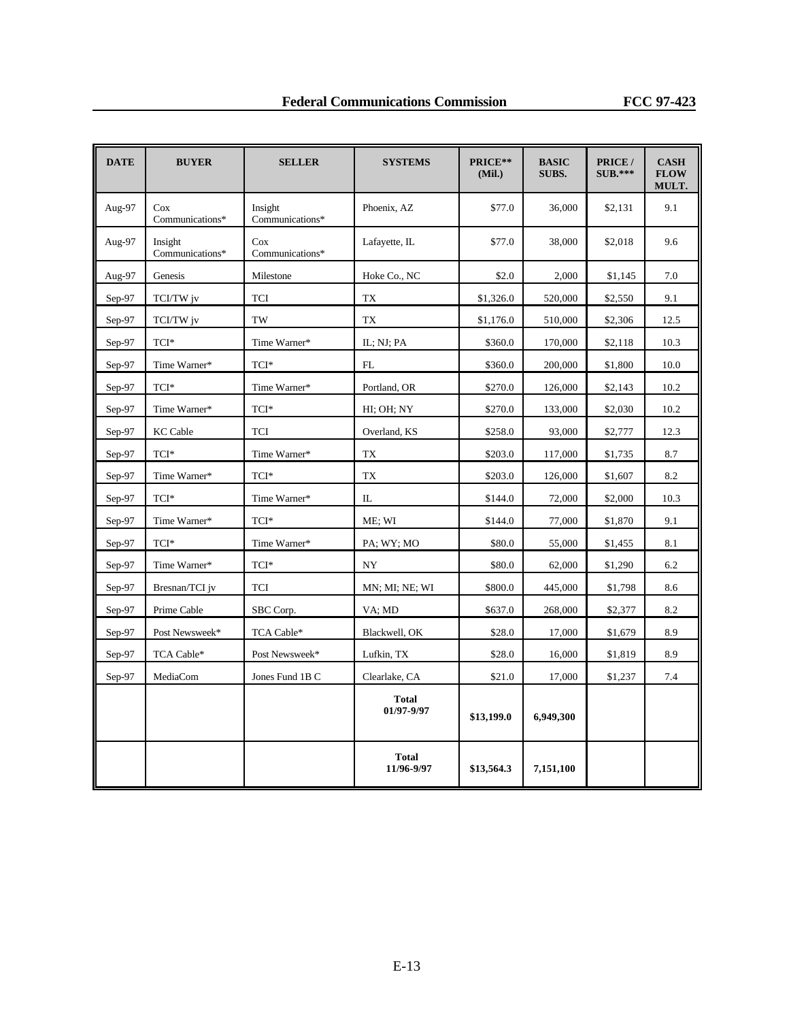| <b>DATE</b> | <b>BUYER</b>               | <b>SELLER</b>              | <b>SYSTEMS</b>             | PRICE**<br>(Mil.) | <b>BASIC</b><br>SUBS. | PRICE /<br>$SUB.***$ | <b>CASH</b><br><b>FLOW</b><br>MULT. |
|-------------|----------------------------|----------------------------|----------------------------|-------------------|-----------------------|----------------------|-------------------------------------|
| Aug-97      | Cox<br>Communications*     | Insight<br>Communications* | Phoenix, AZ                | \$77.0            | 36,000                | \$2,131              | 9.1                                 |
| Aug-97      | Insight<br>Communications* | Cox<br>Communications*     | Lafayette, IL              | \$77.0            | 38,000                | \$2,018              | 9.6                                 |
| Aug-97      | Genesis                    | Milestone                  | Hoke Co., NC               | \$2.0             | 2,000                 | \$1,145              | 7.0                                 |
| Sep-97      | TCI/TW jv                  | TCI                        | TX                         | \$1,326.0         | 520,000               | \$2,550              | 9.1                                 |
| Sep-97      | TCI/TW jv                  | TW                         | <b>TX</b>                  | \$1,176.0         | 510,000               | \$2,306              | 12.5                                |
| Sep-97      | TCI*                       | Time Warner*               | IL; NJ; PA                 | \$360.0           | 170,000               | \$2,118              | 10.3                                |
| $Sep-97$    | Time Warner*               | TCI*                       | FL                         | \$360.0           | 200,000               | \$1,800              | 10.0                                |
| Sep-97      | TCI*                       | Time Warner*               | Portland, OR               | \$270.0           | 126,000               | \$2,143              | 10.2                                |
| Sep-97      | Time Warner*               | TCI*                       | HI; OH; NY                 | \$270.0           | 133,000               | \$2,030              | 10.2                                |
| $Sep-97$    | <b>KC Cable</b>            | <b>TCI</b>                 | Overland, KS               | \$258.0           | 93,000                | \$2,777              | 12.3                                |
| Sep-97      | TCI*                       | Time Warner*               | TX                         | \$203.0           | 117,000               | \$1,735              | 8.7                                 |
| Sep-97      | Time Warner*               | TCI*                       | <b>TX</b>                  | \$203.0           | 126,000               | \$1,607              | 8.2                                 |
| $Sep-97$    | TCI*                       | Time Warner*               | IL                         | \$144.0           | 72,000                | \$2,000              | 10.3                                |
| Sep-97      | Time Warner*               | $\text{TCI*}$              | ME; WI                     | \$144.0           | 77,000                | \$1,870              | 9.1                                 |
| Sep-97      | TCI*                       | Time Warner*               | PA; WY; MO                 | \$80.0            | 55,000                | \$1,455              | 8.1                                 |
| Sep-97      | Time Warner*               | TCI*                       | NY                         | \$80.0            | 62,000                | \$1,290              | 6.2                                 |
| $Sep-97$    | Bresnan/TCI jv             | TCI                        | MN; MI; NE; WI             | \$800.0           | 445,000               | \$1,798              | 8.6                                 |
| $Sep-97$    | Prime Cable                | SBC Corp.                  | VA; MD                     | \$637.0           | 268,000               | \$2,377              | 8.2                                 |
| $Sep-97$    | Post Newsweek*             | TCA Cable*                 | Blackwell, OK              | \$28.0            | 17,000                | \$1,679              | 8.9                                 |
| Sep-97      | TCA Cable*                 | Post Newsweek*             | Lufkin, TX                 | \$28.0            | 16,000                | \$1,819              | 8.9                                 |
| Sep-97      | MediaCom                   | Jones Fund 1B C            | Clearlake, CA              | \$21.0            | 17,000                | \$1,237              | 7.4                                 |
|             |                            |                            | <b>Total</b><br>01/97-9/97 | \$13,199.0        | 6,949,300             |                      |                                     |
|             |                            |                            | <b>Total</b><br>11/96-9/97 | \$13,564.3        | 7,151,100             |                      |                                     |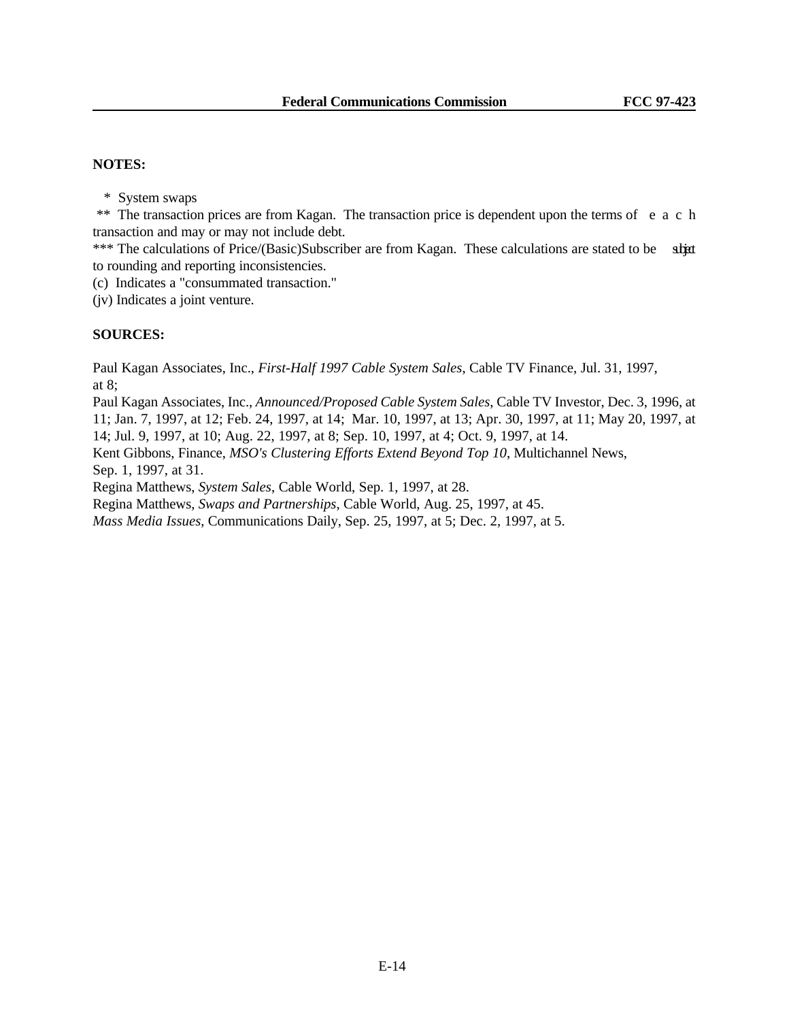### **NOTES:**

\* System swaps

 \*\* The transaction prices are from Kagan. The transaction price is dependent upon the terms of eac h transaction and may or may not include debt.

\*\*\* The calculations of Price/(Basic)Subscriber are from Kagan. These calculations are stated to be strated to rounding and reporting inconsistencies.

(c) Indicates a "consummated transaction."

(jv) Indicates a joint venture.

## **SOURCES:**

Paul Kagan Associates, Inc., *First-Half 1997 Cable System Sales*, Cable TV Finance, Jul. 31, 1997, at 8;

Paul Kagan Associates, Inc., *Announced/Proposed Cable System Sales*, Cable TV Investor, Dec. 3, 1996, at 11; Jan. 7, 1997, at 12; Feb. 24, 1997, at 14; Mar. 10, 1997, at 13; Apr. 30, 1997, at 11; May 20, 1997, at 14; Jul. 9, 1997, at 10; Aug. 22, 1997, at 8; Sep. 10, 1997, at 4; Oct. 9, 1997, at 14.

Kent Gibbons, Finance, *MSO's Clustering Efforts Extend Beyond Top 10*, Multichannel News, Sep. 1, 1997, at 31.

Regina Matthews, *System Sales*, Cable World, Sep. 1, 1997, at 28.

Regina Matthews, *Swaps and Partnerships*, Cable World, Aug. 25, 1997, at 45.

*Mass Media Issues*, Communications Daily, Sep. 25, 1997, at 5; Dec. 2, 1997, at 5.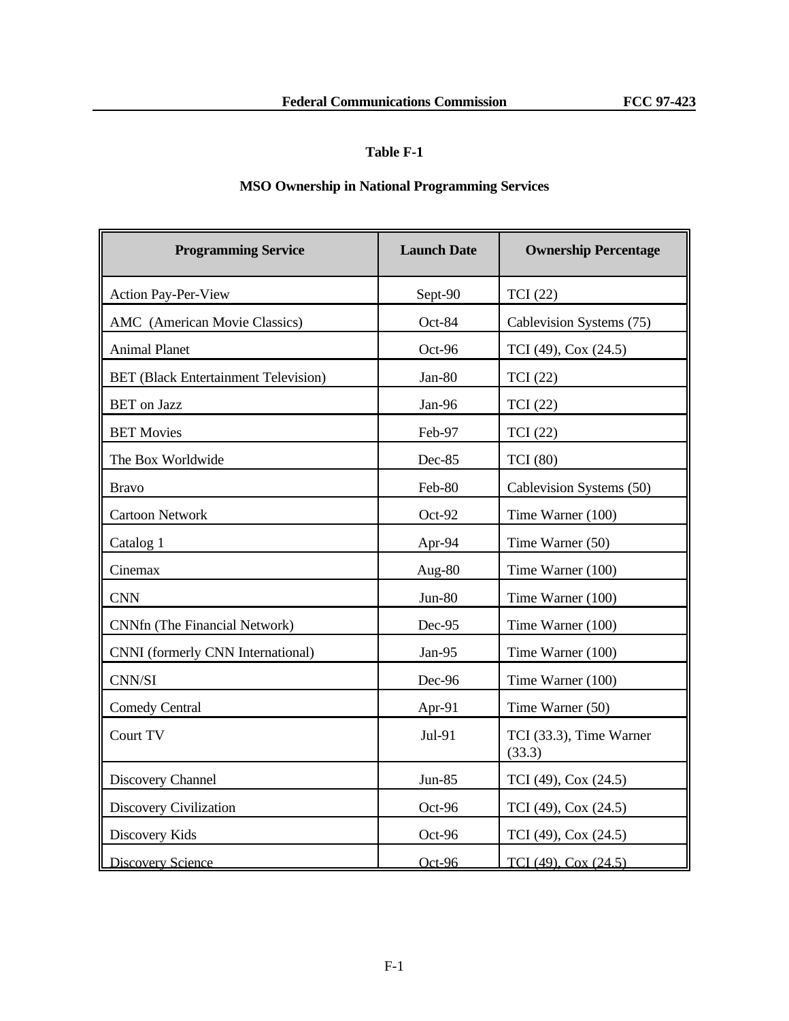# **Table F-1**

# **MSO Ownership in National Programming Services**

| <b>Programming Service</b>                  | <b>Launch Date</b> | <b>Ownership Percentage</b>       |
|---------------------------------------------|--------------------|-----------------------------------|
| Action Pay-Per-View                         | Sept-90            | <b>TCI</b> (22)                   |
| AMC (American Movie Classics)               | Oct-84             | Cablevision Systems (75)          |
| <b>Animal Planet</b>                        | Oct-96             | TCI (49), Cox (24.5)              |
| <b>BET</b> (Black Entertainment Television) | Jan-80             | TCI (22)                          |
| <b>BET</b> on Jazz                          | Jan-96             | <b>TCI</b> (22)                   |
| <b>BET Movies</b>                           | Feb-97             | <b>TCI</b> (22)                   |
| The Box Worldwide                           | Dec-85             | <b>TCI</b> (80)                   |
| <b>Bravo</b>                                | Feb-80             | Cablevision Systems (50)          |
| <b>Cartoon Network</b>                      | Oct-92             | Time Warner (100)                 |
| Catalog 1                                   | Apr-94             | Time Warner (50)                  |
| Cinemax                                     | Aug-80             | Time Warner (100)                 |
| <b>CNN</b>                                  | Jun-80             | Time Warner (100)                 |
| CNNfn (The Financial Network)               | Dec-95             | Time Warner (100)                 |
| CNNI (formerly CNN International)           | Jan-95             | Time Warner (100)                 |
| CNN/SI                                      | Dec-96             | Time Warner (100)                 |
| <b>Comedy Central</b>                       | Apr-91             | Time Warner (50)                  |
| Court TV                                    | Jul-91             | TCI (33.3), Time Warner<br>(33.3) |
| Discovery Channel                           | Jun-85             | TCI (49), Cox (24.5)              |
| <b>Discovery Civilization</b>               | Oct-96             | TCI (49), Cox (24.5)              |
| Discovery Kids                              | Oct-96             | TCI (49), Cox (24.5)              |
| <b>Discovery Science</b>                    | Oct-96             | TCI (49), Cox (24.5)              |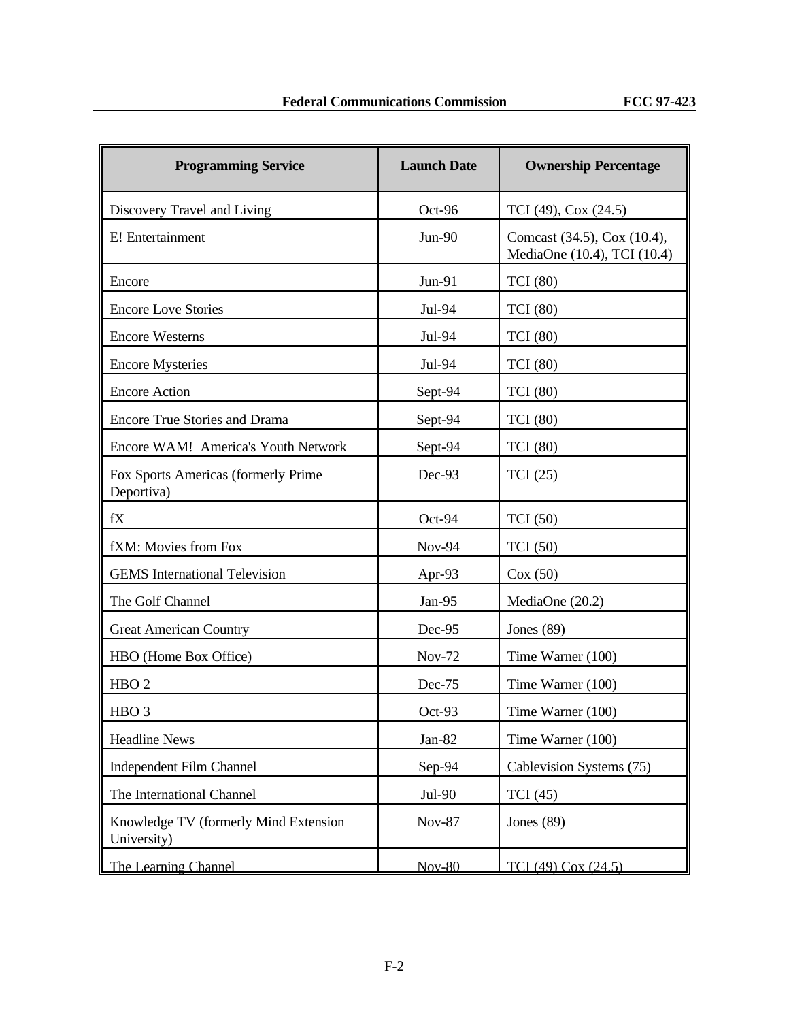| <b>Programming Service</b>                           | <b>Launch Date</b> | <b>Ownership Percentage</b>                                |
|------------------------------------------------------|--------------------|------------------------------------------------------------|
| Discovery Travel and Living                          | Oct-96             | TCI (49), Cox (24.5)                                       |
| E! Entertainment                                     | <b>Jun-90</b>      | Comcast (34.5), Cox (10.4),<br>MediaOne (10.4), TCI (10.4) |
| Encore                                               | Jun-91             | <b>TCI</b> (80)                                            |
| <b>Encore Love Stories</b>                           | Jul-94             | <b>TCI</b> (80)                                            |
| <b>Encore Westerns</b>                               | Jul-94             | <b>TCI</b> (80)                                            |
| <b>Encore Mysteries</b>                              | Jul-94             | <b>TCI</b> (80)                                            |
| <b>Encore Action</b>                                 | Sept-94            | <b>TCI</b> (80)                                            |
| <b>Encore True Stories and Drama</b>                 | Sept-94            | <b>TCI</b> (80)                                            |
| Encore WAM! America's Youth Network                  | Sept-94            | <b>TCI</b> (80)                                            |
| Fox Sports Americas (formerly Prime<br>Deportiva)    | Dec-93             | TCI(25)                                                    |
| fX                                                   | Oct-94             | <b>TCI</b> (50)                                            |
| fXM: Movies from Fox                                 | <b>Nov-94</b>      | TCI(50)                                                    |
| <b>GEMS</b> International Television                 | Apr-93             | Cox(50)                                                    |
| The Golf Channel                                     | Jan-95             | MediaOne (20.2)                                            |
| <b>Great American Country</b>                        | Dec-95             | Jones $(89)$                                               |
| HBO (Home Box Office)                                | <b>Nov-72</b>      | Time Warner (100)                                          |
| HBO <sub>2</sub>                                     | Dec-75             | Time Warner (100)                                          |
| HBO <sub>3</sub>                                     | Oct-93             | Time Warner (100)                                          |
| <b>Headline News</b>                                 | Jan-82             | Time Warner (100)                                          |
| <b>Independent Film Channel</b>                      | Sep-94             | Cablevision Systems (75)                                   |
| The International Channel                            | Jul-90             | TCI(45)                                                    |
| Knowledge TV (formerly Mind Extension<br>University) | <b>Nov-87</b>      | Jones $(89)$                                               |
| The Learning Channel                                 | <b>Nov-80</b>      | TCI (49) Cox (24.5)                                        |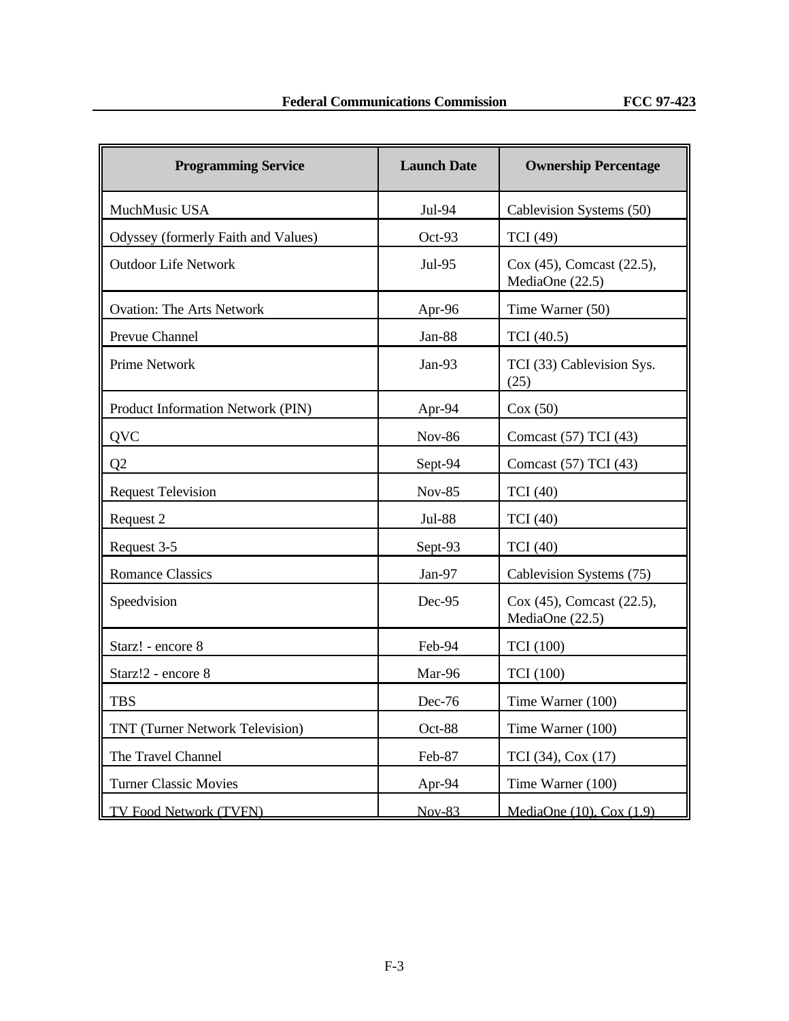| <b>Programming Service</b>          | <b>Launch Date</b> | <b>Ownership Percentage</b>                  |
|-------------------------------------|--------------------|----------------------------------------------|
| MuchMusic USA                       | Jul-94             | Cablevision Systems (50)                     |
| Odyssey (formerly Faith and Values) | Oct-93             | <b>TCI</b> (49)                              |
| <b>Outdoor Life Network</b>         | Jul-95             | Cox (45), Comcast (22.5),<br>MediaOne (22.5) |
| <b>Ovation: The Arts Network</b>    | Apr-96             | Time Warner (50)                             |
| Prevue Channel                      | Jan-88             | TCI (40.5)                                   |
| <b>Prime Network</b>                | Jan-93             | TCI (33) Cablevision Sys.<br>(25)            |
| Product Information Network (PIN)   | Apr-94             | Cox(50)                                      |
| <b>QVC</b>                          | <b>Nov-86</b>      | Comcast (57) TCI (43)                        |
| Q2                                  | Sept-94            | Comcast (57) TCI (43)                        |
| <b>Request Television</b>           | <b>Nov-85</b>      | <b>TCI</b> (40)                              |
| Request 2                           | <b>Jul-88</b>      | <b>TCI</b> (40)                              |
| Request 3-5                         | Sept-93            | <b>TCI</b> (40)                              |
| <b>Romance Classics</b>             | Jan-97             | Cablevision Systems (75)                     |
| Speedvision                         | Dec-95             | Cox (45), Comcast (22.5),<br>MediaOne (22.5) |
| Starz! - encore 8                   | Feb-94             | <b>TCI</b> (100)                             |
| Starz!2 - encore 8                  | Mar-96             | <b>TCI</b> (100)                             |
| <b>TBS</b>                          | Dec-76             | Time Warner (100)                            |
| TNT (Turner Network Television)     | Oct-88             | Time Warner (100)                            |
| The Travel Channel                  | Feb-87             | TCI (34), Cox (17)                           |
| <b>Turner Classic Movies</b>        | Apr-94             | Time Warner (100)                            |
| TV Food Network (TVFN)              | $Nov-83$           | MediaOne (10), Cox (1.9)                     |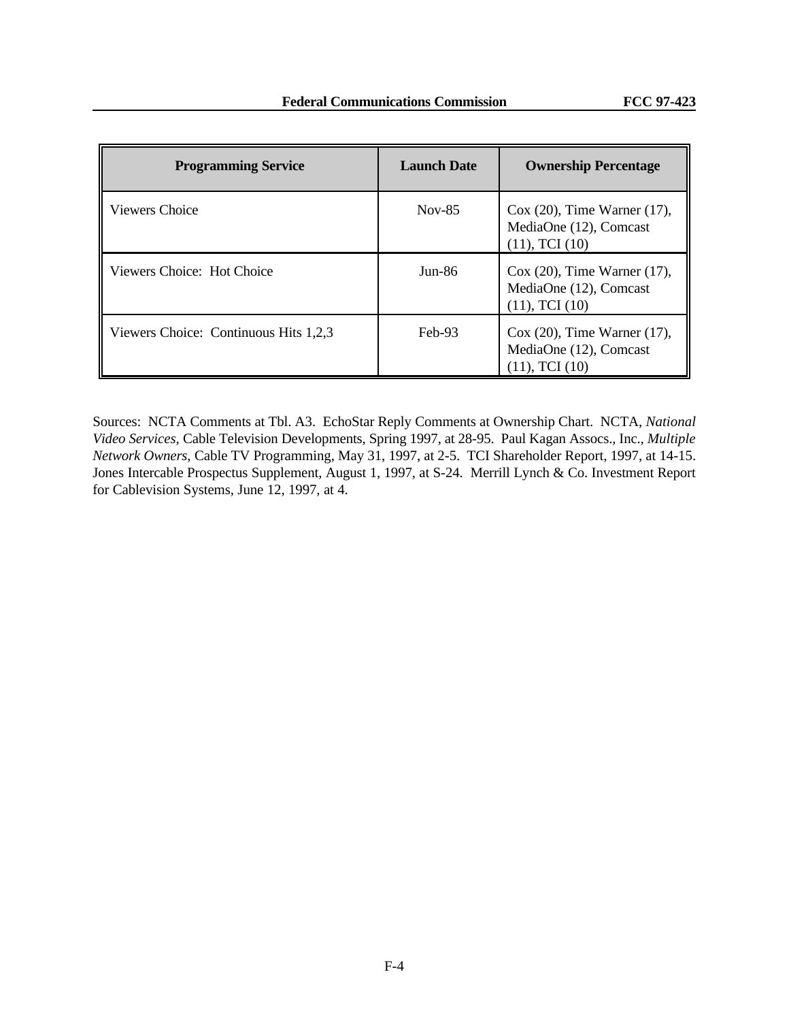| <b>Programming Service</b>            | <b>Launch Date</b> | <b>Ownership Percentage</b>                                                     |
|---------------------------------------|--------------------|---------------------------------------------------------------------------------|
| Viewers Choice                        | $Nov-85$           | $Cox(20)$ , Time Warner (17),<br>MediaOne (12), Comcast<br>$(11)$ , TCI $(10)$  |
| Viewers Choice: Hot Choice            | $Jun-86$           | $Cox(20)$ , Time Warner (17),<br>MediaOne (12), Comcast<br>$(11)$ , TCI $(10)$  |
| Viewers Choice: Continuous Hits 1,2,3 | $Feb-93$           | $\cos(20)$ , Time Warner (17),<br>MediaOne (12), Comcast<br>$(11)$ , TCI $(10)$ |

Sources: NCTA Comments at Tbl. A3. EchoStar Reply Comments at Ownership Chart. NCTA, *National Video Services*, Cable Television Developments, Spring 1997, at 28-95. Paul Kagan Assocs., Inc., *Multiple Network Owners*, Cable TV Programming, May 31, 1997, at 2-5. TCI Shareholder Report, 1997, at 14-15. Jones Intercable Prospectus Supplement, August 1, 1997, at S-24. Merrill Lynch & Co. Investment Report for Cablevision Systems, June 12, 1997, at 4.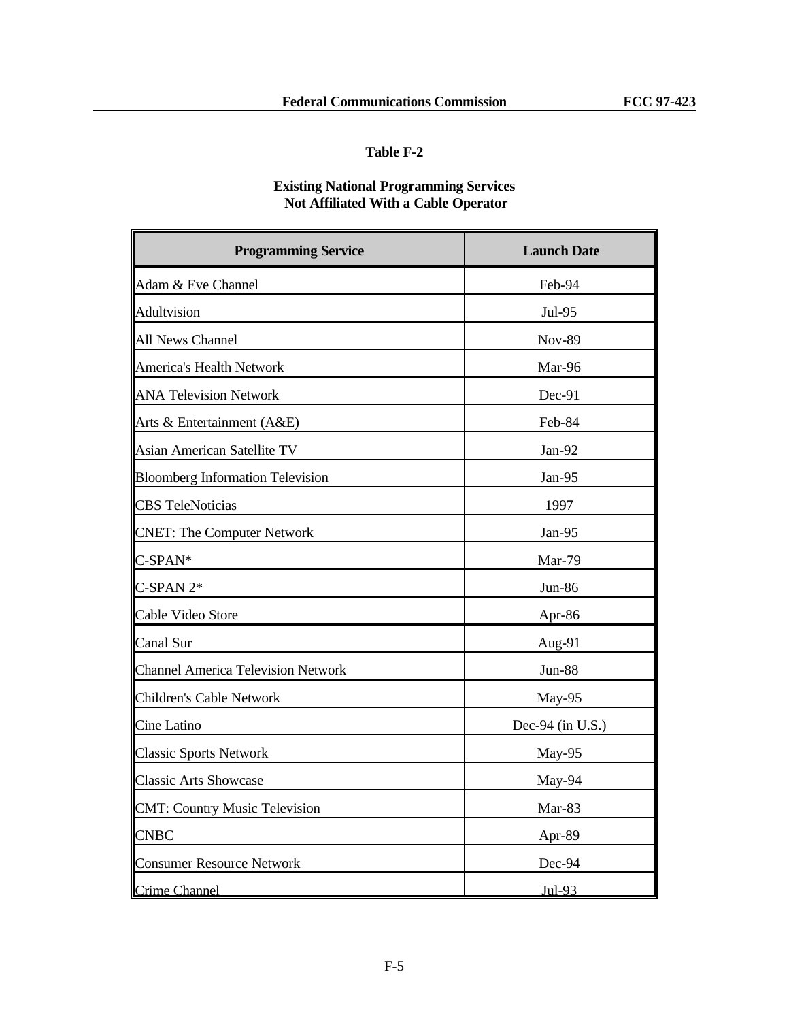## **Table F-2**

# **Existing National Programming Services Not Affiliated With a Cable Operator**

| <b>Programming Service</b>                | <b>Launch Date</b> |
|-------------------------------------------|--------------------|
| Adam & Eve Channel                        | Feb-94             |
| Adultvision                               | Jul-95             |
| All News Channel                          | <b>Nov-89</b>      |
| America's Health Network                  | Mar-96             |
| <b>ANA Television Network</b>             | Dec-91             |
| Arts & Entertainment (A&E)                | Feb-84             |
| <b>Asian American Satellite TV</b>        | Jan-92             |
| <b>Bloomberg Information Television</b>   | Jan-95             |
| <b>CBS</b> TeleNoticias                   | 1997               |
| <b>CNET: The Computer Network</b>         | Jan-95             |
| C-SPAN*                                   | Mar-79             |
| $C$ -SPAN $2*$                            | Jun-86             |
| Cable Video Store                         | Apr-86             |
| Canal Sur                                 | Aug-91             |
| <b>Channel America Television Network</b> | Jun-88             |
| Children's Cable Network                  | May-95             |
| Cine Latino                               | Dec-94 (in U.S.)   |
| <b>Classic Sports Network</b>             | May-95             |
| <b>Classic Arts Showcase</b>              | May-94             |
| <b>CMT: Country Music Television</b>      | Mar-83             |
| <b>CNBC</b>                               | Apr-89             |
| <b>Consumer Resource Network</b>          | Dec-94             |
| <b>Crime Channel</b>                      | Jul-93             |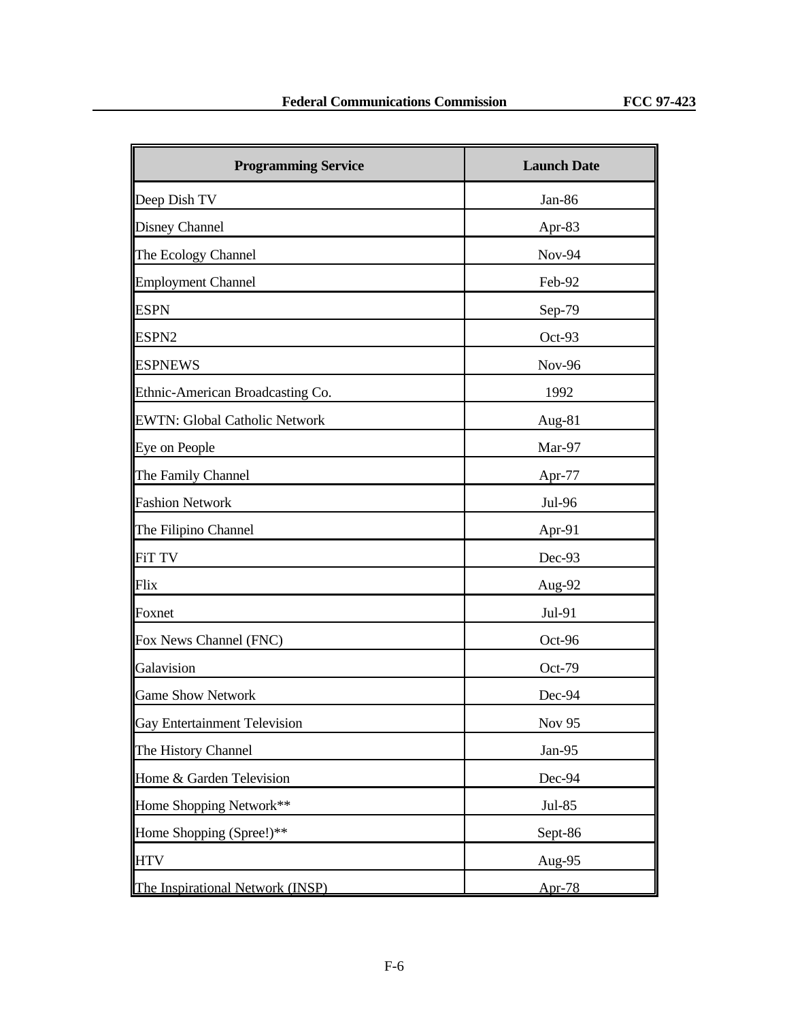| <b>Programming Service</b>          | <b>Launch Date</b> |
|-------------------------------------|--------------------|
| Deep Dish TV                        | Jan-86             |
| Disney Channel                      | Apr-83             |
| The Ecology Channel                 | <b>Nov-94</b>      |
| <b>Employment Channel</b>           | Feb-92             |
| <b>ESPN</b>                         | Sep-79             |
| ESPN <sub>2</sub>                   | Oct-93             |
| <b>ESPNEWS</b>                      | <b>Nov-96</b>      |
| Ethnic-American Broadcasting Co.    | 1992               |
| EWTN: Global Catholic Network       | Aug-81             |
| Eye on People                       | Mar-97             |
| The Family Channel                  | Apr-77             |
| <b>Fashion Network</b>              | Jul-96             |
| The Filipino Channel                | Apr-91             |
| FiT TV                              | Dec-93             |
| Flix                                | Aug-92             |
| Foxnet                              | Jul-91             |
| Fox News Channel (FNC)              | Oct-96             |
| Galavision                          | Oct-79             |
| <b>Game Show Network</b>            | Dec-94             |
| <b>Gay Entertainment Television</b> | Nov 95             |
| The History Channel                 | Jan-95             |
| Home & Garden Television            | Dec-94             |
| Home Shopping Network**             | Jul-85             |
| Home Shopping (Spree!)**            | Sept-86            |
| <b>HTV</b>                          | Aug-95             |
| The Inspirational Network (INSP)    | Apr- $78$          |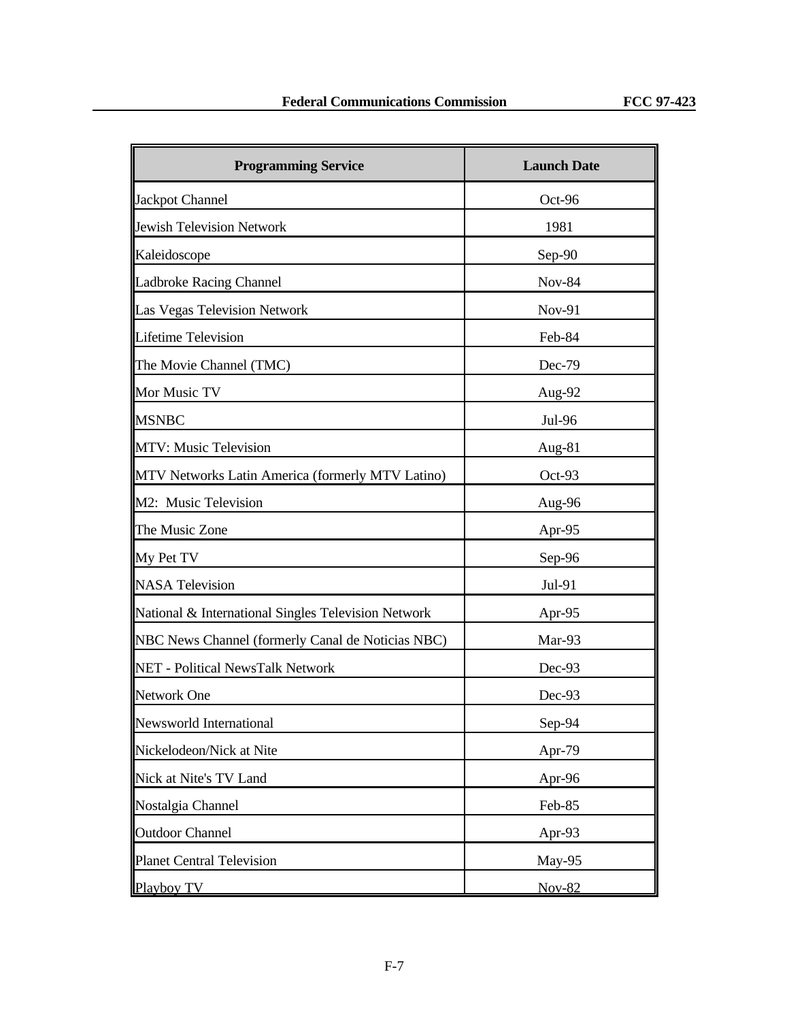| <b>Programming Service</b>                          | <b>Launch Date</b> |
|-----------------------------------------------------|--------------------|
| Jackpot Channel                                     | Oct-96             |
| Jewish Television Network                           | 1981               |
| Kaleidoscope                                        | $Sep-90$           |
| Ladbroke Racing Channel                             | <b>Nov-84</b>      |
| Las Vegas Television Network                        | <b>Nov-91</b>      |
| <b>Lifetime Television</b>                          | Feb-84             |
| The Movie Channel (TMC)                             | Dec-79             |
| Mor Music TV                                        | Aug-92             |
| <b>MSNBC</b>                                        | Jul-96             |
| MTV: Music Television                               | Aug-81             |
| MTV Networks Latin America (formerly MTV Latino)    | $Oct-93$           |
| M2: Music Television                                | Aug-96             |
| The Music Zone                                      | Apr-95             |
| My Pet TV                                           | Sep-96             |
| <b>NASA Television</b>                              | Jul-91             |
| National & International Singles Television Network | Apr-95             |
| NBC News Channel (formerly Canal de Noticias NBC)   | Mar-93             |
| NET - Political NewsTalk Network                    | Dec-93             |
| Network One                                         | Dec-93             |
| Newsworld International                             | Sep-94             |
| Nickelodeon/Nick at Nite                            | Apr-79             |
| Nick at Nite's TV Land                              | Apr-96             |
| Nostalgia Channel                                   | Feb-85             |
| <b>Outdoor Channel</b>                              | Apr-93             |
| <b>Planet Central Television</b>                    | May-95             |
| Playboy TV                                          | <b>Nov-82</b>      |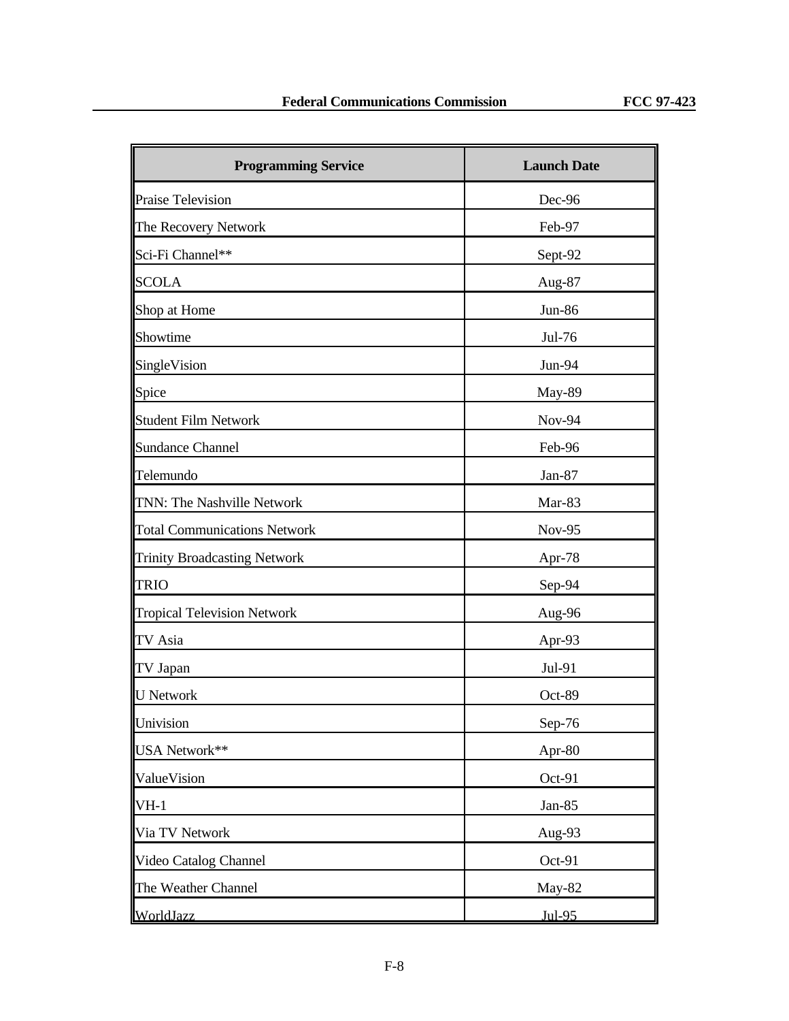| <b>Programming Service</b>          | <b>Launch Date</b> |
|-------------------------------------|--------------------|
| <b>Praise Television</b>            | Dec-96             |
| The Recovery Network                | Feb-97             |
| Sci-Fi Channel**                    | Sept-92            |
| <b>SCOLA</b>                        | Aug-87             |
| Shop at Home                        | Jun-86             |
| Showtime                            | Jul-76             |
| SingleVision                        | Jun-94             |
| Spice                               | <b>May-89</b>      |
| <b>Student Film Network</b>         | <b>Nov-94</b>      |
| <b>Sundance Channel</b>             | Feb-96             |
| Telemundo                           | Jan-87             |
| TNN: The Nashville Network          | Mar-83             |
| <b>Total Communications Network</b> | <b>Nov-95</b>      |
| <b>Trinity Broadcasting Network</b> | Apr- $78$          |
| <b>TRIO</b>                         | Sep-94             |
| <b>Tropical Television Network</b>  | Aug-96             |
| TV Asia                             | Apr-93             |
| TV Japan                            | Jul-91             |
| <b>U</b> Network                    | Oct-89             |
| Univision                           | Sep-76             |
| USA Network**                       | Apr-80             |
| ValueVision                         | Oct-91             |
| $VH-1$                              | Jan-85             |
| Via TV Network                      | Aug-93             |
| Video Catalog Channel               | Oct-91             |
| The Weather Channel                 | May-82             |
| WorldJazz                           | Jul-95             |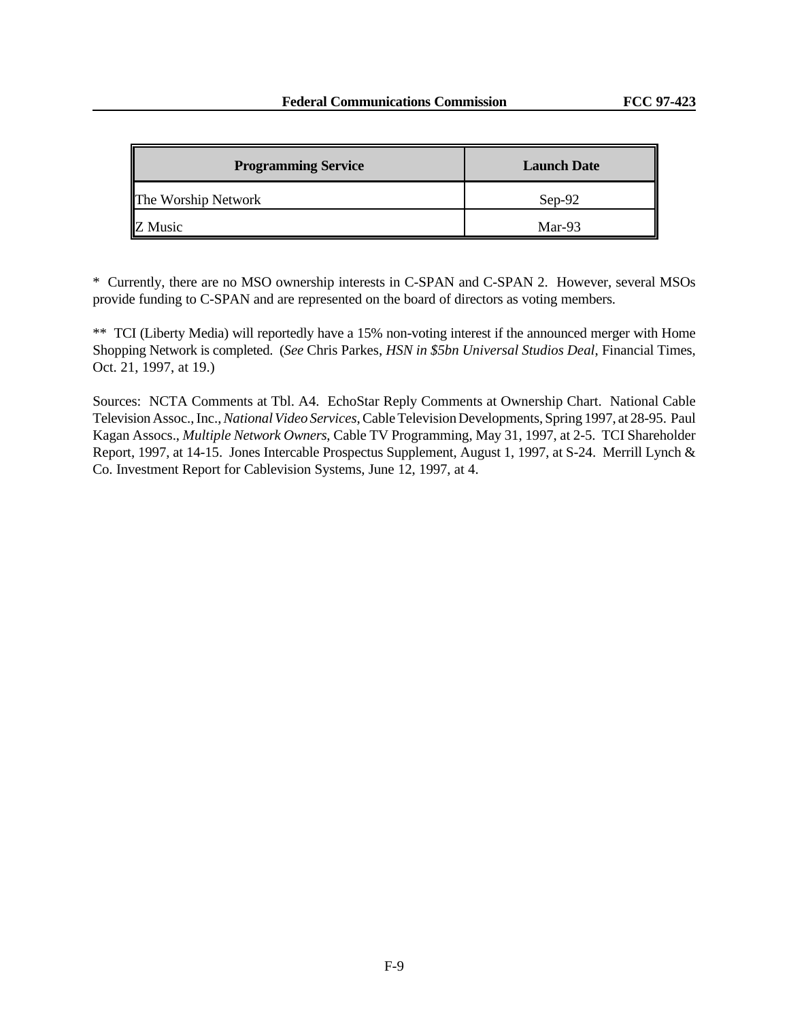| <b>Programming Service</b> | <b>Launch Date</b> |
|----------------------------|--------------------|
| The Worship Network        | $Sep-92$           |
| Z Music                    | Mar-93             |

\* Currently, there are no MSO ownership interests in C-SPAN and C-SPAN 2. However, several MSOs provide funding to C-SPAN and are represented on the board of directors as voting members.

\*\* TCI (Liberty Media) will reportedly have a 15% non-voting interest if the announced merger with Home Shopping Network is completed. (*See* Chris Parkes, *HSN in \$5bn Universal Studios Deal*, Financial Times, Oct. 21, 1997, at 19.)

Sources: NCTA Comments at Tbl. A4. EchoStar Reply Comments at Ownership Chart. National Cable Television Assoc., Inc., *National Video Services*, Cable Television Developments, Spring 1997, at 28-95. Paul Kagan Assocs., *Multiple Network Owners*, Cable TV Programming, May 31, 1997, at 2-5. TCI Shareholder Report, 1997, at 14-15. Jones Intercable Prospectus Supplement, August 1, 1997, at S-24. Merrill Lynch & Co. Investment Report for Cablevision Systems, June 12, 1997, at 4.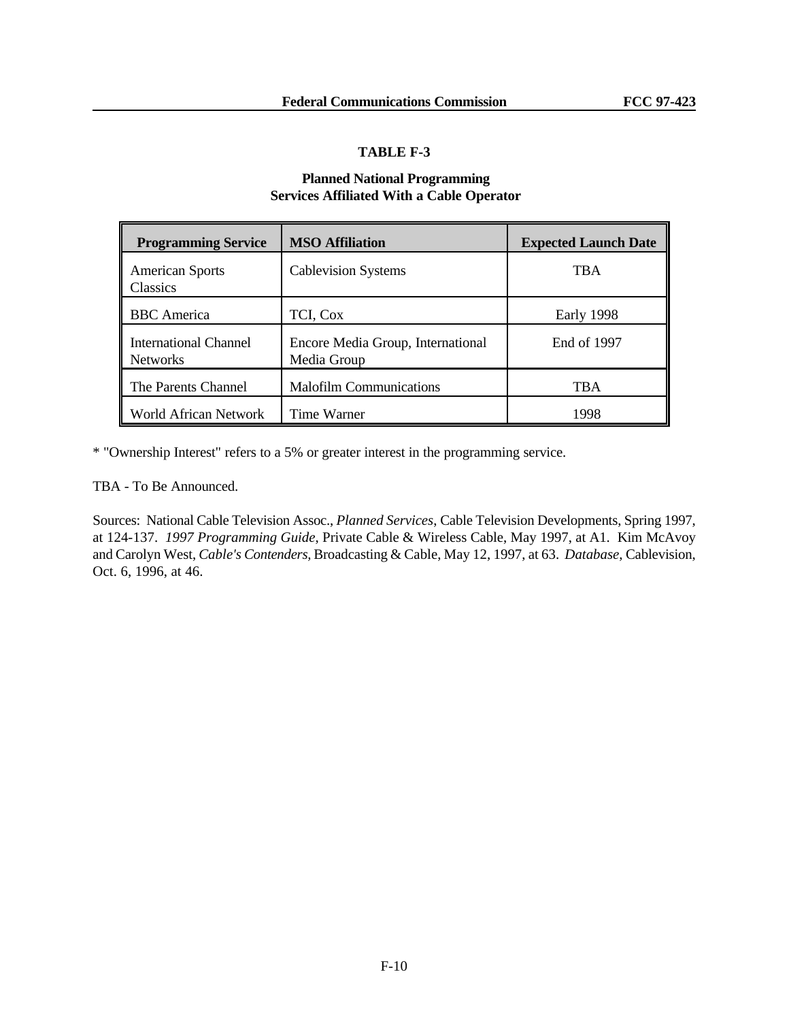### **Planned National Programming Services Affiliated With a Cable Operator**

| <b>Programming Service</b>                      | <b>MSO Affiliation</b>                           | <b>Expected Launch Date</b> |
|-------------------------------------------------|--------------------------------------------------|-----------------------------|
| <b>American Sports</b><br>Classics              | <b>Cablevision Systems</b>                       | <b>TBA</b>                  |
| <b>BBC</b> America                              | TCI, Cox                                         | Early 1998                  |
| <b>International Channel</b><br><b>Networks</b> | Encore Media Group, International<br>Media Group | End of 1997                 |
| The Parents Channel                             | <b>Malofilm Communications</b>                   | <b>TBA</b>                  |
| World African Network                           | Time Warner                                      | 1998                        |

\* "Ownership Interest" refers to a 5% or greater interest in the programming service.

TBA - To Be Announced.

Sources: National Cable Television Assoc., *Planned Services*, Cable Television Developments, Spring 1997, at 124-137. *1997 Programming Guide*, Private Cable & Wireless Cable, May 1997, at A1. Kim McAvoy and Carolyn West, *Cable's Contenders,* Broadcasting & Cable, May 12, 1997, at 63. *Database*, Cablevision, Oct. 6, 1996, at 46.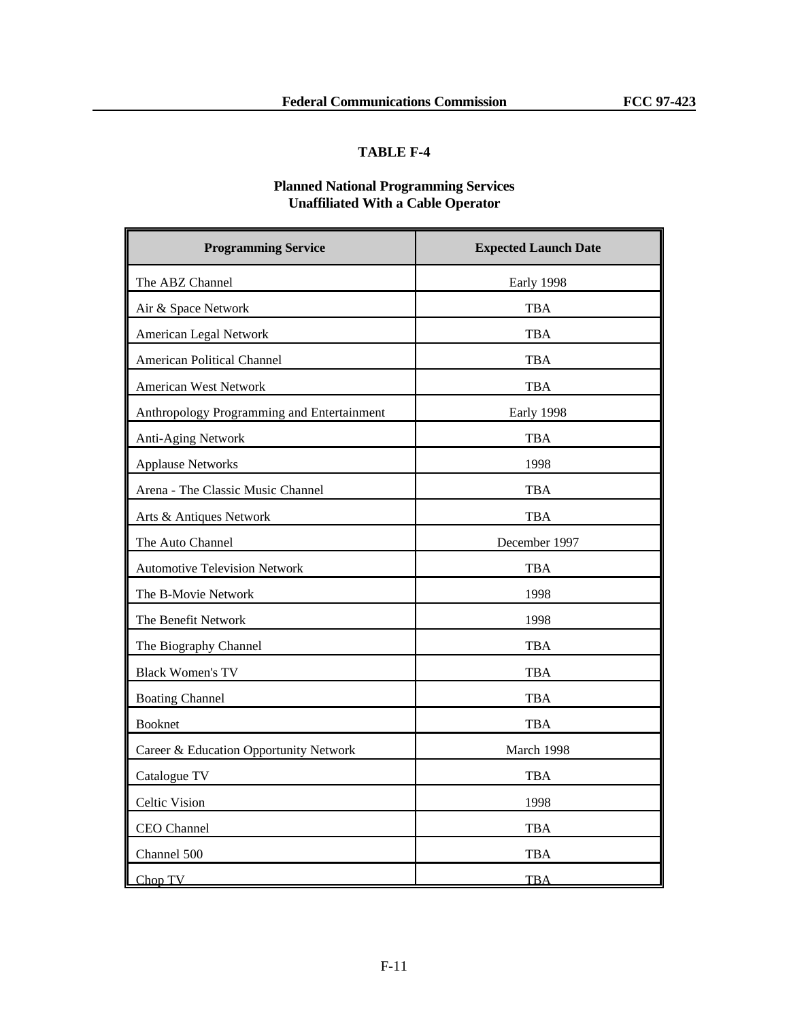# **Planned National Programming Services Unaffiliated With a Cable Operator**

| <b>Programming Service</b>                 | <b>Expected Launch Date</b> |
|--------------------------------------------|-----------------------------|
| The ABZ Channel                            | Early 1998                  |
| Air & Space Network                        | <b>TBA</b>                  |
| American Legal Network                     | TBA                         |
| <b>American Political Channel</b>          | <b>TBA</b>                  |
| <b>American West Network</b>               | <b>TBA</b>                  |
| Anthropology Programming and Entertainment | Early 1998                  |
| Anti-Aging Network                         | <b>TBA</b>                  |
| <b>Applause Networks</b>                   | 1998                        |
| Arena - The Classic Music Channel          | TBA                         |
| Arts & Antiques Network                    | TBA                         |
| The Auto Channel                           | December 1997               |
| <b>Automotive Television Network</b>       | <b>TBA</b>                  |
| The B-Movie Network                        | 1998                        |
| The Benefit Network                        | 1998                        |
| The Biography Channel                      | <b>TBA</b>                  |
| <b>Black Women's TV</b>                    | TBA                         |
| <b>Boating Channel</b>                     | <b>TBA</b>                  |
| <b>Booknet</b>                             | <b>TBA</b>                  |
| Career & Education Opportunity Network     | March 1998                  |
| Catalogue TV                               | TBA                         |
| <b>Celtic Vision</b>                       | 1998                        |
| CEO Channel                                | TBA                         |
| Channel 500                                | TBA                         |
| Chop TV                                    | <b>TBA</b>                  |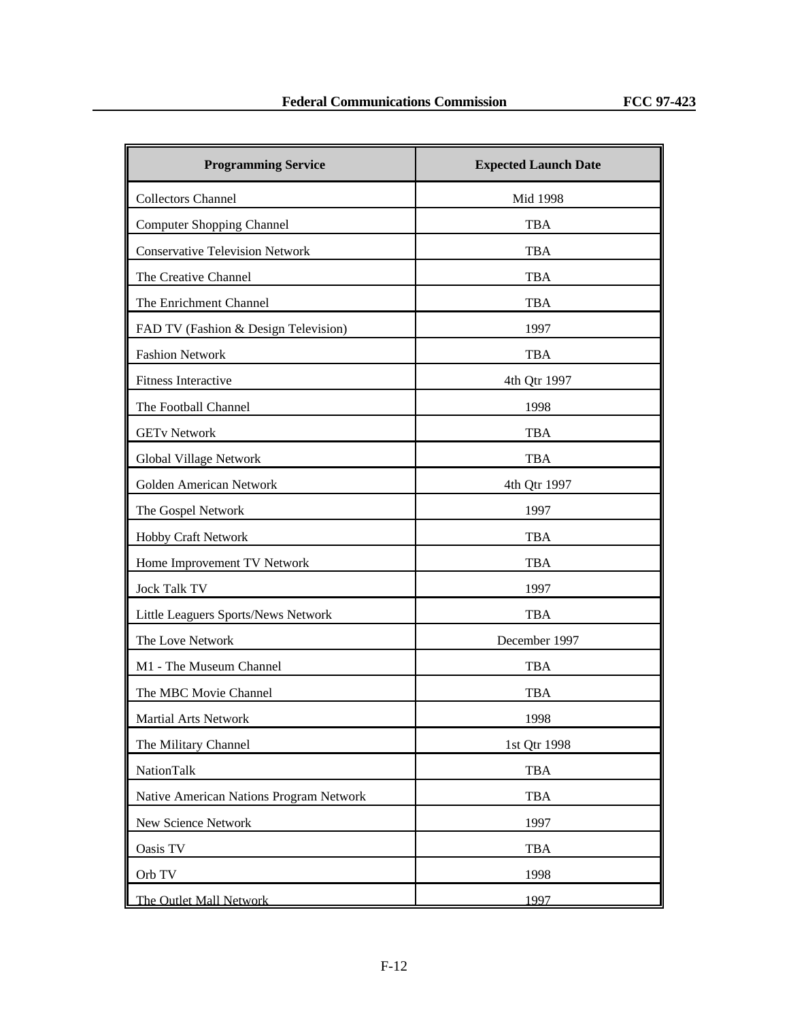| <b>Programming Service</b>              | <b>Expected Launch Date</b> |
|-----------------------------------------|-----------------------------|
| <b>Collectors Channel</b>               | Mid 1998                    |
| <b>Computer Shopping Channel</b>        | <b>TBA</b>                  |
| <b>Conservative Television Network</b>  | <b>TBA</b>                  |
| The Creative Channel                    | <b>TBA</b>                  |
| The Enrichment Channel                  | TBA                         |
| FAD TV (Fashion & Design Television)    | 1997                        |
| <b>Fashion Network</b>                  | <b>TBA</b>                  |
| Fitness Interactive                     | 4th Qtr 1997                |
| The Football Channel                    | 1998                        |
| <b>GETv Network</b>                     | <b>TBA</b>                  |
| Global Village Network                  | <b>TBA</b>                  |
| Golden American Network                 | 4th Qtr 1997                |
| The Gospel Network                      | 1997                        |
| Hobby Craft Network                     | <b>TBA</b>                  |
| Home Improvement TV Network             | <b>TBA</b>                  |
| <b>Jock Talk TV</b>                     | 1997                        |
| Little Leaguers Sports/News Network     | <b>TBA</b>                  |
| The Love Network                        | December 1997               |
| M1 - The Museum Channel                 | <b>TBA</b>                  |
| The MBC Movie Channel                   | <b>TBA</b>                  |
| <b>Martial Arts Network</b>             | 1998                        |
| The Military Channel                    | 1st Qtr 1998                |
| NationTalk                              | <b>TBA</b>                  |
| Native American Nations Program Network | <b>TBA</b>                  |
| New Science Network                     | 1997                        |
| Oasis TV                                | <b>TBA</b>                  |
| Orb TV                                  | 1998                        |
| The Outlet Mall Network                 | 1997                        |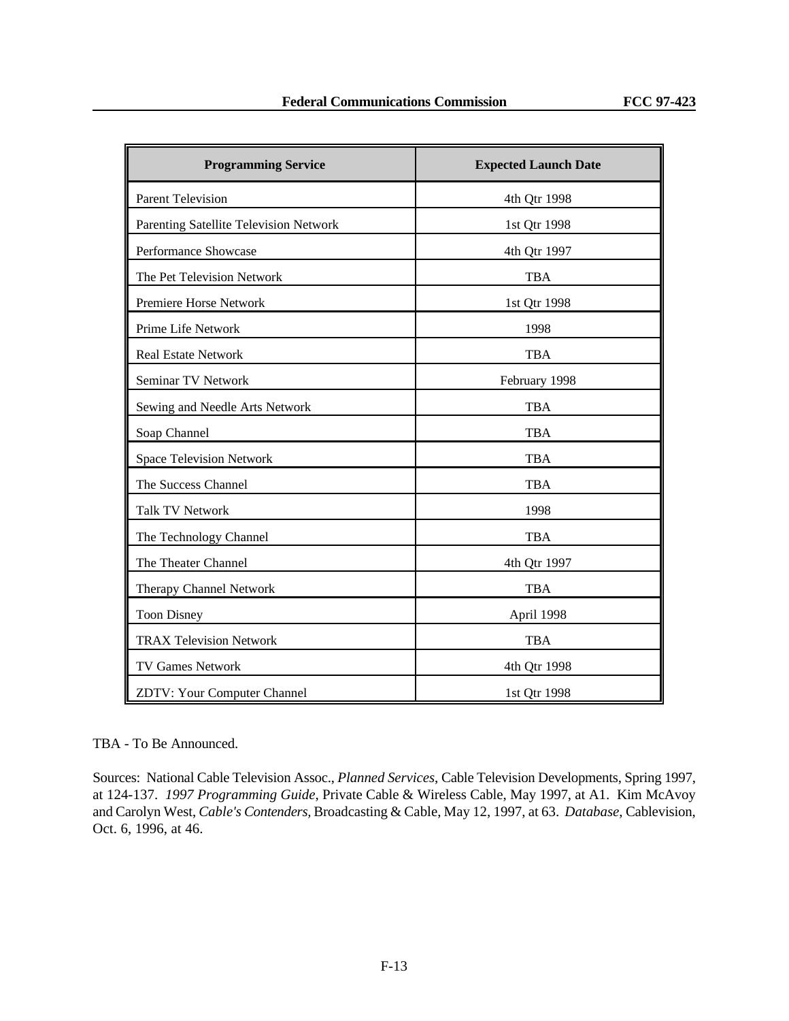| <b>Programming Service</b>             | <b>Expected Launch Date</b> |
|----------------------------------------|-----------------------------|
| <b>Parent Television</b>               | 4th Qtr 1998                |
| Parenting Satellite Television Network | 1st Qtr 1998                |
| Performance Showcase                   | 4th Qtr 1997                |
| The Pet Television Network             | <b>TBA</b>                  |
| Premiere Horse Network                 | 1st Qtr 1998                |
| Prime Life Network                     | 1998                        |
| <b>Real Estate Network</b>             | <b>TBA</b>                  |
| Seminar TV Network                     | February 1998               |
| Sewing and Needle Arts Network         | <b>TBA</b>                  |
| Soap Channel                           | <b>TBA</b>                  |
| <b>Space Television Network</b>        | <b>TBA</b>                  |
| The Success Channel                    | <b>TBA</b>                  |
| <b>Talk TV Network</b>                 | 1998                        |
| The Technology Channel                 | <b>TBA</b>                  |
| The Theater Channel                    | 4th Qtr 1997                |
| Therapy Channel Network                | <b>TBA</b>                  |
| <b>Toon Disney</b>                     | April 1998                  |
| <b>TRAX Television Network</b>         | <b>TBA</b>                  |
| TV Games Network                       | 4th Qtr 1998                |
| <b>ZDTV: Your Computer Channel</b>     | 1st Qtr 1998                |

#### TBA - To Be Announced.

Sources: National Cable Television Assoc., *Planned Services*, Cable Television Developments, Spring 1997, at 124-137. *1997 Programming Guide*, Private Cable & Wireless Cable, May 1997, at A1. Kim McAvoy and Carolyn West, *Cable's Contenders,* Broadcasting & Cable, May 12, 1997, at 63. *Database*, Cablevision, Oct. 6, 1996, at 46.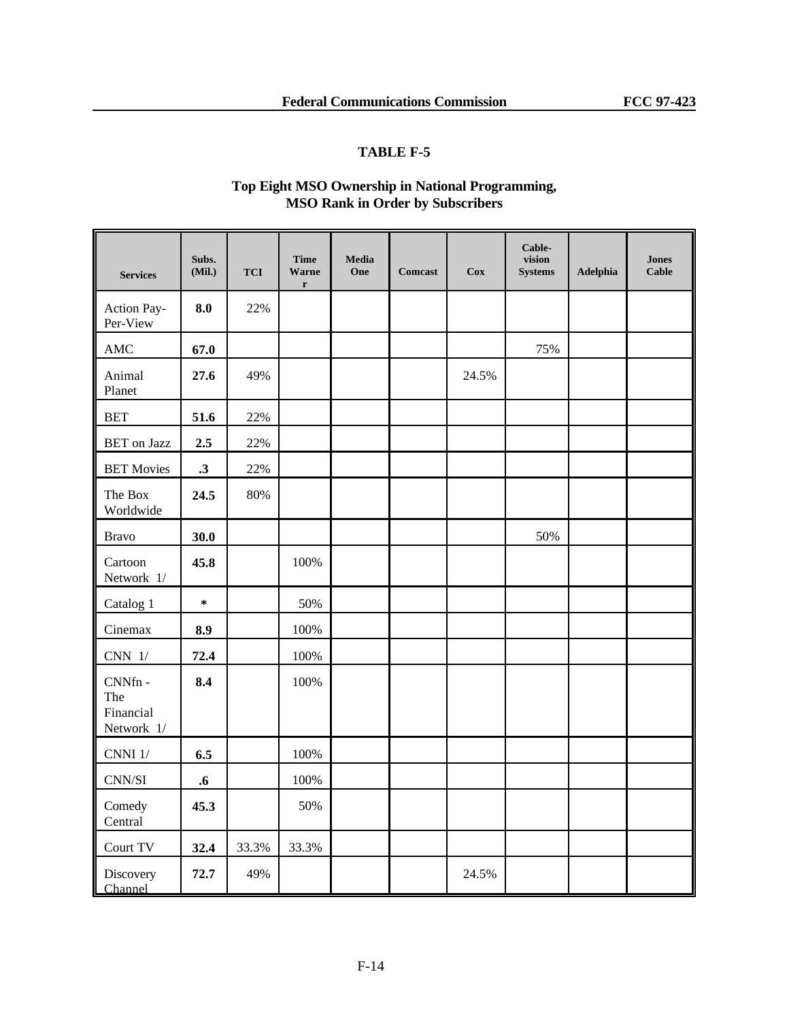# **Top Eight MSO Ownership in National Programming, MSO Rank in Order by Subscribers**

| <b>Services</b>                           | Subs.<br>(Mil.)   | <b>TCI</b> | <b>Time</b><br>Warne<br>$\mathbf r$ | Media<br>One | <b>Comcast</b> | <b>Cox</b> | Cable-<br>vision<br><b>Systems</b> | Adelphia | <b>Jones</b><br><b>Cable</b> |
|-------------------------------------------|-------------------|------------|-------------------------------------|--------------|----------------|------------|------------------------------------|----------|------------------------------|
| Action Pay-<br>Per-View                   | 8.0               | 22%        |                                     |              |                |            |                                    |          |                              |
| AMC                                       | 67.0              |            |                                     |              |                |            | 75%                                |          |                              |
| Animal<br>Planet                          | 27.6              | 49%        |                                     |              |                | 24.5%      |                                    |          |                              |
| <b>BET</b>                                | 51.6              | 22%        |                                     |              |                |            |                                    |          |                              |
| <b>BET</b> on Jazz                        | 2.5               | 22%        |                                     |              |                |            |                                    |          |                              |
| <b>BET Movies</b>                         | $\cdot$ 3         | 22%        |                                     |              |                |            |                                    |          |                              |
| The Box<br>Worldwide                      | 24.5              | 80%        |                                     |              |                |            |                                    |          |                              |
| <b>Bravo</b>                              | 30.0              |            |                                     |              |                |            | 50%                                |          |                              |
| Cartoon<br>Network $1/$                   | 45.8              |            | 100%                                |              |                |            |                                    |          |                              |
| Catalog 1                                 | $\star$           |            | 50%                                 |              |                |            |                                    |          |                              |
| Cinemax                                   | 8.9               |            | 100%                                |              |                |            |                                    |          |                              |
| $CNN$ $1/$                                | 72.4              |            | 100%                                |              |                |            |                                    |          |                              |
| CNNfn -<br>The<br>Financial<br>Network 1/ | 8.4               |            | 100%                                |              |                |            |                                    |          |                              |
| $CNNI$ $1/$                               | 6.5               |            | 100%                                |              |                |            |                                    |          |                              |
| $\text{CNN}/\text{SI}$                    | $\boldsymbol{.6}$ |            | 100%                                |              |                |            |                                    |          |                              |
| Comedy<br>Central                         | 45.3              |            | 50%                                 |              |                |            |                                    |          |                              |
| Court TV                                  | 32.4              | 33.3%      | 33.3%                               |              |                |            |                                    |          |                              |
| Discovery<br>Channel                      | 72.7              | 49%        |                                     |              |                | 24.5%      |                                    |          |                              |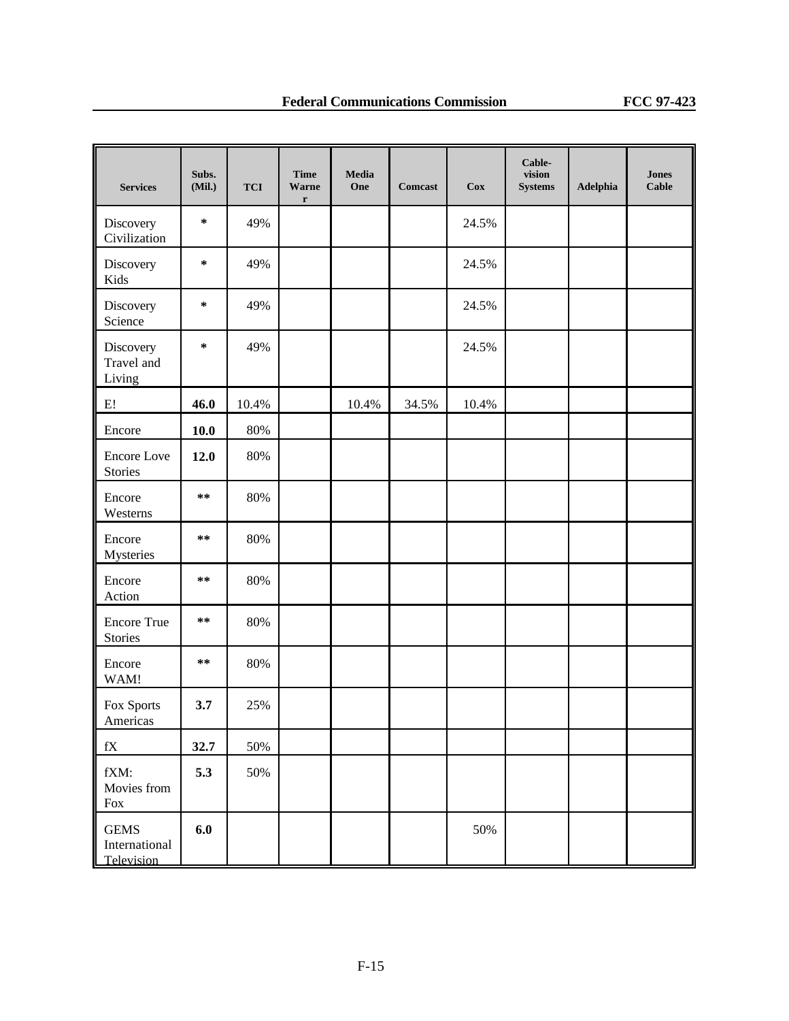| <b>Services</b>                            | Subs.<br>(Mil.) | <b>TCI</b> | <b>Time</b><br><b>Warne</b><br>$\mathbf r$ | <b>Media</b><br>One | <b>Comcast</b> | $\mathbf{Cox}$ | Cable-<br>vision<br><b>Systems</b> | Adelphia | <b>Jones</b><br><b>Cable</b> |
|--------------------------------------------|-----------------|------------|--------------------------------------------|---------------------|----------------|----------------|------------------------------------|----------|------------------------------|
| Discovery<br>Civilization                  | *               | 49%        |                                            |                     |                | 24.5%          |                                    |          |                              |
| Discovery<br>Kids                          | ∗               | 49%        |                                            |                     |                | 24.5%          |                                    |          |                              |
| Discovery<br>Science                       | $\ast$          | 49%        |                                            |                     |                | 24.5%          |                                    |          |                              |
| Discovery<br>Travel and<br>Living          | ∗               | 49%        |                                            |                     |                | 24.5%          |                                    |          |                              |
| E!                                         | 46.0            | 10.4%      |                                            | 10.4%               | 34.5%          | 10.4%          |                                    |          |                              |
| Encore                                     | 10.0            | 80%        |                                            |                     |                |                |                                    |          |                              |
| <b>Encore</b> Love<br>Stories              | 12.0            | 80%        |                                            |                     |                |                |                                    |          |                              |
| Encore<br>Westerns                         | $**$            | 80%        |                                            |                     |                |                |                                    |          |                              |
| Encore<br>Mysteries                        | $**$            | 80%        |                                            |                     |                |                |                                    |          |                              |
| Encore<br>Action                           | **              | 80%        |                                            |                     |                |                |                                    |          |                              |
| <b>Encore True</b><br>Stories              | $**$            | 80%        |                                            |                     |                |                |                                    |          |                              |
| Encore<br>WAM!                             | $***$           | 80%        |                                            |                     |                |                |                                    |          |                              |
| Fox Sports<br>Americas                     | 3.7             | 25%        |                                            |                     |                |                |                                    |          |                              |
| $\mathbf{f}\mathbf{X}$                     | 32.7            | 50%        |                                            |                     |                |                |                                    |          |                              |
| fXM:<br>Movies from<br>Fox                 | 5.3             | 50%        |                                            |                     |                |                |                                    |          |                              |
| <b>GEMS</b><br>International<br>Television | 6.0             |            |                                            |                     |                | 50%            |                                    |          |                              |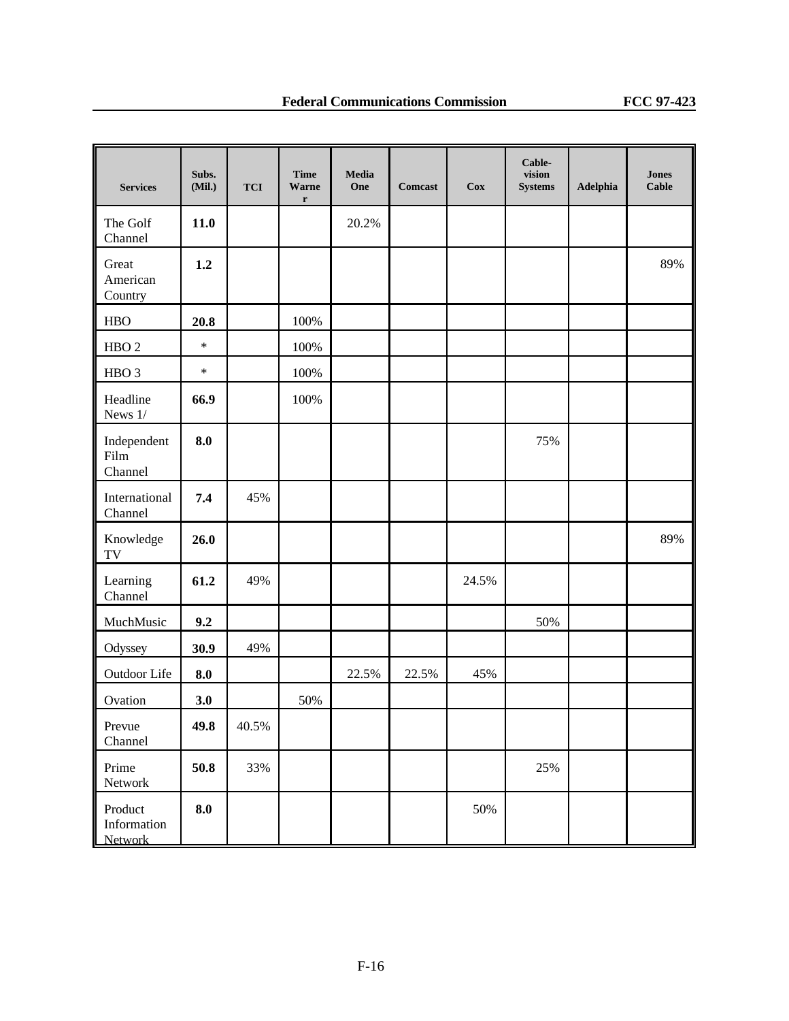| <b>Services</b>                   | Subs.<br>(Mil.) | <b>TCI</b> | <b>Time</b><br><b>Warne</b><br>$\mathbf r$ | Media<br>One | <b>Comcast</b> | $\mathbf{Cox}$ | Cable-<br>vision<br><b>Systems</b> | Adelphia | <b>Jones</b><br><b>Cable</b> |
|-----------------------------------|-----------------|------------|--------------------------------------------|--------------|----------------|----------------|------------------------------------|----------|------------------------------|
| The Golf<br>Channel               | 11.0            |            |                                            | 20.2%        |                |                |                                    |          |                              |
| Great<br>American<br>Country      | 1.2             |            |                                            |              |                |                |                                    |          | 89%                          |
| <b>HBO</b>                        | 20.8            |            | 100%                                       |              |                |                |                                    |          |                              |
| HBO <sub>2</sub>                  | $\ast$          |            | 100%                                       |              |                |                |                                    |          |                              |
| HBO <sub>3</sub>                  | $\ast$          |            | 100%                                       |              |                |                |                                    |          |                              |
| Headline<br>News 1/               | 66.9            |            | 100%                                       |              |                |                |                                    |          |                              |
| Independent<br>Film<br>Channel    | 8.0             |            |                                            |              |                |                | 75%                                |          |                              |
| International<br>Channel          | 7.4             | 45%        |                                            |              |                |                |                                    |          |                              |
| Knowledge<br>TV                   | 26.0            |            |                                            |              |                |                |                                    |          | 89%                          |
| Learning<br>Channel               | 61.2            | 49%        |                                            |              |                | 24.5%          |                                    |          |                              |
| MuchMusic                         | 9.2             |            |                                            |              |                |                | 50%                                |          |                              |
| Odyssey                           | 30.9            | 49%        |                                            |              |                |                |                                    |          |                              |
| Outdoor Life                      | 8.0             |            |                                            | 22.5%        | 22.5%          | 45%            |                                    |          |                              |
| Ovation                           | 3.0             |            | 50%                                        |              |                |                |                                    |          |                              |
| Prevue<br>Channel                 | 49.8            | 40.5%      |                                            |              |                |                |                                    |          |                              |
| Prime<br>Network                  | $\bf 50.8$      | 33%        |                                            |              |                |                | 25%                                |          |                              |
| Product<br>Information<br>Network | 8.0             |            |                                            |              |                | 50%            |                                    |          |                              |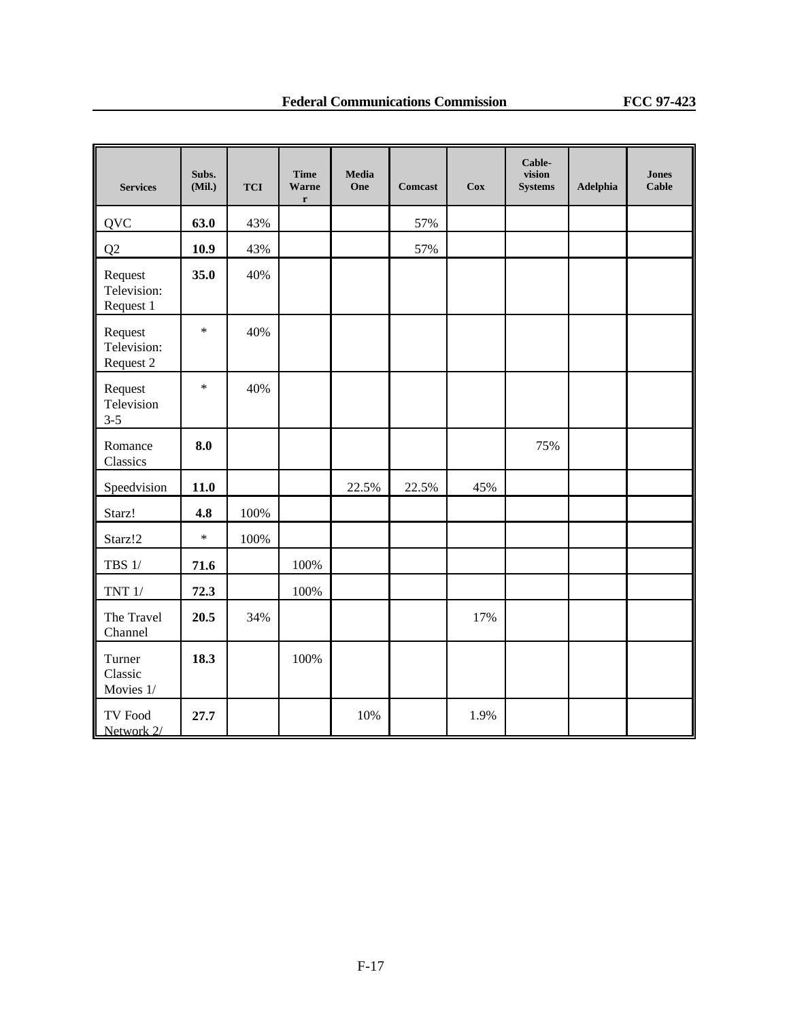| <b>Services</b>                     | Subs.<br>(Mil.) | <b>TCI</b> | <b>Time</b><br>Warne<br>$\mathbf r$ | Media<br>One | Comcast | $\bf Cox$ | Cable-<br>vision<br><b>Systems</b> | Adelphia | <b>Jones</b><br>Cable |
|-------------------------------------|-----------------|------------|-------------------------------------|--------------|---------|-----------|------------------------------------|----------|-----------------------|
| <b>QVC</b>                          | 63.0            | 43%        |                                     |              | 57%     |           |                                    |          |                       |
| Q2                                  | 10.9            | 43%        |                                     |              | 57%     |           |                                    |          |                       |
| Request<br>Television:<br>Request 1 | 35.0            | 40%        |                                     |              |         |           |                                    |          |                       |
| Request<br>Television:<br>Request 2 | $\ast$          | 40%        |                                     |              |         |           |                                    |          |                       |
| Request<br>Television<br>$3 - 5$    | $\ast$          | 40%        |                                     |              |         |           |                                    |          |                       |
| Romance<br>Classics                 | 8.0             |            |                                     |              |         |           | 75%                                |          |                       |
| Speedvision                         | 11.0            |            |                                     | 22.5%        | 22.5%   | 45%       |                                    |          |                       |
| Starz!                              | 4.8             | 100%       |                                     |              |         |           |                                    |          |                       |
| Starz!2                             | $\ast$          | 100%       |                                     |              |         |           |                                    |          |                       |
| TBS $1/$                            | 71.6            |            | 100%                                |              |         |           |                                    |          |                       |
| TNT $1/$                            | 72.3            |            | 100%                                |              |         |           |                                    |          |                       |
| The Travel<br>Channel               | 20.5            | 34%        |                                     |              |         | 17%       |                                    |          |                       |
| Turner<br>Classic<br>Movies 1/      | 18.3            |            | 100%                                |              |         |           |                                    |          |                       |
| TV Food<br>Network 2/               | 27.7            |            |                                     | 10%          |         | 1.9%      |                                    |          |                       |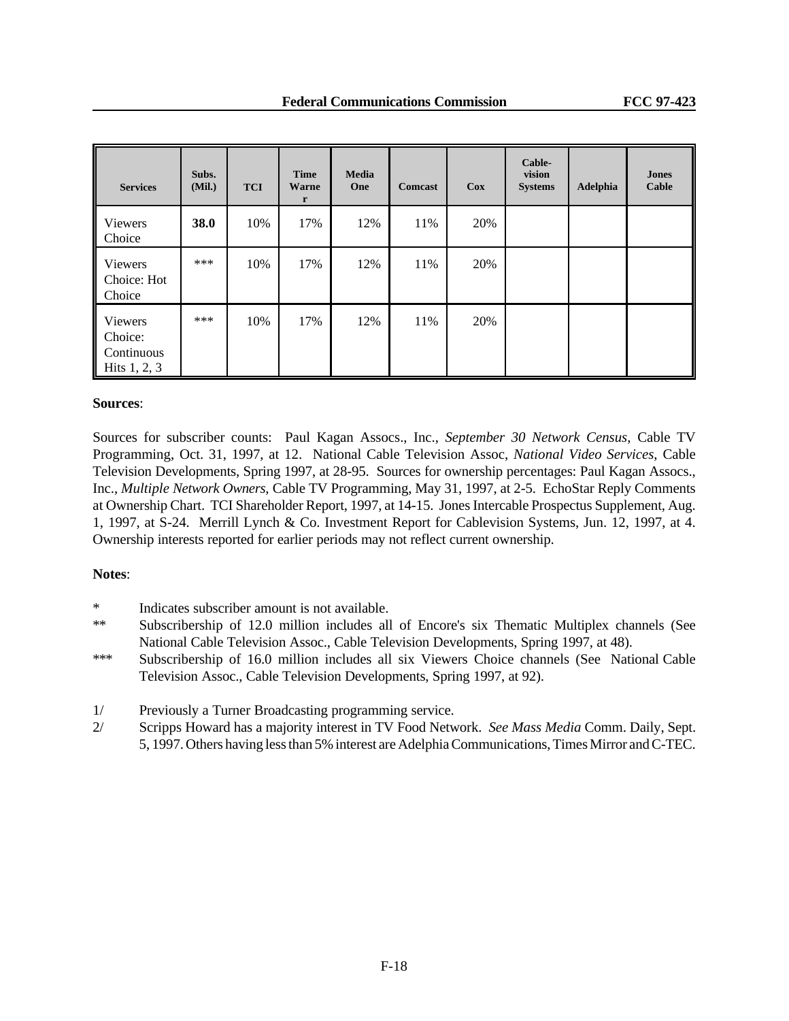| <b>Services</b>                                    | Subs.<br>(Mil.) | <b>TCI</b> | <b>Time</b><br>Warne<br>$\mathbf{r}$ | <b>Media</b><br>One | <b>Comcast</b> | Cox | Cable-<br>vision<br><b>Systems</b> | Adelphia | <b>Jones</b><br>Cable |
|----------------------------------------------------|-----------------|------------|--------------------------------------|---------------------|----------------|-----|------------------------------------|----------|-----------------------|
| <b>Viewers</b><br>Choice                           | 38.0            | 10%        | 17%                                  | 12%                 | 11%            | 20% |                                    |          |                       |
| <b>Viewers</b><br>Choice: Hot<br>Choice            | $***$           | 10%        | 17%                                  | 12%                 | 11%            | 20% |                                    |          |                       |
| Viewers<br>Choice:<br>Continuous<br>Hits $1, 2, 3$ | $***$           | 10%        | 17%                                  | 12%                 | 11%            | 20% |                                    |          |                       |

#### **Sources**:

Sources for subscriber counts: Paul Kagan Assocs., Inc., *September 30 Network Census*, Cable TV Programming, Oct. 31, 1997, at 12. National Cable Television Assoc, *National Video Services*, Cable Television Developments, Spring 1997, at 28-95. Sources for ownership percentages: Paul Kagan Assocs., Inc., *Multiple Network Owners*, Cable TV Programming, May 31, 1997, at 2-5. EchoStar Reply Comments at Ownership Chart. TCI Shareholder Report, 1997, at 14-15. Jones Intercable Prospectus Supplement, Aug. 1, 1997, at S-24. Merrill Lynch & Co. Investment Report for Cablevision Systems, Jun. 12, 1997, at 4. Ownership interests reported for earlier periods may not reflect current ownership.

#### **Notes**:

- \* Indicates subscriber amount is not available.
- \*\* Subscribership of 12.0 million includes all of Encore's six Thematic Multiplex channels (See National Cable Television Assoc., Cable Television Developments, Spring 1997, at 48).
- \*\*\* Subscribership of 16.0 million includes all six Viewers Choice channels (See National Cable Television Assoc., Cable Television Developments, Spring 1997, at 92).
- 1/ Previously a Turner Broadcasting programming service.
- 2/ Scripps Howard has a majority interest in TV Food Network. *See Mass Media* Comm. Daily, Sept. 5, 1997. Others having less than 5% interest are Adelphia Communications, Times Mirror and C-TEC.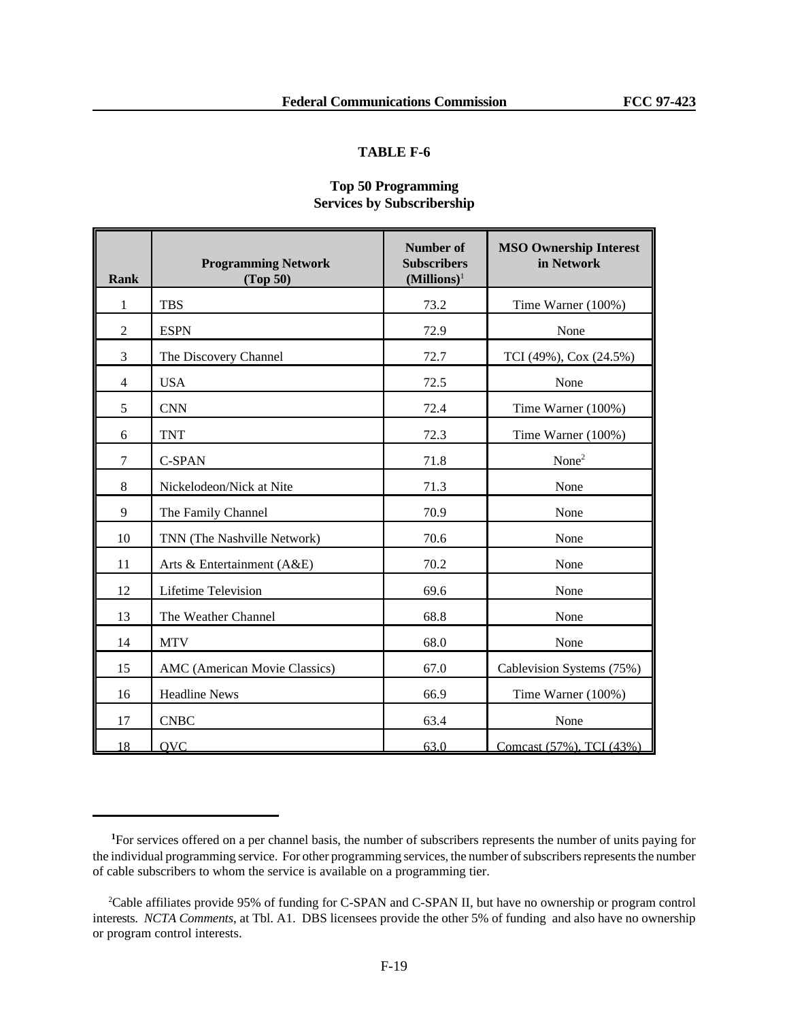## **Top 50 Programming Services by Subscribership**

| <b>Rank</b>    | <b>Programming Network</b><br>(Top 50) | <b>Number of</b><br><b>Subscribers</b><br>$(Millions)^{1}$ | <b>MSO Ownership Interest</b><br>in Network |
|----------------|----------------------------------------|------------------------------------------------------------|---------------------------------------------|
| 1              | <b>TBS</b>                             | 73.2                                                       | Time Warner (100%)                          |
| $\overline{2}$ | <b>ESPN</b>                            | 72.9                                                       | None                                        |
| 3              | The Discovery Channel                  | 72.7                                                       | TCI (49%), Cox (24.5%)                      |
| $\overline{4}$ | <b>USA</b>                             | 72.5                                                       | None                                        |
| 5              | <b>CNN</b>                             | 72.4                                                       | Time Warner (100%)                          |
| 6              | <b>TNT</b>                             | 72.3                                                       | Time Warner (100%)                          |
| $\overline{7}$ | C-SPAN                                 | 71.8                                                       | None <sup>2</sup>                           |
| 8              | Nickelodeon/Nick at Nite               | 71.3                                                       | None                                        |
| 9              | The Family Channel                     | 70.9                                                       | None                                        |
| 10             | TNN (The Nashville Network)            | 70.6                                                       | None                                        |
| 11             | Arts & Entertainment (A&E)             | 70.2                                                       | None                                        |
| 12             | <b>Lifetime Television</b>             | 69.6                                                       | None                                        |
| 13             | The Weather Channel                    | 68.8                                                       | None                                        |
| 14             | <b>MTV</b>                             | 68.0                                                       | None                                        |
| 15             | AMC (American Movie Classics)          | 67.0                                                       | Cablevision Systems (75%)                   |
| 16             | <b>Headline News</b>                   | 66.9                                                       | Time Warner (100%)                          |
| 17             | <b>CNBC</b>                            | 63.4                                                       | None                                        |
| 18             | <b>OVC</b>                             | 63.0                                                       | Comcast (57%), TCI (43%)                    |

**<sup>1</sup>**For services offered on a per channel basis, the number of subscribers represents the number of units paying for the individual programming service. For other programming services, the number of subscribers represents the number of cable subscribers to whom the service is available on a programming tier.

<sup>2</sup>Cable affiliates provide 95% of funding for C-SPAN and C-SPAN II, but have no ownership or program control interests. *NCTA Comments*, at Tbl. A1. DBS licensees provide the other 5% of funding and also have no ownership or program control interests.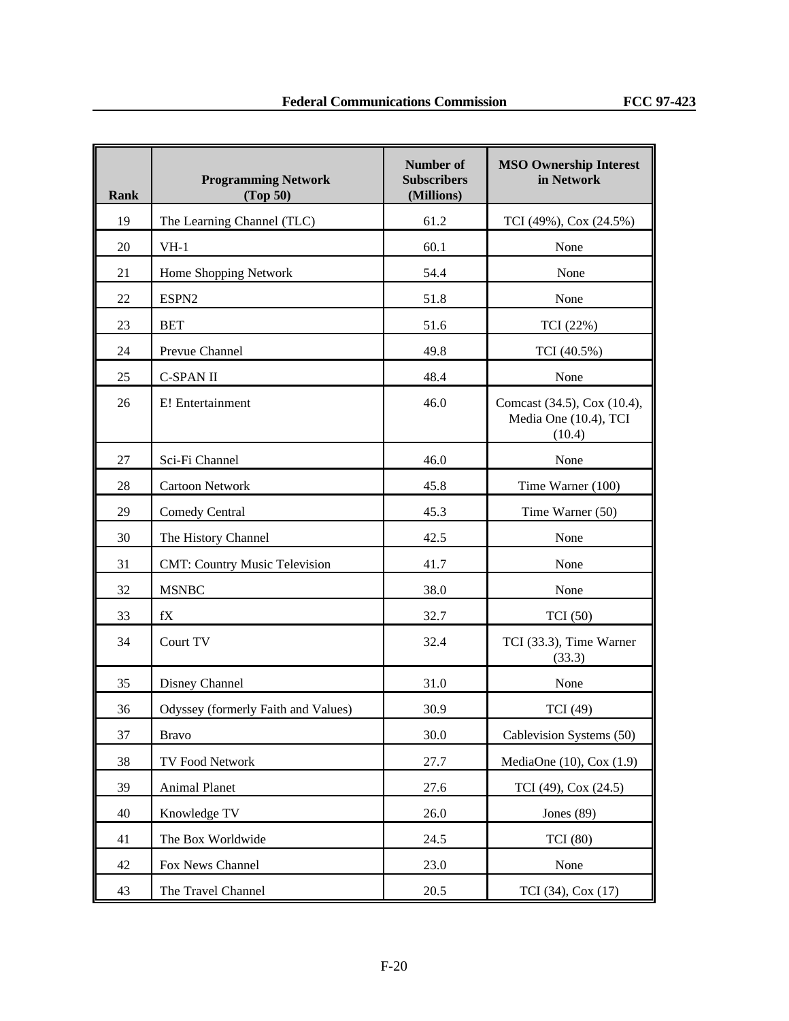| Rank | <b>Programming Network</b><br>(Top 50) | Number of<br><b>Subscribers</b><br>(Millions) | <b>MSO Ownership Interest</b><br>in Network                    |
|------|----------------------------------------|-----------------------------------------------|----------------------------------------------------------------|
| 19   | The Learning Channel (TLC)             | 61.2                                          | TCI (49%), Cox (24.5%)                                         |
| 20   | $VH-1$                                 | 60.1                                          | None                                                           |
| 21   | Home Shopping Network                  | 54.4                                          | None                                                           |
| 22   | ESPN <sub>2</sub>                      | 51.8                                          | None                                                           |
| 23   | <b>BET</b>                             | 51.6                                          | TCI (22%)                                                      |
| 24   | Prevue Channel                         | 49.8                                          | TCI (40.5%)                                                    |
| 25   | <b>C-SPAN II</b>                       | 48.4                                          | None                                                           |
| 26   | E! Entertainment                       | 46.0                                          | Comcast (34.5), Cox (10.4),<br>Media One (10.4), TCI<br>(10.4) |
| 27   | Sci-Fi Channel                         | 46.0                                          | None                                                           |
| 28   | <b>Cartoon Network</b>                 | 45.8                                          | Time Warner (100)                                              |
| 29   | <b>Comedy Central</b>                  | 45.3                                          | Time Warner (50)                                               |
| 30   | The History Channel                    | 42.5                                          | None                                                           |
| 31   | <b>CMT: Country Music Television</b>   | 41.7                                          | None                                                           |
| 32   | <b>MSNBC</b>                           | 38.0                                          | None                                                           |
| 33   | fX                                     | 32.7                                          | TCI(50)                                                        |
| 34   | Court TV                               | 32.4                                          | TCI (33.3), Time Warner<br>(33.3)                              |
| 35   | Disney Channel                         | 31.0                                          | None                                                           |
| 36   | Odyssey (formerly Faith and Values)    | 30.9                                          | TCI (49)                                                       |
| 37   | <b>Bravo</b>                           | 30.0                                          | Cablevision Systems (50)                                       |
| 38   | TV Food Network                        | 27.7                                          | MediaOne $(10)$ , Cox $(1.9)$                                  |
| 39   | <b>Animal Planet</b>                   | 27.6                                          | TCI (49), Cox (24.5)                                           |
| 40   | Knowledge TV                           | 26.0                                          | Jones $(89)$                                                   |
| 41   | The Box Worldwide                      | 24.5                                          | <b>TCI</b> (80)                                                |
| 42   | Fox News Channel                       | 23.0                                          | None                                                           |
| 43   | The Travel Channel                     | 20.5                                          | TCI (34), Cox (17)                                             |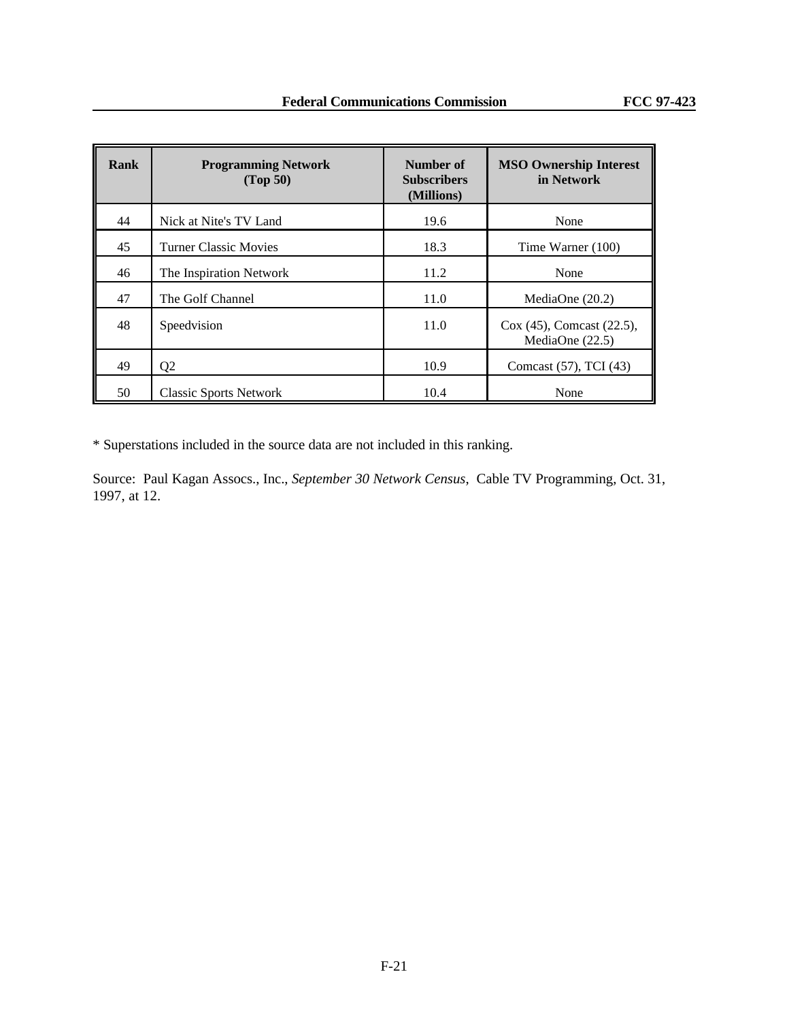| Rank | <b>Programming Network</b><br>(Top 50) | Number of<br><b>Subscribers</b><br>(Millions) | <b>MSO Ownership Interest</b><br>in Network    |
|------|----------------------------------------|-----------------------------------------------|------------------------------------------------|
| 44   | Nick at Nite's TV Land                 | 19.6                                          | None                                           |
| 45   | <b>Turner Classic Movies</b>           | 18.3                                          | Time Warner (100)                              |
| 46   | The Inspiration Network                | 11.2                                          | None                                           |
| 47   | The Golf Channel                       | 11.0                                          | MediaOne $(20.2)$                              |
| 48   | Speedvision                            | 11.0                                          | Cox (45), Comcast (22.5),<br>MediaOne $(22.5)$ |
| 49   | Q <sub>2</sub>                         | 10.9                                          | Comcast (57), TCI (43)                         |
| 50   | <b>Classic Sports Network</b>          | 10.4                                          | None                                           |

\* Superstations included in the source data are not included in this ranking.

Source: Paul Kagan Assocs., Inc., *September 30 Network Census*, Cable TV Programming, Oct. 31, 1997, at 12.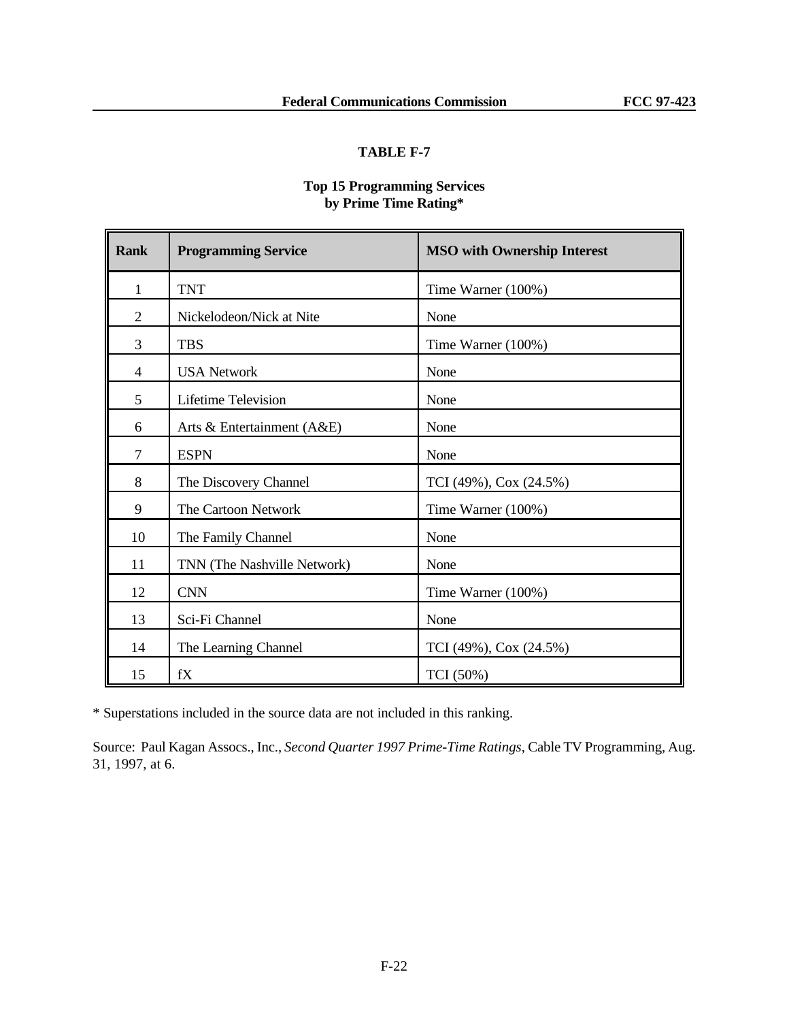## **Top 15 Programming Services by Prime Time Rating\***

| <b>Rank</b>    | <b>Programming Service</b>   | <b>MSO with Ownership Interest</b> |
|----------------|------------------------------|------------------------------------|
| $\mathbf{1}$   | <b>TNT</b>                   | Time Warner (100%)                 |
| $\overline{2}$ | Nickelodeon/Nick at Nite     | None                               |
| 3              | <b>TBS</b>                   | Time Warner (100%)                 |
| 4              | <b>USA Network</b>           | None                               |
| 5              | Lifetime Television          | None                               |
| 6              | Arts & Entertainment $(A&E)$ | None                               |
| $\overline{7}$ | <b>ESPN</b>                  | None                               |
| 8              | The Discovery Channel        | TCI (49%), Cox (24.5%)             |
| 9              | The Cartoon Network          | Time Warner (100%)                 |
| 10             | The Family Channel           | None                               |
| 11             | TNN (The Nashville Network)  | None                               |
| 12             | <b>CNN</b>                   | Time Warner (100%)                 |
| 13             | Sci-Fi Channel               | None                               |
| 14             | The Learning Channel         | TCI (49%), Cox (24.5%)             |
| 15             | fX                           | TCI (50%)                          |

\* Superstations included in the source data are not included in this ranking.

Source: Paul Kagan Assocs., Inc., *Second Quarter 1997 Prime-Time Ratings*, Cable TV Programming, Aug. 31, 1997, at 6.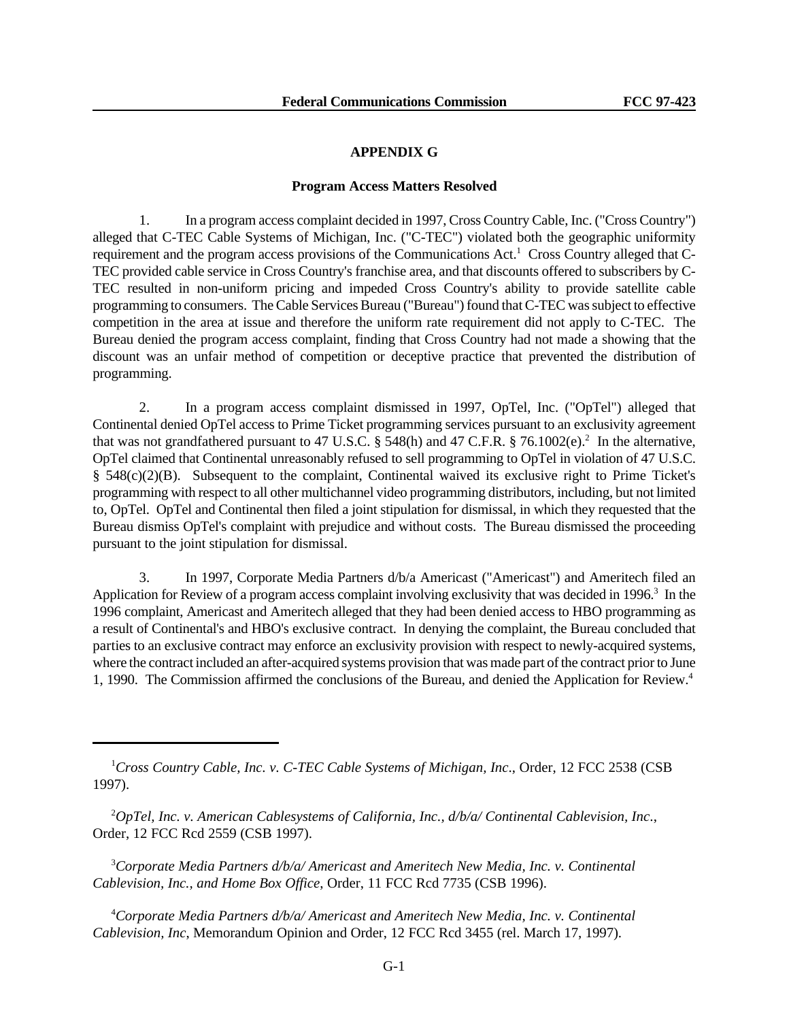#### **APPENDIX G**

#### **Program Access Matters Resolved**

1. In a program access complaint decided in 1997, Cross Country Cable, Inc. ("Cross Country") alleged that C-TEC Cable Systems of Michigan, Inc. ("C-TEC") violated both the geographic uniformity requirement and the program access provisions of the Communications Act.<sup>1</sup> Cross Country alleged that C-TEC provided cable service in Cross Country's franchise area, and that discounts offered to subscribers by C-TEC resulted in non-uniform pricing and impeded Cross Country's ability to provide satellite cable programming to consumers. The Cable Services Bureau ("Bureau") found that C-TEC was subject to effective competition in the area at issue and therefore the uniform rate requirement did not apply to C-TEC. The Bureau denied the program access complaint, finding that Cross Country had not made a showing that the discount was an unfair method of competition or deceptive practice that prevented the distribution of programming.

2. In a program access complaint dismissed in 1997, OpTel, Inc. ("OpTel") alleged that Continental denied OpTel access to Prime Ticket programming services pursuant to an exclusivity agreement that was not grandfathered pursuant to 47 U.S.C. § 548(h) and 47 C.F.R. § 76.1002(e).<sup>2</sup> In the alternative, OpTel claimed that Continental unreasonably refused to sell programming to OpTel in violation of 47 U.S.C. § 548(c)(2)(B). Subsequent to the complaint, Continental waived its exclusive right to Prime Ticket's programming with respect to all other multichannel video programming distributors, including, but not limited to, OpTel. OpTel and Continental then filed a joint stipulation for dismissal, in which they requested that the Bureau dismiss OpTel's complaint with prejudice and without costs. The Bureau dismissed the proceeding pursuant to the joint stipulation for dismissal.

3. In 1997, Corporate Media Partners d/b/a Americast ("Americast") and Ameritech filed an Application for Review of a program access complaint involving exclusivity that was decided in 1996.<sup>3</sup> In the 1996 complaint, Americast and Ameritech alleged that they had been denied access to HBO programming as a result of Continental's and HBO's exclusive contract. In denying the complaint, the Bureau concluded that parties to an exclusive contract may enforce an exclusivity provision with respect to newly-acquired systems, where the contract included an after-acquired systems provision that was made part of the contract prior to June 1, 1990. The Commission affirmed the conclusions of the Bureau, and denied the Application for Review.4

<sup>3</sup>*Corporate Media Partners d/b/a/ Americast and Ameritech New Media, Inc. v. Continental Cablevision, Inc., and Home Box Office*, Order, 11 FCC Rcd 7735 (CSB 1996).

<sup>4</sup>*Corporate Media Partners d/b/a/ Americast and Ameritech New Media, Inc. v. Continental Cablevision, Inc*, Memorandum Opinion and Order, 12 FCC Rcd 3455 (rel. March 17, 1997).

<sup>1</sup>*Cross Country Cable, Inc. v. C-TEC Cable Systems of Michigan, Inc*., Order, 12 FCC 2538 (CSB 1997).

<sup>2</sup>*OpTel, Inc. v. American Cablesystems of California, Inc., d/b/a/ Continental Cablevision, Inc*., Order, 12 FCC Rcd 2559 (CSB 1997).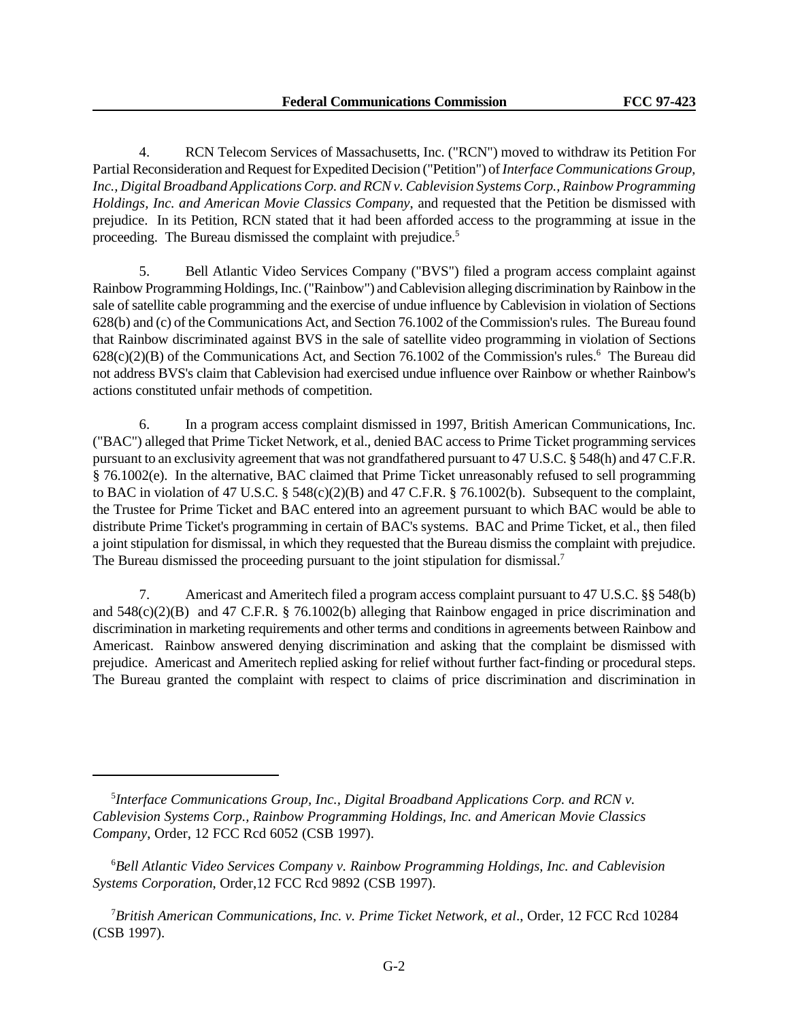4. RCN Telecom Services of Massachusetts, Inc. ("RCN") moved to withdraw its Petition For Partial Reconsideration and Request for Expedited Decision ("Petition") of *Interface Communications Group, Inc., Digital Broadband Applications Corp. and RCN v. Cablevision Systems Corp., Rainbow Programming Holdings, Inc. and American Movie Classics Company*, and requested that the Petition be dismissed with prejudice. In its Petition, RCN stated that it had been afforded access to the programming at issue in the proceeding. The Bureau dismissed the complaint with prejudice.<sup>5</sup>

5. Bell Atlantic Video Services Company ("BVS") filed a program access complaint against Rainbow Programming Holdings, Inc. ("Rainbow") and Cablevision alleging discrimination by Rainbow in the sale of satellite cable programming and the exercise of undue influence by Cablevision in violation of Sections 628(b) and (c) of the Communications Act, and Section 76.1002 of the Commission's rules. The Bureau found that Rainbow discriminated against BVS in the sale of satellite video programming in violation of Sections  $628(c)(2)(B)$  of the Communications Act, and Section 76.1002 of the Commission's rules.<sup>6</sup> The Bureau did not address BVS's claim that Cablevision had exercised undue influence over Rainbow or whether Rainbow's actions constituted unfair methods of competition.

6. In a program access complaint dismissed in 1997, British American Communications, Inc. ("BAC") alleged that Prime Ticket Network, et al., denied BAC access to Prime Ticket programming services pursuant to an exclusivity agreement that was not grandfathered pursuant to 47 U.S.C. § 548(h) and 47 C.F.R. § 76.1002(e). In the alternative, BAC claimed that Prime Ticket unreasonably refused to sell programming to BAC in violation of 47 U.S.C. § 548(c)(2)(B) and 47 C.F.R. § 76.1002(b). Subsequent to the complaint, the Trustee for Prime Ticket and BAC entered into an agreement pursuant to which BAC would be able to distribute Prime Ticket's programming in certain of BAC's systems. BAC and Prime Ticket, et al., then filed a joint stipulation for dismissal, in which they requested that the Bureau dismiss the complaint with prejudice. The Bureau dismissed the proceeding pursuant to the joint stipulation for dismissal.<sup>7</sup>

7. Americast and Ameritech filed a program access complaint pursuant to 47 U.S.C. §§ 548(b) and 548(c)(2)(B) and 47 C.F.R. § 76.1002(b) alleging that Rainbow engaged in price discrimination and discrimination in marketing requirements and other terms and conditions in agreements between Rainbow and Americast. Rainbow answered denying discrimination and asking that the complaint be dismissed with prejudice. Americast and Ameritech replied asking for relief without further fact-finding or procedural steps. The Bureau granted the complaint with respect to claims of price discrimination and discrimination in

<sup>5</sup> *Interface Communications Group, Inc., Digital Broadband Applications Corp. and RCN v. Cablevision Systems Corp., Rainbow Programming Holdings, Inc. and American Movie Classics Company*, Order, 12 FCC Rcd 6052 (CSB 1997).

<sup>6</sup>*Bell Atlantic Video Services Company v. Rainbow Programming Holdings, Inc. and Cablevision Systems Corporation*, Order,12 FCC Rcd 9892 (CSB 1997).

<sup>7</sup>*British American Communications, Inc. v. Prime Ticket Network*, *et al*., Order, 12 FCC Rcd 10284 (CSB 1997).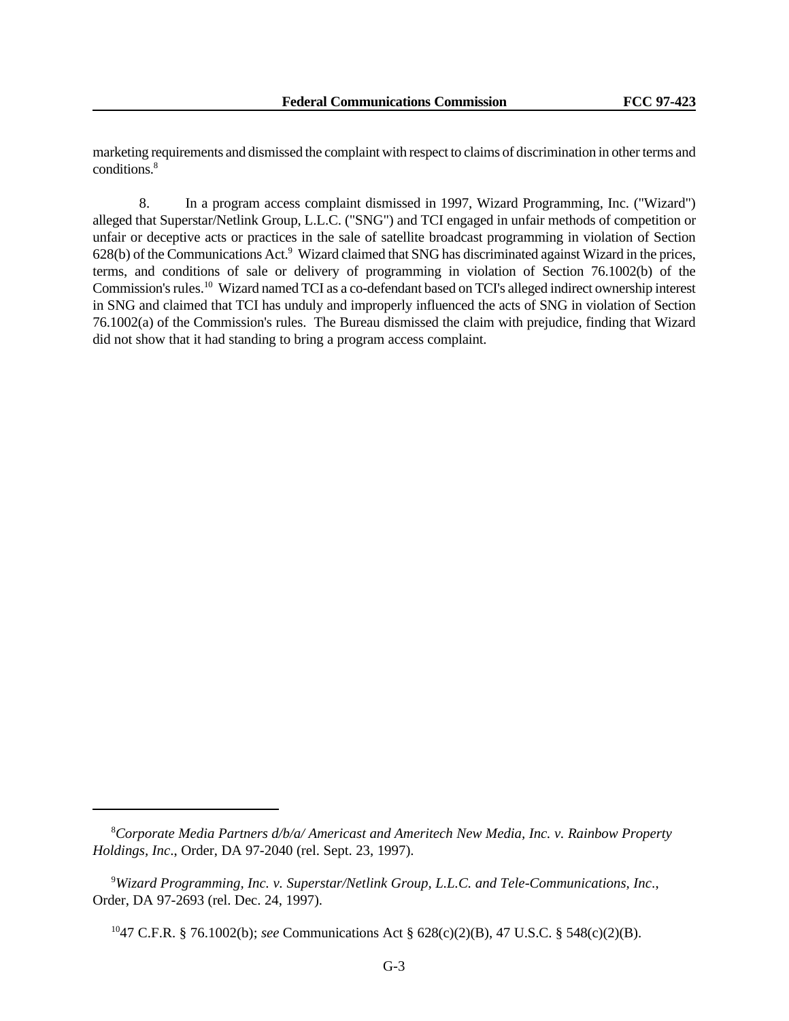marketing requirements and dismissed the complaint with respect to claims of discrimination in other terms and conditions.<sup>8</sup>

8. In a program access complaint dismissed in 1997, Wizard Programming, Inc. ("Wizard") alleged that Superstar/Netlink Group, L.L.C. ("SNG") and TCI engaged in unfair methods of competition or unfair or deceptive acts or practices in the sale of satellite broadcast programming in violation of Section 628(b) of the Communications Act.<sup>9</sup> Wizard claimed that SNG has discriminated against Wizard in the prices, terms, and conditions of sale or delivery of programming in violation of Section 76.1002(b) of the Commission's rules.<sup>10</sup> Wizard named TCI as a co-defendant based on TCI's alleged indirect ownership interest in SNG and claimed that TCI has unduly and improperly influenced the acts of SNG in violation of Section 76.1002(a) of the Commission's rules. The Bureau dismissed the claim with prejudice, finding that Wizard did not show that it had standing to bring a program access complaint.

<sup>8</sup>*Corporate Media Partners d/b/a/ Americast and Ameritech New Media, Inc. v. Rainbow Property Holdings, Inc*., Order, DA 97-2040 (rel. Sept. 23, 1997).

<sup>9</sup>*Wizard Programming, Inc. v. Superstar/Netlink Group, L.L.C. and Tele-Communications, Inc*., Order, DA 97-2693 (rel. Dec. 24, 1997).

<sup>10</sup>47 C.F.R. § 76.1002(b); *see* Communications Act § 628(c)(2)(B), 47 U.S.C. § 548(c)(2)(B).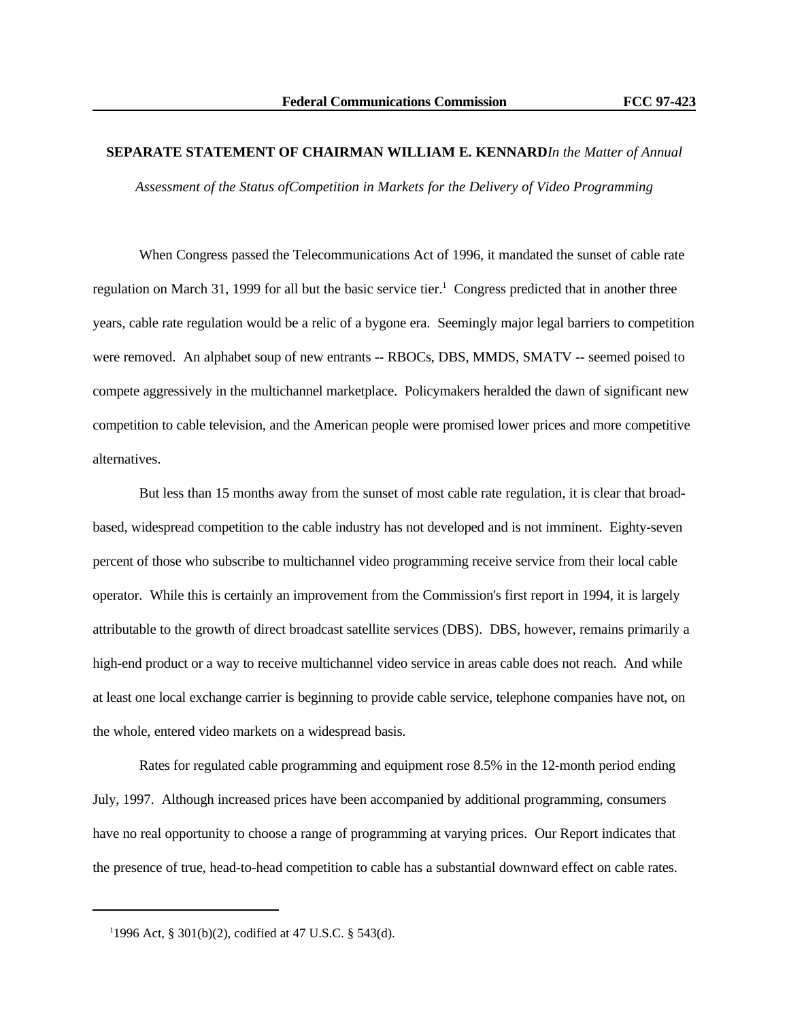#### **SEPARATE STATEMENT OF CHAIRMAN WILLIAM E. KENNARD***In the Matter of Annual*

*Assessment of the Status ofCompetition in Markets for the Delivery of Video Programming*

When Congress passed the Telecommunications Act of 1996, it mandated the sunset of cable rate regulation on March 31, 1999 for all but the basic service tier.<sup>1</sup> Congress predicted that in another three years, cable rate regulation would be a relic of a bygone era. Seemingly major legal barriers to competition were removed. An alphabet soup of new entrants -- RBOCs, DBS, MMDS, SMATV -- seemed poised to compete aggressively in the multichannel marketplace. Policymakers heralded the dawn of significant new competition to cable television, and the American people were promised lower prices and more competitive alternatives.

But less than 15 months away from the sunset of most cable rate regulation, it is clear that broadbased, widespread competition to the cable industry has not developed and is not imminent. Eighty-seven percent of those who subscribe to multichannel video programming receive service from their local cable operator. While this is certainly an improvement from the Commission's first report in 1994, it is largely attributable to the growth of direct broadcast satellite services (DBS). DBS, however, remains primarily a high-end product or a way to receive multichannel video service in areas cable does not reach. And while at least one local exchange carrier is beginning to provide cable service, telephone companies have not, on the whole, entered video markets on a widespread basis.

Rates for regulated cable programming and equipment rose 8.5% in the 12-month period ending July, 1997. Although increased prices have been accompanied by additional programming, consumers have no real opportunity to choose a range of programming at varying prices. Our Report indicates that the presence of true, head-to-head competition to cable has a substantial downward effect on cable rates.

<sup>1</sup> 1996 Act, § 301(b)(2), codified at 47 U.S.C. § 543(d).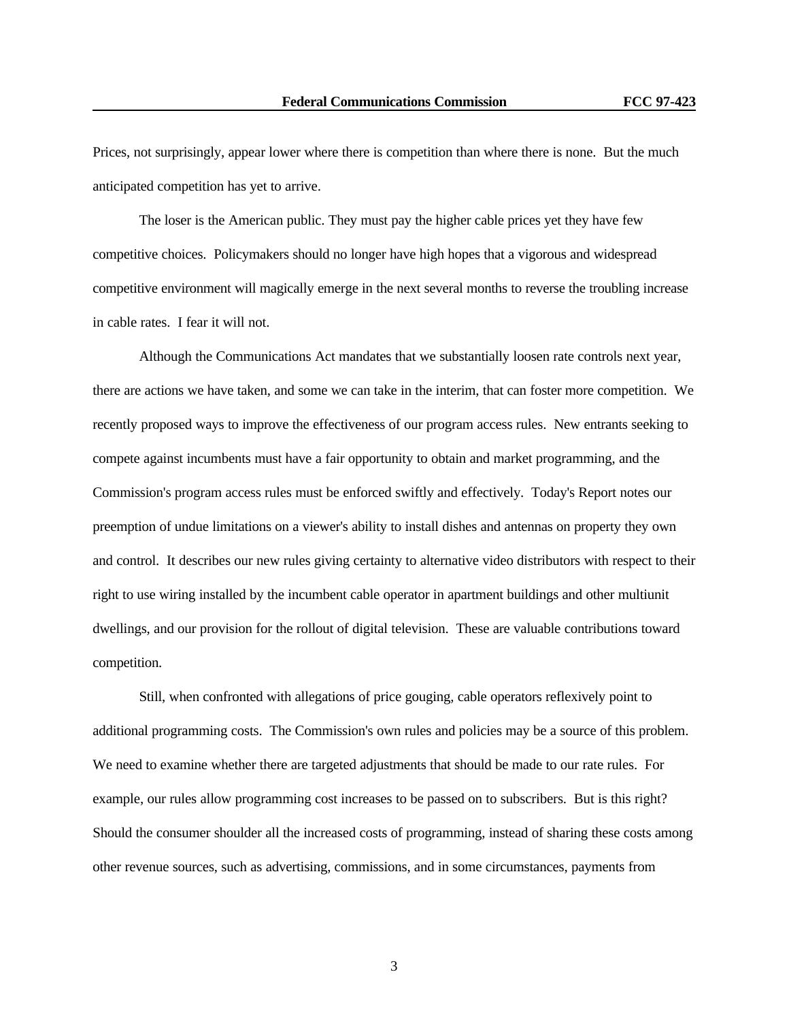Prices, not surprisingly, appear lower where there is competition than where there is none. But the much anticipated competition has yet to arrive.

The loser is the American public. They must pay the higher cable prices yet they have few competitive choices. Policymakers should no longer have high hopes that a vigorous and widespread competitive environment will magically emerge in the next several months to reverse the troubling increase in cable rates. I fear it will not.

Although the Communications Act mandates that we substantially loosen rate controls next year, there are actions we have taken, and some we can take in the interim, that can foster more competition. We recently proposed ways to improve the effectiveness of our program access rules. New entrants seeking to compete against incumbents must have a fair opportunity to obtain and market programming, and the Commission's program access rules must be enforced swiftly and effectively. Today's Report notes our preemption of undue limitations on a viewer's ability to install dishes and antennas on property they own and control. It describes our new rules giving certainty to alternative video distributors with respect to their right to use wiring installed by the incumbent cable operator in apartment buildings and other multiunit dwellings, and our provision for the rollout of digital television. These are valuable contributions toward competition.

Still, when confronted with allegations of price gouging, cable operators reflexively point to additional programming costs. The Commission's own rules and policies may be a source of this problem. We need to examine whether there are targeted adjustments that should be made to our rate rules. For example, our rules allow programming cost increases to be passed on to subscribers. But is this right? Should the consumer shoulder all the increased costs of programming, instead of sharing these costs among other revenue sources, such as advertising, commissions, and in some circumstances, payments from

3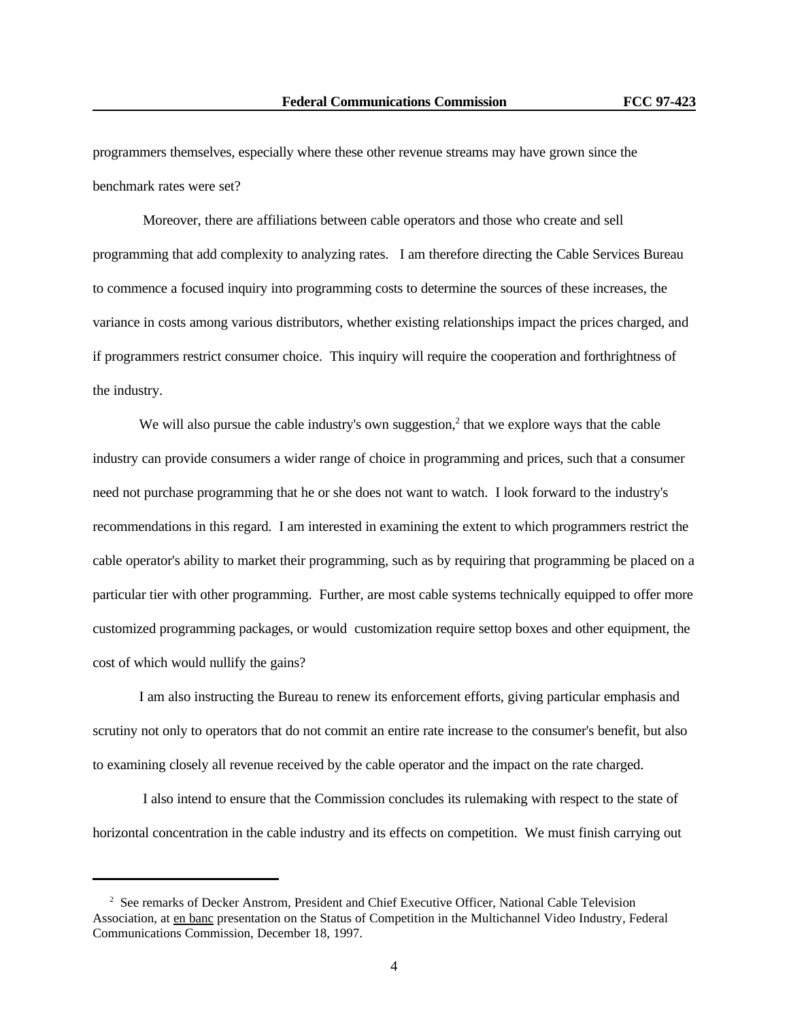programmers themselves, especially where these other revenue streams may have grown since the benchmark rates were set?

 Moreover, there are affiliations between cable operators and those who create and sell programming that add complexity to analyzing rates. I am therefore directing the Cable Services Bureau to commence a focused inquiry into programming costs to determine the sources of these increases, the variance in costs among various distributors, whether existing relationships impact the prices charged, and if programmers restrict consumer choice. This inquiry will require the cooperation and forthrightness of the industry.

We will also pursue the cable industry's own suggestion, $<sup>2</sup>$  that we explore ways that the cable</sup> industry can provide consumers a wider range of choice in programming and prices, such that a consumer need not purchase programming that he or she does not want to watch. I look forward to the industry's recommendations in this regard. I am interested in examining the extent to which programmers restrict the cable operator's ability to market their programming, such as by requiring that programming be placed on a particular tier with other programming. Further, are most cable systems technically equipped to offer more customized programming packages, or would customization require settop boxes and other equipment, the cost of which would nullify the gains?

I am also instructing the Bureau to renew its enforcement efforts, giving particular emphasis and scrutiny not only to operators that do not commit an entire rate increase to the consumer's benefit, but also to examining closely all revenue received by the cable operator and the impact on the rate charged.

 I also intend to ensure that the Commission concludes its rulemaking with respect to the state of horizontal concentration in the cable industry and its effects on competition. We must finish carrying out

<sup>&</sup>lt;sup>2</sup> See remarks of Decker Anstrom, President and Chief Executive Officer, National Cable Television Association, at en banc presentation on the Status of Competition in the Multichannel Video Industry, Federal Communications Commission, December 18, 1997.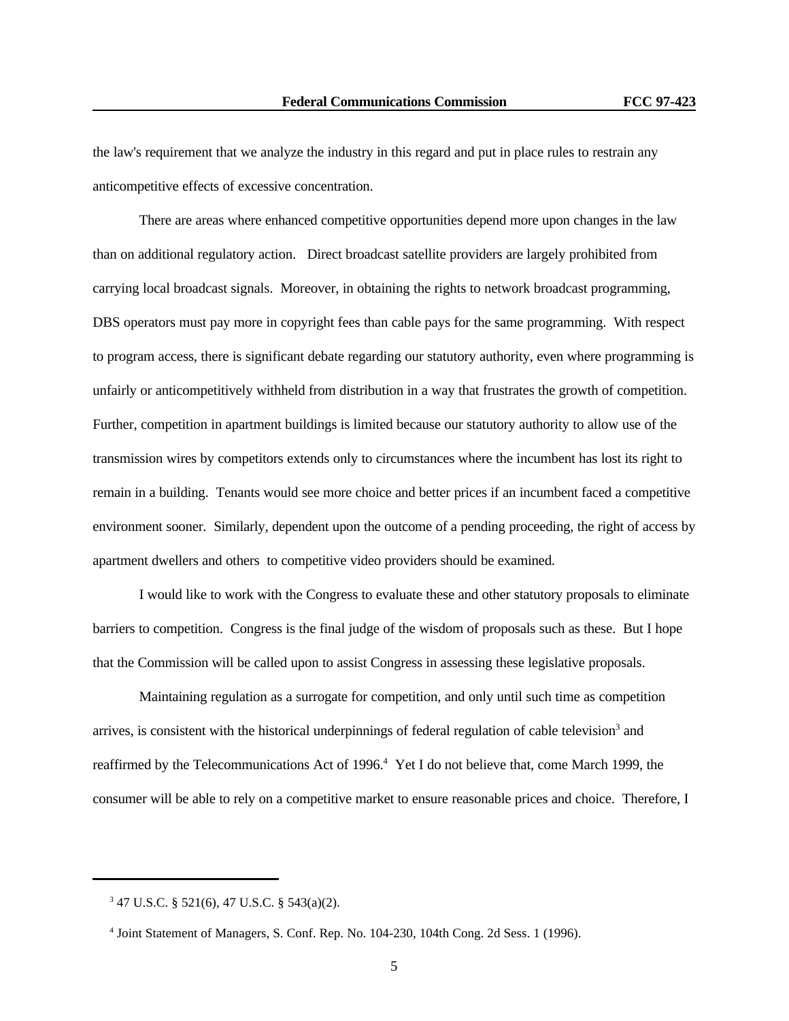the law's requirement that we analyze the industry in this regard and put in place rules to restrain any anticompetitive effects of excessive concentration.

There are areas where enhanced competitive opportunities depend more upon changes in the law than on additional regulatory action. Direct broadcast satellite providers are largely prohibited from carrying local broadcast signals. Moreover, in obtaining the rights to network broadcast programming, DBS operators must pay more in copyright fees than cable pays for the same programming. With respect to program access, there is significant debate regarding our statutory authority, even where programming is unfairly or anticompetitively withheld from distribution in a way that frustrates the growth of competition. Further, competition in apartment buildings is limited because our statutory authority to allow use of the transmission wires by competitors extends only to circumstances where the incumbent has lost its right to remain in a building. Tenants would see more choice and better prices if an incumbent faced a competitive environment sooner. Similarly, dependent upon the outcome of a pending proceeding, the right of access by apartment dwellers and others to competitive video providers should be examined.

I would like to work with the Congress to evaluate these and other statutory proposals to eliminate barriers to competition. Congress is the final judge of the wisdom of proposals such as these. But I hope that the Commission will be called upon to assist Congress in assessing these legislative proposals.

Maintaining regulation as a surrogate for competition, and only until such time as competition arrives, is consistent with the historical underpinnings of federal regulation of cable television<sup>3</sup> and reaffirmed by the Telecommunications Act of 1996.<sup>4</sup> Yet I do not believe that, come March 1999, the consumer will be able to rely on a competitive market to ensure reasonable prices and choice. Therefore, I

<sup>3</sup> 47 U.S.C. § 521(6), 47 U.S.C. § 543(a)(2).

<sup>4</sup> Joint Statement of Managers, S. Conf. Rep. No. 104-230, 104th Cong. 2d Sess. 1 (1996).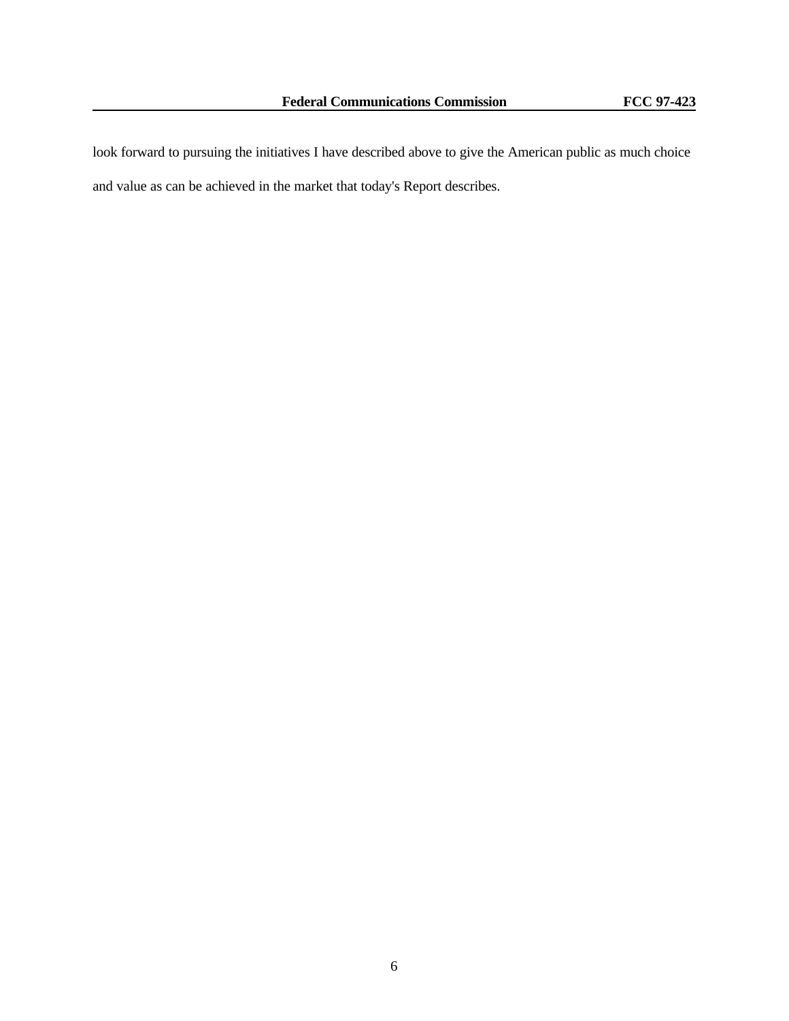look forward to pursuing the initiatives I have described above to give the American public as much choice and value as can be achieved in the market that today's Report describes.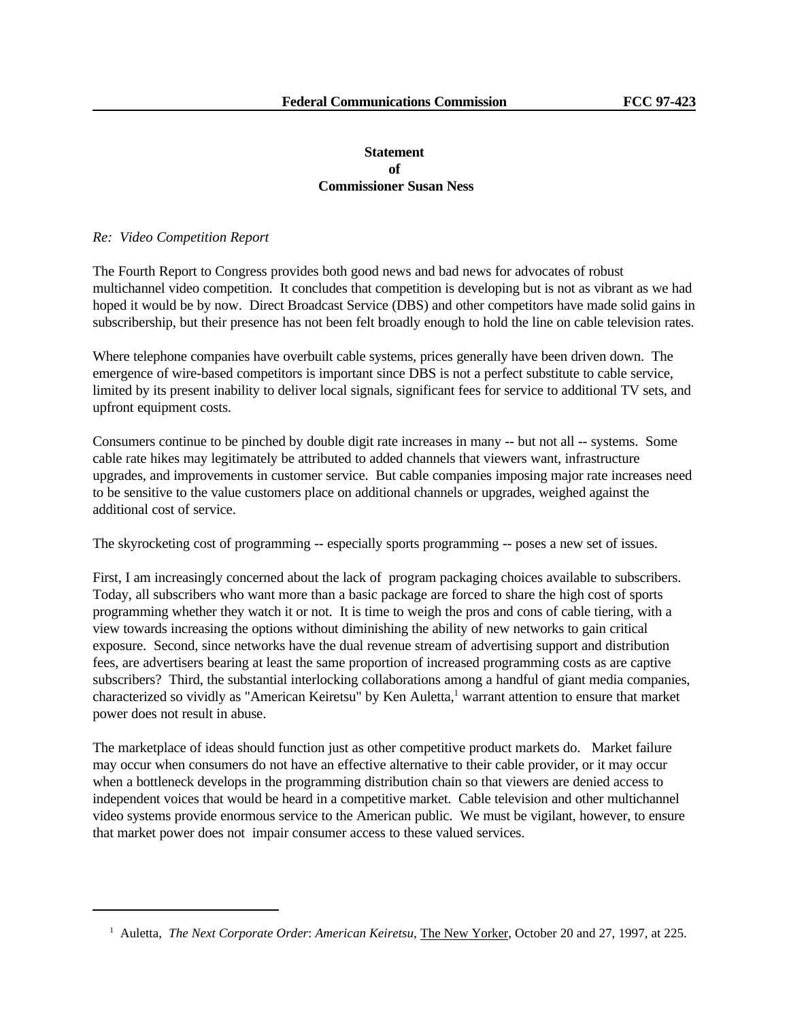### **Statement of Commissioner Susan Ness**

#### *Re: Video Competition Report*

The Fourth Report to Congress provides both good news and bad news for advocates of robust multichannel video competition. It concludes that competition is developing but is not as vibrant as we had hoped it would be by now. Direct Broadcast Service (DBS) and other competitors have made solid gains in subscribership, but their presence has not been felt broadly enough to hold the line on cable television rates.

Where telephone companies have overbuilt cable systems, prices generally have been driven down. The emergence of wire-based competitors is important since DBS is not a perfect substitute to cable service, limited by its present inability to deliver local signals, significant fees for service to additional TV sets, and upfront equipment costs.

Consumers continue to be pinched by double digit rate increases in many -- but not all -- systems. Some cable rate hikes may legitimately be attributed to added channels that viewers want, infrastructure upgrades, and improvements in customer service. But cable companies imposing major rate increases need to be sensitive to the value customers place on additional channels or upgrades, weighed against the additional cost of service.

The skyrocketing cost of programming -- especially sports programming -- poses a new set of issues.

First, I am increasingly concerned about the lack of program packaging choices available to subscribers. Today, all subscribers who want more than a basic package are forced to share the high cost of sports programming whether they watch it or not. It is time to weigh the pros and cons of cable tiering, with a view towards increasing the options without diminishing the ability of new networks to gain critical exposure. Second, since networks have the dual revenue stream of advertising support and distribution fees, are advertisers bearing at least the same proportion of increased programming costs as are captive subscribers? Third, the substantial interlocking collaborations among a handful of giant media companies, characterized so vividly as "American Keiretsu" by Ken Auletta,<sup>1</sup> warrant attention to ensure that market power does not result in abuse.

The marketplace of ideas should function just as other competitive product markets do. Market failure may occur when consumers do not have an effective alternative to their cable provider, or it may occur when a bottleneck develops in the programming distribution chain so that viewers are denied access to independent voices that would be heard in a competitive market. Cable television and other multichannel video systems provide enormous service to the American public. We must be vigilant, however, to ensure that market power does not impair consumer access to these valued services.

<sup>&</sup>lt;sup>1</sup> Auletta, *The Next Corporate Order: American Keiretsu*, *The New Yorker*, October 20 and 27, 1997, at 225.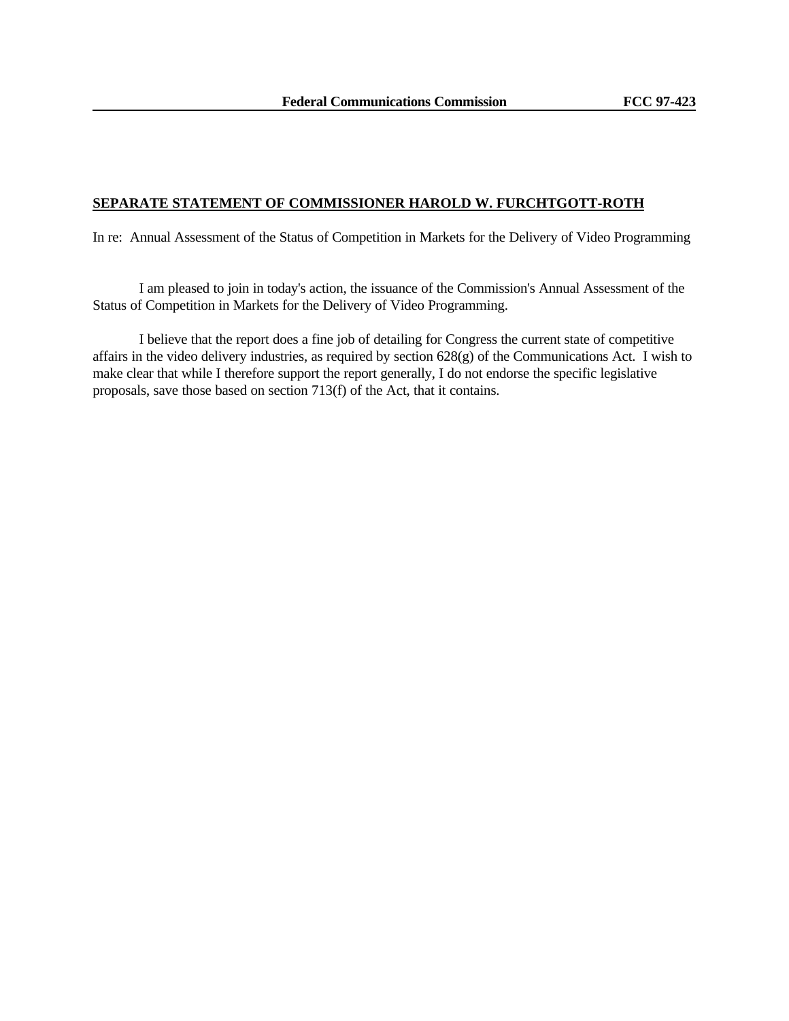#### **SEPARATE STATEMENT OF COMMISSIONER HAROLD W. FURCHTGOTT-ROTH**

In re: Annual Assessment of the Status of Competition in Markets for the Delivery of Video Programming

I am pleased to join in today's action, the issuance of the Commission's Annual Assessment of the Status of Competition in Markets for the Delivery of Video Programming.

I believe that the report does a fine job of detailing for Congress the current state of competitive affairs in the video delivery industries, as required by section 628(g) of the Communications Act. I wish to make clear that while I therefore support the report generally, I do not endorse the specific legislative proposals, save those based on section 713(f) of the Act, that it contains.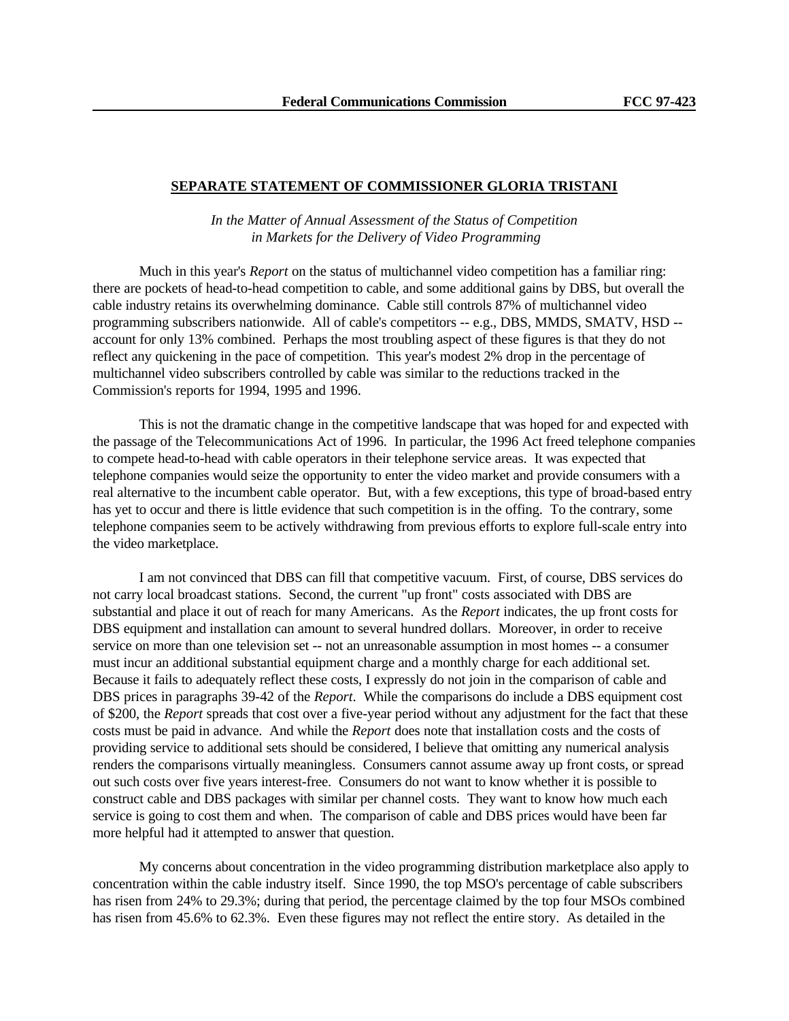#### **SEPARATE STATEMENT OF COMMISSIONER GLORIA TRISTANI**

*In the Matter of Annual Assessment of the Status of Competition in Markets for the Delivery of Video Programming*

Much in this year's *Report* on the status of multichannel video competition has a familiar ring: there are pockets of head-to-head competition to cable, and some additional gains by DBS, but overall the cable industry retains its overwhelming dominance. Cable still controls 87% of multichannel video programming subscribers nationwide. All of cable's competitors -- e.g., DBS, MMDS, SMATV, HSD - account for only 13% combined. Perhaps the most troubling aspect of these figures is that they do not reflect any quickening in the pace of competition. This year's modest 2% drop in the percentage of multichannel video subscribers controlled by cable was similar to the reductions tracked in the Commission's reports for 1994, 1995 and 1996.

This is not the dramatic change in the competitive landscape that was hoped for and expected with the passage of the Telecommunications Act of 1996. In particular, the 1996 Act freed telephone companies to compete head-to-head with cable operators in their telephone service areas. It was expected that telephone companies would seize the opportunity to enter the video market and provide consumers with a real alternative to the incumbent cable operator. But, with a few exceptions, this type of broad-based entry has yet to occur and there is little evidence that such competition is in the offing. To the contrary, some telephone companies seem to be actively withdrawing from previous efforts to explore full-scale entry into the video marketplace.

I am not convinced that DBS can fill that competitive vacuum. First, of course, DBS services do not carry local broadcast stations. Second, the current "up front" costs associated with DBS are substantial and place it out of reach for many Americans. As the *Report* indicates, the up front costs for DBS equipment and installation can amount to several hundred dollars. Moreover, in order to receive service on more than one television set -- not an unreasonable assumption in most homes -- a consumer must incur an additional substantial equipment charge and a monthly charge for each additional set. Because it fails to adequately reflect these costs, I expressly do not join in the comparison of cable and DBS prices in paragraphs 39-42 of the *Report*. While the comparisons do include a DBS equipment cost of \$200, the *Report* spreads that cost over a five-year period without any adjustment for the fact that these costs must be paid in advance. And while the *Report* does note that installation costs and the costs of providing service to additional sets should be considered, I believe that omitting any numerical analysis renders the comparisons virtually meaningless. Consumers cannot assume away up front costs, or spread out such costs over five years interest-free. Consumers do not want to know whether it is possible to construct cable and DBS packages with similar per channel costs. They want to know how much each service is going to cost them and when. The comparison of cable and DBS prices would have been far more helpful had it attempted to answer that question.

My concerns about concentration in the video programming distribution marketplace also apply to concentration within the cable industry itself. Since 1990, the top MSO's percentage of cable subscribers has risen from 24% to 29.3%; during that period, the percentage claimed by the top four MSOs combined has risen from 45.6% to 62.3%. Even these figures may not reflect the entire story. As detailed in the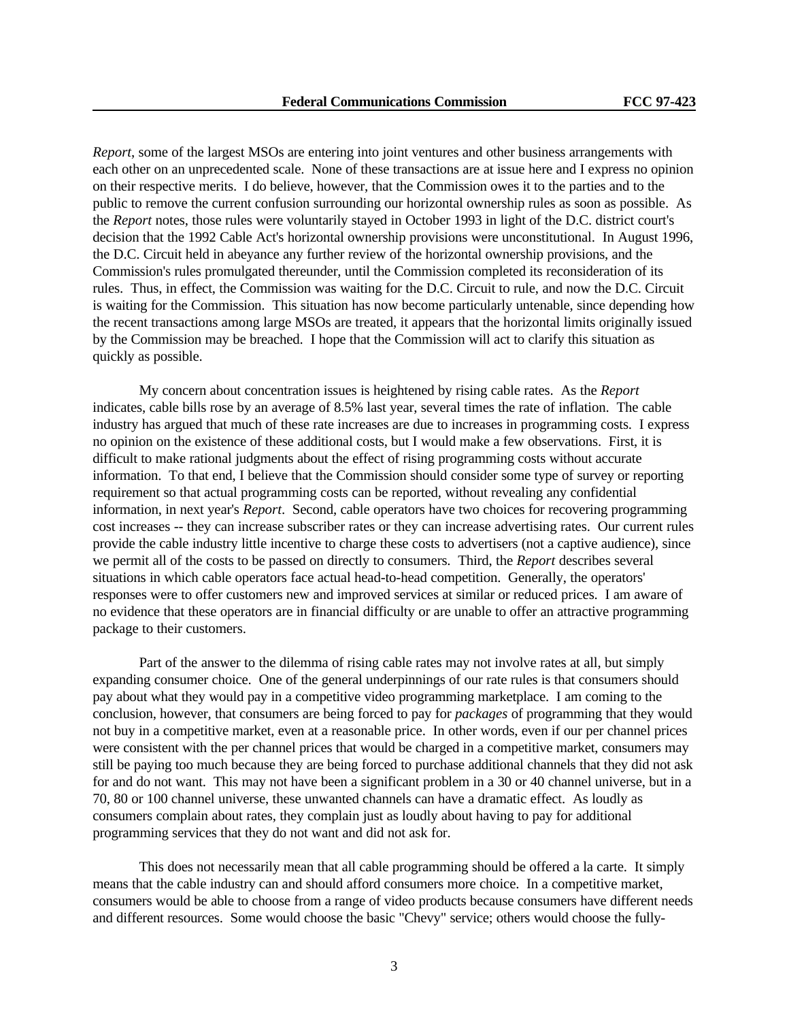*Report*, some of the largest MSOs are entering into joint ventures and other business arrangements with each other on an unprecedented scale. None of these transactions are at issue here and I express no opinion on their respective merits. I do believe, however, that the Commission owes it to the parties and to the public to remove the current confusion surrounding our horizontal ownership rules as soon as possible. As the *Report* notes, those rules were voluntarily stayed in October 1993 in light of the D.C. district court's decision that the 1992 Cable Act's horizontal ownership provisions were unconstitutional. In August 1996, the D.C. Circuit held in abeyance any further review of the horizontal ownership provisions, and the Commission's rules promulgated thereunder, until the Commission completed its reconsideration of its rules. Thus, in effect, the Commission was waiting for the D.C. Circuit to rule, and now the D.C. Circuit is waiting for the Commission. This situation has now become particularly untenable, since depending how the recent transactions among large MSOs are treated, it appears that the horizontal limits originally issued by the Commission may be breached. I hope that the Commission will act to clarify this situation as quickly as possible.

My concern about concentration issues is heightened by rising cable rates. As the *Report* indicates, cable bills rose by an average of 8.5% last year, several times the rate of inflation. The cable industry has argued that much of these rate increases are due to increases in programming costs. I express no opinion on the existence of these additional costs, but I would make a few observations. First, it is difficult to make rational judgments about the effect of rising programming costs without accurate information. To that end, I believe that the Commission should consider some type of survey or reporting requirement so that actual programming costs can be reported, without revealing any confidential information, in next year's *Report*. Second, cable operators have two choices for recovering programming cost increases -- they can increase subscriber rates or they can increase advertising rates. Our current rules provide the cable industry little incentive to charge these costs to advertisers (not a captive audience), since we permit all of the costs to be passed on directly to consumers. Third, the *Report* describes several situations in which cable operators face actual head-to-head competition. Generally, the operators' responses were to offer customers new and improved services at similar or reduced prices. I am aware of no evidence that these operators are in financial difficulty or are unable to offer an attractive programming package to their customers.

Part of the answer to the dilemma of rising cable rates may not involve rates at all, but simply expanding consumer choice. One of the general underpinnings of our rate rules is that consumers should pay about what they would pay in a competitive video programming marketplace. I am coming to the conclusion, however, that consumers are being forced to pay for *packages* of programming that they would not buy in a competitive market, even at a reasonable price. In other words, even if our per channel prices were consistent with the per channel prices that would be charged in a competitive market, consumers may still be paying too much because they are being forced to purchase additional channels that they did not ask for and do not want. This may not have been a significant problem in a 30 or 40 channel universe, but in a 70, 80 or 100 channel universe, these unwanted channels can have a dramatic effect. As loudly as consumers complain about rates, they complain just as loudly about having to pay for additional programming services that they do not want and did not ask for.

This does not necessarily mean that all cable programming should be offered a la carte. It simply means that the cable industry can and should afford consumers more choice. In a competitive market, consumers would be able to choose from a range of video products because consumers have different needs and different resources. Some would choose the basic "Chevy" service; others would choose the fully